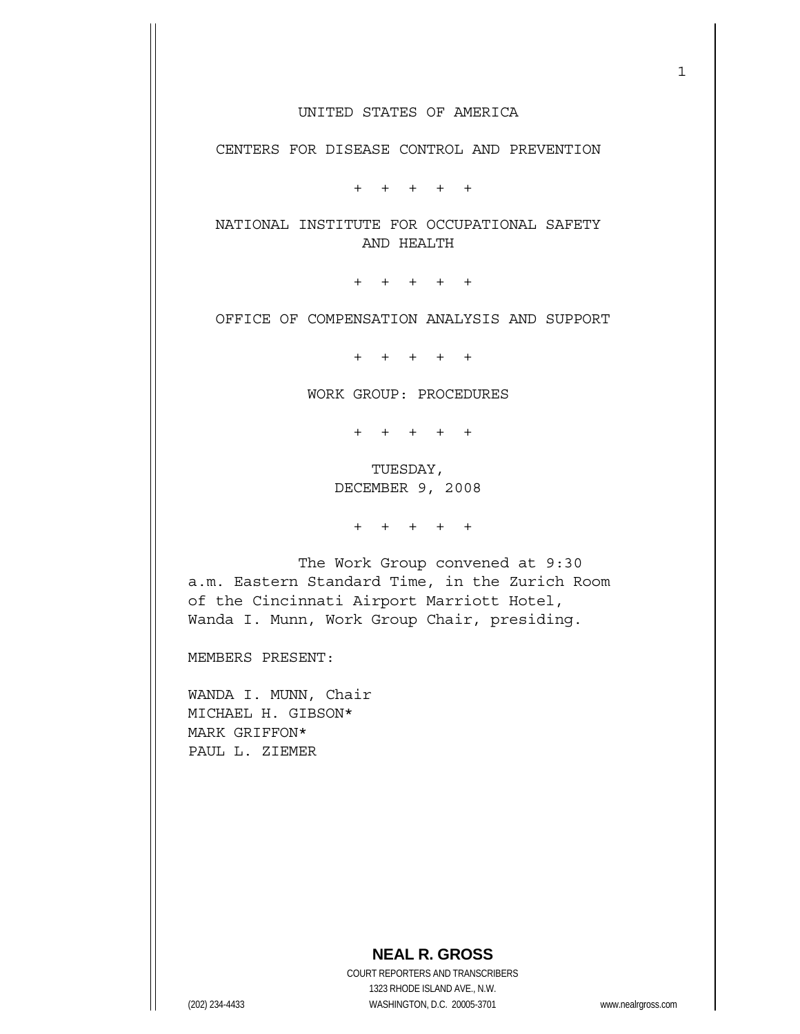CENTERS FOR DISEASE CONTROL AND PREVENTION

+ + + + +

 NATIONAL INSTITUTE FOR OCCUPATIONAL SAFETY AND HEALTH

+ + + + +

OFFICE OF COMPENSATION ANALYSIS AND SUPPORT

+ + + + +

WORK GROUP: PROCEDURES

+ + + + +

 TUESDAY, DECEMBER 9, 2008

+ + + + +

 The Work Group convened at 9:30 a.m. Eastern Standard Time, in the Zurich Room of the Cincinnati Airport Marriott Hotel, Wanda I. Munn, Work Group Chair, presiding.

MEMBERS PRESENT:

WANDA I. MUNN, Chair MICHAEL H. GIBSON\* MARK GRIFFON\* PAUL L. ZIEMER

 COURT REPORTERS AND TRANSCRIBERS 1323 RHODE ISLAND AVE., N.W. (202) 234-4433 WASHINGTON, D.C. 20005-3701 www.nealrgross.com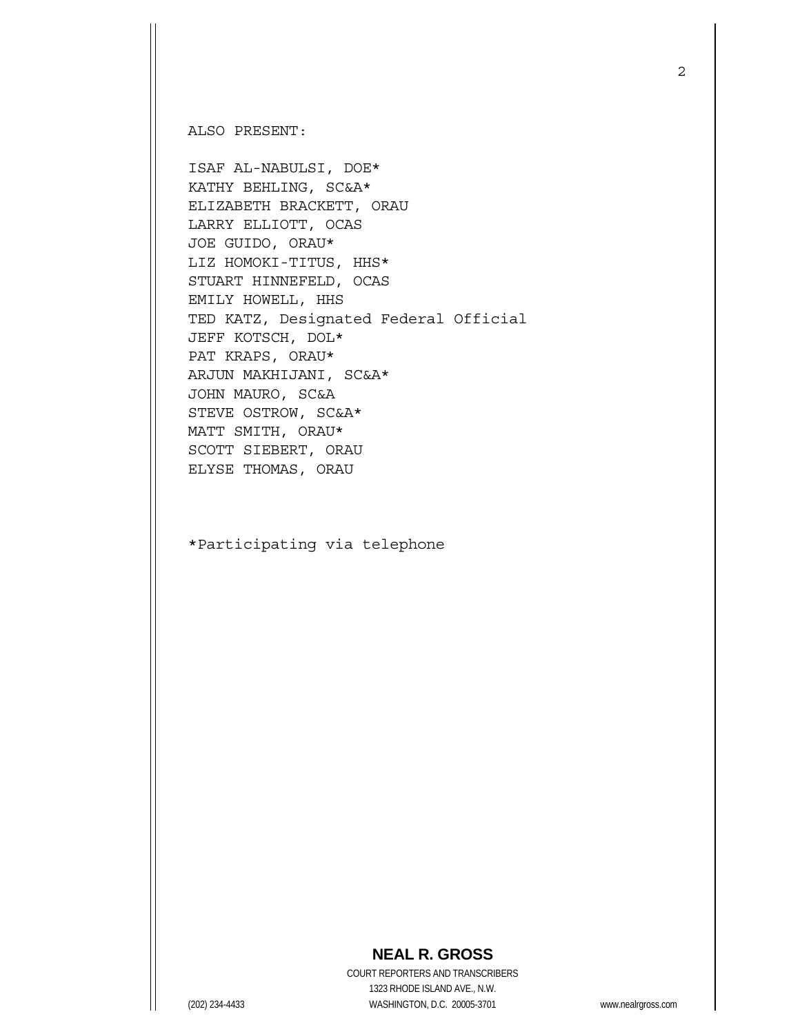ALSO PRESENT:

ISAF AL-NABULSI, DOE\* KATHY BEHLING, SC&A\* ELIZABETH BRACKETT, ORAU LARRY ELLIOTT, OCAS JOE GUIDO, ORAU\* LIZ HOMOKI-TITUS, HHS\* STUART HINNEFELD, OCAS EMILY HOWELL, HHS TED KATZ, Designated Federal Official JEFF KOTSCH, DOL\* PAT KRAPS, ORAU\* ARJUN MAKHIJANI, SC&A\* JOHN MAURO, SC&A STEVE OSTROW, SC&A\* MATT SMITH, ORAU\* SCOTT SIEBERT, ORAU ELYSE THOMAS, ORAU

\*Participating via telephone

## 2

## **NEAL R. GROSS**

 COURT REPORTERS AND TRANSCRIBERS 1323 RHODE ISLAND AVE., N.W. (202) 234-4433 WASHINGTON, D.C. 20005-3701 www.nealrgross.com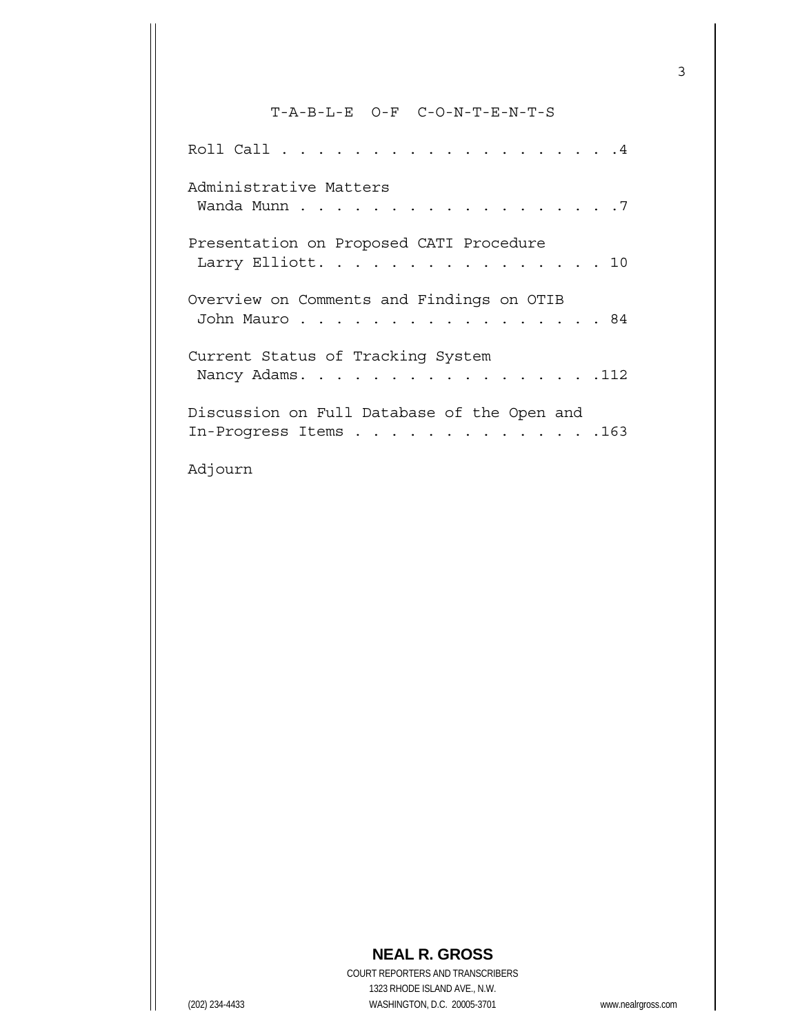## T-A-B-L-E O-F C-O-N-T-E-N-T-S

| Administrative Matters                                               |
|----------------------------------------------------------------------|
| Presentation on Proposed CATI Procedure<br>Larry Elliott. 10         |
| Overview on Comments and Findings on OTIB<br>John Mauro 84           |
| Current Status of Tracking System<br>Nancy Adams. 112                |
| Discussion on Full Database of the Open and<br>In-Progress Items 163 |
| Adjourn                                                              |

## **NEAL R. GROSS**

 COURT REPORTERS AND TRANSCRIBERS 1323 RHODE ISLAND AVE., N.W. (202) 234-4433 WASHINGTON, D.C. 20005-3701 www.nealrgross.com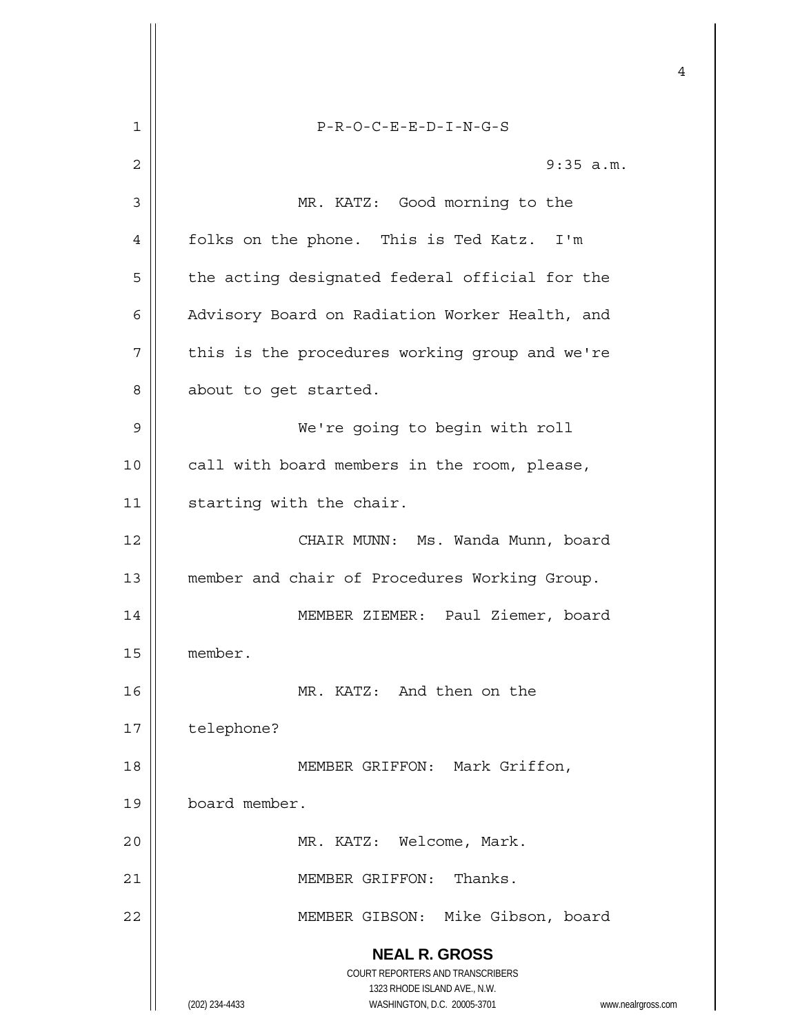|    | 4                                                                   |
|----|---------------------------------------------------------------------|
| 1  | $P-R-O-C-E-E-D-I-N-G-S$                                             |
| 2  | 9:35 a.m.                                                           |
| 3  | MR. KATZ: Good morning to the                                       |
| 4  | folks on the phone. This is Ted Katz. I'm                           |
| 5  | the acting designated federal official for the                      |
| 6  | Advisory Board on Radiation Worker Health, and                      |
| 7  | this is the procedures working group and we're                      |
| 8  | about to get started.                                               |
| 9  | We're going to begin with roll                                      |
| 10 | call with board members in the room, please,                        |
| 11 | starting with the chair.                                            |
| 12 | CHAIR MUNN: Ms. Wanda Munn, board                                   |
| 13 | member and chair of Procedures Working Group.                       |
| 14 | Paul Ziemer, board<br>MEMBER ZIEMER:                                |
| 15 | member.                                                             |
| 16 | MR. KATZ: And then on the                                           |
| 17 | telephone?                                                          |
| 18 | MEMBER GRIFFON: Mark Griffon,                                       |
| 19 | board member.                                                       |
| 20 | MR. KATZ: Welcome, Mark.                                            |
| 21 | MEMBER GRIFFON:<br>Thanks.                                          |
| 22 | MEMBER GIBSON: Mike Gibson, board                                   |
|    | <b>NEAL R. GROSS</b><br>COURT REPORTERS AND TRANSCRIBERS            |
|    | 1323 RHODE ISLAND AVE., N.W.                                        |
|    | (202) 234-4433<br>WASHINGTON, D.C. 20005-3701<br>www.nealrgross.com |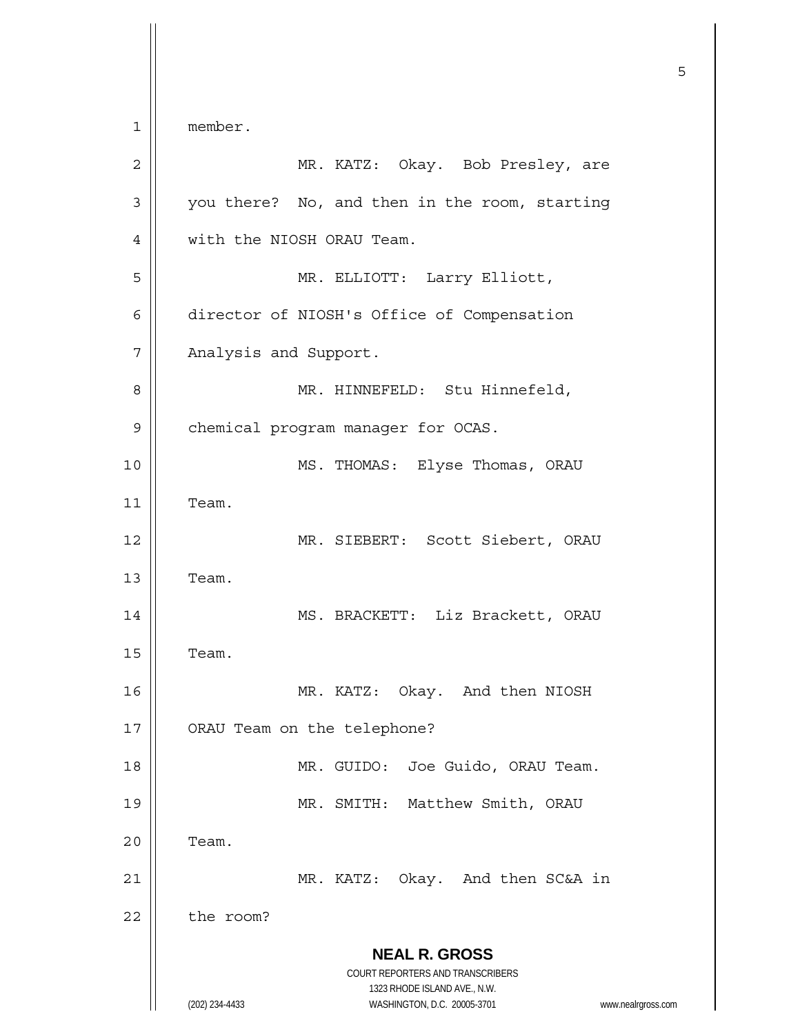**NEAL R. GROSS** COURT REPORTERS AND TRANSCRIBERS 1323 RHODE ISLAND AVE., N.W. (202) 234-4433 WASHINGTON, D.C. 20005-3701 www.nealrgross.com  $\sim$  5 1 member. 2 MR. KATZ: Okay. Bob Presley, are 3 | you there? No, and then in the room, starting 4 | with the NIOSH ORAU Team. 5 MR. ELLIOTT: Larry Elliott, 6 director of NIOSH's Office of Compensation 7 | Analysis and Support. 8 || MR. HINNEFELD: Stu Hinnefeld, 9 | chemical program manager for OCAS. 10 MS. THOMAS: Elyse Thomas, ORAU 11 Team. 12 || MR. SIEBERT: Scott Siebert, ORAU  $13$  | Team. 14 || MS. BRACKETT: Liz Brackett, ORAU  $15$  | Team. 16 MR. KATZ: Okay. And then NIOSH 17 | ORAU Team on the telephone? 18 MR. GUIDO: Joe Guido, ORAU Team. 19 MR. SMITH: Matthew Smith, ORAU  $20$   $\parallel$  Team. 21 | MR. KATZ: Okay. And then SC&A in 22 the room?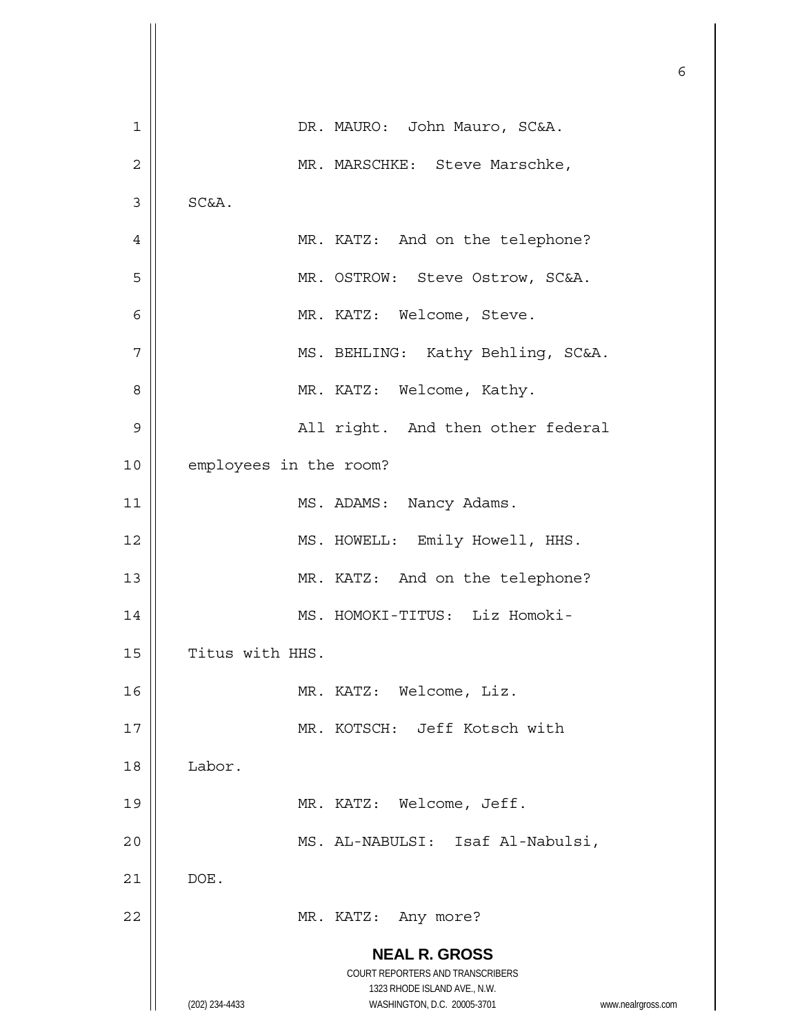|                |                                                                                          | 6 |
|----------------|------------------------------------------------------------------------------------------|---|
| 1              | DR. MAURO: John Mauro, SC&A.                                                             |   |
| $\overline{c}$ | MR. MARSCHKE: Steve Marschke,                                                            |   |
| 3              | SC&A.                                                                                    |   |
| 4              | MR. KATZ: And on the telephone?                                                          |   |
| 5              | MR. OSTROW: Steve Ostrow, SC&A.                                                          |   |
| 6              | MR. KATZ: Welcome, Steve.                                                                |   |
| 7              | MS. BEHLING: Kathy Behling, SC&A.                                                        |   |
| 8              | MR. KATZ: Welcome, Kathy.                                                                |   |
| 9              | All right. And then other federal                                                        |   |
| 10             | employees in the room?                                                                   |   |
| 11             | MS. ADAMS: Nancy Adams.                                                                  |   |
| 12             | MS. HOWELL: Emily Howell, HHS.                                                           |   |
| 13             | MR. KATZ: And on the telephone?                                                          |   |
| 14             | MS. HOMOKI-TITUS: Liz Homoki-                                                            |   |
| 15             | Titus with HHS.                                                                          |   |
| 16             | MR. KATZ: Welcome, Liz.                                                                  |   |
| 17             | MR. KOTSCH: Jeff Kotsch with                                                             |   |
| 18             | Labor.                                                                                   |   |
| 19             | MR. KATZ: Welcome, Jeff.                                                                 |   |
| 20             | MS. AL-NABULSI: Isaf Al-Nabulsi,                                                         |   |
| 21             | DOE.                                                                                     |   |
| 22             | MR. KATZ: Any more?                                                                      |   |
|                | <b>NEAL R. GROSS</b><br>COURT REPORTERS AND TRANSCRIBERS<br>1323 RHODE ISLAND AVE., N.W. |   |
|                | WASHINGTON, D.C. 20005-3701<br>(202) 234-4433<br>www.nealrgross.com                      |   |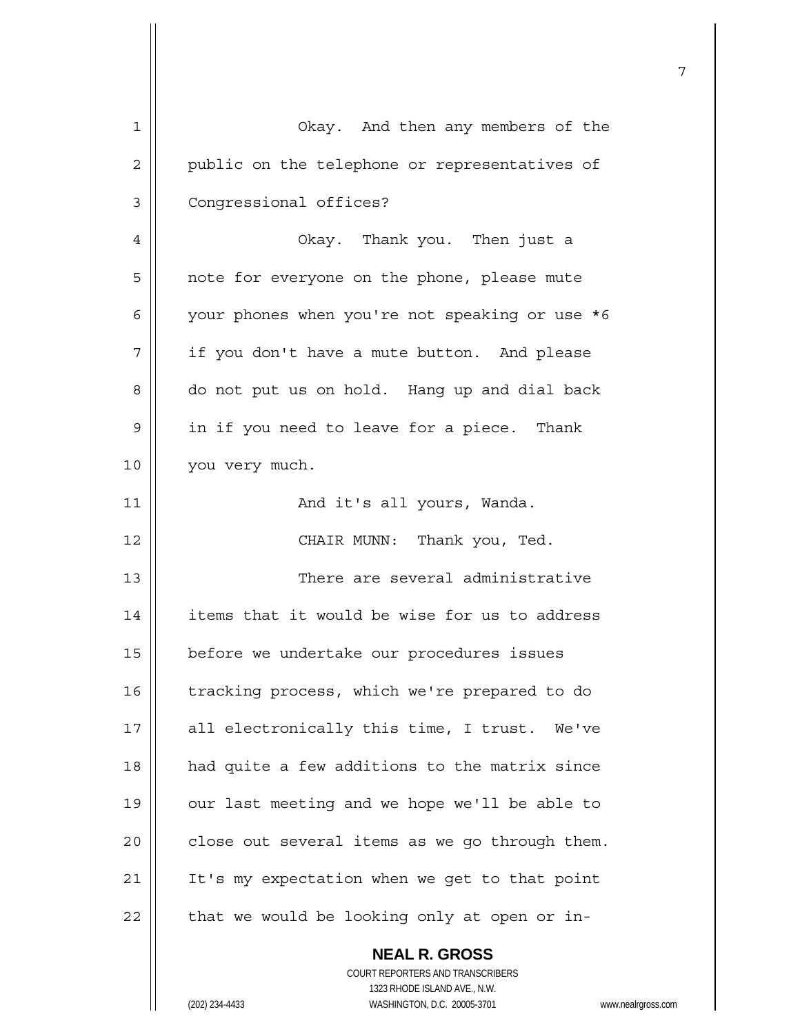|    |                                                | 7 |
|----|------------------------------------------------|---|
| 1  | Okay. And then any members of the              |   |
| 2  | public on the telephone or representatives of  |   |
| 3  | Congressional offices?                         |   |
| 4  | Okay. Thank you. Then just a                   |   |
| 5  | note for everyone on the phone, please mute    |   |
| 6  | your phones when you're not speaking or use *6 |   |
| 7  | if you don't have a mute button. And please    |   |
| 8  | do not put us on hold. Hang up and dial back   |   |
| 9  | in if you need to leave for a piece. Thank     |   |
| 10 | you very much.                                 |   |
| 11 | And it's all yours, Wanda.                     |   |
| 12 | CHAIR MUNN: Thank you, Ted.                    |   |
| 13 | There are several administrative               |   |
| 14 | items that it would be wise for us to address  |   |
| 15 | before we undertake our procedures issues      |   |
| 16 | tracking process, which we're prepared to do   |   |
| 17 | all electronically this time, I trust. We've   |   |
| 18 | had quite a few additions to the matrix since  |   |
| 19 | our last meeting and we hope we'll be able to  |   |
| 20 | close out several items as we go through them. |   |
| 21 | It's my expectation when we get to that point  |   |
| 22 | that we would be looking only at open or in-   |   |
|    | <b>NEAL R. GROSS</b>                           |   |

 COURT REPORTERS AND TRANSCRIBERS 1323 RHODE ISLAND AVE., N.W. (202) 234-4433 WASHINGTON, D.C. 20005-3701 www.nealrgross.com

 $\mathbf{\mathsf{I}}$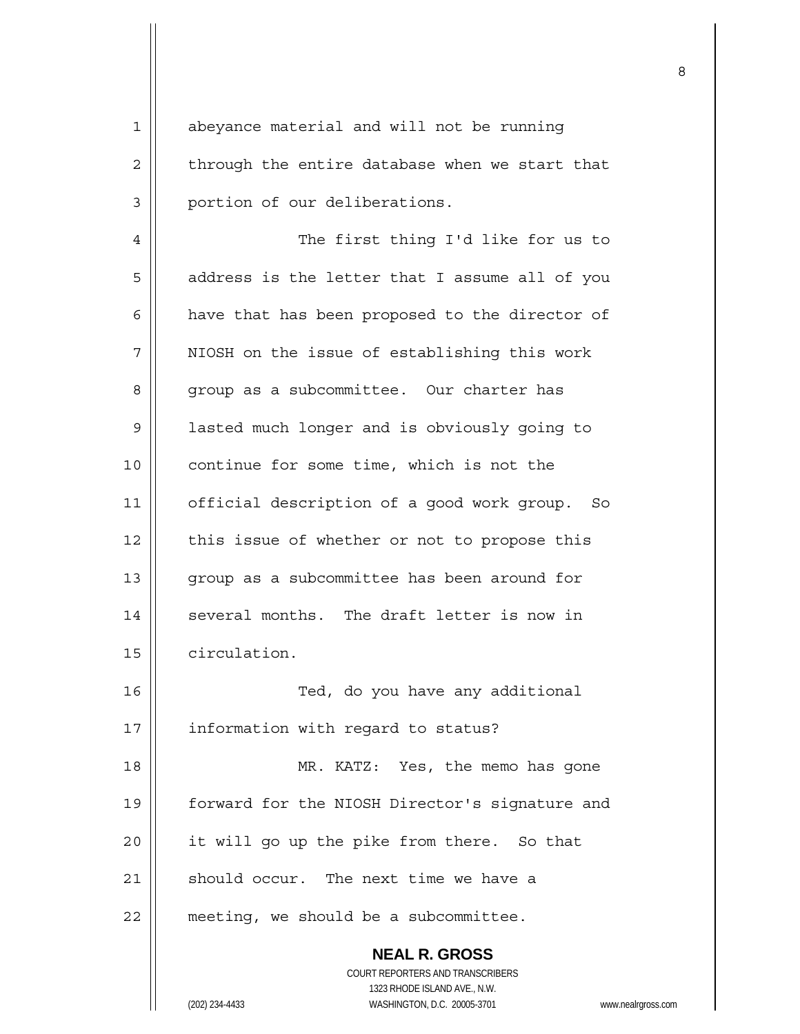1 | abeyance material and will not be running  $2 \parallel$  through the entire database when we start that 3 | portion of our deliberations. 4 || The first thing I'd like for us to  $5 \parallel$  address is the letter that I assume all of you  $6$  | have that has been proposed to the director of 7 | NIOSH on the issue of establishing this work 8 | group as a subcommittee. Our charter has 9 | lasted much longer and is obviously going to

10 || continue for some time, which is not the 11 | official description of a good work group. So  $12$  | this issue of whether or not to propose this 13 || group as a subcommittee has been around for  $14$  | several months. The draft letter is now in 15 | circulation.

16 || Ted, do you have any additional 17 | information with regard to status? 18 || MR. KATZ: Yes, the memo has gone 19 | forward for the NIOSH Director's signature and 20 || it will go up the pike from there. So that 21  $\parallel$  should occur. The next time we have a 22 | meeting, we should be a subcommittee.

> **NEAL R. GROSS** COURT REPORTERS AND TRANSCRIBERS 1323 RHODE ISLAND AVE., N.W. (202) 234-4433 WASHINGTON, D.C. 20005-3701 www.nealrgross.com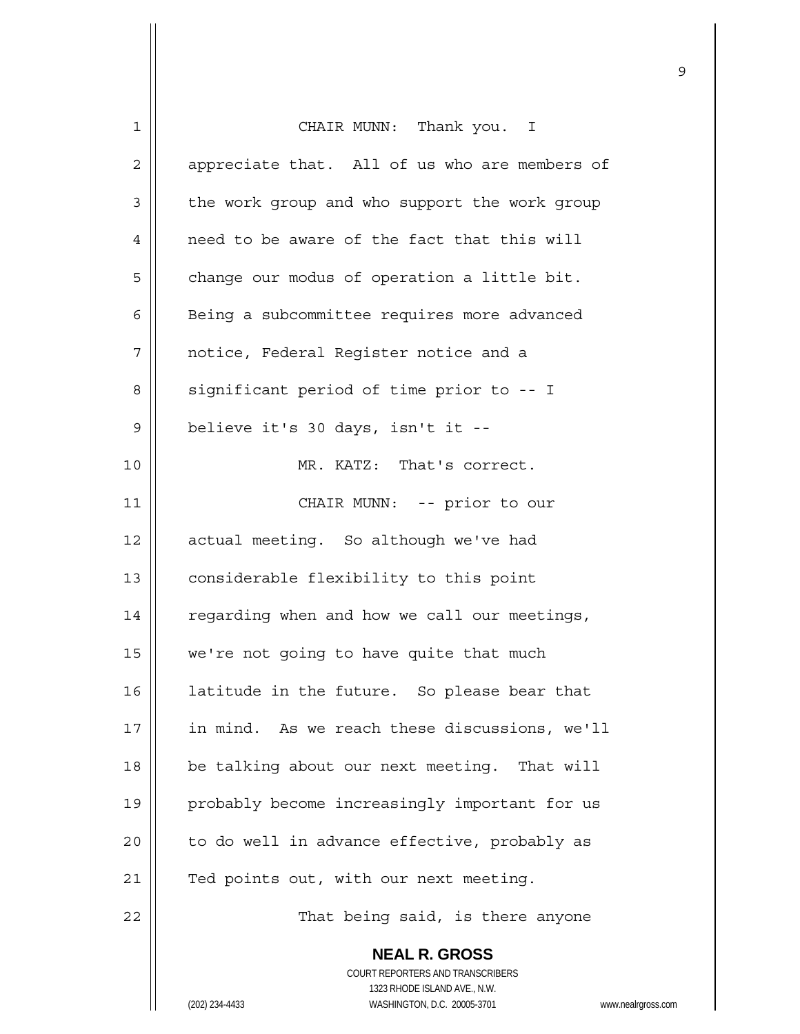| $\mathbf 1$ | CHAIR MUNN: Thank you. I                                            |
|-------------|---------------------------------------------------------------------|
| 2           | appreciate that. All of us who are members of                       |
| 3           | the work group and who support the work group                       |
| 4           | need to be aware of the fact that this will                         |
| 5           | change our modus of operation a little bit.                         |
| 6           | Being a subcommittee requires more advanced                         |
| 7           | notice, Federal Register notice and a                               |
| 8           | significant period of time prior to -- I                            |
| $\mathsf 9$ | believe it's 30 days, isn't it --                                   |
| 10          | MR. KATZ: That's correct.                                           |
| 11          | CHAIR MUNN: -- prior to our                                         |
| 12          | actual meeting. So although we've had                               |
| 13          | considerable flexibility to this point                              |
|             |                                                                     |
| 14          | regarding when and how we call our meetings,                        |
| 15          | we're not going to have quite that much                             |
| 16          | latitude in the future. So please bear that                         |
| 17          | in mind. As we reach these discussions, we'll                       |
| 18          | be talking about our next meeting. That will                        |
| 19          | probably become increasingly important for us                       |
| 20          | to do well in advance effective, probably as                        |
| 21          | Ted points out, with our next meeting.                              |
| 22          | That being said, is there anyone                                    |
|             | <b>NEAL R. GROSS</b>                                                |
|             | COURT REPORTERS AND TRANSCRIBERS                                    |
|             | 1323 RHODE ISLAND AVE., N.W.                                        |
|             | (202) 234-4433<br>WASHINGTON, D.C. 20005-3701<br>www.nealrgross.com |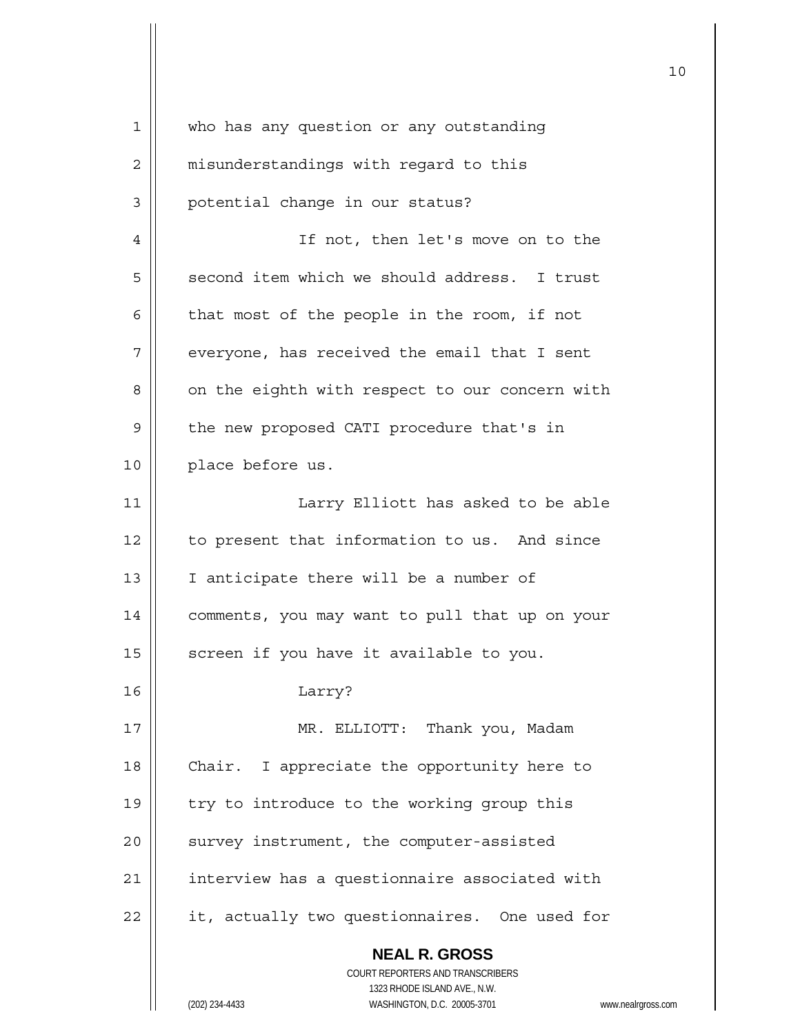| $\mathbf 1$    | who has any question or any outstanding                                 |
|----------------|-------------------------------------------------------------------------|
| 2              | misunderstandings with regard to this                                   |
| 3              | potential change in our status?                                         |
| $\overline{4}$ | If not, then let's move on to the                                       |
| 5              | second item which we should address. I trust                            |
| 6              | that most of the people in the room, if not                             |
| 7              | everyone, has received the email that I sent                            |
| 8              | on the eighth with respect to our concern with                          |
| 9              | the new proposed CATI procedure that's in                               |
| 10             | place before us.                                                        |
| 11             | Larry Elliott has asked to be able                                      |
| 12             | to present that information to us. And since                            |
| 13             | I anticipate there will be a number of                                  |
| 14             | comments, you may want to pull that up on your                          |
| 15             | screen if you have it available to you.                                 |
| 16             | Larry?                                                                  |
| 17             | MR. ELLIOTT: Thank you, Madam                                           |
| 18             | Chair. I appreciate the opportunity here to                             |
| 19             | try to introduce to the working group this                              |
| 20             | survey instrument, the computer-assisted                                |
| 21             | interview has a questionnaire associated with                           |
| 22             | it, actually two questionnaires. One used for                           |
|                | <b>NEAL R. GROSS</b>                                                    |
|                | <b>COURT REPORTERS AND TRANSCRIBERS</b><br>1323 RHODE ISLAND AVE., N.W. |
|                | WASHINGTON, D.C. 20005-3701<br>(202) 234-4433<br>www.nealrgross.com     |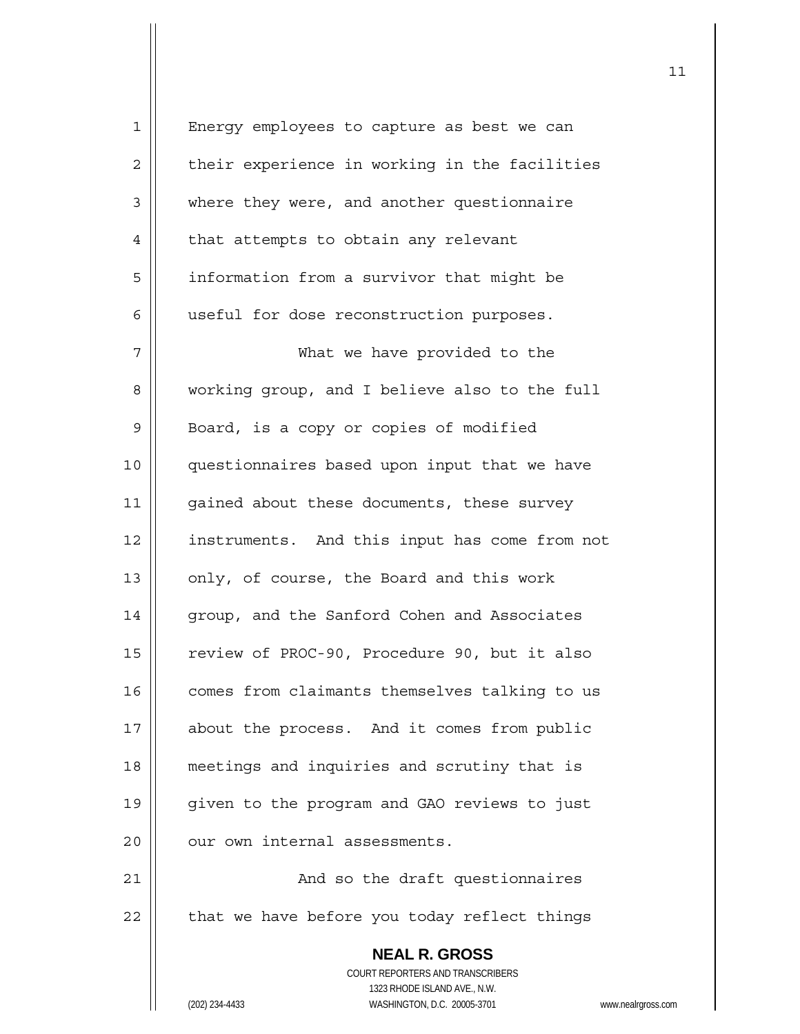| $\mathbf 1$    | Energy employees to capture as best we can                          |
|----------------|---------------------------------------------------------------------|
| $\overline{2}$ | their experience in working in the facilities                       |
| 3              | where they were, and another questionnaire                          |
| 4              | that attempts to obtain any relevant                                |
| 5              | information from a survivor that might be                           |
| 6              | useful for dose reconstruction purposes.                            |
| 7              | What we have provided to the                                        |
| 8              | working group, and I believe also to the full                       |
| 9              | Board, is a copy or copies of modified                              |
| 10             | questionnaires based upon input that we have                        |
| 11             | gained about these documents, these survey                          |
| 12             | instruments. And this input has come from not                       |
| 13             | only, of course, the Board and this work                            |
| 14             | group, and the Sanford Cohen and Associates                         |
| 15             | review of PROC-90, Procedure 90, but it also                        |
| 16             | comes from claimants themselves talking to us                       |
| 17             | about the process. And it comes from public                         |
| 18             | meetings and inquiries and scrutiny that is                         |
| 19             | given to the program and GAO reviews to just                        |
| 20             | our own internal assessments.                                       |
| 21             | And so the draft questionnaires                                     |
| 22             | that we have before you today reflect things                        |
|                | <b>NEAL R. GROSS</b><br>COURT REPORTERS AND TRANSCRIBERS            |
|                | 1323 RHODE ISLAND AVE., N.W.                                        |
|                | WASHINGTON, D.C. 20005-3701<br>(202) 234-4433<br>www.nealrgross.com |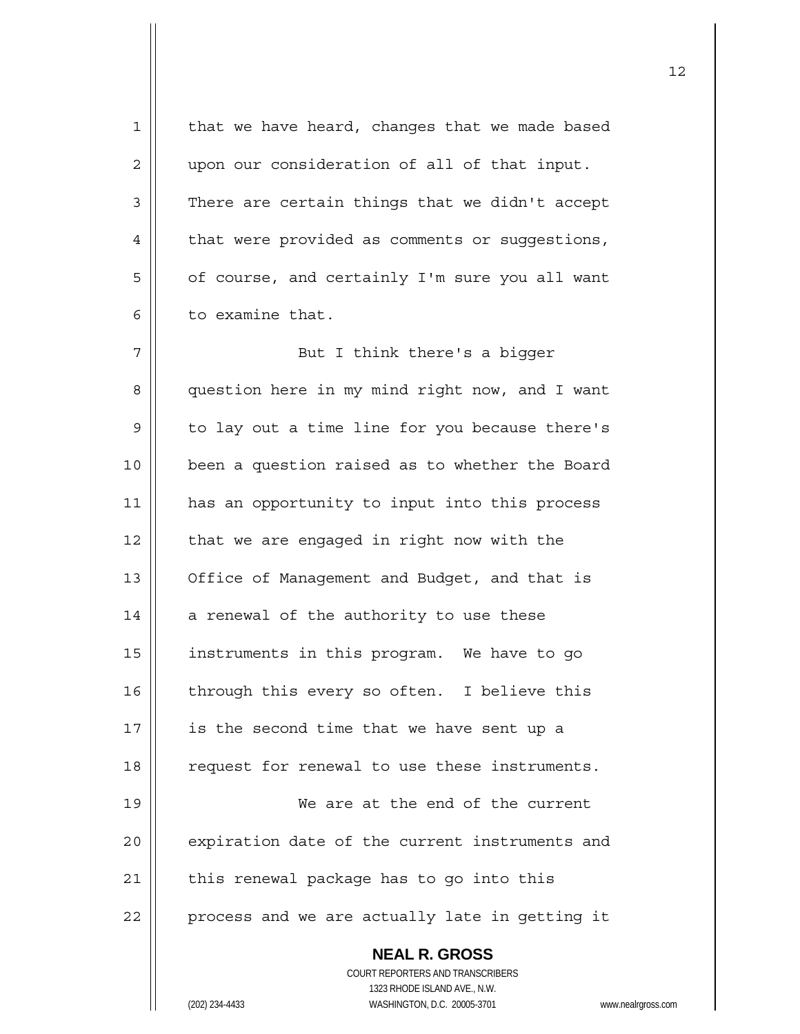| $\mathbf 1$ | that we have heard, changes that we made based           |
|-------------|----------------------------------------------------------|
| 2           | upon our consideration of all of that input.             |
| 3           | There are certain things that we didn't accept           |
| 4           | that were provided as comments or suggestions,           |
| 5           | of course, and certainly I'm sure you all want           |
| 6           | to examine that.                                         |
| 7           | But I think there's a bigger                             |
| 8           | question here in my mind right now, and I want           |
| 9           | to lay out a time line for you because there's           |
| 10          | been a question raised as to whether the Board           |
| 11          | has an opportunity to input into this process            |
| 12          | that we are engaged in right now with the                |
| 13          | Office of Management and Budget, and that is             |
| 14          | a renewal of the authority to use these                  |
| 15          | instruments in this program. We have to go               |
| 16          | through this every so often. I believe this              |
| 17          | is the second time that we have sent up a                |
| 18          | request for renewal to use these instruments.            |
| 19          | We are at the end of the current                         |
| 20          | expiration date of the current instruments and           |
| 21          | this renewal package has to go into this                 |
| 22          | process and we are actually late in getting it           |
|             | <b>NEAL R. GROSS</b><br>COURT REPORTERS AND TRANSCRIBERS |
|             | 1323 RHODE ISLAND AVE., N.W.                             |
|             | (202) 234-4433<br>WASHINGTON, D.C. 20005-3701<br>WWW.ne  |

(202) 234-4433 WASHINGTON, D.C. 20005-3701 www.nealrgross.com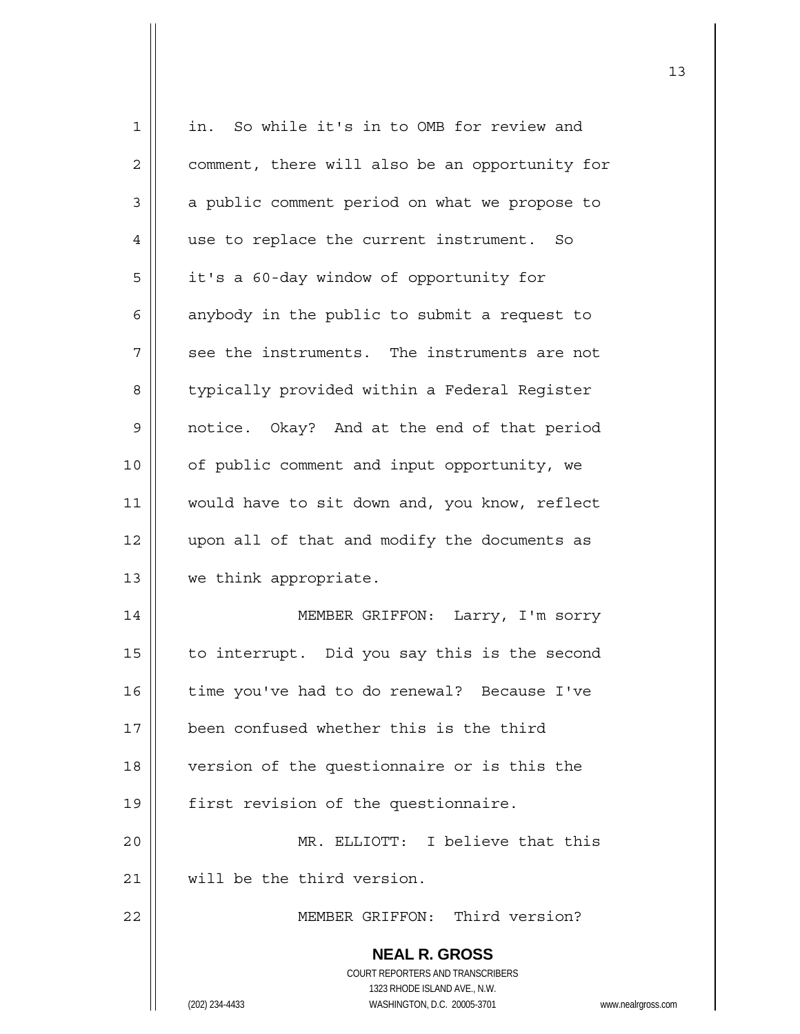| 1  | in. So while it's in to OMB for review and                          |
|----|---------------------------------------------------------------------|
| 2  | comment, there will also be an opportunity for                      |
| 3  | a public comment period on what we propose to                       |
| 4  | use to replace the current instrument. So                           |
| 5  | it's a 60-day window of opportunity for                             |
| 6  | anybody in the public to submit a request to                        |
| 7  | see the instruments. The instruments are not                        |
| 8  | typically provided within a Federal Register                        |
| 9  | notice. Okay? And at the end of that period                         |
| 10 | of public comment and input opportunity, we                         |
| 11 | would have to sit down and, you know, reflect                       |
| 12 | upon all of that and modify the documents as                        |
| 13 | we think appropriate.                                               |
| 14 | MEMBER GRIFFON: Larry, I'm sorry                                    |
| 15 | to interrupt. Did you say this is the second                        |
| 16 | time you've had to do renewal? Because I've                         |
| 17 | been confused whether this is the third                             |
| 18 | version of the questionnaire or is this the                         |
| 19 | first revision of the questionnaire.                                |
| 20 | MR. ELLIOTT: I believe that this                                    |
| 21 | will be the third version.                                          |
| 22 | MEMBER GRIFFON: Third version?                                      |
|    | <b>NEAL R. GROSS</b>                                                |
|    | COURT REPORTERS AND TRANSCRIBERS                                    |
|    | 1323 RHODE ISLAND AVE., N.W.                                        |
|    | (202) 234-4433<br>WASHINGTON, D.C. 20005-3701<br>www.nealrgross.com |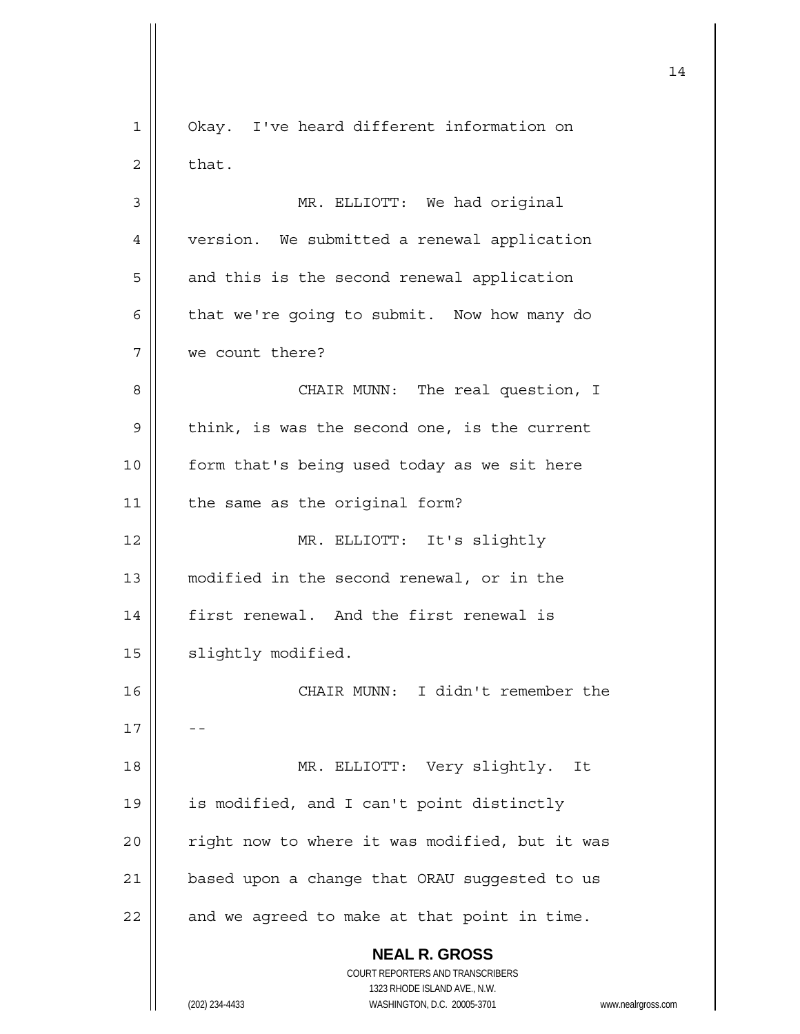| Okay. I've heard different information on<br>1<br>that.<br>2<br>3<br>MR. ELLIOTT: We had original<br>version. We submitted a renewal application<br>4<br>5<br>and this is the second renewal application |
|----------------------------------------------------------------------------------------------------------------------------------------------------------------------------------------------------------|
|                                                                                                                                                                                                          |
|                                                                                                                                                                                                          |
|                                                                                                                                                                                                          |
|                                                                                                                                                                                                          |
|                                                                                                                                                                                                          |
| 6<br>that we're going to submit. Now how many do                                                                                                                                                         |
| we count there?<br>7                                                                                                                                                                                     |
| 8<br>CHAIR MUNN: The real question, I                                                                                                                                                                    |
| think, is was the second one, is the current<br>9                                                                                                                                                        |
| 10<br>form that's being used today as we sit here                                                                                                                                                        |
| 11<br>the same as the original form?                                                                                                                                                                     |
| MR. ELLIOTT: It's slightly<br>12                                                                                                                                                                         |
| modified in the second renewal, or in the<br>13                                                                                                                                                          |
| 14<br>first renewal. And the first renewal is                                                                                                                                                            |
| slightly modified.<br>15                                                                                                                                                                                 |
| CHAIR MUNN: I didn't remember the<br>16                                                                                                                                                                  |
| 17                                                                                                                                                                                                       |
| MR. ELLIOTT: Very slightly. It<br>18                                                                                                                                                                     |
| is modified, and I can't point distinctly<br>19                                                                                                                                                          |
| right now to where it was modified, but it was<br>20                                                                                                                                                     |
| based upon a change that ORAU suggested to us<br>21                                                                                                                                                      |
| and we agreed to make at that point in time.<br>22                                                                                                                                                       |
| <b>NEAL R. GROSS</b>                                                                                                                                                                                     |
| <b>COURT REPORTERS AND TRANSCRIBERS</b><br>1323 RHODE ISLAND AVE., N.W.                                                                                                                                  |
| WASHINGTON, D.C. 20005-3701<br>(202) 234-4433<br>www.nealrgross.com                                                                                                                                      |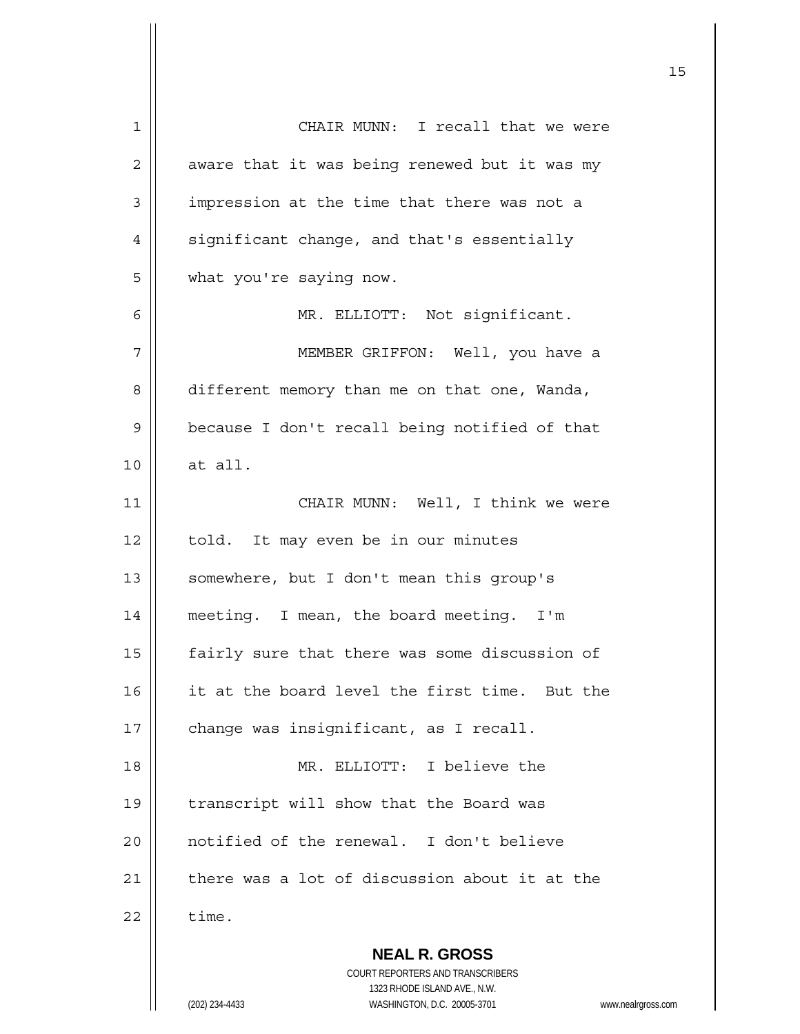| 1  | CHAIR MUNN: I recall that we were                                   |
|----|---------------------------------------------------------------------|
| 2  | aware that it was being renewed but it was my                       |
| 3  | impression at the time that there was not a                         |
| 4  | significant change, and that's essentially                          |
| 5  | what you're saying now.                                             |
| 6  | MR. ELLIOTT: Not significant.                                       |
| 7  | MEMBER GRIFFON: Well, you have a                                    |
| 8  | different memory than me on that one, Wanda,                        |
| 9  | because I don't recall being notified of that                       |
| 10 | at all.                                                             |
| 11 | CHAIR MUNN: Well, I think we were                                   |
| 12 | told. It may even be in our minutes                                 |
| 13 | somewhere, but I don't mean this group's                            |
| 14 | meeting. I mean, the board meeting. I'm                             |
| 15 | fairly sure that there was some discussion of                       |
| 16 | it at the board level the first time. But the                       |
| 17 | change was insignificant, as I recall.                              |
| 18 | MR. ELLIOTT: I believe the                                          |
| 19 | transcript will show that the Board was                             |
| 20 | notified of the renewal. I don't believe                            |
| 21 | there was a lot of discussion about it at the                       |
| 22 | time.                                                               |
|    |                                                                     |
|    | <b>NEAL R. GROSS</b><br>COURT REPORTERS AND TRANSCRIBERS            |
|    | 1323 RHODE ISLAND AVE., N.W.                                        |
|    | (202) 234-4433<br>WASHINGTON, D.C. 20005-3701<br>www.nealrgross.com |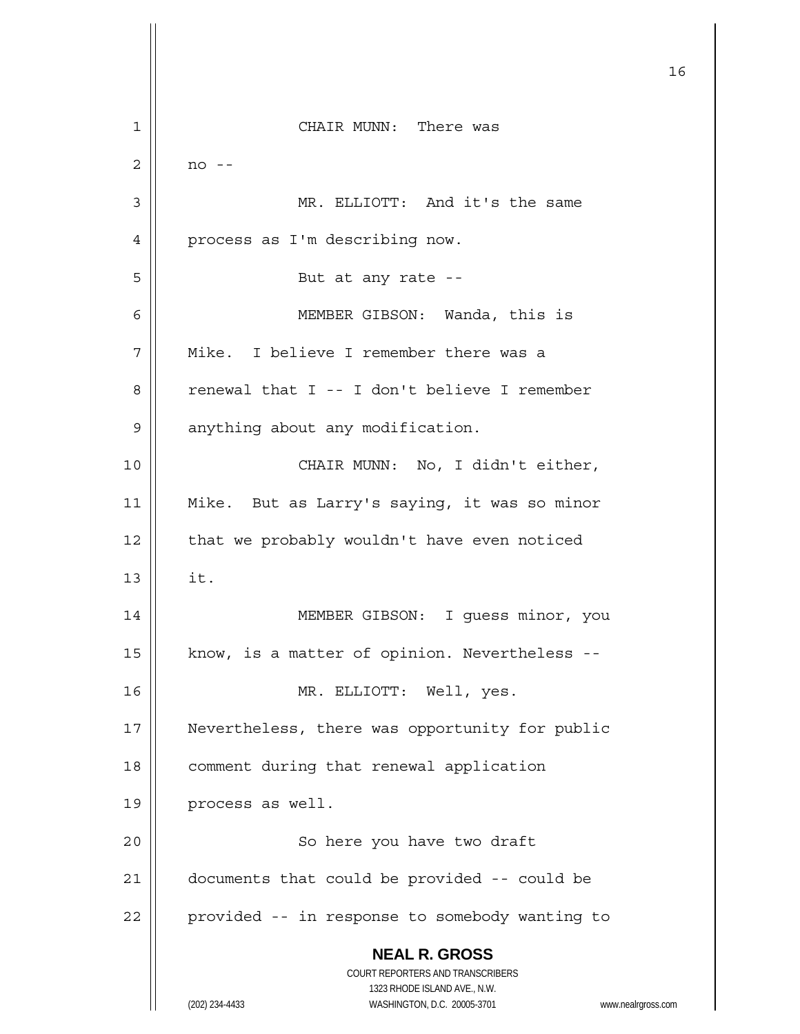**NEAL R. GROSS** COURT REPORTERS AND TRANSCRIBERS 1323 RHODE ISLAND AVE., N.W. (202) 234-4433 WASHINGTON, D.C. 20005-3701 www.nealrgross.com 16 1 CHAIR MUNN: There was  $2 \parallel$  no --3 || MR. ELLIOTT: And it's the same 4 | process as I'm describing now. 5 || But at any rate --6 MEMBER GIBSON: Wanda, this is 7 Mike. I believe I remember there was a 8 renewal that I -- I don't believe I remember 9 | anything about any modification. 10 || CHAIR MUNN: No, I didn't either, 11 Mike. But as Larry's saying, it was so minor  $12$  | that we probably wouldn't have even noticed  $13 \parallel \text{it.}$ 14 || MEMBER GIBSON: I guess minor, you 15  $\parallel$  know, is a matter of opinion. Nevertheless --16 MR. ELLIOTT: Well, yes. 17 | Nevertheless, there was opportunity for public 18 | comment during that renewal application 19 | process as well. 20 || So here you have two draft 21 documents that could be provided -- could be 22 | provided -- in response to somebody wanting to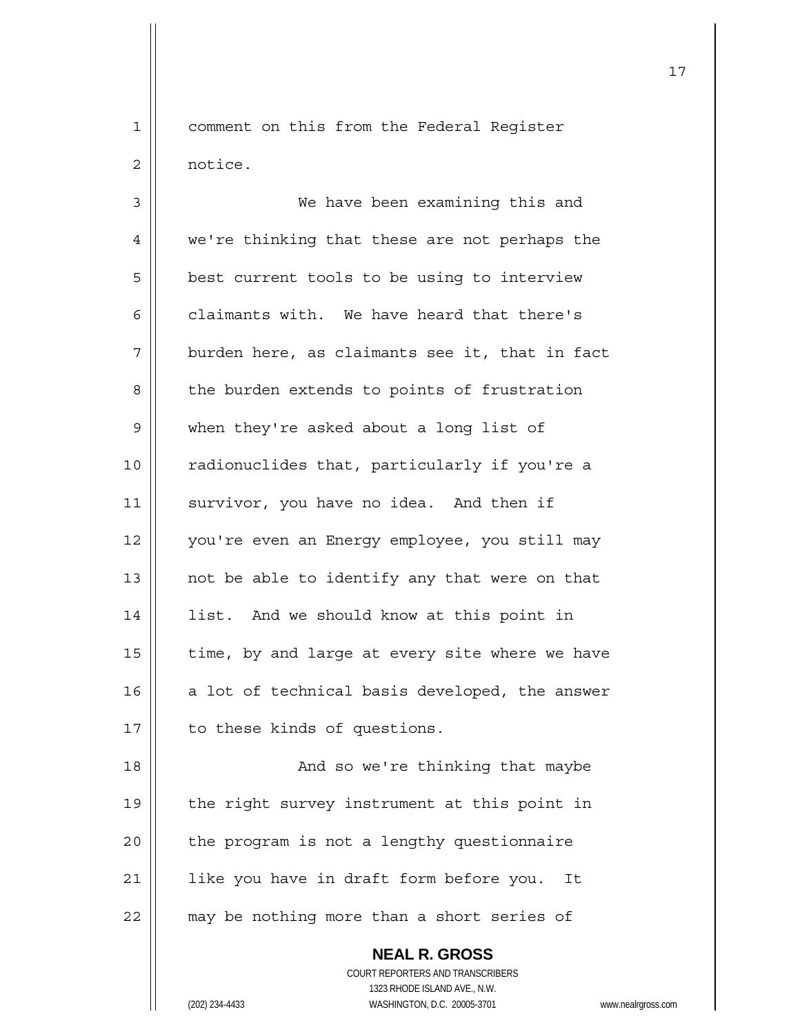1 | comment on this from the Federal Register 2 | notice.

3 We have been examining this and 4 | we're thinking that these are not perhaps the 5 | best current tools to be using to interview 6  $\parallel$  claimants with. We have heard that there's  $7$  | burden here, as claimants see it, that in fact 8 | the burden extends to points of frustration 9 | when they're asked about a long list of 10 || radionuclides that, particularly if you're a 11 | survivor, you have no idea. And then if 12 || you're even an Energy employee, you still may 13  $\parallel$  not be able to identify any that were on that 14 | list. And we should know at this point in 15  $\parallel$  time, by and large at every site where we have  $16$  a lot of technical basis developed, the answer 17 | to these kinds of questions.

18 And so we're thinking that maybe 19 || the right survey instrument at this point in  $20$  | the program is not a lengthy questionnaire 21 || like you have in draft form before you. It  $22$   $\parallel$  may be nothing more than a short series of

> **NEAL R. GROSS** COURT REPORTERS AND TRANSCRIBERS 1323 RHODE ISLAND AVE., N.W. (202) 234-4433 WASHINGTON, D.C. 20005-3701 www.nealrgross.com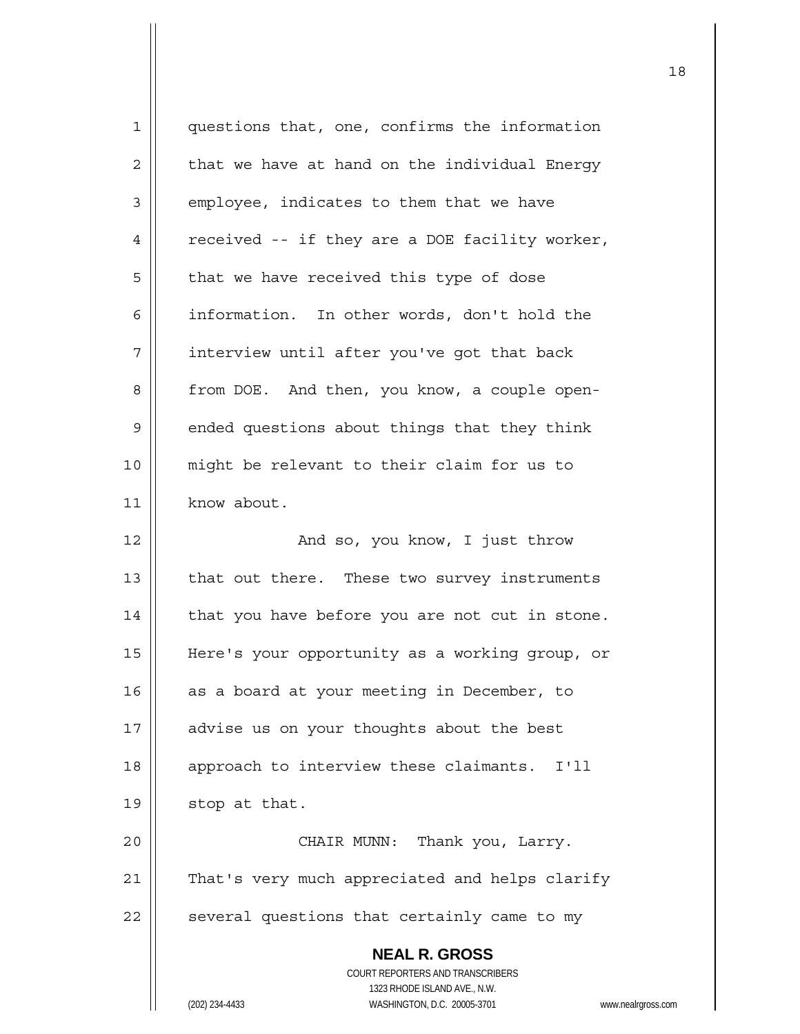| 1  | questions that, one, confirms the information                       |
|----|---------------------------------------------------------------------|
| 2  | that we have at hand on the individual Energy                       |
| 3  | employee, indicates to them that we have                            |
| 4  | received -- if they are a DOE facility worker,                      |
| 5  | that we have received this type of dose                             |
| 6  | information. In other words, don't hold the                         |
| 7  | interview until after you've got that back                          |
| 8  | from DOE. And then, you know, a couple open-                        |
| 9  | ended questions about things that they think                        |
| 10 | might be relevant to their claim for us to                          |
| 11 | know about.                                                         |
| 12 | And so, you know, I just throw                                      |
| 13 | that out there. These two survey instruments                        |
| 14 | that you have before you are not cut in stone.                      |
| 15 | Here's your opportunity as a working group, or                      |
| 16 | as a board at your meeting in December, to                          |
| 17 | advise us on your thoughts about the best                           |
| 18 | approach to interview these claimants.<br>I'11                      |
| 19 | stop at that.                                                       |
| 20 | CHAIR MUNN: Thank you, Larry.                                       |
| 21 | That's very much appreciated and helps clarify                      |
| 22 | several questions that certainly came to my                         |
|    | <b>NEAL R. GROSS</b>                                                |
|    | COURT REPORTERS AND TRANSCRIBERS                                    |
|    | 1323 RHODE ISLAND AVE., N.W.                                        |
|    | (202) 234-4433<br>WASHINGTON, D.C. 20005-3701<br>www.nealrgross.com |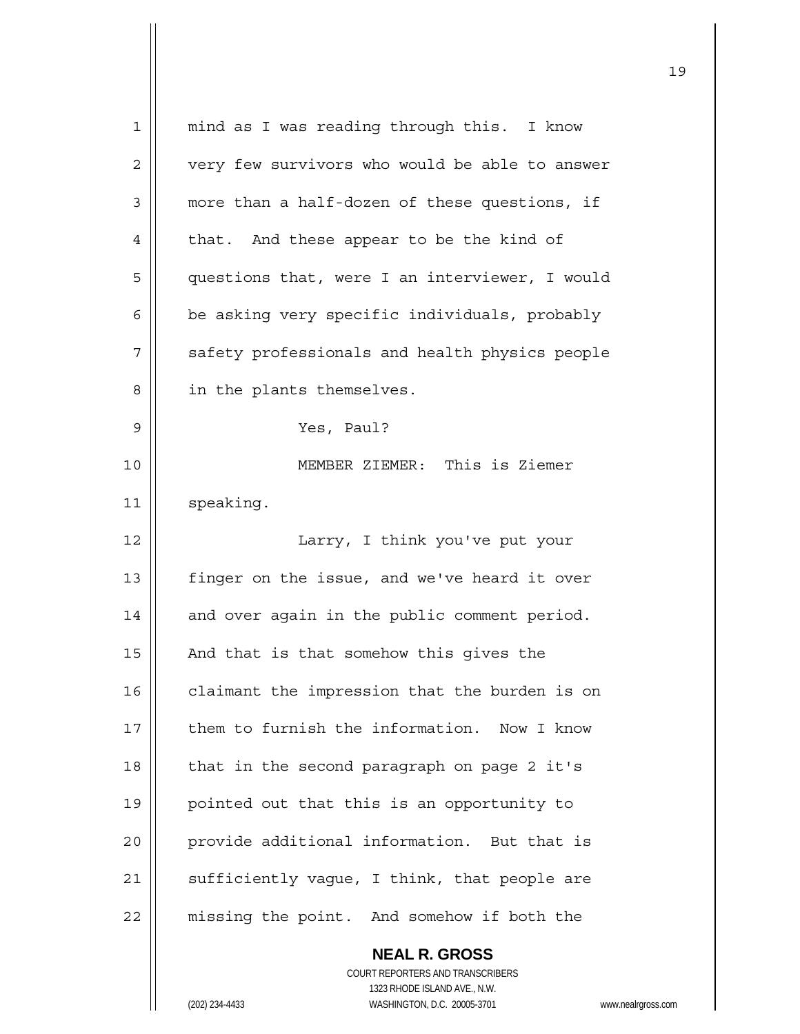| 1  | mind as I was reading through this. I know     |
|----|------------------------------------------------|
| 2  | very few survivors who would be able to answer |
| 3  | more than a half-dozen of these questions, if  |
| 4  | that. And these appear to be the kind of       |
| 5  | questions that, were I an interviewer, I would |
| 6  | be asking very specific individuals, probably  |
| 7  | safety professionals and health physics people |
| 8  | in the plants themselves.                      |
| 9  | Yes, Paul?                                     |
| 10 | MEMBER ZIEMER: This is Ziemer                  |
| 11 | speaking.                                      |
| 12 | Larry, I think you've put your                 |
| 13 | finger on the issue, and we've heard it over   |
| 14 | and over again in the public comment period.   |
| 15 | And that is that somehow this gives the        |
| 16 | claimant the impression that the burden is on  |
| 17 | them to furnish the information. Now I know    |
| 18 | that in the second paragraph on page 2 it's    |
| 19 | pointed out that this is an opportunity to     |
| 20 | provide additional information. But that is    |
| 21 | sufficiently vague, I think, that people are   |
| 22 | missing the point. And somehow if both the     |
|    | <b>NEAL R. GROSS</b>                           |

 COURT REPORTERS AND TRANSCRIBERS 1323 RHODE ISLAND AVE., N.W. (202) 234-4433 WASHINGTON, D.C. 20005-3701 www.nealrgross.com

 $\prod$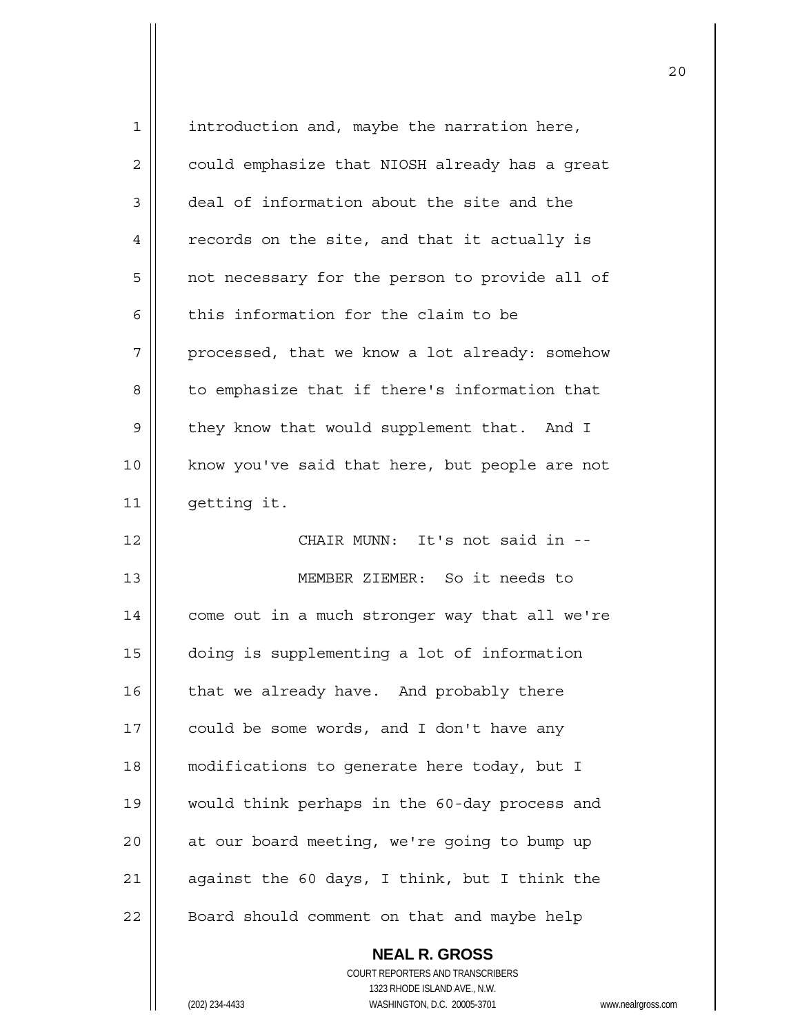| 1  | introduction and, maybe the narration here,    |
|----|------------------------------------------------|
| 2  | could emphasize that NIOSH already has a great |
| 3  | deal of information about the site and the     |
| 4  | records on the site, and that it actually is   |
| 5  | not necessary for the person to provide all of |
| 6  | this information for the claim to be           |
| 7  | processed, that we know a lot already: somehow |
| 8  | to emphasize that if there's information that  |
| 9  | they know that would supplement that. And I    |
| 10 | know you've said that here, but people are not |
| 11 | getting it.                                    |
| 12 | CHAIR MUNN: It's not said in --                |
| 13 | MEMBER ZIEMER: So it needs to                  |
| 14 | come out in a much stronger way that all we're |
| 15 | doing is supplementing a lot of information    |
| 16 | that we already have. And probably there       |
| 17 | could be some words, and I don't have any      |
| 18 | modifications to generate here today, but I    |
| 19 | would think perhaps in the 60-day process and  |
| 20 | at our board meeting, we're going to bump up   |
| 21 |                                                |
|    | against the 60 days, I think, but I think the  |
| 22 | Board should comment on that and maybe help    |

 **NEAL R. GROSS** COURT REPORTERS AND TRANSCRIBERS 1323 RHODE ISLAND AVE., N.W. (202) 234-4433 WASHINGTON, D.C. 20005-3701 www.nealrgross.com

 $\mathsf{II}$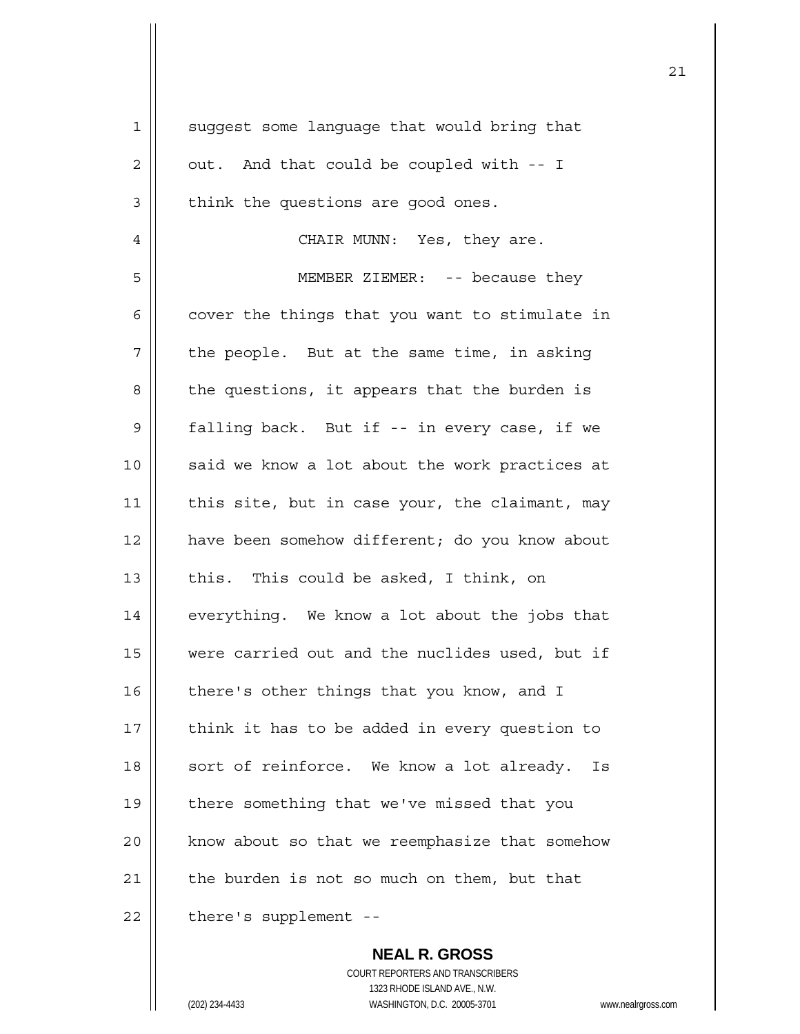| $\mathbf 1$    | suggest some language that would bring that     |
|----------------|-------------------------------------------------|
| $\mathbf 2$    | out. And that could be coupled with -- I        |
| $\mathfrak{Z}$ | think the questions are good ones.              |
| 4              | CHAIR MUNN: Yes, they are.                      |
| 5              | MEMBER ZIEMER: -- because they                  |
| 6              | cover the things that you want to stimulate in  |
| 7              | the people. But at the same time, in asking     |
| 8              | the questions, it appears that the burden is    |
| $\mathsf 9$    | falling back. But if -- in every case, if we    |
| 10             | said we know a lot about the work practices at  |
| 11             | this site, but in case your, the claimant, may  |
| 12             | have been somehow different; do you know about  |
| 13             | this. This could be asked, I think, on          |
| 14             | everything. We know a lot about the jobs that   |
| 15             | were carried out and the nuclides used, but if  |
| 16             | there's other things that you know, and I       |
| 17             | think it has to be added in every question to   |
| 18             | sort of reinforce. We know a lot already.<br>Is |
| 19             | there something that we've missed that you      |
| 20             | know about so that we reemphasize that somehow  |
| 21             | the burden is not so much on them, but that     |
| 22             | there's supplement --                           |

 **NEAL R. GROSS** COURT REPORTERS AND TRANSCRIBERS 1323 RHODE ISLAND AVE., N.W. (202) 234-4433 WASHINGTON, D.C. 20005-3701 www.nealrgross.com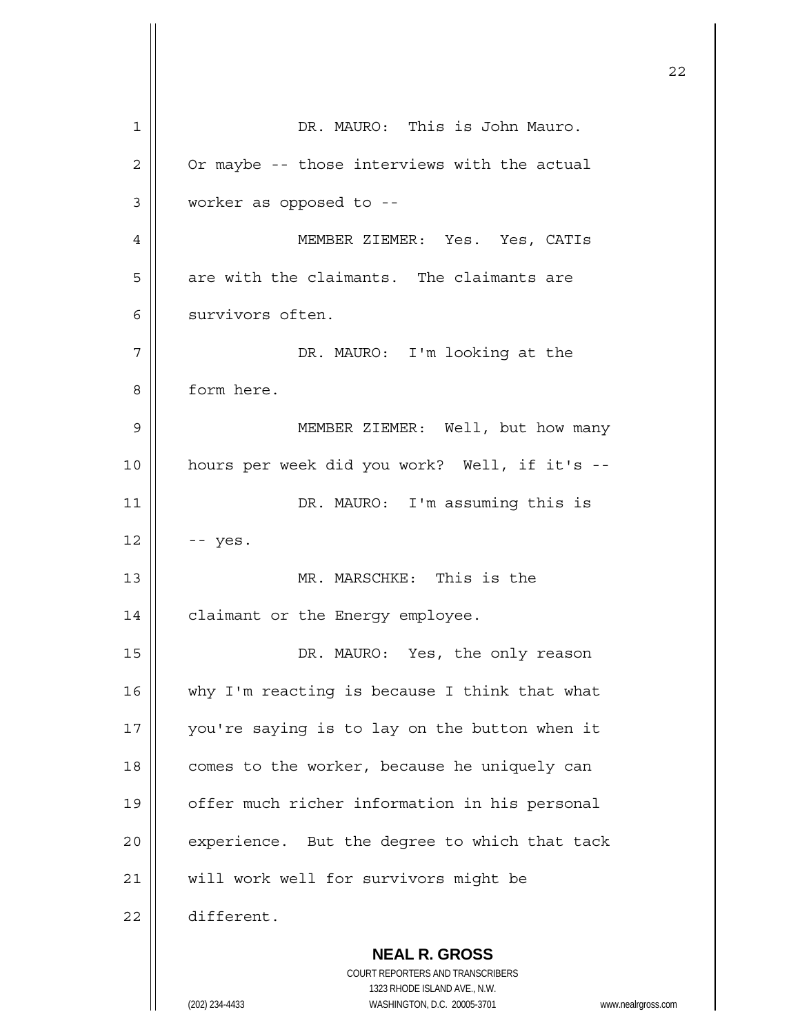**NEAL R. GROSS** COURT REPORTERS AND TRANSCRIBERS 1 | DR. MAURO: This is John Mauro.  $2 \parallel$  Or maybe -- those interviews with the actual 3 worker as opposed to -- 4 MEMBER ZIEMER: Yes. Yes, CATIs  $5$  | are with the claimants. The claimants are 6 | survivors often. 7 || DR. MAURO: I'm looking at the 8 | form here. 9 MEMBER ZIEMER: Well, but how many 10 hours per week did you work? Well, if it's -- 11 || DR. MAURO: I'm assuming this is  $12 \parallel - - \text{yes}.$ 13 MR. MARSCHKE: This is the 14 | claimant or the Energy employee. 15 DR. MAURO: Yes, the only reason 16  $\parallel$  why I'm reacting is because I think that what 17 || you're saying is to lay on the button when it  $18$  | comes to the worker, because he uniquely can 19 | offer much richer information in his personal  $20$  | experience. But the degree to which that tack 21 | will work well for survivors might be 22 different.

<u>22</u>

1323 RHODE ISLAND AVE., N.W.

(202) 234-4433 WASHINGTON, D.C. 20005-3701 www.nealrgross.com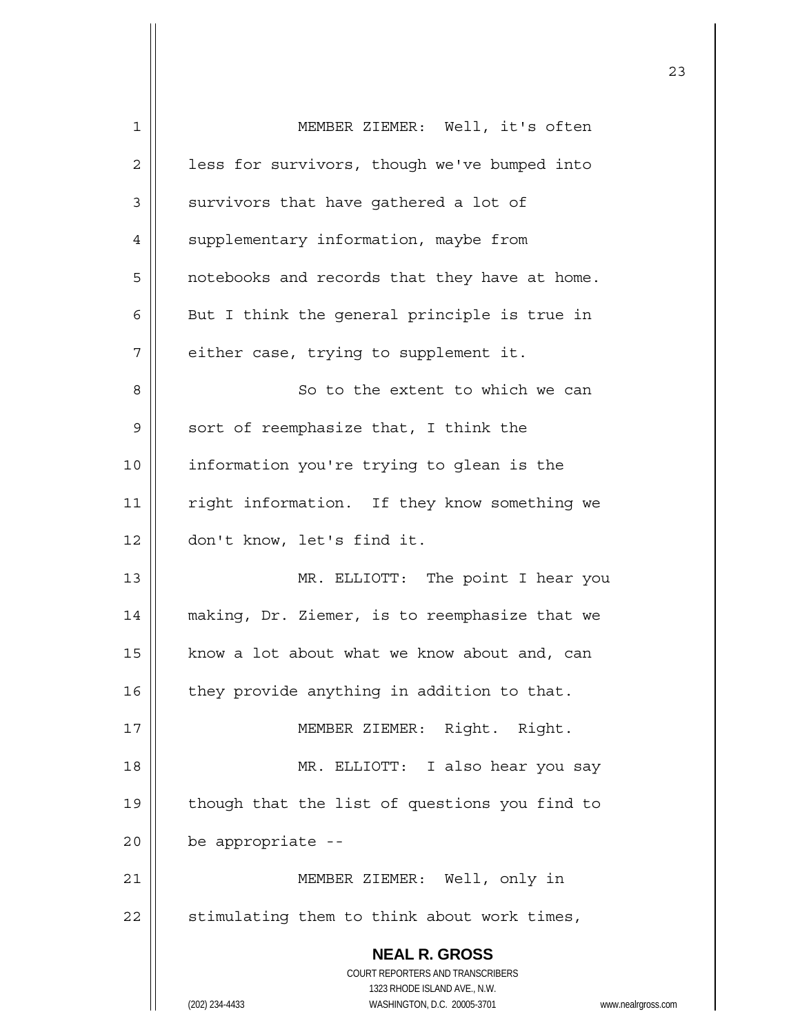| 1  | MEMBER ZIEMER: Well, it's often                                     |
|----|---------------------------------------------------------------------|
| 2  | less for survivors, though we've bumped into                        |
| 3  | survivors that have gathered a lot of                               |
| 4  | supplementary information, maybe from                               |
| 5  | notebooks and records that they have at home.                       |
| 6  | But I think the general principle is true in                        |
| 7  | either case, trying to supplement it.                               |
| 8  | So to the extent to which we can                                    |
| 9  | sort of reemphasize that, I think the                               |
| 10 | information you're trying to glean is the                           |
| 11 | right information. If they know something we                        |
| 12 | don't know, let's find it.                                          |
| 13 | MR. ELLIOTT: The point I hear you                                   |
| 14 | making, Dr. Ziemer, is to reemphasize that we                       |
| 15 | know a lot about what we know about and, can                        |
| 16 | they provide anything in addition to that.                          |
| 17 | MEMBER ZIEMER: Right. Right.                                        |
| 18 | MR. ELLIOTT: I also hear you say                                    |
| 19 | though that the list of questions you find to                       |
| 20 | be appropriate --                                                   |
| 21 | MEMBER ZIEMER: Well, only in                                        |
| 22 | stimulating them to think about work times,                         |
|    | <b>NEAL R. GROSS</b>                                                |
|    | COURT REPORTERS AND TRANSCRIBERS                                    |
|    | 1323 RHODE ISLAND AVE., N.W.                                        |
|    | (202) 234-4433<br>WASHINGTON, D.C. 20005-3701<br>www.nealrgross.com |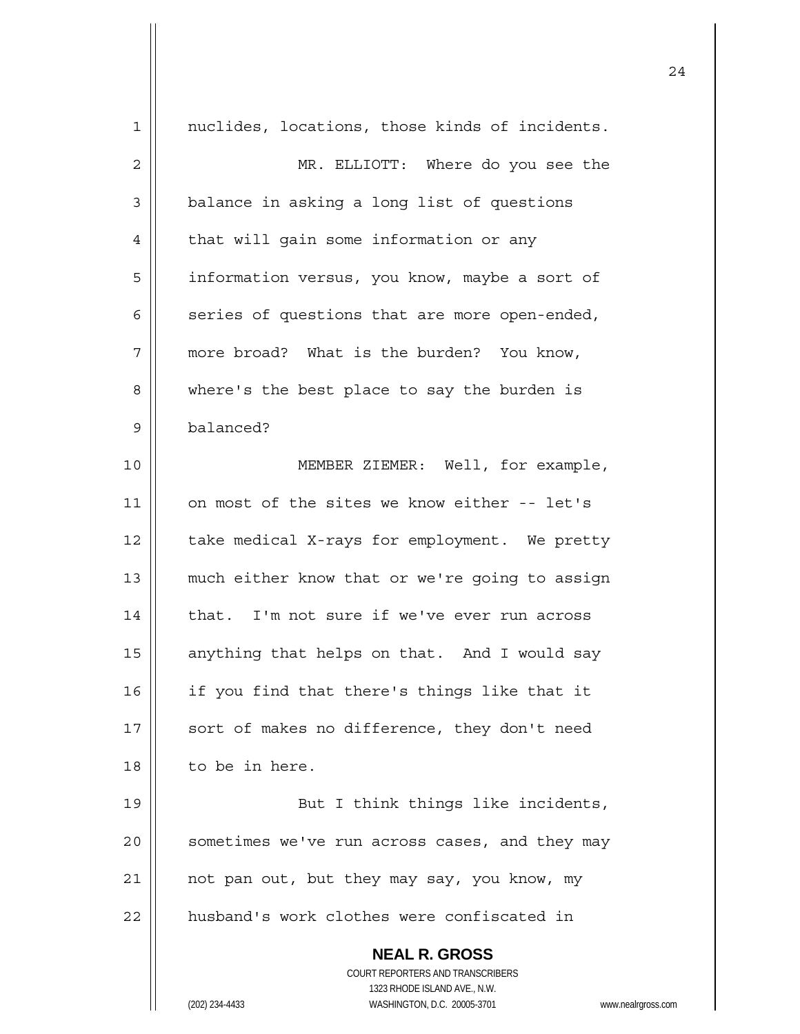| $\mathbf 1$  | nuclides, locations, those kinds of incidents.                                                      |
|--------------|-----------------------------------------------------------------------------------------------------|
| $\mathbf{2}$ | MR. ELLIOTT: Where do you see the                                                                   |
| 3            | balance in asking a long list of questions                                                          |
| 4            | that will gain some information or any                                                              |
| 5            | information versus, you know, maybe a sort of                                                       |
| 6            | series of questions that are more open-ended,                                                       |
| 7            | more broad? What is the burden? You know,                                                           |
| 8            | where's the best place to say the burden is                                                         |
| 9            | balanced?                                                                                           |
| 10           | MEMBER ZIEMER: Well, for example,                                                                   |
| 11           | on most of the sites we know either -- let's                                                        |
| 12           | take medical X-rays for employment. We pretty                                                       |
| 13           | much either know that or we're going to assign                                                      |
| 14           | that. I'm not sure if we've ever run across                                                         |
| 15           | anything that helps on that. And I would say                                                        |
| 16           | if you find that there's things like that it                                                        |
| 17           | sort of makes no difference, they don't need                                                        |
| 18           | to be in here.                                                                                      |
| 19           | But I think things like incidents,                                                                  |
| 20           | sometimes we've run across cases, and they may                                                      |
| 21           | not pan out, but they may say, you know, my                                                         |
| 22           | husband's work clothes were confiscated in                                                          |
|              |                                                                                                     |
|              | <b>NEAL R. GROSS</b>                                                                                |
|              | COURT REPORTERS AND TRANSCRIBERS                                                                    |
|              | 1323 RHODE ISLAND AVE., N.W.<br>(202) 234-4433<br>WASHINGTON, D.C. 20005-3701<br>www.nealrgross.com |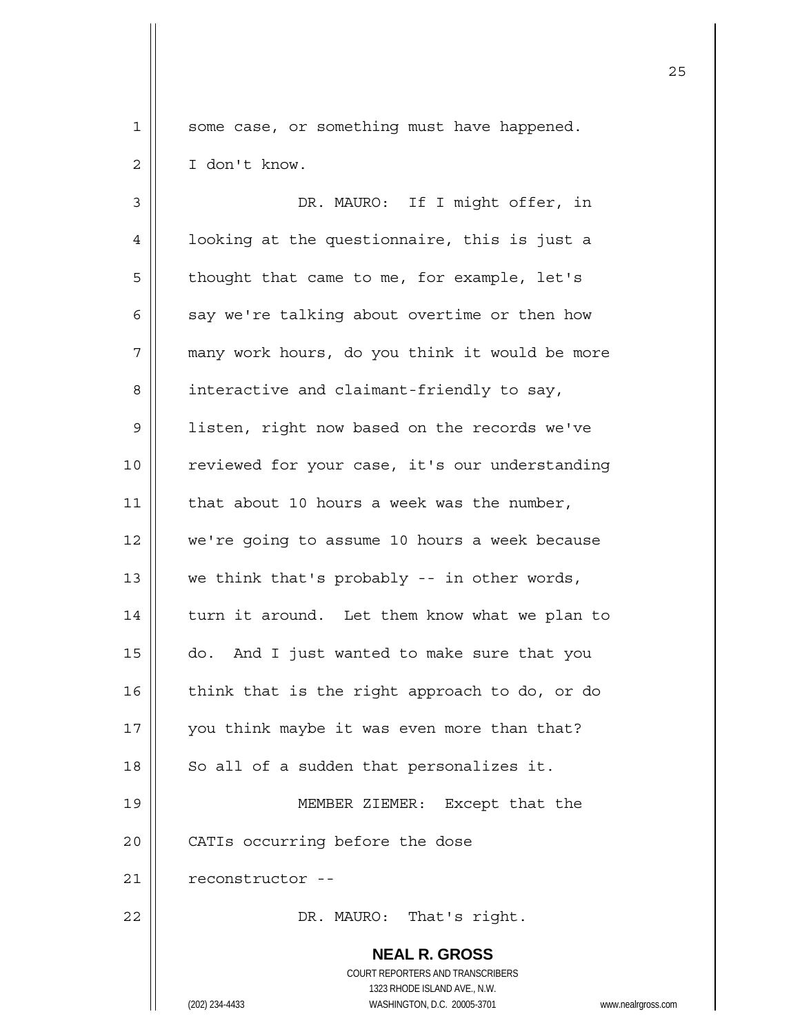1 | some case, or something must have happened.

2 | I don't know. 3 || DR. MAURO: If I might offer, in 4 | looking at the questionnaire, this is just a  $5 \parallel$  thought that came to me, for example, let's 6  $\parallel$  say we're talking about overtime or then how 7 || many work hours, do you think it would be more  $8 \parallel$  interactive and claimant-friendly to say, 9 | listen, right now based on the records we've 10 | reviewed for your case, it's our understanding 11  $\parallel$  that about 10 hours a week was the number, 12 | we're going to assume 10 hours a week because 13  $\parallel$  we think that's probably -- in other words, 14 | turn it around. Let them know what we plan to  $15$   $\parallel$  do. And I just wanted to make sure that you 16  $\parallel$  think that is the right approach to do, or do 17 || you think maybe it was even more than that?  $18$  | So all of a sudden that personalizes it. 19 MEMBER ZIEMER: Except that the 20 | CATIs occurring before the dose 21 | reconstructor --

22 | DR. MAURO: That's right.

 **NEAL R. GROSS** COURT REPORTERS AND TRANSCRIBERS 1323 RHODE ISLAND AVE., N.W. (202) 234-4433 WASHINGTON, D.C. 20005-3701 www.nealrgross.com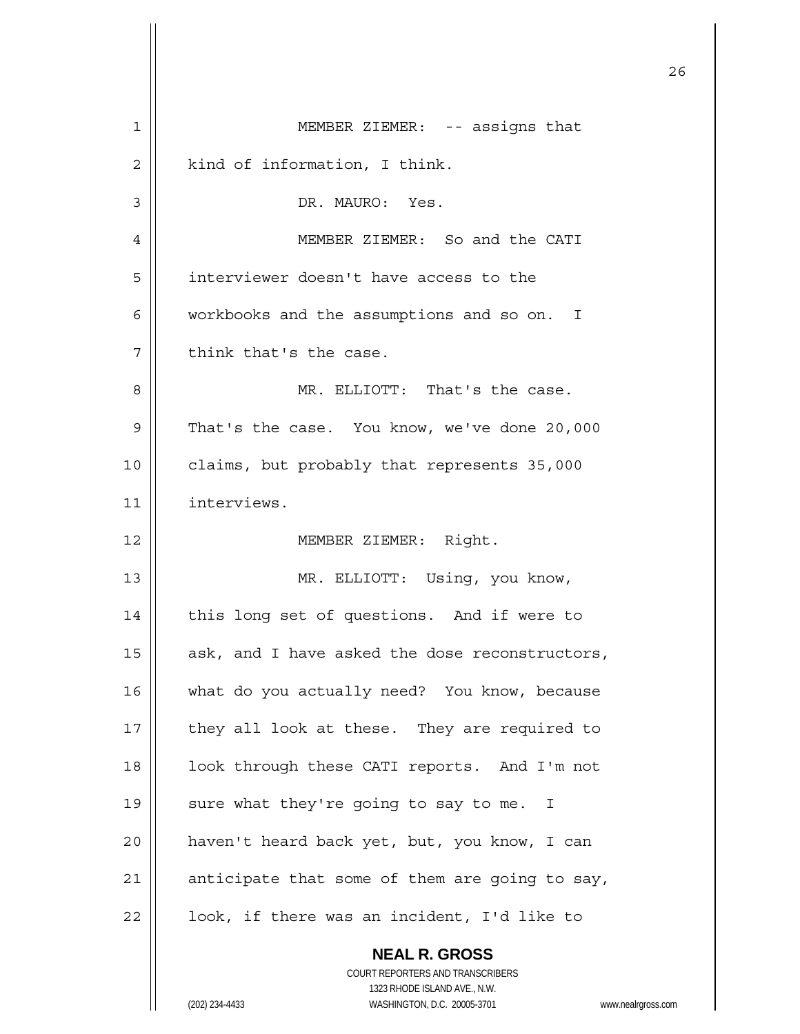|    |                                                                     | 26 |
|----|---------------------------------------------------------------------|----|
| 1  | MEMBER ZIEMER: -- assigns that                                      |    |
| 2  | kind of information, I think.                                       |    |
| 3  | DR. MAURO: Yes.                                                     |    |
| 4  | MEMBER ZIEMER: So and the CATI                                      |    |
| 5  | interviewer doesn't have access to the                              |    |
| 6  | workbooks and the assumptions and so on. I                          |    |
| 7  | think that's the case.                                              |    |
| 8  | MR. ELLIOTT: That's the case.                                       |    |
| 9  | That's the case. You know, we've done 20,000                        |    |
| 10 | claims, but probably that represents 35,000                         |    |
| 11 | interviews.                                                         |    |
| 12 | MEMBER ZIEMER: Right.                                               |    |
| 13 | MR. ELLIOTT: Using, you know,                                       |    |
| 14 | this long set of questions. And if were to                          |    |
| 15 | ask, and I have asked the dose reconstructors,                      |    |
| 16 | what do you actually need? You know, because                        |    |
| 17 | they all look at these. They are required to                        |    |
| 18 | look through these CATI reports. And I'm not                        |    |
| 19 | sure what they're going to say to me. I                             |    |
| 20 | haven't heard back yet, but, you know, I can                        |    |
| 21 | anticipate that some of them are going to say,                      |    |
| 22 | look, if there was an incident, I'd like to                         |    |
|    | <b>NEAL R. GROSS</b><br>COURT REPORTERS AND TRANSCRIBERS            |    |
|    | 1323 RHODE ISLAND AVE., N.W.                                        |    |
|    | (202) 234-4433<br>WASHINGTON, D.C. 20005-3701<br>www.nealrgross.com |    |

 $\mathsf{I}$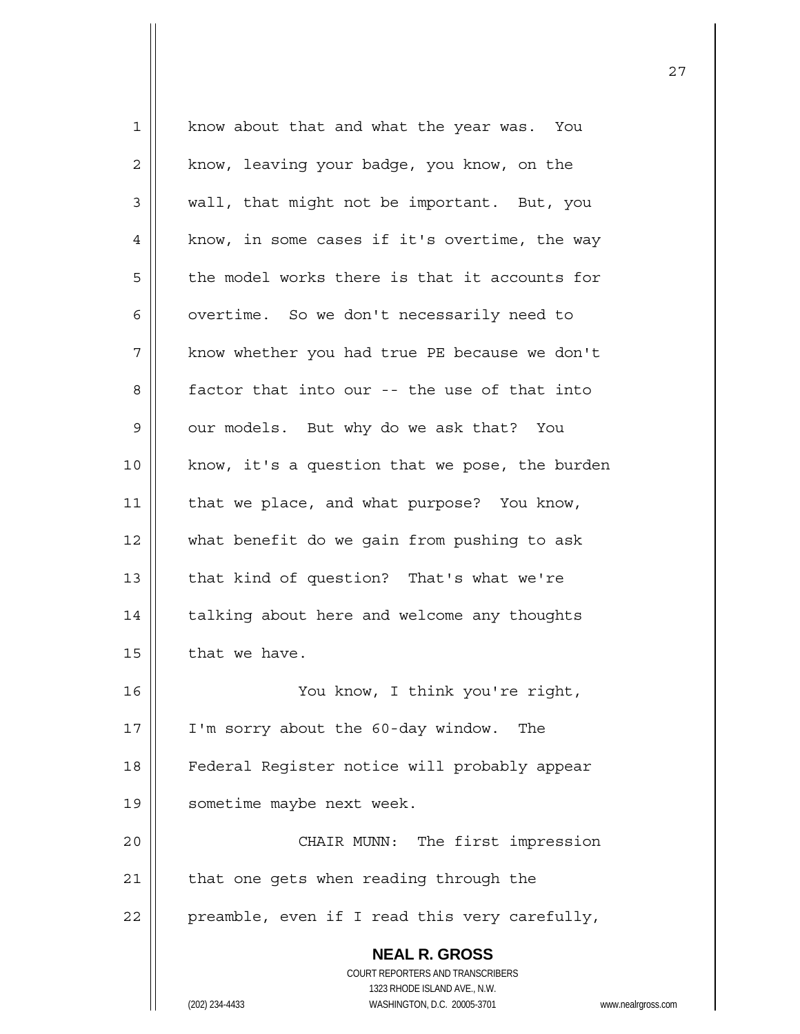| $\mathbf{1}$ | know about that and what the year was. You                          |
|--------------|---------------------------------------------------------------------|
| 2            | know, leaving your badge, you know, on the                          |
| 3            | wall, that might not be important. But, you                         |
| 4            | know, in some cases if it's overtime, the way                       |
| 5            | the model works there is that it accounts for                       |
| 6            | overtime. So we don't necessarily need to                           |
| 7            | know whether you had true PE because we don't                       |
| 8            | factor that into our -- the use of that into                        |
| $\mathsf 9$  | our models. But why do we ask that? You                             |
| 10           | know, it's a question that we pose, the burden                      |
| 11           | that we place, and what purpose? You know,                          |
| 12           | what benefit do we gain from pushing to ask                         |
| 13           | that kind of question? That's what we're                            |
| 14           | talking about here and welcome any thoughts                         |
| 15           | that we have.                                                       |
| 16           | You know, I think you're right,                                     |
| 17           | I'm sorry about the 60-day window.<br>The                           |
| 18           | Federal Register notice will probably appear                        |
| 19           | sometime maybe next week.                                           |
| 20           | CHAIR MUNN: The first impression                                    |
| 21           | that one gets when reading through the                              |
| 22           | preamble, even if I read this very carefully,                       |
|              | <b>NEAL R. GROSS</b>                                                |
|              | COURT REPORTERS AND TRANSCRIBERS                                    |
|              | 1323 RHODE ISLAND AVE., N.W.                                        |
|              | (202) 234-4433<br>WASHINGTON, D.C. 20005-3701<br>www.nealrgross.com |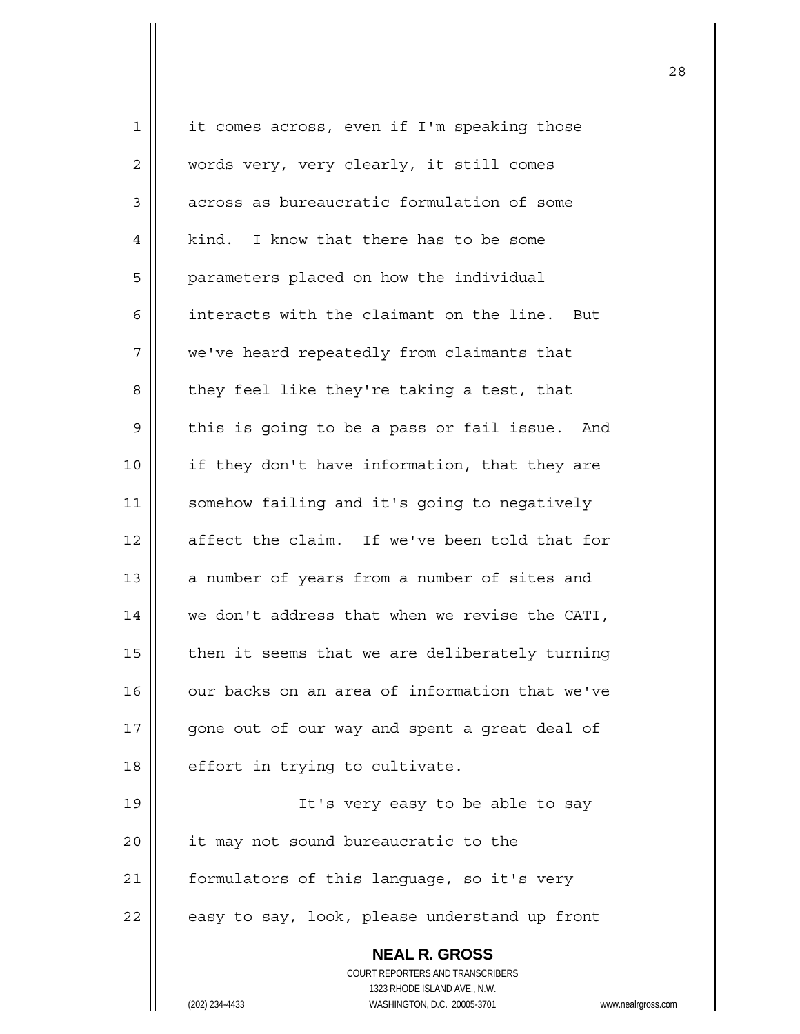| 1  | it comes across, even if I'm speaking those                         |
|----|---------------------------------------------------------------------|
| 2  | words very, very clearly, it still comes                            |
| 3  | across as bureaucratic formulation of some                          |
| 4  | I know that there has to be some<br>kind.                           |
| 5  | parameters placed on how the individual                             |
| 6  | interacts with the claimant on the line. But                        |
| 7  | we've heard repeatedly from claimants that                          |
| 8  | they feel like they're taking a test, that                          |
| 9  | this is going to be a pass or fail issue. And                       |
| 10 | if they don't have information, that they are                       |
| 11 | somehow failing and it's going to negatively                        |
| 12 | affect the claim. If we've been told that for                       |
| 13 | a number of years from a number of sites and                        |
| 14 | we don't address that when we revise the CATI,                      |
| 15 | then it seems that we are deliberately turning                      |
| 16 | our backs on an area of information that we've                      |
| 17 | gone out of our way and spent a great deal of                       |
| 18 | effort in trying to cultivate.                                      |
| 19 | It's very easy to be able to say                                    |
| 20 | it may not sound bureaucratic to the                                |
| 21 | formulators of this language, so it's very                          |
| 22 | easy to say, look, please understand up front                       |
|    | <b>NEAL R. GROSS</b>                                                |
|    | COURT REPORTERS AND TRANSCRIBERS                                    |
|    | 1323 RHODE ISLAND AVE., N.W.                                        |
|    | (202) 234-4433<br>WASHINGTON, D.C. 20005-3701<br>www.nealrgross.com |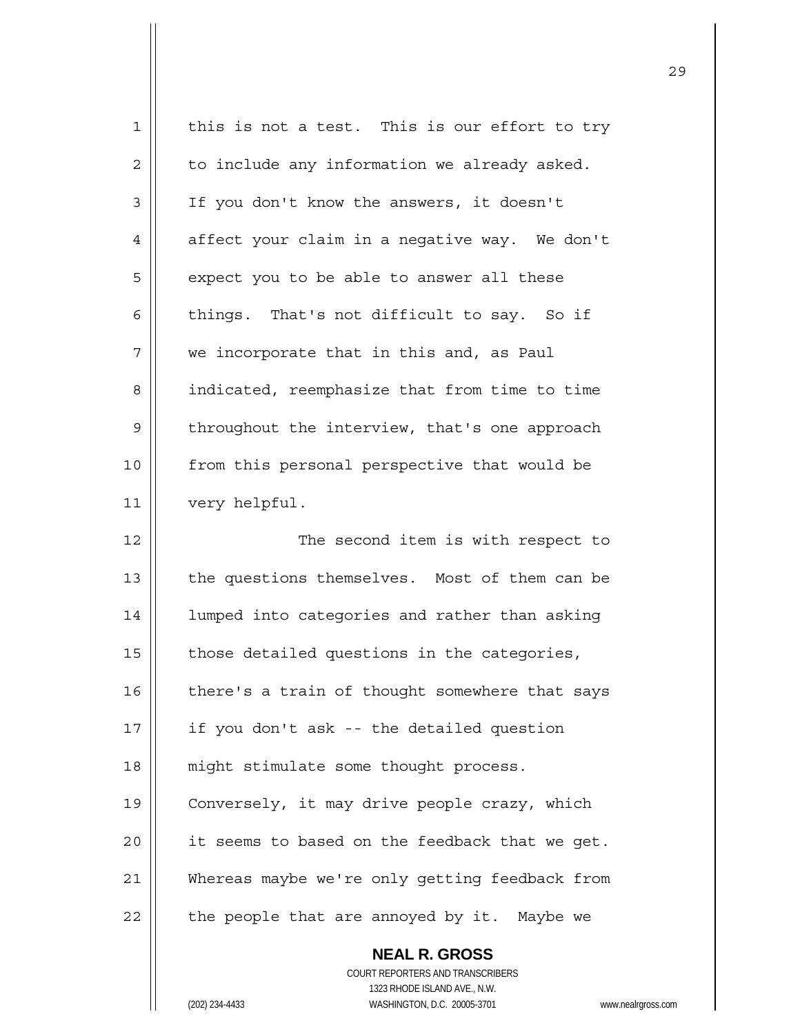| 1  | this is not a test. This is our effort to try          |
|----|--------------------------------------------------------|
| 2  | to include any information we already asked.           |
| 3  | If you don't know the answers, it doesn't              |
| 4  | affect your claim in a negative way. We don't          |
| 5  | expect you to be able to answer all these              |
| 6  | things. That's not difficult to say. So if             |
| 7  | we incorporate that in this and, as Paul               |
| 8  | indicated, reemphasize that from time to time          |
| 9  | throughout the interview, that's one approach          |
| 10 | from this personal perspective that would be           |
| 11 | very helpful.                                          |
| 12 | The second item is with respect to                     |
| 13 | the questions themselves. Most of them can be          |
| 14 | lumped into categories and rather than asking          |
| 15 | those detailed questions in the categories,            |
| 16 | there's a train of thought somewhere that says         |
| 17 | if you don't ask -- the detailed question              |
| 18 | might stimulate some thought process.                  |
| 19 | Conversely, it may drive people crazy, which           |
| 20 | it seems to based on the feedback that we get.         |
| 21 | Whereas maybe we're only getting feedback from         |
| 22 | the people that are annoyed by it. Maybe we            |
|    | <b>NEAL R. GROSS</b>                                   |
|    | COURT REPORTERS AND TRANSCRIBERS                       |
|    | 1323 RHODE ISLAND AVE., N.W.                           |
|    | (202) 234-4433<br>WASHINGTON, D.C. 20005-3701<br>www.n |

<u>29</u>

(202) 234-4433 WASHINGTON, D.C. 20005-3701 www.nealrgross.com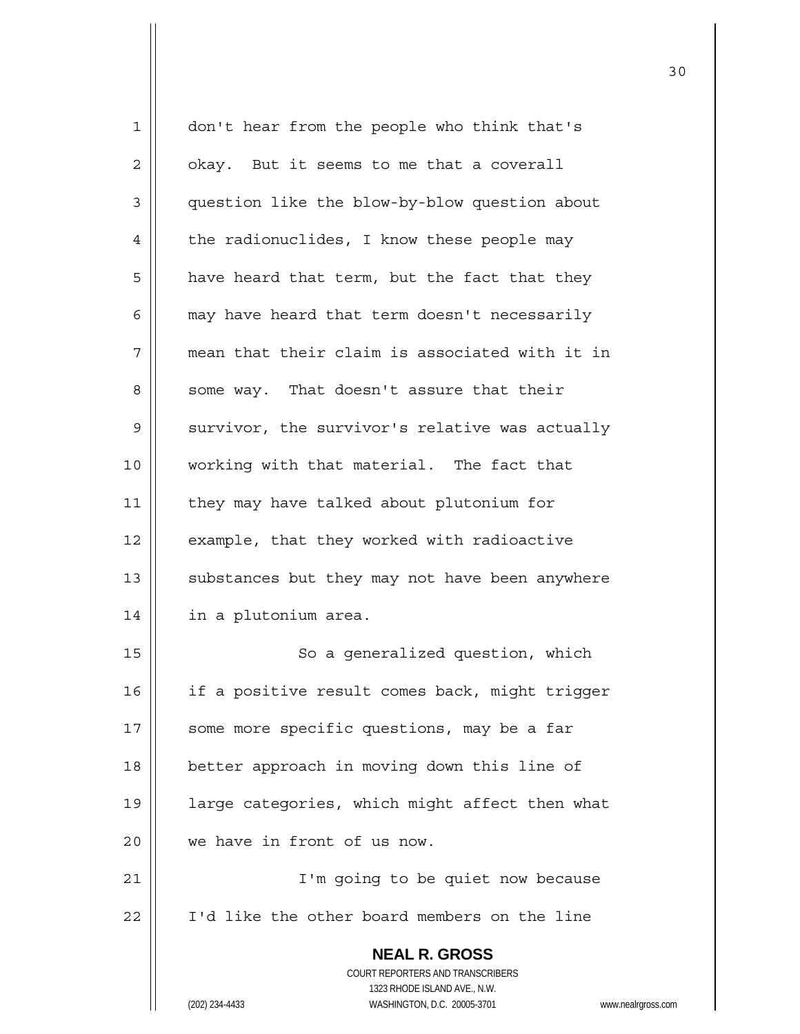| 1              | don't hear from the people who think that's                         |
|----------------|---------------------------------------------------------------------|
| 2              | okay. But it seems to me that a coverall                            |
| $\mathsf 3$    | question like the blow-by-blow question about                       |
| $\overline{4}$ | the radionuclides, I know these people may                          |
| 5              | have heard that term, but the fact that they                        |
| 6              | may have heard that term doesn't necessarily                        |
| 7              | mean that their claim is associated with it in                      |
| 8              | some way. That doesn't assure that their                            |
| 9              | survivor, the survivor's relative was actually                      |
| 10             | working with that material. The fact that                           |
| 11             | they may have talked about plutonium for                            |
| 12             | example, that they worked with radioactive                          |
| 13             | substances but they may not have been anywhere                      |
| 14             | in a plutonium area.                                                |
| 15             | So a generalized question, which                                    |
| 16             | if a positive result comes back, might trigger                      |
| 17             | some more specific questions, may be a far                          |
| 18             | better approach in moving down this line of                         |
| 19             | large categories, which might affect then what                      |
| 20             | we have in front of us now.                                         |
| 21             | I'm going to be quiet now because                                   |
| 22             | I'd like the other board members on the line                        |
|                | <b>NEAL R. GROSS</b>                                                |
|                | COURT REPORTERS AND TRANSCRIBERS                                    |
|                | 1323 RHODE ISLAND AVE., N.W.                                        |
|                | (202) 234-4433<br>WASHINGTON, D.C. 20005-3701<br>www.nealrgross.com |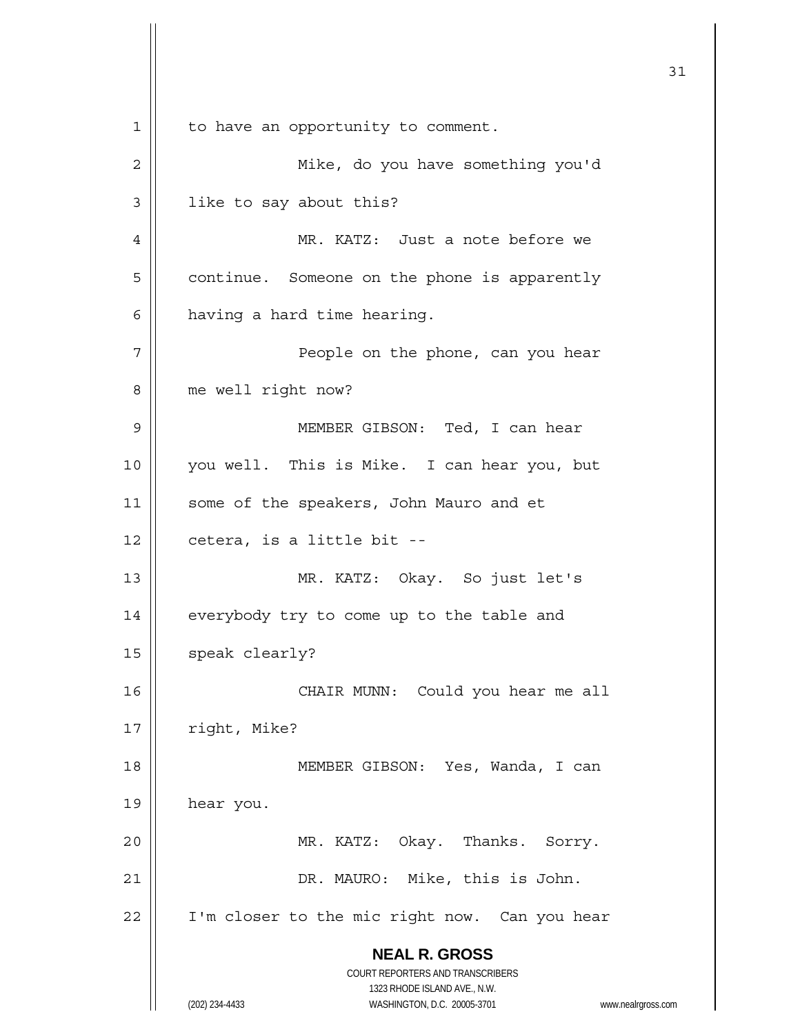**NEAL R. GROSS** COURT REPORTERS AND TRANSCRIBERS 1323 RHODE ISLAND AVE., N.W. (202) 234-4433 WASHINGTON, D.C. 20005-3701 www.nealrgross.com 31 1 | to have an opportunity to comment. 2 | Mike, do you have something you'd 3 | like to say about this? 4 MR. KATZ: Just a note before we 5 | continue. Someone on the phone is apparently  $6 \parallel$  having a hard time hearing. 7 People on the phone, can you hear 8 | me well right now? 9 MEMBER GIBSON: Ted, I can hear 10 you well. This is Mike. I can hear you, but 11 || some of the speakers, John Mauro and et  $12$  | cetera, is a little bit --13 MR. KATZ: Okay. So just let's 14 | everybody try to come up to the table and  $15$  speak clearly? 16 CHAIR MUNN: Could you hear me all 17 | right, Mike? 18 MEMBER GIBSON: Yes, Wanda, I can 19 hear you. 20 MR. KATZ: Okay. Thanks. Sorry. 21 DR. MAURO: Mike, this is John. 22 | I'm closer to the mic right now. Can you hear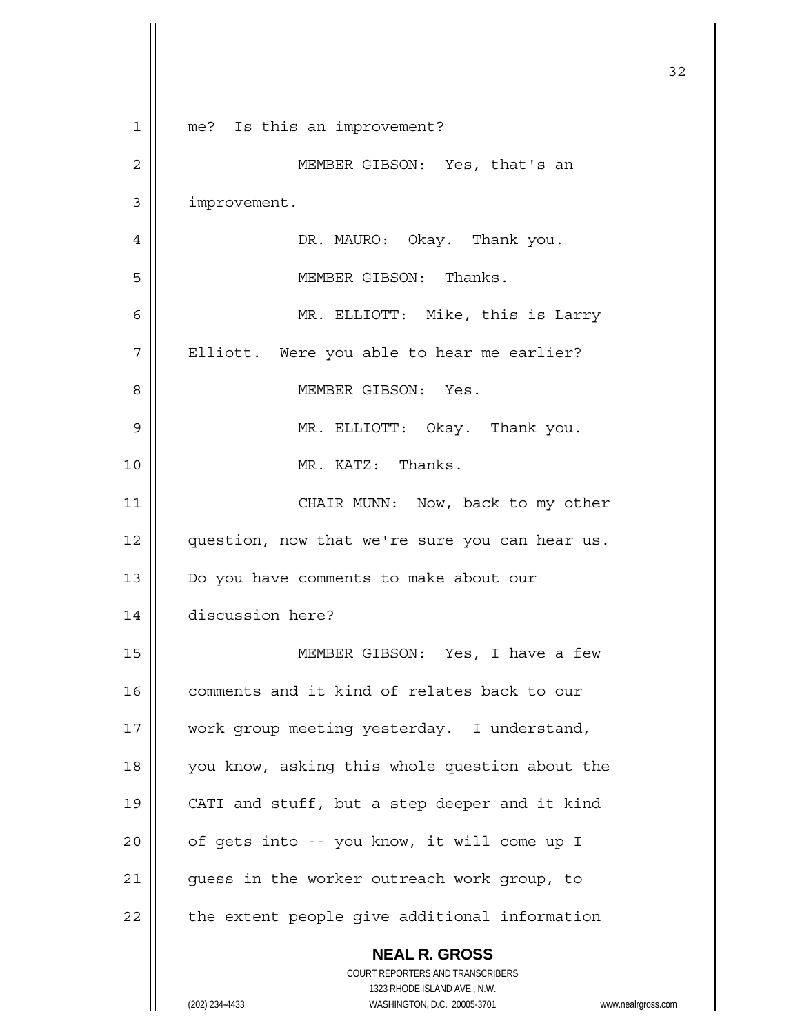|             |                                                                     | 32 |
|-------------|---------------------------------------------------------------------|----|
| $\mathbf 1$ | me? Is this an improvement?                                         |    |
| 2           | MEMBER GIBSON: Yes, that's an                                       |    |
| 3           | improvement.                                                        |    |
| 4           | DR. MAURO: Okay. Thank you.                                         |    |
| 5           | MEMBER GIBSON: Thanks.                                              |    |
| 6           | MR. ELLIOTT: Mike, this is Larry                                    |    |
| 7           | Elliott. Were you able to hear me earlier?                          |    |
| 8           | MEMBER GIBSON: Yes.                                                 |    |
| 9           | MR. ELLIOTT: Okay. Thank you.                                       |    |
| 10          | MR. KATZ: Thanks.                                                   |    |
| 11          | CHAIR MUNN: Now, back to my other                                   |    |
| 12          | question, now that we're sure you can hear us.                      |    |
| 13          | Do you have comments to make about our                              |    |
| 14          | discussion here?                                                    |    |
| 15          | MEMBER GIBSON: Yes, I have a few                                    |    |
| 16          | comments and it kind of relates back to our                         |    |
| 17          | work group meeting yesterday. I understand,                         |    |
| 18          | you know, asking this whole question about the                      |    |
| 19          | CATI and stuff, but a step deeper and it kind                       |    |
| 20          | of gets into -- you know, it will come up I                         |    |
| 21          | guess in the worker outreach work group, to                         |    |
| 22          | the extent people give additional information                       |    |
|             | <b>NEAL R. GROSS</b>                                                |    |
|             | COURT REPORTERS AND TRANSCRIBERS<br>1323 RHODE ISLAND AVE., N.W.    |    |
|             | (202) 234-4433<br>WASHINGTON, D.C. 20005-3701<br>www.nealrgross.com |    |

 $\mathsf{I}$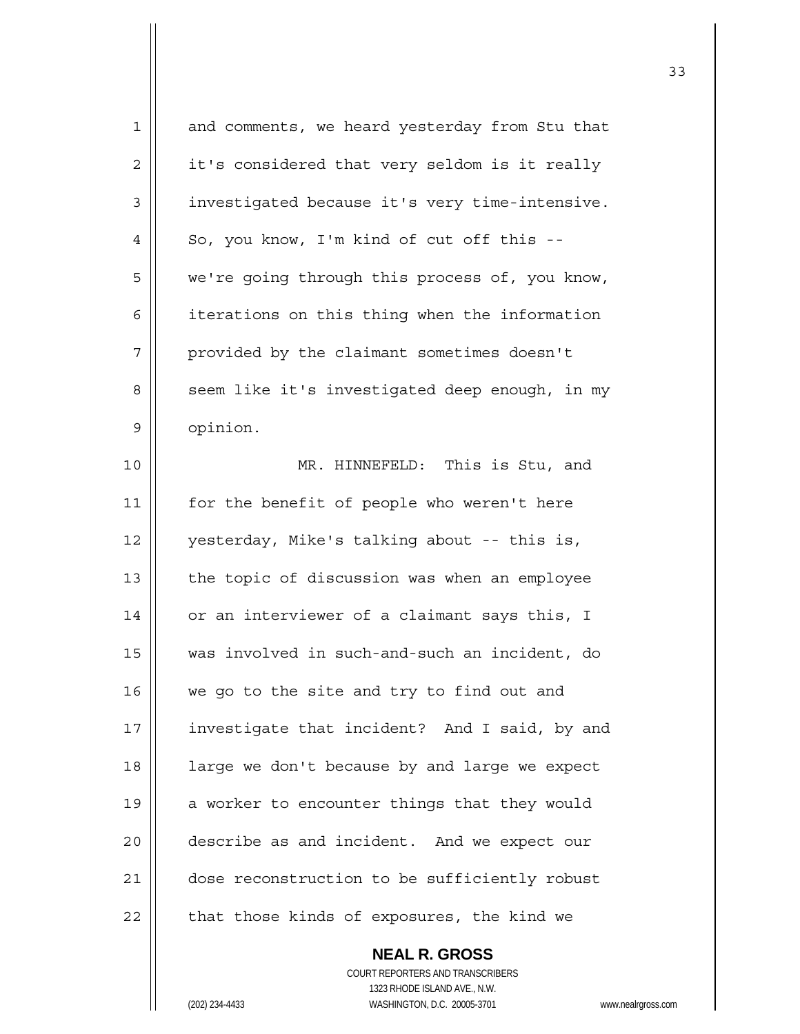| 1  | and comments, we heard yesterday from Stu that                                           |
|----|------------------------------------------------------------------------------------------|
| 2  | it's considered that very seldom is it really                                            |
| 3  | investigated because it's very time-intensive.                                           |
| 4  | So, you know, I'm kind of cut off this --                                                |
| 5  | we're going through this process of, you know,                                           |
| 6  | iterations on this thing when the information                                            |
| 7  | provided by the claimant sometimes doesn't                                               |
| 8  | seem like it's investigated deep enough, in my                                           |
| 9  | opinion.                                                                                 |
| 10 | MR. HINNEFELD: This is Stu, and                                                          |
| 11 | for the benefit of people who weren't here                                               |
| 12 | yesterday, Mike's talking about -- this is,                                              |
| 13 | the topic of discussion was when an employee                                             |
| 14 | or an interviewer of a claimant says this, I                                             |
| 15 | was involved in such-and-such an incident, do                                            |
| 16 | we go to the site and try to find out and                                                |
| 17 | investigate that incident? And I said, by and                                            |
| 18 | large we don't because by and large we expect                                            |
| 19 | a worker to encounter things that they would                                             |
| 20 | describe as and incident. And we expect our                                              |
| 21 | dose reconstruction to be sufficiently robust                                            |
| 22 | that those kinds of exposures, the kind we                                               |
|    | <b>NEAL R. GROSS</b><br>COURT REPORTERS AND TRANSCRIBERS                                 |
|    | 1323 RHODE ISLAND AVE., N.W.<br>(202) 234-4433<br>WASHINGTON, D.C. 20005-3701<br>www.nea |
|    |                                                                                          |

(202) 234-4433 WASHINGTON, D.C. 20005-3701 www.nealrgross.com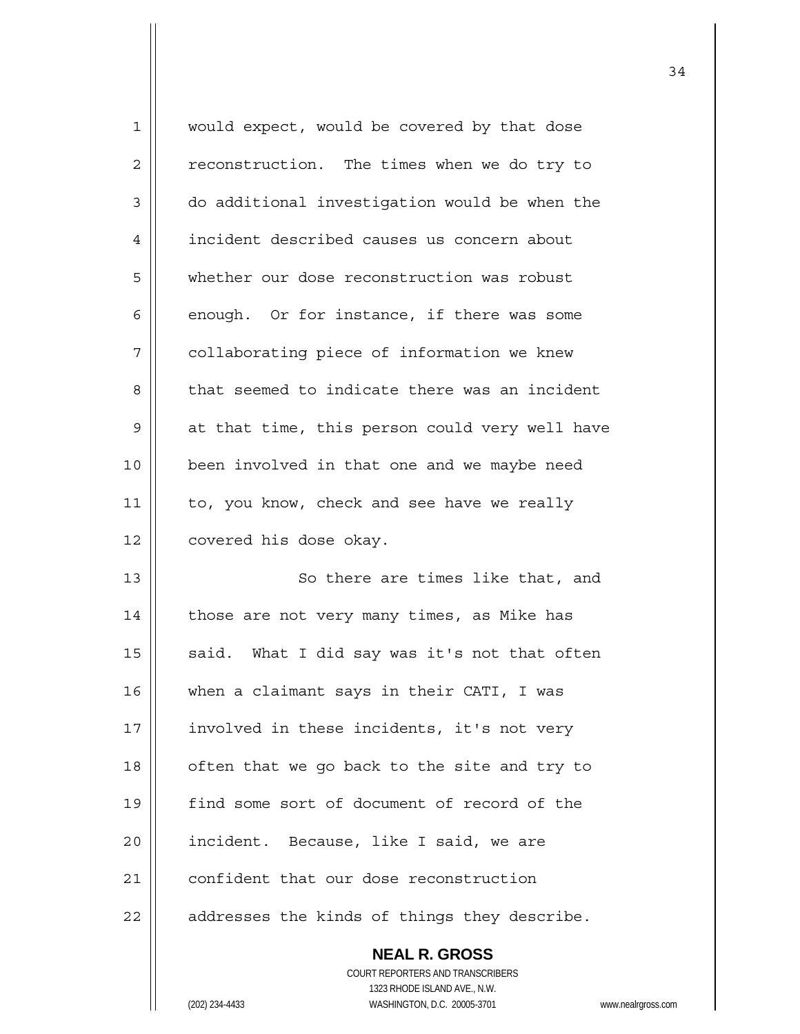| $\mathbf 1$ | would expect, would be covered by that dose    |
|-------------|------------------------------------------------|
| 2           | reconstruction. The times when we do try to    |
| 3           | do additional investigation would be when the  |
| 4           | incident described causes us concern about     |
| 5           | whether our dose reconstruction was robust     |
| 6           | enough. Or for instance, if there was some     |
| 7           | collaborating piece of information we knew     |
| 8           | that seemed to indicate there was an incident  |
| 9           | at that time, this person could very well have |
| 10          | been involved in that one and we maybe need    |
| 11          | to, you know, check and see have we really     |
| 12          | covered his dose okay.                         |
| 13          | So there are times like that, and              |
| 14          | those are not very many times, as Mike has     |
| 15          | said. What I did say was it's not that often   |
| 16          | when a claimant says in their CATI, I was      |
| 17          | involved in these incidents, it's not very     |
| 18          | often that we go back to the site and try to   |
| 19          | find some sort of document of record of the    |
| 20          | incident. Because, like I said, we are         |
| 21          | confident that our dose reconstruction         |
| 22          | addresses the kinds of things they describe.   |
|             | <b>NEAL R. GROSS</b>                           |

 COURT REPORTERS AND TRANSCRIBERS 1323 RHODE ISLAND AVE., N.W. (202) 234-4433 WASHINGTON, D.C. 20005-3701 www.nealrgross.com

 $\mathsf{I}$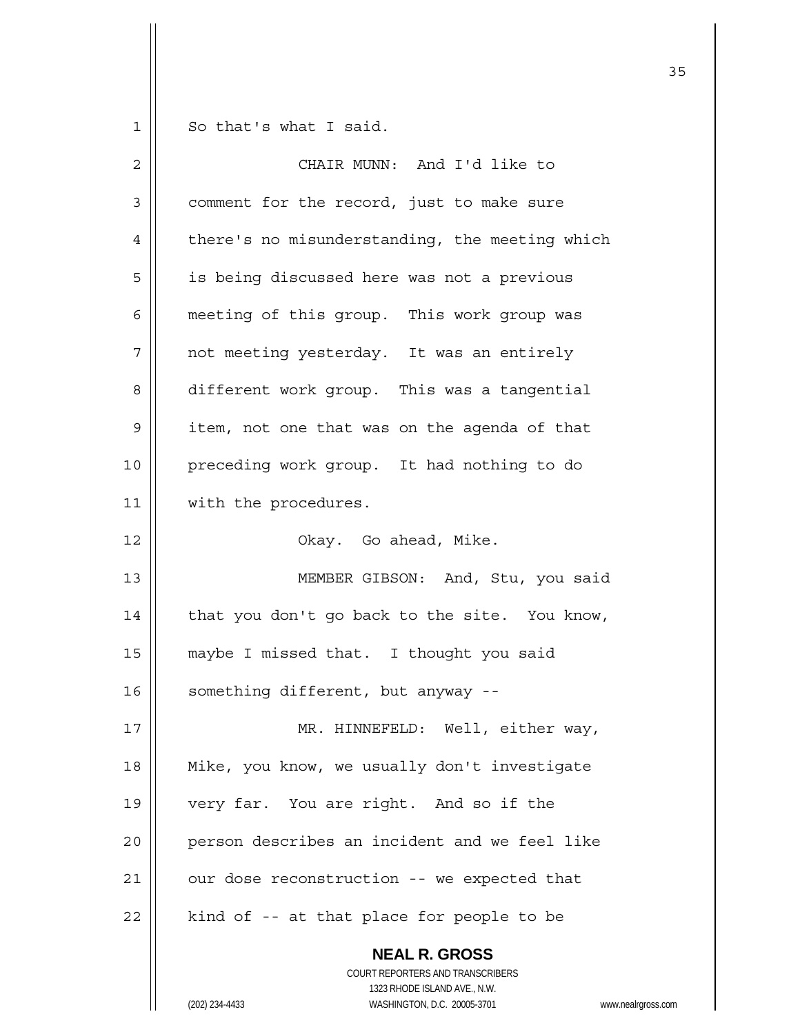$1 \parallel$  So that's what I said.

| $\overline{2}$ | CHAIR MUNN: And I'd like to                                                                                                                        |
|----------------|----------------------------------------------------------------------------------------------------------------------------------------------------|
| 3              | comment for the record, just to make sure                                                                                                          |
| 4              | there's no misunderstanding, the meeting which                                                                                                     |
| 5              | is being discussed here was not a previous                                                                                                         |
| 6              | meeting of this group. This work group was                                                                                                         |
| 7              | not meeting yesterday. It was an entirely                                                                                                          |
| 8              | different work group. This was a tangential                                                                                                        |
| 9              | item, not one that was on the agenda of that                                                                                                       |
| 10             | preceding work group. It had nothing to do                                                                                                         |
| 11             | with the procedures.                                                                                                                               |
| 12             | Okay. Go ahead, Mike.                                                                                                                              |
| 13             | MEMBER GIBSON: And, Stu, you said                                                                                                                  |
| 14             | that you don't go back to the site. You know,                                                                                                      |
| 15             | maybe I missed that. I thought you said                                                                                                            |
| 16             | something different, but anyway --                                                                                                                 |
| 17             | HINNEFELD: Well, either way,<br>MR                                                                                                                 |
| 18             | Mike, you know, we usually don't investigate                                                                                                       |
| 19             | very far. You are right. And so if the                                                                                                             |
| 20             | person describes an incident and we feel like                                                                                                      |
| 21             | our dose reconstruction -- we expected that                                                                                                        |
| 22             | kind of -- at that place for people to be                                                                                                          |
|                | <b>NEAL R. GROSS</b><br>COURT REPORTERS AND TRANSCRIBERS<br>1323 RHODE ISLAND AVE., N.W.<br>(202) 234-4433<br>WASHINGTON, D.C. 20005-3701<br>www.r |

(202) 234-4433 WASHINGTON, D.C. 20005-3701 www.nealrgross.com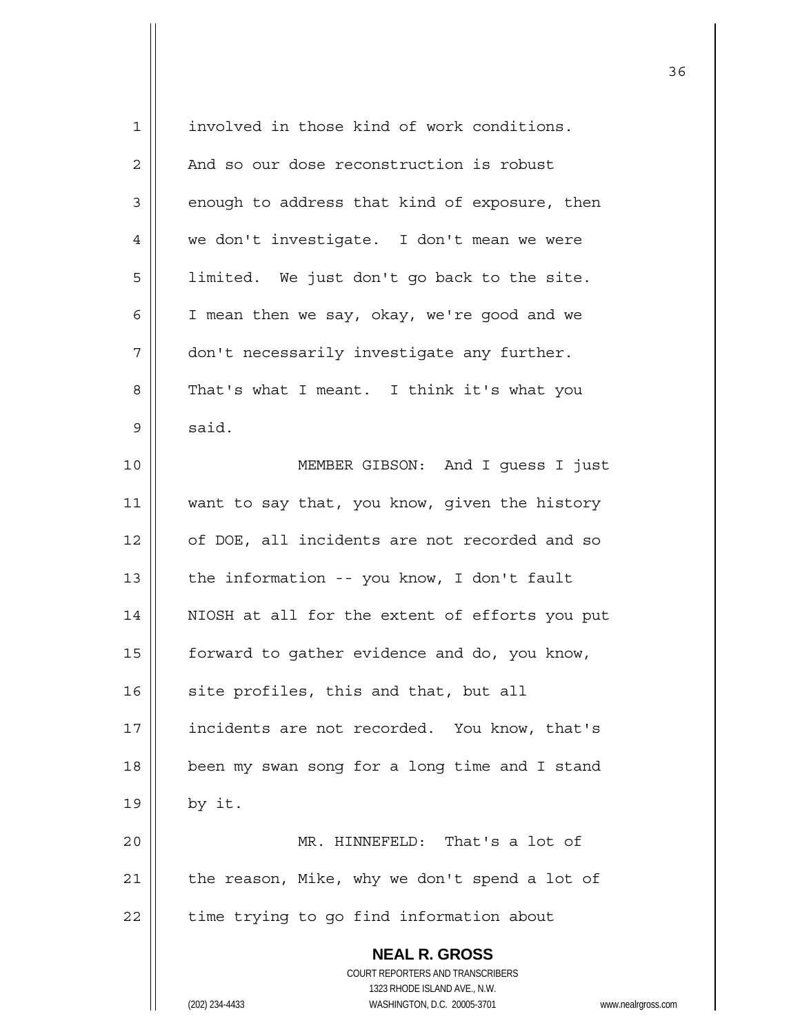| 1  | involved in those kind of work conditions.                          |
|----|---------------------------------------------------------------------|
| 2  | And so our dose reconstruction is robust                            |
| 3  | enough to address that kind of exposure, then                       |
| 4  | we don't investigate. I don't mean we were                          |
| 5  | limited. We just don't go back to the site.                         |
| 6  | I mean then we say, okay, we're good and we                         |
| 7  | don't necessarily investigate any further.                          |
| 8  | That's what I meant. I think it's what you                          |
| 9  | said.                                                               |
| 10 | MEMBER GIBSON: And I guess I just                                   |
| 11 | want to say that, you know, given the history                       |
| 12 | of DOE, all incidents are not recorded and so                       |
| 13 | the information -- you know, I don't fault                          |
| 14 | NIOSH at all for the extent of efforts you put                      |
| 15 | forward to gather evidence and do, you know,                        |
| 16 | site profiles, this and that, but all                               |
| 17 | incidents are not recorded. You know, that's                        |
| 18 | been my swan song for a long time and I stand                       |
| 19 | by it.                                                              |
| 20 | MR. HINNEFELD: That's a lot of                                      |
| 21 | the reason, Mike, why we don't spend a lot of                       |
| 22 | time trying to go find information about                            |
|    | <b>NEAL R. GROSS</b>                                                |
|    | COURT REPORTERS AND TRANSCRIBERS                                    |
|    | 1323 RHODE ISLAND AVE., N.W.                                        |
|    | (202) 234-4433<br>WASHINGTON, D.C. 20005-3701<br>www.nealrgross.com |

<sup>&</sup>lt;u>36 and 2012</u>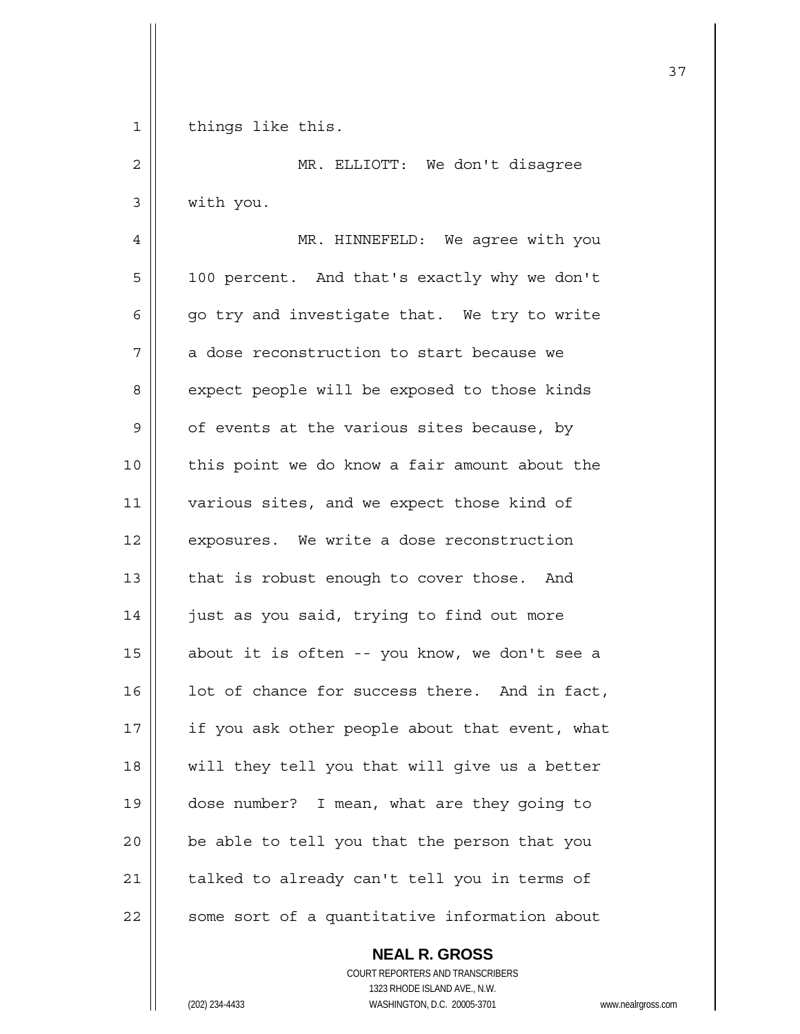1 | things like this.

2 || MR. ELLIOTT: We don't disagree 3 with you. 4 | MR. HINNEFELD: We agree with you 5 | 100 percent. And that's exactly why we don't 6  $\parallel$  qo try and investigate that. We try to write  $7$  | a dose reconstruction to start because we 8 | expect people will be exposed to those kinds  $9 \parallel$  of events at the various sites because, by 10 || this point we do know a fair amount about the 11 || various sites, and we expect those kind of 12 | exposures. We write a dose reconstruction 13 | that is robust enough to cover those. And 14 | just as you said, trying to find out more 15  $\parallel$  about it is often -- you know, we don't see a  $16$  | lot of chance for success there. And in fact, 17  $\parallel$  if you ask other people about that event, what 18 || will they tell you that will give us a better 19 dose number? I mean, what are they going to  $20$  | be able to tell you that the person that you 21  $\parallel$  talked to already can't tell you in terms of  $22$   $\parallel$  some sort of a quantitative information about

> **NEAL R. GROSS** COURT REPORTERS AND TRANSCRIBERS 1323 RHODE ISLAND AVE., N.W. (202) 234-4433 WASHINGTON, D.C. 20005-3701 www.nealrgross.com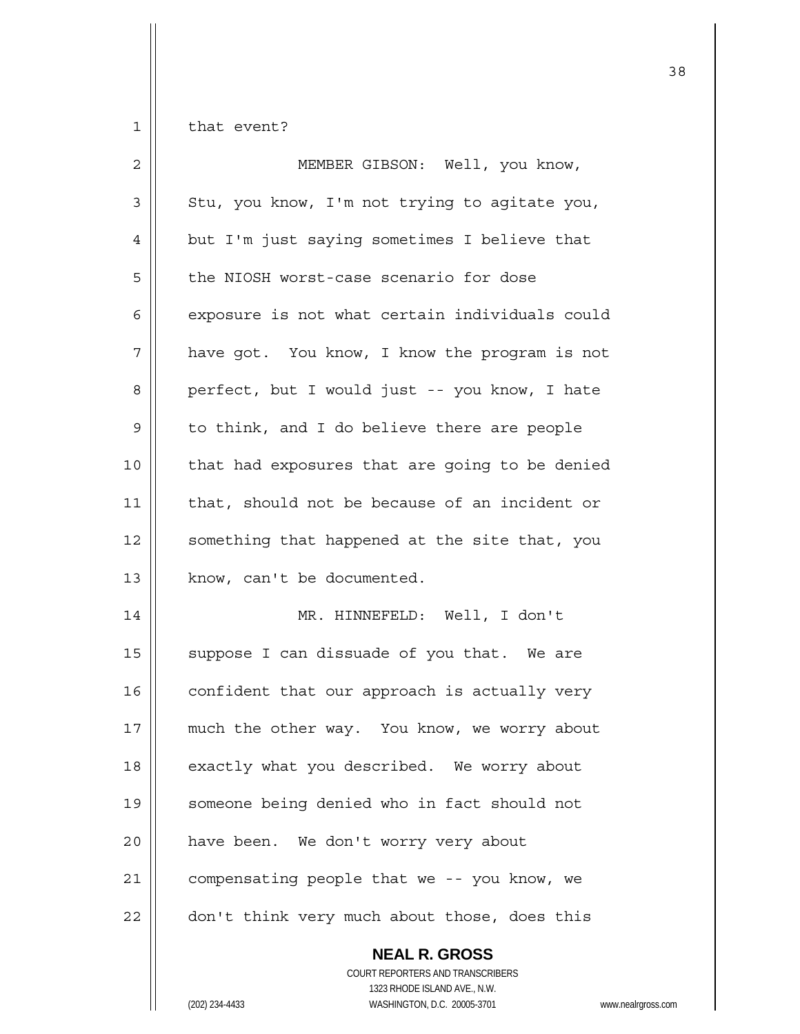$1 \parallel$  that event?

| $\overline{2}$ | MEMBER GIBSON: Well, you know,                                                                                                                    |
|----------------|---------------------------------------------------------------------------------------------------------------------------------------------------|
| 3              | Stu, you know, I'm not trying to agitate you,                                                                                                     |
| 4              | but I'm just saying sometimes I believe that                                                                                                      |
| 5              | the NIOSH worst-case scenario for dose                                                                                                            |
| 6              | exposure is not what certain individuals could                                                                                                    |
| 7              | have got. You know, I know the program is not                                                                                                     |
| 8              | perfect, but I would just -- you know, I hate                                                                                                     |
| 9              | to think, and I do believe there are people                                                                                                       |
| 10             | that had exposures that are going to be denied                                                                                                    |
| 11             | that, should not be because of an incident or                                                                                                     |
| 12             | something that happened at the site that, you                                                                                                     |
| 13             | know, can't be documented.                                                                                                                        |
| 14             | MR. HINNEFELD: Well, I don't                                                                                                                      |
| 15             | suppose I can dissuade of you that. We are                                                                                                        |
| 16             | confident that our approach is actually very                                                                                                      |
| 17             | much the other way. You know, we worry about                                                                                                      |
| 18             | exactly what you described. We worry about                                                                                                        |
| 19             | someone being denied who in fact should not                                                                                                       |
| 20             | have been. We don't worry very about                                                                                                              |
| 21             | compensating people that we -- you know, we                                                                                                       |
| 22             | don't think very much about those, does this                                                                                                      |
|                | <b>NEAL R. GROSS</b><br>COURT REPORTERS AND TRANSCRIBERS<br>1323 RHODE ISLAND AVE., N.W.<br>(202) 234-4433<br>WASHINGTON, D.C. 20005-3701<br>WWW. |

(202) 234-4433 WASHINGTON, D.C. 20005-3701 www.nealrgross.com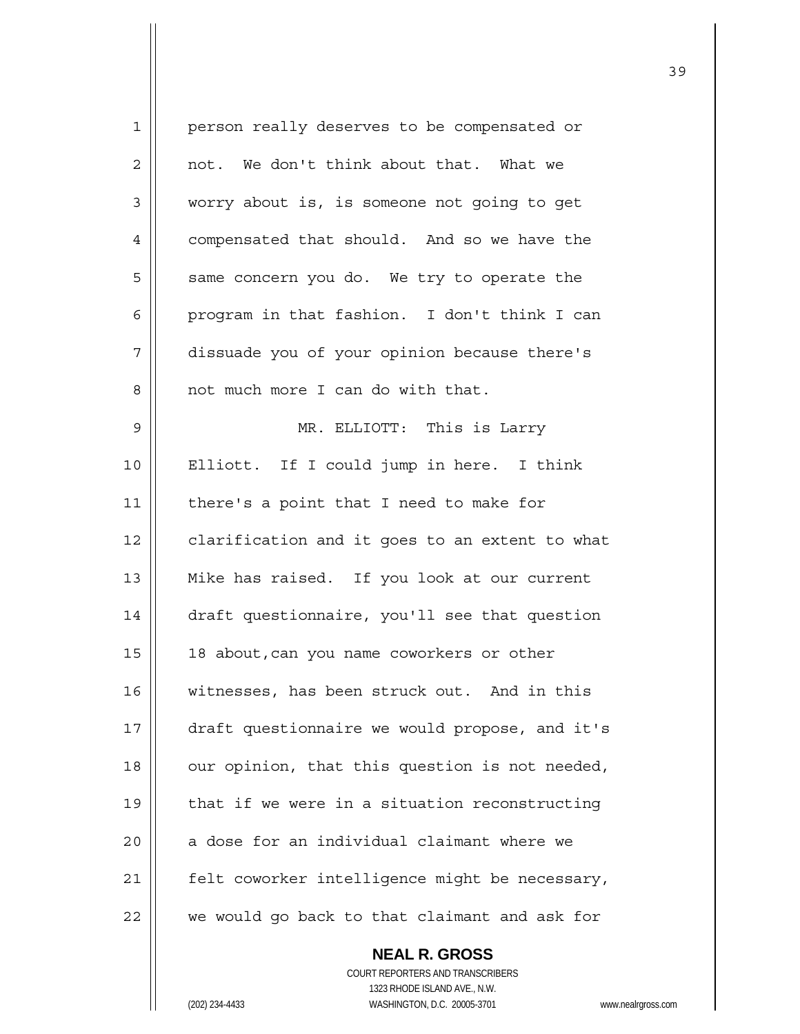| $\mathbf 1$ | person really deserves to be compensated or    |
|-------------|------------------------------------------------|
| 2           | not. We don't think about that. What we        |
| 3           | worry about is, is someone not going to get    |
| 4           | compensated that should. And so we have the    |
| 5           | same concern you do. We try to operate the     |
| 6           | program in that fashion. I don't think I can   |
| 7           | dissuade you of your opinion because there's   |
| 8           | not much more I can do with that.              |
| 9           | MR. ELLIOTT: This is Larry                     |
| 10          | Elliott. If I could jump in here. I think      |
| 11          | there's a point that I need to make for        |
| 12          | clarification and it goes to an extent to what |
| 13          | Mike has raised. If you look at our current    |
| 14          | draft questionnaire, you'll see that question  |
| 15          | 18 about, can you name coworkers or other      |
| 16          | witnesses, has been struck out. And in this    |
| 17          | draft questionnaire we would propose, and it's |
| 18          | our opinion, that this question is not needed, |
| 19          | that if we were in a situation reconstructing  |
| 20          | a dose for an individual claimant where we     |
| 21          | felt coworker intelligence might be necessary, |
| 22          | we would go back to that claimant and ask for  |
|             |                                                |

 **NEAL R. GROSS** COURT REPORTERS AND TRANSCRIBERS 1323 RHODE ISLAND AVE., N.W. (202) 234-4433 WASHINGTON, D.C. 20005-3701 www.nealrgross.com

 $\mathsf{I}$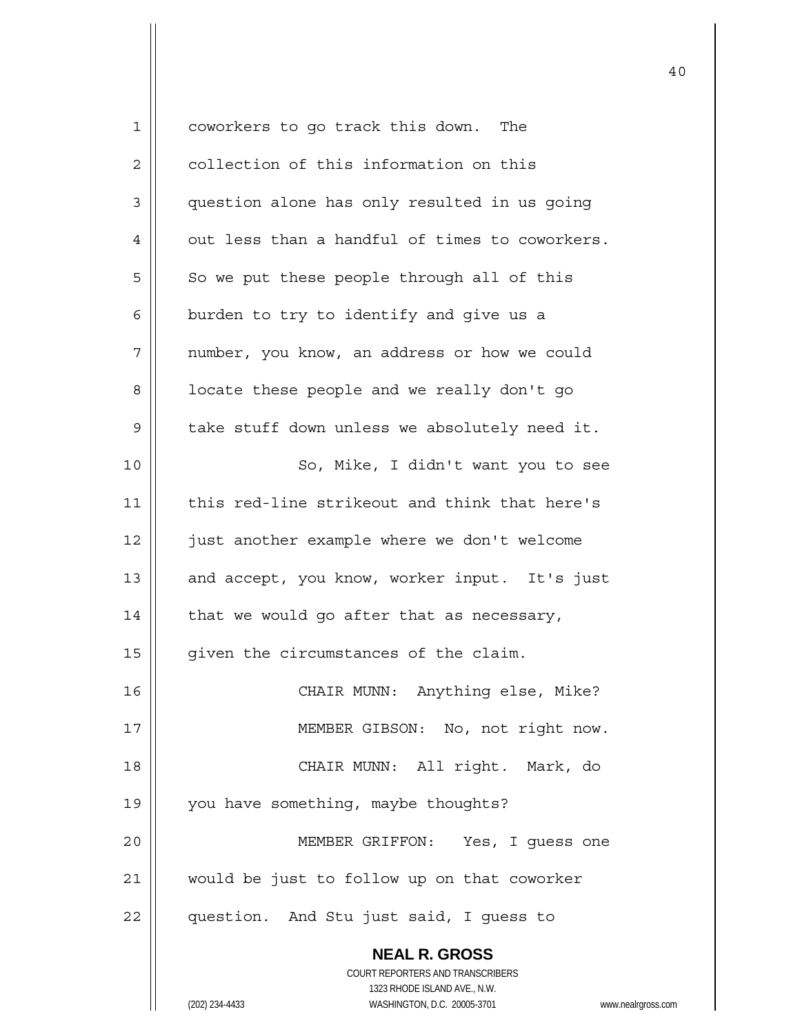| 1              | coworkers to go track this down. The                     |
|----------------|----------------------------------------------------------|
| $\overline{c}$ | collection of this information on this                   |
| 3              | question alone has only resulted in us going             |
| 4              | out less than a handful of times to coworkers.           |
| 5              | So we put these people through all of this               |
| 6              | burden to try to identify and give us a                  |
| 7              | number, you know, an address or how we could             |
| 8              | locate these people and we really don't go               |
| 9              | take stuff down unless we absolutely need it.            |
| 10             | So, Mike, I didn't want you to see                       |
| 11             | this red-line strikeout and think that here's            |
| 12             | just another example where we don't welcome              |
| 13             | and accept, you know, worker input. It's just            |
| 14             | that we would go after that as necessary,                |
| 15             | given the circumstances of the claim.                    |
| 16             | CHAIR MUNN: Anything else, Mike?                         |
| 17             | MEMBER GIBSON: No, not right now.                        |
| 18             | CHAIR MUNN: All right. Mark, do                          |
| 19             | you have something, maybe thoughts?                      |
| 20             | MEMBER GRIFFON: Yes, I guess one                         |
| 21             | would be just to follow up on that coworker              |
| 22             | question. And Stu just said, I guess to                  |
|                | <b>NEAL R. GROSS</b>                                     |
|                | COURT REPORTERS AND TRANSCRIBERS                         |
|                | 1323 RHODE ISLAND AVE., N.W.                             |
|                | (202) 234-4433<br>WASHINGTON, D.C. 20005-3701<br>www.nea |

(202) 234-4433 WASHINGTON, D.C. 20005-3701 www.nealrgross.com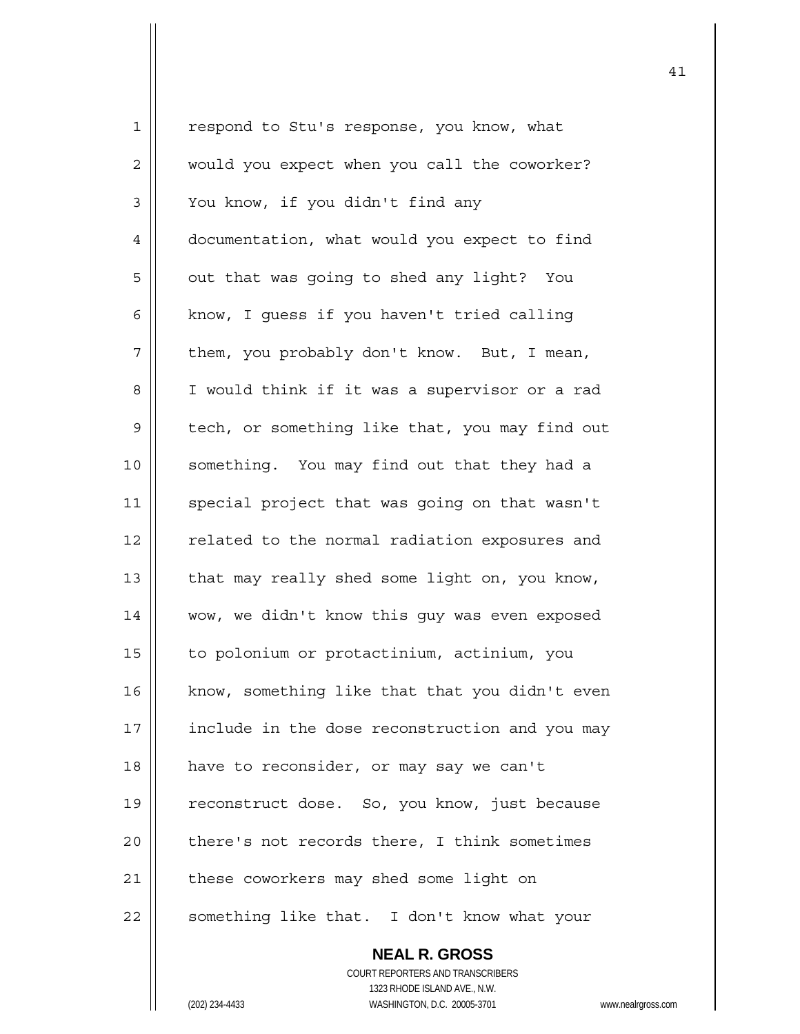1 | respond to Stu's response, you know, what 2 | would you expect when you call the coworker? 3 | You know, if you didn't find any 4 | documentation, what would you expect to find  $5 \parallel$  out that was going to shed any light? You 6  $\parallel$  know, I quess if you haven't tried calling  $7 \parallel$  them, you probably don't know. But, I mean, 8 | I would think if it was a supervisor or a rad 9 | tech, or something like that, you may find out 10 || something. You may find out that they had a 11 | special project that was going on that wasn't 12 || related to the normal radiation exposures and 13  $\parallel$  that may really shed some light on, you know, 14 wow, we didn't know this guy was even exposed 15 to polonium or protactinium, actinium, you  $16$  | know, something like that that you didn't even 17 | include in the dose reconstruction and you may 18 | have to reconsider, or may say we can't 19 || reconstruct dose. So, you know, just because 20 || there's not records there, I think sometimes 21 | these coworkers may shed some light on 22 || something like that. I don't know what your

41

 **NEAL R. GROSS** COURT REPORTERS AND TRANSCRIBERS 1323 RHODE ISLAND AVE., N.W. (202) 234-4433 WASHINGTON, D.C. 20005-3701 www.nealrgross.com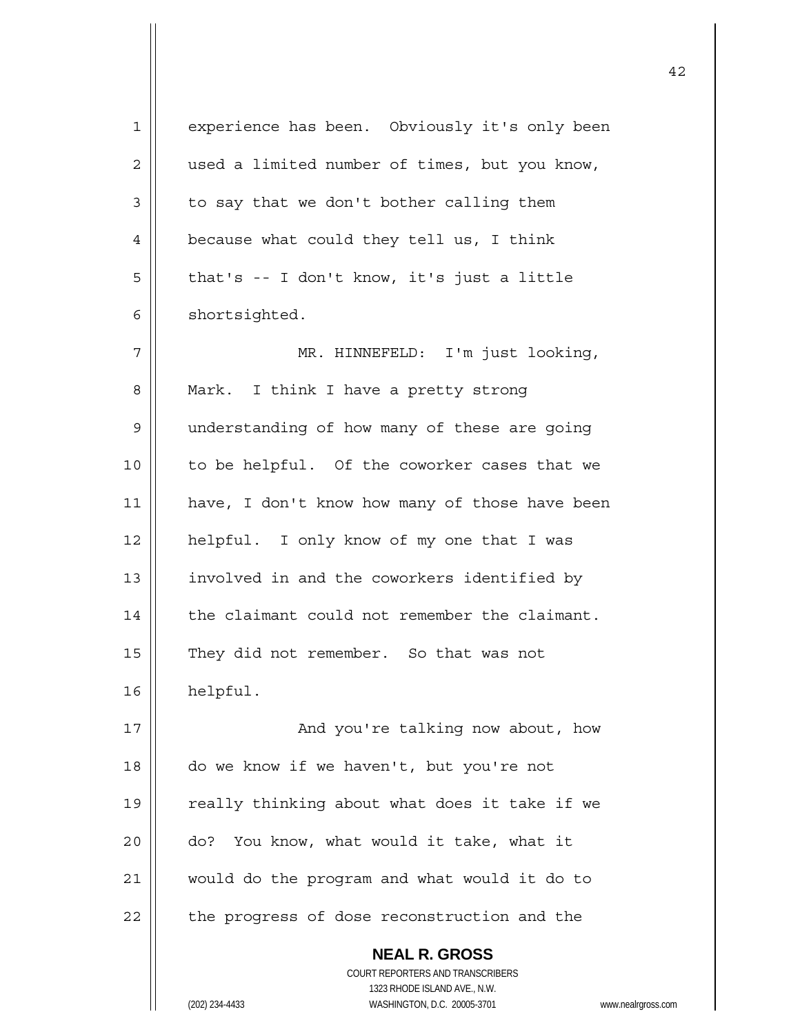| 1              | experience has been. Obviously it's only been                       |
|----------------|---------------------------------------------------------------------|
| 2              | used a limited number of times, but you know,                       |
| 3              | to say that we don't bother calling them                            |
| $\overline{4}$ | because what could they tell us, I think                            |
| 5              | that's -- I don't know, it's just a little                          |
| 6              | shortsighted.                                                       |
| 7              | MR. HINNEFELD: I'm just looking,                                    |
| 8              | Mark. I think I have a pretty strong                                |
| 9              | understanding of how many of these are going                        |
| 10             | to be helpful. Of the coworker cases that we                        |
| 11             | have, I don't know how many of those have been                      |
| 12             | helpful. I only know of my one that I was                           |
| 13             | involved in and the coworkers identified by                         |
| 14             | the claimant could not remember the claimant.                       |
| 15             | They did not remember. So that was not                              |
| 16             | helpful.                                                            |
| 17             | And you're talking now about, how                                   |
| 18             | do we know if we haven't, but you're not                            |
| 19             | really thinking about what does it take if we                       |
| 20             | You know, what would it take, what it<br>do?                        |
| 21             | would do the program and what would it do to                        |
| 22             | the progress of dose reconstruction and the                         |
|                | <b>NEAL R. GROSS</b>                                                |
|                | COURT REPORTERS AND TRANSCRIBERS                                    |
|                | 1323 RHODE ISLAND AVE., N.W.                                        |
|                | (202) 234-4433<br>WASHINGTON, D.C. 20005-3701<br>www.nealrgross.com |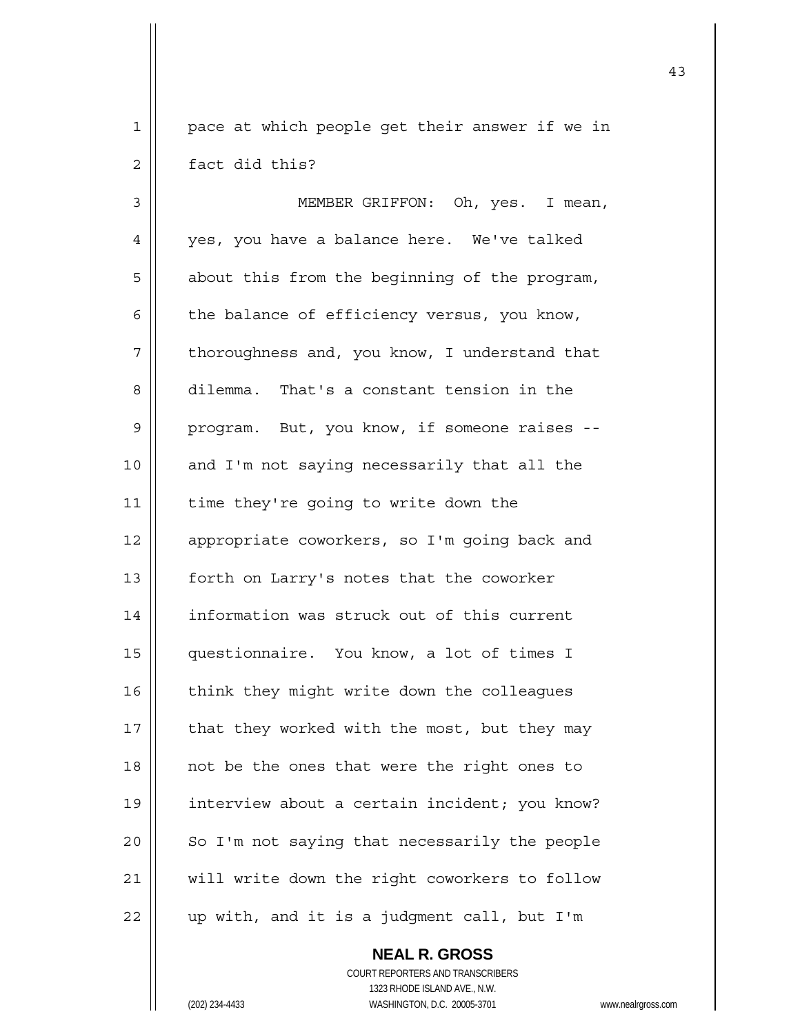1 || pace at which people get their answer if we in 2 **d** fact did this?

3 || MEMBER GRIFFON: Oh, yes. I mean, 4 || yes, you have a balance here. We've talked  $5 \parallel$  about this from the beginning of the program, 6  $\parallel$  the balance of efficiency versus, you know,  $7$  | thoroughness and, you know, I understand that 8 dilemma. That's a constant tension in the 9 | program. But, you know, if someone raises --10 || and I'm not saying necessarily that all the 11 | time they're going to write down the 12 || appropriate coworkers, so I'm going back and 13 | forth on Larry's notes that the coworker 14 | information was struck out of this current 15 questionnaire. You know, a lot of times I 16 | think they might write down the colleagues 17  $\parallel$  that they worked with the most, but they may  $18$  || not be the ones that were the right ones to 19 interview about a certain incident; you know?  $20$  | So I'm not saying that necessarily the people 21 || will write down the right coworkers to follow  $22$  | up with, and it is a judgment call, but I'm

> **NEAL R. GROSS** COURT REPORTERS AND TRANSCRIBERS 1323 RHODE ISLAND AVE., N.W. (202) 234-4433 WASHINGTON, D.C. 20005-3701 www.nealrgross.com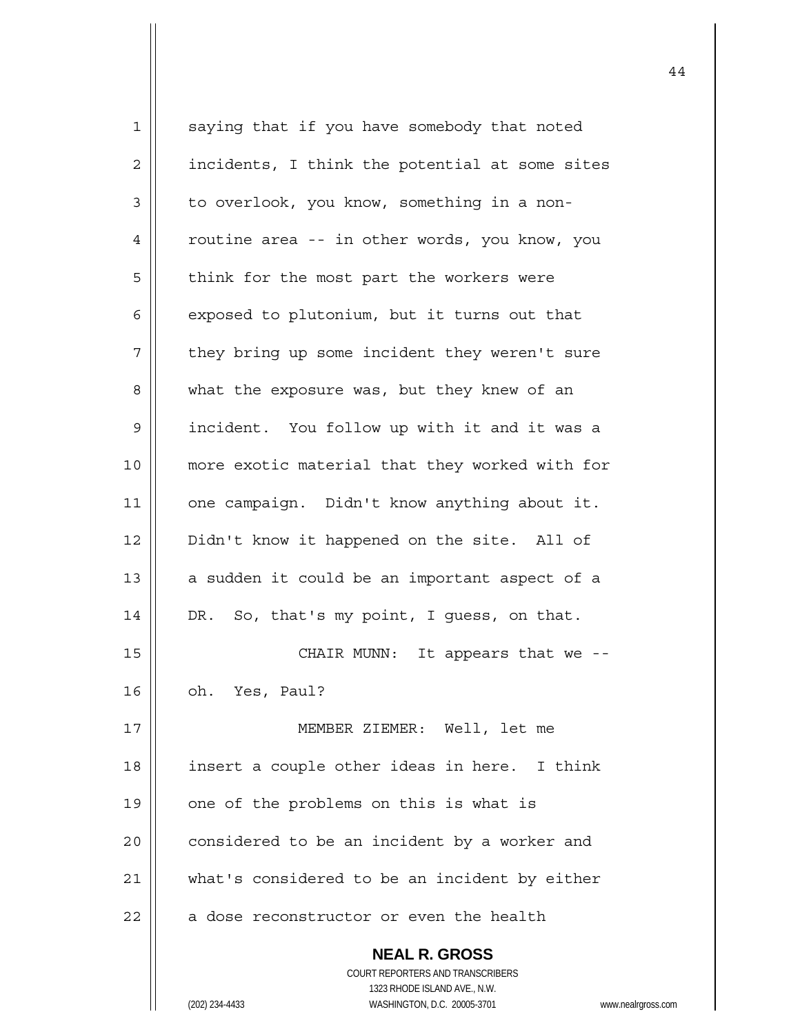**NEAL R. GROSS** COURT REPORTERS AND TRANSCRIBERS 1323 RHODE ISLAND AVE., N.W. 1 || saying that if you have somebody that noted  $2 \parallel$  incidents, I think the potential at some sites  $3 \parallel$  to overlook, you know, something in a non-4 | routine area -- in other words, you know, you  $5$  | think for the most part the workers were  $6 \parallel$  exposed to plutonium, but it turns out that  $7$  | they bring up some incident they weren't sure 8 || what the exposure was, but they knew of an 9 incident. You follow up with it and it was a 10 || more exotic material that they worked with for 11 | one campaign. Didn't know anything about it. 12 | Didn't know it happened on the site. All of 13  $\parallel$  a sudden it could be an important aspect of a 14 | DR. So, that's my point, I guess, on that. 15 || CHAIR MUNN: It appears that we -- $16 \parallel$  oh. Yes, Paul? 17 MEMBER ZIEMER: Well, let me 18 || insert a couple other ideas in here. I think  $19$  | one of the problems on this is what is  $20$  | considered to be an incident by a worker and 21 || what's considered to be an incident by either  $22$  | a dose reconstructor or even the health

44

(202) 234-4433 WASHINGTON, D.C. 20005-3701 www.nealrgross.com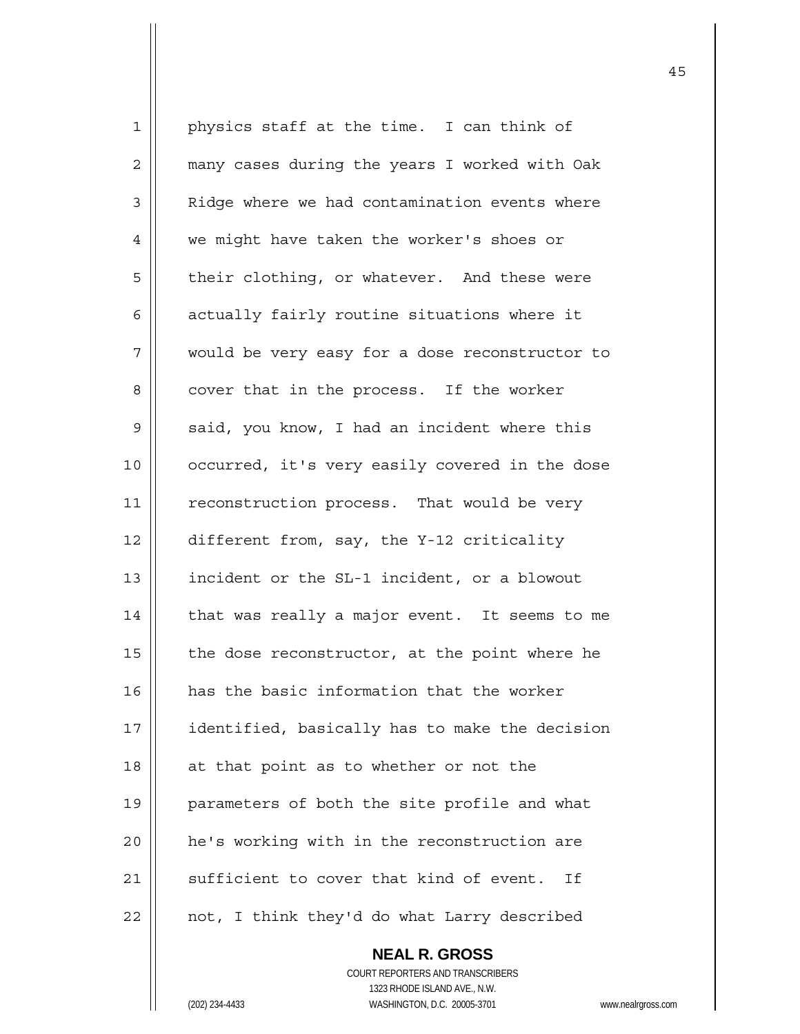1 || physics staff at the time. I can think of 2 | many cases during the years I worked with Oak 3 | Ridge where we had contamination events where 4 | we might have taken the worker's shoes or 5 | their clothing, or whatever. And these were  $6 \parallel$  actually fairly routine situations where it 7 || would be very easy for a dose reconstructor to 8 | cover that in the process. If the worker 9 | said, you know, I had an incident where this 10 || occurred, it's very easily covered in the dose 11 || reconstruction process. That would be very 12 different from, say, the Y-12 criticality 13 | incident or the SL-1 incident, or a blowout 14 | that was really a major event. It seems to me 15  $\parallel$  the dose reconstructor, at the point where he 16 | has the basic information that the worker 17 | identified, basically has to make the decision  $18$  || at that point as to whether or not the 19 || parameters of both the site profile and what 20 | he's working with in the reconstruction are 21  $\parallel$  sufficient to cover that kind of event. If  $22$  | not, I think they'd do what Larry described

> **NEAL R. GROSS** COURT REPORTERS AND TRANSCRIBERS 1323 RHODE ISLAND AVE., N.W. (202) 234-4433 WASHINGTON, D.C. 20005-3701 www.nealrgross.com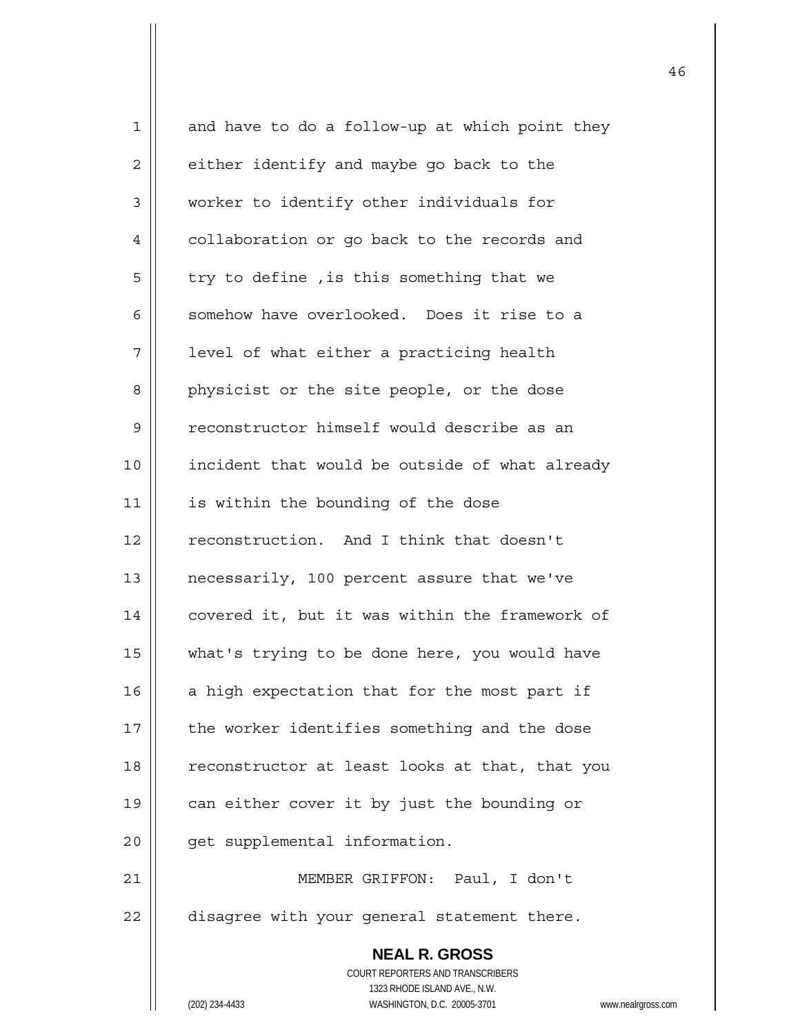| $\mathbf 1$  | and have to do a follow-up at which point they                      |
|--------------|---------------------------------------------------------------------|
| $\mathbf{2}$ | either identify and maybe go back to the                            |
| $\mathsf 3$  | worker to identify other individuals for                            |
| 4            | collaboration or go back to the records and                         |
| 5            | try to define, is this something that we                            |
| 6            | somehow have overlooked. Does it rise to a                          |
| 7            | level of what either a practicing health                            |
| 8            | physicist or the site people, or the dose                           |
| 9            | reconstructor himself would describe as an                          |
| 10           | incident that would be outside of what already                      |
| 11           | is within the bounding of the dose                                  |
| 12           | reconstruction. And I think that doesn't                            |
| 13           | necessarily, 100 percent assure that we've                          |
| 14           | covered it, but it was within the framework of                      |
| 15           | what's trying to be done here, you would have                       |
| 16           | a high expectation that for the most part if                        |
| 17           | the worker identifies something and the dose                        |
| 18           | reconstructor at least looks at that, that you                      |
| 19           | can either cover it by just the bounding or                         |
| 20           | get supplemental information.                                       |
| 21           | MEMBER GRIFFON: Paul, I don't                                       |
| 22           | disagree with your general statement there.                         |
|              | <b>NEAL R. GROSS</b>                                                |
|              | COURT REPORTERS AND TRANSCRIBERS                                    |
|              | 1323 RHODE ISLAND AVE., N.W.                                        |
|              | (202) 234-4433<br>WASHINGTON, D.C. 20005-3701<br>www.nealrgross.com |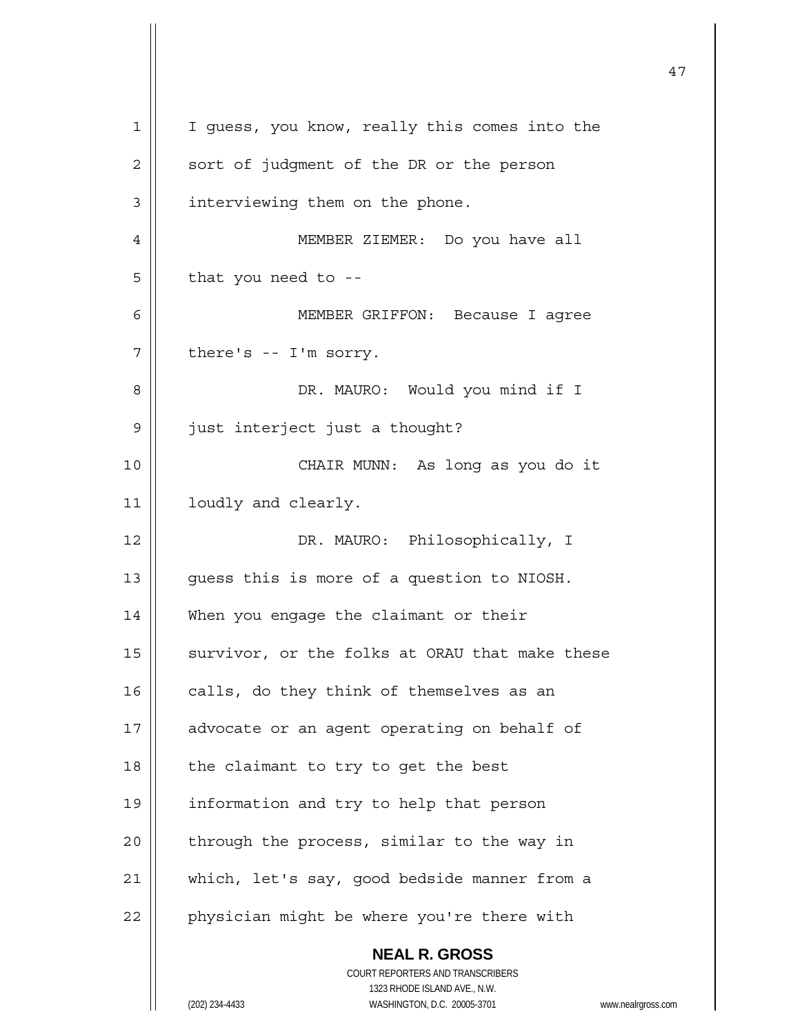| 1  | I guess, you know, really this comes into the                                                       |
|----|-----------------------------------------------------------------------------------------------------|
| 2  | sort of judgment of the DR or the person                                                            |
| 3  | interviewing them on the phone.                                                                     |
| 4  | MEMBER ZIEMER: Do you have all                                                                      |
| 5  | that you need to --                                                                                 |
| 6  | MEMBER GRIFFON: Because I agree                                                                     |
| 7  | there's -- I'm sorry.                                                                               |
| 8  | DR. MAURO: Would you mind if I                                                                      |
| 9  | just interject just a thought?                                                                      |
| 10 | CHAIR MUNN: As long as you do it                                                                    |
| 11 | loudly and clearly.                                                                                 |
| 12 | DR. MAURO: Philosophically, I                                                                       |
| 13 | guess this is more of a question to NIOSH.                                                          |
| 14 | When you engage the claimant or their                                                               |
| 15 | survivor, or the folks at ORAU that make these                                                      |
| 16 | calls, do they think of themselves as an                                                            |
| 17 | advocate or an agent operating on behalf of                                                         |
| 18 | the claimant to try to get the best                                                                 |
| 19 | information and try to help that person                                                             |
| 20 | through the process, similar to the way in                                                          |
| 21 | which, let's say, good bedside manner from a                                                        |
| 22 | physician might be where you're there with                                                          |
|    | <b>NEAL R. GROSS</b>                                                                                |
|    | COURT REPORTERS AND TRANSCRIBERS                                                                    |
|    | 1323 RHODE ISLAND AVE., N.W.<br>(202) 234-4433<br>WASHINGTON, D.C. 20005-3701<br>www.nealrgross.com |
|    |                                                                                                     |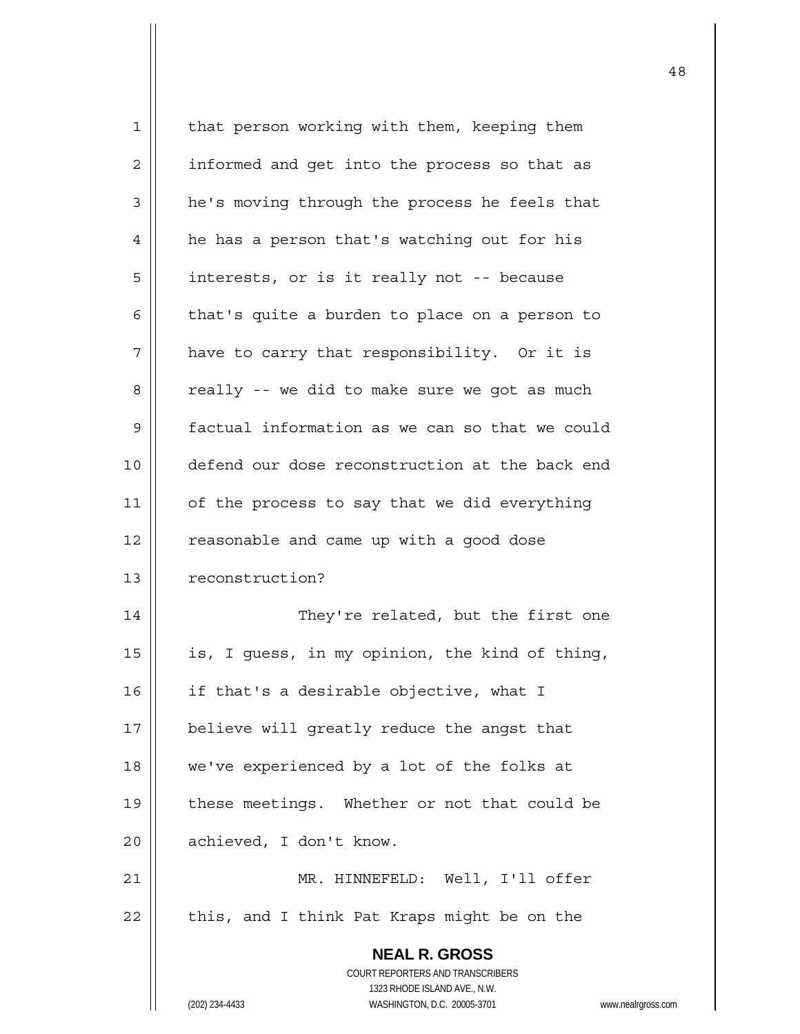| $\mathbf 1$ | that person working with them, keeping them                         |
|-------------|---------------------------------------------------------------------|
| 2           | informed and get into the process so that as                        |
| 3           | he's moving through the process he feels that                       |
| 4           | he has a person that's watching out for his                         |
| 5           | interests, or is it really not -- because                           |
| 6           | that's quite a burden to place on a person to                       |
| 7           | have to carry that responsibility. Or it is                         |
| 8           | really -- we did to make sure we got as much                        |
| 9           | factual information as we can so that we could                      |
| 10          | defend our dose reconstruction at the back end                      |
| 11          | of the process to say that we did everything                        |
| 12          | reasonable and came up with a good dose                             |
| 13          | reconstruction?                                                     |
| 14          | They're related, but the first one                                  |
| 15          | is, I guess, in my opinion, the kind of thing,                      |
| 16          | if that's a desirable objective, what I                             |
| 17          | believe will greatly reduce the angst that                          |
| 18          | we've experienced by a lot of the folks at                          |
| 19          | these meetings. Whether or not that could be                        |
| 20          | achieved, I don't know.                                             |
| 21          | MR. HINNEFELD: Well, I'll offer                                     |
| 22          | this, and I think Pat Kraps might be on the                         |
|             | <b>NEAL R. GROSS</b>                                                |
|             | COURT REPORTERS AND TRANSCRIBERS                                    |
|             | 1323 RHODE ISLAND AVE., N.W.                                        |
|             | (202) 234-4433<br>WASHINGTON, D.C. 20005-3701<br>www.nealrgross.com |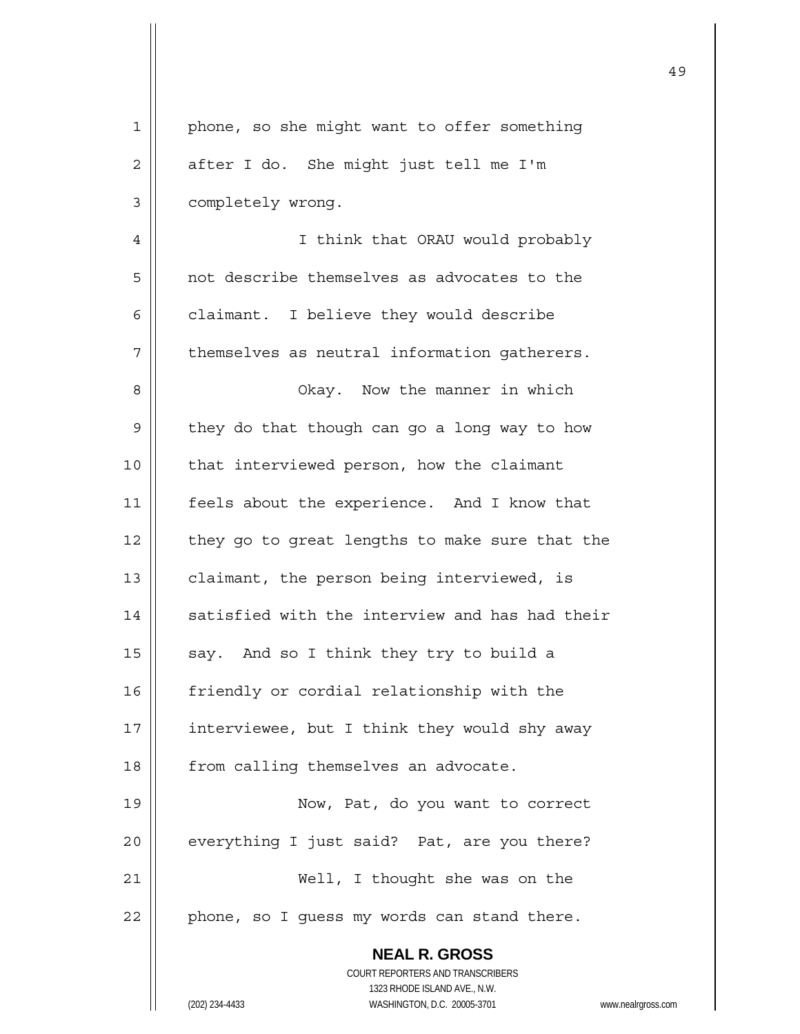| 1            | phone, so she might want to offer something                         |
|--------------|---------------------------------------------------------------------|
| $\mathbf{2}$ | after I do. She might just tell me I'm                              |
| 3            | completely wrong.                                                   |
| 4            | I think that ORAU would probably                                    |
| 5            | not describe themselves as advocates to the                         |
| 6            | claimant. I believe they would describe                             |
| 7            | themselves as neutral information gatherers.                        |
| 8            | Okay. Now the manner in which                                       |
| 9            | they do that though can go a long way to how                        |
| 10           | that interviewed person, how the claimant                           |
| 11           | feels about the experience. And I know that                         |
| 12           | they go to great lengths to make sure that the                      |
| 13           | claimant, the person being interviewed, is                          |
| 14           | satisfied with the interview and has had their                      |
| 15           | say. And so I think they try to build a                             |
| 16           | friendly or cordial relationship with the                           |
| 17           | interviewee, but I think they would shy away                        |
| 18           | from calling themselves an advocate.                                |
| 19           | Now, Pat, do you want to correct                                    |
| 20           | everything I just said? Pat, are you there?                         |
| 21           | Well, I thought she was on the                                      |
| 22           | phone, so I guess my words can stand there.                         |
|              | <b>NEAL R. GROSS</b>                                                |
|              | COURT REPORTERS AND TRANSCRIBERS<br>1323 RHODE ISLAND AVE., N.W.    |
|              | (202) 234-4433<br>WASHINGTON, D.C. 20005-3701<br>www.nealrgross.com |

 $\mathsf{I}$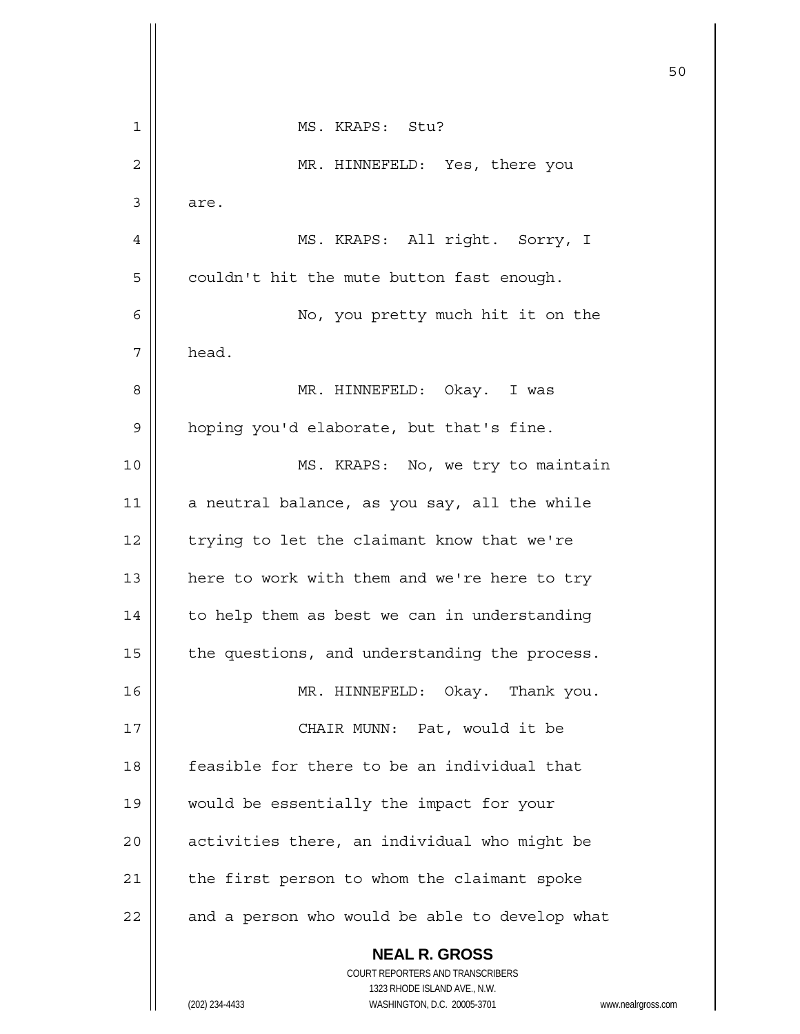|    |                                                | 50 |
|----|------------------------------------------------|----|
| 1  | MS. KRAPS: Stu?                                |    |
| 2  | MR. HINNEFELD: Yes, there you                  |    |
| 3  | are.                                           |    |
| 4  | MS. KRAPS: All right. Sorry, I                 |    |
| 5  | couldn't hit the mute button fast enough.      |    |
| 6  | No, you pretty much hit it on the              |    |
| 7  | head.                                          |    |
| 8  | MR. HINNEFELD: Okay. I was                     |    |
| 9  | hoping you'd elaborate, but that's fine.       |    |
| 10 | MS. KRAPS: No, we try to maintain              |    |
| 11 | a neutral balance, as you say, all the while   |    |
| 12 | trying to let the claimant know that we're     |    |
| 13 | here to work with them and we're here to try   |    |
| 14 | to help them as best we can in understanding   |    |
| 15 | the questions, and understanding the process.  |    |
| 16 | MR. HINNEFELD: Okay. Thank you.                |    |
| 17 | CHAIR MUNN: Pat, would it be                   |    |
| 18 | feasible for there to be an individual that    |    |
| 19 | would be essentially the impact for your       |    |
| 20 | activities there, an individual who might be   |    |
| 21 | the first person to whom the claimant spoke    |    |
| 22 | and a person who would be able to develop what |    |
|    | <b>NEAL R. GROSS</b>                           |    |

 COURT REPORTERS AND TRANSCRIBERS 1323 RHODE ISLAND AVE., N.W. (202) 234-4433 WASHINGTON, D.C. 20005-3701 www.nealrgross.com

 $\prod$ 

Ħ  $\mathsf{l}$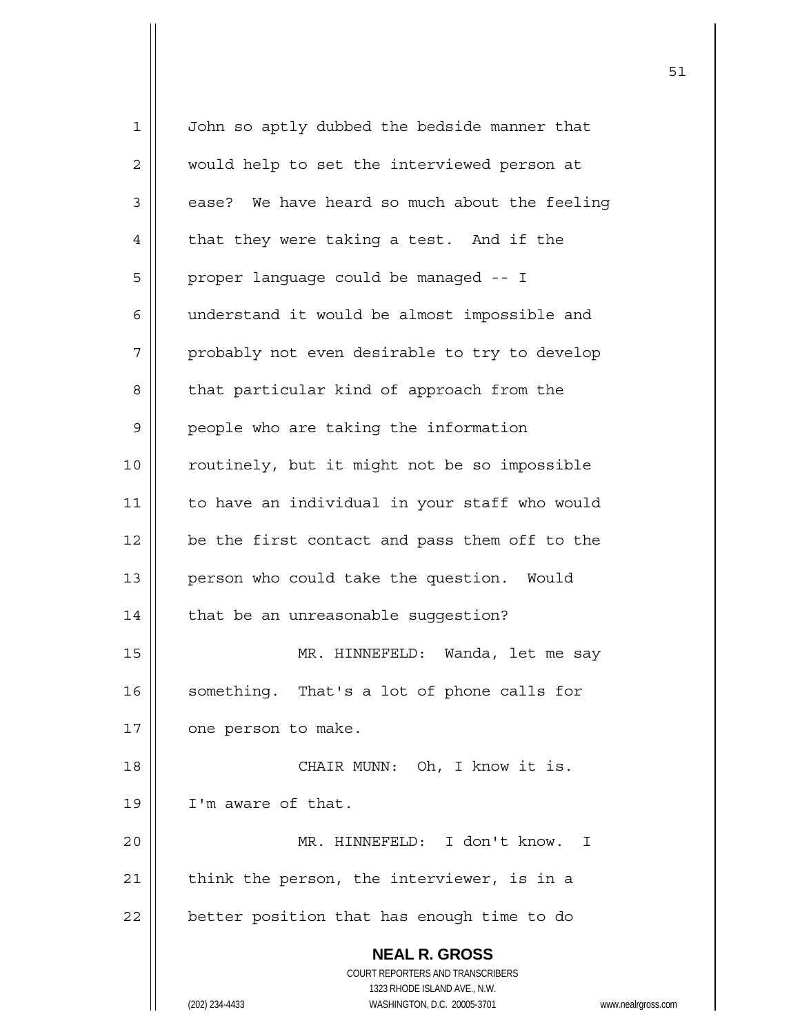| $\mathbf 1$ | John so aptly dubbed the bedside manner that                        |
|-------------|---------------------------------------------------------------------|
| 2           | would help to set the interviewed person at                         |
| 3           | ease? We have heard so much about the feeling                       |
| 4           | that they were taking a test. And if the                            |
| 5           | proper language could be managed -- I                               |
| 6           | understand it would be almost impossible and                        |
| 7           | probably not even desirable to try to develop                       |
| 8           | that particular kind of approach from the                           |
| 9           | people who are taking the information                               |
| 10          | routinely, but it might not be so impossible                        |
| 11          | to have an individual in your staff who would                       |
| 12          | be the first contact and pass them off to the                       |
| 13          | person who could take the question. Would                           |
| 14          | that be an unreasonable suggestion?                                 |
| 15          | MR. HINNEFELD: Wanda, let me say                                    |
| 16          | something. That's a lot of phone calls for                          |
| 17          | one person to make.                                                 |
| 18          | CHAIR MUNN: Oh, I know it is.                                       |
| 19          | I'm aware of that.                                                  |
| 20          | MR. HINNEFELD: I don't know.<br>T.                                  |
| 21          | think the person, the interviewer, is in a                          |
| 22          | better position that has enough time to do                          |
|             | <b>NEAL R. GROSS</b>                                                |
|             | <b>COURT REPORTERS AND TRANSCRIBERS</b>                             |
|             | 1323 RHODE ISLAND AVE., N.W.                                        |
|             | (202) 234-4433<br>WASHINGTON, D.C. 20005-3701<br>www.nealrgross.com |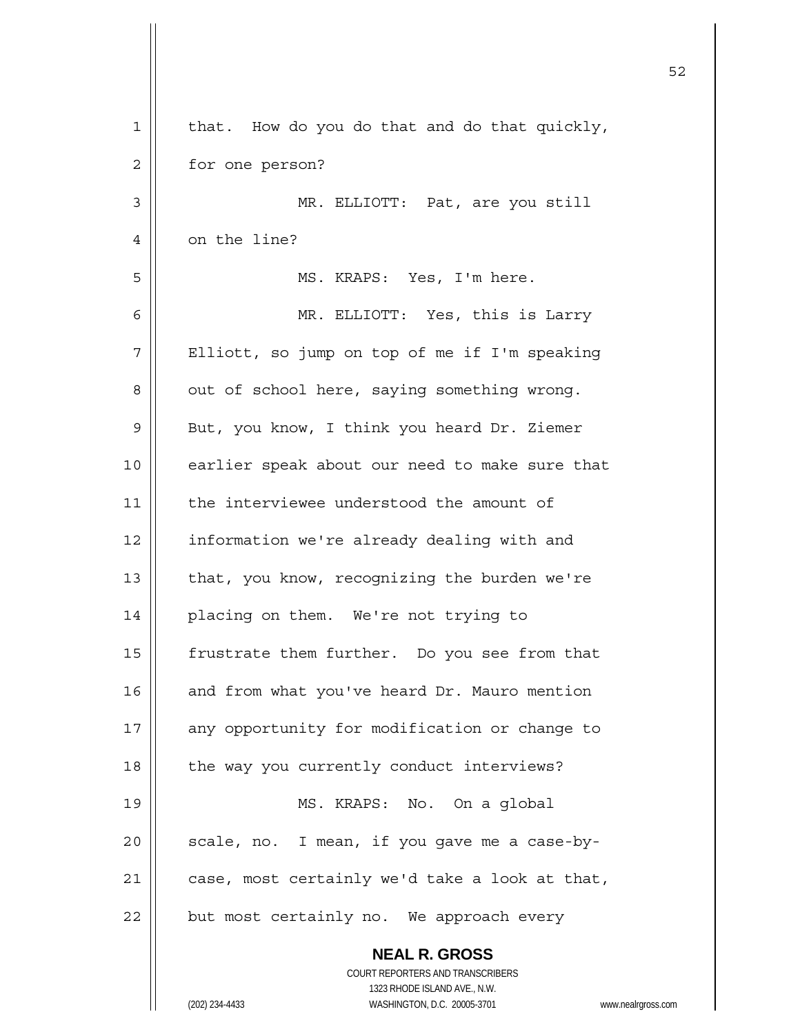| 1  | that. How do you do that and do that quickly,                           |
|----|-------------------------------------------------------------------------|
| 2  | for one person?                                                         |
| 3  | MR. ELLIOTT: Pat, are you still                                         |
| 4  | on the line?                                                            |
| 5  | MS. KRAPS: Yes, I'm here.                                               |
| 6  | MR. ELLIOTT: Yes, this is Larry                                         |
| 7  | Elliott, so jump on top of me if I'm speaking                           |
| 8  | out of school here, saying something wrong.                             |
| 9  | But, you know, I think you heard Dr. Ziemer                             |
| 10 | earlier speak about our need to make sure that                          |
| 11 | the interviewee understood the amount of                                |
| 12 | information we're already dealing with and                              |
| 13 | that, you know, recognizing the burden we're                            |
| 14 | placing on them. We're not trying to                                    |
| 15 | frustrate them further. Do you see from that                            |
| 16 | and from what you've heard Dr. Mauro mention                            |
| 17 | any opportunity for modification or change to                           |
| 18 | the way you currently conduct interviews?                               |
| 19 | MS. KRAPS: No. On a global                                              |
| 20 | scale, no. I mean, if you gave me a case-by-                            |
| 21 | case, most certainly we'd take a look at that,                          |
| 22 | but most certainly no. We approach every                                |
|    | <b>NEAL R. GROSS</b>                                                    |
|    | <b>COURT REPORTERS AND TRANSCRIBERS</b><br>1323 RHODE ISLAND AVE., N.W. |
|    | (202) 234-4433<br>WASHINGTON, D.C. 20005-3701<br>www.nealrgross.com     |
|    |                                                                         |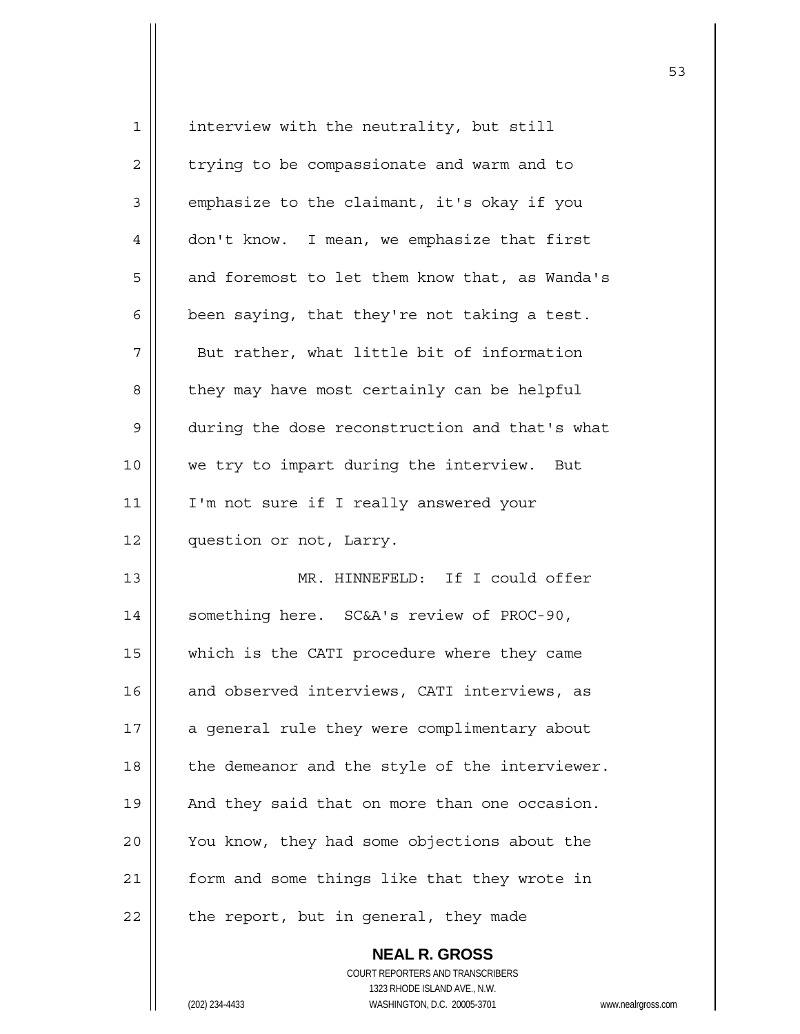| 1  | interview with the neutrality, but still       |
|----|------------------------------------------------|
| 2  | trying to be compassionate and warm and to     |
| 3  | emphasize to the claimant, it's okay if you    |
| 4  | don't know. I mean, we emphasize that first    |
| 5  | and foremost to let them know that, as Wanda's |
| 6  | been saying, that they're not taking a test.   |
| 7  | But rather, what little bit of information     |
| 8  | they may have most certainly can be helpful    |
| 9  | during the dose reconstruction and that's what |
| 10 | we try to impart during the interview. But     |
| 11 | I'm not sure if I really answered your         |
| 12 | question or not, Larry.                        |
| 13 | MR. HINNEFELD: If I could offer                |
| 14 | something here. SC&A's review of PROC-90,      |
| 15 | which is the CATI procedure where they came    |
| 16 | and observed interviews, CATI interviews, as   |
| 17 | a general rule they were complimentary about   |
| 18 | the demeanor and the style of the interviewer. |
| 19 | And they said that on more than one occasion.  |
| 20 | You know, they had some objections about the   |
| 21 | form and some things like that they wrote in   |
| 22 | the report, but in general, they made          |
|    |                                                |

 **NEAL R. GROSS** COURT REPORTERS AND TRANSCRIBERS 1323 RHODE ISLAND AVE., N.W. (202) 234-4433 WASHINGTON, D.C. 20005-3701 www.nealrgross.com

 $\sim$  53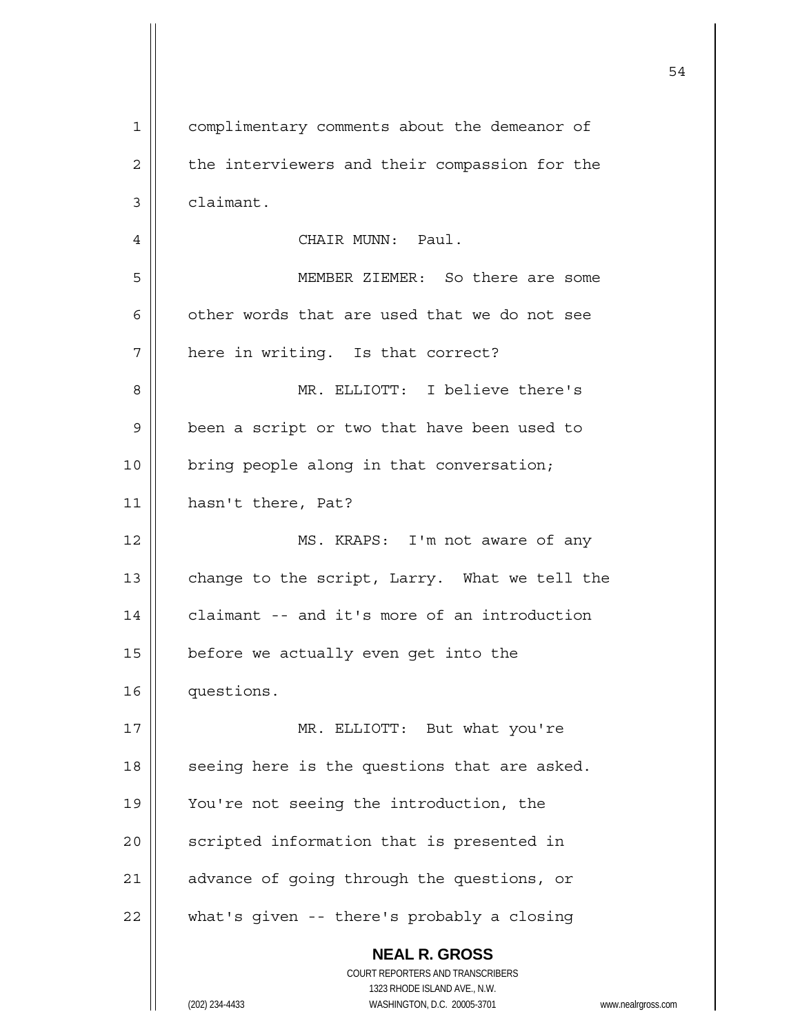| $\mathbf{1}$ | complimentary comments about the demeanor of                                                        |
|--------------|-----------------------------------------------------------------------------------------------------|
| 2            | the interviewers and their compassion for the                                                       |
| 3            | claimant.                                                                                           |
| 4            | CHAIR MUNN: Paul.                                                                                   |
| 5            | MEMBER ZIEMER: So there are some                                                                    |
| 6            | other words that are used that we do not see                                                        |
| 7            | here in writing. Is that correct?                                                                   |
| 8            | MR. ELLIOTT: I believe there's                                                                      |
| 9            | been a script or two that have been used to                                                         |
| 10           | bring people along in that conversation;                                                            |
| 11           | hasn't there, Pat?                                                                                  |
| 12           | MS. KRAPS: I'm not aware of any                                                                     |
| 13           | change to the script, Larry. What we tell the                                                       |
| 14           | claimant -- and it's more of an introduction                                                        |
| 15           | before we actually even get into the                                                                |
| 16           | questions.                                                                                          |
| 17           | MR. ELLIOTT: But what you're                                                                        |
| 18           | seeing here is the questions that are asked.                                                        |
| 19           | You're not seeing the introduction, the                                                             |
| 20           | scripted information that is presented in                                                           |
| 21           | advance of going through the questions, or                                                          |
| 22           | what's given -- there's probably a closing                                                          |
|              | <b>NEAL R. GROSS</b>                                                                                |
|              | COURT REPORTERS AND TRANSCRIBERS                                                                    |
|              | 1323 RHODE ISLAND AVE., N.W.<br>(202) 234-4433<br>WASHINGTON, D.C. 20005-3701<br>www.nealrgross.com |
|              |                                                                                                     |

 $\mathsf{I}$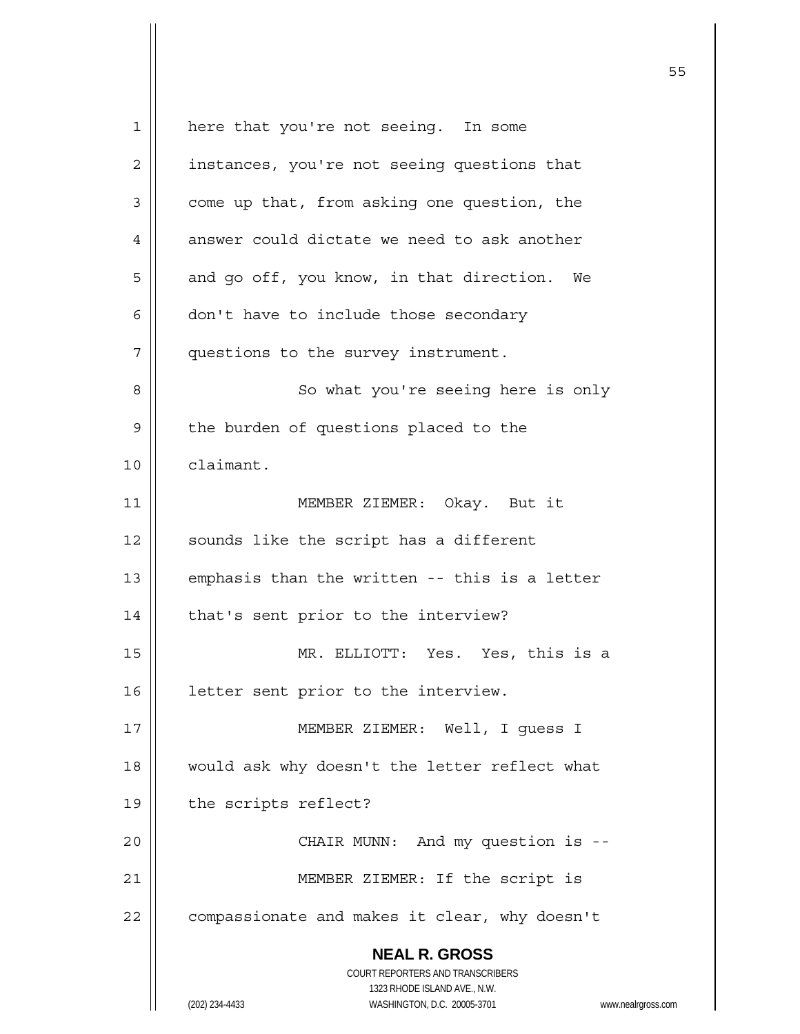**NEAL R. GROSS** COURT REPORTERS AND TRANSCRIBERS 1323 RHODE ISLAND AVE., N.W. (202) 234-4433 WASHINGTON, D.C. 20005-3701 www.nealrgross.com 1 || here that you're not seeing. In some 2 | instances, you're not seeing questions that  $3 \parallel$  come up that, from asking one question, the  $4$  || answer could dictate we need to ask another  $5 \parallel$  and go off, you know, in that direction. We  $6 \parallel$  don't have to include those secondary 7 | questions to the survey instrument. 8 | So what you're seeing here is only 9 | the burden of questions placed to the 10 claimant. 11 || MEMBER ZIEMER: Okay. But it  $12$  | sounds like the script has a different 13  $\parallel$  emphasis than the written -- this is a letter 14 | that's sent prior to the interview? 15 MR. ELLIOTT: Yes. Yes, this is a 16 | letter sent prior to the interview. 17 MEMBER ZIEMER: Well, I guess I 18 || would ask why doesn't the letter reflect what 19 | the scripts reflect? 20 | CHAIR MUNN: And my question is --21 || MEMBER ZIEMER: If the script is  $22$  | compassionate and makes it clear, why doesn't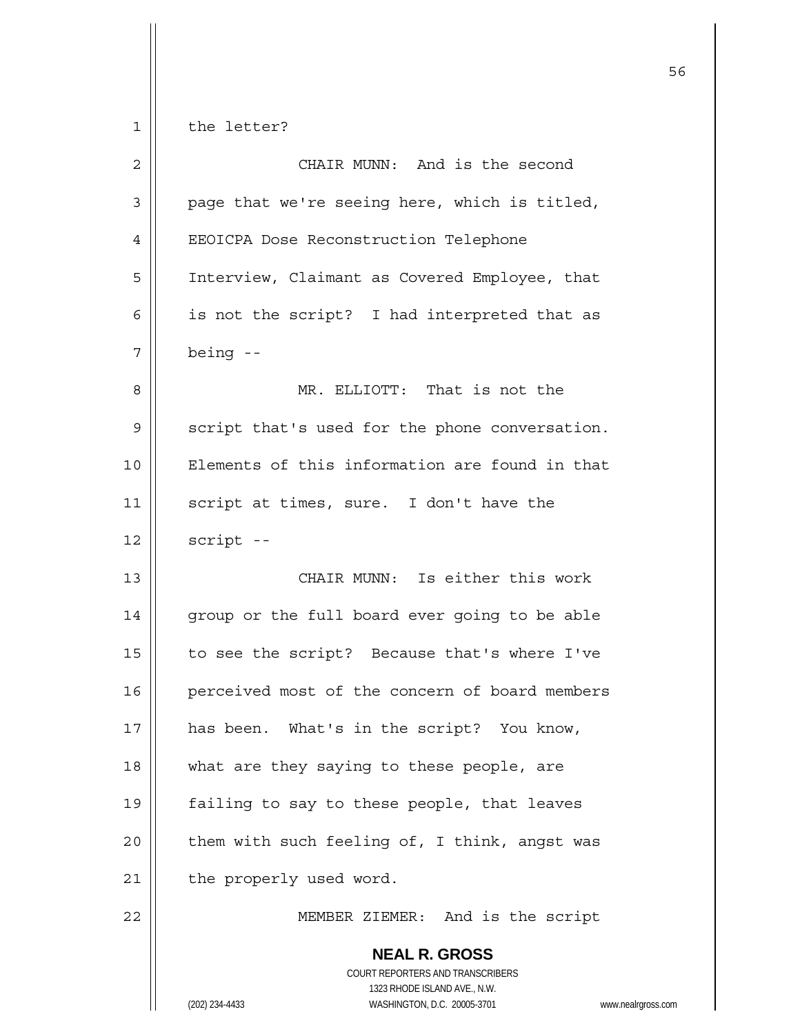| $\overline{2}$ | CHAIR MUNN: And is the second                                                                                                                           |
|----------------|---------------------------------------------------------------------------------------------------------------------------------------------------------|
| 3              | page that we're seeing here, which is titled,                                                                                                           |
| 4              | EEOICPA Dose Reconstruction Telephone                                                                                                                   |
| 5              | Interview, Claimant as Covered Employee, that                                                                                                           |
| 6              | is not the script? I had interpreted that as                                                                                                            |
| 7              | being --                                                                                                                                                |
| 8              | MR. ELLIOTT: That is not the                                                                                                                            |
| 9              | script that's used for the phone conversation.                                                                                                          |
| 10             | Elements of this information are found in that                                                                                                          |
| 11             | script at times, sure. I don't have the                                                                                                                 |
| 12             | script --                                                                                                                                               |
| 13             | CHAIR MUNN: Is either this work                                                                                                                         |
| 14             | group or the full board ever going to be able                                                                                                           |
| 15             | to see the script? Because that's where I've                                                                                                            |
| 16             | perceived most of the concern of board members                                                                                                          |
| 17             | has been. What's in the script? You know,                                                                                                               |
| 18             | what are they saying to these people, are                                                                                                               |
| 19             | failing to say to these people, that leaves                                                                                                             |
| 20             | them with such feeling of, I think, angst was                                                                                                           |
| 21             | the properly used word.                                                                                                                                 |
| 22             | MEMBER ZIEMER: And is the script                                                                                                                        |
|                | <b>NEAL R. GROSS</b><br>COURT REPORTERS AND TRANSCRIBERS<br>1323 RHODE ISLAND AVE., N.W.<br>WASHINGTON, D.C. 20005-3701<br>(202) 234-4433<br><b>WWW</b> |

w.nealrgross.com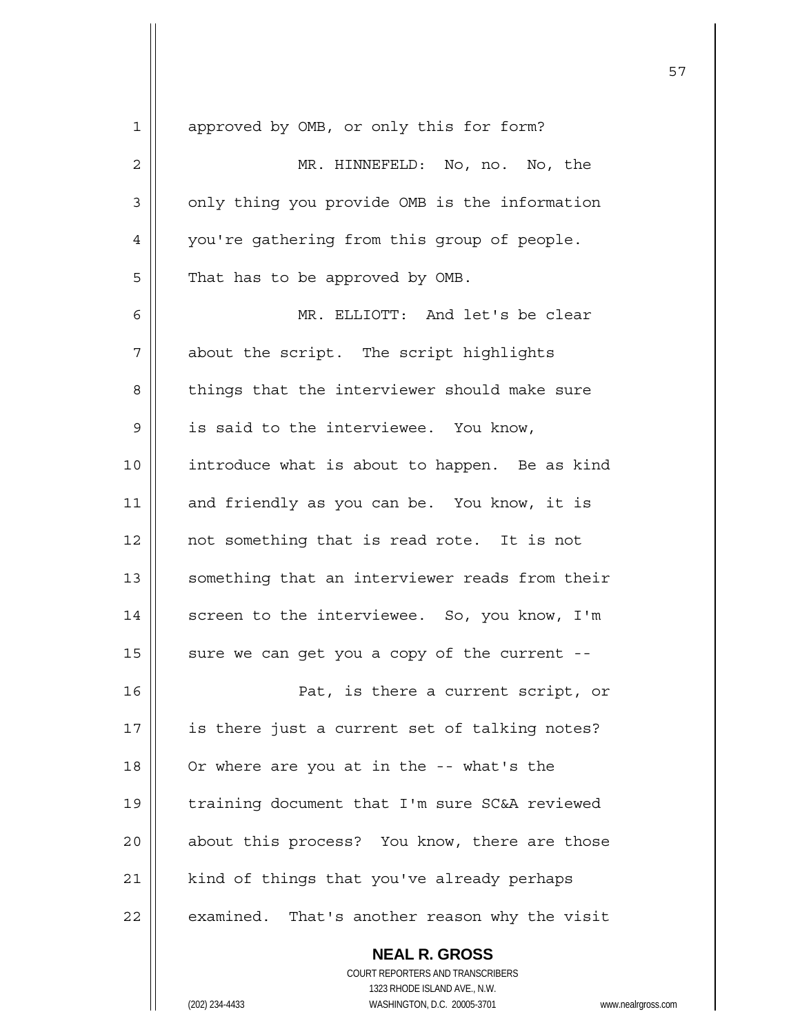| $\mathbf 1$   | approved by OMB, or only this for form?        |
|---------------|------------------------------------------------|
| $\mathbf 2$   | MR. HINNEFELD: No, no. No, the                 |
| 3             | only thing you provide OMB is the information  |
| 4             | you're gathering from this group of people.    |
| 5             | That has to be approved by OMB.                |
| 6             | MR. ELLIOTT: And let's be clear                |
| 7             | about the script. The script highlights        |
| 8             | things that the interviewer should make sure   |
| $\mathcal{G}$ | is said to the interviewee. You know,          |
| 10            | introduce what is about to happen. Be as kind  |
| 11            | and friendly as you can be. You know, it is    |
| 12            | not something that is read rote. It is not     |
| 13            | something that an interviewer reads from their |
| 14            | screen to the interviewee. So, you know, I'm   |
| 15            | sure we can get you a copy of the current --   |
| 16            | Pat, is there a current script, or             |
| 17            | is there just a current set of talking notes?  |
| 18            | Or where are you at in the -- what's the       |
| 19            | training document that I'm sure SC&A reviewed  |
| 20            | about this process? You know, there are those  |
| 21            | kind of things that you've already perhaps     |
| 22            | examined. That's another reason why the visit  |
|               | <b>NEAL R. GROSS</b>                           |

 COURT REPORTERS AND TRANSCRIBERS 1323 RHODE ISLAND AVE., N.W. (202) 234-4433 WASHINGTON, D.C. 20005-3701 www.nealrgross.com

 $\mathsf{I}$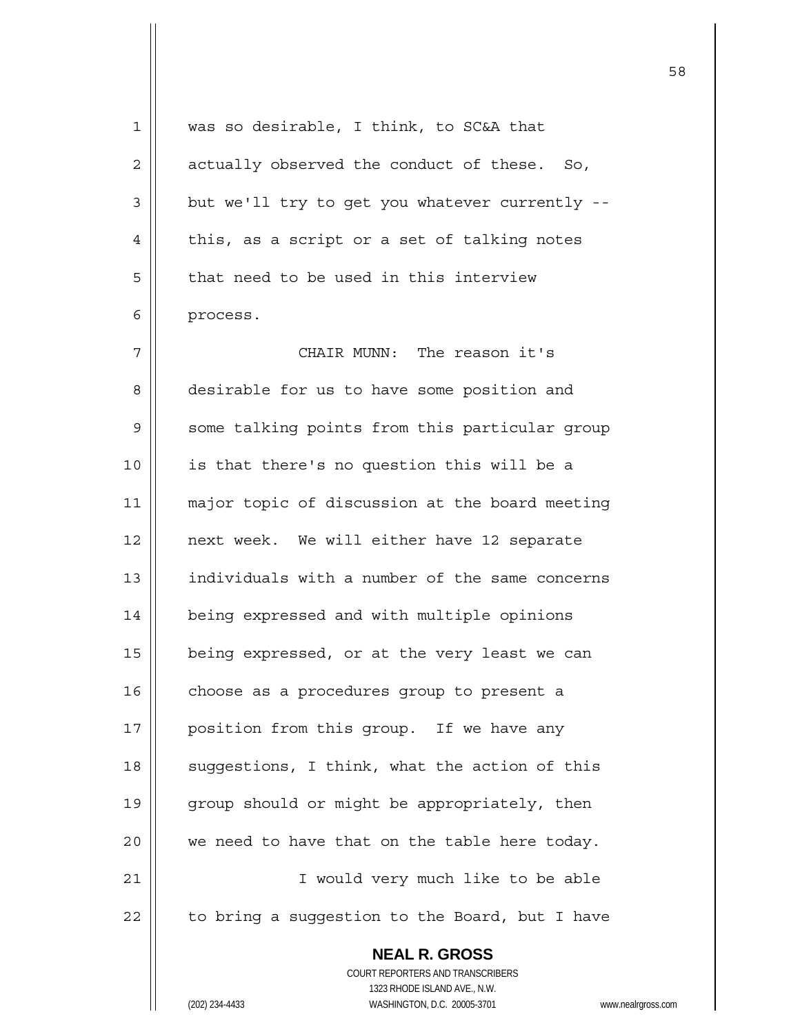| 1  | was so desirable, I think, to SC&A that                  |
|----|----------------------------------------------------------|
| 2  | actually observed the conduct of these. So,              |
| 3  | but we'll try to get you whatever currently --           |
| 4  | this, as a script or a set of talking notes              |
| 5  | that need to be used in this interview                   |
| 6  | process.                                                 |
| 7  | CHAIR MUNN: The reason it's                              |
| 8  | desirable for us to have some position and               |
| 9  | some talking points from this particular group           |
| 10 | is that there's no question this will be a               |
| 11 | major topic of discussion at the board meeting           |
| 12 | next week. We will either have 12 separate               |
| 13 | individuals with a number of the same concerns           |
| 14 | being expressed and with multiple opinions               |
| 15 | being expressed, or at the very least we can             |
| 16 | choose as a procedures group to present a                |
| 17 | position from this group. If we have any                 |
| 18 | suggestions, I think, what the action of this            |
| 19 | group should or might be appropriately, then             |
| 20 | we need to have that on the table here today.            |
| 21 | I would very much like to be able                        |
| 22 | to bring a suggestion to the Board, but I have           |
|    | <b>NEAL R. GROSS</b><br>COURT REPORTERS AND TRANSCRIBERS |

(202) 234-4433 WASHINGTON, D.C. 20005-3701 www.nealrgross.com

 $\mathsf{II}$ 

1323 RHODE ISLAND AVE., N.W.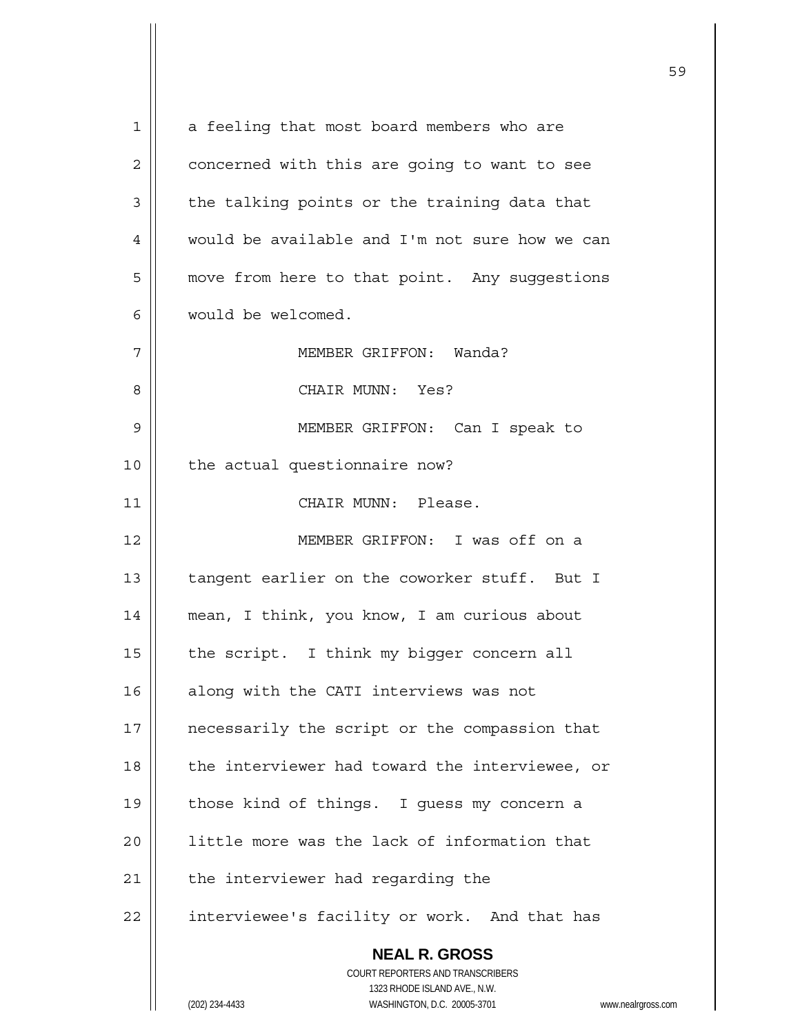**NEAL R. GROSS** COURT REPORTERS AND TRANSCRIBERS 1323 RHODE ISLAND AVE., N.W. (202) 234-4433 WASHINGTON, D.C. 20005-3701 www.nealrgross.com 1 | a feeling that most board members who are  $2 \parallel$  concerned with this are going to want to see  $3 \parallel$  the talking points or the training data that 4 | would be available and I'm not sure how we can 5 | move from here to that point. Any suggestions 6 would be welcomed. 7 MEMBER GRIFFON: Wanda? 8 CHAIR MUNN: Yes? 9 MEMBER GRIFFON: Can I speak to 10 || the actual questionnaire now? 11 CHAIR MUNN: Please. 12 MEMBER GRIFFON: I was off on a 13 || tangent earlier on the coworker stuff. But I 14 mean, I think, you know, I am curious about 15  $\parallel$  the script. I think my bigger concern all 16 || along with the CATI interviews was not 17 || necessarily the script or the compassion that 18 || the interviewer had toward the interviewee, or 19 || those kind of things. I guess my concern a 20 || little more was the lack of information that  $21$  | the interviewer had regarding the 22 | interviewee's facility or work. And that has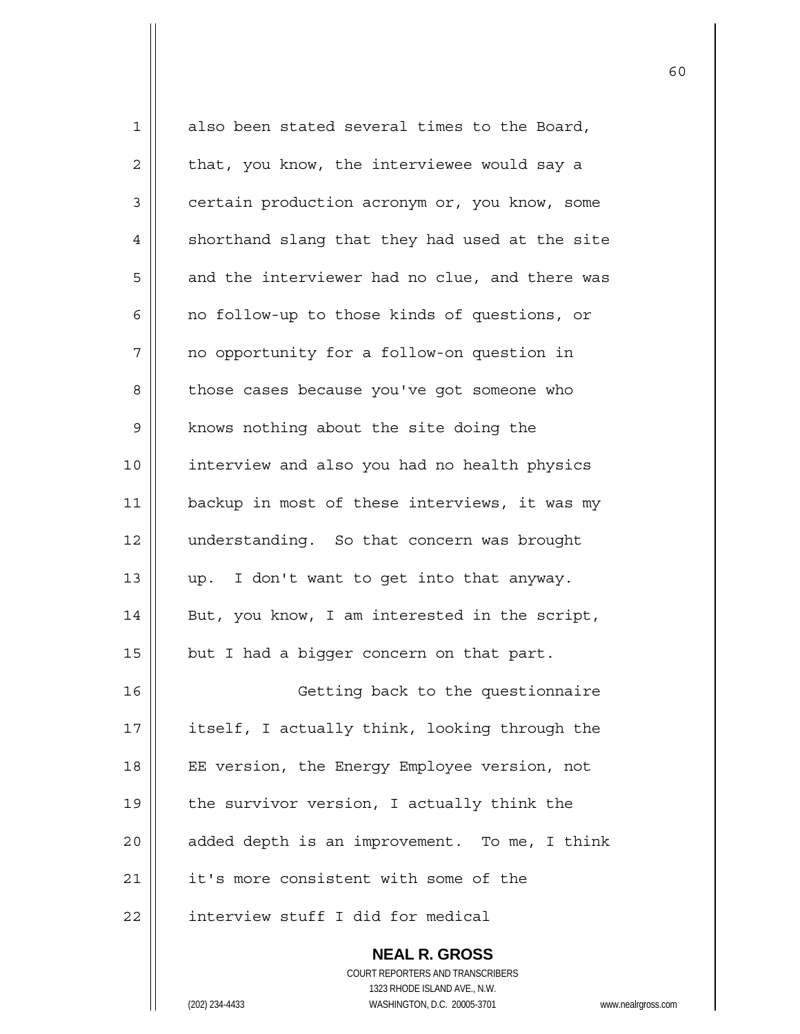| $\mathbf 1$ | also been stated several times to the Board,   |
|-------------|------------------------------------------------|
| 2           | that, you know, the interviewee would say a    |
| 3           | certain production acronym or, you know, some  |
| 4           | shorthand slang that they had used at the site |
| 5           | and the interviewer had no clue, and there was |
| 6           | no follow-up to those kinds of questions, or   |
| 7           | no opportunity for a follow-on question in     |
| 8           | those cases because you've got someone who     |
| 9           | knows nothing about the site doing the         |
| 10          | interview and also you had no health physics   |
| 11          | backup in most of these interviews, it was my  |
| 12          | understanding. So that concern was brought     |
| 13          | up. I don't want to get into that anyway.      |
| 14          | But, you know, I am interested in the script,  |
| 15          | but I had a bigger concern on that part.       |
| 16          | Getting back to the questionnaire              |
| 17          | itself, I actually think, looking through the  |
| 18          | EE version, the Energy Employee version, not   |
| 19          | the survivor version, I actually think the     |
| 20          | added depth is an improvement. To me, I think  |
| 21          | it's more consistent with some of the          |
| 22          | interview stuff I did for medical              |
|             | <b>NEAL R. GROSS</b>                           |

 COURT REPORTERS AND TRANSCRIBERS 1323 RHODE ISLAND AVE., N.W. (202) 234-4433 WASHINGTON, D.C. 20005-3701 www.nealrgross.com

 $\mathsf{I}$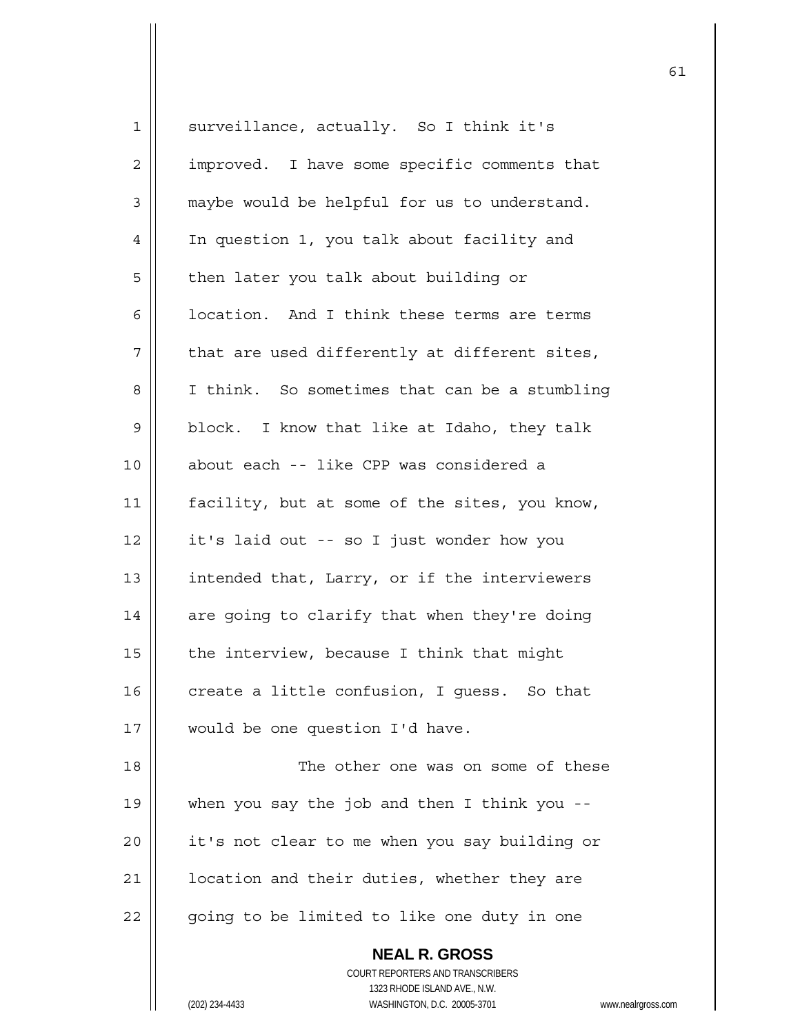| $\mathbf 1$    | surveillance, actually. So I think it's       |
|----------------|-----------------------------------------------|
| $\overline{2}$ | improved. I have some specific comments that  |
| 3              | maybe would be helpful for us to understand.  |
| 4              | In question 1, you talk about facility and    |
| 5              | then later you talk about building or         |
| 6              | location. And I think these terms are terms   |
| 7              | that are used differently at different sites, |
| 8              | I think. So sometimes that can be a stumbling |
| 9              | block. I know that like at Idaho, they talk   |
| 10             | about each -- like CPP was considered a       |
| 11             | facility, but at some of the sites, you know, |
| 12             | it's laid out -- so I just wonder how you     |
| 13             | intended that, Larry, or if the interviewers  |
| 14             | are going to clarify that when they're doing  |
| 15             | the interview, because I think that might     |
| 16             | create a little confusion, I guess. So that   |
| 17             | would be one question I'd have.               |
| 18             | The other one was on some of these            |
| 19             | when you say the job and then I think you $-$ |
| 20             | it's not clear to me when you say building or |
| 21             | location and their duties, whether they are   |
| 22             | going to be limited to like one duty in one   |
|                | <b>NEAL R. GROSS</b>                          |

 COURT REPORTERS AND TRANSCRIBERS 1323 RHODE ISLAND AVE., N.W. (202) 234-4433 WASHINGTON, D.C. 20005-3701 www.nealrgross.com

 $\mathsf{II}$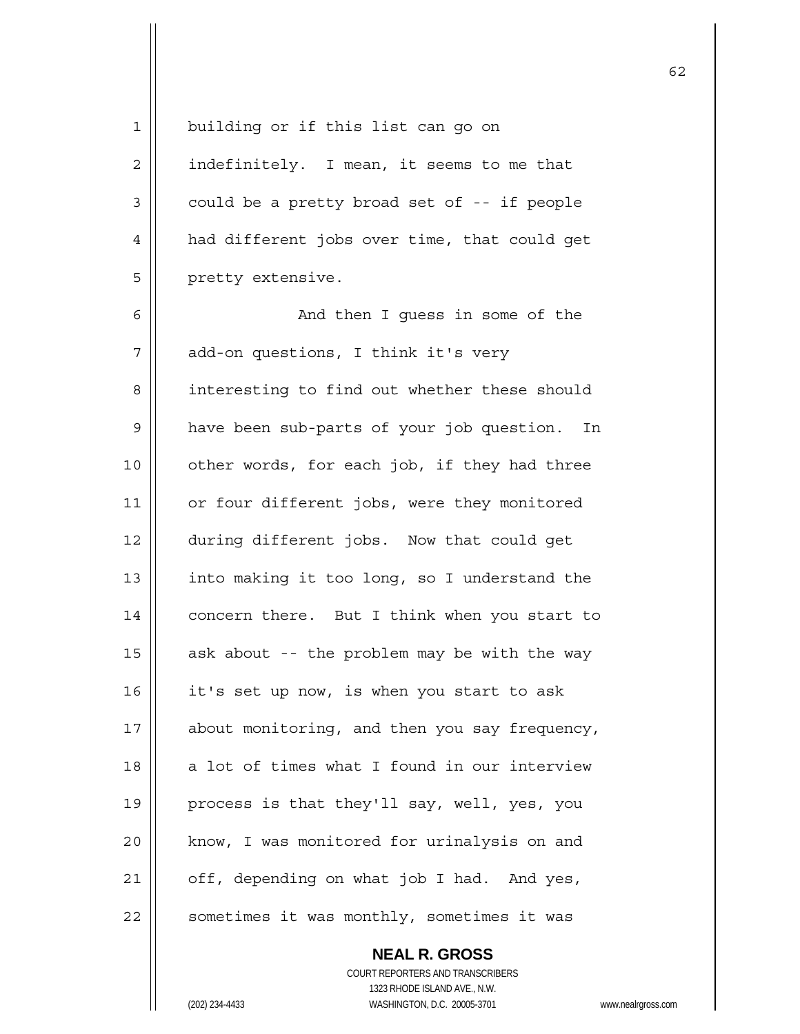1 || building or if this list can go on  $2 \parallel$  indefinitely. I mean, it seems to me that  $3 \parallel$  could be a pretty broad set of -- if people 4 | had different jobs over time, that could get 5 | pretty extensive. 6 And then I guess in some of the 7 | add-on questions, I think it's very 8 | interesting to find out whether these should 9 | have been sub-parts of your job question. In 10 || other words, for each job, if they had three 11 | or four different jobs, were they monitored 12 during different jobs. Now that could get 13  $\parallel$  into making it too long, so I understand the 14 | concern there. But I think when you start to 15  $\parallel$  ask about -- the problem may be with the way 16  $\parallel$  it's set up now, is when you start to ask 17 || about monitoring, and then you say frequency,  $18$  || a lot of times what I found in our interview 19 || process is that they'll say, well, yes, you 20 || know, I was monitored for urinalysis on and  $21$  | off, depending on what job I had. And yes, 22 | sometimes it was monthly, sometimes it was

62

 **NEAL R. GROSS** COURT REPORTERS AND TRANSCRIBERS 1323 RHODE ISLAND AVE., N.W. (202) 234-4433 WASHINGTON, D.C. 20005-3701 www.nealrgross.com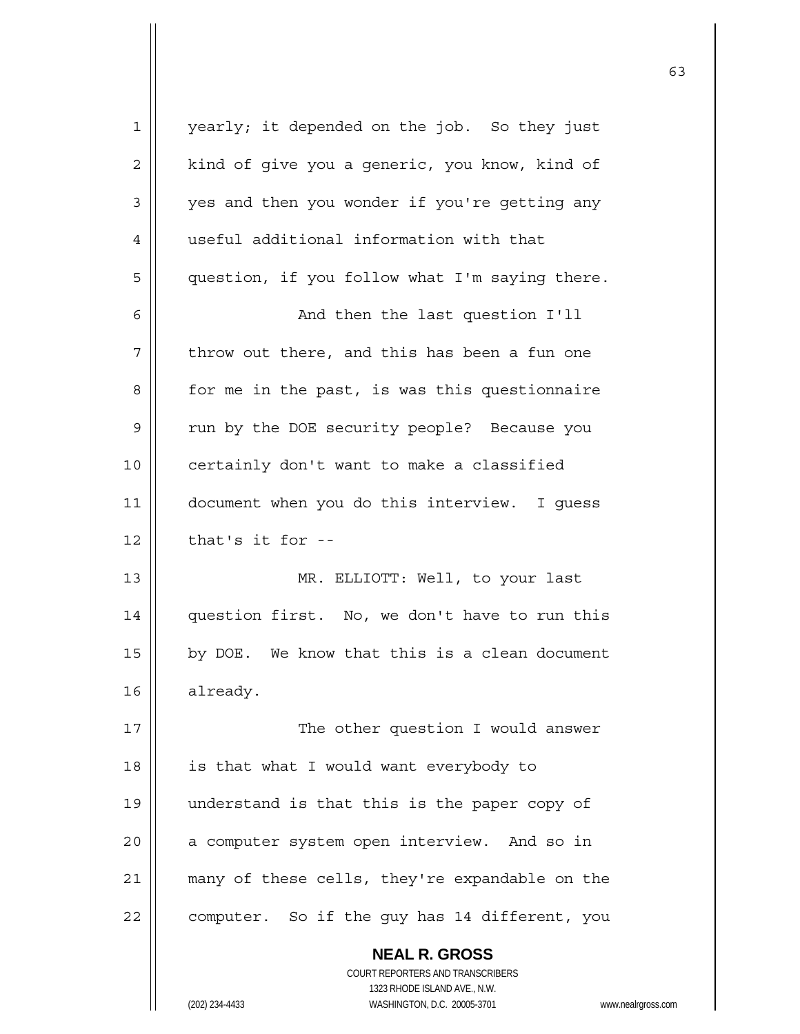| $\mathbf 1$ | yearly; it depended on the job. So they just   |
|-------------|------------------------------------------------|
| 2           | kind of give you a generic, you know, kind of  |
| 3           | yes and then you wonder if you're getting any  |
| 4           | useful additional information with that        |
| 5           | question, if you follow what I'm saying there. |
| 6           | And then the last question I'll                |
| 7           | throw out there, and this has been a fun one   |
| 8           | for me in the past, is was this questionnaire  |
| 9           | run by the DOE security people? Because you    |
| 10          | certainly don't want to make a classified      |
| 11          | document when you do this interview. I guess   |
| 12          | that's it for --                               |
| 13          | MR. ELLIOTT: Well, to your last                |
| 14          | question first. No, we don't have to run this  |
| 15          | by DOE. We know that this is a clean document  |
| 16          | already.                                       |
| 17          | The other question I would answer              |
| 18          | is that what I would want everybody to         |
| 19          | understand is that this is the paper copy of   |
| 20          | a computer system open interview. And so in    |
| 21          | many of these cells, they're expandable on the |
| 22          | computer. So if the guy has 14 different, you  |
|             | <b>NEAL R. GROSS</b>                           |

 COURT REPORTERS AND TRANSCRIBERS 1323 RHODE ISLAND AVE., N.W. (202) 234-4433 WASHINGTON, D.C. 20005-3701 www.nealrgross.com

 $\mathbf{I}$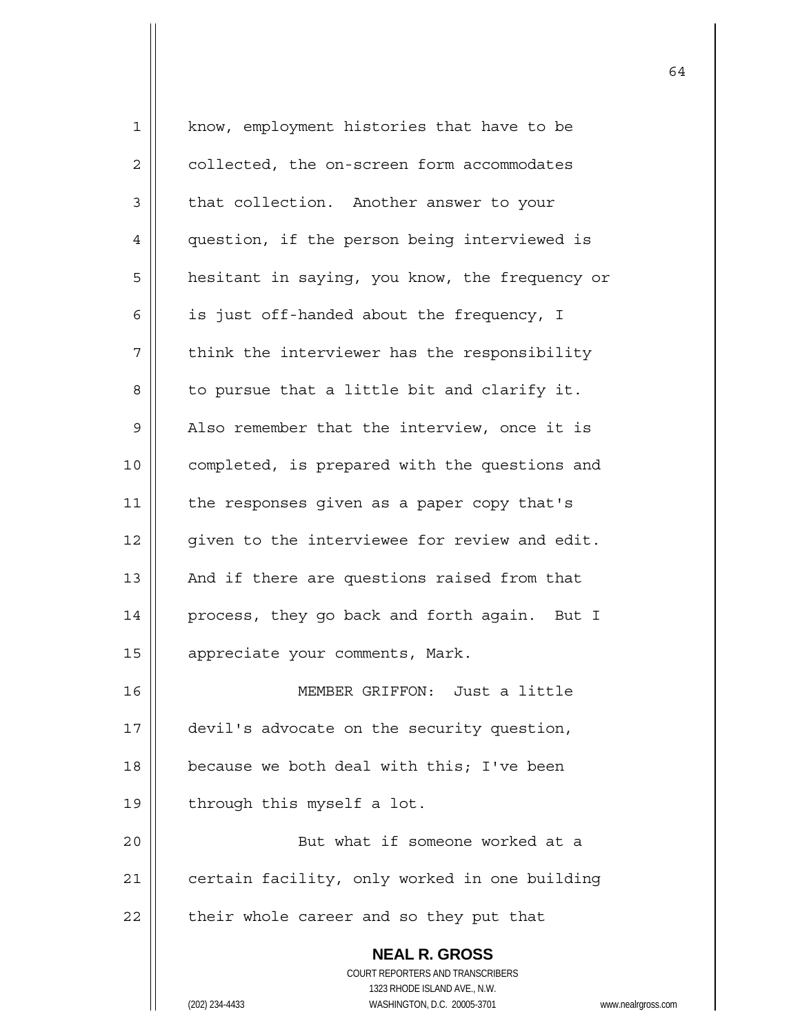| $\mathbf 1$    | know, employment histories that have to be                                               |
|----------------|------------------------------------------------------------------------------------------|
| $\overline{2}$ | collected, the on-screen form accommodates                                               |
| 3              | that collection. Another answer to your                                                  |
| 4              | question, if the person being interviewed is                                             |
| 5              | hesitant in saying, you know, the frequency or                                           |
| 6              | is just off-handed about the frequency, I                                                |
| 7              | think the interviewer has the responsibility                                             |
| 8              | to pursue that a little bit and clarify it.                                              |
| 9              | Also remember that the interview, once it is                                             |
| 10             | completed, is prepared with the questions and                                            |
| 11             | the responses given as a paper copy that's                                               |
| 12             | given to the interviewee for review and edit.                                            |
| 13             | And if there are questions raised from that                                              |
| 14             | process, they go back and forth again. But I                                             |
| 15             | appreciate your comments, Mark.                                                          |
| 16             | MEMBER GRIFFON: Just a little                                                            |
| 17             | devil's advocate on the security question,                                               |
| 18             | because we both deal with this; I've been                                                |
| 19             | through this myself a lot.                                                               |
| 20             | But what if someone worked at a                                                          |
| 21             | certain facility, only worked in one building                                            |
| 22             | their whole career and so they put that                                                  |
|                | <b>NEAL R. GROSS</b><br>COURT REPORTERS AND TRANSCRIBERS<br>1323 RHODE ISLAND AVE., N.W. |
|                | WASHINGTON, D.C. 20005-3701<br>(202) 234-4433<br>WWW.                                    |

(202) 234-4433 WASHINGTON, D.C. 20005-3701 www.nealrgross.com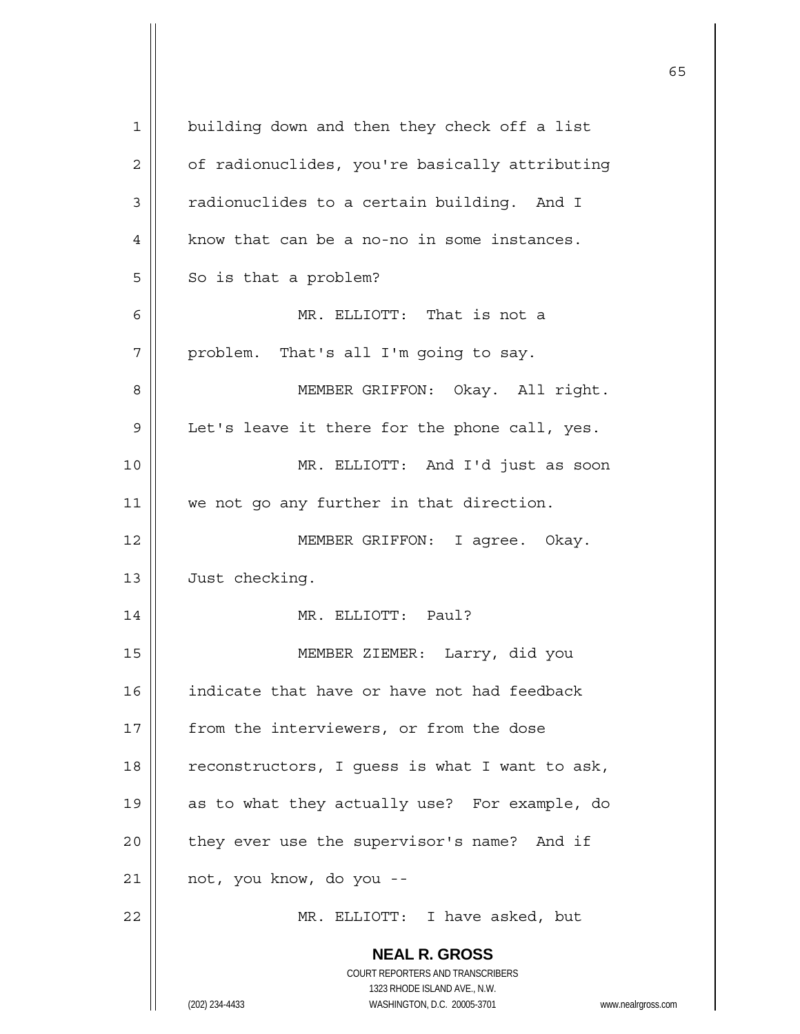| $\mathbf 1$ | building down and then they check off a list                            |
|-------------|-------------------------------------------------------------------------|
| 2           | of radionuclides, you're basically attributing                          |
| 3           | radionuclides to a certain building. And I                              |
| 4           | know that can be a no-no in some instances.                             |
| 5           | So is that a problem?                                                   |
| 6           | MR. ELLIOTT: That is not a                                              |
| 7           | problem. That's all I'm going to say.                                   |
| 8           | MEMBER GRIFFON: Okay. All right.                                        |
| 9           | Let's leave it there for the phone call, yes.                           |
| 10          | MR. ELLIOTT: And I'd just as soon                                       |
| 11          | we not go any further in that direction.                                |
| 12          | MEMBER GRIFFON: I agree. Okay.                                          |
| 13          | Just checking.                                                          |
| 14          | MR. ELLIOTT: Paul?                                                      |
| 15          | MEMBER ZIEMER: Larry, did you                                           |
| 16          | indicate that have or have not had feedback                             |
| 17          | from the interviewers, or from the dose                                 |
| 18          | reconstructors, I guess is what I want to ask,                          |
|             |                                                                         |
| 19          | as to what they actually use? For example, do                           |
| 20          | they ever use the supervisor's name? And if                             |
| 21          | not, you know, do you --                                                |
| 22          | MR. ELLIOTT: I have asked, but                                          |
|             | <b>NEAL R. GROSS</b>                                                    |
|             | <b>COURT REPORTERS AND TRANSCRIBERS</b><br>1323 RHODE ISLAND AVE., N.W. |
|             | (202) 234-4433<br>WASHINGTON, D.C. 20005-3701<br>www.nealrgross.com     |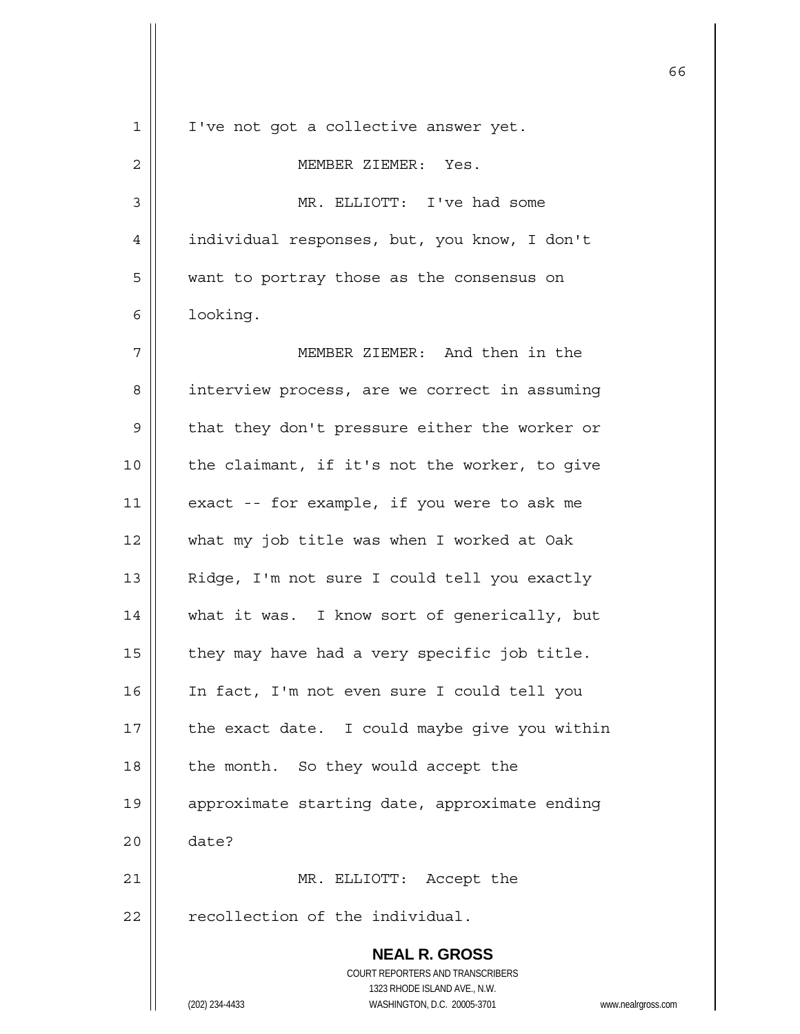| $\mathbf{1}$ | I've not got a collective answer yet.                                                               |
|--------------|-----------------------------------------------------------------------------------------------------|
| $\mathbf{2}$ | MEMBER ZIEMER: Yes.                                                                                 |
| 3            | MR. ELLIOTT: I've had some                                                                          |
| 4            | individual responses, but, you know, I don't                                                        |
| 5            | want to portray those as the consensus on                                                           |
| 6            | looking.                                                                                            |
| 7            | MEMBER ZIEMER: And then in the                                                                      |
| 8            | interview process, are we correct in assuming                                                       |
| 9            | that they don't pressure either the worker or                                                       |
| 10           | the claimant, if it's not the worker, to give                                                       |
| 11           | exact -- for example, if you were to ask me                                                         |
| 12           | what my job title was when I worked at Oak                                                          |
| 13           | Ridge, I'm not sure I could tell you exactly                                                        |
| 14           | what it was. I know sort of generically, but                                                        |
| 15           | they may have had a very specific job title.                                                        |
| 16           | In fact, I'm not even sure I could tell you                                                         |
| 17           | the exact date. I could maybe give you within                                                       |
| 18           | the month. So they would accept the                                                                 |
| 19           | approximate starting date, approximate ending                                                       |
| 20           | date?                                                                                               |
| 21           | MR. ELLIOTT: Accept the                                                                             |
| 22           | recollection of the individual.                                                                     |
|              | <b>NEAL R. GROSS</b>                                                                                |
|              | <b>COURT REPORTERS AND TRANSCRIBERS</b>                                                             |
|              | 1323 RHODE ISLAND AVE., N.W.<br>(202) 234-4433<br>WASHINGTON, D.C. 20005-3701<br>www.nealrgross.com |

 $\sim$  66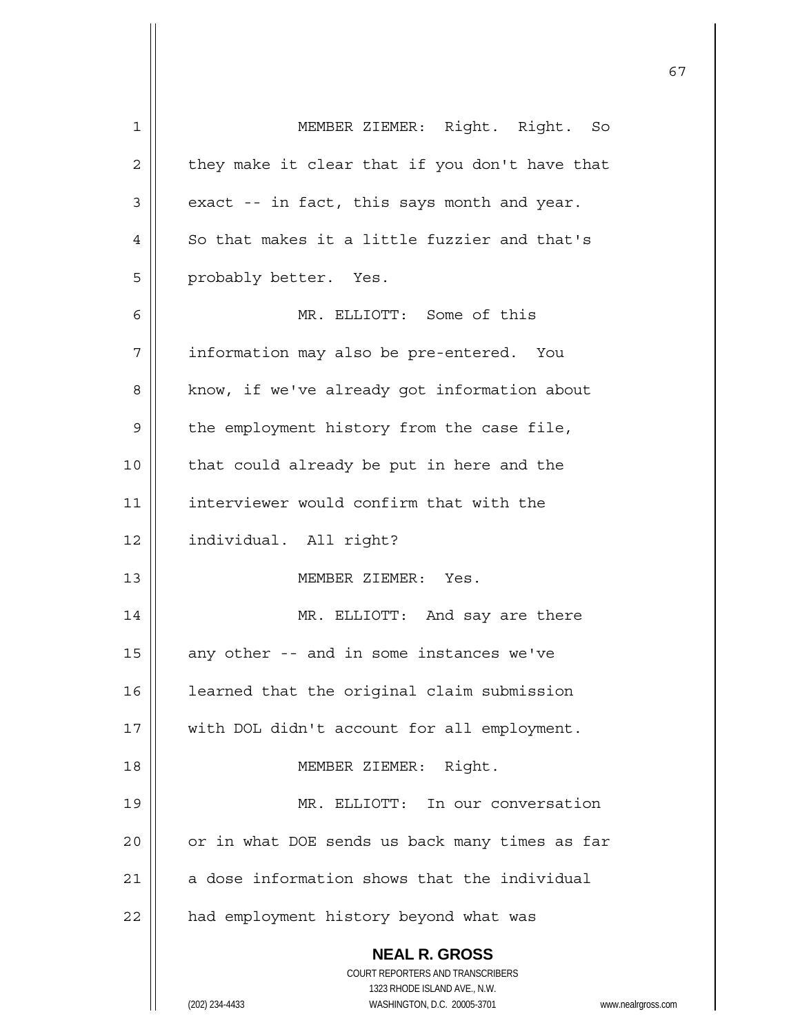| 1            | MEMBER ZIEMER: Right. Right. So                                                                     |
|--------------|-----------------------------------------------------------------------------------------------------|
| $\mathbf{2}$ | they make it clear that if you don't have that                                                      |
| 3            | exact -- in fact, this says month and year.                                                         |
| 4            | So that makes it a little fuzzier and that's                                                        |
| 5            | probably better. Yes.                                                                               |
| 6            | MR. ELLIOTT: Some of this                                                                           |
| 7            | information may also be pre-entered. You                                                            |
| 8            | know, if we've already got information about                                                        |
| 9            | the employment history from the case file,                                                          |
| 10           | that could already be put in here and the                                                           |
| 11           | interviewer would confirm that with the                                                             |
| 12           | individual. All right?                                                                              |
| 13           | MEMBER ZIEMER: Yes.                                                                                 |
| 14           | MR. ELLIOTT: And say are there                                                                      |
| 15           | any other -- and in some instances we've                                                            |
| 16           | learned that the original claim submission                                                          |
| 17           | with DOL didn't account for all employment.                                                         |
| 18           | Right.<br>MEMBER ZIEMER:                                                                            |
| 19           | MR. ELLIOTT: In our conversation                                                                    |
| 20           | or in what DOE sends us back many times as far                                                      |
| 21           | a dose information shows that the individual                                                        |
| 22           | had employment history beyond what was                                                              |
|              | <b>NEAL R. GROSS</b>                                                                                |
|              | COURT REPORTERS AND TRANSCRIBERS                                                                    |
|              | 1323 RHODE ISLAND AVE., N.W.<br>(202) 234-4433<br>WASHINGTON, D.C. 20005-3701<br>www.nealrgross.com |
|              |                                                                                                     |

 $\mathsf{I}$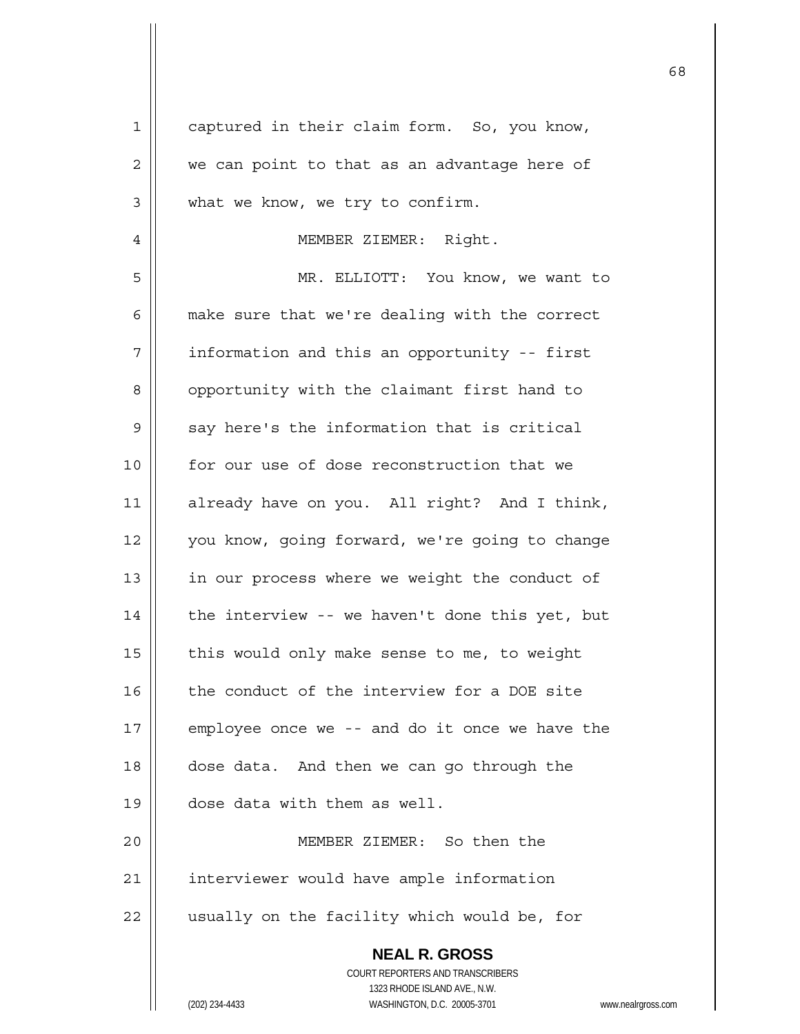| $\mathbf 1$ | captured in their claim form. So, you know,                                              |
|-------------|------------------------------------------------------------------------------------------|
| 2           | we can point to that as an advantage here of                                             |
| $\mathsf 3$ | what we know, we try to confirm.                                                         |
| 4           | MEMBER ZIEMER: Right.                                                                    |
| 5           | MR. ELLIOTT: You know, we want to                                                        |
| 6           | make sure that we're dealing with the correct                                            |
| 7           | information and this an opportunity -- first                                             |
| 8           | opportunity with the claimant first hand to                                              |
| 9           | say here's the information that is critical                                              |
| 10          | for our use of dose reconstruction that we                                               |
| 11          | already have on you. All right? And I think,                                             |
| 12          | you know, going forward, we're going to change                                           |
| 13          | in our process where we weight the conduct of                                            |
| 14          | the interview -- we haven't done this yet, but                                           |
| 15          | this would only make sense to me, to weight                                              |
| 16          | the conduct of the interview for a DOE site                                              |
| 17          | employee once we -- and do it once we have the                                           |
| 18          | dose data. And then we can go through the                                                |
| 19          | dose data with them as well.                                                             |
| 20          | MEMBER ZIEMER: So then the                                                               |
| 21          | interviewer would have ample information                                                 |
| 22          | usually on the facility which would be, for                                              |
|             | <b>NEAL R. GROSS</b><br>COURT REPORTERS AND TRANSCRIBERS<br>1323 RHODE ISLAND AVE., N.W. |
|             | (202) 234-4433<br>WASHINGTON, D.C. 20005-3701<br>www.n                                   |

 $\mathsf{I}$ 

(202) 234-4433 WASHINGTON, D.C. 20005-3701 www.nealrgross.com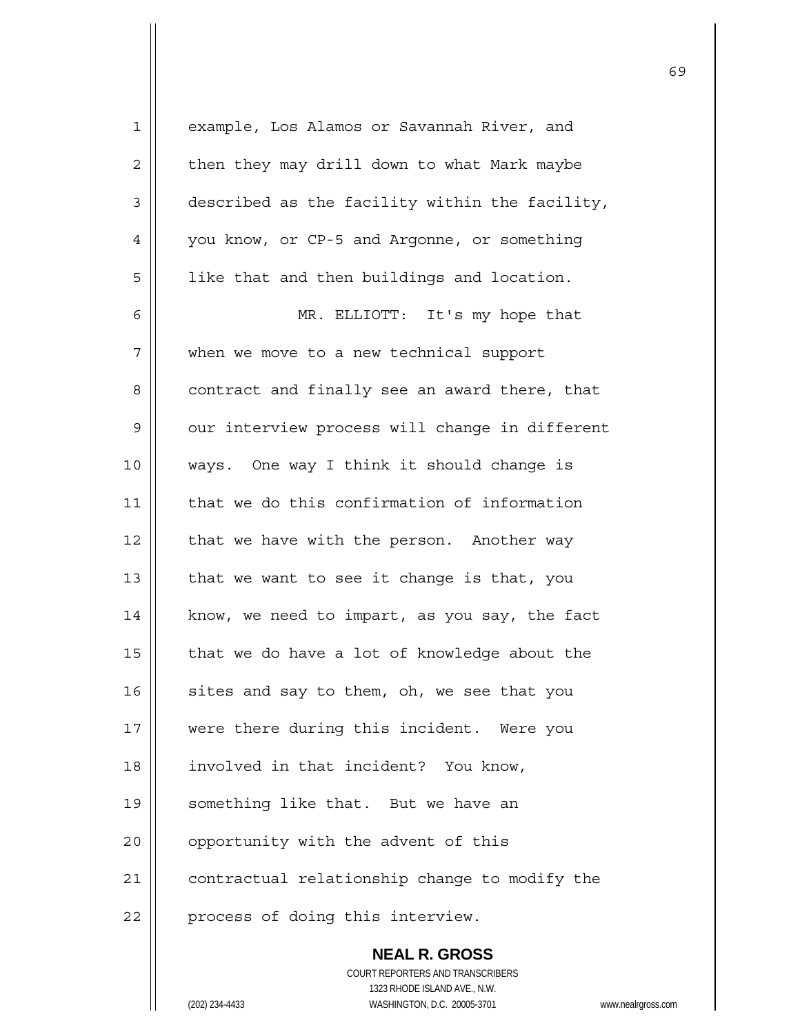| 1           | example, Los Alamos or Savannah River, and               |
|-------------|----------------------------------------------------------|
| 2           | then they may drill down to what Mark maybe              |
| 3           | described as the facility within the facility,           |
| 4           | you know, or CP-5 and Argonne, or something              |
| 5           | like that and then buildings and location.               |
| 6           | MR. ELLIOTT: It's my hope that                           |
| 7           | when we move to a new technical support                  |
| 8           | contract and finally see an award there, that            |
| $\mathsf 9$ | our interview process will change in different           |
| 10          | ways. One way I think it should change is                |
| 11          | that we do this confirmation of information              |
| 12          | that we have with the person. Another way                |
| 13          | that we want to see it change is that, you               |
| 14          | know, we need to impart, as you say, the fact            |
| 15          | that we do have a lot of knowledge about the             |
| 16          | sites and say to them, oh, we see that you               |
| 17          | were there during this incident. Were you                |
| 18          | involved in that incident? You know,                     |
| 19          | something like that. But we have an                      |
| 20          | opportunity with the advent of this                      |
| 21          | contractual relationship change to modify the            |
| 22          | process of doing this interview.                         |
|             | <b>NEAL R. GROSS</b><br>COURT REPORTERS AND TRANSCRIBERS |

1323 RHODE ISLAND AVE., N.W.

 $\prod$ 

(202) 234-4433 WASHINGTON, D.C. 20005-3701 www.nealrgross.com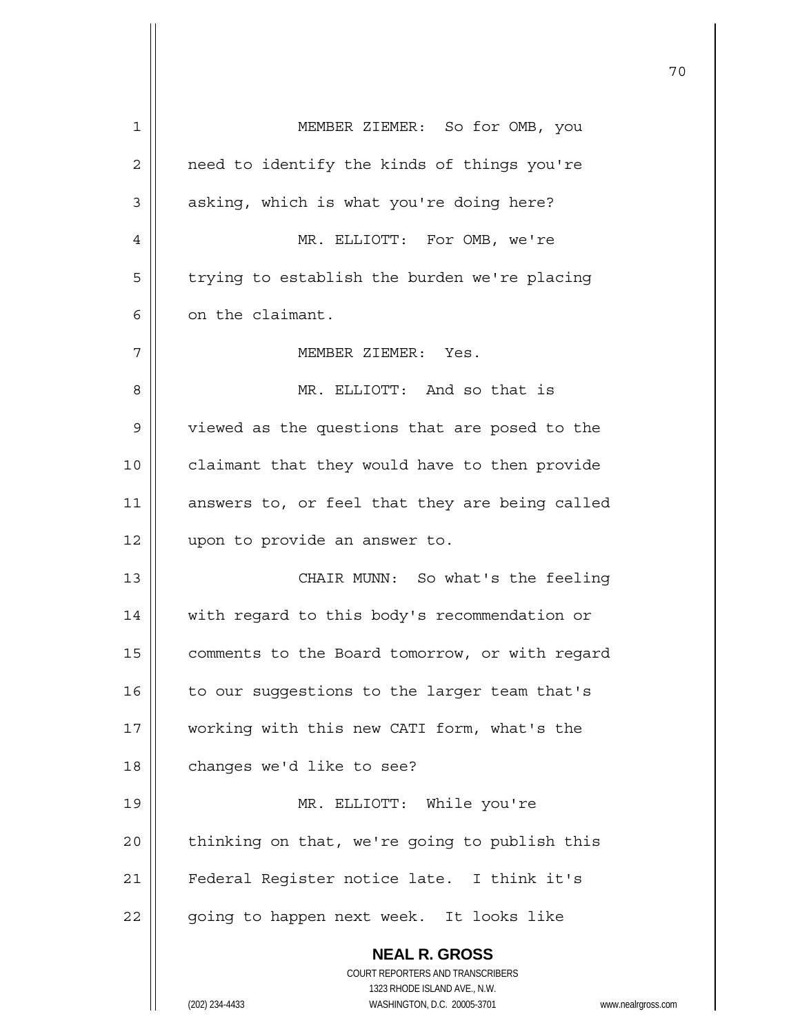|    |                                                                  | 70                 |
|----|------------------------------------------------------------------|--------------------|
| 1  | MEMBER ZIEMER: So for OMB, you                                   |                    |
| 2  | need to identify the kinds of things you're                      |                    |
| 3  | asking, which is what you're doing here?                         |                    |
| 4  | MR. ELLIOTT: For OMB, we're                                      |                    |
| 5  | trying to establish the burden we're placing                     |                    |
| 6  | on the claimant.                                                 |                    |
| 7  | MEMBER ZIEMER: Yes.                                              |                    |
| 8  | MR. ELLIOTT: And so that is                                      |                    |
| 9  | viewed as the questions that are posed to the                    |                    |
| 10 | claimant that they would have to then provide                    |                    |
| 11 | answers to, or feel that they are being called                   |                    |
| 12 | upon to provide an answer to.                                    |                    |
| 13 | CHAIR MUNN: So what's the feeling                                |                    |
| 14 | with regard to this body's recommendation or                     |                    |
| 15 | comments to the Board tomorrow, or with regard                   |                    |
| 16 | to our suggestions to the larger team that's                     |                    |
| 17 | working with this new CATI form, what's the                      |                    |
| 18 | changes we'd like to see?                                        |                    |
| 19 | MR. ELLIOTT: While you're                                        |                    |
| 20 | thinking on that, we're going to publish this                    |                    |
| 21 | Federal Register notice late. I think it's                       |                    |
| 22 | going to happen next week. It looks like                         |                    |
|    | <b>NEAL R. GROSS</b>                                             |                    |
|    | COURT REPORTERS AND TRANSCRIBERS<br>1323 RHODE ISLAND AVE., N.W. |                    |
|    | (202) 234-4433<br>WASHINGTON, D.C. 20005-3701                    | www.nealrgross.com |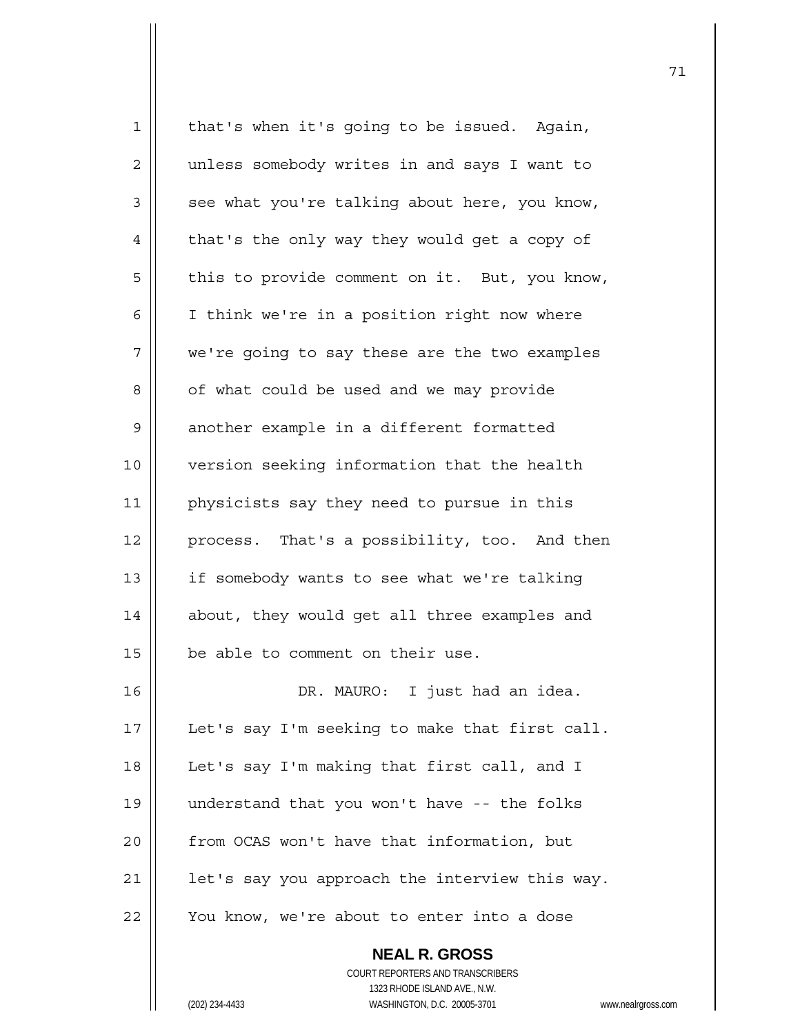| $\mathbf 1$ | that's when it's going to be issued. Again,              |
|-------------|----------------------------------------------------------|
| 2           | unless somebody writes in and says I want to             |
| 3           | see what you're talking about here, you know,            |
| 4           | that's the only way they would get a copy of             |
| 5           | this to provide comment on it. But, you know,            |
| 6           | I think we're in a position right now where              |
| 7           | we're going to say these are the two examples            |
| 8           | of what could be used and we may provide                 |
| 9           | another example in a different formatted                 |
| 10          | version seeking information that the health              |
| 11          | physicists say they need to pursue in this               |
| 12          | process. That's a possibility, too. And then             |
| 13          | if somebody wants to see what we're talking              |
| 14          | about, they would get all three examples and             |
| 15          | be able to comment on their use.                         |
| 16          | DR. MAURO: I just had an idea.                           |
| 17          | Let's say I'm seeking to make that first call.           |
| 18          | Let's say I'm making that first call, and I              |
| 19          | understand that you won't have -- the folks              |
| 20          | from OCAS won't have that information, but               |
| 21          | let's say you approach the interview this way.           |
| 22          | You know, we're about to enter into a dose               |
|             | <b>NEAL R. GROSS</b><br>COURT REPORTERS AND TRANSCRIBERS |

(202) 234-4433 WASHINGTON, D.C. 20005-3701 www.nealrgross.com

 $\mathsf{II}$ 

1323 RHODE ISLAND AVE., N.W.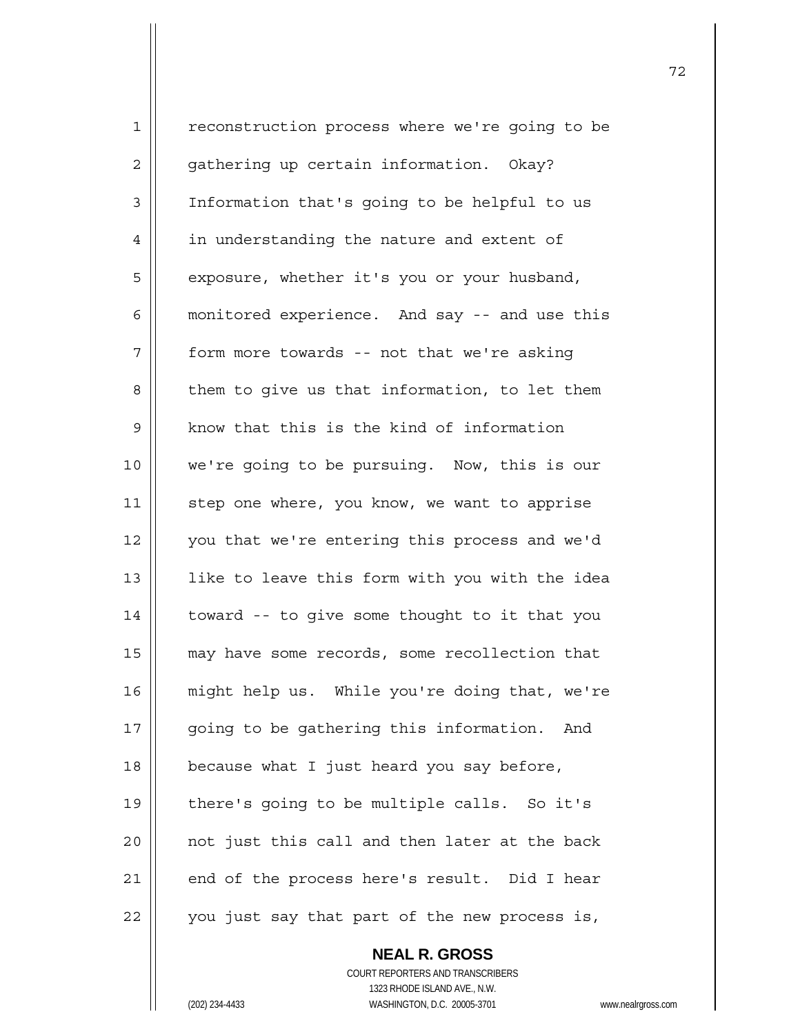1 | reconstruction process where we're going to be 2 | gathering up certain information. Okay? 3 | Information that's going to be helpful to us 4 | in understanding the nature and extent of 5 | exposure, whether it's you or your husband, 6 | monitored experience. And say -- and use this  $7$  | form more towards -- not that we're asking  $8 \parallel$  them to give us that information, to let them  $9$  | know that this is the kind of information 10 || we're going to be pursuing. Now, this is our 11 || step one where, you know, we want to apprise 12 || you that we're entering this process and we'd  $13$  || 1ike to leave this form with you with the idea  $14$  | toward -- to give some thought to it that you 15 | may have some records, some recollection that 16 || might help us. While you're doing that, we're 17 || going to be gathering this information. And  $18$  | because what I just heard you say before, 19 || there's going to be multiple calls. So it's  $20$  || not just this call and then later at the back  $21$  | end of the process here's result. Did I hear  $22$  | you just say that part of the new process is,

> **NEAL R. GROSS** COURT REPORTERS AND TRANSCRIBERS 1323 RHODE ISLAND AVE., N.W. (202) 234-4433 WASHINGTON, D.C. 20005-3701 www.nealrgross.com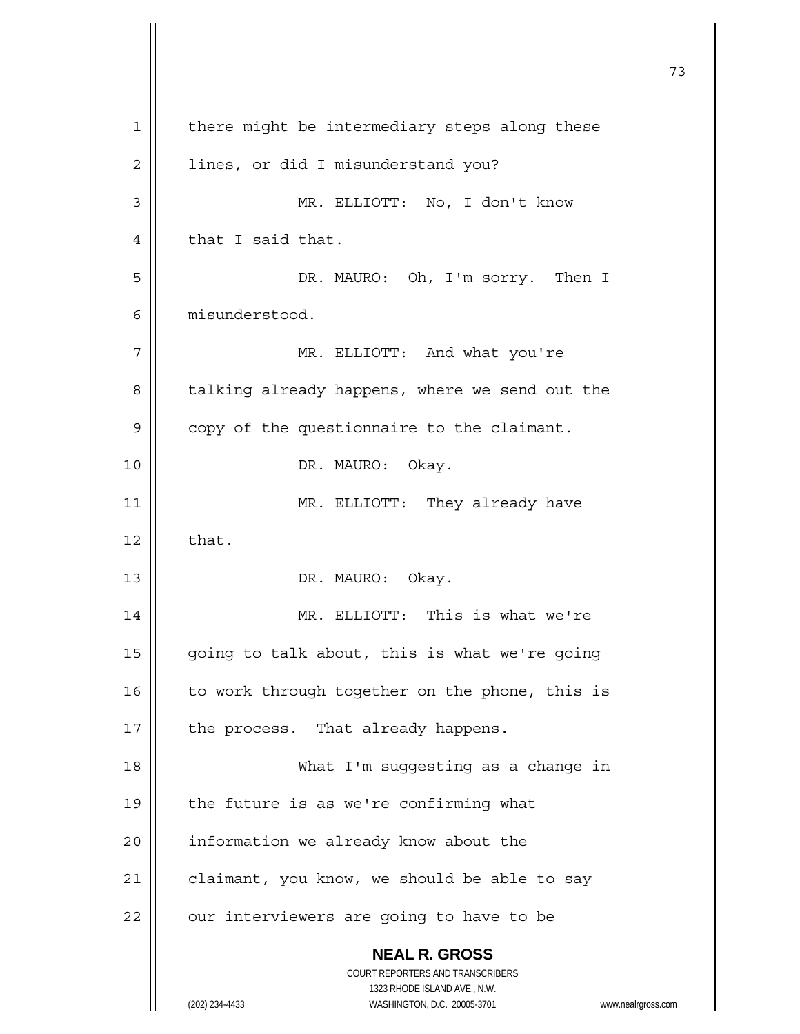**NEAL R. GROSS** COURT REPORTERS AND TRANSCRIBERS 1323 RHODE ISLAND AVE., N.W. (202) 234-4433 WASHINGTON, D.C. 20005-3701 www.nealrgross.com 73 1 | there might be intermediary steps along these 2 | lines, or did I misunderstand you? 3 MR. ELLIOTT: No, I don't know  $4 \parallel$  that I said that. 5 DR. MAURO: Oh, I'm sorry. Then I 6 misunderstood. 7 MR. ELLIOTT: And what you're 8 | talking already happens, where we send out the 9 | copy of the questionnaire to the claimant. 10 || DR. MAURO: Okay. 11 || MR. ELLIOTT: They already have  $12 \parallel$  that. 13 || DR. MAURO: Okay. 14 || MR. ELLIOTT: This is what we're 15  $\parallel$  going to talk about, this is what we're going 16  $\parallel$  to work through together on the phone, this is  $17$  | the process. That already happens. 18 What I'm suggesting as a change in  $19$  | the future is as we're confirming what 20 | information we already know about the  $21$  | claimant, you know, we should be able to say  $22$  | our interviewers are going to have to be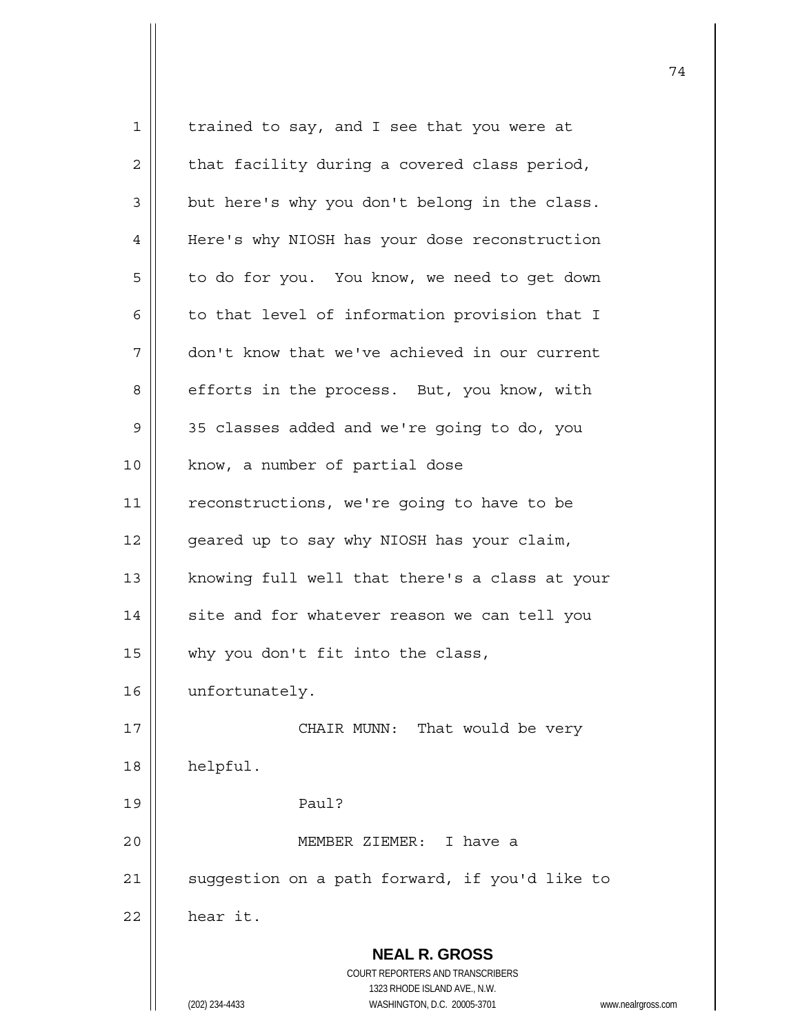**NEAL R. GROSS** COURT REPORTERS AND TRANSCRIBERS 1323 RHODE ISLAND AVE., N.W. (202) 234-4433 WASHINGTON, D.C. 20005-3701 www.nealrgross.com 1 | trained to say, and I see that you were at  $2 \parallel$  that facility during a covered class period,  $3 \parallel$  but here's why you don't belong in the class. 4 | Here's why NIOSH has your dose reconstruction 5 | to do for you. You know, we need to get down 6  $\parallel$  to that level of information provision that I 7 | don't know that we've achieved in our current 8 | efforts in the process. But, you know, with 9 35 classes added and we're going to do, you 10 || know, a number of partial dose 11 | reconstructions, we're going to have to be  $12$  | qeared up to say why NIOSH has your claim, 13 || knowing full well that there's a class at your 14 || site and for whatever reason we can tell you 15  $\parallel$  why you don't fit into the class, 16 unfortunately. 17 || CHAIR MUNN: That would be very 18 helpful. 19 Paul? 20 MEMBER ZIEMER: I have a 21 || suggestion on a path forward, if you'd like to  $22$  | hear it.

74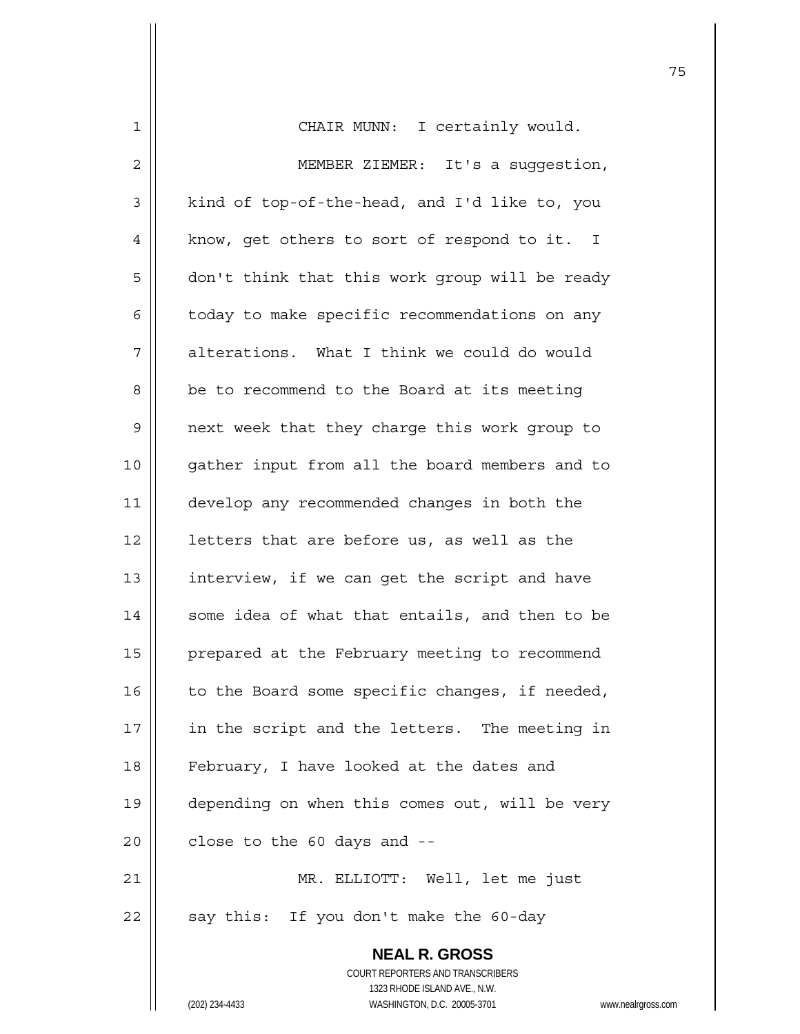| 1  | CHAIR MUNN: I certainly would.                                      |
|----|---------------------------------------------------------------------|
| 2  | MEMBER ZIEMER: It's a suggestion,                                   |
| 3  | kind of top-of-the-head, and I'd like to, you                       |
| 4  | know, get others to sort of respond to it. I                        |
| 5  | don't think that this work group will be ready                      |
| 6  | today to make specific recommendations on any                       |
| 7  | alterations. What I think we could do would                         |
| 8  | be to recommend to the Board at its meeting                         |
| 9  | next week that they charge this work group to                       |
| 10 | gather input from all the board members and to                      |
| 11 | develop any recommended changes in both the                         |
| 12 | letters that are before us, as well as the                          |
| 13 | interview, if we can get the script and have                        |
| 14 | some idea of what that entails, and then to be                      |
| 15 | prepared at the February meeting to recommend                       |
| 16 | to the Board some specific changes, if needed,                      |
| 17 | in the script and the letters. The meeting in                       |
| 18 | February, I have looked at the dates and                            |
| 19 | depending on when this comes out, will be very                      |
| 20 | close to the 60 days and --                                         |
| 21 | MR. ELLIOTT: Well, let me just                                      |
| 22 | say this: If you don't make the 60-day                              |
|    | <b>NEAL R. GROSS</b>                                                |
|    | COURT REPORTERS AND TRANSCRIBERS                                    |
|    | 1323 RHODE ISLAND AVE., N.W.                                        |
|    | (202) 234-4433<br>WASHINGTON, D.C. 20005-3701<br>www.nealrgross.com |

 $\mathsf{I}$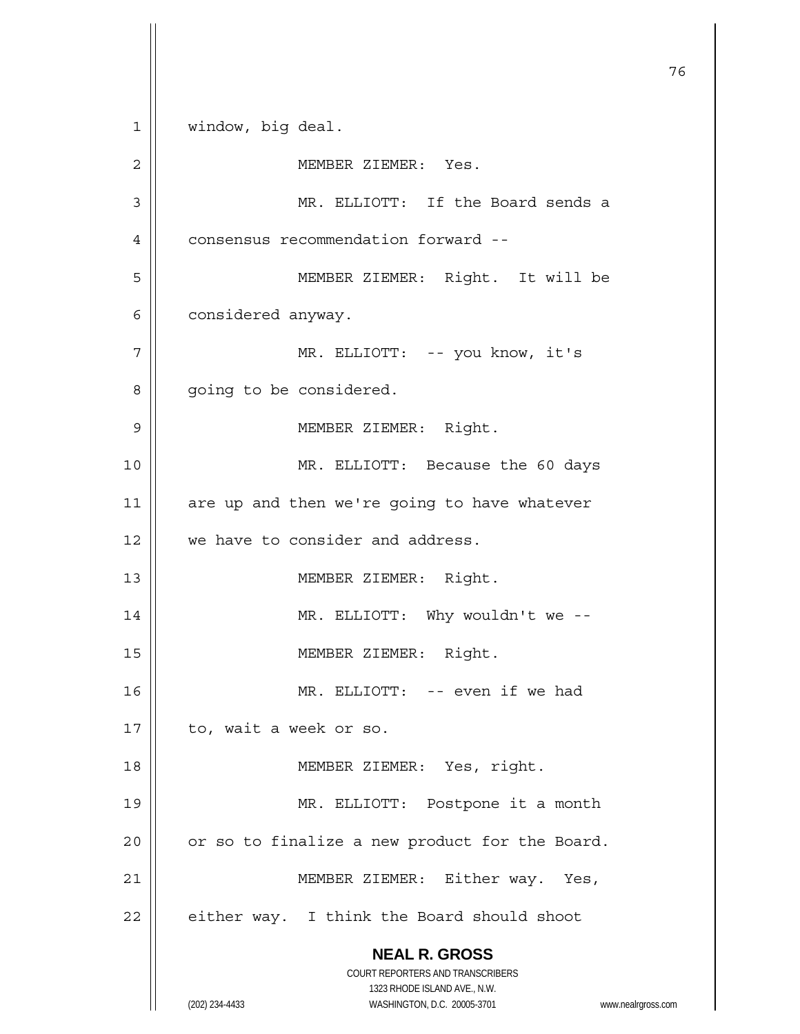**NEAL R. GROSS** COURT REPORTERS AND TRANSCRIBERS 1323 RHODE ISLAND AVE., N.W. (202) 234-4433 WASHINGTON, D.C. 20005-3701 www.nealrgross.com 76 1 | window, big deal. 2 || MEMBER ZIEMER: Yes. 3 MR. ELLIOTT: If the Board sends a 4 | consensus recommendation forward --5 MEMBER ZIEMER: Right. It will be  $6 \parallel$  considered anyway. 7 MR. ELLIOTT: -- you know, it's 8 | going to be considered. 9 MEMBER ZIEMER: Right. 10 MR. ELLIOTT: Because the 60 days  $11$  are up and then we're going to have whatever 12 || we have to consider and address. 13 || MEMBER ZIEMER: Right. 14 || MR. ELLIOTT: Why wouldn't we --15 || MEMBER ZIEMER: Right. 16 MR. ELLIOTT: -- even if we had  $17 \parallel$  to, wait a week or so. 18 || MEMBER ZIEMER: Yes, right. 19 MR. ELLIOTT: Postpone it a month 20  $\parallel$  or so to finalize a new product for the Board. 21 | MEMBER ZIEMER: Either way. Yes,  $22$  | either way. I think the Board should shoot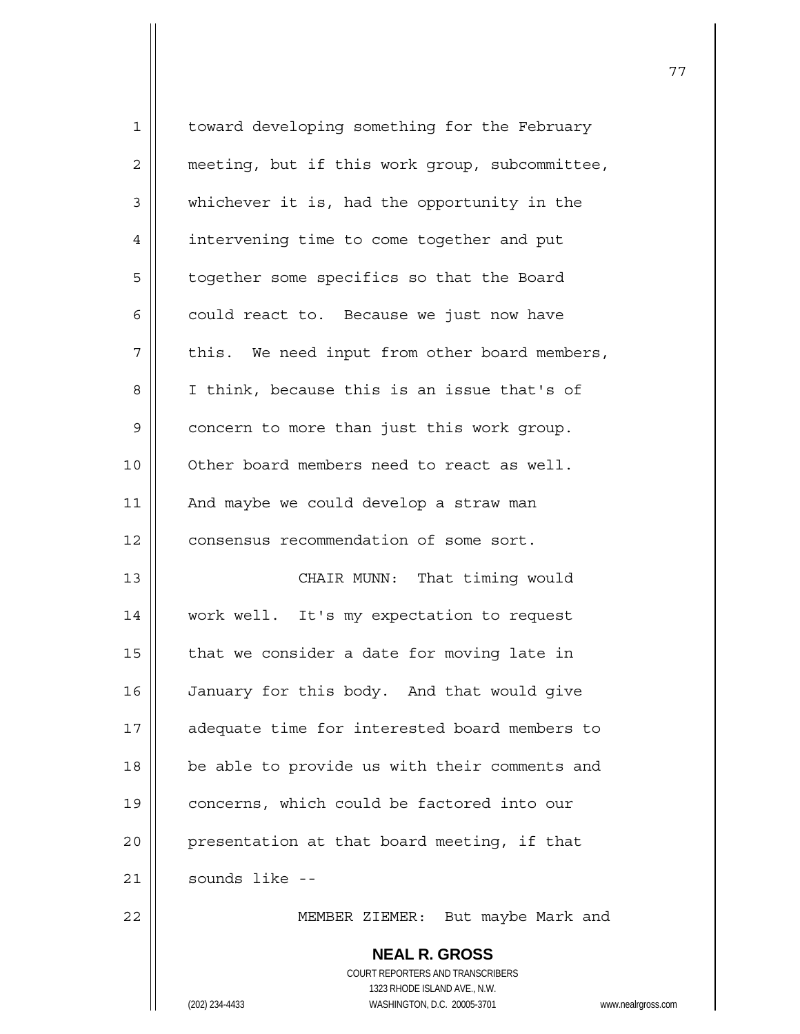| $\mathbf 1$    | toward developing something for the February                                           |
|----------------|----------------------------------------------------------------------------------------|
| $\overline{c}$ | meeting, but if this work group, subcommittee,                                         |
| 3              | whichever it is, had the opportunity in the                                            |
| $\overline{4}$ | intervening time to come together and put                                              |
| 5              | together some specifics so that the Board                                              |
| 6              | could react to. Because we just now have                                               |
| 7              | this. We need input from other board members,                                          |
| 8              | I think, because this is an issue that's of                                            |
| 9              | concern to more than just this work group.                                             |
| 10             | Other board members need to react as well.                                             |
| 11             | And maybe we could develop a straw man                                                 |
| 12             | consensus recommendation of some sort.                                                 |
| 13             | CHAIR MUNN: That timing would                                                          |
| 14             | work well. It's my expectation to request                                              |
| 15             | that we consider a date for moving late in                                             |
| 16             | January for this body. And that would give                                             |
| 17             | adequate time for interested board members to                                          |
| 18             | be able to provide us with their comments and                                          |
| 19             | concerns, which could be factored into our                                             |
| 20             | presentation at that board meeting, if that                                            |
| 21             | sounds like --                                                                         |
| 22             | MEMBER ZIEMER: But maybe Mark and                                                      |
|                | <b>NEAL R. GROSS</b><br><b>COURT REPORTERS AND TRANSCRIBERS</b>                        |
|                | 1323 RHODE ISLAND AVE., N.W.<br>(202) 234-4433<br>WASHINGTON, D.C. 20005-3701<br>www.r |

(202) 234-4433 WASHINGTON, D.C. 20005-3701 www.nealrgross.com

77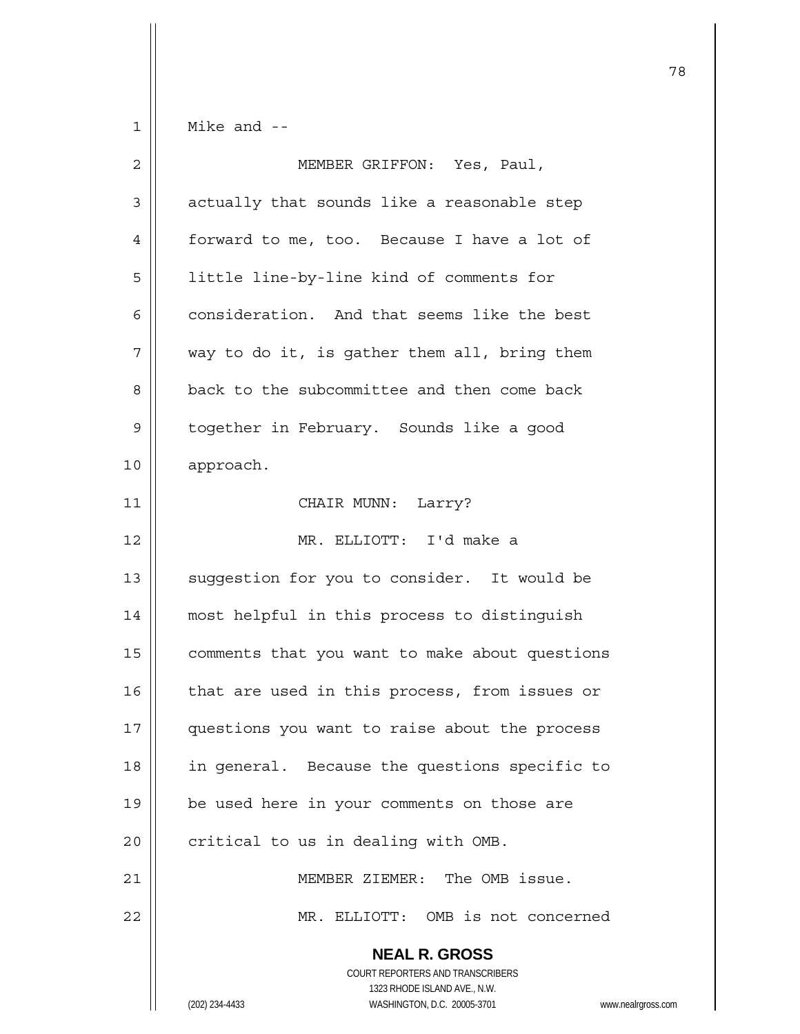$1 \parallel$  Mike and --

| $\overline{2}$ | MEMBER GRIFFON: Yes, Paul,                                                                                                                               |
|----------------|----------------------------------------------------------------------------------------------------------------------------------------------------------|
| 3              | actually that sounds like a reasonable step                                                                                                              |
| 4              | forward to me, too. Because I have a lot of                                                                                                              |
| 5              | little line-by-line kind of comments for                                                                                                                 |
| 6              | consideration. And that seems like the best                                                                                                              |
| 7              | way to do it, is gather them all, bring them                                                                                                             |
| 8              | back to the subcommittee and then come back                                                                                                              |
| 9              | together in February. Sounds like a good                                                                                                                 |
| 10             | approach.                                                                                                                                                |
| 11             | CHAIR MUNN: Larry?                                                                                                                                       |
| 12             | MR. ELLIOTT: I'd make a                                                                                                                                  |
| 13             | suggestion for you to consider. It would be                                                                                                              |
| 14             | most helpful in this process to distinguish                                                                                                              |
| 15             | comments that you want to make about questions                                                                                                           |
| 16             | that are used in this process, from issues or                                                                                                            |
| 17             | questions you want to raise about the process                                                                                                            |
| 18             | in general. Because the questions specific to                                                                                                            |
| 19             | be used here in your comments on those are                                                                                                               |
| 20             | critical to us in dealing with OMB.                                                                                                                      |
| 21             | MEMBER ZIEMER: The OMB issue.                                                                                                                            |
| 22             | MR. ELLIOTT: OMB is not concerned                                                                                                                        |
|                | <b>NEAL R. GROSS</b><br><b>COURT REPORTERS AND TRANSCRIBERS</b><br>1323 RHODE ISLAND AVE., N.W.<br>WASHINGTON, D.C. 20005-3701<br>(202) 234-4433<br>WWW. |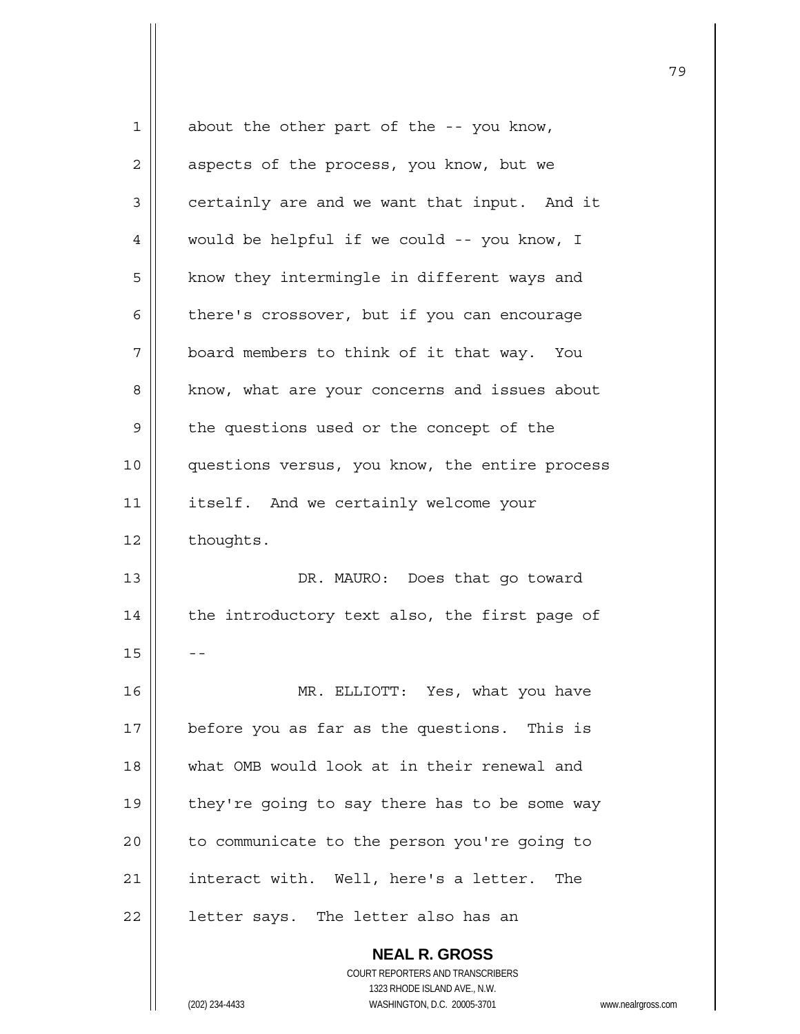| 1  | about the other part of the -- you know,                 |
|----|----------------------------------------------------------|
| 2  | aspects of the process, you know, but we                 |
| 3  | certainly are and we want that input. And it             |
| 4  | would be helpful if we could -- you know, I              |
| 5  | know they intermingle in different ways and              |
| 6  | there's crossover, but if you can encourage              |
| 7  | board members to think of it that way. You               |
| 8  | know, what are your concerns and issues about            |
| 9  | the questions used or the concept of the                 |
| 10 | questions versus, you know, the entire process           |
| 11 | itself. And we certainly welcome your                    |
| 12 | thoughts.                                                |
| 13 | DR. MAURO: Does that go toward                           |
| 14 | the introductory text also, the first page of            |
| 15 |                                                          |
| 16 | MR. ELLIOTT: Yes, what you have                          |
| 17 | before you as far as the questions. This is              |
| 18 | what OMB would look at in their renewal and              |
| 19 | they're going to say there has to be some way            |
| 20 | to communicate to the person you're going to             |
| 21 | interact with. Well, here's a letter. The                |
| 22 | letter says. The letter also has an                      |
|    | <b>NEAL R. GROSS</b><br>COURT REPORTERS AND TRANSCRIBERS |

1323 RHODE ISLAND AVE., N.W.

 $\prod$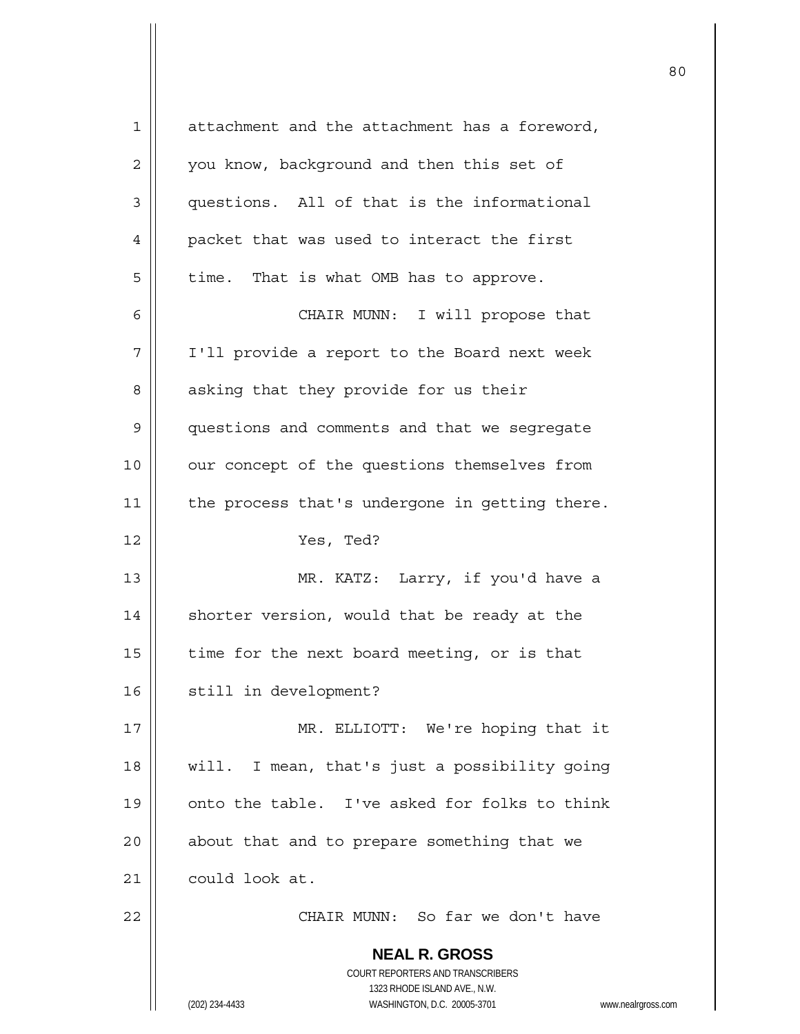| 1              | attachment and the attachment has a foreword,                                                       |
|----------------|-----------------------------------------------------------------------------------------------------|
| $\overline{2}$ | you know, background and then this set of                                                           |
| 3              | questions. All of that is the informational                                                         |
| 4              | packet that was used to interact the first                                                          |
| 5              | time. That is what OMB has to approve.                                                              |
| 6              | CHAIR MUNN: I will propose that                                                                     |
| 7              | I'll provide a report to the Board next week                                                        |
| 8              | asking that they provide for us their                                                               |
| 9              | questions and comments and that we segregate                                                        |
| 10             | our concept of the questions themselves from                                                        |
| 11             | the process that's undergone in getting there.                                                      |
| 12             | Yes, Ted?                                                                                           |
| 13             | MR. KATZ: Larry, if you'd have a                                                                    |
| 14             | shorter version, would that be ready at the                                                         |
| 15             | time for the next board meeting, or is that                                                         |
| 16             | still in development?                                                                               |
| 17             | MR. ELLIOTT: We're hoping that it                                                                   |
| 18             | will. I mean, that's just a possibility going                                                       |
| 19             | onto the table. I've asked for folks to think                                                       |
| 20             | about that and to prepare something that we                                                         |
| 21             | could look at.                                                                                      |
| 22             | CHAIR MUNN: So far we don't have                                                                    |
|                | <b>NEAL R. GROSS</b>                                                                                |
|                | COURT REPORTERS AND TRANSCRIBERS                                                                    |
|                | 1323 RHODE ISLAND AVE., N.W.<br>(202) 234-4433<br>WASHINGTON, D.C. 20005-3701<br>www.nealrgross.com |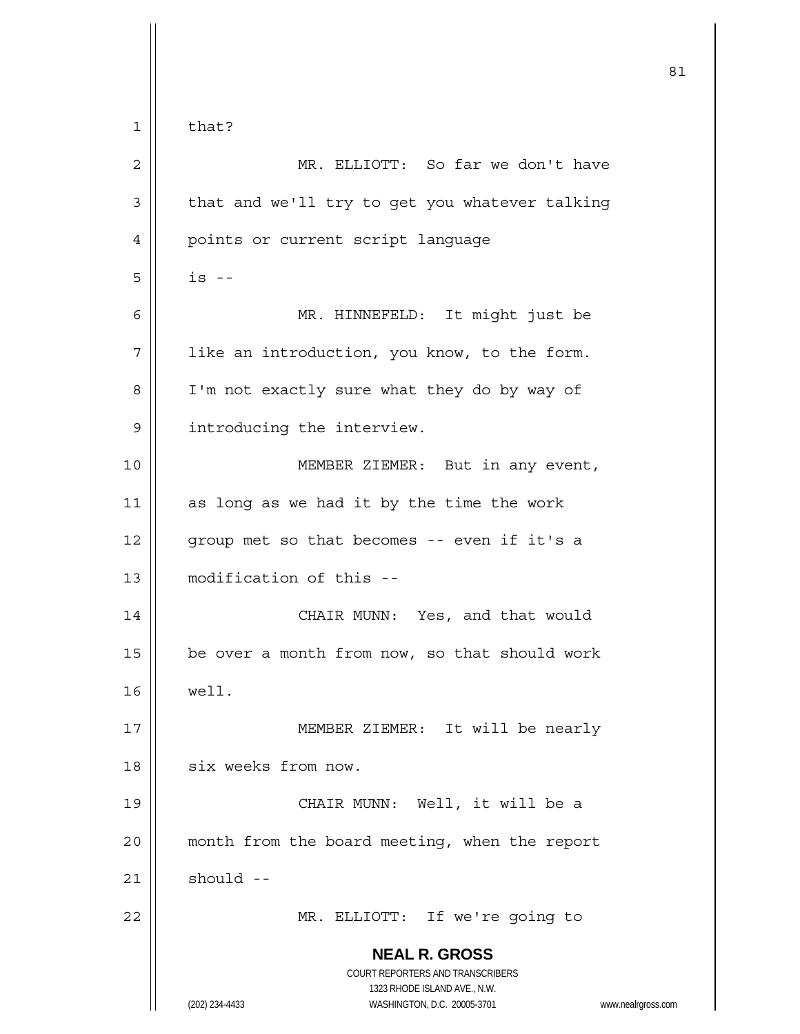**NEAL R. GROSS** COURT REPORTERS AND TRANSCRIBERS 1323 RHODE ISLAND AVE., N.W. (202) 234-4433 WASHINGTON, D.C. 20005-3701 www.nealrgross.com 81  $1 \parallel$  that? 2 MR. ELLIOTT: So far we don't have  $3$  | that and we'll try to get you whatever talking 4 | points or current script language  $5 \parallel$  is  $-$ 6 MR. HINNEFELD: It might just be  $7$  | 1ike an introduction, you know, to the form. 8 | I'm not exactly sure what they do by way of 9 | introducing the interview. 10 || **MEMBER ZIEMER:** But in any event,  $11$  as long as we had it by the time the work 12 || group met so that becomes -- even if it's a 13 modification of this -- 14 || CHAIR MUNN: Yes, and that would 15  $\parallel$  be over a month from now, so that should work 16 well. 17 || MEMBER ZIEMER: It will be nearly 18 | six weeks from now. 19 CHAIR MUNN: Well, it will be a 20 || month from the board meeting, when the report  $21$  should  $-$ 22 MR. ELLIOTT: If we're going to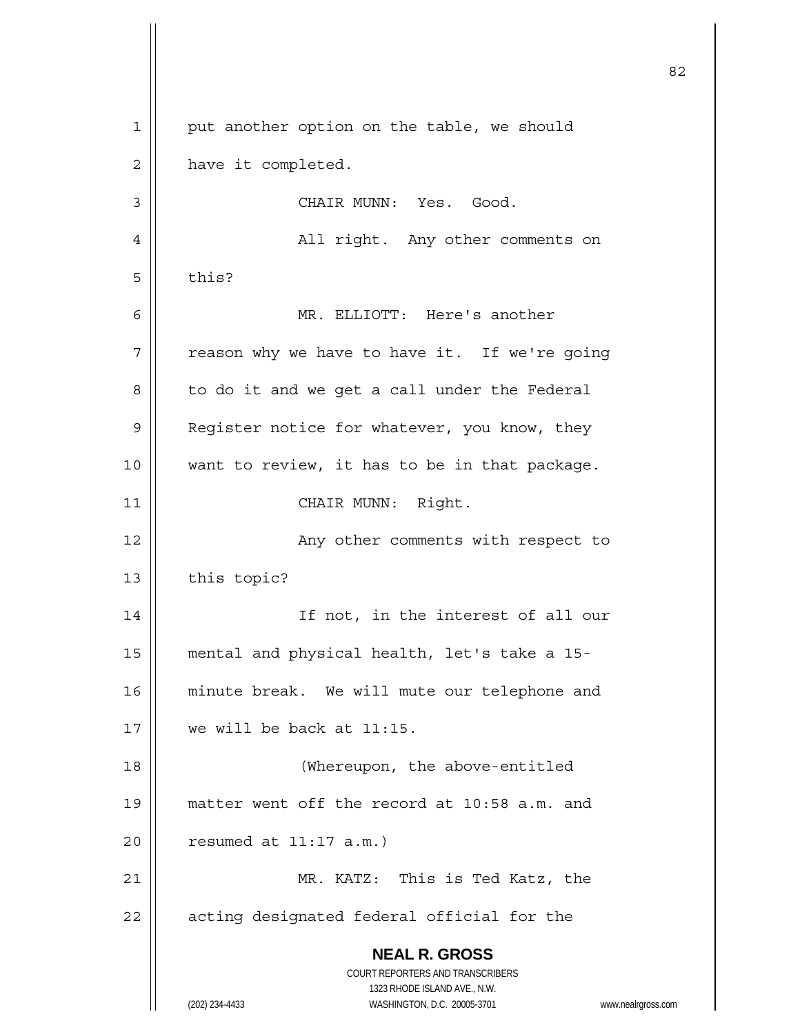**NEAL R. GROSS** COURT REPORTERS AND TRANSCRIBERS 1323 RHODE ISLAND AVE., N.W. (202) 234-4433 WASHINGTON, D.C. 20005-3701 www.nealrgross.com <u>82</u> 1 || put another option on the table, we should 2 | have it completed. 3 CHAIR MUNN: Yes. Good. 4 All right. Any other comments on  $5 \parallel$  this? 6 MR. ELLIOTT: Here's another  $7$  | reason why we have to have it. If we're going  $8 \parallel$  to do it and we get a call under the Federal 9 | Register notice for whatever, you know, they 10 want to review, it has to be in that package. 11 || CHAIR MUNN: Right. 12 || The Surge of Any other comments with respect to  $13$  | this topic? 14 || If not, in the interest of all our 15 mental and physical health, let's take a 15- 16 || minute break. We will mute our telephone and 17 we will be back at 11:15. 18 (Whereupon, the above-entitled 19 matter went off the record at 10:58 a.m. and  $20$  || resumed at 11:17 a.m.) 21 MR. KATZ: This is Ted Katz, the 22 || acting designated federal official for the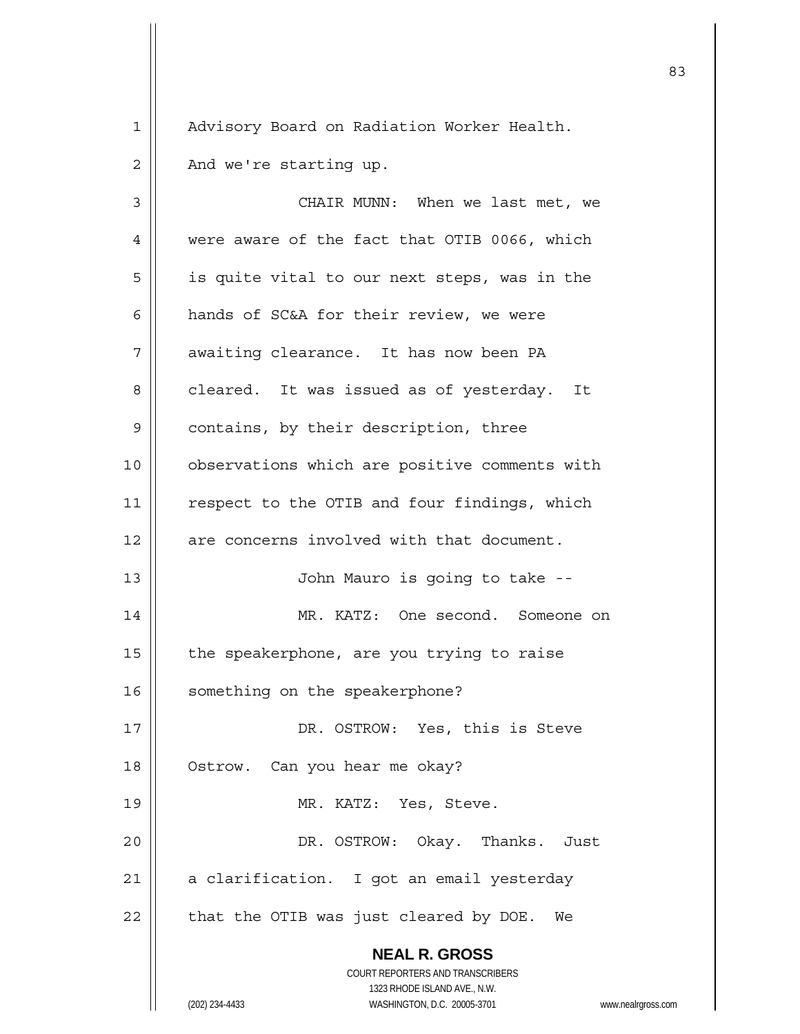1 | Advisory Board on Radiation Worker Health.

 $2 \parallel$  And we're starting up.

 **NEAL R. GROSS** COURT REPORTERS AND TRANSCRIBERS 1323 RHODE ISLAND AVE., N.W. 3 CHAIR MUNN: When we last met, we 4 Were aware of the fact that OTIB 0066, which  $5 \parallel$  is quite vital to our next steps, was in the 6 hands of SC&A for their review, we were 7 | awaiting clearance. It has now been PA 8 | cleared. It was issued as of yesterday. It 9 | contains, by their description, three 10 | observations which are positive comments with 11 || respect to the OTIB and four findings, which 12 || are concerns involved with that document. 13 || John Mauro is going to take --14 MR. KATZ: One second. Someone on  $15$  | the speakerphone, are you trying to raise 16 | something on the speakerphone? 17 || DR. OSTROW: Yes, this is Steve 18 | Ostrow. Can you hear me okay? 19 || MR. KATZ: Yes, Steve. 20 DR. OSTROW: Okay. Thanks. Just 21 | a clarification. I got an email yesterday  $22$  | that the OTIB was just cleared by DOE. We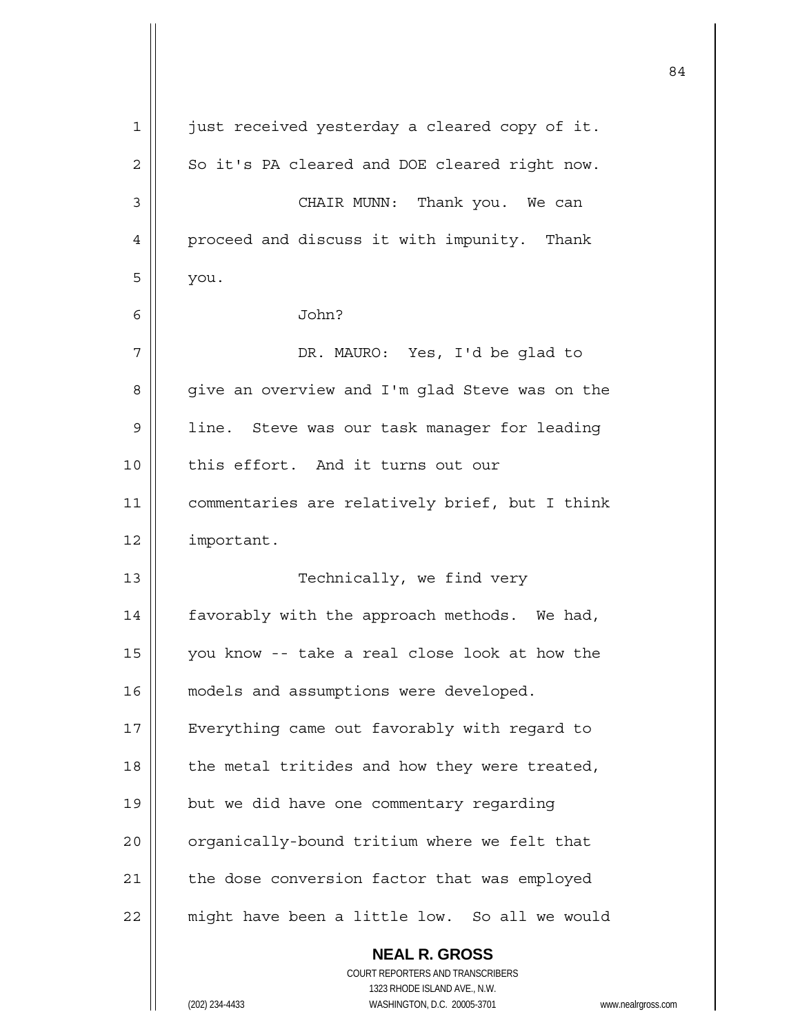| $\mathbf 1$    | just received yesterday a cleared copy of it.                                          |  |
|----------------|----------------------------------------------------------------------------------------|--|
| 2              | So it's PA cleared and DOE cleared right now.                                          |  |
| 3              | CHAIR MUNN: Thank you. We can                                                          |  |
| $\overline{4}$ | proceed and discuss it with impunity. Thank                                            |  |
| 5              | you.                                                                                   |  |
| 6              | John?                                                                                  |  |
| 7              | DR. MAURO: Yes, I'd be glad to                                                         |  |
| 8              | give an overview and I'm glad Steve was on the                                         |  |
| $\mathsf 9$    | line. Steve was our task manager for leading                                           |  |
| 10             | this effort. And it turns out our                                                      |  |
| 11             | commentaries are relatively brief, but I think                                         |  |
| 12             | important.                                                                             |  |
| 13             | Technically, we find very                                                              |  |
| 14             | favorably with the approach methods. We had,                                           |  |
| 15             | you know -- take a real close look at how the                                          |  |
| 16             | models and assumptions were developed.                                                 |  |
| 17             | Everything came out favorably with regard to                                           |  |
| 18             | the metal tritides and how they were treated,                                          |  |
| 19             | but we did have one commentary regarding                                               |  |
| 20             | organically-bound tritium where we felt that                                           |  |
| 21             | the dose conversion factor that was employed                                           |  |
| 22             | might have been a little low. So all we would                                          |  |
|                | <b>NEAL R. GROSS</b>                                                                   |  |
|                | <b>COURT REPORTERS AND TRANSCRIBERS</b>                                                |  |
|                | 1323 RHODE ISLAND AVE., N.W.<br>(202) 234-4433<br>WASHINGTON, D.C. 20005-3701<br>WWW.I |  |

 $\mathsf{I}$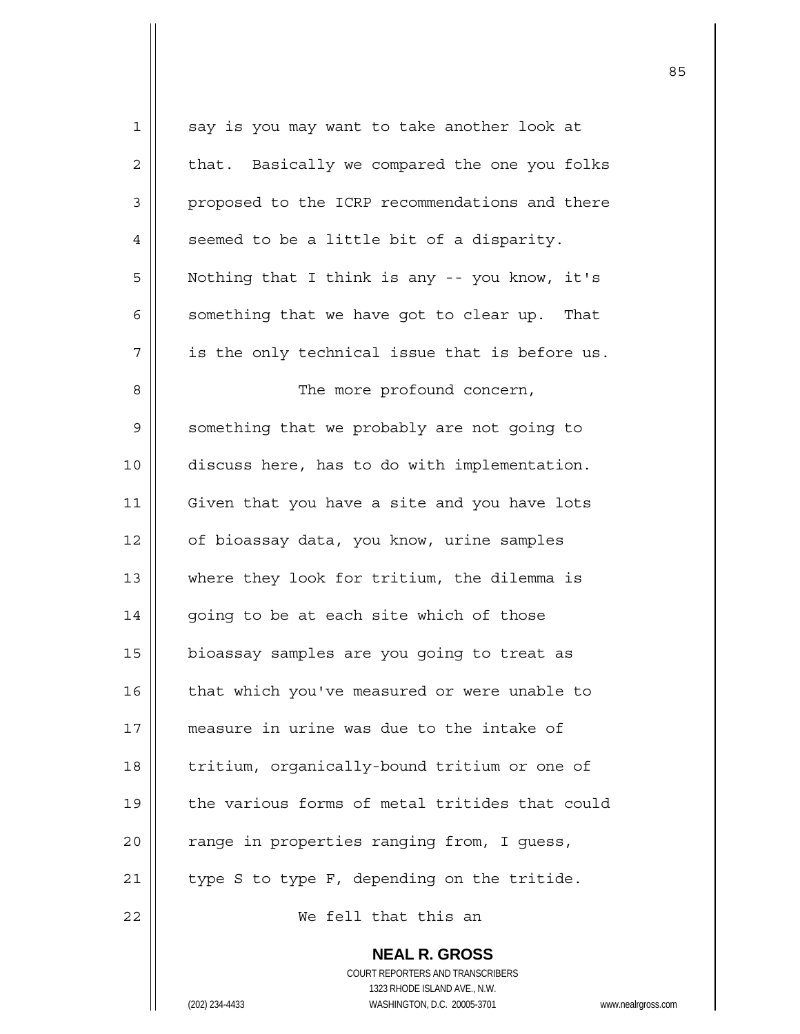| $\mathbf 1$ | say is you may want to take another look at              |
|-------------|----------------------------------------------------------|
| 2           | that. Basically we compared the one you folks            |
| 3           | proposed to the ICRP recommendations and there           |
| 4           | seemed to be a little bit of a disparity.                |
| 5           | Nothing that I think is any -- you know, it's            |
| 6           | something that we have got to clear up. That             |
| 7           | is the only technical issue that is before us.           |
| 8           | The more profound concern,                               |
| 9           | something that we probably are not going to              |
| 10          | discuss here, has to do with implementation.             |
| 11          | Given that you have a site and you have lots             |
| 12          | of bioassay data, you know, urine samples                |
| 13          | where they look for tritium, the dilemma is              |
| 14          | going to be at each site which of those                  |
| 15          | bioassay samples are you going to treat as               |
| 16          | that which you've measured or were unable to             |
| 17          | measure in urine was due to the intake of                |
| 18          | tritium, organically-bound tritium or one of             |
| 19          | the various forms of metal tritides that could           |
| 20          | range in properties ranging from, I guess,               |
| 21          | type S to type F, depending on the tritide.              |
| 22          | We fell that this an                                     |
|             | <b>NEAL R. GROSS</b><br>COURT REPORTERS AND TRANSCRIBERS |

1323 RHODE ISLAND AVE., N.W.

 $\prod$ 

(202) 234-4433 WASHINGTON, D.C. 20005-3701 www.nealrgross.com

<u>85 and 2001 and 2001 and 2001 and 2001 and 2001 and 2001 and 2001 and 2001 and 2001 and 2001 and 2001 and 200</u>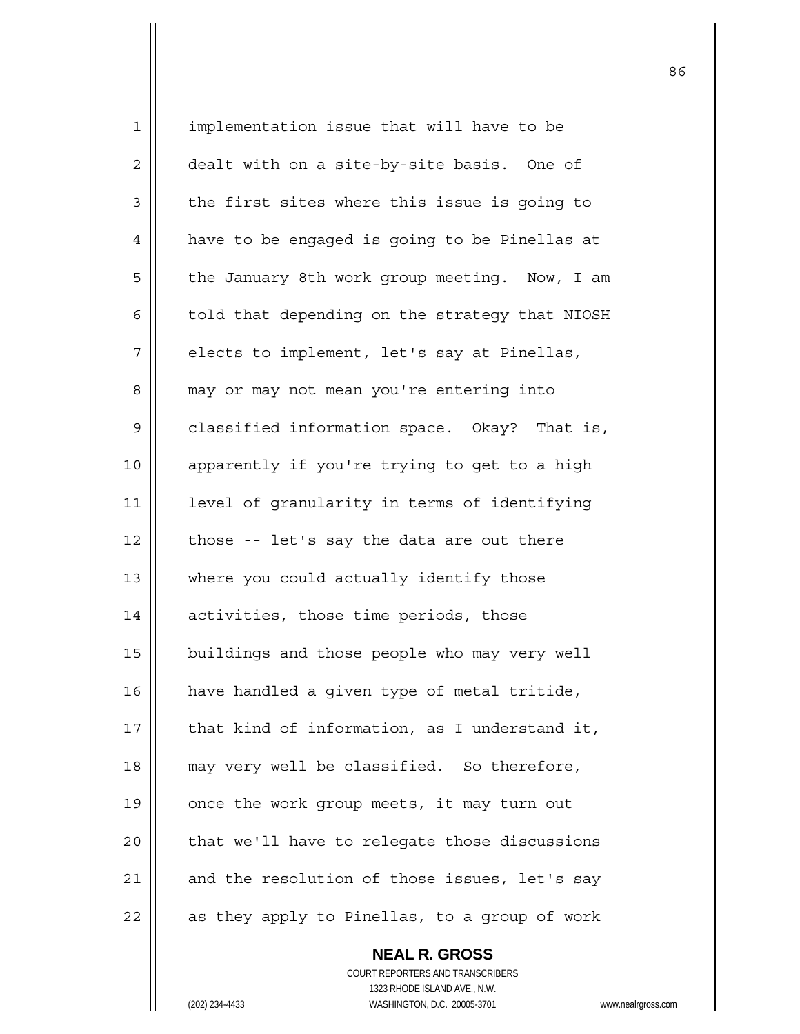| $\mathbf 1$ | implementation issue that will have to be      |
|-------------|------------------------------------------------|
| 2           | dealt with on a site-by-site basis. One of     |
| 3           | the first sites where this issue is going to   |
| 4           | have to be engaged is going to be Pinellas at  |
| 5           | the January 8th work group meeting. Now, I am  |
| 6           | told that depending on the strategy that NIOSH |
| 7           | elects to implement, let's say at Pinellas,    |
| 8           | may or may not mean you're entering into       |
| 9           | classified information space. Okay? That is,   |
| 10          | apparently if you're trying to get to a high   |
| 11          | level of granularity in terms of identifying   |
| 12          | those -- let's say the data are out there      |
| 13          | where you could actually identify those        |
| 14          | activities, those time periods, those          |
| 15          | buildings and those people who may very well   |
| 16          | have handled a given type of metal tritide,    |
| 17          | that kind of information, as I understand it,  |
| 18          | may very well be classified. So therefore,     |
| 19          | once the work group meets, it may turn out     |
| 20          | that we'll have to relegate those discussions  |
| 21          | and the resolution of those issues, let's say  |
| 22          | as they apply to Pinellas, to a group of work  |

 **NEAL R. GROSS** COURT REPORTERS AND TRANSCRIBERS 1323 RHODE ISLAND AVE., N.W. (202) 234-4433 WASHINGTON, D.C. 20005-3701 www.nealrgross.com

<u>86 and 2001 and 2002 and 2003 and 2003 and 2003 and 2003 and 2003 and 2003 and 2003 and 2003 and 2003 and 200</u>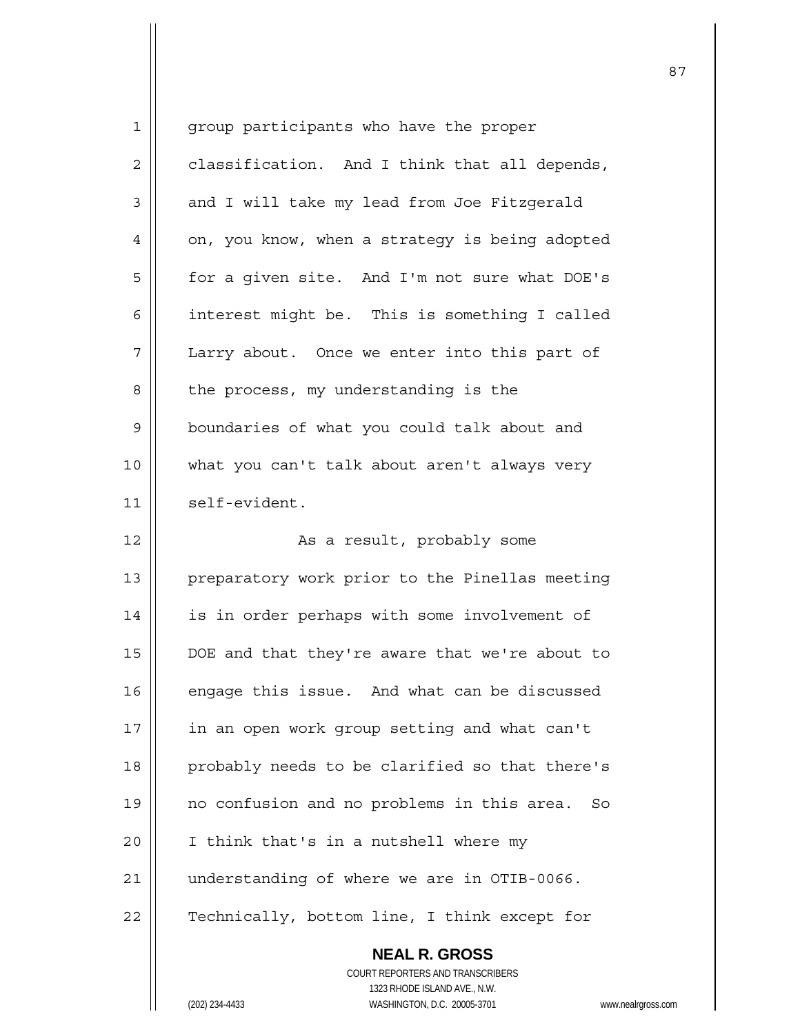| 1  | group participants who have the proper                                        |  |
|----|-------------------------------------------------------------------------------|--|
| 2  | classification. And I think that all depends,                                 |  |
| 3  | and I will take my lead from Joe Fitzgerald                                   |  |
| 4  | on, you know, when a strategy is being adopted                                |  |
| 5  | for a given site. And I'm not sure what DOE's                                 |  |
| 6  | interest might be. This is something I called                                 |  |
| 7  | Larry about. Once we enter into this part of                                  |  |
| 8  | the process, my understanding is the                                          |  |
| 9  | boundaries of what you could talk about and                                   |  |
| 10 | what you can't talk about aren't always very                                  |  |
| 11 | self-evident.                                                                 |  |
| 12 | As a result, probably some                                                    |  |
| 13 | preparatory work prior to the Pinellas meeting                                |  |
| 14 | is in order perhaps with some involvement of                                  |  |
| 15 | DOE and that they're aware that we're about to                                |  |
| 16 | engage this issue. And what can be discussed                                  |  |
| 17 | in an open work group setting and what can't                                  |  |
| 18 | probably needs to be clarified so that there's                                |  |
| 19 | no confusion and no problems in this area.<br>So                              |  |
| 20 | I think that's in a nutshell where my                                         |  |
| 21 | understanding of where we are in OTIB-0066.                                   |  |
| 22 | Technically, bottom line, I think except for                                  |  |
|    | <b>NEAL R. GROSS</b><br>COURT REPORTERS AND TRANSCRIBERS                      |  |
|    |                                                                               |  |
|    | 1323 RHODE ISLAND AVE., N.W.<br>(202) 234-4433<br>WASHINGTON, D.C. 20005-3701 |  |
|    | WWW.ne                                                                        |  |

 $\mathsf{I}$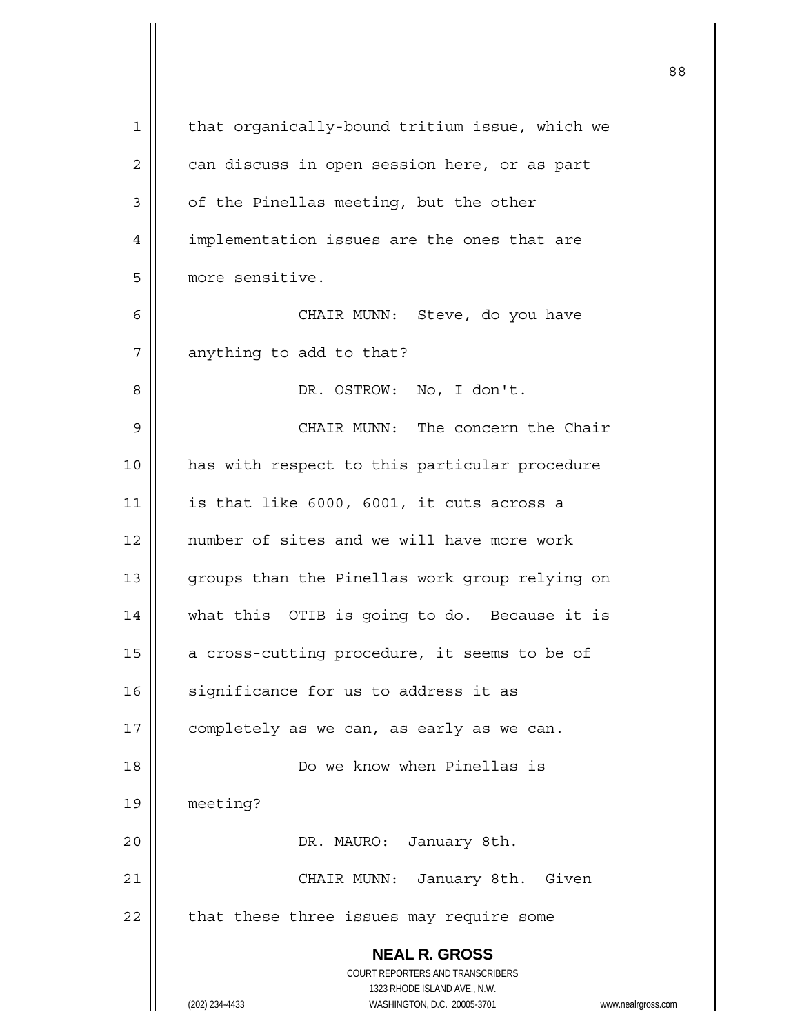| 1  | that organically-bound tritium issue, which we                      |
|----|---------------------------------------------------------------------|
| 2  | can discuss in open session here, or as part                        |
| 3  | of the Pinellas meeting, but the other                              |
| 4  | implementation issues are the ones that are                         |
| 5  | more sensitive.                                                     |
| 6  | CHAIR MUNN: Steve, do you have                                      |
| 7  | anything to add to that?                                            |
| 8  | DR. OSTROW: No, I don't.                                            |
| 9  | CHAIR MUNN: The concern the Chair                                   |
| 10 | has with respect to this particular procedure                       |
| 11 | is that like 6000, 6001, it cuts across a                           |
| 12 | number of sites and we will have more work                          |
| 13 | groups than the Pinellas work group relying on                      |
| 14 | what this OTIB is going to do. Because it is                        |
| 15 | a cross-cutting procedure, it seems to be of                        |
| 16 | significance for us to address it as                                |
| 17 | completely as we can, as early as we can.                           |
| 18 | Do we know when Pinellas is                                         |
| 19 | meeting?                                                            |
| 20 | DR. MAURO: January 8th.                                             |
| 21 | CHAIR MUNN: January 8th. Given                                      |
| 22 | that these three issues may require some                            |
|    | <b>NEAL R. GROSS</b>                                                |
|    | COURT REPORTERS AND TRANSCRIBERS<br>1323 RHODE ISLAND AVE., N.W.    |
|    | (202) 234-4433<br>WASHINGTON, D.C. 20005-3701<br>www.nealrgross.com |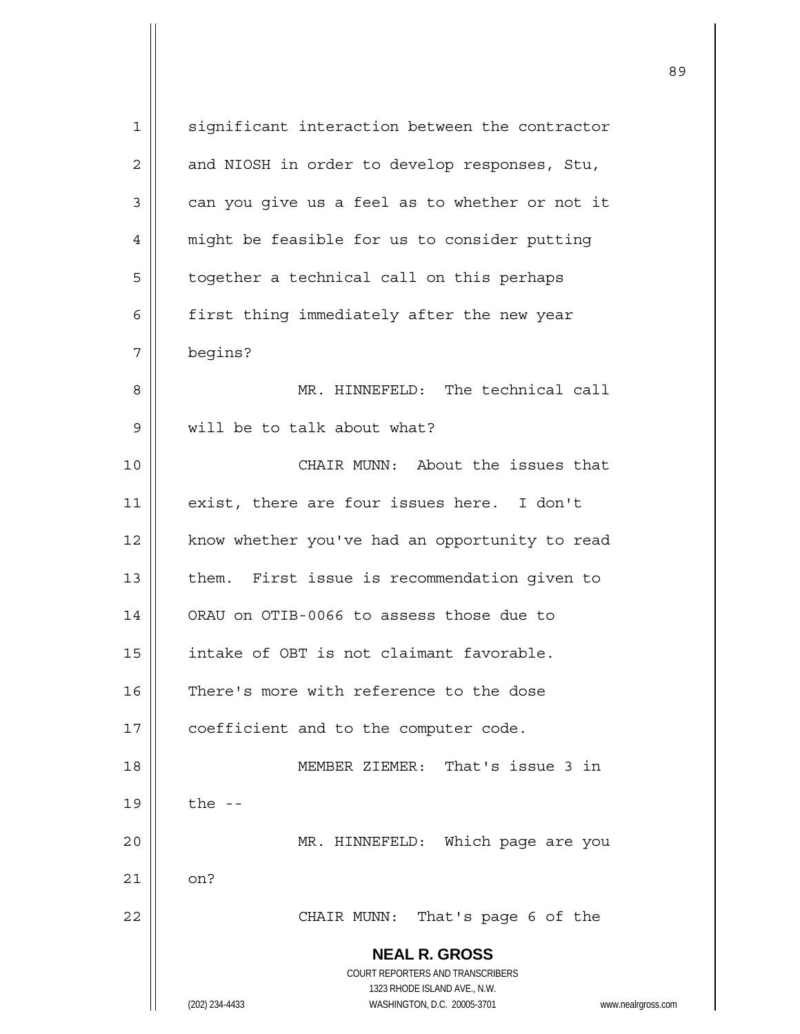| 1  | significant interaction between the contractor                                           |
|----|------------------------------------------------------------------------------------------|
| 2  | and NIOSH in order to develop responses, Stu,                                            |
| 3  | can you give us a feel as to whether or not it                                           |
| 4  | might be feasible for us to consider putting                                             |
| 5  | together a technical call on this perhaps                                                |
| 6  | first thing immediately after the new year                                               |
| 7  | begins?                                                                                  |
| 8  | MR. HINNEFELD: The technical call                                                        |
| 9  | will be to talk about what?                                                              |
| 10 | CHAIR MUNN: About the issues that                                                        |
| 11 | exist, there are four issues here. I don't                                               |
| 12 | know whether you've had an opportunity to read                                           |
| 13 | them. First issue is recommendation given to                                             |
| 14 | ORAU on OTIB-0066 to assess those due to                                                 |
| 15 | intake of OBT is not claimant favorable.                                                 |
| 16 | There's more with reference to the dose                                                  |
| 17 | coefficient and to the computer code.                                                    |
| 18 | MEMBER ZIEMER: That's issue 3 in                                                         |
| 19 | the $-$                                                                                  |
| 20 | MR. HINNEFELD: Which page are you                                                        |
| 21 | on?                                                                                      |
| 22 | CHAIR MUNN:<br>That's page 6 of the                                                      |
|    | <b>NEAL R. GROSS</b><br>COURT REPORTERS AND TRANSCRIBERS<br>1323 RHODE ISLAND AVE., N.W. |
|    | (202) 234-4433<br>WASHINGTON, D.C. 20005-3701<br>www.nealrgross.com                      |

<u>89 and 2001 and 2002 and 2003 and 2003 and 2004 and 2004 and 2004 and 2004 and 2004 and 2004 and 2004 and 200</u>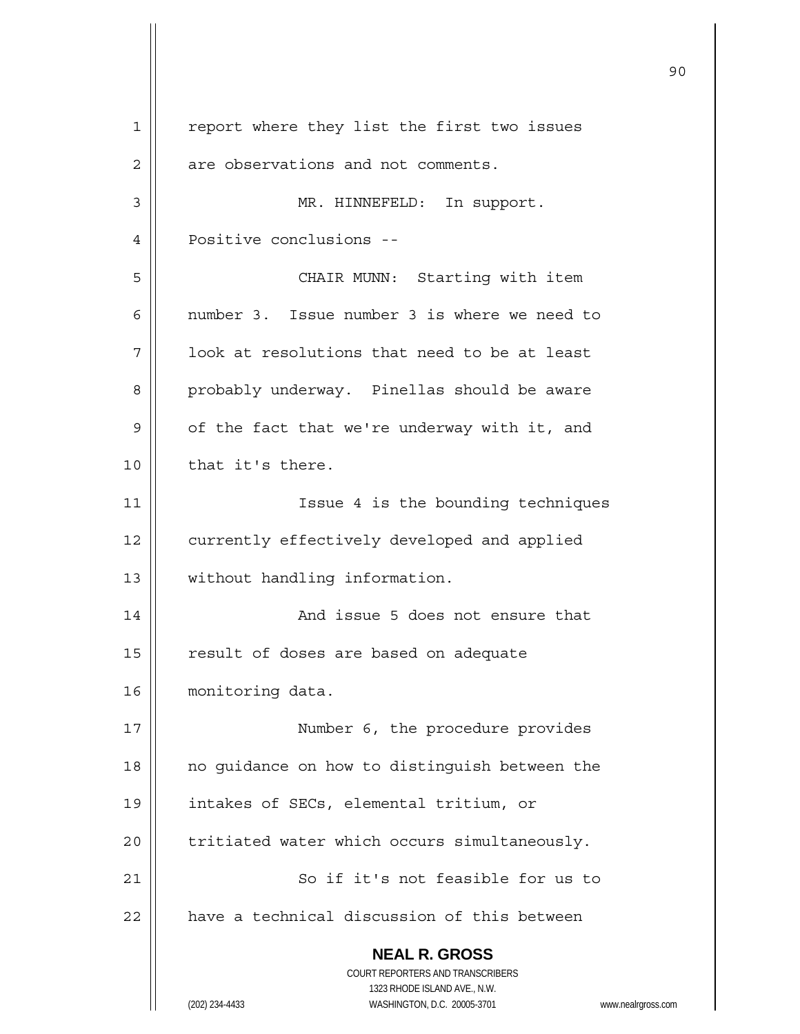|              |                                                                     | 90 |
|--------------|---------------------------------------------------------------------|----|
| $\mathbf{1}$ | report where they list the first two issues                         |    |
| 2            | are observations and not comments.                                  |    |
| 3            | MR. HINNEFELD: In support.                                          |    |
| 4            | Positive conclusions --                                             |    |
| 5            | CHAIR MUNN: Starting with item                                      |    |
| 6            | number 3. Issue number 3 is where we need to                        |    |
| 7            | look at resolutions that need to be at least                        |    |
| 8            | probably underway. Pinellas should be aware                         |    |
| 9            | of the fact that we're underway with it, and                        |    |
| 10           | that it's there.                                                    |    |
| 11           | Issue 4 is the bounding techniques                                  |    |
| 12           | currently effectively developed and applied                         |    |
| 13           | without handling information.                                       |    |
| 14           | And issue 5 does not ensure that                                    |    |
| 15           | result of doses are based on adequate                               |    |
| 16           | monitoring data.                                                    |    |
| 17           | Number 6, the procedure provides                                    |    |
| 18           | no guidance on how to distinguish between the                       |    |
| 19           | intakes of SECs, elemental tritium, or                              |    |
| 20           | tritiated water which occurs simultaneously.                        |    |
| 21           | So if it's not feasible for us to                                   |    |
| 22           | have a technical discussion of this between                         |    |
|              | <b>NEAL R. GROSS</b><br>COURT REPORTERS AND TRANSCRIBERS            |    |
|              | 1323 RHODE ISLAND AVE., N.W.                                        |    |
|              | (202) 234-4433<br>WASHINGTON, D.C. 20005-3701<br>www.nealrgross.com |    |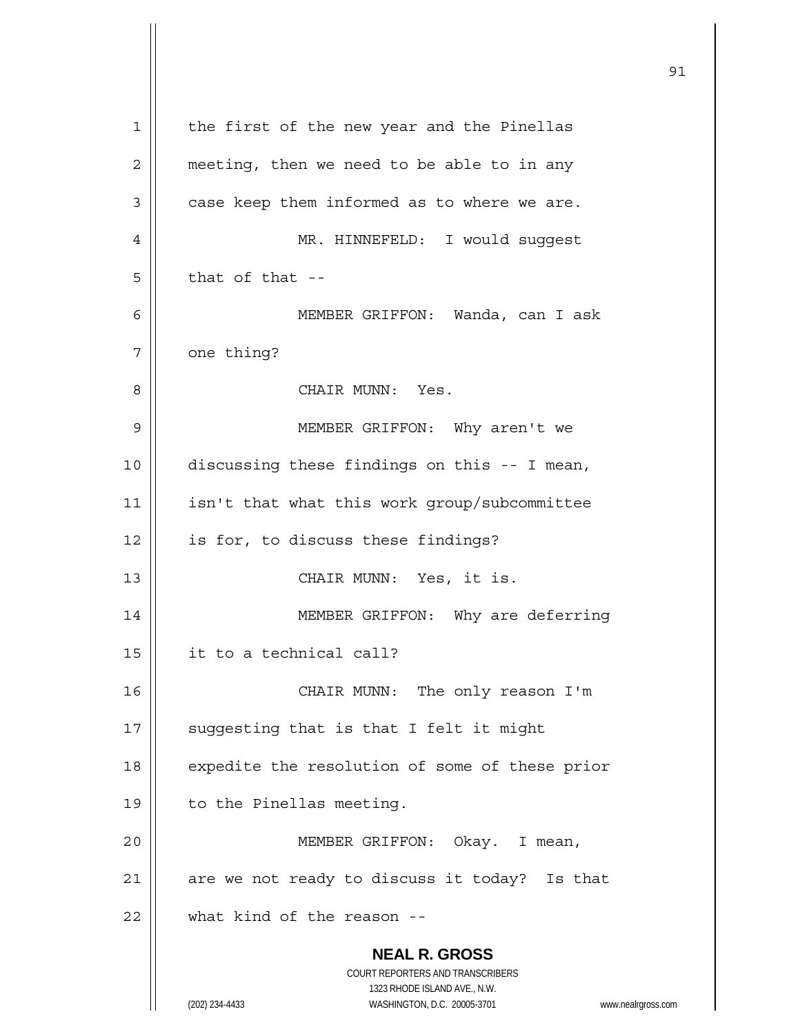|             |                                                                     | 91 |
|-------------|---------------------------------------------------------------------|----|
| $\mathbf 1$ | the first of the new year and the Pinellas                          |    |
| 2           | meeting, then we need to be able to in any                          |    |
| 3           | case keep them informed as to where we are.                         |    |
| 4           | MR. HINNEFELD: I would suggest                                      |    |
| 5           | that of that --                                                     |    |
| 6           | MEMBER GRIFFON: Wanda, can I ask                                    |    |
| 7           | one thing?                                                          |    |
| 8           | CHAIR MUNN: Yes.                                                    |    |
| 9           | MEMBER GRIFFON: Why aren't we                                       |    |
| 10          | discussing these findings on this -- I mean,                        |    |
| 11          | isn't that what this work group/subcommittee                        |    |
| 12          | is for, to discuss these findings?                                  |    |
| 13          | CHAIR MUNN: Yes, it is.                                             |    |
| 14          | MEMBER GRIFFON: Why are deferring                                   |    |
| 15          | it to a technical call?                                             |    |
| 16          | CHAIR MUNN: The only reason I'm                                     |    |
| 17          | suggesting that is that I felt it might                             |    |
| 18          | expedite the resolution of some of these prior                      |    |
| 19          | to the Pinellas meeting.                                            |    |
| 20          | MEMBER GRIFFON: Okay. I mean,                                       |    |
| 21          | are we not ready to discuss it today? Is that                       |    |
| 22          | what kind of the reason --                                          |    |
|             | <b>NEAL R. GROSS</b>                                                |    |
|             | COURT REPORTERS AND TRANSCRIBERS<br>1323 RHODE ISLAND AVE., N.W.    |    |
|             | (202) 234-4433<br>WASHINGTON, D.C. 20005-3701<br>www.nealrgross.com |    |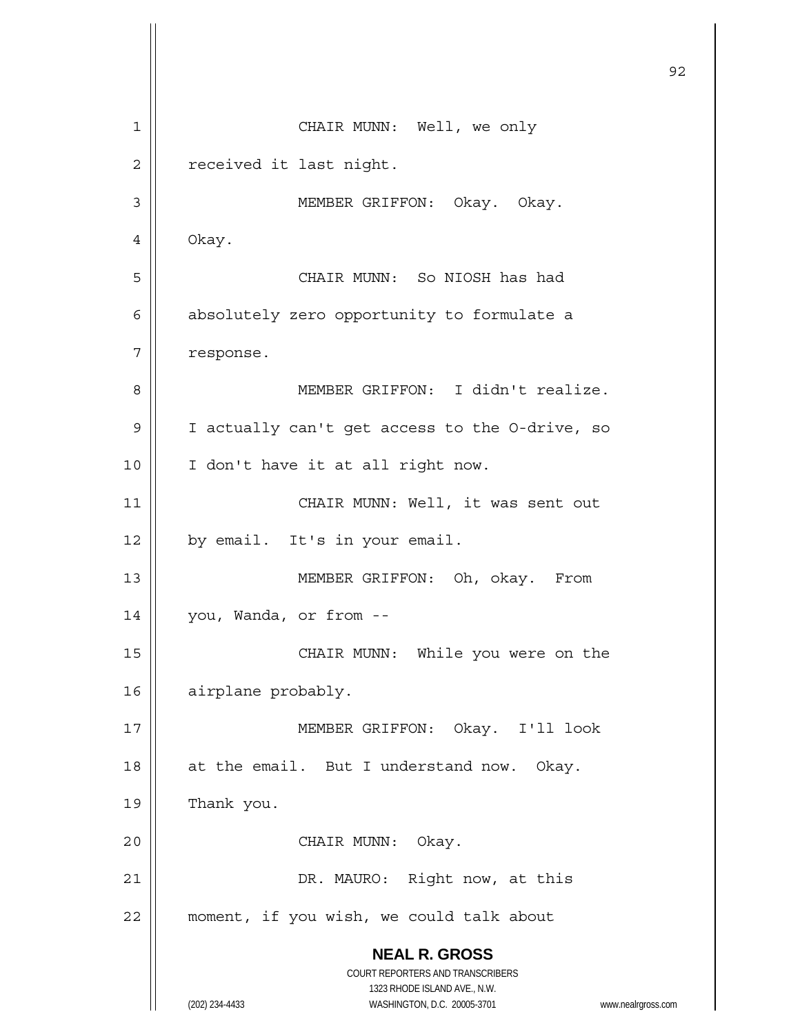**NEAL R. GROSS** COURT REPORTERS AND TRANSCRIBERS 1323 RHODE ISLAND AVE., N.W. (202) 234-4433 WASHINGTON, D.C. 20005-3701 www.nealrgross.com <u>92</u> 1 || CHAIR MUNN: Well, we only 2 | received it last night. 3 | MEMBER GRIFFON: Okay. Okay. 4 | Okay. 5 CHAIR MUNN: So NIOSH has had 6 | absolutely zero opportunity to formulate a 7 | response. 8 || MEMBER GRIFFON: I didn't realize. 9 | I actually can't get access to the O-drive, so 10 || I don't have it at all right now. 11 || CHAIR MUNN: Well, it was sent out  $12 \parallel$  by email. It's in your email. 13 || MEMBER GRIFFON: Oh, okay. From 14 | you, Wanda, or from --15 || CHAIR MUNN: While you were on the 16 | airplane probably. 17 MEMBER GRIFFON: Okay. I'll look 18 || at the email. But I understand now. Okay. 19 | Thank you. 20 || CHAIR MUNN: Okay. 21 || DR. MAURO: Right now, at this 22 | moment, if you wish, we could talk about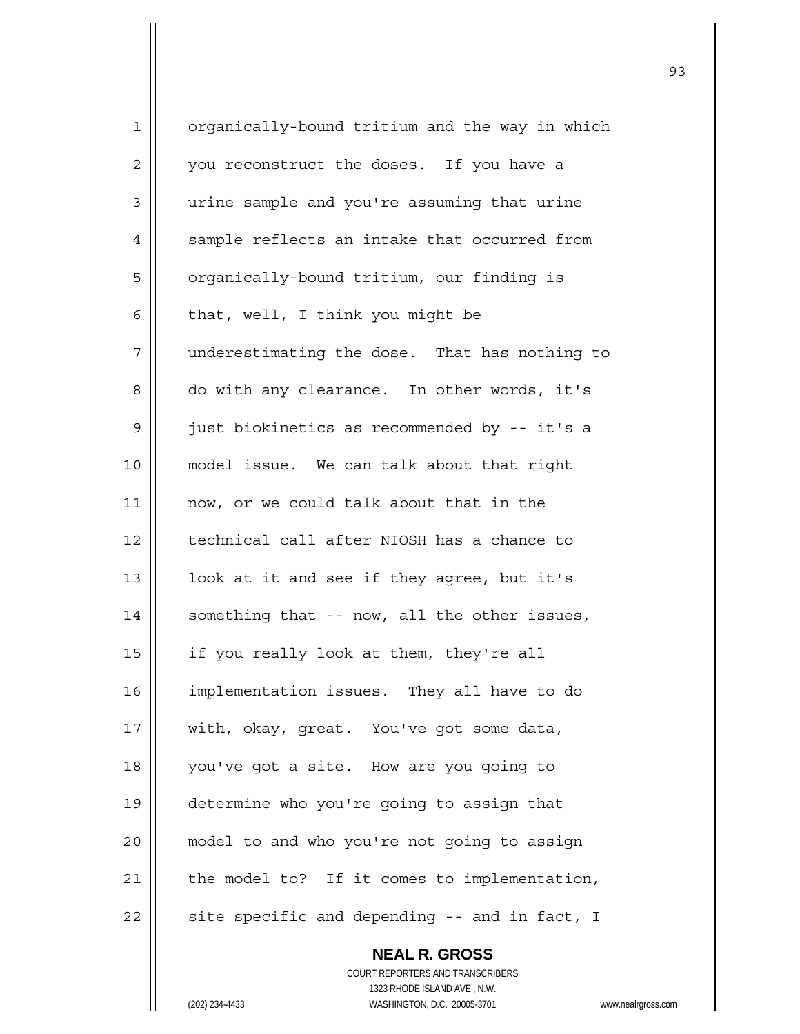| $\mathbf 1$ | organically-bound tritium and the way in which |
|-------------|------------------------------------------------|
| 2           | you reconstruct the doses. If you have a       |
| 3           | urine sample and you're assuming that urine    |
| 4           | sample reflects an intake that occurred from   |
| 5           | organically-bound tritium, our finding is      |
| 6           | that, well, I think you might be               |
| 7           | underestimating the dose. That has nothing to  |
| 8           | do with any clearance. In other words, it's    |
| 9           | just biokinetics as recommended by -- it's a   |
| 10          | model issue. We can talk about that right      |
| 11          | now, or we could talk about that in the        |
| 12          | technical call after NIOSH has a chance to     |
| 13          | look at it and see if they agree, but it's     |
| 14          | something that -- now, all the other issues,   |
| 15          | if you really look at them, they're all        |
| 16          | implementation issues. They all have to do     |
| 17          | with, okay, great. You've got some data,       |
| 18          | you've got a site. How are you going to        |
| 19          | determine who you're going to assign that      |
| 20          | model to and who you're not going to assign    |
| 21          | the model to? If it comes to implementation,   |
| 22          | site specific and depending -- and in fact, I  |
|             | <b>NEAL R. GROSS</b>                           |

 COURT REPORTERS AND TRANSCRIBERS 1323 RHODE ISLAND AVE., N.W. (202) 234-4433 WASHINGTON, D.C. 20005-3701 www.nealrgross.com

 $\prod$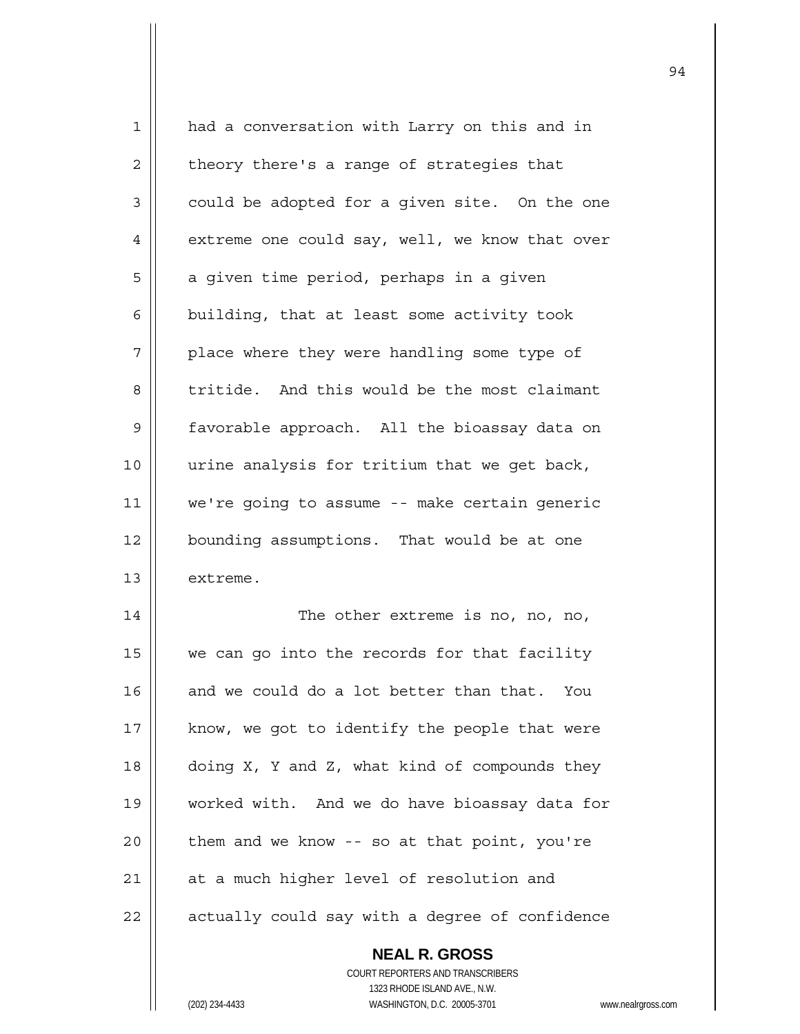| 1  | had a conversation with Larry on this and in   |
|----|------------------------------------------------|
| 2  | theory there's a range of strategies that      |
| 3  | could be adopted for a given site. On the one  |
| 4  | extreme one could say, well, we know that over |
| 5  | a given time period, perhaps in a given        |
| 6  | building, that at least some activity took     |
| 7  | place where they were handling some type of    |
| 8  | tritide. And this would be the most claimant   |
| 9  | favorable approach. All the bioassay data on   |
| 10 | urine analysis for tritium that we get back,   |
| 11 | we're going to assume -- make certain generic  |
| 12 | bounding assumptions. That would be at one     |
| 13 | extreme.                                       |
| 14 | The other extreme is no, no, no,               |
| 15 | we can go into the records for that facility   |
| 16 | and we could do a lot better than that. You    |
| 17 | know, we got to identify the people that were  |
| 18 | doing X, Y and Z, what kind of compounds they  |
| 19 | worked with. And we do have bioassay data for  |
| 20 | them and we know -- so at that point, you're   |
| 21 | at a much higher level of resolution and       |
| 22 | actually could say with a degree of confidence |
|    |                                                |

 **NEAL R. GROSS** COURT REPORTERS AND TRANSCRIBERS 1323 RHODE ISLAND AVE., N.W. (202) 234-4433 WASHINGTON, D.C. 20005-3701 www.nealrgross.com

 $\mathsf{I}$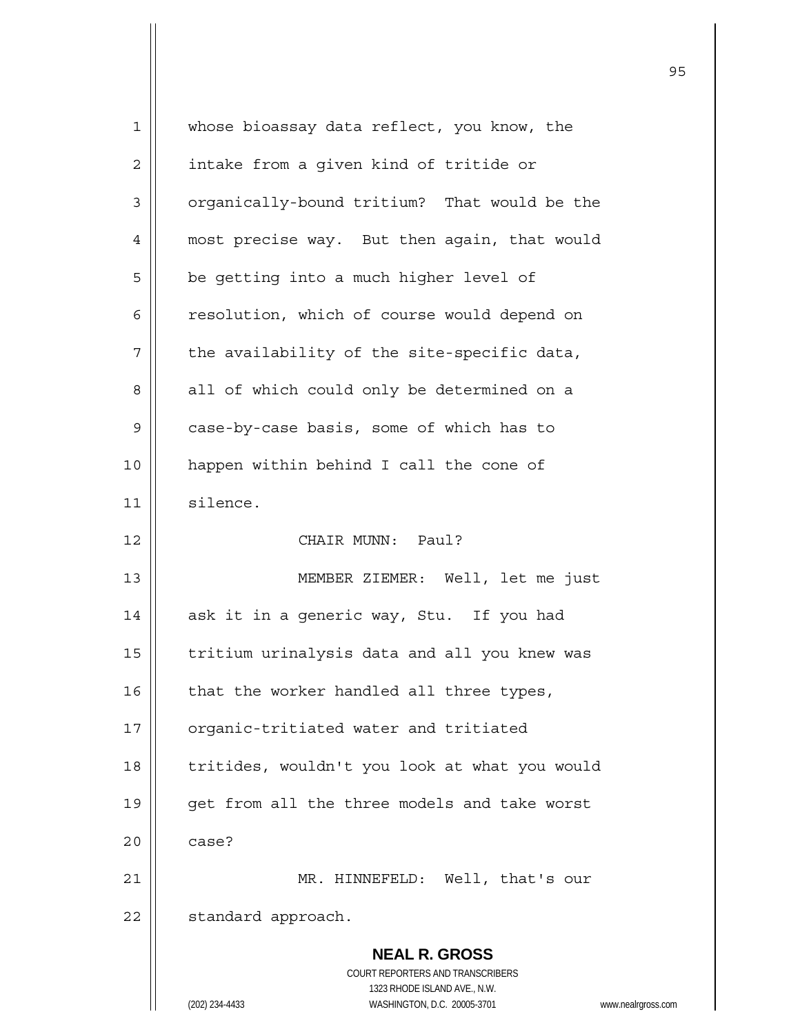| $\mathbf{1}$   | whose bioassay data reflect, you know, the                                                          |
|----------------|-----------------------------------------------------------------------------------------------------|
| $\overline{c}$ | intake from a given kind of tritide or                                                              |
| 3              | organically-bound tritium? That would be the                                                        |
| 4              | most precise way. But then again, that would                                                        |
| 5              | be getting into a much higher level of                                                              |
| 6              | resolution, which of course would depend on                                                         |
| 7              | the availability of the site-specific data,                                                         |
| 8              | all of which could only be determined on a                                                          |
| $\mathsf 9$    | case-by-case basis, some of which has to                                                            |
| 10             | happen within behind I call the cone of                                                             |
| 11             | silence.                                                                                            |
| 12             | CHAIR MUNN: Paul?                                                                                   |
| 13             | MEMBER ZIEMER: Well, let me just                                                                    |
| 14             | ask it in a generic way, Stu. If you had                                                            |
| 15             | tritium urinalysis data and all you knew was                                                        |
| 16             | that the worker handled all three types,                                                            |
| 17             | organic-tritiated water and tritiated                                                               |
| 18             | tritides, wouldn't you look at what you would                                                       |
| 19             | get from all the three models and take worst                                                        |
| 20             | case?                                                                                               |
| 21             | MR. HINNEFELD: Well, that's our                                                                     |
| 22             | standard approach.                                                                                  |
|                | <b>NEAL R. GROSS</b>                                                                                |
|                | COURT REPORTERS AND TRANSCRIBERS                                                                    |
|                | 1323 RHODE ISLAND AVE., N.W.<br>(202) 234-4433<br>WASHINGTON, D.C. 20005-3701<br>www.nealrgross.com |
|                |                                                                                                     |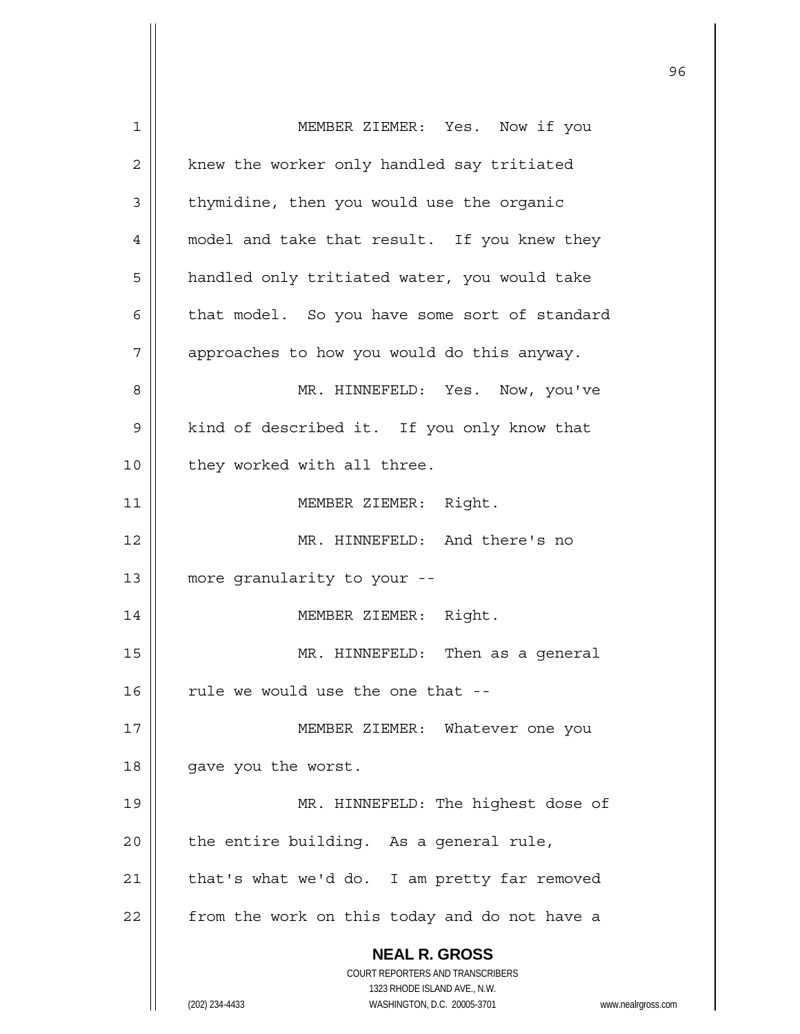| 1  | MEMBER ZIEMER: Yes. Now if you                                                                      |
|----|-----------------------------------------------------------------------------------------------------|
| 2  | knew the worker only handled say tritiated                                                          |
| 3  | thymidine, then you would use the organic                                                           |
| 4  | model and take that result. If you knew they                                                        |
| 5  | handled only tritiated water, you would take                                                        |
| 6  | that model. So you have some sort of standard                                                       |
| 7  | approaches to how you would do this anyway.                                                         |
| 8  | MR. HINNEFELD: Yes. Now, you've                                                                     |
| 9  | kind of described it. If you only know that                                                         |
| 10 | they worked with all three.                                                                         |
| 11 | MEMBER ZIEMER: Right.                                                                               |
| 12 | MR. HINNEFELD: And there's no                                                                       |
| 13 | more granularity to your --                                                                         |
| 14 | MEMBER ZIEMER: Right.                                                                               |
| 15 | MR. HINNEFELD: Then as a general                                                                    |
| 16 | rule we would use the one that --                                                                   |
| 17 | MEMBER ZIEMER: Whatever one you                                                                     |
| 18 | gave you the worst.                                                                                 |
| 19 | MR. HINNEFELD: The highest dose of                                                                  |
| 20 | the entire building. As a general rule,                                                             |
| 21 | that's what we'd do. I am pretty far removed                                                        |
|    |                                                                                                     |
| 22 | from the work on this today and do not have a                                                       |
|    | <b>NEAL R. GROSS</b>                                                                                |
|    | COURT REPORTERS AND TRANSCRIBERS                                                                    |
|    | 1323 RHODE ISLAND AVE., N.W.<br>(202) 234-4433<br>WASHINGTON, D.C. 20005-3701<br>www.nealrgross.com |
|    |                                                                                                     |

<u>96 and 2001 and 2002 and 2003 and 2003 and 2004 and 2004 and 2004 and 2004 and 2004 and 2004 and 2004 and 200</u>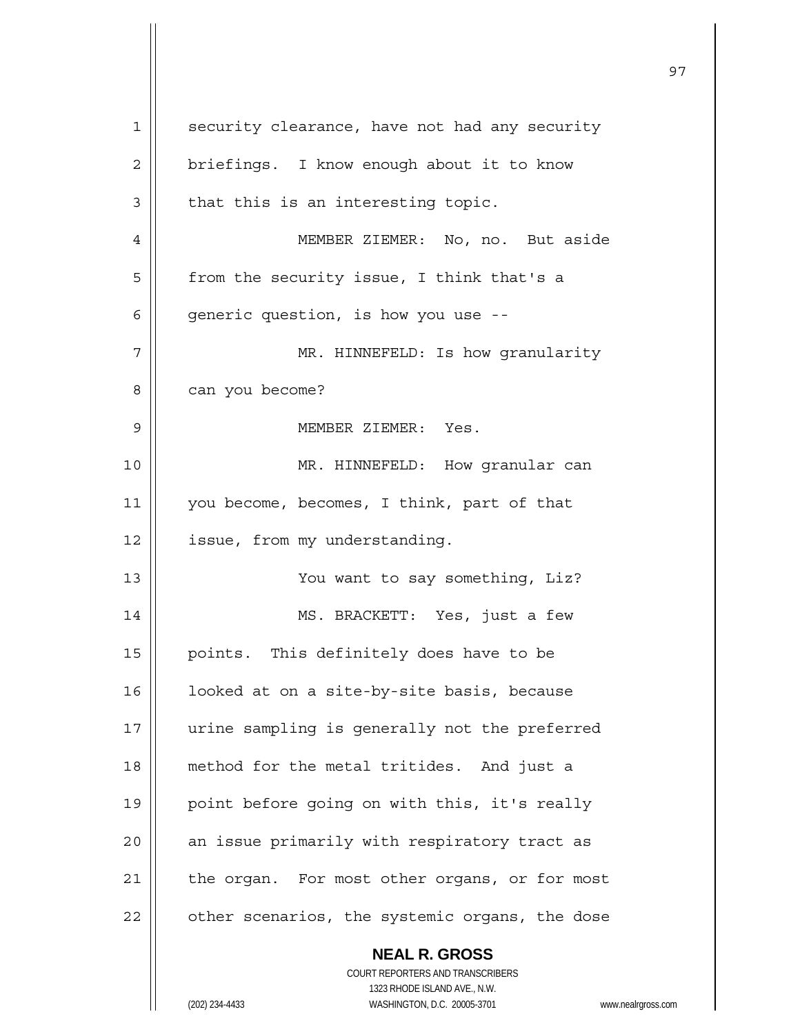| 1  | security clearance, have not had any security                           |
|----|-------------------------------------------------------------------------|
| 2  | briefings. I know enough about it to know                               |
| 3  | that this is an interesting topic.                                      |
| 4  | MEMBER ZIEMER: No, no. But aside                                        |
| 5  | from the security issue, I think that's a                               |
| 6  | generic question, is how you use --                                     |
| 7  | MR. HINNEFELD: Is how granularity                                       |
| 8  | can you become?                                                         |
| 9  | MEMBER ZIEMER: Yes.                                                     |
| 10 | MR. HINNEFELD: How granular can                                         |
| 11 | you become, becomes, I think, part of that                              |
| 12 | issue, from my understanding.                                           |
| 13 | You want to say something, Liz?                                         |
| 14 | MS. BRACKETT: Yes, just a few                                           |
| 15 | points. This definitely does have to be                                 |
| 16 | looked at on a site-by-site basis, because                              |
| 17 | urine sampling is generally not the preferred                           |
| 18 | method for the metal tritides. And just a                               |
| 19 | point before going on with this, it's really                            |
| 20 | an issue primarily with respiratory tract as                            |
| 21 | the organ. For most other organs, or for most                           |
| 22 | other scenarios, the systemic organs, the dose                          |
|    | <b>NEAL R. GROSS</b>                                                    |
|    | <b>COURT REPORTERS AND TRANSCRIBERS</b><br>1323 RHODE ISLAND AVE., N.W. |
|    | (202) 234-4433<br>WASHINGTON, D.C. 20005-3701<br>www.nealrgross.com     |
|    |                                                                         |

 $\mathbf{I}$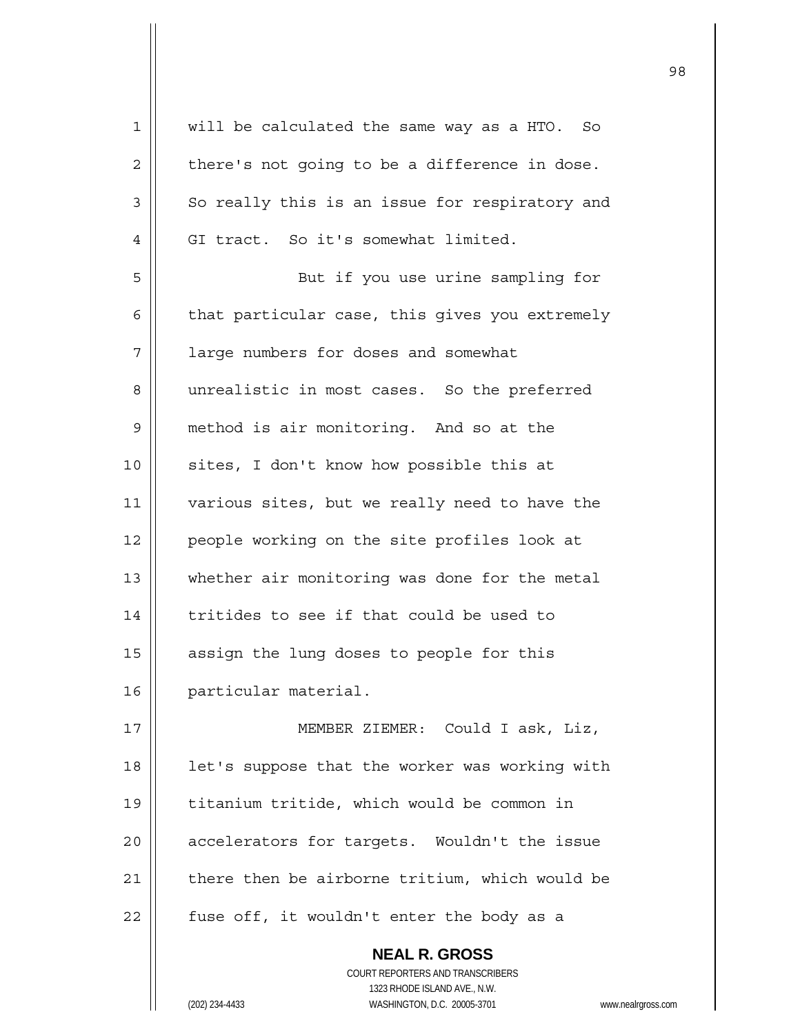| $\mathbf 1$ | will be calculated the same way as a HTO. So   |
|-------------|------------------------------------------------|
| 2           | there's not going to be a difference in dose.  |
| 3           | So really this is an issue for respiratory and |
| 4           | GI tract. So it's somewhat limited.            |
| 5           | But if you use urine sampling for              |
| 6           | that particular case, this gives you extremely |
| 7           | large numbers for doses and somewhat           |
| 8           | unrealistic in most cases. So the preferred    |
| 9           | method is air monitoring. And so at the        |
| 10          | sites, I don't know how possible this at       |
| 11          | various sites, but we really need to have the  |
| 12          | people working on the site profiles look at    |
| 13          | whether air monitoring was done for the metal  |
| 14          | tritides to see if that could be used to       |
| 15          | assign the lung doses to people for this       |
| 16          | particular material.                           |
| 17          | MEMBER ZIEMER: Could I ask, Liz,               |
| 18          | let's suppose that the worker was working with |
| 19          | titanium tritide, which would be common in     |
| 20          | accelerators for targets. Wouldn't the issue   |
| 21          | there then be airborne tritium, which would be |
| 22          | fuse off, it wouldn't enter the body as a      |
|             | <b>NEAL R. GROSS</b>                           |

 COURT REPORTERS AND TRANSCRIBERS 1323 RHODE ISLAND AVE., N.W.

 $\prod$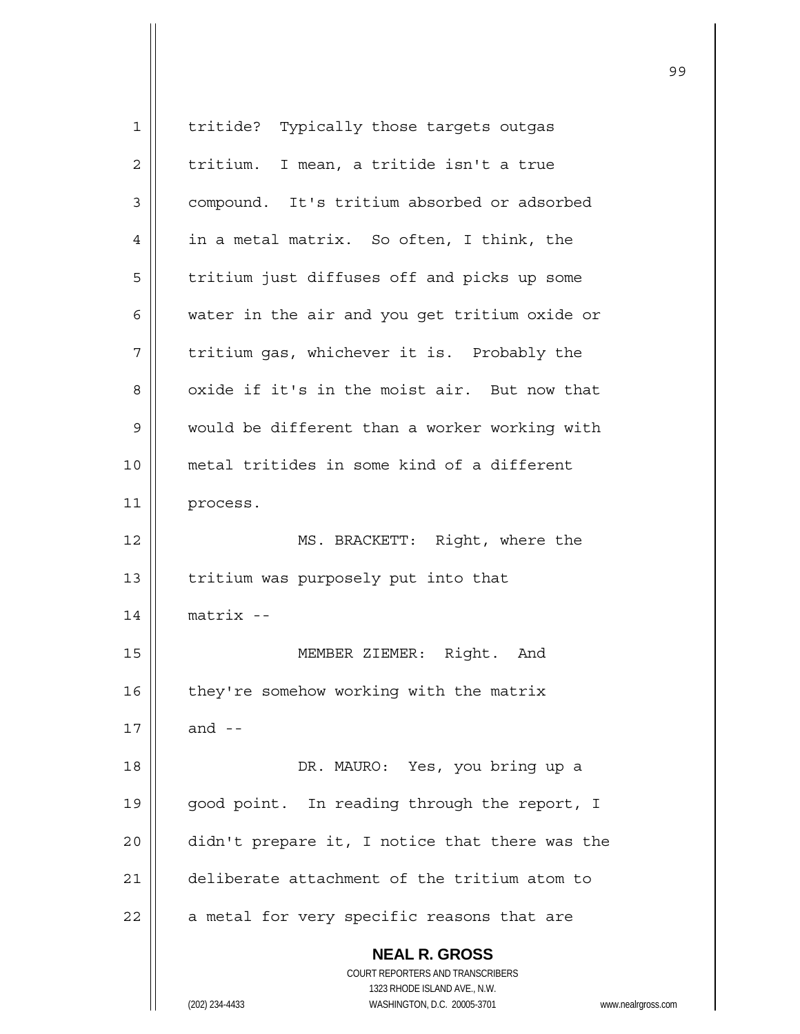| 1  | tritide? Typically those targets outgas                             |
|----|---------------------------------------------------------------------|
| 2  | tritium. I mean, a tritide isn't a true                             |
| 3  | compound. It's tritium absorbed or adsorbed                         |
| 4  | in a metal matrix. So often, I think, the                           |
| 5  | tritium just diffuses off and picks up some                         |
| 6  | water in the air and you get tritium oxide or                       |
| 7  | tritium gas, whichever it is. Probably the                          |
| 8  | oxide if it's in the moist air. But now that                        |
| 9  | would be different than a worker working with                       |
| 10 | metal tritides in some kind of a different                          |
| 11 | process.                                                            |
| 12 | MS. BRACKETT: Right, where the                                      |
| 13 | tritium was purposely put into that                                 |
| 14 | $matrix -$                                                          |
| 15 | MEMBER ZIEMER: Right.<br>And                                        |
|    |                                                                     |
| 16 | they're somehow working with the matrix                             |
| 17 | and $-$                                                             |
| 18 | DR. MAURO: Yes, you bring up a                                      |
| 19 | good point. In reading through the report, I                        |
| 20 | didn't prepare it, I notice that there was the                      |
| 21 | deliberate attachment of the tritium atom to                        |
| 22 | a metal for very specific reasons that are                          |
|    | <b>NEAL R. GROSS</b>                                                |
|    | COURT REPORTERS AND TRANSCRIBERS                                    |
|    | 1323 RHODE ISLAND AVE., N.W.                                        |
|    | WASHINGTON, D.C. 20005-3701<br>(202) 234-4433<br>www.nealrgross.com |

<u>99 - Johann Stein, amerikan ing kabupatèn Inggris (</u>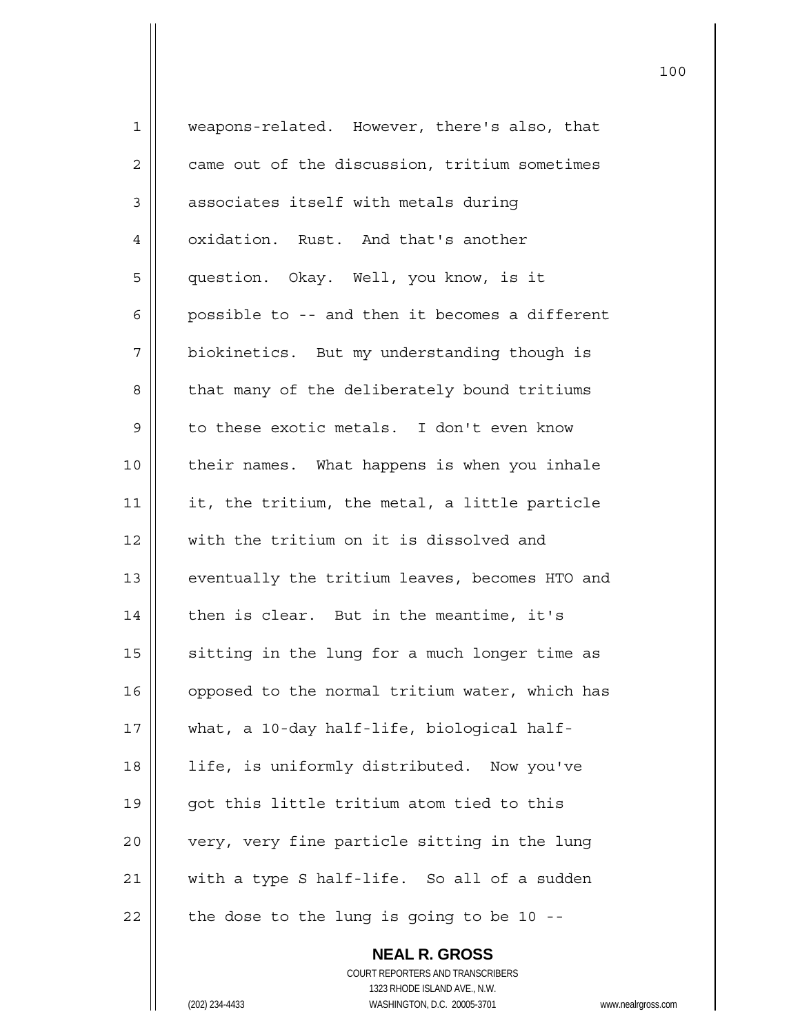| $\mathbf 1$ | weapons-related. However, there's also, that   |
|-------------|------------------------------------------------|
| 2           | came out of the discussion, tritium sometimes  |
| 3           | associates itself with metals during           |
| 4           | oxidation. Rust. And that's another            |
| 5           | question. Okay. Well, you know, is it          |
| 6           | possible to -- and then it becomes a different |
| 7           | biokinetics. But my understanding though is    |
| 8           | that many of the deliberately bound tritiums   |
| $\mathsf 9$ | to these exotic metals. I don't even know      |
| 10          | their names. What happens is when you inhale   |
| 11          | it, the tritium, the metal, a little particle  |
| 12          | with the tritium on it is dissolved and        |
| 13          | eventually the tritium leaves, becomes HTO and |
| 14          | then is clear. But in the meantime, it's       |
| 15          | sitting in the lung for a much longer time as  |
| 16          | opposed to the normal tritium water, which has |
| 17          | what, a 10-day half-life, biological half-     |
| 18          | life, is uniformly distributed. Now you've     |
| 19          | got this little tritium atom tied to this      |
| 20          | very, very fine particle sitting in the lung   |
| 21          | with a type S half-life. So all of a sudden    |
| 22          | the dose to the lung is going to be 10 --      |

 **NEAL R. GROSS** COURT REPORTERS AND TRANSCRIBERS 1323 RHODE ISLAND AVE., N.W. (202) 234-4433 WASHINGTON, D.C. 20005-3701 www.nealrgross.com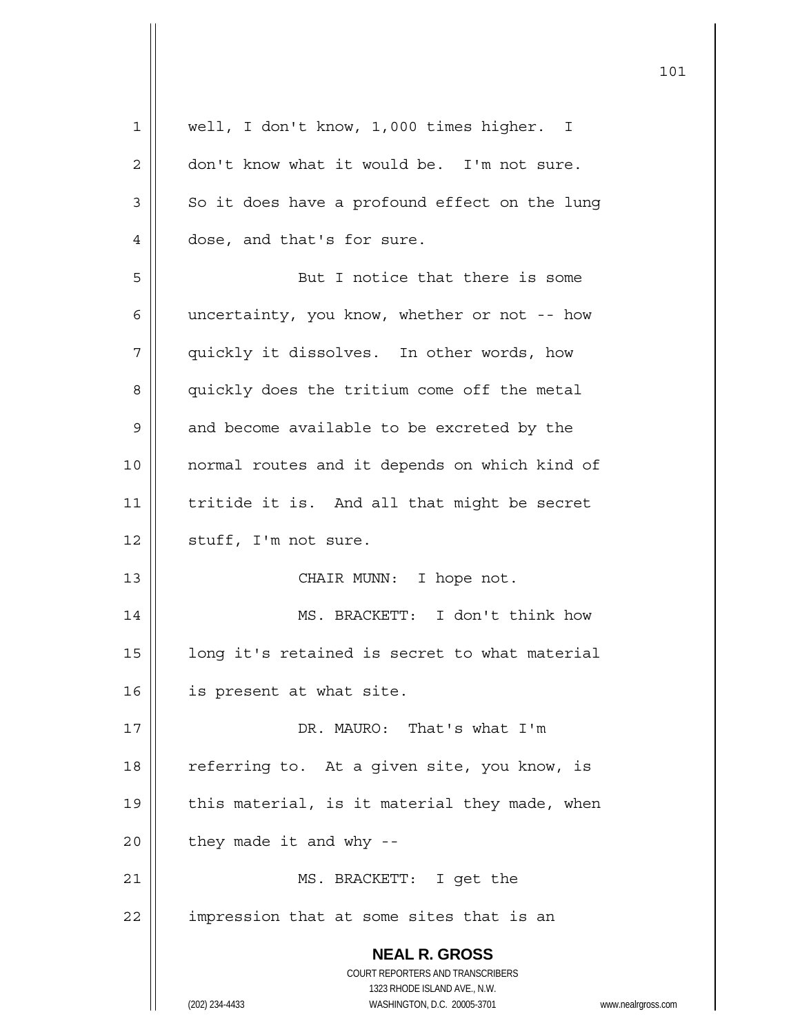| $\mathbf 1$ | well, I don't know, 1,000 times higher. I                                                           |
|-------------|-----------------------------------------------------------------------------------------------------|
| 2           | don't know what it would be. I'm not sure.                                                          |
| 3           | So it does have a profound effect on the lung                                                       |
| 4           | dose, and that's for sure.                                                                          |
| 5           | But I notice that there is some                                                                     |
| 6           | uncertainty, you know, whether or not -- how                                                        |
| 7           | quickly it dissolves. In other words, how                                                           |
| 8           | quickly does the tritium come off the metal                                                         |
| 9           | and become available to be excreted by the                                                          |
| 10          | normal routes and it depends on which kind of                                                       |
| 11          | tritide it is. And all that might be secret                                                         |
| 12          | stuff, I'm not sure.                                                                                |
| 13          | CHAIR MUNN: I hope not.                                                                             |
| 14          | MS. BRACKETT: I don't think how                                                                     |
| 15          | long it's retained is secret to what material                                                       |
| 16          | is present at what site.                                                                            |
| 17          | DR. MAURO: That's what I'm                                                                          |
| 18          | referring to. At a given site, you know, is                                                         |
| 19          | this material, is it material they made, when                                                       |
| 20          | they made it and why --                                                                             |
| 21          | MS. BRACKETT: I get the                                                                             |
| 22          | impression that at some sites that is an                                                            |
|             |                                                                                                     |
|             | <b>NEAL R. GROSS</b>                                                                                |
|             | COURT REPORTERS AND TRANSCRIBERS                                                                    |
|             | 1323 RHODE ISLAND AVE., N.W.<br>(202) 234-4433<br>WASHINGTON, D.C. 20005-3701<br>www.nealrgross.com |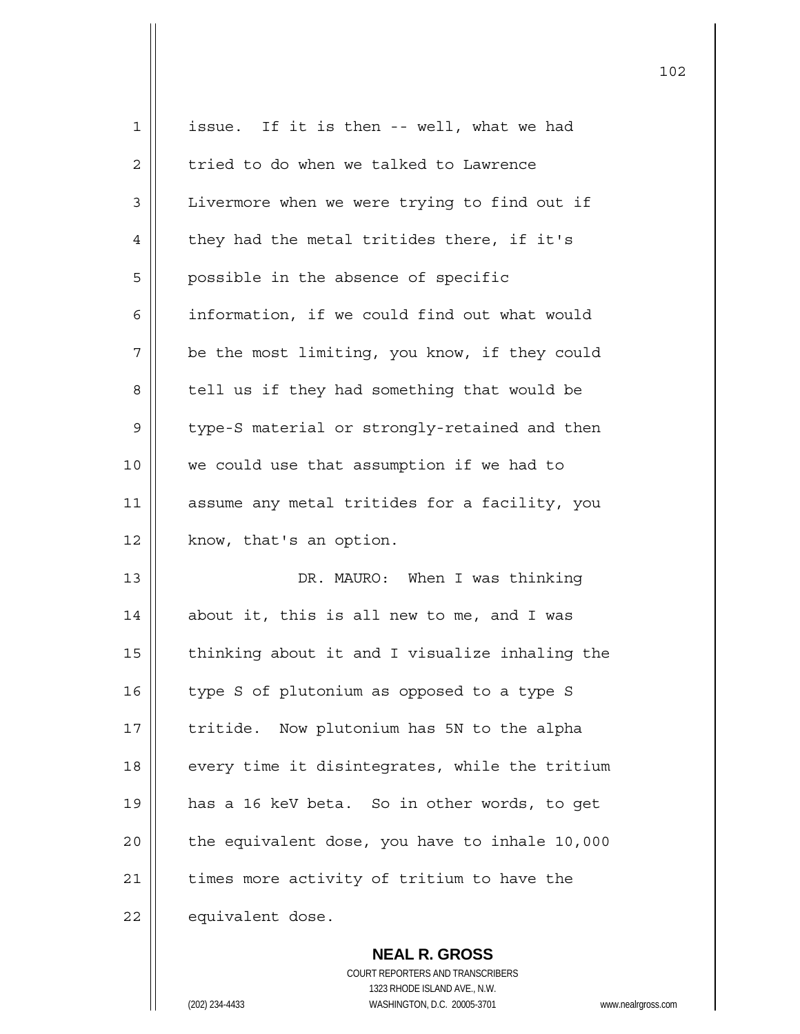| $\mathbf 1$ | issue. If it is then -- well, what we had      |
|-------------|------------------------------------------------|
| 2           | tried to do when we talked to Lawrence         |
| 3           | Livermore when we were trying to find out if   |
| 4           | they had the metal tritides there, if it's     |
| 5           | possible in the absence of specific            |
| 6           | information, if we could find out what would   |
| 7           | be the most limiting, you know, if they could  |
| 8           | tell us if they had something that would be    |
| 9           | type-S material or strongly-retained and then  |
| 10          | we could use that assumption if we had to      |
| 11          | assume any metal tritides for a facility, you  |
| 12          | know, that's an option.                        |
| 13          | DR. MAURO: When I was thinking                 |
| 14          | about it, this is all new to me, and I was     |
| 15          | thinking about it and I visualize inhaling the |
| 16          | type S of plutonium as opposed to a type S     |
| 17          | Now plutonium has 5N to the alpha<br>tritide.  |
| 18          | every time it disintegrates, while the tritium |
| 19          | has a 16 keV beta. So in other words, to get   |
| 20          | the equivalent dose, you have to inhale 10,000 |
| 21          | times more activity of tritium to have the     |
| 22          | equivalent dose.                               |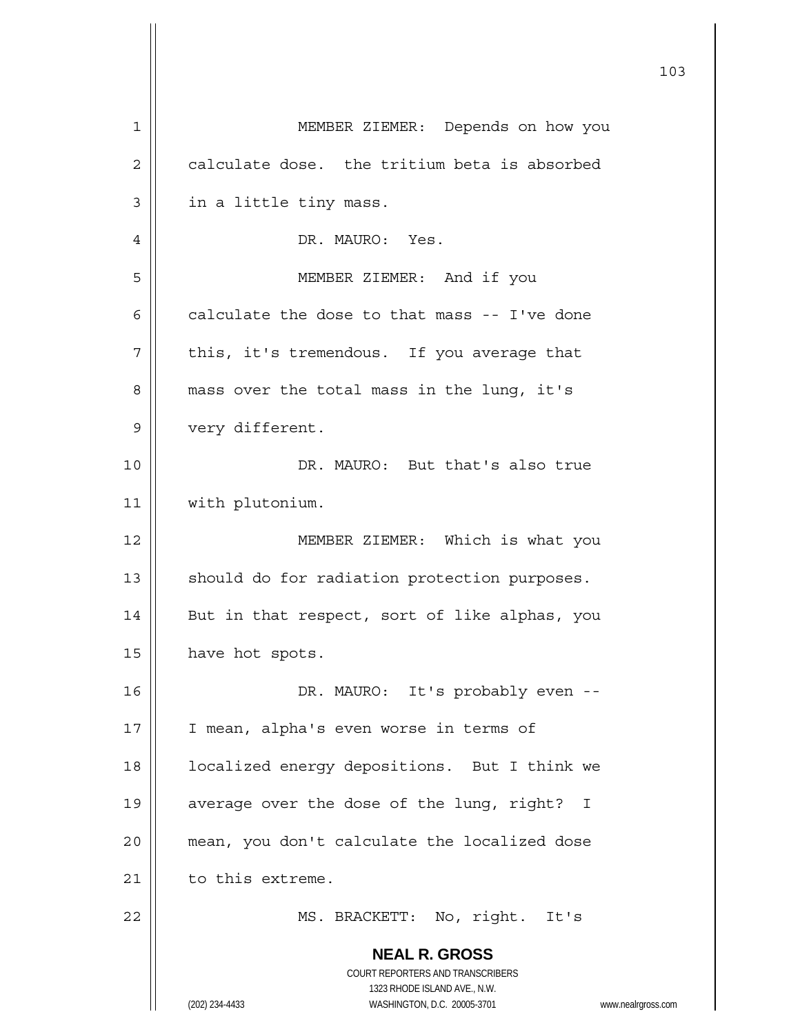|    | 103                                                                 |
|----|---------------------------------------------------------------------|
| 1  | MEMBER ZIEMER: Depends on how you                                   |
| 2  | calculate dose. the tritium beta is absorbed                        |
| 3  | in a little tiny mass.                                              |
| 4  | DR. MAURO: Yes.                                                     |
| 5  | MEMBER ZIEMER: And if you                                           |
| 6  | calculate the dose to that mass -- I've done                        |
| 7  | this, it's tremendous. If you average that                          |
| 8  | mass over the total mass in the lung, it's                          |
| 9  | very different.                                                     |
| 10 | DR. MAURO: But that's also true                                     |
| 11 | with plutonium.                                                     |
| 12 | MEMBER ZIEMER: Which is what you                                    |
| 13 | should do for radiation protection purposes.                        |
| 14 | But in that respect, sort of like alphas, you                       |
| 15 | have hot spots.                                                     |
| 16 | DR. MAURO: It's probably even --                                    |
| 17 | I mean, alpha's even worse in terms of                              |
| 18 | localized energy depositions. But I think we                        |
| 19 | average over the dose of the lung, right? I                         |
| 20 | mean, you don't calculate the localized dose                        |
| 21 | to this extreme.                                                    |
| 22 | MS. BRACKETT: No, right. It's                                       |
|    | <b>NEAL R. GROSS</b><br>COURT REPORTERS AND TRANSCRIBERS            |
|    | 1323 RHODE ISLAND AVE., N.W.                                        |
|    | (202) 234-4433<br>WASHINGTON, D.C. 20005-3701<br>www.nealrgross.com |

 $\mathsf{I}$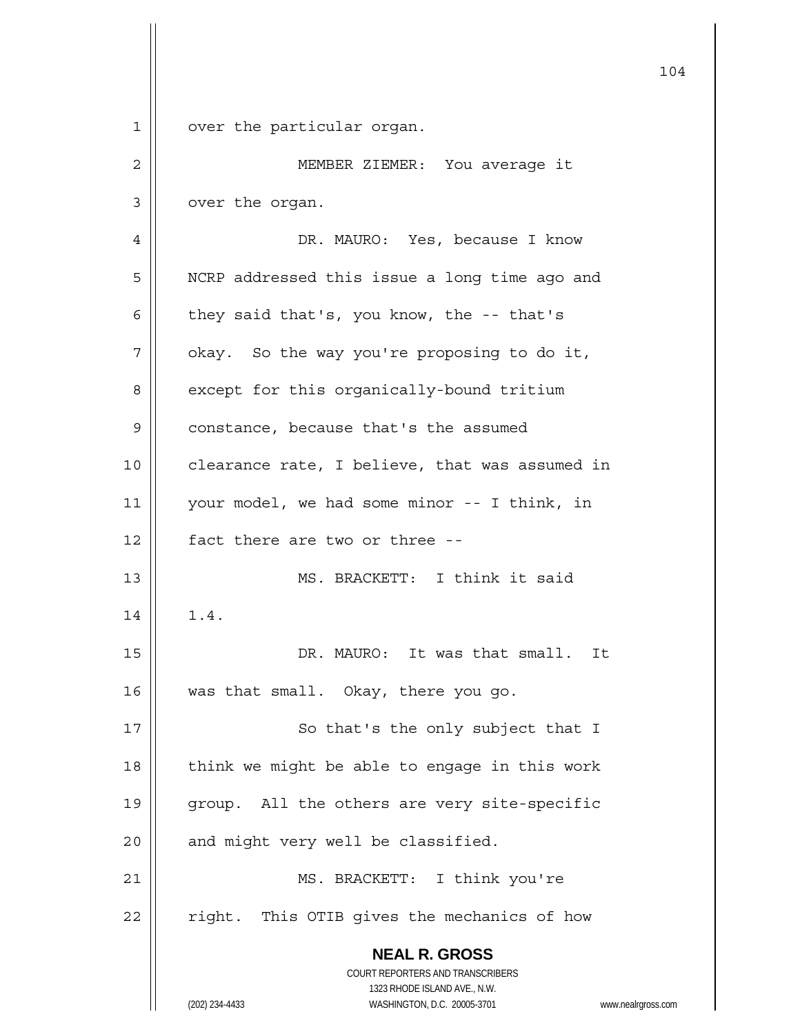**NEAL R. GROSS** COURT REPORTERS AND TRANSCRIBERS 1323 RHODE ISLAND AVE., N.W. (202) 234-4433 WASHINGTON, D.C. 20005-3701 www.nealrgross.com 104 1 | over the particular organ. 2 || MEMBER ZIEMER: You average it 3 | over the organ. 4 DR. MAURO: Yes, because I know 5 | NCRP addressed this issue a long time ago and 6  $\parallel$  they said that's, you know, the -- that's  $7 \parallel$  okay. So the way you're proposing to do it, 8 | except for this organically-bound tritium 9 | constance, because that's the assumed 10 | clearance rate, I believe, that was assumed in 11 your model, we had some minor -- I think, in 12 || fact there are two or three --13 MS. BRACKETT: I think it said  $14 \parallel 1.4.$ 15 DR. MAURO: It was that small. It 16 Was that small. Okay, there you go. 17 || So that's the only subject that I 18  $\parallel$  think we might be able to engage in this work 19 || group. All the others are very site-specific  $20$  | and might very well be classified. 21 || MS. BRACKETT: I think you're 22 || right. This OTIB gives the mechanics of how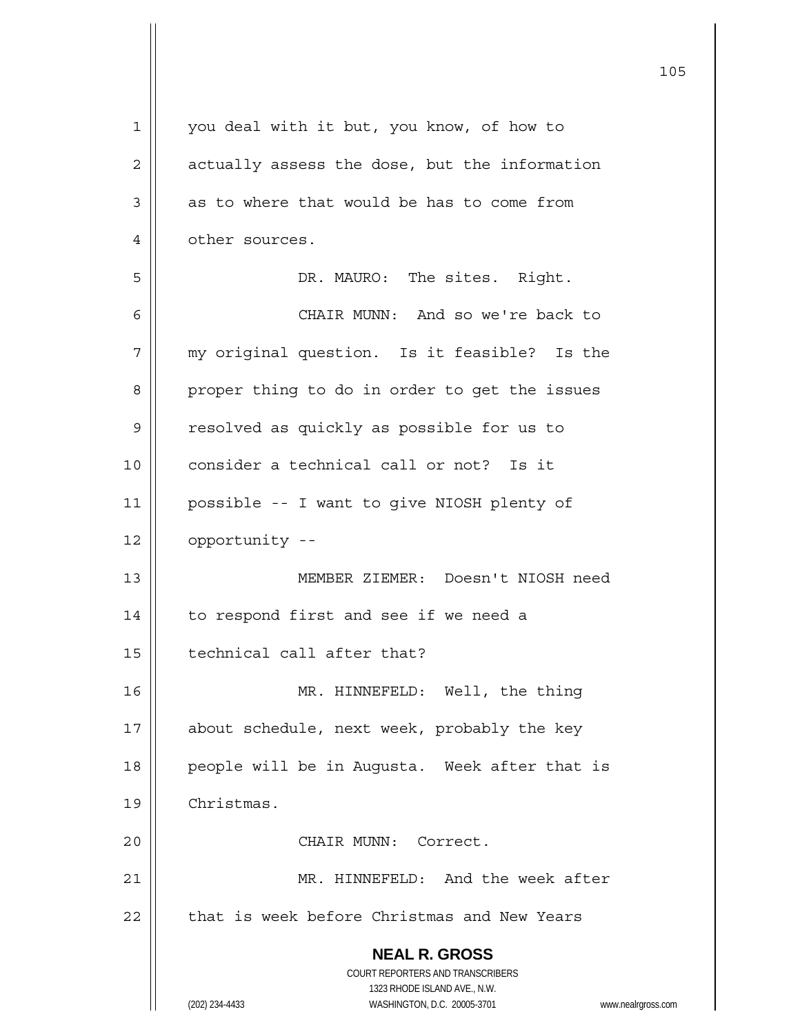| $\mathbf 1$ | you deal with it but, you know, of how to                                                           |
|-------------|-----------------------------------------------------------------------------------------------------|
| 2           | actually assess the dose, but the information                                                       |
| 3           | as to where that would be has to come from                                                          |
| 4           | other sources.                                                                                      |
| 5           | DR. MAURO: The sites. Right.                                                                        |
| 6           | CHAIR MUNN: And so we're back to                                                                    |
| 7           | my original question. Is it feasible? Is the                                                        |
| 8           | proper thing to do in order to get the issues                                                       |
| 9           | resolved as quickly as possible for us to                                                           |
| 10          | consider a technical call or not? Is it                                                             |
| 11          | possible -- I want to give NIOSH plenty of                                                          |
| 12          | opportunity --                                                                                      |
| 13          | MEMBER ZIEMER: Doesn't NIOSH need                                                                   |
| 14          | to respond first and see if we need a                                                               |
| 15          | technical call after that?                                                                          |
| 16          | MR. HINNEFELD: Well, the thing                                                                      |
| 17          | about schedule, next week, probably the key                                                         |
| 18          | people will be in Augusta. Week after that is                                                       |
| 19          | Christmas.                                                                                          |
| 20          | CHAIR MUNN: Correct.                                                                                |
| 21          | MR. HINNEFELD: And the week after                                                                   |
| 22          | that is week before Christmas and New Years                                                         |
|             | <b>NEAL R. GROSS</b>                                                                                |
|             | COURT REPORTERS AND TRANSCRIBERS                                                                    |
|             | 1323 RHODE ISLAND AVE., N.W.<br>(202) 234-4433<br>WASHINGTON, D.C. 20005-3701<br>www.nealrgross.com |
|             |                                                                                                     |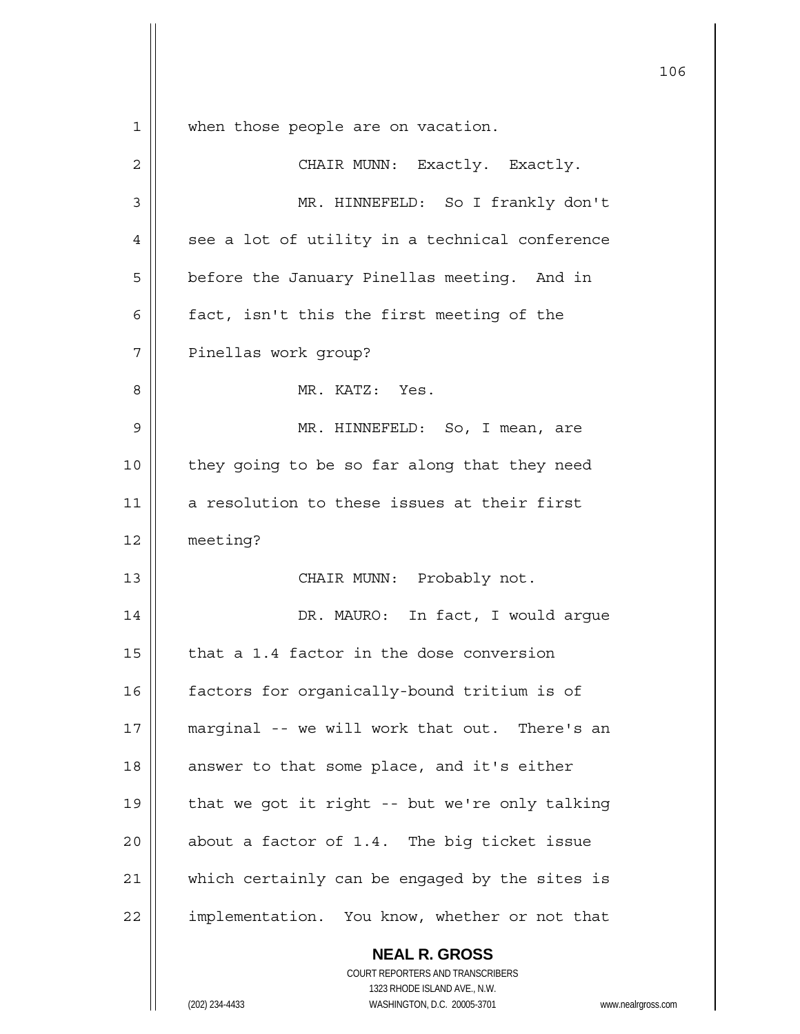**NEAL R. GROSS** COURT REPORTERS AND TRANSCRIBERS 1323 RHODE ISLAND AVE., N.W. 106 1 || when those people are on vacation. 2 | CHAIR MUNN: Exactly. Exactly. 3 MR. HINNEFELD: So I frankly don't  $4 \parallel$  see a lot of utility in a technical conference 5 | before the January Pinellas meeting. And in  $6$  | fact, isn't this the first meeting of the 7 || Pinellas work group? 8 MR. KATZ: Yes. 9 MR. HINNEFELD: So, I mean, are 10 || they going to be so far along that they need 11 || a resolution to these issues at their first 12 meeting? 13 || CHAIR MUNN: Probably not. 14 DR. MAURO: In fact, I would argue  $15$  | that a 1.4 factor in the dose conversion 16 | factors for organically-bound tritium is of 17 || marginal -- we will work that out. There's an 18 || answer to that some place, and it's either 19  $\parallel$  that we got it right -- but we're only talking 20  $\parallel$  about a factor of 1.4. The big ticket issue 21 || which certainly can be engaged by the sites is 22 | implementation. You know, whether or not that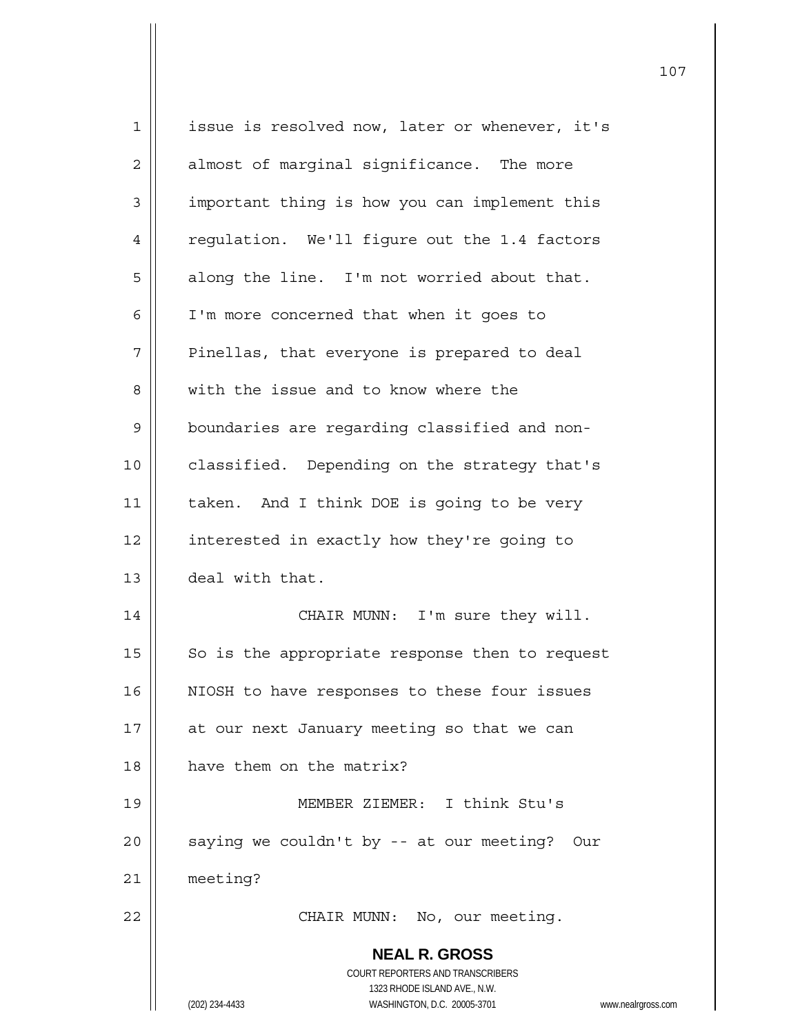| $\mathbf 1$    | issue is resolved now, later or whenever, it's                      |
|----------------|---------------------------------------------------------------------|
| $\mathbf{2}$   | almost of marginal significance. The more                           |
| $\mathfrak{Z}$ | important thing is how you can implement this                       |
| 4              | regulation. We'll figure out the 1.4 factors                        |
| 5              | along the line. I'm not worried about that.                         |
| 6              | I'm more concerned that when it goes to                             |
| 7              | Pinellas, that everyone is prepared to deal                         |
| 8              | with the issue and to know where the                                |
| 9              | boundaries are regarding classified and non-                        |
| 10             | classified. Depending on the strategy that's                        |
| 11             | taken. And I think DOE is going to be very                          |
| 12             | interested in exactly how they're going to                          |
| 13             | deal with that.                                                     |
| 14             | CHAIR MUNN: I'm sure they will.                                     |
| 15             | So is the appropriate response then to request                      |
| 16             | NIOSH to have responses to these four issues                        |
| 17             | at our next January meeting so that we can                          |
| 18             | have them on the matrix?                                            |
| 19             | MEMBER ZIEMER: I think Stu's                                        |
| 20             | saying we couldn't by -- at our meeting? Our                        |
| 21             | meeting?                                                            |
| 22             | CHAIR MUNN: No, our meeting.                                        |
|                | <b>NEAL R. GROSS</b>                                                |
|                | <b>COURT REPORTERS AND TRANSCRIBERS</b>                             |
|                | 1323 RHODE ISLAND AVE., N.W.                                        |
|                | WASHINGTON, D.C. 20005-3701<br>(202) 234-4433<br>www.nealrgross.com |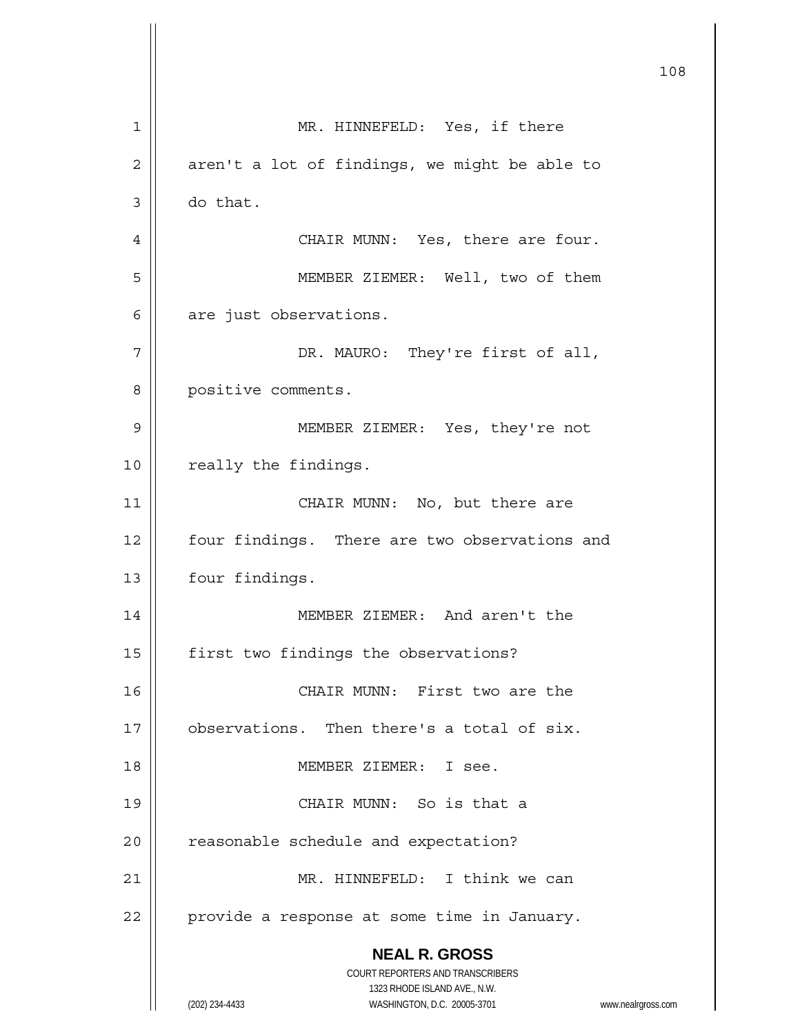|    |                                                                                                     | 108 |
|----|-----------------------------------------------------------------------------------------------------|-----|
| 1  | MR. HINNEFELD: Yes, if there                                                                        |     |
| 2  | aren't a lot of findings, we might be able to                                                       |     |
| 3  | do that.                                                                                            |     |
| 4  | CHAIR MUNN: Yes, there are four.                                                                    |     |
| 5  | MEMBER ZIEMER: Well, two of them                                                                    |     |
| 6  | are just observations.                                                                              |     |
| 7  | DR. MAURO: They're first of all,                                                                    |     |
| 8  | positive comments.                                                                                  |     |
| 9  | MEMBER ZIEMER: Yes, they're not                                                                     |     |
| 10 | really the findings.                                                                                |     |
| 11 | CHAIR MUNN: No, but there are                                                                       |     |
| 12 | four findings. There are two observations and                                                       |     |
| 13 | four findings.                                                                                      |     |
| 14 | MEMBER ZIEMER: And aren't the                                                                       |     |
| 15 | first two findings the observations?                                                                |     |
| 16 | CHAIR MUNN: First two are the                                                                       |     |
| 17 | observations. Then there's a total of six.                                                          |     |
| 18 | MEMBER ZIEMER: I see.                                                                               |     |
| 19 | CHAIR MUNN: So is that a                                                                            |     |
| 20 | reasonable schedule and expectation?                                                                |     |
| 21 | MR. HINNEFELD: I think we can                                                                       |     |
| 22 | provide a response at some time in January.                                                         |     |
|    | <b>NEAL R. GROSS</b><br>COURT REPORTERS AND TRANSCRIBERS                                            |     |
|    | 1323 RHODE ISLAND AVE., N.W.<br>(202) 234-4433<br>WASHINGTON, D.C. 20005-3701<br>www.nealrgross.com |     |

 $\mathsf{I}$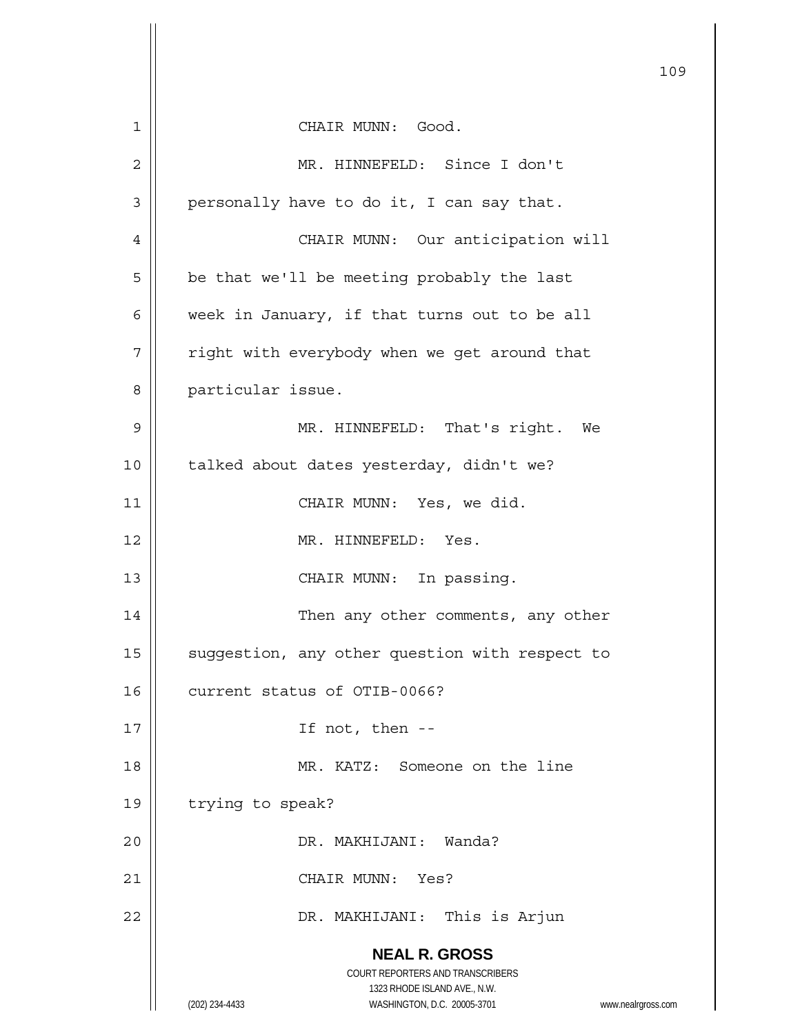|        |                                                                     | 109 |
|--------|---------------------------------------------------------------------|-----|
| 1      | CHAIR MUNN: Good.                                                   |     |
| 2      | MR. HINNEFELD: Since I don't                                        |     |
| 3      | personally have to do it, I can say that.                           |     |
| 4      | CHAIR MUNN: Our anticipation will                                   |     |
| 5      | be that we'll be meeting probably the last                          |     |
| 6      | week in January, if that turns out to be all                        |     |
| 7      | right with everybody when we get around that                        |     |
| 8      | particular issue.                                                   |     |
| 9      | MR. HINNEFELD: That's right. We                                     |     |
| 10     | talked about dates yesterday, didn't we?                            |     |
| 11     | CHAIR MUNN: Yes, we did.                                            |     |
| 12     | MR. HINNEFELD: Yes.                                                 |     |
| 13     | CHAIR MUNN: In passing.                                             |     |
| 14     | Then any other comments, any other                                  |     |
| 15     | suggestion, any other question with respect to                      |     |
| 16     | current status of OTIB-0066?                                        |     |
| 17     | If not, then --                                                     |     |
| $18\,$ | MR. KATZ: Someone on the line                                       |     |
| 19     | trying to speak?                                                    |     |
| 20     | DR. MAKHIJANI: Wanda?                                               |     |
| 21     | CHAIR MUNN:<br>Yes?                                                 |     |
| 22     | DR. MAKHIJANI: This is Arjun                                        |     |
|        | <b>NEAL R. GROSS</b>                                                |     |
|        | COURT REPORTERS AND TRANSCRIBERS                                    |     |
|        | 1323 RHODE ISLAND AVE., N.W.                                        |     |
|        | (202) 234-4433<br>WASHINGTON, D.C. 20005-3701<br>www.nealrgross.com |     |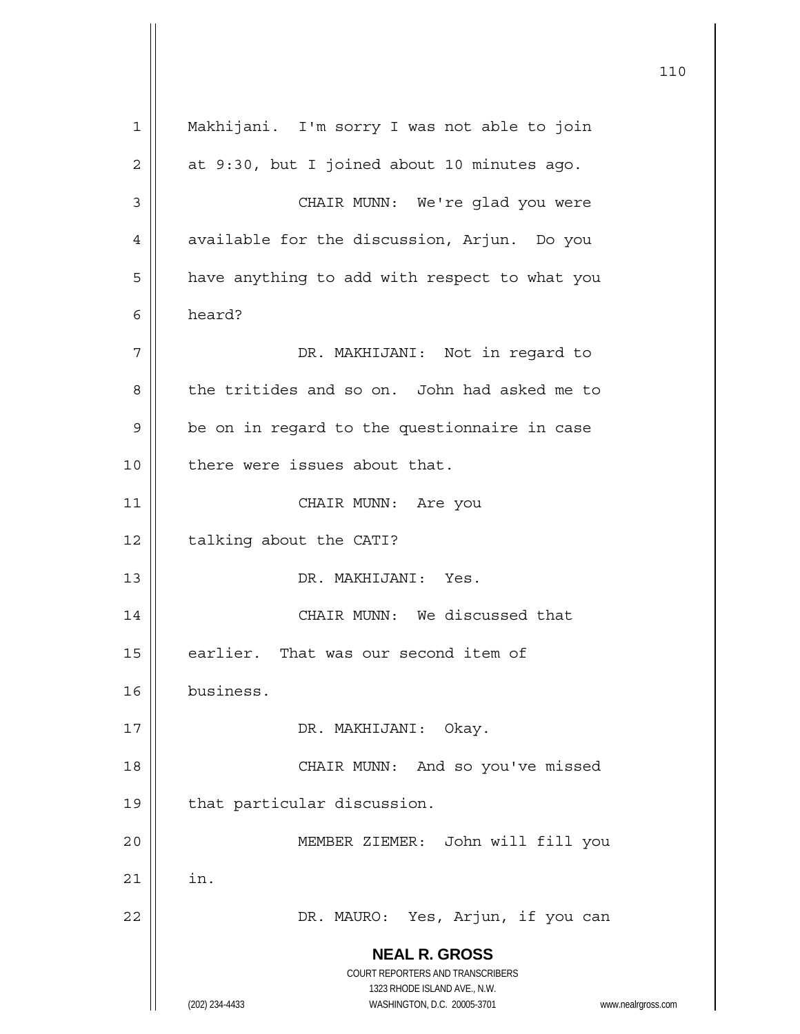**NEAL R. GROSS** COURT REPORTERS AND TRANSCRIBERS 1323 RHODE ISLAND AVE., N.W. (202) 234-4433 WASHINGTON, D.C. 20005-3701 www.nealrgross.com 1 Makhijani. I'm sorry I was not able to join  $2 \parallel$  at 9:30, but I joined about 10 minutes ago. 3 || CHAIR MUNN: We're glad you were 4 | available for the discussion, Arjun. Do you  $5 \parallel$  have anything to add with respect to what you 6 heard? 7 DR. MAKHIJANI: Not in regard to 8 the tritides and so on. John had asked me to  $9 \parallel$  be on in regard to the questionnaire in case 10 || there were issues about that. 11 || CHAIR MUNN: Are you 12 | talking about the CATI? 13 DR. MAKHIJANI: Yes. 14 || CHAIR MUNN: We discussed that 15 | earlier. That was our second item of 16 business. 17 || DR. MAKHIJANI: Okay. 18 || CHAIR MUNN: And so you've missed 19 | that particular discussion. 20 MEMBER ZIEMER: John will fill you  $21$   $\parallel$  in. 22 DR. MAURO: Yes, Arjun, if you can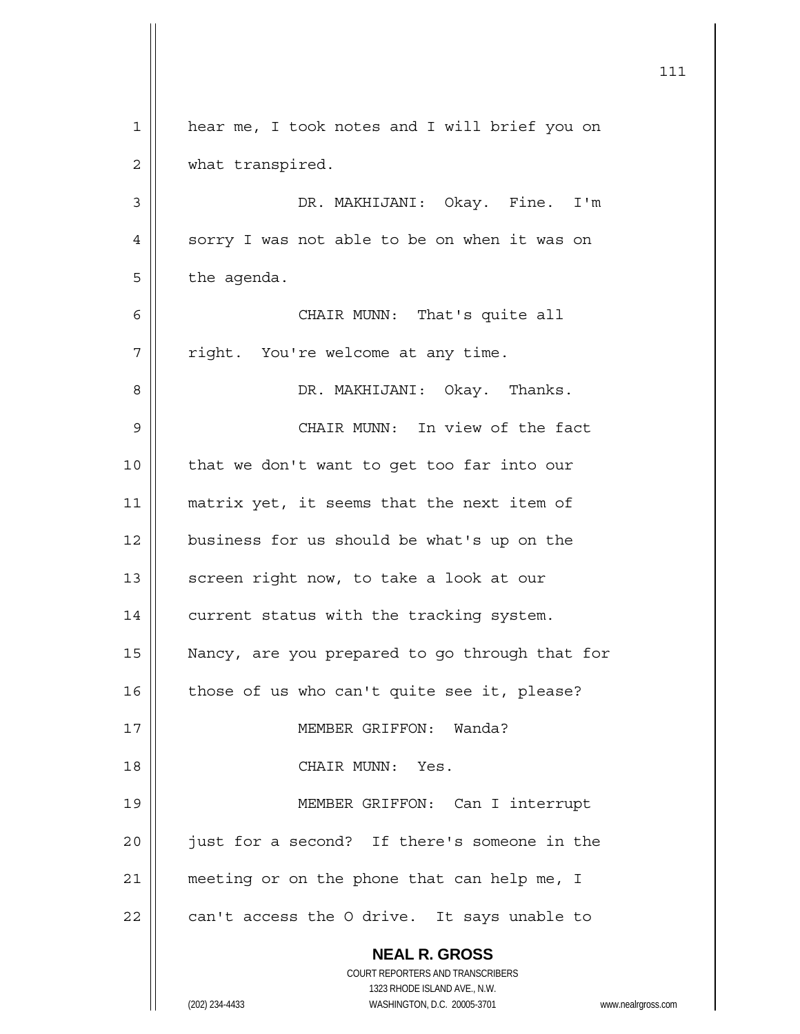|             | 111                                                                 |
|-------------|---------------------------------------------------------------------|
| $\mathbf 1$ | hear me, I took notes and I will brief you on                       |
| 2           | what transpired.                                                    |
| 3           | DR. MAKHIJANI: Okay. Fine.<br>I'm                                   |
| 4           | sorry I was not able to be on when it was on                        |
| 5           | the agenda.                                                         |
| 6           | CHAIR MUNN: That's quite all                                        |
| 7           | right. You're welcome at any time.                                  |
| 8           | DR. MAKHIJANI: Okay. Thanks.                                        |
| 9           | CHAIR MUNN: In view of the fact                                     |
| 10          | that we don't want to get too far into our                          |
| 11          | matrix yet, it seems that the next item of                          |
| 12          | business for us should be what's up on the                          |
| 13          | screen right now, to take a look at our                             |
| 14          | current status with the tracking system.                            |
| 15          | Nancy, are you prepared to go through that for                      |
| 16          | those of us who can't quite see it, please?                         |
| 17          | MEMBER GRIFFON: Wanda?                                              |
| 18          | CHAIR MUNN:<br>Yes.                                                 |
| 19          | MEMBER GRIFFON: Can I interrupt                                     |
| 20          | just for a second? If there's someone in the                        |
| 21          | meeting or on the phone that can help me, I                         |
| 22          | can't access the O drive. It says unable to                         |
|             | <b>NEAL R. GROSS</b><br>COURT REPORTERS AND TRANSCRIBERS            |
|             | 1323 RHODE ISLAND AVE., N.W.                                        |
|             | (202) 234-4433<br>WASHINGTON, D.C. 20005-3701<br>www.nealrgross.com |

 $\mathbf{\mathcal{L}}$ 

nealrgross.com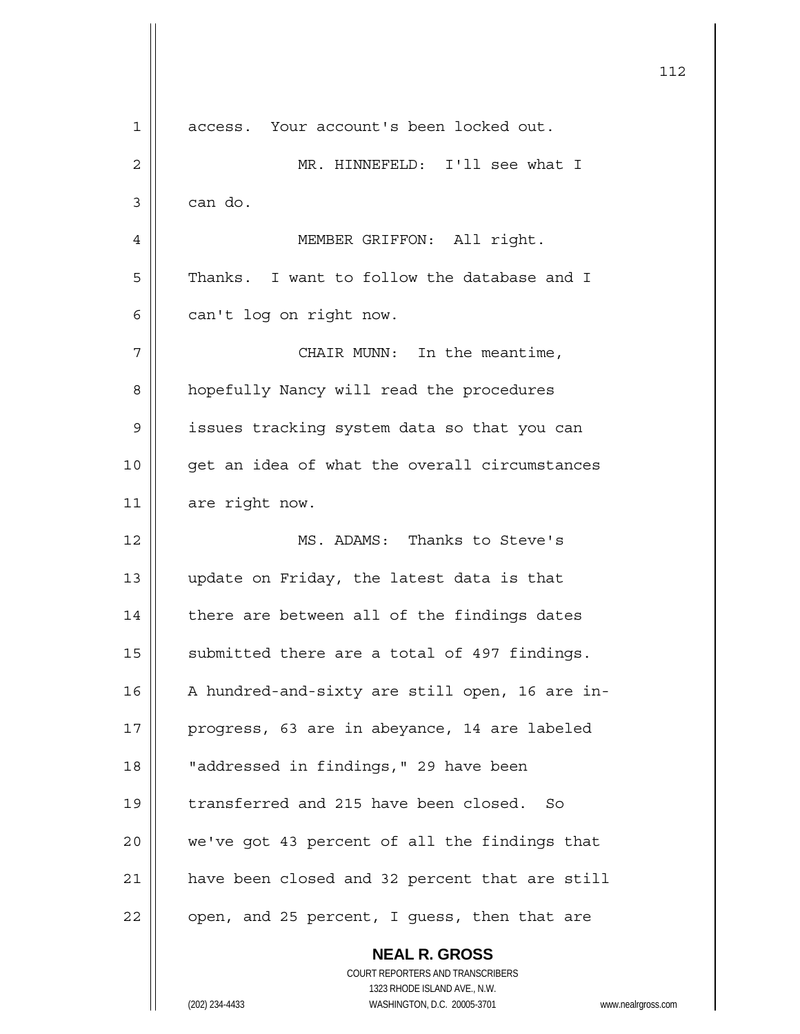|             | 112                                                                                                                                                             |
|-------------|-----------------------------------------------------------------------------------------------------------------------------------------------------------------|
| $\mathbf 1$ | access. Your account's been locked out.                                                                                                                         |
| 2           | MR. HINNEFELD: I'll see what I                                                                                                                                  |
| 3           | can do.                                                                                                                                                         |
| 4           | MEMBER GRIFFON: All right.                                                                                                                                      |
| 5           | Thanks. I want to follow the database and I                                                                                                                     |
| 6           | can't log on right now.                                                                                                                                         |
| 7           | CHAIR MUNN: In the meantime,                                                                                                                                    |
| 8           | hopefully Nancy will read the procedures                                                                                                                        |
| 9           | issues tracking system data so that you can                                                                                                                     |
| 10          | get an idea of what the overall circumstances                                                                                                                   |
| 11          | are right now.                                                                                                                                                  |
| 12          | MS. ADAMS: Thanks to Steve's                                                                                                                                    |
| 13          | update on Friday, the latest data is that                                                                                                                       |
| 14          | there are between all of the findings dates                                                                                                                     |
| 15          | submitted there are a total of 497 findings.                                                                                                                    |
| 16          | A hundred-and-sixty are still open, 16 are in-                                                                                                                  |
| 17          | progress, 63 are in abeyance, 14 are labeled                                                                                                                    |
| 18          | "addressed in findings," 29 have been                                                                                                                           |
| 19          | transferred and 215 have been closed.<br>So                                                                                                                     |
| 20          | we've got 43 percent of all the findings that                                                                                                                   |
| 21          | have been closed and 32 percent that are still                                                                                                                  |
| 22          | open, and 25 percent, I guess, then that are                                                                                                                    |
|             | <b>NEAL R. GROSS</b><br>COURT REPORTERS AND TRANSCRIBERS<br>1323 RHODE ISLAND AVE., N.W.<br>(202) 234-4433<br>WASHINGTON, D.C. 20005-3701<br>www.nealrgross.com |
|             |                                                                                                                                                                 |

 $\mathsf{l}$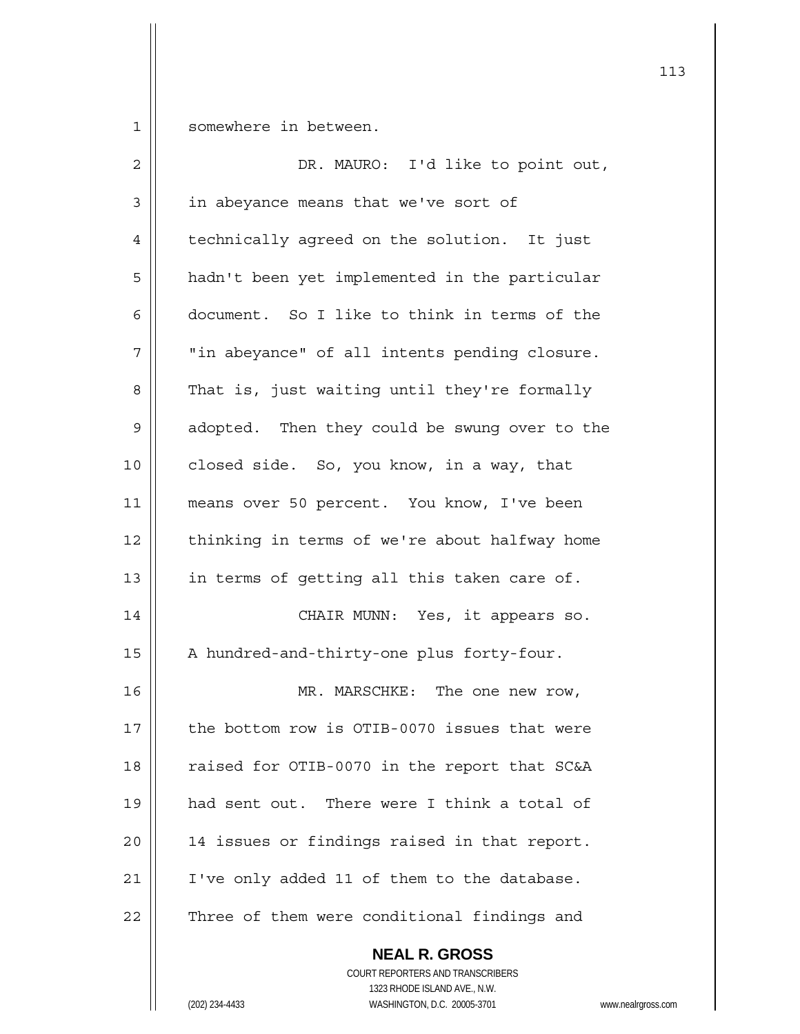1 | somewhere in between.

| $\overline{2}$ | DR. MAURO: I'd like to point out,             |
|----------------|-----------------------------------------------|
| $\mathfrak{Z}$ | in abeyance means that we've sort of          |
| 4              | technically agreed on the solution. It just   |
| 5              | hadn't been yet implemented in the particular |
| 6              | document. So I like to think in terms of the  |
| 7              | "in abeyance" of all intents pending closure. |
| 8              | That is, just waiting until they're formally  |
| 9              | adopted. Then they could be swung over to the |
| 10             | closed side. So, you know, in a way, that     |
| 11             | means over 50 percent. You know, I've been    |
| 12             | thinking in terms of we're about halfway home |
| 13             | in terms of getting all this taken care of.   |
| 14             | CHAIR MUNN: Yes, it appears so.               |
| 15             | A hundred-and-thirty-one plus forty-four.     |
| 16             | MR. MARSCHKE: The one new row,                |
| 17             | the bottom row is OTIB-0070 issues that were  |
| 18             | raised for OTIB-0070 in the report that SC&A  |
| 19             | had sent out. There were I think a total of   |
| 20             | 14 issues or findings raised in that report.  |
| 21             | I've only added 11 of them to the database.   |
| 22             | Three of them were conditional findings and   |
|                | <b>NEAL R. GROSS</b>                          |

 COURT REPORTERS AND TRANSCRIBERS 1323 RHODE ISLAND AVE., N.W.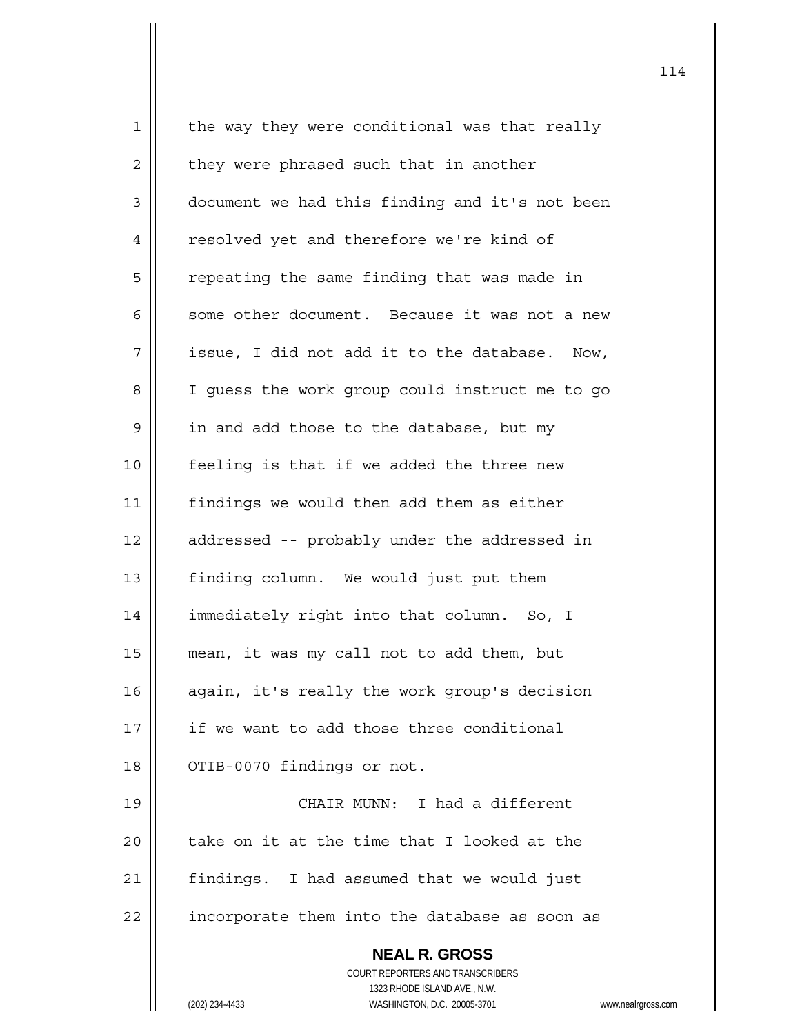| $\mathbf 1$ | the way they were conditional was that really            |
|-------------|----------------------------------------------------------|
| 2           | they were phrased such that in another                   |
| 3           | document we had this finding and it's not been           |
| 4           | resolved yet and therefore we're kind of                 |
| 5           | repeating the same finding that was made in              |
| 6           | some other document. Because it was not a new            |
| 7           | issue, I did not add it to the database. Now,            |
| 8           | I guess the work group could instruct me to go           |
| 9           | in and add those to the database, but my                 |
| 10          | feeling is that if we added the three new                |
| 11          | findings we would then add them as either                |
| 12          | addressed -- probably under the addressed in             |
| 13          | finding column. We would just put them                   |
| 14          | immediately right into that column. So, I                |
| 15          | mean, it was my call not to add them, but                |
| 16          | again, it's really the work group's decision             |
| 17          | if we want to add those three conditional                |
| 18          | OTIB-0070 findings or not.                               |
| 19          | CHAIR MUNN: I had a different                            |
| 20          | take on it at the time that I looked at the              |
| 21          | findings. I had assumed that we would just               |
| 22          | incorporate them into the database as soon as            |
|             | <b>NEAL R. GROSS</b><br>COURT REPORTERS AND TRANSCRIBERS |
|             |                                                          |
|             | 1323 RHODE ISLAND AVE., N.W.                             |
|             | (202) 234-4433<br>WASHINGTON, D.C. 20005-3701<br>WWW.I   |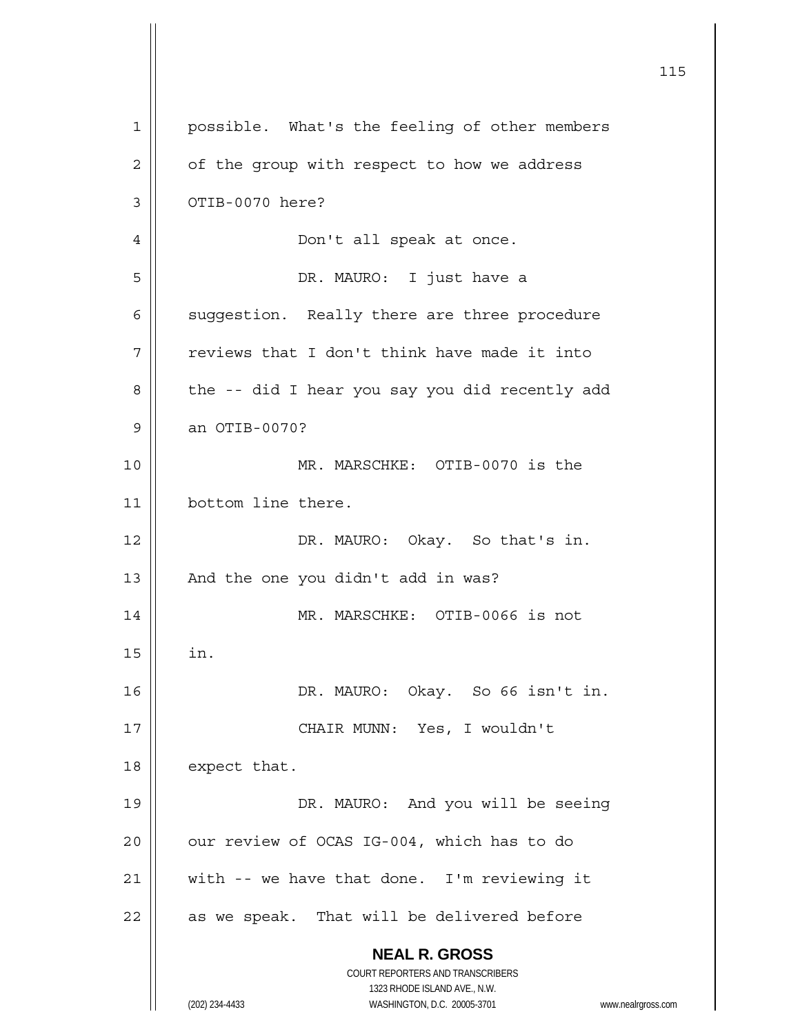| 1  | possible. What's the feeling of other members                       |
|----|---------------------------------------------------------------------|
| 2  | of the group with respect to how we address                         |
| 3  | OTIB-0070 here?                                                     |
| 4  | Don't all speak at once.                                            |
| 5  | DR. MAURO: I just have a                                            |
| 6  | suggestion. Really there are three procedure                        |
| 7  | reviews that I don't think have made it into                        |
| 8  | the -- did I hear you say you did recently add                      |
| 9  | an OTIB-0070?                                                       |
| 10 | MR. MARSCHKE: OTIB-0070 is the                                      |
| 11 | bottom line there.                                                  |
| 12 | DR. MAURO: Okay. So that's in.                                      |
| 13 | And the one you didn't add in was?                                  |
| 14 | MR. MARSCHKE: OTIB-0066 is not                                      |
| 15 | in.                                                                 |
| 16 | DR. MAURO: Okay. So 66 isn't in.                                    |
| 17 | CHAIR MUNN: Yes, I wouldn't                                         |
| 18 | expect that.                                                        |
| 19 | DR. MAURO: And you will be seeing                                   |
| 20 | our review of OCAS IG-004, which has to do                          |
| 21 | with -- we have that done. I'm reviewing it                         |
| 22 | as we speak. That will be delivered before                          |
|    | <b>NEAL R. GROSS</b><br>COURT REPORTERS AND TRANSCRIBERS            |
|    | 1323 RHODE ISLAND AVE., N.W.                                        |
|    | (202) 234-4433<br>WASHINGTON, D.C. 20005-3701<br>www.nealrgross.com |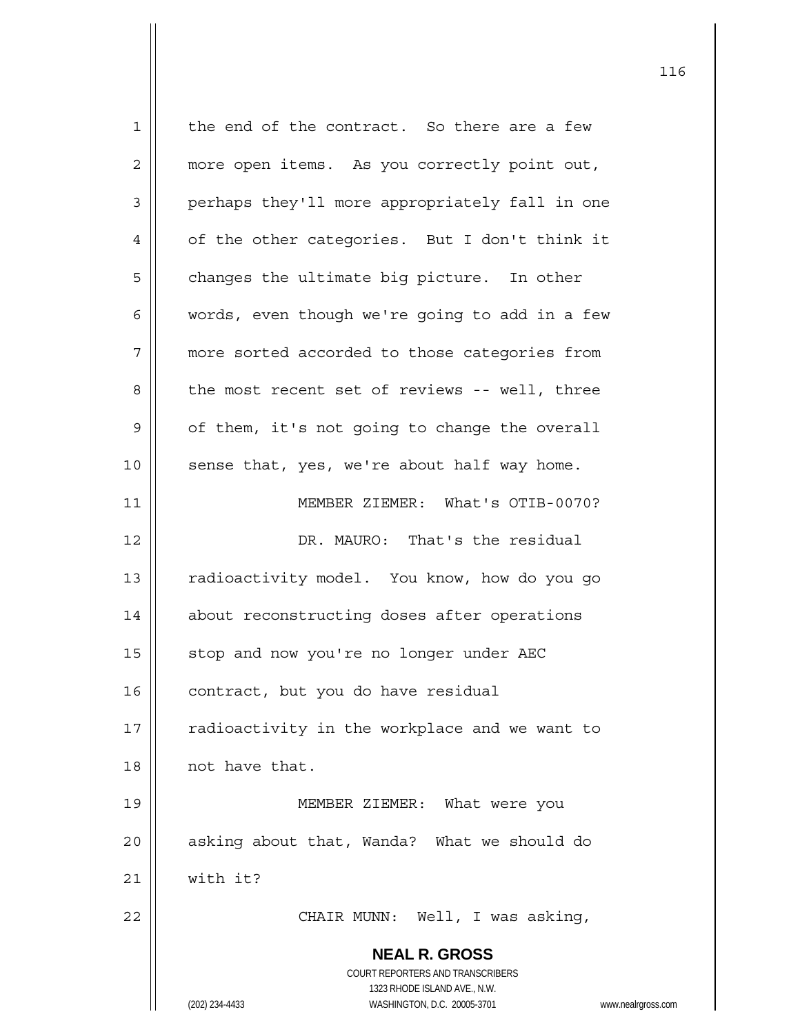**NEAL R. GROSS** COURT REPORTERS AND TRANSCRIBERS 1323 RHODE ISLAND AVE., N.W. (202) 234-4433 WASHINGTON, D.C. 20005-3701 www.nealrgross.com 1 | the end of the contract. So there are a few 2 | more open items. As you correctly point out, 3 || perhaps they'll more appropriately fall in one  $4 \parallel$  of the other categories. But I don't think it  $5 \parallel$  changes the ultimate big picture. In other 6  $\parallel$  words, even though we're going to add in a few 7 | more sorted accorded to those categories from 8 || the most recent set of reviews -- well, three  $9 \parallel$  of them, it's not going to change the overall  $10$  | sense that, yes, we're about half way home. 11 MEMBER ZIEMER: What's OTIB-0070? 12 DR. MAURO: That's the residual 13 | radioactivity model. You know, how do you go 14 | about reconstructing doses after operations 15 | stop and now you're no longer under AEC 16 | contract, but you do have residual  $17$  | radioactivity in the workplace and we want to 18 || not have that. 19 MEMBER ZIEMER: What were you  $20$  | asking about that, Wanda? What we should do  $21$  with it? 22 CHAIR MUNN: Well, I was asking,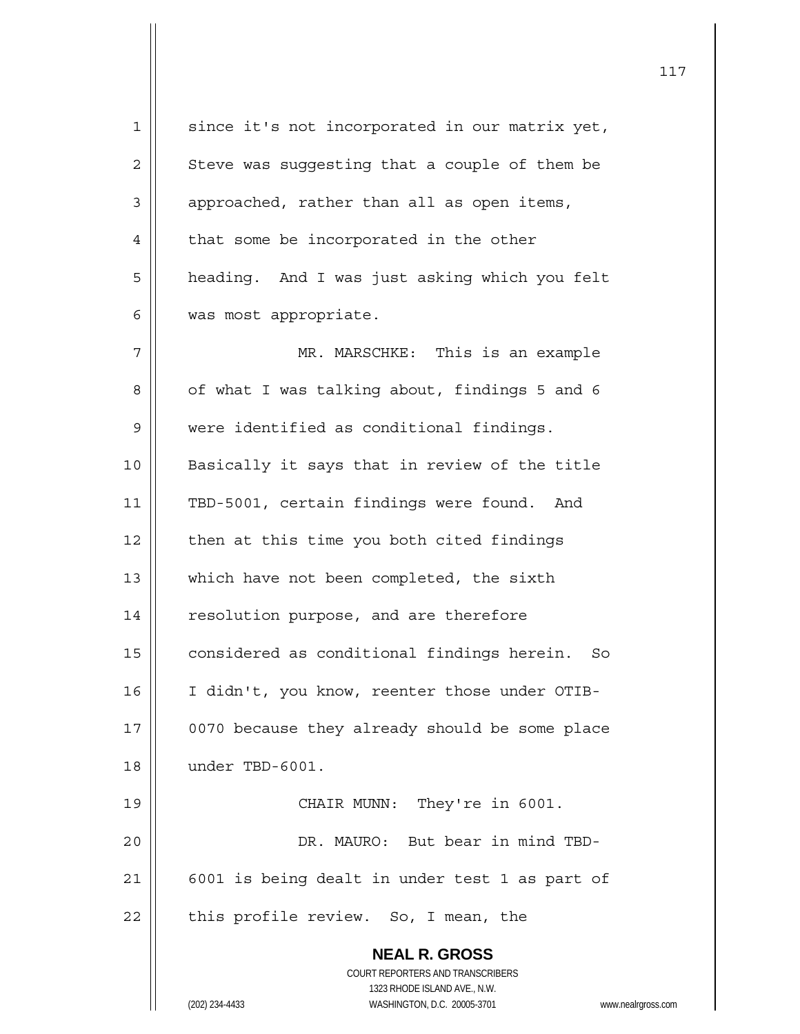**NEAL R. GROSS** COURT REPORTERS AND TRANSCRIBERS 1323 RHODE ISLAND AVE., N.W. (202) 234-4433 WASHINGTON, D.C. 20005-3701 www.nealrgross.com 1 || since it's not incorporated in our matrix yet,  $2 \parallel$  Steve was suggesting that a couple of them be  $3 \parallel$  approached, rather than all as open items,  $4$  | that some be incorporated in the other 5 | heading. And I was just asking which you felt 6 | was most appropriate. 7 MR. MARSCHKE: This is an example  $8 \parallel$  of what I was talking about, findings 5 and 6 9 were identified as conditional findings. 10 || Basically it says that in review of the title 11 || TBD-5001, certain findings were found. And  $12$  | then at this time you both cited findings 13 || which have not been completed, the sixth 14 | resolution purpose, and are therefore 15 | considered as conditional findings herein. So 16 | I didn't, you know, reenter those under OTIB-17 | 0070 because they already should be some place 18 under TBD-6001. 19 || CHAIR MUNN: They're in 6001. 20 DR. MAURO: But bear in mind TBD- $21$  | 6001 is being dealt in under test 1 as part of  $22$  | this profile review. So, I mean, the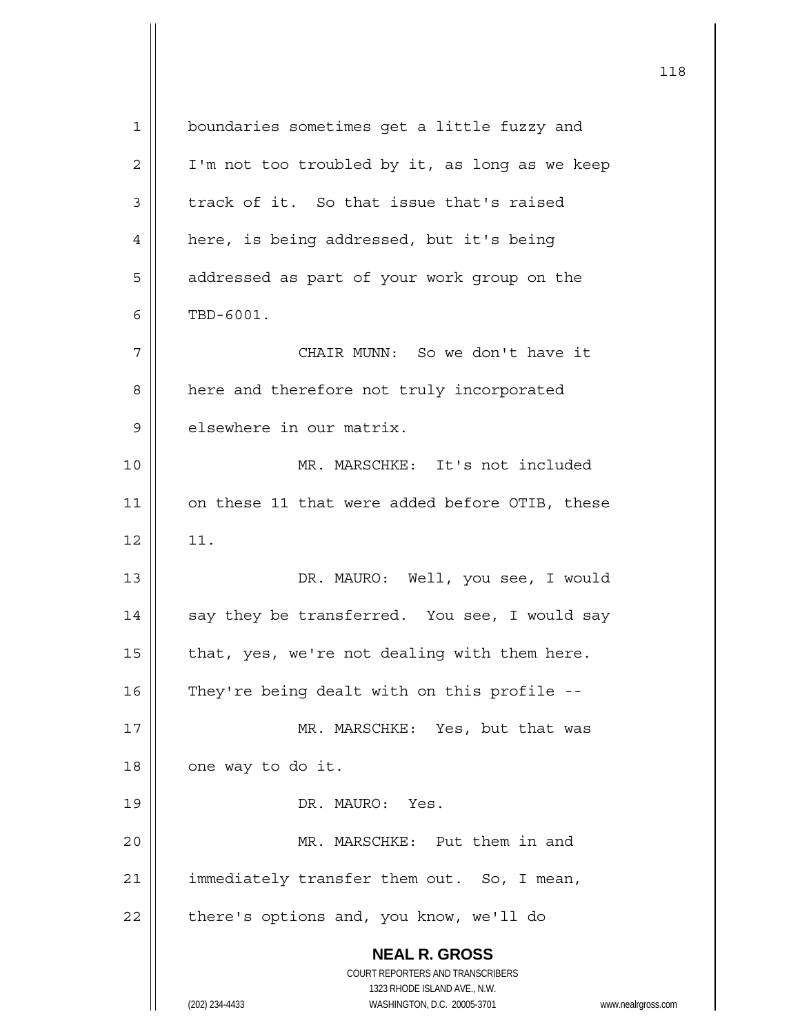| 1  | boundaries sometimes get a little fuzzy and                                                         |
|----|-----------------------------------------------------------------------------------------------------|
| 2  | I'm not too troubled by it, as long as we keep                                                      |
| 3  | track of it. So that issue that's raised                                                            |
| 4  | here, is being addressed, but it's being                                                            |
| 5  | addressed as part of your work group on the                                                         |
| 6  | TBD-6001.                                                                                           |
| 7  | CHAIR MUNN: So we don't have it                                                                     |
| 8  | here and therefore not truly incorporated                                                           |
| 9  | elsewhere in our matrix.                                                                            |
| 10 | MR. MARSCHKE: It's not included                                                                     |
| 11 | on these 11 that were added before OTIB, these                                                      |
| 12 | 11.                                                                                                 |
| 13 | DR. MAURO: Well, you see, I would                                                                   |
| 14 | say they be transferred. You see, I would say                                                       |
| 15 | that, yes, we're not dealing with them here.                                                        |
| 16 | They're being dealt with on this profile --                                                         |
| 17 | MR. MARSCHKE: Yes, but that was                                                                     |
| 18 | one way to do it.                                                                                   |
| 19 | DR. MAURO: Yes.                                                                                     |
| 20 | MR. MARSCHKE: Put them in and                                                                       |
| 21 | immediately transfer them out. So, I mean,                                                          |
| 22 | there's options and, you know, we'll do                                                             |
|    | <b>NEAL R. GROSS</b>                                                                                |
|    | COURT REPORTERS AND TRANSCRIBERS                                                                    |
|    | 1323 RHODE ISLAND AVE., N.W.<br>WASHINGTON, D.C. 20005-3701<br>(202) 234-4433<br>www.nealrgross.com |
|    |                                                                                                     |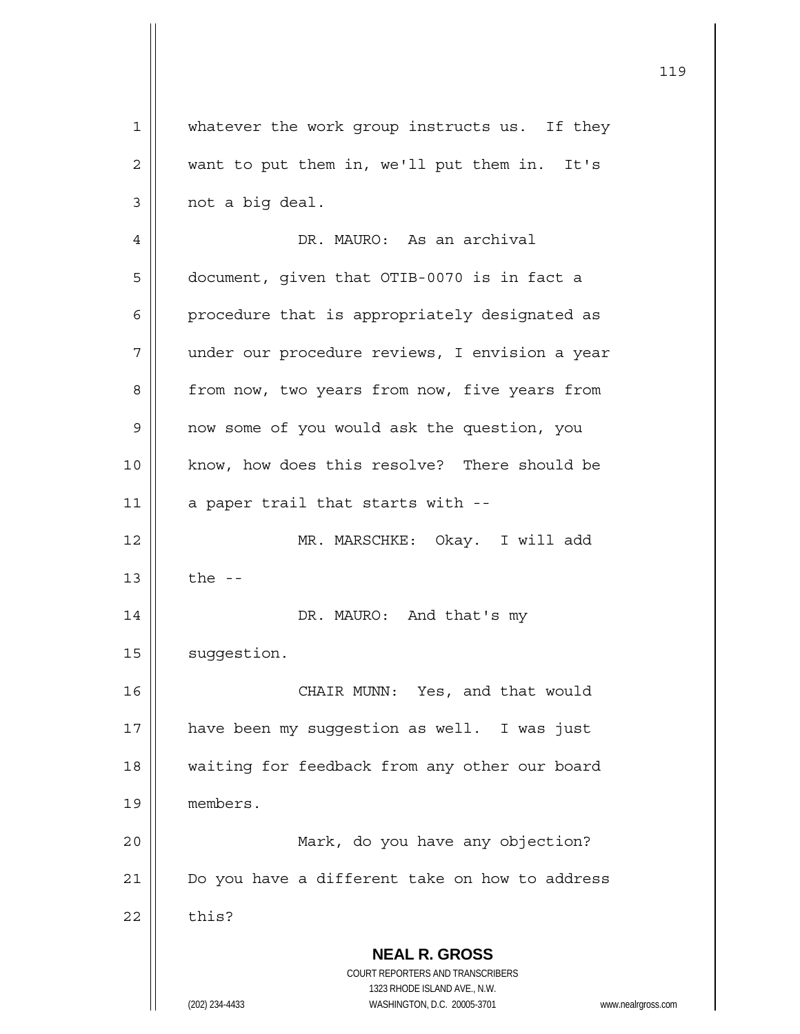|             | 119                                                                                                 |
|-------------|-----------------------------------------------------------------------------------------------------|
| $\mathbf 1$ | whatever the work group instructs us. If they                                                       |
| 2           | want to put them in, we'll put them in. It's                                                        |
| 3           | not a big deal.                                                                                     |
| 4           | DR. MAURO: As an archival                                                                           |
| 5           | document, given that OTIB-0070 is in fact a                                                         |
| 6           | procedure that is appropriately designated as                                                       |
| 7           | under our procedure reviews, I envision a year                                                      |
| 8           | from now, two years from now, five years from                                                       |
| 9           | now some of you would ask the question, you                                                         |
| 10          | know, how does this resolve? There should be                                                        |
| 11          | a paper trail that starts with --                                                                   |
| 12          | MR. MARSCHKE: Okay. I will add                                                                      |
| 13          | the $-$                                                                                             |
| 14          | DR. MAURO: And that's my                                                                            |
| 15          | suggestion.                                                                                         |
| 16          | CHAIR MUNN: Yes, and that would                                                                     |
| 17          | have been my suggestion as well. I was just                                                         |
| 18          | waiting for feedback from any other our board                                                       |
| 19          | members.                                                                                            |
| 20          | Mark, do you have any objection?                                                                    |
| 21          | Do you have a different take on how to address                                                      |
| 22          | this?                                                                                               |
|             | <b>NEAL R. GROSS</b><br>COURT REPORTERS AND TRANSCRIBERS                                            |
|             | 1323 RHODE ISLAND AVE., N.W.<br>(202) 234-4433<br>WASHINGTON, D.C. 20005-3701<br>www.nealrgross.com |

 $\mathsf{I}$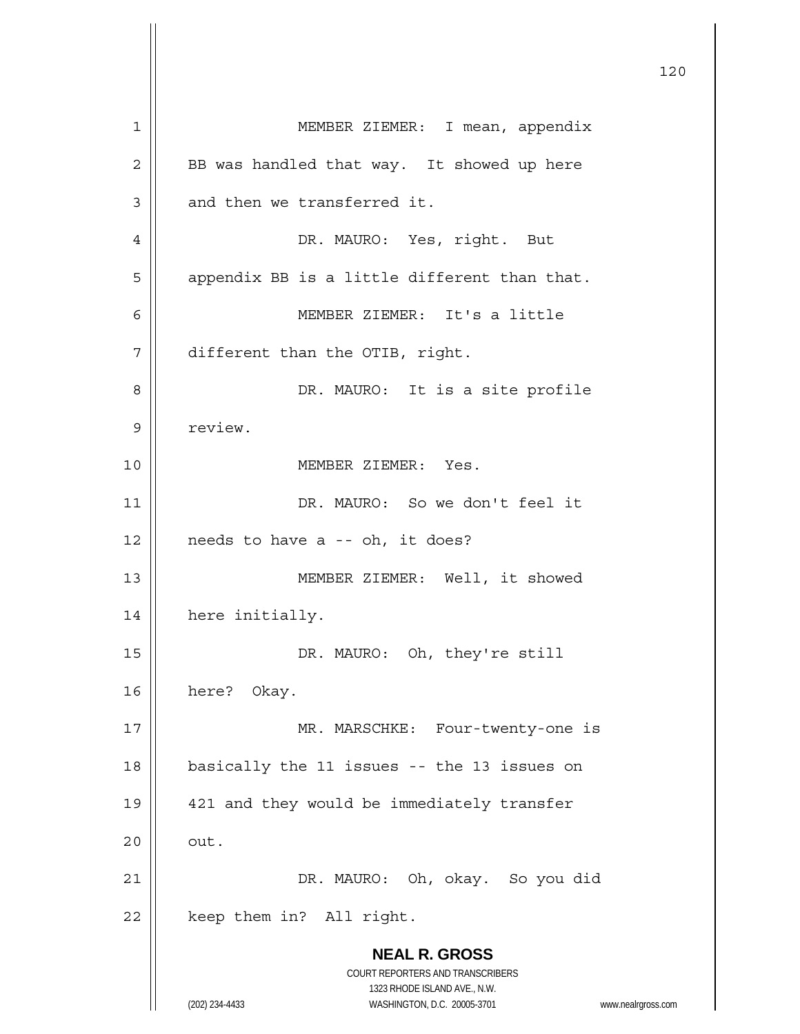**NEAL R. GROSS** COURT REPORTERS AND TRANSCRIBERS 1323 RHODE ISLAND AVE., N.W. (202) 234-4433 WASHINGTON, D.C. 20005-3701 www.nealrgross.com 1 | MEMBER ZIEMER: I mean, appendix 2 | BB was handled that way. It showed up here  $3$  | and then we transferred it. 4 DR. MAURO: Yes, right. But  $5 \parallel$  appendix BB is a little different than that. 6 MEMBER ZIEMER: It's a little 7 different than the OTIB, right. 8 || DR. MAURO: It is a site profile 9 | review. 10 MEMBER ZIEMER: Yes. 11 DR. MAURO: So we don't feel it  $12$  | needs to have a -- oh, it does? 13 MEMBER ZIEMER: Well, it showed 14 | here initially. 15 || DR. MAURO: Oh, they're still 16 here? Okay. 17 || MR. MARSCHKE: Four-twenty-one is 18 || basically the 11 issues -- the 13 issues on 19 || 421 and they would be immediately transfer  $20$   $\parallel$  out. 21 DR. MAURO: Oh, okay. So you did  $22$  | keep them in? All right.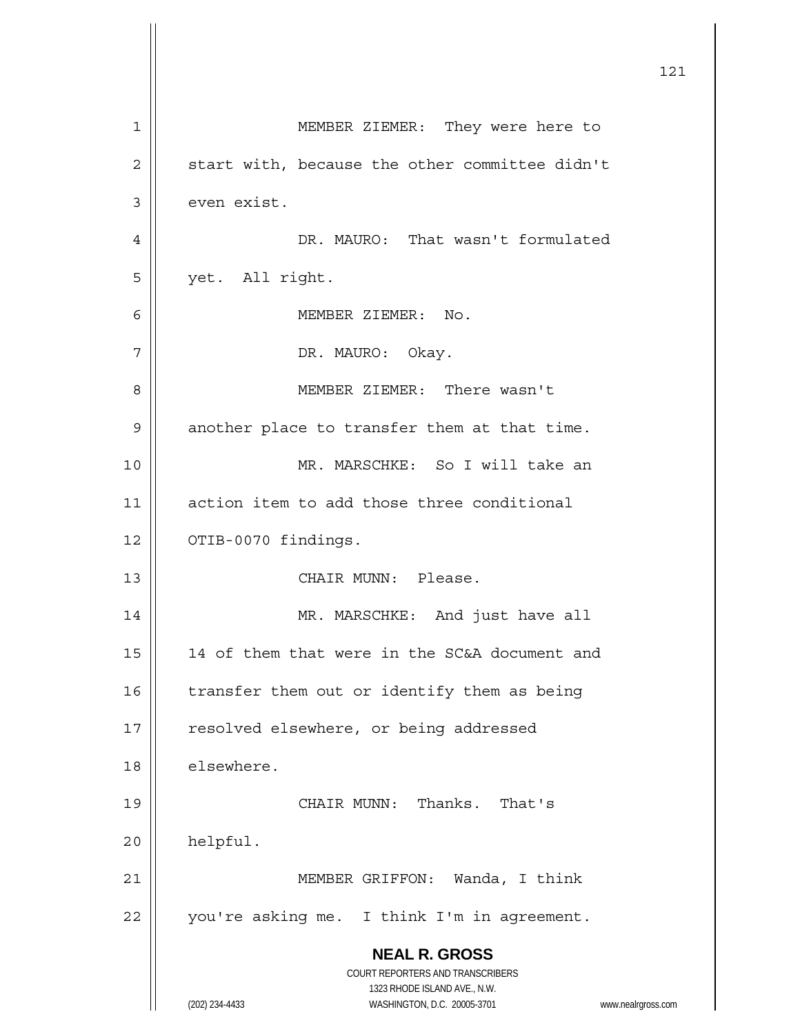|    |                                                                                                     | 121 |
|----|-----------------------------------------------------------------------------------------------------|-----|
| 1  | MEMBER ZIEMER: They were here to                                                                    |     |
| 2  | start with, because the other committee didn't                                                      |     |
| 3  | even exist.                                                                                         |     |
| 4  | DR. MAURO: That wasn't formulated                                                                   |     |
| 5  | yet. All right.                                                                                     |     |
| 6  | MEMBER ZIEMER: No.                                                                                  |     |
| 7  | DR. MAURO: Okay.                                                                                    |     |
| 8  | MEMBER ZIEMER: There wasn't                                                                         |     |
| 9  | another place to transfer them at that time.                                                        |     |
| 10 | MR. MARSCHKE: So I will take an                                                                     |     |
| 11 | action item to add those three conditional                                                          |     |
| 12 | OTIB-0070 findings.                                                                                 |     |
| 13 | CHAIR MUNN: Please.                                                                                 |     |
| 14 | MR. MARSCHKE: And just have all                                                                     |     |
| 15 | 14 of them that were in the SC&A document and                                                       |     |
| 16 | transfer them out or identify them as being                                                         |     |
| 17 | resolved elsewhere, or being addressed                                                              |     |
| 18 | elsewhere.                                                                                          |     |
| 19 | CHAIR MUNN: Thanks. That's                                                                          |     |
| 20 | helpful.                                                                                            |     |
| 21 | MEMBER GRIFFON: Wanda, I think                                                                      |     |
| 22 | you're asking me. I think I'm in agreement.                                                         |     |
|    | <b>NEAL R. GROSS</b><br>COURT REPORTERS AND TRANSCRIBERS                                            |     |
|    | 1323 RHODE ISLAND AVE., N.W.<br>(202) 234-4433<br>WASHINGTON, D.C. 20005-3701<br>www.nealrgross.com |     |

 $\mathsf{I}$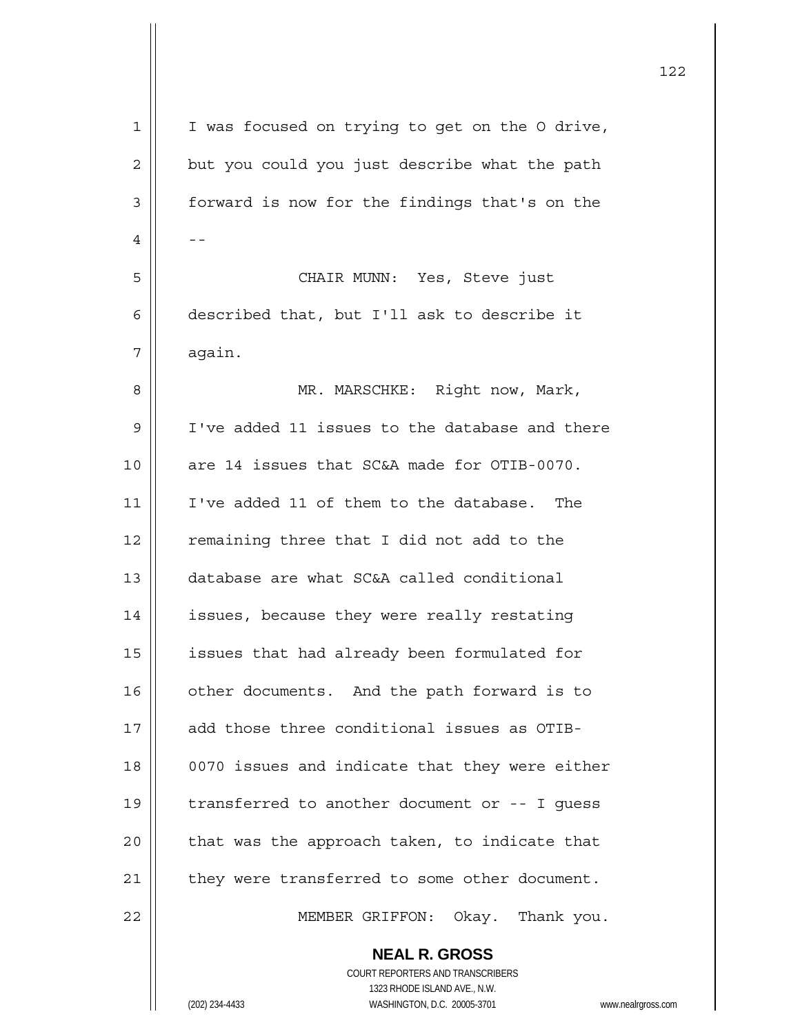| $\mathbf 1$    | I was focused on trying to get on the O drive,            |
|----------------|-----------------------------------------------------------|
| 2              | but you could you just describe what the path             |
| $\mathfrak{Z}$ | forward is now for the findings that's on the             |
| 4              |                                                           |
| 5              | CHAIR MUNN: Yes, Steve just                               |
| 6              | described that, but I'll ask to describe it               |
| 7              | again.                                                    |
| 8              | MR. MARSCHKE: Right now, Mark,                            |
| $\mathsf 9$    | I've added 11 issues to the database and there            |
| 10             | are 14 issues that SC&A made for OTIB-0070.               |
| 11             | I've added 11 of them to the database. The                |
| 12             | remaining three that I did not add to the                 |
| 13             | database are what SC&A called conditional                 |
| 14             | issues, because they were really restating                |
| 15             | issues that had already been formulated for               |
| 16             | other documents. And the path forward is to               |
| 17             | add those three conditional issues as OTIB-               |
| 18             | 0070 issues and indicate that they were either            |
| 19             | transferred to another document or -- I guess             |
| 20             | that was the approach taken, to indicate that             |
| 21             | they were transferred to some other document.             |
| 22             | MEMBER GRIFFON: Okay. Thank you.                          |
|                | <b>NEAL R. GROSS</b>                                      |
|                | COURT REPORTERS AND TRANSCRIBERS                          |
|                | 1323 RHODE ISLAND AVE., N.W.                              |
|                | (202) 234-4433<br>WASHINGTON, D.C. 20005-3701<br>www.neal |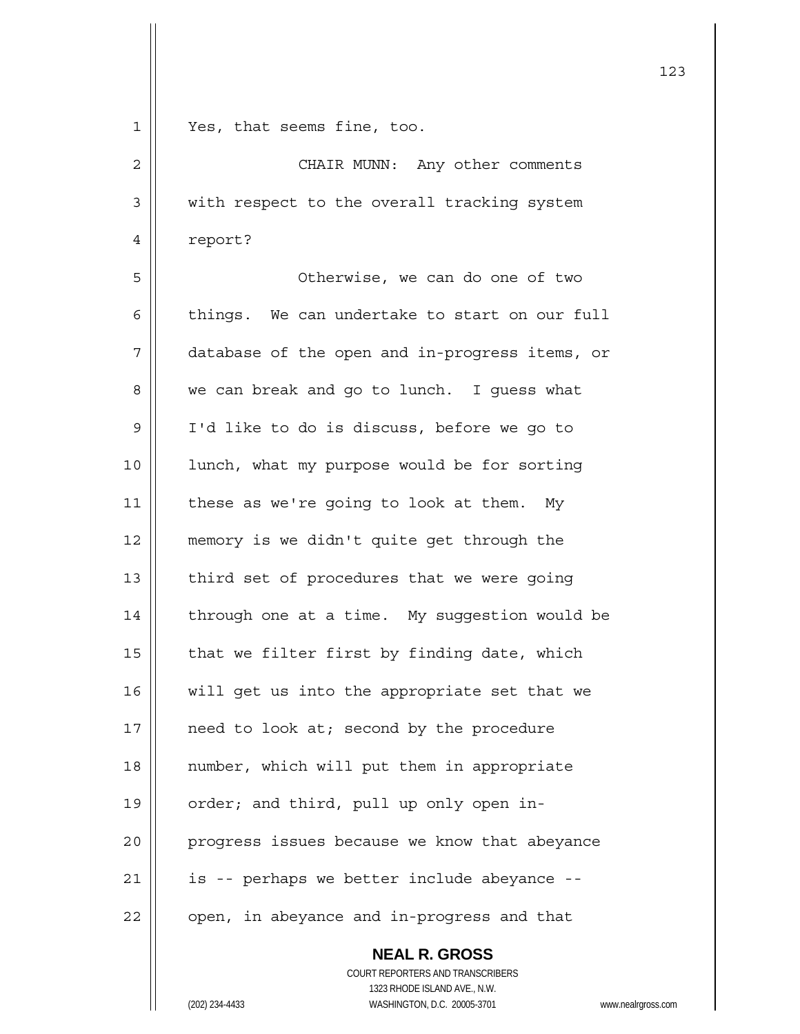| $\mathbf 1$    | Yes, that seems fine, too.                                                             |
|----------------|----------------------------------------------------------------------------------------|
| $\overline{c}$ | CHAIR MUNN: Any other comments                                                         |
| 3              | with respect to the overall tracking system                                            |
| 4              | report?                                                                                |
| 5              | Otherwise, we can do one of two                                                        |
| 6              | things. We can undertake to start on our full                                          |
| 7              | database of the open and in-progress items, or                                         |
| 8              | we can break and go to lunch. I guess what                                             |
| 9              | I'd like to do is discuss, before we go to                                             |
| 10             | lunch, what my purpose would be for sorting                                            |
| 11             | these as we're going to look at them. My                                               |
| 12             | memory is we didn't quite get through the                                              |
| 13             | third set of procedures that we were going                                             |
| 14             | through one at a time. My suggestion would be                                          |
| 15             | that we filter first by finding date, which                                            |
| 16             | will get us into the appropriate set that we                                           |
| 17             | need to look at; second by the procedure                                               |
| 18             | number, which will put them in appropriate                                             |
| 19             | order; and third, pull up only open in-                                                |
| 20             | progress issues because we know that abeyance                                          |
| 21             | is -- perhaps we better include abeyance --                                            |
| 22             | open, in abeyance and in-progress and that                                             |
|                | <b>NEAL R. GROSS</b>                                                                   |
|                | COURT REPORTERS AND TRANSCRIBERS                                                       |
|                | 1323 RHODE ISLAND AVE., N.W.<br>WASHINGTON, D.C. 20005-3701<br>(202) 234-4433<br>www.n |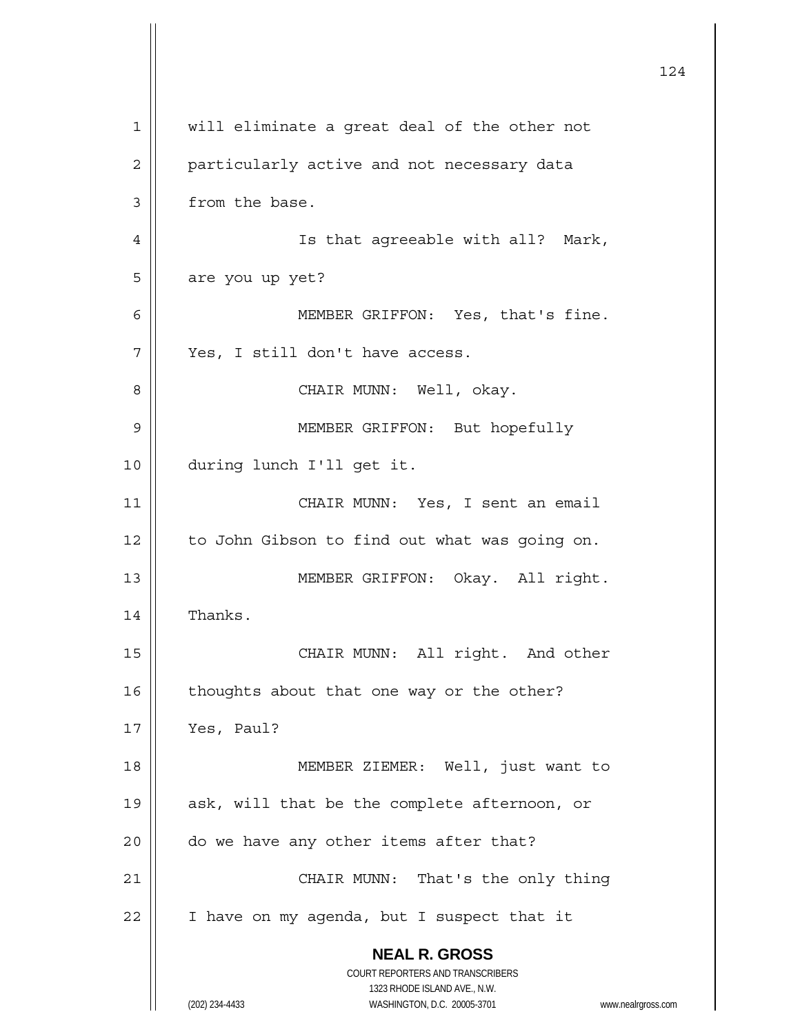|             |                                                                     | 124 |
|-------------|---------------------------------------------------------------------|-----|
| $\mathbf 1$ | will eliminate a great deal of the other not                        |     |
| 2           | particularly active and not necessary data                          |     |
| 3           | from the base.                                                      |     |
| 4           | Is that agreeable with all? Mark,                                   |     |
| 5           | are you up yet?                                                     |     |
| 6           | MEMBER GRIFFON: Yes, that's fine.                                   |     |
| 7           | Yes, I still don't have access.                                     |     |
| 8           | CHAIR MUNN: Well, okay.                                             |     |
| 9           | MEMBER GRIFFON: But hopefully                                       |     |
| 10          | during lunch I'll get it.                                           |     |
| 11          | CHAIR MUNN: Yes, I sent an email                                    |     |
| 12          | to John Gibson to find out what was going on.                       |     |
| 13          | MEMBER GRIFFON: Okay. All right.                                    |     |
| 14          | Thanks.                                                             |     |
| 15          | CHAIR MUNN: All right. And other                                    |     |
| 16          | thoughts about that one way or the other?                           |     |
| 17          | Yes, Paul?                                                          |     |
| 18          | MEMBER ZIEMER: Well, just want to                                   |     |
| 19          | ask, will that be the complete afternoon, or                        |     |
| 20          | do we have any other items after that?                              |     |
| 21          | CHAIR MUNN: That's the only thing                                   |     |
| 22          | I have on my agenda, but I suspect that it                          |     |
|             | <b>NEAL R. GROSS</b>                                                |     |
|             | COURT REPORTERS AND TRANSCRIBERS<br>1323 RHODE ISLAND AVE., N.W.    |     |
|             | (202) 234-4433<br>WASHINGTON, D.C. 20005-3701<br>www.nealrgross.com |     |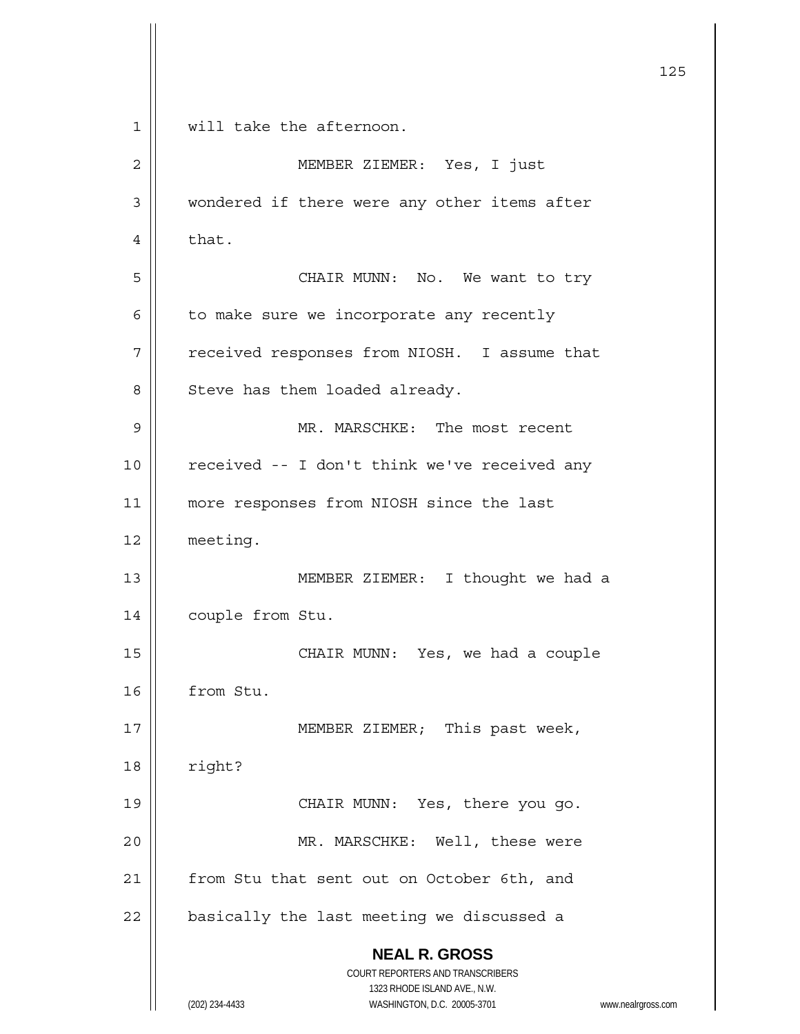|             |                                                                     | 125 |
|-------------|---------------------------------------------------------------------|-----|
| $\mathbf 1$ | will take the afternoon.                                            |     |
| 2           | MEMBER ZIEMER: Yes, I just                                          |     |
| 3           | wondered if there were any other items after                        |     |
| 4           | that.                                                               |     |
| 5           | CHAIR MUNN: No. We want to try                                      |     |
| 6           | to make sure we incorporate any recently                            |     |
| 7           | received responses from NIOSH. I assume that                        |     |
| 8           | Steve has them loaded already.                                      |     |
| 9           | MR. MARSCHKE: The most recent                                       |     |
| 10          | received -- I don't think we've received any                        |     |
| 11          | more responses from NIOSH since the last                            |     |
| 12          | meeting.                                                            |     |
| 13          | MEMBER ZIEMER: I thought we had a                                   |     |
| 14          | couple from Stu.                                                    |     |
| 15          | CHAIR MUNN: Yes, we had a couple                                    |     |
| 16          | from Stu.                                                           |     |
| 17          | MEMBER ZIEMER; This past week,                                      |     |
| 18          | right?                                                              |     |
| 19          | CHAIR MUNN: Yes, there you go.                                      |     |
| 20          | MR. MARSCHKE: Well, these were                                      |     |
| 21          | from Stu that sent out on October 6th, and                          |     |
| 22          | basically the last meeting we discussed a                           |     |
|             | <b>NEAL R. GROSS</b>                                                |     |
|             | COURT REPORTERS AND TRANSCRIBERS<br>1323 RHODE ISLAND AVE., N.W.    |     |
|             | (202) 234-4433<br>WASHINGTON, D.C. 20005-3701<br>www.nealrgross.com |     |

 $\mathsf{I}$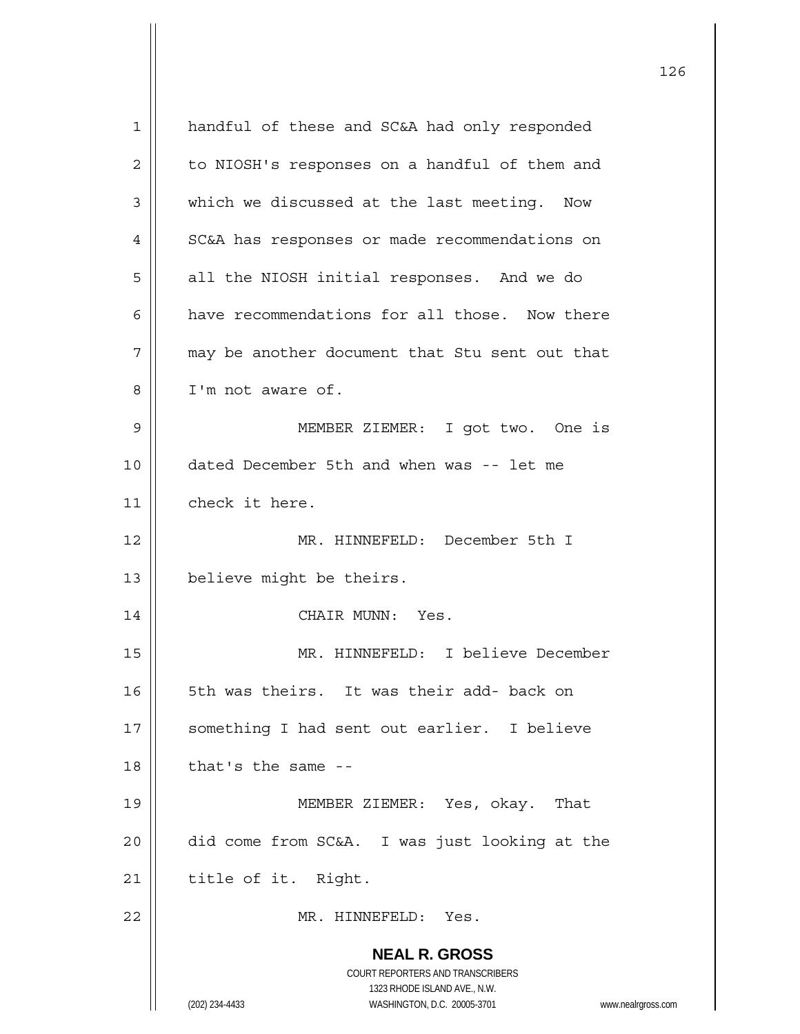| 1  | handful of these and SC&A had only responded                                             |
|----|------------------------------------------------------------------------------------------|
| 2  | to NIOSH's responses on a handful of them and                                            |
| 3  | which we discussed at the last meeting. Now                                              |
| 4  | SC&A has responses or made recommendations on                                            |
| 5  | all the NIOSH initial responses. And we do                                               |
| 6  | have recommendations for all those. Now there                                            |
| 7  | may be another document that Stu sent out that                                           |
| 8  | I'm not aware of.                                                                        |
| 9  | MEMBER ZIEMER: I got two. One is                                                         |
| 10 | dated December 5th and when was -- let me                                                |
| 11 | check it here.                                                                           |
| 12 | MR. HINNEFELD: December 5th I                                                            |
| 13 | believe might be theirs.                                                                 |
| 14 | CHAIR MUNN: Yes.                                                                         |
| 15 | MR. HINNEFELD: I believe December                                                        |
| 16 | 5th was theirs. It was their add- back on                                                |
| 17 | something I had sent out earlier. I believe                                              |
| 18 | that's the same --                                                                       |
| 19 | MEMBER ZIEMER: Yes, okay.<br>That                                                        |
| 20 | did come from SC&A. I was just looking at the                                            |
| 21 | title of it. Right.                                                                      |
| 22 | MR. HINNEFELD: Yes.                                                                      |
|    | <b>NEAL R. GROSS</b><br>COURT REPORTERS AND TRANSCRIBERS<br>1323 RHODE ISLAND AVE., N.W. |
|    | (202) 234-4433<br>WASHINGTON, D.C. 20005-3701<br>www.nealrgross.com                      |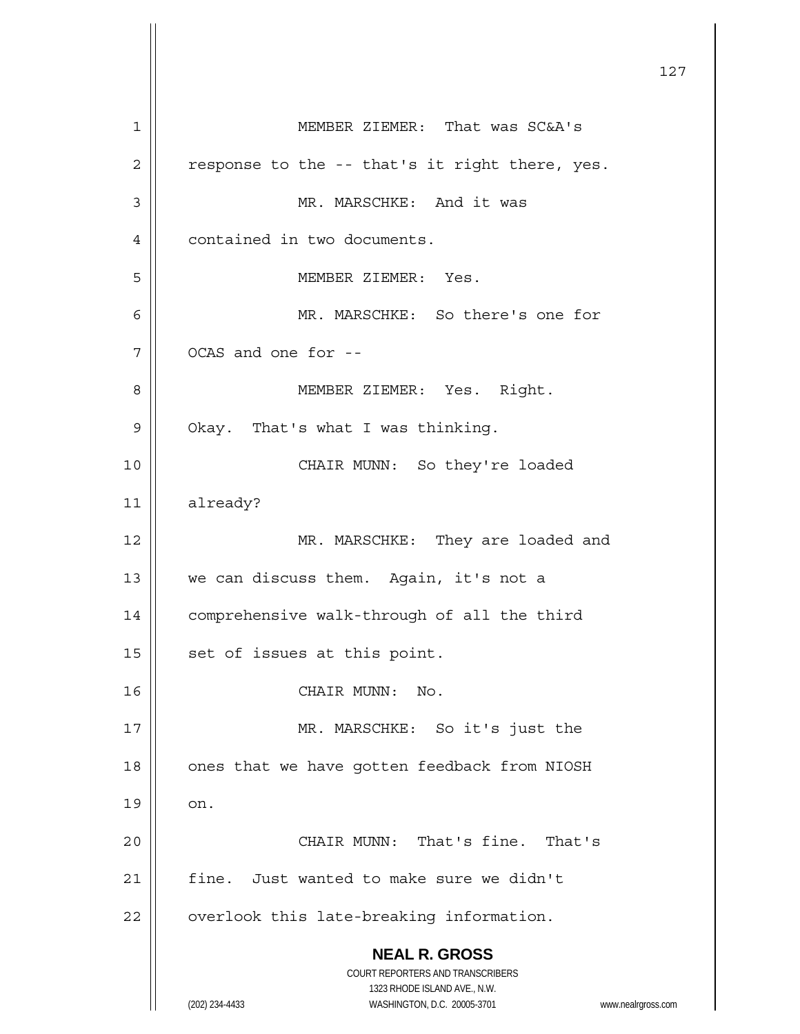**NEAL R. GROSS** COURT REPORTERS AND TRANSCRIBERS 1323 RHODE ISLAND AVE., N.W. (202) 234-4433 WASHINGTON, D.C. 20005-3701 www.nealrgross.com 127 1 MEMBER ZIEMER: That was SC&A's  $2 \parallel$  response to the -- that's it right there, yes. 3 || MR. MARSCHKE: And it was 4 | contained in two documents. 5 || MEMBER ZIEMER: Yes. 6 MR. MARSCHKE: So there's one for  $7 \parallel$  OCAS and one for --8 | MEMBER ZIEMER: Yes. Right.  $9 \parallel$  Okay. That's what I was thinking. 10 CHAIR MUNN: So they're loaded 11 already? 12 || MR. MARSCHKE: They are loaded and 13 || we can discuss them. Again, it's not a 14 | comprehensive walk-through of all the third  $15$  | set of issues at this point. 16 || CHAIR MUNN: No. 17 || MR. MARSCHKE: So it's just the 18 | ones that we have gotten feedback from NIOSH  $19 \parallel \quad on.$ 20 CHAIR MUNN: That's fine. That's 21  $\parallel$  fine. Just wanted to make sure we didn't  $22$   $\parallel$  overlook this late-breaking information.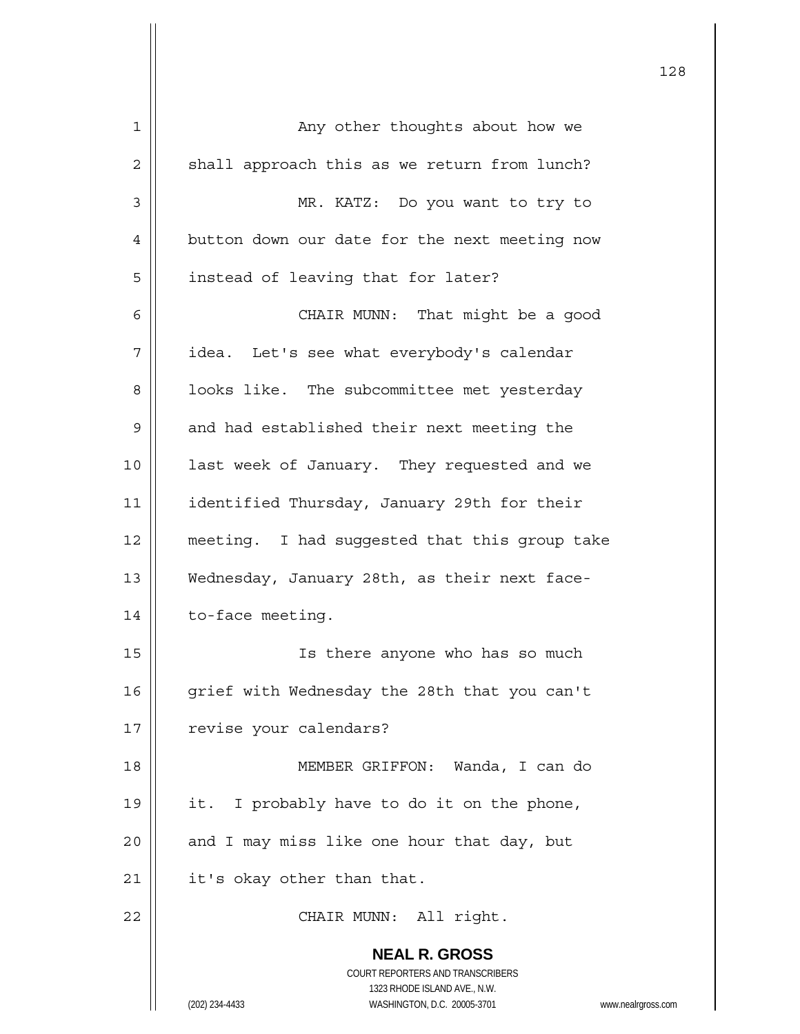| 1  | Any other thoughts about how we                                                          |
|----|------------------------------------------------------------------------------------------|
| 2  | shall approach this as we return from lunch?                                             |
| 3  | MR. KATZ: Do you want to try to                                                          |
| 4  | button down our date for the next meeting now                                            |
| 5  | instead of leaving that for later?                                                       |
| 6  | CHAIR MUNN: That might be a good                                                         |
| 7  | idea. Let's see what everybody's calendar                                                |
| 8  | looks like. The subcommittee met yesterday                                               |
| 9  | and had established their next meeting the                                               |
| 10 | last week of January. They requested and we                                              |
| 11 | identified Thursday, January 29th for their                                              |
| 12 | meeting. I had suggested that this group take                                            |
| 13 | Wednesday, January 28th, as their next face-                                             |
| 14 | to-face meeting.                                                                         |
| 15 | Is there anyone who has so much                                                          |
| 16 | grief with Wednesday the 28th that you can't                                             |
| 17 | revise your calendars?                                                                   |
| 18 | MEMBER GRIFFON: Wanda, I can do                                                          |
| 19 | I probably have to do it on the phone,<br>it.                                            |
| 20 | and I may miss like one hour that day, but                                               |
| 21 | it's okay other than that.                                                               |
| 22 | CHAIR MUNN: All right.                                                                   |
|    | <b>NEAL R. GROSS</b><br>COURT REPORTERS AND TRANSCRIBERS<br>1323 RHODE ISLAND AVE., N.W. |
|    | (202) 234-4433<br>WASHINGTON, D.C. 20005-3701<br>www.nealrgross.com                      |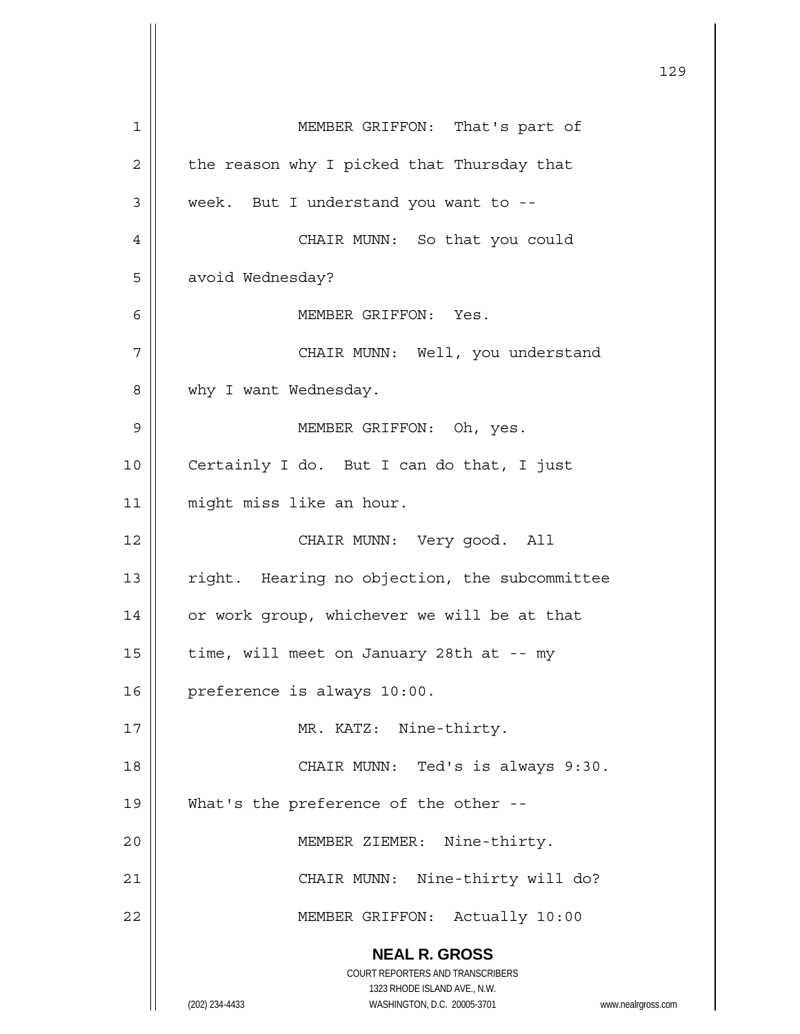**NEAL R. GROSS** COURT REPORTERS AND TRANSCRIBERS 1323 RHODE ISLAND AVE., N.W. (202) 234-4433 WASHINGTON, D.C. 20005-3701 www.nealrgross.com 129 1 MEMBER GRIFFON: That's part of  $2 \parallel$  the reason why I picked that Thursday that 3 | week. But I understand you want to --4 CHAIR MUNN: So that you could 5 | avoid Wednesday? 6 MEMBER GRIFFON: Yes. 7 CHAIR MUNN: Well, you understand 8 Why I want Wednesday. 9 MEMBER GRIFFON: Oh, yes. 10 || Certainly I do. But I can do that, I just 11 | might miss like an hour. 12 CHAIR MUNN: Very good. All 13 | right. Hearing no objection, the subcommittee 14 | or work group, whichever we will be at that 15  $\parallel$  time, will meet on January 28th at -- my 16 | preference is always 10:00. 17 || MR. KATZ: Nine-thirty. 18 CHAIR MUNN: Ted's is always 9:30. 19 What's the preference of the other -- 20 MEMBER ZIEMER: Nine-thirty. 21 || CHAIR MUNN: Nine-thirty will do? 22 MEMBER GRIFFON: Actually 10:00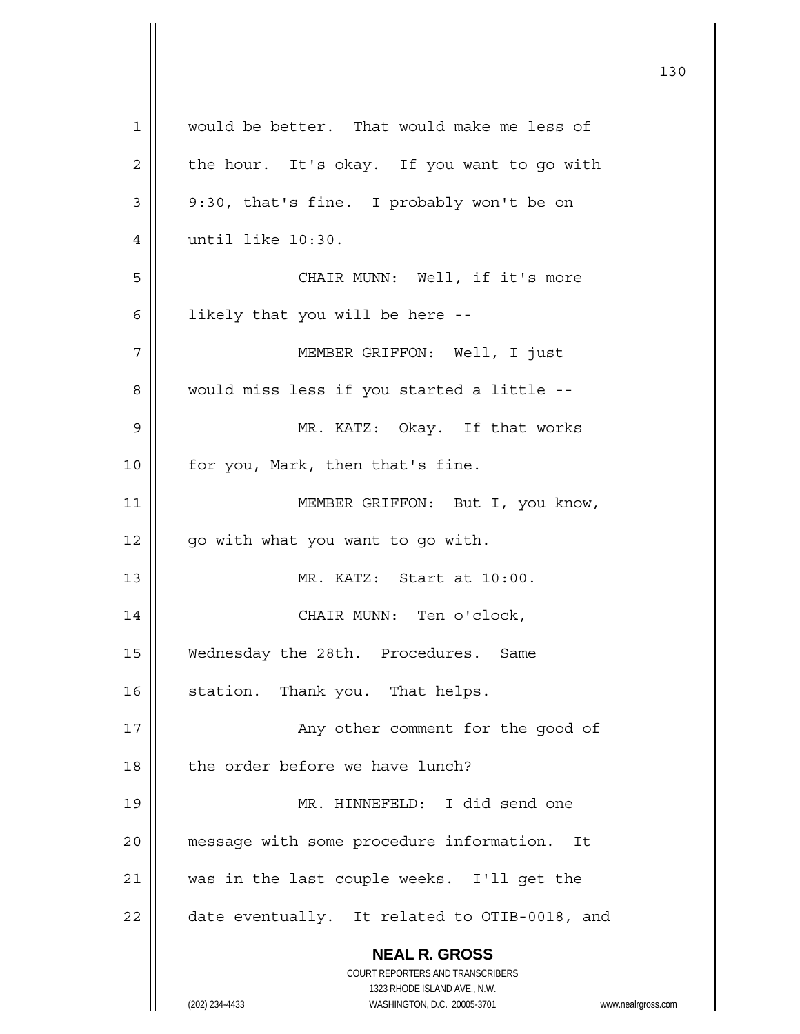| $\mathbf 1$ | would be better. That would make me less of                         |
|-------------|---------------------------------------------------------------------|
| 2           | the hour. It's okay. If you want to go with                         |
| 3           | 9:30, that's fine. I probably won't be on                           |
| 4           | until like 10:30.                                                   |
| 5           | CHAIR MUNN: Well, if it's more                                      |
| 6           | likely that you will be here --                                     |
| 7           | MEMBER GRIFFON: Well, I just                                        |
| 8           | would miss less if you started a little --                          |
| 9           | MR. KATZ: Okay. If that works                                       |
| 10          | for you, Mark, then that's fine.                                    |
| 11          | MEMBER GRIFFON: But I, you know,                                    |
| 12          | go with what you want to go with.                                   |
| 13          | MR. KATZ: Start at 10:00.                                           |
| 14          | CHAIR MUNN: Ten o'clock,                                            |
| 15          | Wednesday the 28th. Procedures. Same                                |
| 16          | station. Thank you. That helps.                                     |
| 17          | Any other comment for the good of                                   |
| 18          | the order before we have lunch?                                     |
| 19          | MR. HINNEFELD: I did send one                                       |
| 20          | message with some procedure information. It                         |
| 21          | was in the last couple weeks. I'll get the                          |
| 22          | date eventually. It related to OTIB-0018, and                       |
|             | <b>NEAL R. GROSS</b>                                                |
|             | COURT REPORTERS AND TRANSCRIBERS                                    |
|             | 1323 RHODE ISLAND AVE., N.W.                                        |
|             | WASHINGTON, D.C. 20005-3701<br>(202) 234-4433<br>www.nealrgross.com |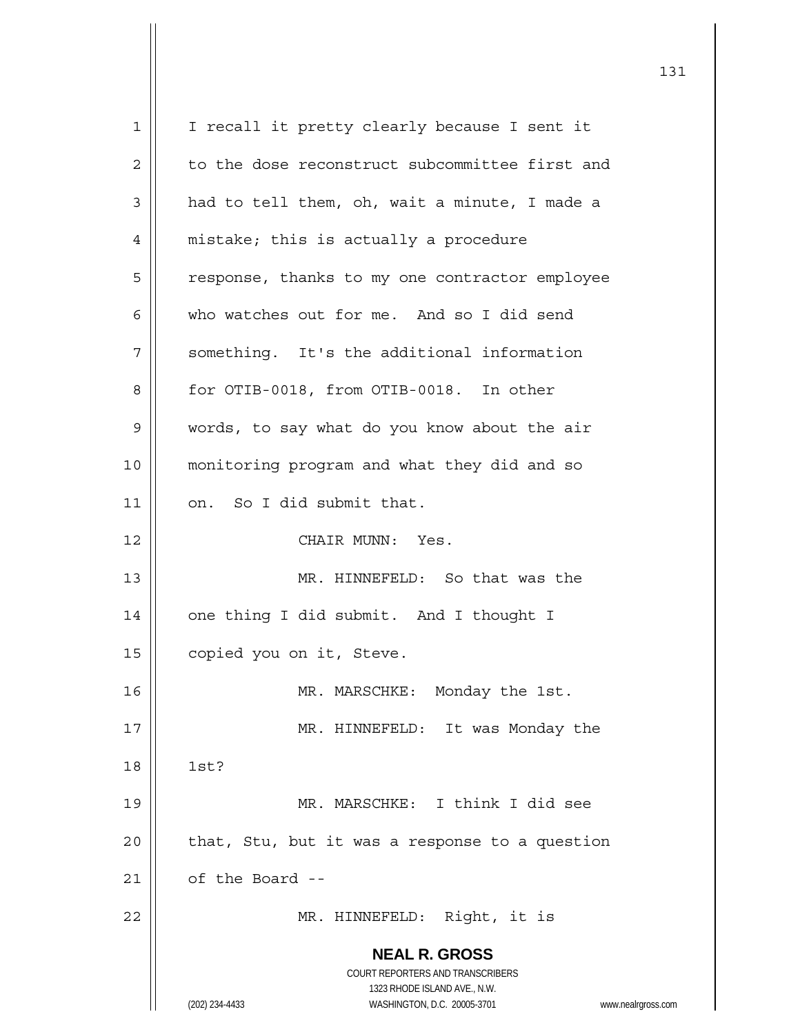**NEAL R. GROSS** COURT REPORTERS AND TRANSCRIBERS 1323 RHODE ISLAND AVE., N.W. (202) 234-4433 WASHINGTON, D.C. 20005-3701 www.nealrgross.com 1 || I recall it pretty clearly because I sent it  $2 \parallel$  to the dose reconstruct subcommittee first and  $3 \parallel$  had to tell them, oh, wait a minute, I made a 4 | mistake; this is actually a procedure 5 | response, thanks to my one contractor employee 6 who watches out for me. And so I did send 7 | something. It's the additional information 8 | for OTIB-0018, from OTIB-0018. In other 9 words, to say what do you know about the air 10 monitoring program and what they did and so  $11$  | on. So I did submit that. 12 CHAIR MUNN: Yes. 13 || MR. HINNEFELD: So that was the 14 | one thing I did submit. And I thought I 15 | copied you on it, Steve. 16 MR. MARSCHKE: Monday the 1st. 17 || MR. HINNEFELD: It was Monday the 18 1st? 19 || MR. MARSCHKE: I think I did see  $20$  | that, Stu, but it was a response to a question  $21$  | of the Board --22 MR. HINNEFELD: Right, it is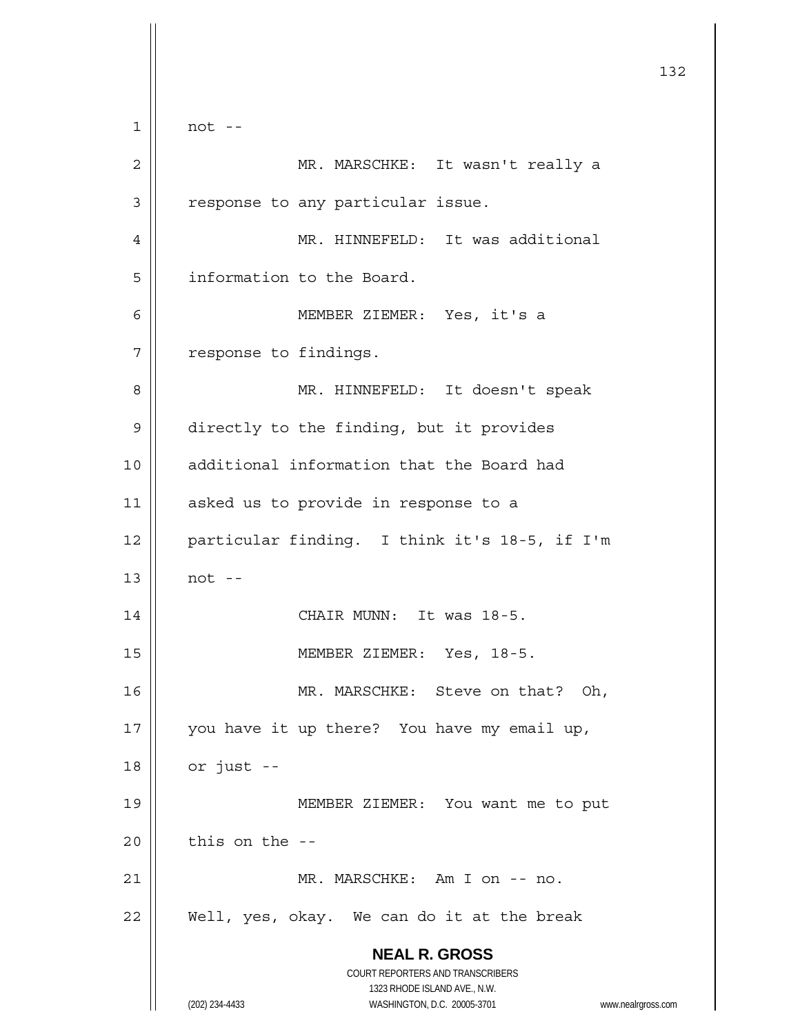**NEAL R. GROSS** COURT REPORTERS AND TRANSCRIBERS 1323 RHODE ISLAND AVE., N.W. (202) 234-4433 WASHINGTON, D.C. 20005-3701 www.nealrgross.com 132  $1 \parallel$  not --2 MR. MARSCHKE: It wasn't really a 3 | response to any particular issue. 4 MR. HINNEFELD: It was additional 5 | information to the Board. 6 MEMBER ZIEMER: Yes, it's a 7 | response to findings. 8 MR. HINNEFELD: It doesn't speak 9 | directly to the finding, but it provides 10 additional information that the Board had 11 || asked us to provide in response to a 12 particular finding. I think it's 18-5, if I'm  $13 \parallel$  not --14 || CHAIR MUNN: It was 18-5. 15 MEMBER ZIEMER: Yes, 18-5. 16 || MR. MARSCHKE: Steve on that? Oh, 17 || you have it up there? You have my email up,  $18$  | or just --19 MEMBER ZIEMER: You want me to put  $20$  | this on the --21 MR. MARSCHKE: Am I on -- no.  $22$  || Well, yes, okay. We can do it at the break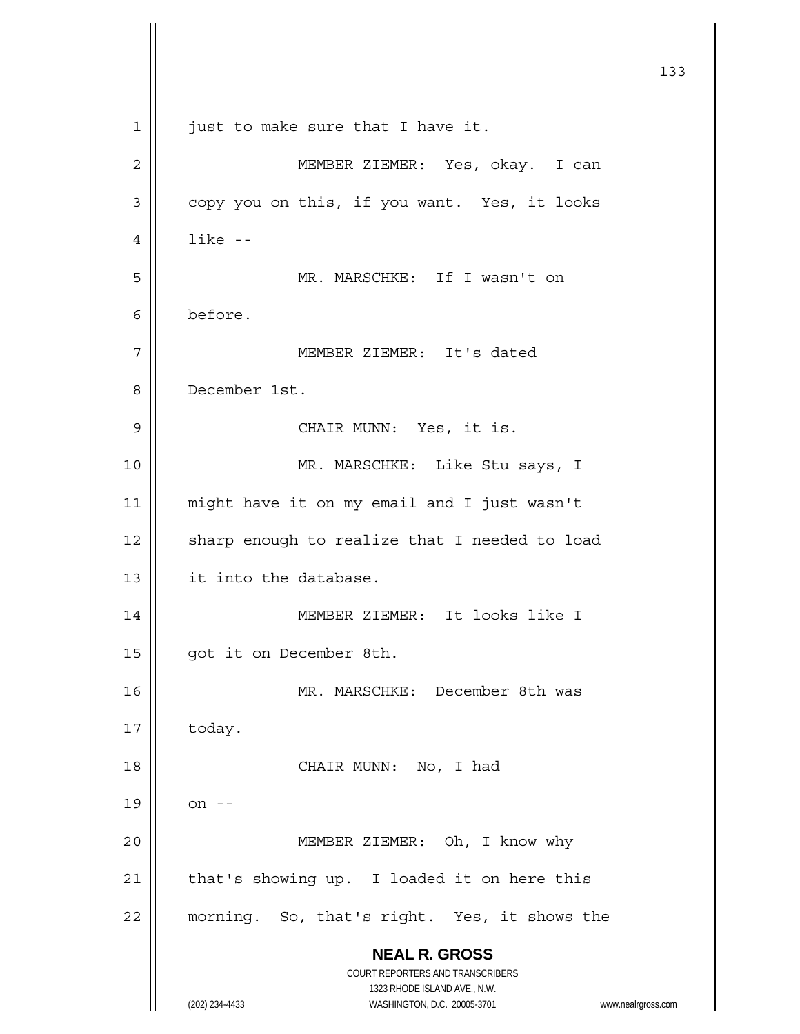|    |                                                                     | 133 |
|----|---------------------------------------------------------------------|-----|
|    |                                                                     |     |
| 1  | just to make sure that I have it.                                   |     |
| 2  | MEMBER ZIEMER: Yes, okay. I can                                     |     |
| 3  | copy you on this, if you want. Yes, it looks                        |     |
| 4  | $like -$                                                            |     |
| 5  | MR. MARSCHKE: If I wasn't on                                        |     |
| 6  | before.                                                             |     |
| 7  | MEMBER ZIEMER: It's dated                                           |     |
| 8  | December 1st.                                                       |     |
| 9  | CHAIR MUNN: Yes, it is.                                             |     |
| 10 | MR. MARSCHKE: Like Stu says, I                                      |     |
| 11 | might have it on my email and I just wasn't                         |     |
| 12 | sharp enough to realize that I needed to load                       |     |
| 13 | it into the database.                                               |     |
| 14 | MEMBER ZIEMER: It looks like I                                      |     |
| 15 | got it on December 8th.                                             |     |
| 16 | MR. MARSCHKE: December 8th was                                      |     |
| 17 | today.                                                              |     |
| 18 | CHAIR MUNN: No, I had                                               |     |
| 19 | on --                                                               |     |
| 20 | MEMBER ZIEMER: Oh, I know why                                       |     |
| 21 | that's showing up. I loaded it on here this                         |     |
| 22 | morning. So, that's right. Yes, it shows the                        |     |
|    | <b>NEAL R. GROSS</b>                                                |     |
|    | COURT REPORTERS AND TRANSCRIBERS<br>1323 RHODE ISLAND AVE., N.W.    |     |
|    | (202) 234-4433<br>WASHINGTON, D.C. 20005-3701<br>www.nealrgross.com |     |

Ħ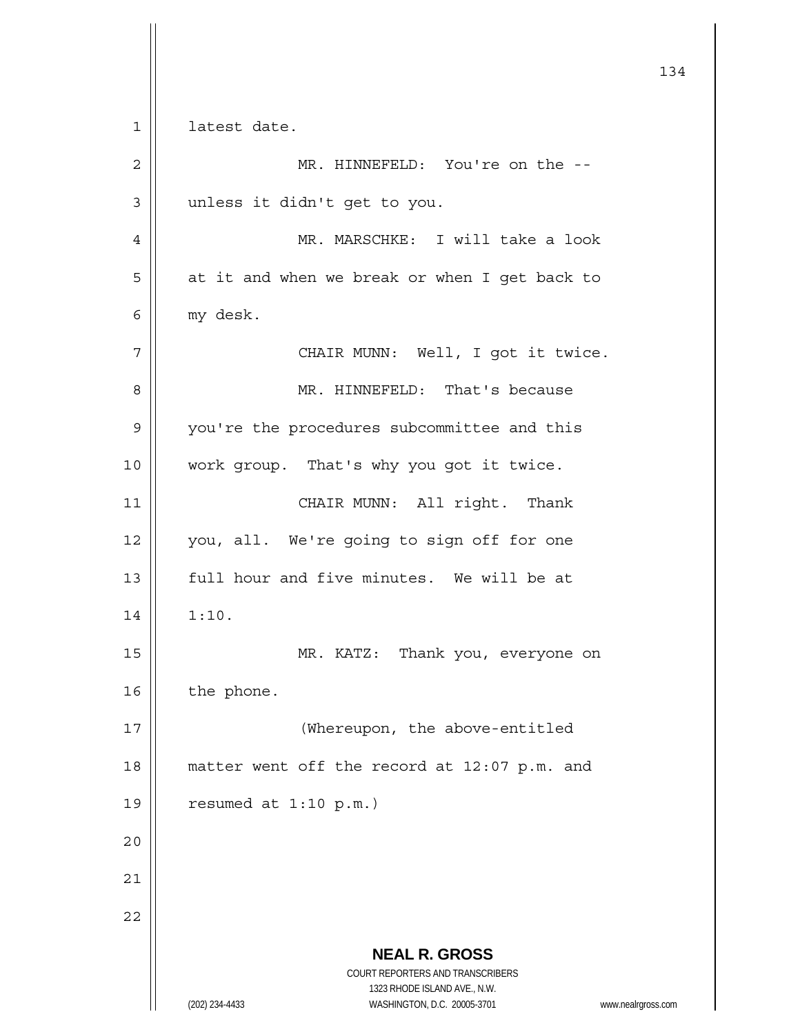**NEAL R. GROSS** COURT REPORTERS AND TRANSCRIBERS 1323 RHODE ISLAND AVE., N.W. (202) 234-4433 WASHINGTON, D.C. 20005-3701 www.nealrgross.com 134 1 | latest date. 2 MR. HINNEFELD: You're on the -- 3 || unless it didn't get to you. 4 MR. MARSCHKE: I will take a look  $5 \parallel$  at it and when we break or when I get back to 6 my desk. 7 | CHAIR MUNN: Well, I got it twice. 8 MR. HINNEFELD: That's because 9 | you're the procedures subcommittee and this 10 || work group. That's why you got it twice. 11 || CHAIR MUNN: All right. Thank 12 || you, all. We're going to sign off for one 13 H full hour and five minutes. We will be at  $14 \parallel 1:10.$ 15 || MR. KATZ: Thank you, everyone on  $16$  the phone. 17 || (Whereupon, the above-entitled 18 matter went off the record at 12:07 p.m. and 19  $\vert$  resumed at 1:10 p.m.) 20 21 22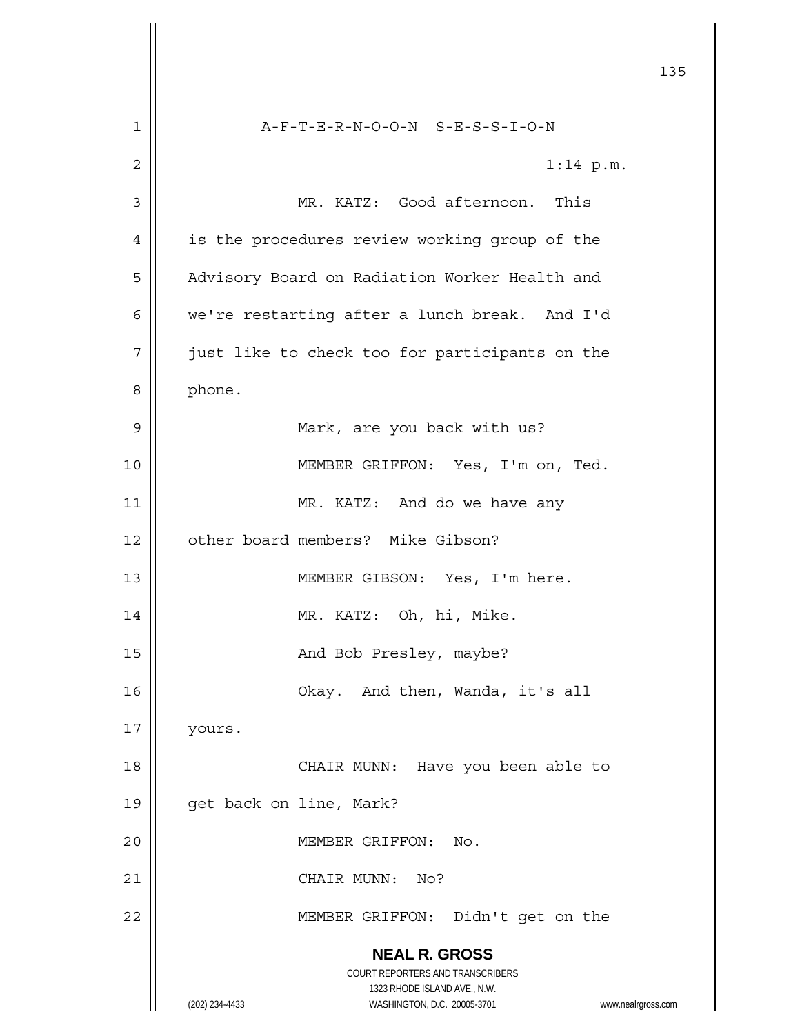|    | 135                                                                 |
|----|---------------------------------------------------------------------|
| 1  | $A-F-T-E-R-N-O-O-N$ $S-E-S-S-I-O-N$                                 |
| 2  | $1:14$ p.m.                                                         |
| 3  | MR. KATZ: Good afternoon. This                                      |
| 4  | is the procedures review working group of the                       |
| 5  | Advisory Board on Radiation Worker Health and                       |
| 6  | we're restarting after a lunch break. And I'd                       |
| 7  | just like to check too for participants on the                      |
| 8  | phone.                                                              |
| 9  | Mark, are you back with us?                                         |
| 10 | MEMBER GRIFFON: Yes, I'm on, Ted.                                   |
| 11 | MR. KATZ: And do we have any                                        |
| 12 | other board members? Mike Gibson?                                   |
| 13 | MEMBER GIBSON: Yes, I'm here.                                       |
| 14 | MR. KATZ: Oh, hi, Mike.                                             |
| 15 | And Bob Presley, maybe?                                             |
| 16 | Okay. And then, Wanda, it's all                                     |
| 17 | yours.                                                              |
| 18 | CHAIR MUNN: Have you been able to                                   |
| 19 | get back on line, Mark?                                             |
| 20 | MEMBER GRIFFON:<br>No.                                              |
| 21 | CHAIR MUNN:<br>No?                                                  |
| 22 | MEMBER GRIFFON: Didn't get on the                                   |
|    | <b>NEAL R. GROSS</b>                                                |
|    | COURT REPORTERS AND TRANSCRIBERS<br>1323 RHODE ISLAND AVE., N.W.    |
|    | (202) 234-4433<br>WASHINGTON, D.C. 20005-3701<br>www.nealrgross.com |

 $\mathbf{\mathcal{L}}$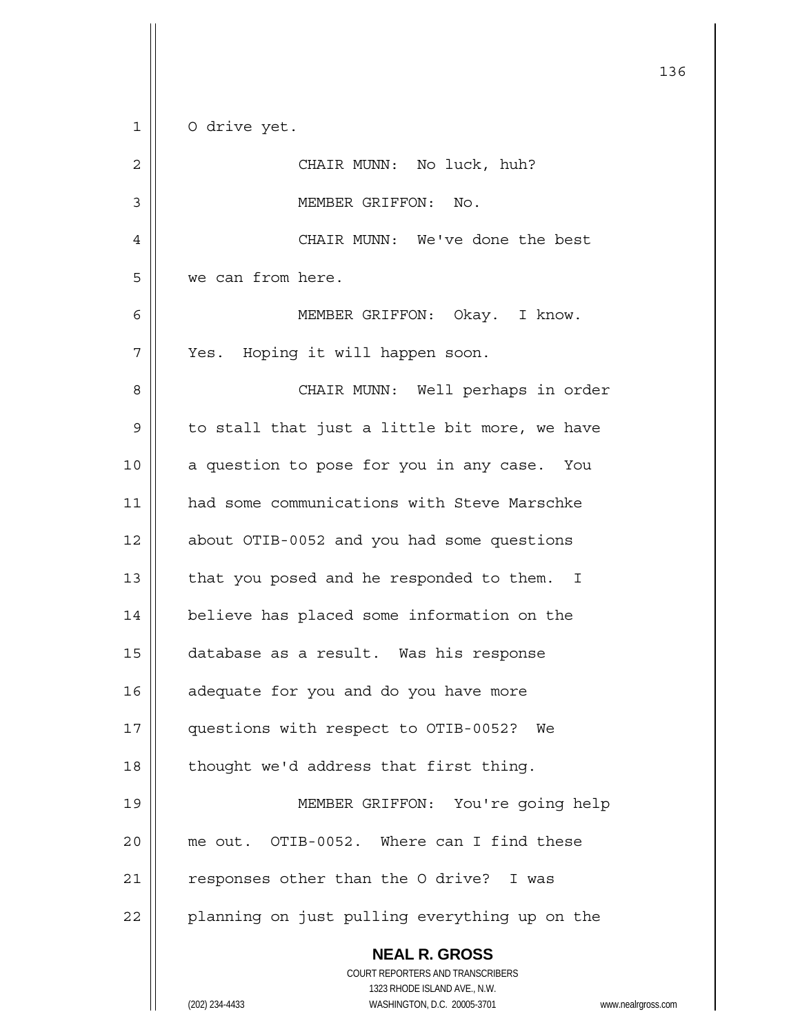**NEAL R. GROSS** COURT REPORTERS AND TRANSCRIBERS 1323 RHODE ISLAND AVE., N.W. 1 | 0 drive yet. 2 | CHAIR MUNN: No luck, huh? 3 | MEMBER GRIFFON: No. 4 CHAIR MUNN: We've done the best 5 we can from here. 6 MEMBER GRIFFON: Okay. I know. 7 | Yes. Hoping it will happen soon. 8 CHAIR MUNN: Well perhaps in order  $9 \parallel$  to stall that just a little bit more, we have 10 || a question to pose for you in any case. You 11 | had some communications with Steve Marschke 12 about OTIB-0052 and you had some questions 13  $\parallel$  that you posed and he responded to them. I 14 believe has placed some information on the 15 database as a result. Was his response 16 | adequate for you and do you have more 17 | questions with respect to OTIB-0052? We  $18$  | thought we'd address that first thing. 19 MEMBER GRIFFON: You're going help 20 me out. OTIB-0052. Where can I find these  $21$  | responses other than the O drive? I was 22 | planning on just pulling everything up on the

136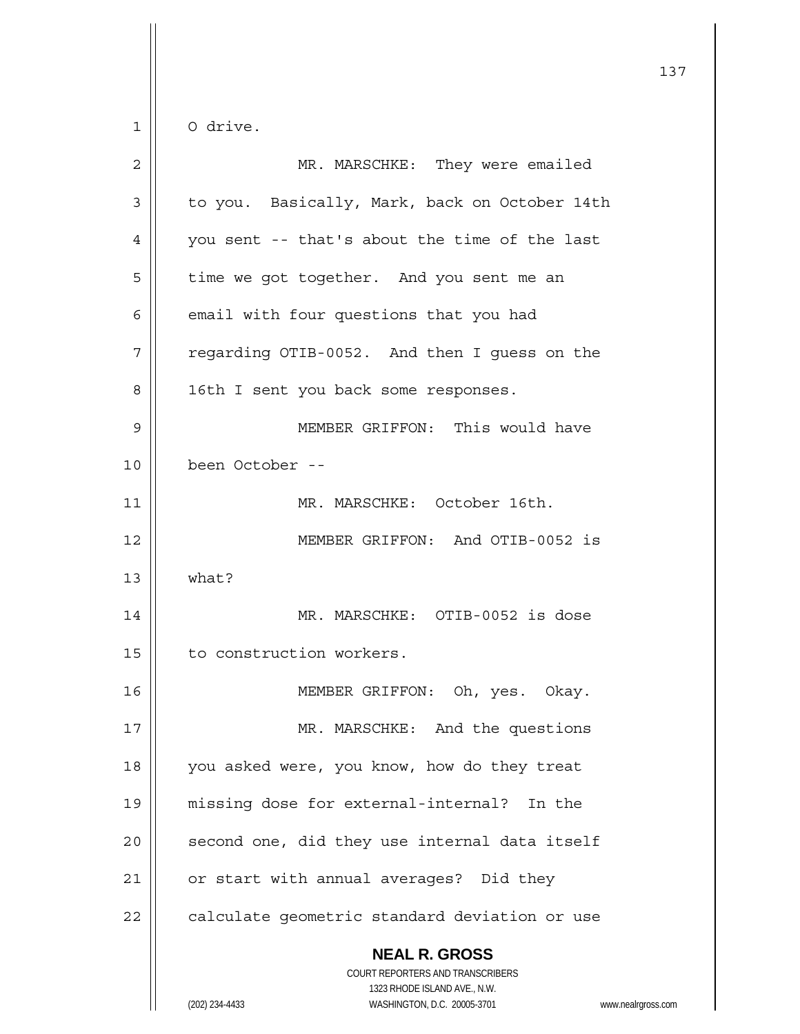$1 \parallel$  O drive.

| $\overline{c}$ | MR. MARSCHKE: They were emailed                                                                                                                                 |
|----------------|-----------------------------------------------------------------------------------------------------------------------------------------------------------------|
| 3              | to you. Basically, Mark, back on October 14th                                                                                                                   |
| 4              | you sent -- that's about the time of the last                                                                                                                   |
| 5              | time we got together. And you sent me an                                                                                                                        |
| 6              | email with four questions that you had                                                                                                                          |
| 7              | regarding OTIB-0052. And then I guess on the                                                                                                                    |
| 8              | 16th I sent you back some responses.                                                                                                                            |
| 9              | MEMBER GRIFFON: This would have                                                                                                                                 |
| 10             | been October --                                                                                                                                                 |
| 11             | MR. MARSCHKE: October 16th.                                                                                                                                     |
| 12             | MEMBER GRIFFON: And OTIB-0052 is                                                                                                                                |
| 13             | what?                                                                                                                                                           |
| 14             | MR. MARSCHKE: OTIB-0052 is dose                                                                                                                                 |
| 15             | to construction workers.                                                                                                                                        |
| 16             | MEMBER GRIFFON: Oh, yes. Okay.                                                                                                                                  |
| 17             | MR. MARSCHKE: And the questions                                                                                                                                 |
| 18             | you asked were, you know, how do they treat                                                                                                                     |
| 19             | missing dose for external-internal? In the                                                                                                                      |
| 20             | second one, did they use internal data itself                                                                                                                   |
| 21             | or start with annual averages? Did they                                                                                                                         |
| 22             | calculate geometric standard deviation or use                                                                                                                   |
|                | <b>NEAL R. GROSS</b><br>COURT REPORTERS AND TRANSCRIBERS<br>1323 RHODE ISLAND AVE., N.W.<br>(202) 234-4433<br>WASHINGTON, D.C. 20005-3701<br>www.nealrgross.com |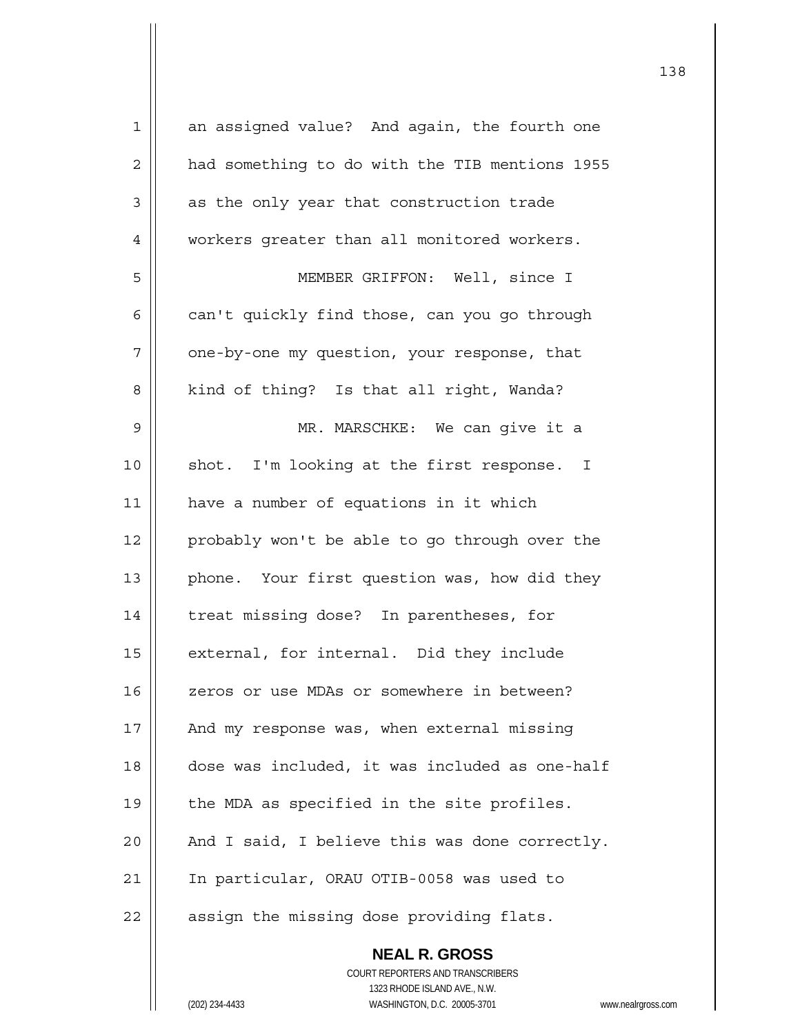| $\mathbf 1$    | an assigned value? And again, the fourth one             |
|----------------|----------------------------------------------------------|
| $\overline{2}$ | had something to do with the TIB mentions 1955           |
| 3              | as the only year that construction trade                 |
| $\overline{4}$ | workers greater than all monitored workers.              |
| 5              | MEMBER GRIFFON: Well, since I                            |
| 6              | can't quickly find those, can you go through             |
| 7              | one-by-one my question, your response, that              |
| 8              | kind of thing? Is that all right, Wanda?                 |
| $\mathsf 9$    | MR. MARSCHKE: We can give it a                           |
| 10             | shot. I'm looking at the first response. I               |
| 11             | have a number of equations in it which                   |
| 12             | probably won't be able to go through over the            |
| 13             | phone. Your first question was, how did they             |
| 14             | treat missing dose? In parentheses, for                  |
| 15             | external, for internal. Did they include                 |
| 16             | zeros or use MDAs or somewhere in between?               |
| 17             | And my response was, when external missing               |
| 18             | dose was included, it was included as one-half           |
| 19             | the MDA as specified in the site profiles.               |
| 20             | And I said, I believe this was done correctly.           |
| 21             | In particular, ORAU OTIB-0058 was used to                |
| 22             | assign the missing dose providing flats.                 |
|                | <b>NEAL R. GROSS</b><br>COURT REPORTERS AND TRANSCRIBERS |

1323 RHODE ISLAND AVE., N.W.

 $\mathsf{II}$ 

(202) 234-4433 WASHINGTON, D.C. 20005-3701 www.nealrgross.com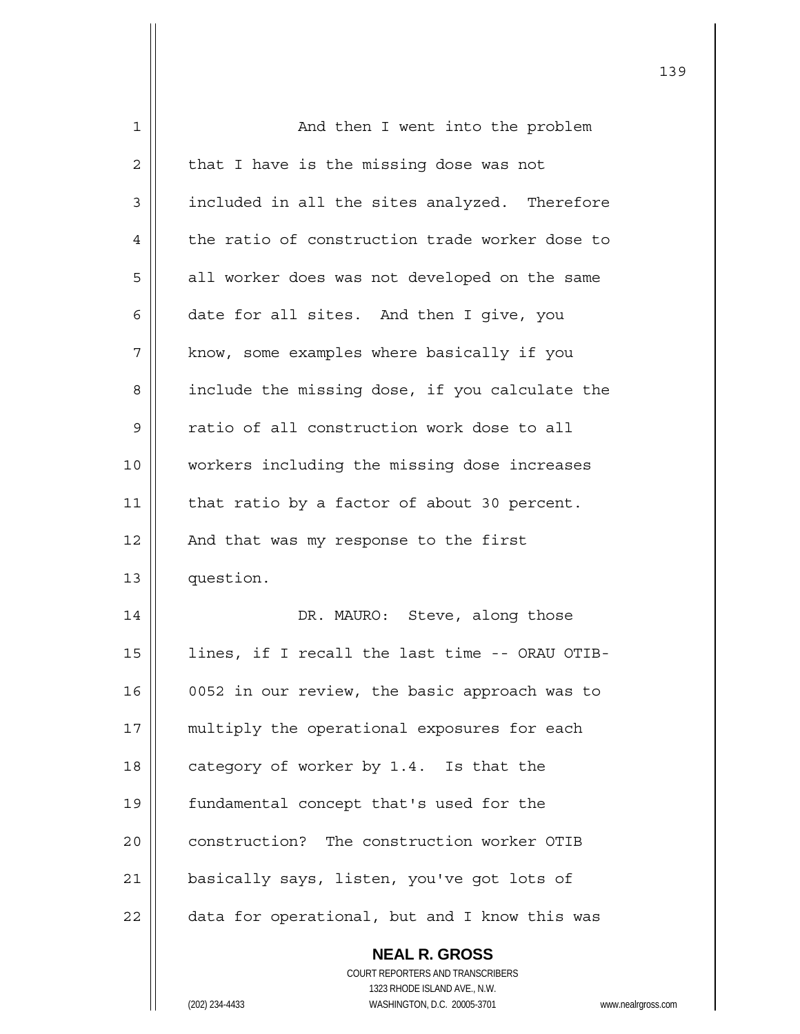| 1  | And then I went into the problem                                    |
|----|---------------------------------------------------------------------|
| 2  | that I have is the missing dose was not                             |
| 3  | included in all the sites analyzed. Therefore                       |
| 4  | the ratio of construction trade worker dose to                      |
| 5  | all worker does was not developed on the same                       |
| 6  | date for all sites. And then I give, you                            |
| 7  | know, some examples where basically if you                          |
| 8  | include the missing dose, if you calculate the                      |
| 9  | ratio of all construction work dose to all                          |
| 10 | workers including the missing dose increases                        |
| 11 | that ratio by a factor of about 30 percent.                         |
| 12 | And that was my response to the first                               |
| 13 | question.                                                           |
| 14 | DR. MAURO: Steve, along those                                       |
| 15 | lines, if I recall the last time -- ORAU OTIB-                      |
| 16 | 0052 in our review, the basic approach was to                       |
| 17 | multiply the operational exposures for each                         |
| 18 | category of worker by 1.4. Is that the                              |
| 19 | fundamental concept that's used for the                             |
| 20 | construction? The construction worker OTIB                          |
| 21 | basically says, listen, you've got lots of                          |
| 22 | data for operational, but and I know this was                       |
|    | <b>NEAL R. GROSS</b>                                                |
|    | COURT REPORTERS AND TRANSCRIBERS                                    |
|    | 1323 RHODE ISLAND AVE., N.W.                                        |
|    | (202) 234-4433<br>WASHINGTON, D.C. 20005-3701<br>www.nealrgross.com |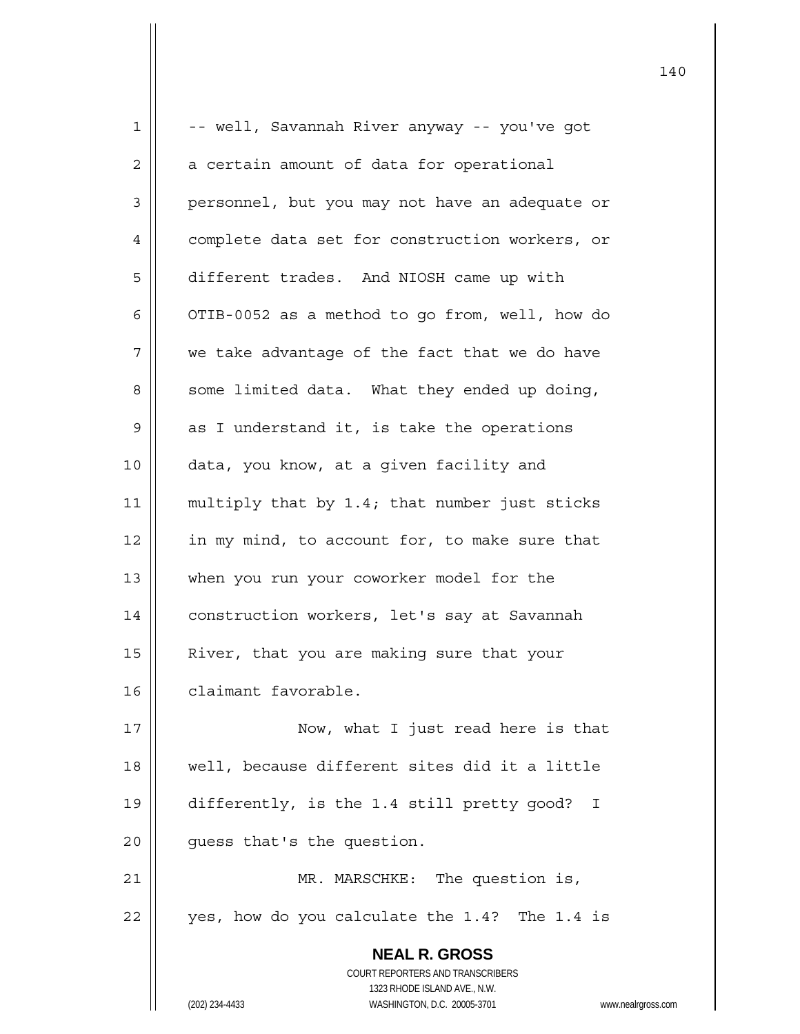| $\mathbf 1$    | -- well, Savannah River anyway -- you've got                        |
|----------------|---------------------------------------------------------------------|
| 2              | a certain amount of data for operational                            |
| $\mathfrak{Z}$ | personnel, but you may not have an adequate or                      |
| 4              | complete data set for construction workers, or                      |
| 5              | different trades. And NIOSH came up with                            |
| 6              | OTIB-0052 as a method to go from, well, how do                      |
| 7              | we take advantage of the fact that we do have                       |
| 8              | some limited data. What they ended up doing,                        |
| 9              | as I understand it, is take the operations                          |
| 10             | data, you know, at a given facility and                             |
| 11             | multiply that by 1.4; that number just sticks                       |
| 12             | in my mind, to account for, to make sure that                       |
| 13             | when you run your coworker model for the                            |
| 14             | construction workers, let's say at Savannah                         |
| 15             | River, that you are making sure that your                           |
| 16             | claimant favorable.                                                 |
| 17             | Now, what I just read here is that                                  |
| 18             | well, because different sites did it a little                       |
| 19             | differently, is the 1.4 still pretty good?<br>I                     |
| 20             | guess that's the question.                                          |
| 21             | MR. MARSCHKE: The question is,                                      |
| 22             | yes, how do you calculate the 1.4? The 1.4 is                       |
|                | <b>NEAL R. GROSS</b>                                                |
|                | COURT REPORTERS AND TRANSCRIBERS                                    |
|                | 1323 RHODE ISLAND AVE., N.W.                                        |
|                | (202) 234-4433<br>WASHINGTON, D.C. 20005-3701<br>www.nealrgross.com |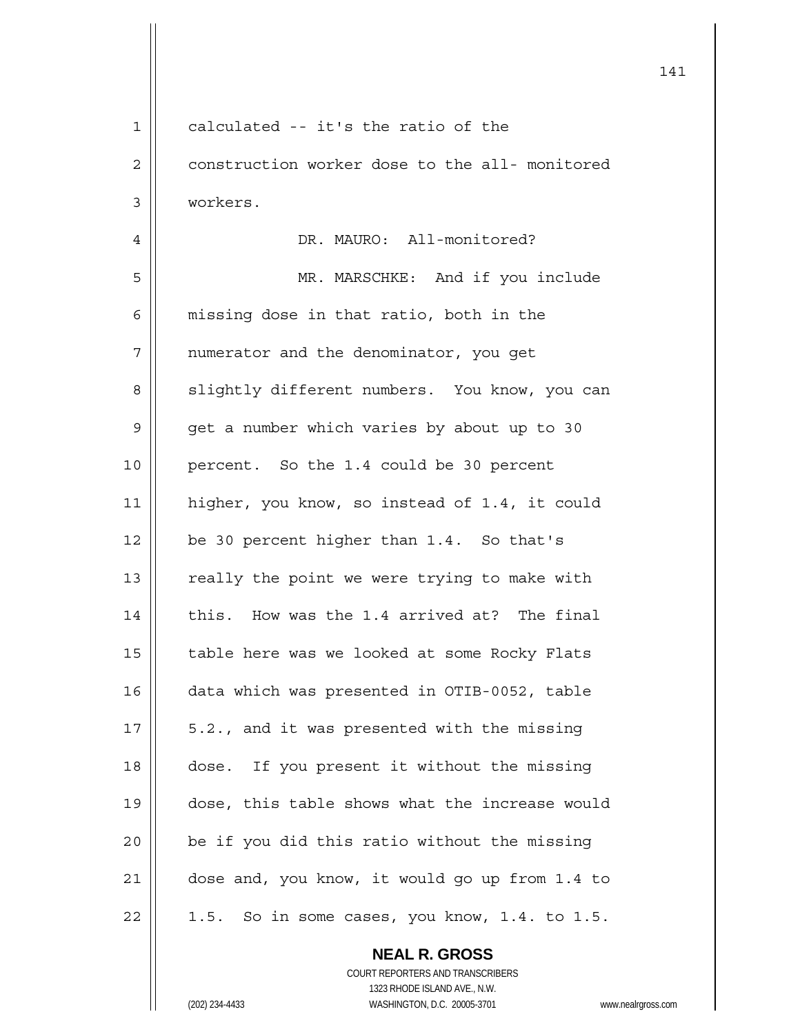| $\mathbf 1$    | calculated -- it's the ratio of the              |
|----------------|--------------------------------------------------|
| $\overline{c}$ | construction worker dose to the all- monitored   |
| 3              | workers.                                         |
| 4              | DR. MAURO: All-monitored?                        |
| 5              | MR. MARSCHKE: And if you include                 |
| 6              | missing dose in that ratio, both in the          |
| 7              | numerator and the denominator, you get           |
| 8              | slightly different numbers. You know, you can    |
| 9              | get a number which varies by about up to 30      |
| 10             | percent. So the 1.4 could be 30 percent          |
| 11             | higher, you know, so instead of 1.4, it could    |
| 12             | be 30 percent higher than 1.4. So that's         |
| 13             | really the point we were trying to make with     |
| 14             | this. How was the 1.4 arrived at? The final      |
| 15             | table here was we looked at some Rocky Flats     |
| 16             | data which was presented in OTIB-0052, table     |
| 17             | 5.2., and it was presented with the missing      |
| 18             | dose. If you present it without the missing      |
| 19             | dose, this table shows what the increase would   |
| 20             | be if you did this ratio without the missing     |
| 21             | dose and, you know, it would go up from 1.4 to   |
| 22             | So in some cases, you know, 1.4. to 1.5.<br>1.5. |
|                | <b>NEAL R. GROSS</b>                             |

 COURT REPORTERS AND TRANSCRIBERS 1323 RHODE ISLAND AVE., N.W.

 $\mathsf{II}$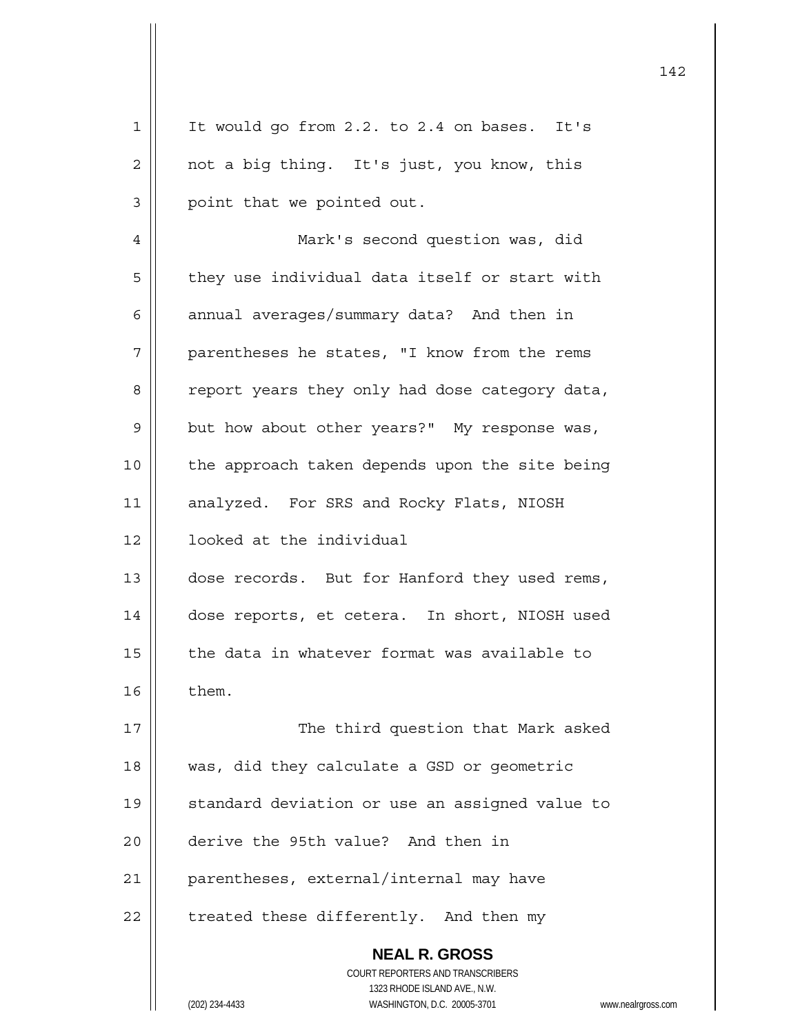| It would go from 2.2. to 2.4 on bases. It's                                                                                                                     |
|-----------------------------------------------------------------------------------------------------------------------------------------------------------------|
| not a big thing. It's just, you know, this                                                                                                                      |
| point that we pointed out.                                                                                                                                      |
| Mark's second question was, did                                                                                                                                 |
| they use individual data itself or start with                                                                                                                   |
| annual averages/summary data? And then in                                                                                                                       |
| parentheses he states, "I know from the rems                                                                                                                    |
| report years they only had dose category data,                                                                                                                  |
| but how about other years?" My response was,                                                                                                                    |
| the approach taken depends upon the site being                                                                                                                  |
| analyzed. For SRS and Rocky Flats, NIOSH                                                                                                                        |
| looked at the individual                                                                                                                                        |
| dose records. But for Hanford they used rems,                                                                                                                   |
| dose reports, et cetera. In short, NIOSH used                                                                                                                   |
| the data in whatever format was available to                                                                                                                    |
| them.                                                                                                                                                           |
| The third question that Mark asked                                                                                                                              |
| was, did they calculate a GSD or geometric                                                                                                                      |
| standard deviation or use an assigned value to                                                                                                                  |
| derive the 95th value? And then in                                                                                                                              |
| parentheses, external/internal may have                                                                                                                         |
| treated these differently. And then my                                                                                                                          |
| <b>NEAL R. GROSS</b><br>COURT REPORTERS AND TRANSCRIBERS<br>1323 RHODE ISLAND AVE., N.W.<br>(202) 234-4433<br>WASHINGTON, D.C. 20005-3701<br>www.nealrgross.com |
|                                                                                                                                                                 |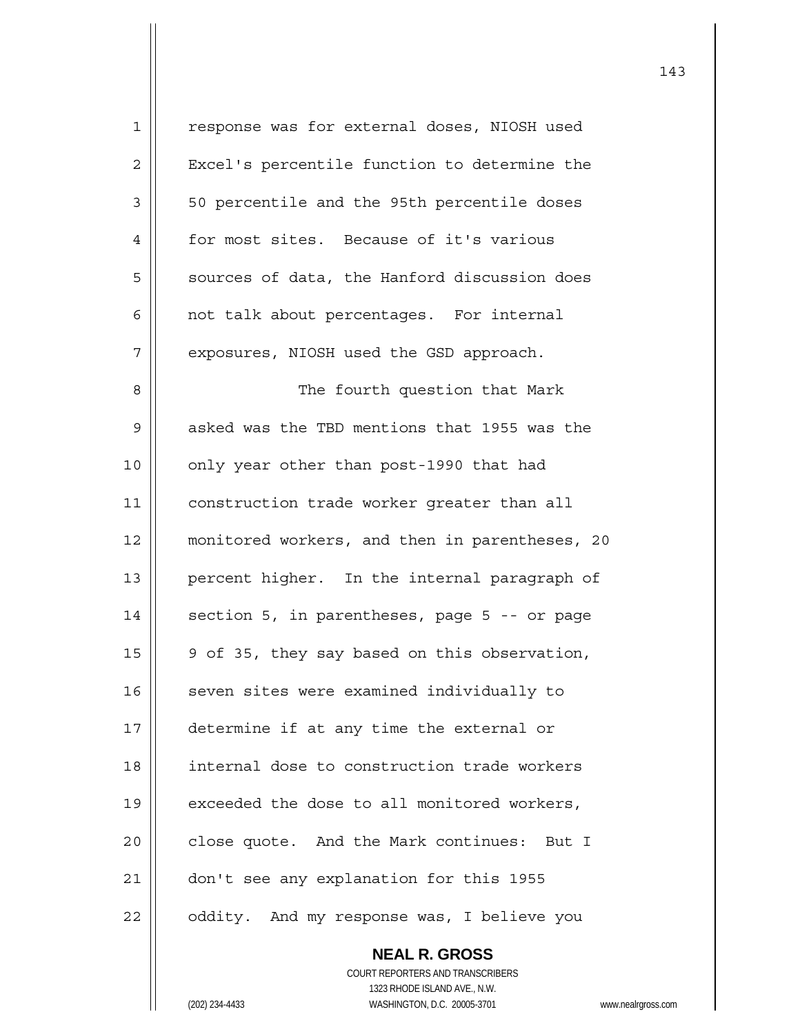| 1  | response was for external doses, NIOSH used    |
|----|------------------------------------------------|
| 2  | Excel's percentile function to determine the   |
| 3  | 50 percentile and the 95th percentile doses    |
| 4  | for most sites. Because of it's various        |
| 5  | sources of data, the Hanford discussion does   |
| 6  | not talk about percentages. For internal       |
| 7  | exposures, NIOSH used the GSD approach.        |
| 8  | The fourth question that Mark                  |
| 9  | asked was the TBD mentions that 1955 was the   |
| 10 | only year other than post-1990 that had        |
| 11 | construction trade worker greater than all     |
| 12 | monitored workers, and then in parentheses, 20 |
| 13 | percent higher. In the internal paragraph of   |
| 14 | section 5, in parentheses, page 5 -- or page   |
| 15 | 9 of 35, they say based on this observation,   |
| 16 | seven sites were examined individually to      |
| 17 | determine if at any time the external or       |
| 18 | internal dose to construction trade workers    |
| 19 | exceeded the dose to all monitored workers,    |
| 20 | close quote. And the Mark continues: But I     |
| 21 | don't see any explanation for this 1955        |
| 22 | oddity. And my response was, I believe you     |

 **NEAL R. GROSS** COURT REPORTERS AND TRANSCRIBERS 1323 RHODE ISLAND AVE., N.W. (202) 234-4433 WASHINGTON, D.C. 20005-3701 www.nealrgross.com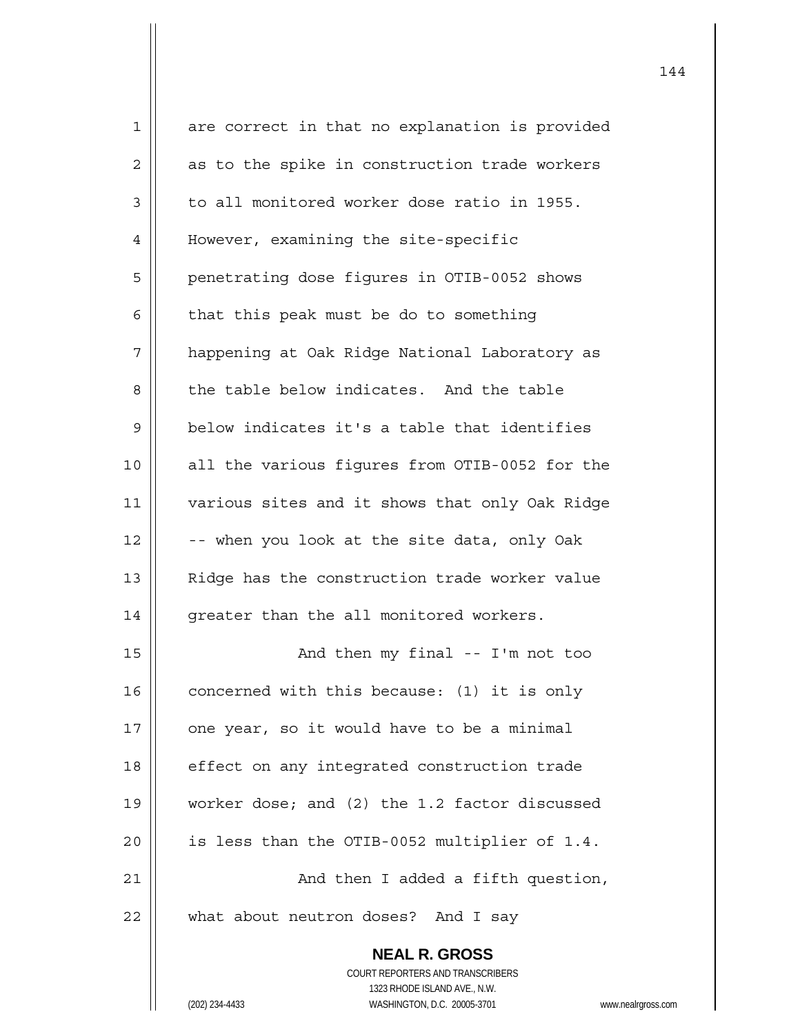| $\mathbf{1}$   | are correct in that no explanation is provided           |
|----------------|----------------------------------------------------------|
| $\overline{2}$ | as to the spike in construction trade workers            |
| $\mathsf 3$    | to all monitored worker dose ratio in 1955.              |
| 4              | However, examining the site-specific                     |
| 5              | penetrating dose figures in OTIB-0052 shows              |
| 6              | that this peak must be do to something                   |
| 7              | happening at Oak Ridge National Laboratory as            |
| 8              | the table below indicates. And the table                 |
| 9              | below indicates it's a table that identifies             |
| 10             | all the various figures from OTIB-0052 for the           |
| 11             | various sites and it shows that only Oak Ridge           |
| 12             | -- when you look at the site data, only Oak              |
| 13             | Ridge has the construction trade worker value            |
| 14             | greater than the all monitored workers.                  |
| 15             | And then my final -- I'm not too                         |
| 16             | concerned with this because: (1) it is only              |
| 17             | one year, so it would have to be a minimal               |
| 18             | effect on any integrated construction trade              |
| 19             | worker dose; and (2) the 1.2 factor discussed            |
| 20             | is less than the OTIB-0052 multiplier of 1.4.            |
| 21             | And then I added a fifth question,                       |
| 22             | what about neutron doses? And I say                      |
|                | <b>NEAL R. GROSS</b><br>COURT REPORTERS AND TRANSCRIBERS |
|                |                                                          |
|                | 1323 RHODE ISLAND AVE., N.W.                             |
|                | WASHINGTON, D.C. 20005-3701<br>(202) 234-4433<br>www.r   |

(202) 234-4433 WASHINGTON, D.C. 20005-3701 www.nealrgross.com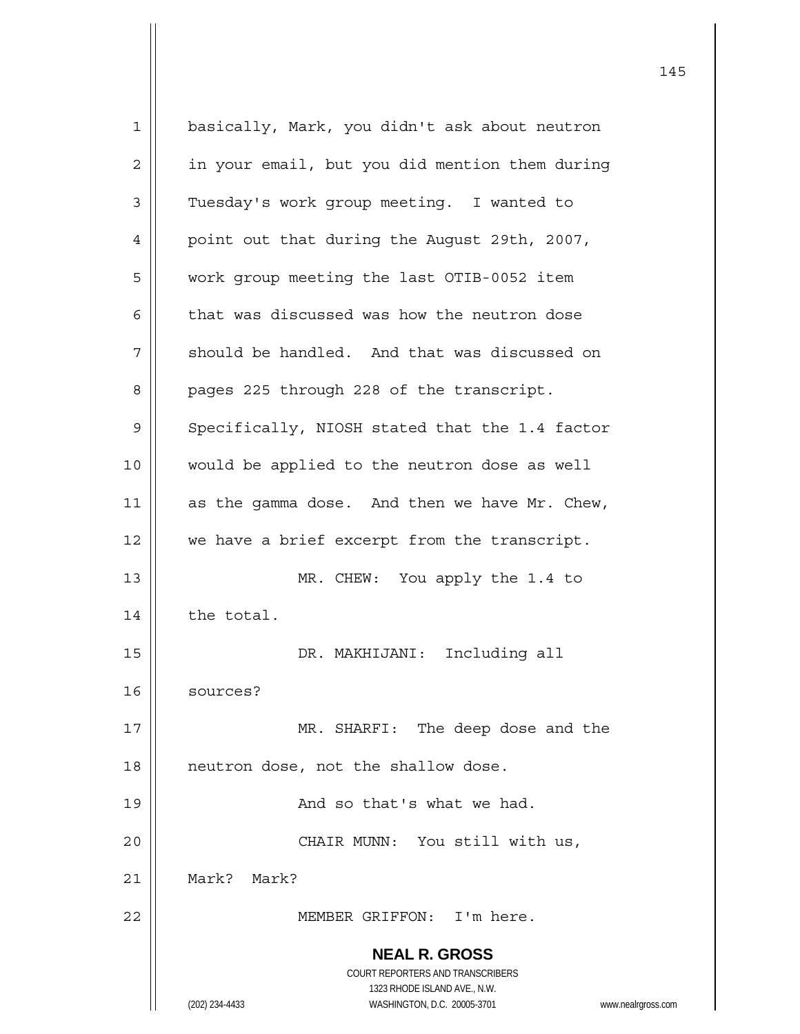**NEAL R. GROSS** COURT REPORTERS AND TRANSCRIBERS 1323 RHODE ISLAND AVE., N.W. (202) 234-4433 WASHINGTON, D.C. 20005-3701 www.nealrgross.com 1 basically, Mark, you didn't ask about neutron 2 | in your email, but you did mention them during 3 | Tuesday's work group meeting. I wanted to 4 | point out that during the August 29th, 2007, 5 work group meeting the last OTIB-0052 item  $6 \parallel$  that was discussed was how the neutron dose  $7 \parallel$  should be handled. And that was discussed on 8 | pages 225 through 228 of the transcript. 9 Specifically, NIOSH stated that the 1.4 factor 10 || would be applied to the neutron dose as well 11  $\parallel$  as the gamma dose. And then we have Mr. Chew, 12 we have a brief excerpt from the transcript. 13 || MR. CHEW: You apply the 1.4 to  $14$  | the total. 15 DR. MAKHIJANI: Including all 16 sources? 17 || MR. SHARFI: The deep dose and the 18 || neutron dose, not the shallow dose. 19 || And so that's what we had. 20 CHAIR MUNN: You still with us, 21 Mark? Mark? 22 MEMBER GRIFFON: I'm here.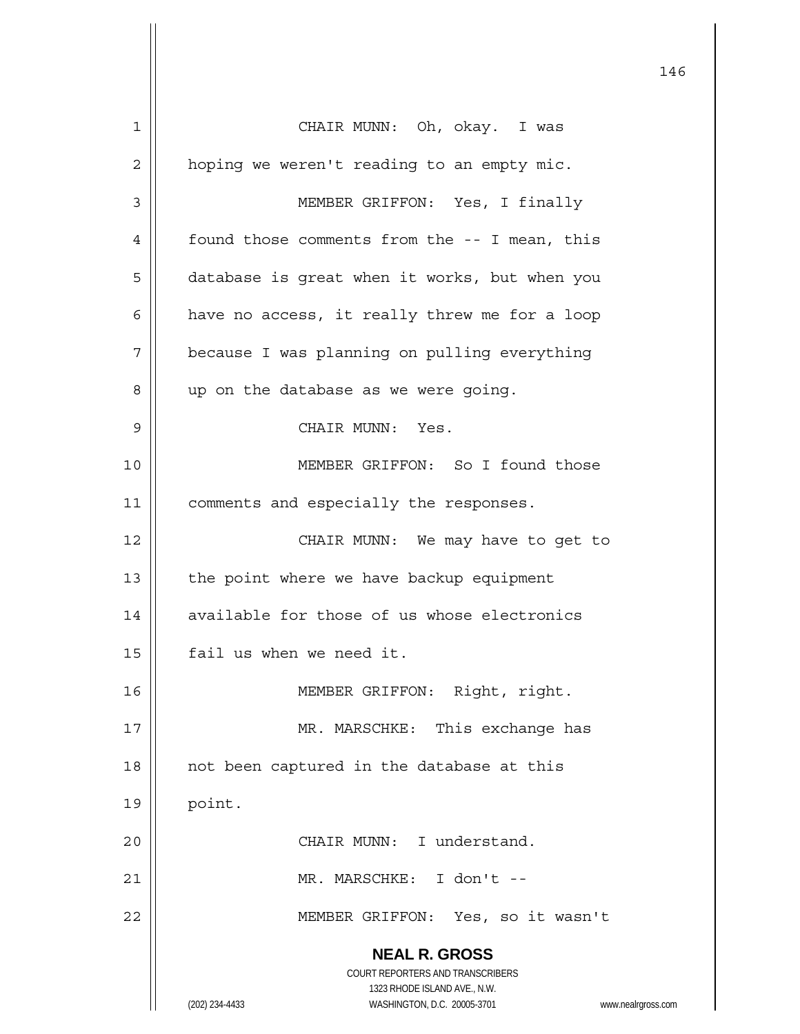**NEAL R. GROSS** COURT REPORTERS AND TRANSCRIBERS 1323 RHODE ISLAND AVE., N.W. (202) 234-4433 WASHINGTON, D.C. 20005-3701 www.nealrgross.com 1 CHAIR MUNN: Oh, okay. I was 2 | hoping we weren't reading to an empty mic. 3 MEMBER GRIFFON: Yes, I finally 4 | found those comments from the -- I mean, this 5 | database is great when it works, but when you  $6$  | have no access, it really threw me for a loop 7 | because I was planning on pulling everything 8 || up on the database as we were going. 9 CHAIR MUNN: Yes. 10 MEMBER GRIFFON: So I found those 11 | comments and especially the responses. 12 || CHAIR MUNN: We may have to get to  $13$  | the point where we have backup equipment 14 | available for those of us whose electronics 15 | fail us when we need it. 16 || **MEMBER GRIFFON: Right, right.** 17 || MR. MARSCHKE: This exchange has 18 || not been captured in the database at this  $19$  point. 20 CHAIR MUNN: I understand. 21 MR. MARSCHKE: I don't -- 22 MEMBER GRIFFON: Yes, so it wasn't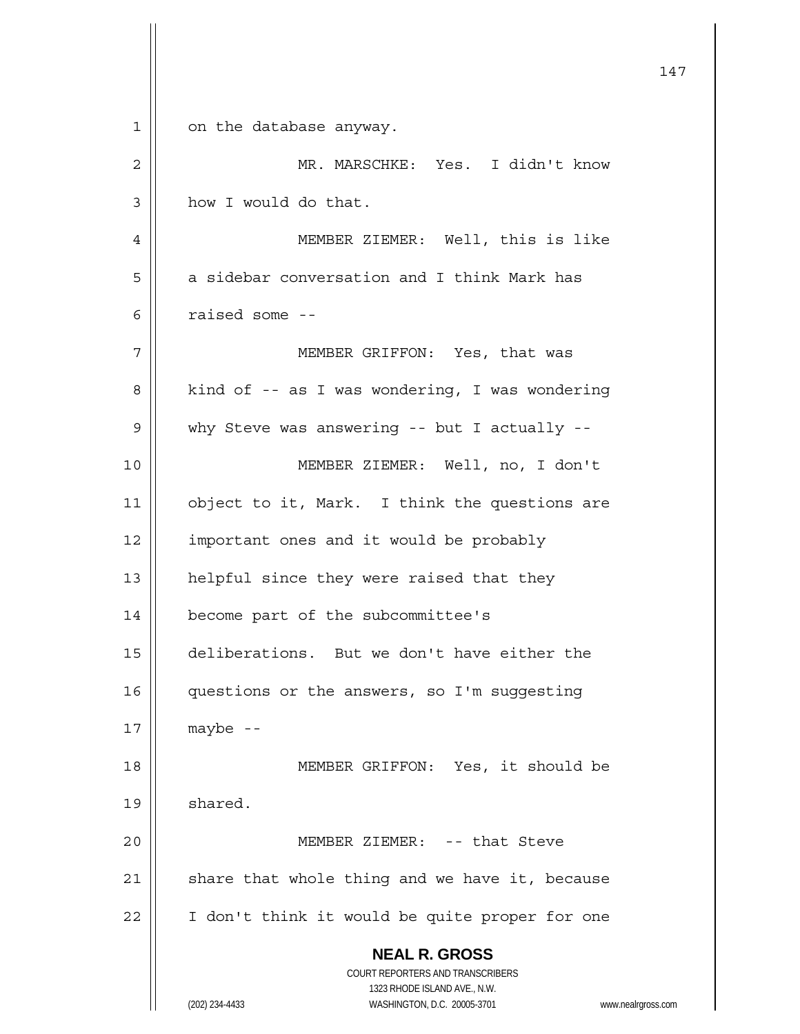|             | 147                                                                 |
|-------------|---------------------------------------------------------------------|
| $\mathbf 1$ | on the database anyway.                                             |
| 2           | MR. MARSCHKE: Yes. I didn't know                                    |
| 3           | how I would do that.                                                |
| 4           | MEMBER ZIEMER: Well, this is like                                   |
| 5           | a sidebar conversation and I think Mark has                         |
| 6           | raised some --                                                      |
| 7           | MEMBER GRIFFON: Yes, that was                                       |
| 8           | kind of -- as I was wondering, I was wondering                      |
| 9           | why Steve was answering -- but I actually --                        |
| 10          | MEMBER ZIEMER: Well, no, I don't                                    |
| 11          | object to it, Mark. I think the questions are                       |
| 12          | important ones and it would be probably                             |
| 13          | helpful since they were raised that they                            |
| 14          | become part of the subcommittee's                                   |
| 15          | deliberations. But we don't have either the                         |
| 16          | questions or the answers, so I'm suggesting                         |
| 17          | $maybe - -$                                                         |
| 18          | MEMBER GRIFFON: Yes, it should be                                   |
| 19          | shared.                                                             |
| 20          | MEMBER ZIEMER: -- that Steve                                        |
| 21          | share that whole thing and we have it, because                      |
| 22          | I don't think it would be quite proper for one                      |
|             | <b>NEAL R. GROSS</b><br>COURT REPORTERS AND TRANSCRIBERS            |
|             | 1323 RHODE ISLAND AVE., N.W.                                        |
|             | (202) 234-4433<br>WASHINGTON, D.C. 20005-3701<br>www.nealrgross.com |

 $\mathsf{I}$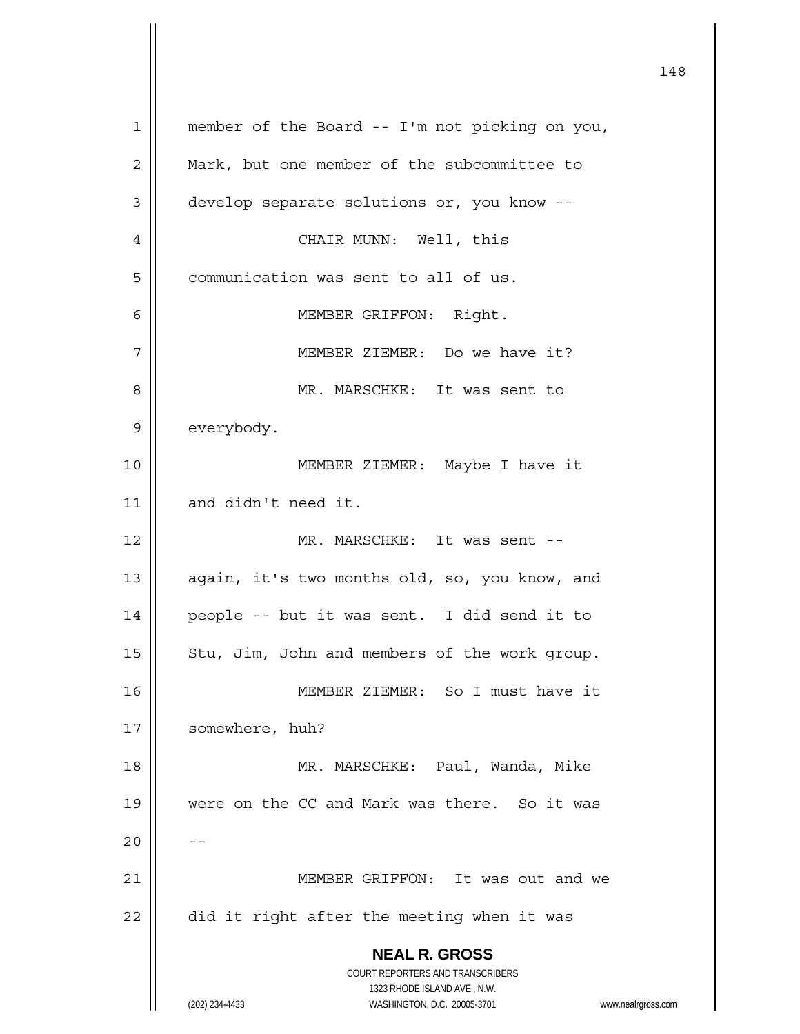**NEAL R. GROSS** COURT REPORTERS AND TRANSCRIBERS 1323 RHODE ISLAND AVE., N.W. (202) 234-4433 WASHINGTON, D.C. 20005-3701 www.nealrgross.com 1 || member of the Board -- I'm not picking on you, 2 | Mark, but one member of the subcommittee to 3 | develop separate solutions or, you know --4 CHAIR MUNN: Well, this 5 | communication was sent to all of us. 6 MEMBER GRIFFON: Right. 7 | MEMBER ZIEMER: Do we have it? 8 MR. MARSCHKE: It was sent to 9 | everybody. 10 MEMBER ZIEMER: Maybe I have it 11 || and didn't need it. 12 MR. MARSCHKE: It was sent -- 13 || again, it's two months old, so, you know, and 14 people -- but it was sent. I did send it to 15  $\parallel$  Stu, Jim, John and members of the work group. 16 MEMBER ZIEMER: So I must have it 17 | somewhere, huh? 18 MR. MARSCHKE: Paul, Wanda, Mike 19 || were on the CC and Mark was there. So it was  $20$ 21 MEMBER GRIFFON: It was out and we  $22$  | did it right after the meeting when it was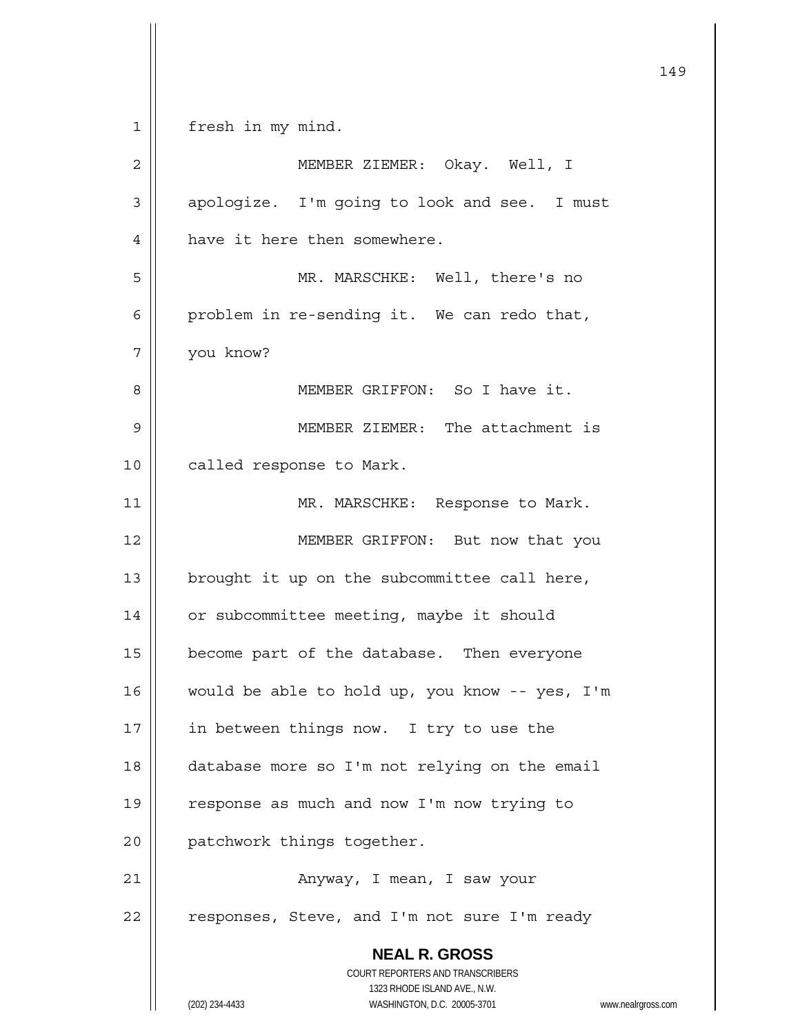**NEAL R. GROSS** COURT REPORTERS AND TRANSCRIBERS 1323 RHODE ISLAND AVE., N.W. 149 1 | fresh in my mind. 2 MEMBER ZIEMER: Okay. Well, I 3 | apologize. I'm going to look and see. I must 4 | have it here then somewhere. 5 MR. MARSCHKE: Well, there's no 6 | problem in re-sending it. We can redo that, 7 you know? 8 MEMBER GRIFFON: So I have it. 9 MEMBER ZIEMER: The attachment is 10 | called response to Mark. 11 || MR. MARSCHKE: Response to Mark. 12 || MEMBER GRIFFON: But now that you 13  $\parallel$  brought it up on the subcommittee call here, 14 | or subcommittee meeting, maybe it should 15 | become part of the database. Then everyone 16 would be able to hold up, you know -- yes, I'm 17 | in between things now. I try to use the 18 database more so I'm not relying on the email 19 || response as much and now I'm now trying to 20 | patchwork things together. 21 Anyway, I mean, I saw your  $22$  | responses, Steve, and I'm not sure I'm ready

(202) 234-4433 WASHINGTON, D.C. 20005-3701 www.nealrgross.com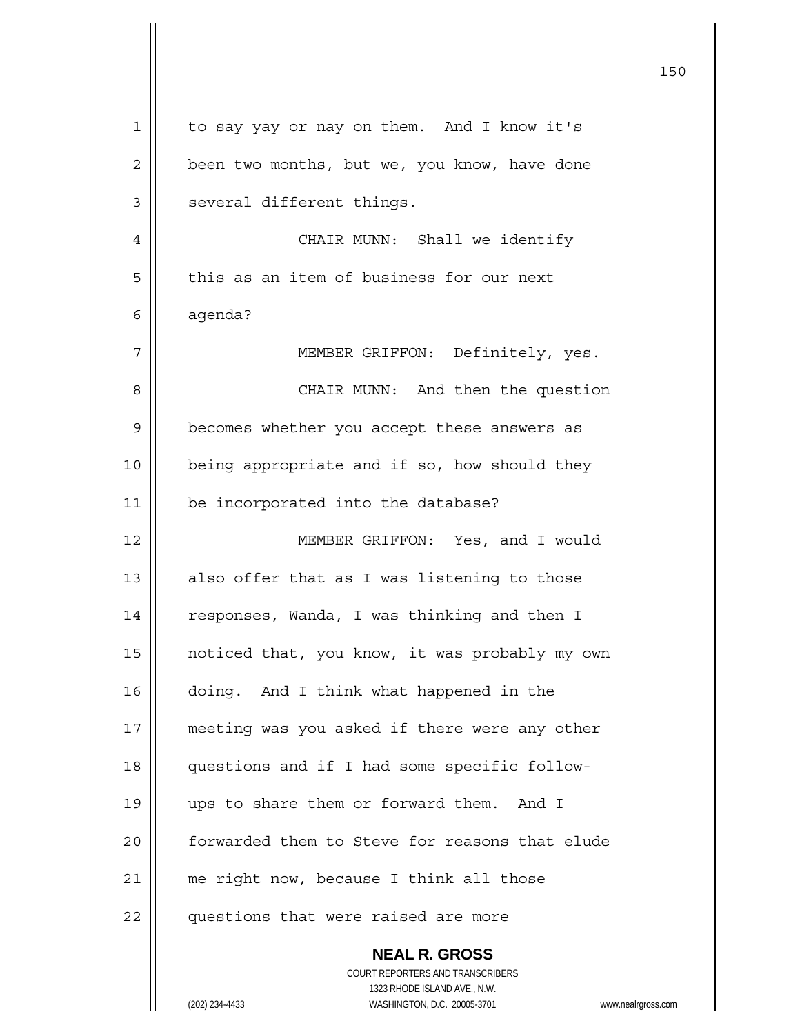| $\mathbf 1$ | to say yay or nay on them. And I know it's                                              |
|-------------|-----------------------------------------------------------------------------------------|
| 2           | been two months, but we, you know, have done                                            |
| 3           | several different things.                                                               |
| 4           | CHAIR MUNN: Shall we identify                                                           |
| 5           | this as an item of business for our next                                                |
| 6           | agenda?                                                                                 |
| 7           | MEMBER GRIFFON: Definitely, yes.                                                        |
| 8           | CHAIR MUNN: And then the question                                                       |
| 9           | becomes whether you accept these answers as                                             |
| 10          | being appropriate and if so, how should they                                            |
| 11          | be incorporated into the database?                                                      |
| 12          | MEMBER GRIFFON: Yes, and I would                                                        |
| 13          | also offer that as I was listening to those                                             |
| 14          | responses, Wanda, I was thinking and then I                                             |
| 15          | noticed that, you know, it was probably my own                                          |
| 16          | doing. And I think what happened in the                                                 |
| 17          | meeting was you asked if there were any other                                           |
| 18          | questions and if I had some specific follow-                                            |
| 19          | ups to share them or forward them. And I                                                |
| 20          | forwarded them to Steve for reasons that elude                                          |
| 21          | me right now, because I think all those                                                 |
| 22          | questions that were raised are more                                                     |
|             | <b>NEAL R. GROSS</b>                                                                    |
|             | COURT REPORTERS AND TRANSCRIBERS                                                        |
|             | 1323 RHODE ISLAND AVE., N.W.<br>(202) 234-4433<br>WASHINGTON, D.C. 20005-3701<br>www.ne |
|             |                                                                                         |

150

(202) 234-4433 WASHINGTON, D.C. 20005-3701 www.nealrgross.com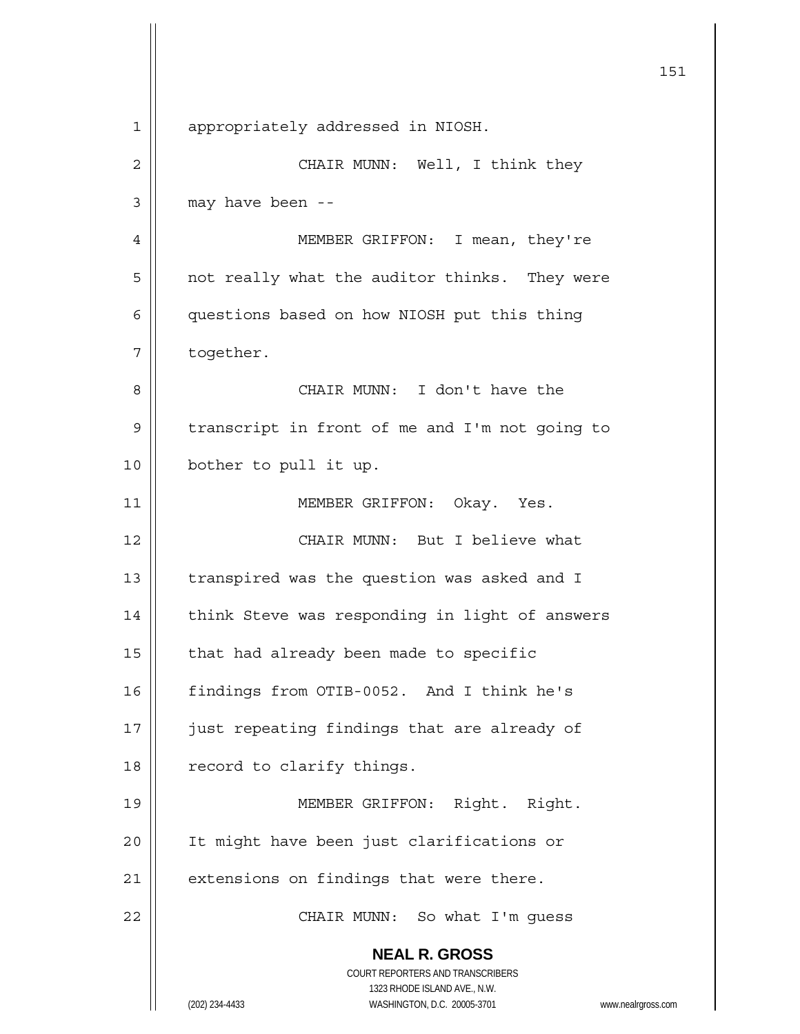**NEAL R. GROSS** COURT REPORTERS AND TRANSCRIBERS 1323 RHODE ISLAND AVE., N.W. (202) 234-4433 WASHINGTON, D.C. 20005-3701 www.nealrgross.com 151 1 | appropriately addressed in NIOSH. 2 | CHAIR MUNN: Well, I think they  $3 \parallel$  may have been --4 MEMBER GRIFFON: I mean, they're  $5 \parallel$  not really what the auditor thinks. They were 6 | questions based on how NIOSH put this thing 7 | together. 8 CHAIR MUNN: I don't have the 9 | transcript in front of me and I'm not going to 10 || bother to pull it up. 11 || MEMBER GRIFFON: Okay. Yes. 12 CHAIR MUNN: But I believe what 13  $\parallel$  transpired was the question was asked and I 14 | think Steve was responding in light of answers  $15$  | that had already been made to specific 16 | findings from OTIB-0052. And I think he's 17 || just repeating findings that are already of 18 | record to clarify things. 19 || MEMBER GRIFFON: Right. Right. 20 || It might have been just clarifications or  $21$  | extensions on findings that were there. 22 || CHAIR MUNN: So what I'm guess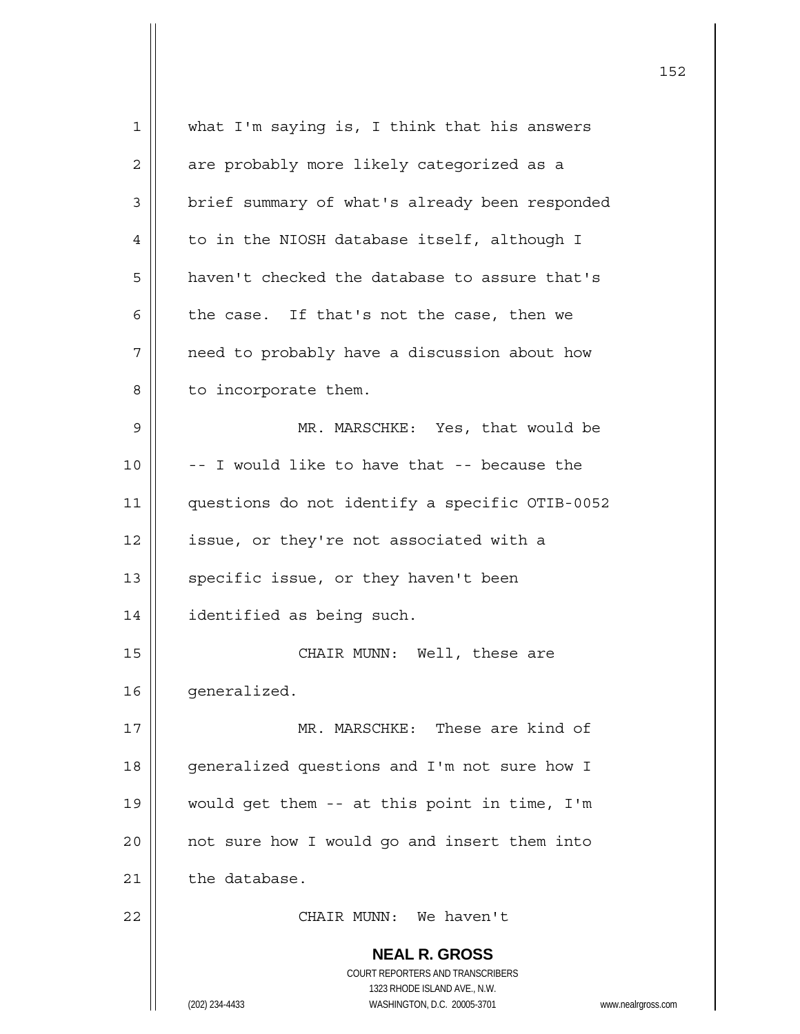| $1\,$          | what I'm saying is, I think that his answers                                                        |
|----------------|-----------------------------------------------------------------------------------------------------|
| $\mathbf{2}$   | are probably more likely categorized as a                                                           |
| $\mathfrak{Z}$ | brief summary of what's already been responded                                                      |
| 4              | to in the NIOSH database itself, although I                                                         |
| 5              | haven't checked the database to assure that's                                                       |
| 6              | the case. If that's not the case, then we                                                           |
| 7              | need to probably have a discussion about how                                                        |
| 8              | to incorporate them.                                                                                |
| $\mathsf 9$    | MR. MARSCHKE: Yes, that would be                                                                    |
| 10             | -- I would like to have that -- because the                                                         |
| 11             | questions do not identify a specific OTIB-0052                                                      |
| 12             | issue, or they're not associated with a                                                             |
| 13             | specific issue, or they haven't been                                                                |
| 14             | identified as being such.                                                                           |
| 15             | CHAIR MUNN: Well, these are                                                                         |
| 16             | generalized.                                                                                        |
| 17             | MR. MARSCHKE: These are kind of                                                                     |
| 18             | generalized questions and I'm not sure how I                                                        |
| 19             | would get them -- at this point in time, I'm                                                        |
| 20             | not sure how I would go and insert them into                                                        |
| 21             | the database.                                                                                       |
| 22             | CHAIR MUNN: We haven't                                                                              |
|                | <b>NEAL R. GROSS</b>                                                                                |
|                | COURT REPORTERS AND TRANSCRIBERS                                                                    |
|                | 1323 RHODE ISLAND AVE., N.W.<br>(202) 234-4433<br>WASHINGTON, D.C. 20005-3701<br>www.nealrgross.com |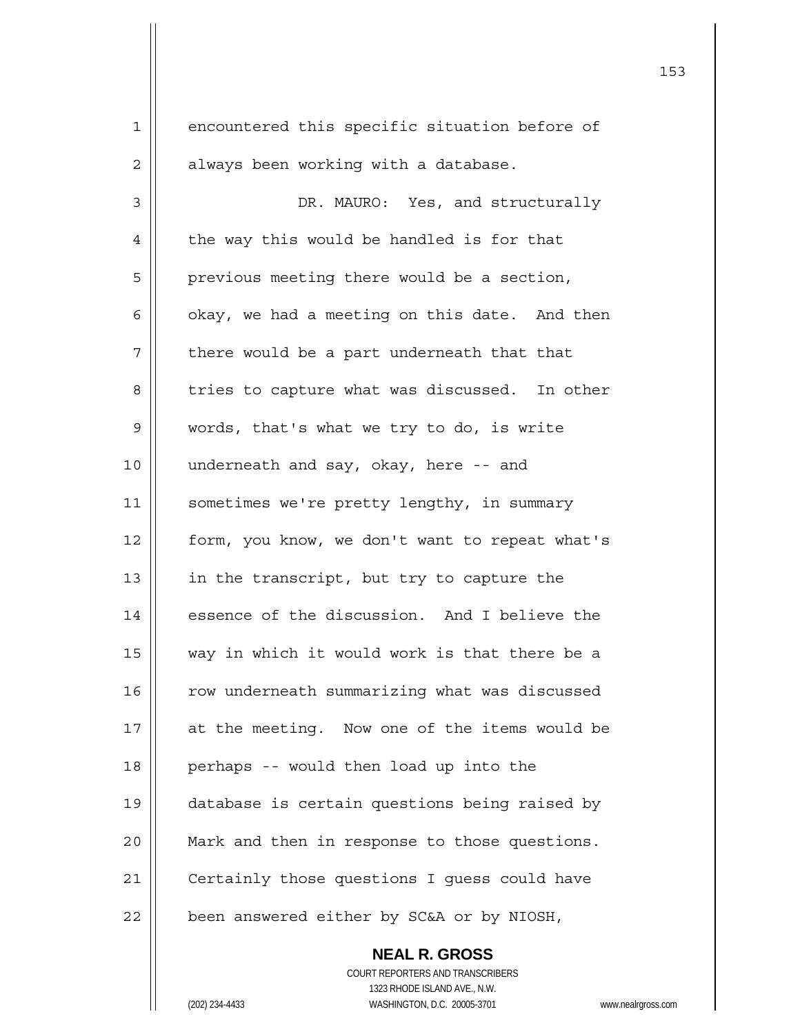1 encountered this specific situation before of  $2 \parallel$  always been working with a database. 3 | DR. MAURO: Yes, and structurally  $4 \parallel$  the way this would be handled is for that 5 | previous meeting there would be a section, 6  $\parallel$  okay, we had a meeting on this date. And then  $7$  | there would be a part underneath that that 8 | tries to capture what was discussed. In other 9 | words, that's what we try to do, is write 10 underneath and say, okay, here -- and 11 | sometimes we're pretty lengthy, in summary 12 form, you know, we don't want to repeat what's 13 | in the transcript, but try to capture the 14 essence of the discussion. And I believe the 15 || way in which it would work is that there be a 16 | row underneath summarizing what was discussed 17 || at the meeting. Now one of the items would be 18 || perhaps -- would then load up into the 19 database is certain questions being raised by 20 || Mark and then in response to those questions. 21 | Certainly those questions I quess could have  $22$  | been answered either by SC&A or by NIOSH,

> COURT REPORTERS AND TRANSCRIBERS 1323 RHODE ISLAND AVE., N.W. (202) 234-4433 WASHINGTON, D.C. 20005-3701 www.nealrgross.com

 **NEAL R. GROSS**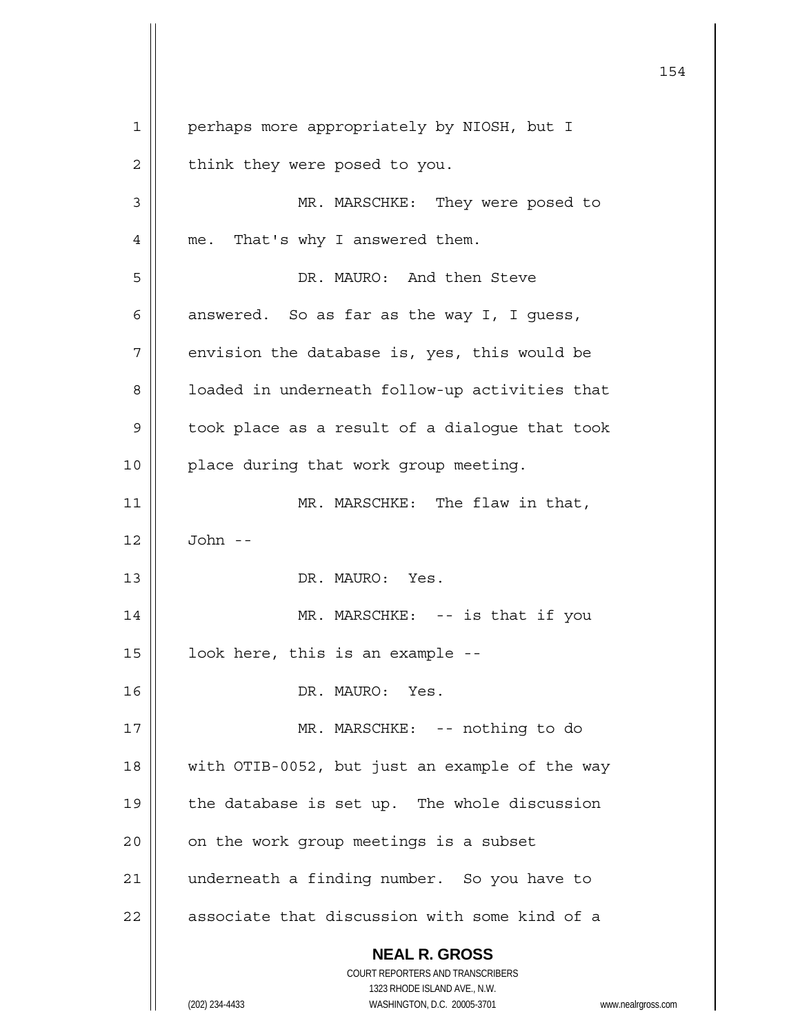**NEAL R. GROSS** COURT REPORTERS AND TRANSCRIBERS 1323 RHODE ISLAND AVE., N.W. (202) 234-4433 WASHINGTON, D.C. 20005-3701 www.nealrgross.com 1 | perhaps more appropriately by NIOSH, but I  $2 \parallel$  think they were posed to you. 3 MR. MARSCHKE: They were posed to 4 || me. That's why I answered them. 5 DR. MAURO: And then Steve 6  $\parallel$  answered. So as far as the way I, I quess,  $7 \parallel$  envision the database is, yes, this would be 8 || loaded in underneath follow-up activities that  $9 \parallel$  took place as a result of a dialogue that took 10 || place during that work group meeting. 11 || MR. MARSCHKE: The flaw in that, 12 John -- 13 DR. MAURO: Yes. 14 || MR. MARSCHKE: -- is that if you  $15$  | look here, this is an example --16 DR. MAURO: Yes. 17 MR. MARSCHKE: -- nothing to do 18 || with OTIB-0052, but just an example of the way 19  $\parallel$  the database is set up. The whole discussion  $20$  | on the work group meetings is a subset 21 | underneath a finding number. So you have to  $22$   $\parallel$  associate that discussion with some kind of a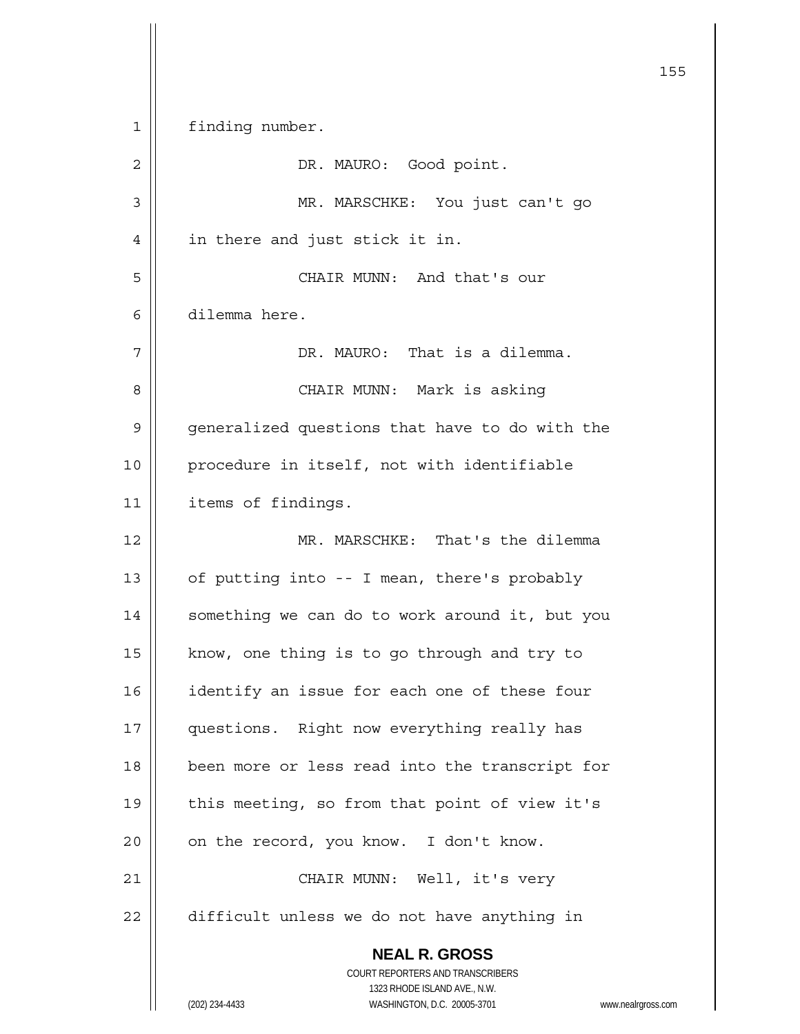**NEAL R. GROSS** COURT REPORTERS AND TRANSCRIBERS 1323 RHODE ISLAND AVE., N.W. (202) 234-4433 WASHINGTON, D.C. 20005-3701 www.nealrgross.com <u>155</u> 1 | finding number. 2 DR. MAURO: Good point. 3 MR. MARSCHKE: You just can't go 4 | in there and just stick it in. 5 CHAIR MUNN: And that's our 6 dilemma here. 7 DR. MAURO: That is a dilemma. 8 CHAIR MUNN: Mark is asking 9 | generalized questions that have to do with the 10 || procedure in itself, not with identifiable 11 | items of findings. 12 MR. MARSCHKE: That's the dilemma 13  $\parallel$  of putting into -- I mean, there's probably 14 | something we can do to work around it, but you 15  $\parallel$  know, one thing is to go through and try to 16 | identify an issue for each one of these four 17 || questions. Right now everything really has 18 || been more or less read into the transcript for 19 || this meeting, so from that point of view it's  $20$  | on the record, you know. I don't know. 21 || CHAIR MUNN: Well, it's very  $22$   $\parallel$  difficult unless we do not have anything in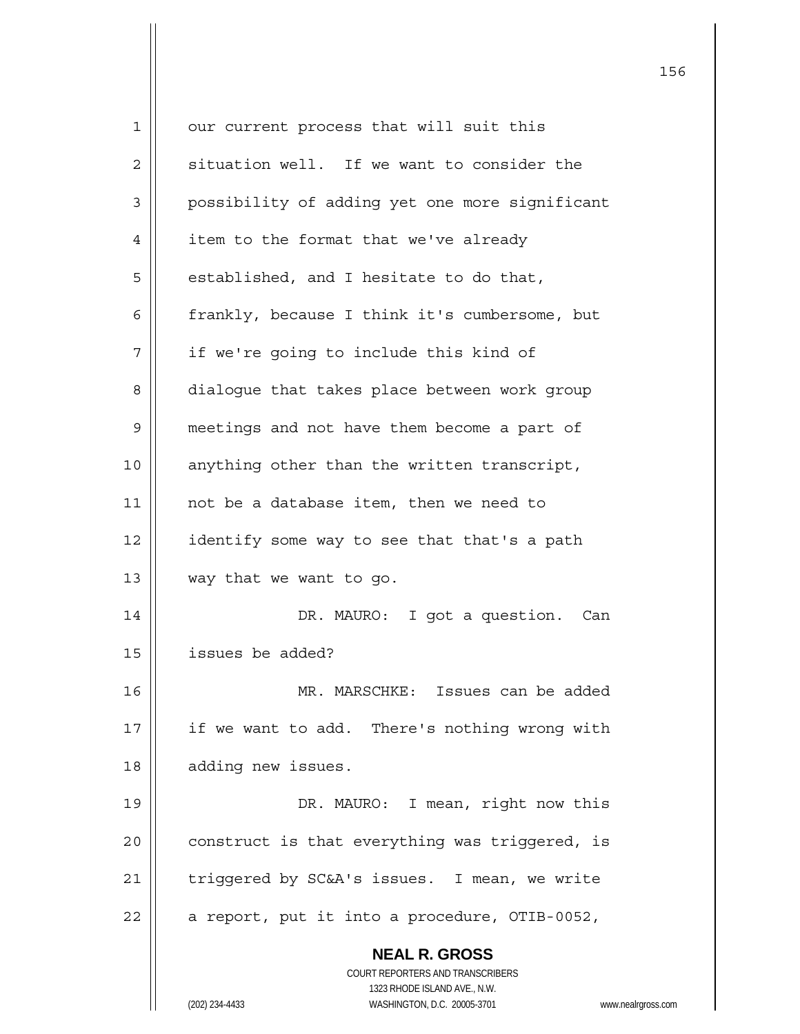| 1           | our current process that will suit this                             |
|-------------|---------------------------------------------------------------------|
| 2           | situation well. If we want to consider the                          |
| 3           | possibility of adding yet one more significant                      |
| 4           | item to the format that we've already                               |
| 5           | established, and I hesitate to do that,                             |
| 6           | frankly, because I think it's cumbersome, but                       |
| 7           | if we're going to include this kind of                              |
| 8           | dialogue that takes place between work group                        |
| $\mathsf 9$ | meetings and not have them become a part of                         |
| 10          | anything other than the written transcript,                         |
| 11          | not be a database item, then we need to                             |
| 12          | identify some way to see that that's a path                         |
| 13          | way that we want to go.                                             |
| 14          | DR. MAURO: I got a question.<br>Can                                 |
| 15          | issues be added?                                                    |
| 16          | MR. MARSCHKE: Issues can be added                                   |
| 17          | if we want to add. There's nothing wrong with                       |
| 18          | adding new issues.                                                  |
| 19          | DR. MAURO: I mean, right now this                                   |
| 20          | construct is that everything was triggered, is                      |
| 21          | triggered by SC&A's issues. I mean, we write                        |
| 22          | a report, put it into a procedure, OTIB-0052,                       |
|             | <b>NEAL R. GROSS</b>                                                |
|             | <b>COURT REPORTERS AND TRANSCRIBERS</b>                             |
|             | 1323 RHODE ISLAND AVE., N.W.                                        |
|             | (202) 234-4433<br>WASHINGTON, D.C. 20005-3701<br>www.nealrgross.com |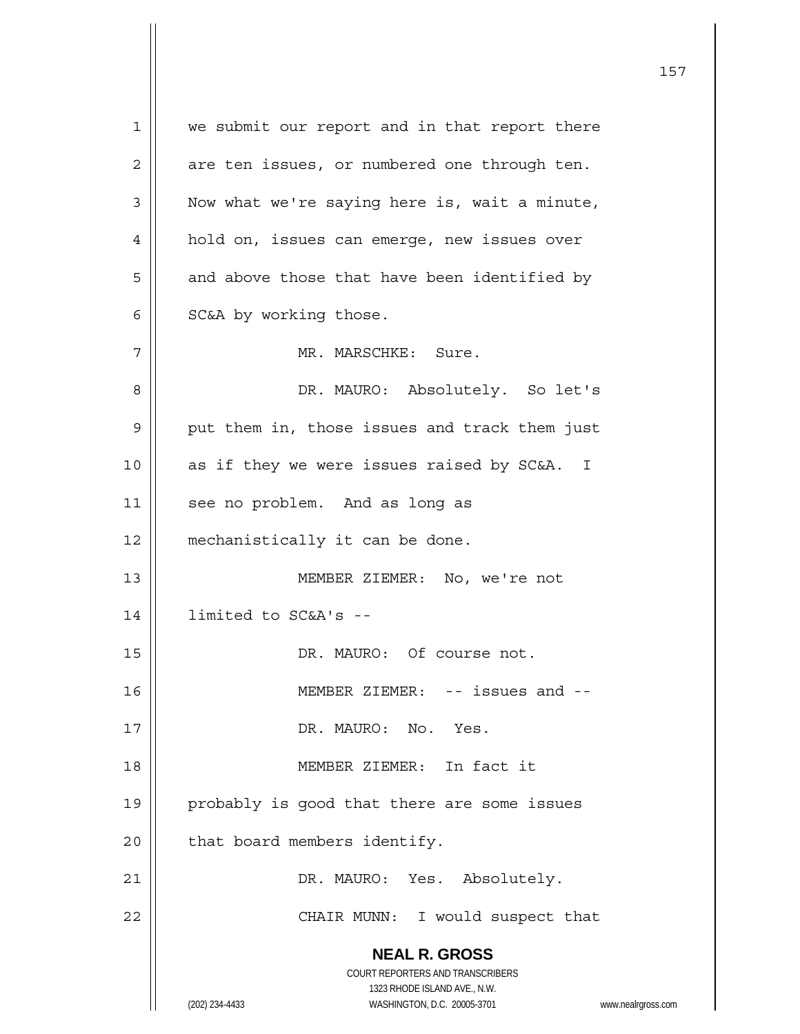**NEAL R. GROSS** COURT REPORTERS AND TRANSCRIBERS 1323 RHODE ISLAND AVE., N.W. (202) 234-4433 WASHINGTON, D.C. 20005-3701 www.nealrgross.com 1 || we submit our report and in that report there  $2 \parallel$  are ten issues, or numbered one through ten.  $3 \parallel$  Now what we're saying here is, wait a minute, 4 || hold on, issues can emerge, new issues over  $5 \parallel$  and above those that have been identified by  $6 \parallel$  SC&A by working those. 7 MR. MARSCHKE: Sure. 8 DR. MAURO: Absolutely. So let's  $9 \parallel$  put them in, those issues and track them just  $10$  || as if they we were issues raised by SC&A. I 11 || see no problem. And as long as 12 | mechanistically it can be done. 13 MEMBER ZIEMER: No, we're not 14 limited to SC&A's -- 15 || DR. MAURO: Of course not. 16 MEMBER ZIEMER: -- issues and -- 17 DR. MAURO: No. Yes. 18 MEMBER ZIEMER: In fact it 19 || probably is good that there are some issues  $20$  | that board members identify. 21 DR. MAURO: Yes. Absolutely. 22 || CHAIR MUNN: I would suspect that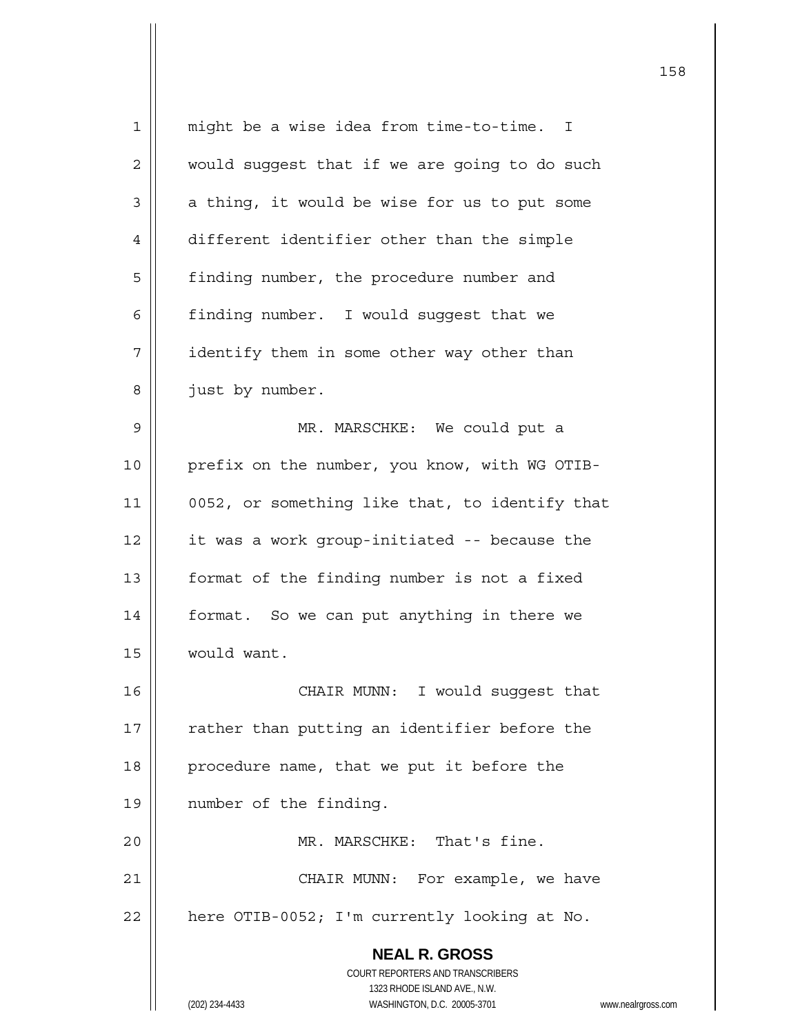| $\mathbf 1$ | might be a wise idea from time-to-time.<br>$\mathbb{I}$             |
|-------------|---------------------------------------------------------------------|
| 2           | would suggest that if we are going to do such                       |
| 3           | a thing, it would be wise for us to put some                        |
| 4           | different identifier other than the simple                          |
| 5           | finding number, the procedure number and                            |
| 6           | finding number. I would suggest that we                             |
| 7           | identify them in some other way other than                          |
| 8           | just by number.                                                     |
| $\mathsf 9$ | MR. MARSCHKE: We could put a                                        |
| 10          | prefix on the number, you know, with WG OTIB-                       |
| 11          | 0052, or something like that, to identify that                      |
| 12          | it was a work group-initiated -- because the                        |
| 13          | format of the finding number is not a fixed                         |
| 14          | format. So we can put anything in there we                          |
| 15          | would want.                                                         |
| 16          | CHAIR MUNN: I would suggest that                                    |
| 17          | rather than putting an identifier before the                        |
| 18          | procedure name, that we put it before the                           |
| 19          | number of the finding.                                              |
| 20          | MR. MARSCHKE: That's fine.                                          |
| 21          | CHAIR MUNN: For example, we have                                    |
| 22          | here OTIB-0052; I'm currently looking at No.                        |
|             | <b>NEAL R. GROSS</b>                                                |
|             | COURT REPORTERS AND TRANSCRIBERS                                    |
|             | 1323 RHODE ISLAND AVE., N.W.                                        |
|             | (202) 234-4433<br>WASHINGTON, D.C. 20005-3701<br>www.nealrgross.com |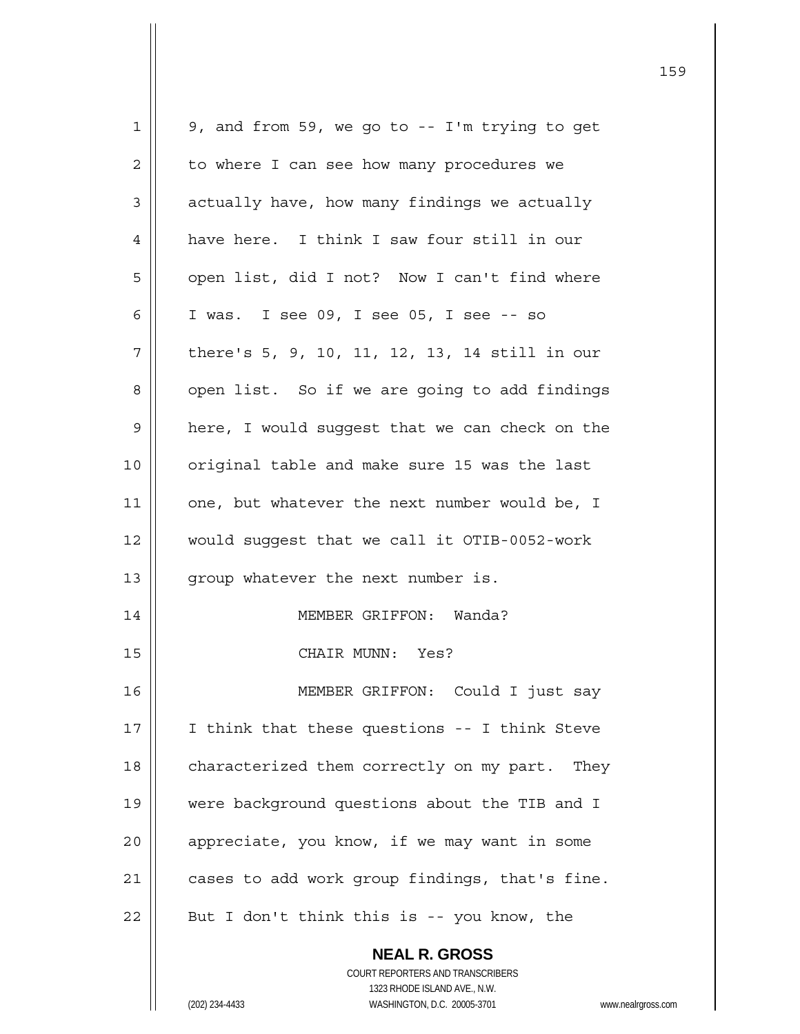| $\mathbf 1$    | 9, and from 59, we go to -- I'm trying to get          |  |
|----------------|--------------------------------------------------------|--|
| $\overline{c}$ | to where I can see how many procedures we              |  |
| 3              | actually have, how many findings we actually           |  |
| $\overline{4}$ | have here. I think I saw four still in our             |  |
| 5              | open list, did I not? Now I can't find where           |  |
| 6              | I was. I see 09, I see 05, I see -- so                 |  |
| 7              | there's 5, 9, 10, 11, 12, 13, 14 still in our          |  |
| 8              | open list. So if we are going to add findings          |  |
| $\mathsf 9$    | here, I would suggest that we can check on the         |  |
| 10             | original table and make sure 15 was the last           |  |
| 11             | one, but whatever the next number would be, I          |  |
| 12             | would suggest that we call it OTIB-0052-work           |  |
| 13             | group whatever the next number is.                     |  |
| 14             | MEMBER GRIFFON: Wanda?                                 |  |
| 15             | CHAIR MUNN: Yes?                                       |  |
| 16             | MEMBER GRIFFON: Could I just say                       |  |
| 17             | I think that these questions -- I think Steve          |  |
| 18             | characterized them correctly on my part. They          |  |
| 19             | were background questions about the TIB and I          |  |
| 20             | appreciate, you know, if we may want in some           |  |
| 21             | cases to add work group findings, that's fine.         |  |
| 22             | But I don't think this is -- you know, the             |  |
|                | <b>NEAL R. GROSS</b>                                   |  |
|                | COURT REPORTERS AND TRANSCRIBERS                       |  |
|                | 1323 RHODE ISLAND AVE., N.W.                           |  |
|                | (202) 234-4433<br>WASHINGTON, D.C. 20005-3701<br>www.n |  |

(202) 234-4433 WASHINGTON, D.C. 20005-3701 www.nealrgross.com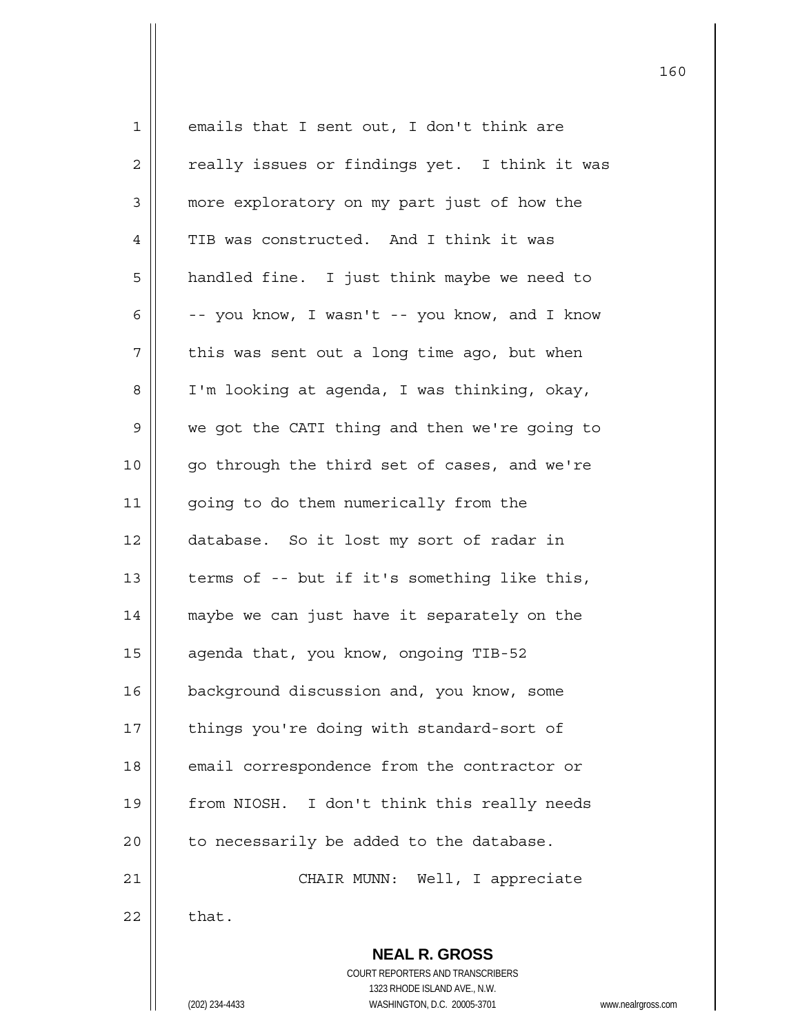| $\mathbf 1$    | emails that I sent out, I don't think are                |
|----------------|----------------------------------------------------------|
| $\overline{2}$ | really issues or findings yet. I think it was            |
| 3              | more exploratory on my part just of how the              |
| 4              | TIB was constructed. And I think it was                  |
| 5              | handled fine. I just think maybe we need to              |
| 6              | -- you know, I wasn't -- you know, and I know            |
| 7              | this was sent out a long time ago, but when              |
| 8              | I'm looking at agenda, I was thinking, okay,             |
| 9              | we got the CATI thing and then we're going to            |
| 10             | go through the third set of cases, and we're             |
| 11             | going to do them numerically from the                    |
| 12             | database. So it lost my sort of radar in                 |
| 13             | terms of -- but if it's something like this,             |
| 14             | maybe we can just have it separately on the              |
| 15             | agenda that, you know, ongoing TIB-52                    |
| 16             | background discussion and, you know, some                |
| 17             | things you're doing with standard-sort of                |
| 18             | email correspondence from the contractor or              |
| 19             | from NIOSH. I don't think this really needs              |
| 20             | to necessarily be added to the database.                 |
| 21             | CHAIR MUNN: Well, I appreciate                           |
| 22             | that.                                                    |
|                | <b>NEAL R. GROSS</b><br>COURT REPORTERS AND TRANSCRIBERS |
|                | 1323 RHODE ISLAND AVE., N.W.                             |

160

(202) 234-4433 WASHINGTON, D.C. 20005-3701 www.nealrgross.com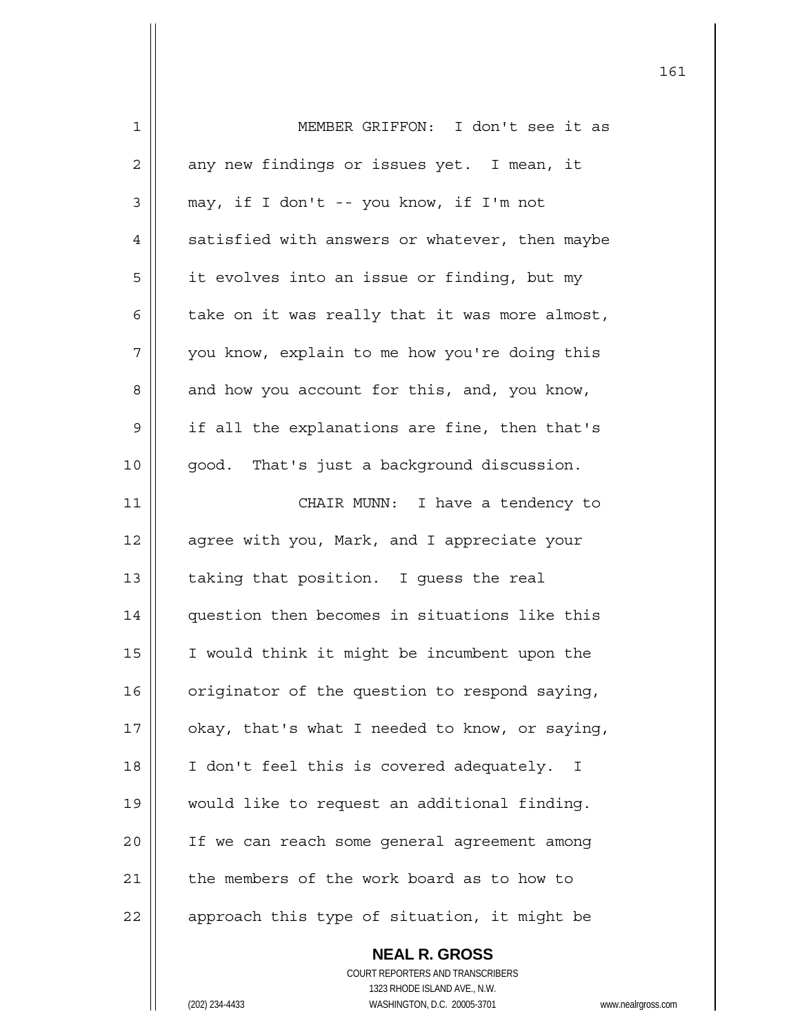| 1              | MEMBER GRIFFON: I don't see it as                                                        |
|----------------|------------------------------------------------------------------------------------------|
| $\overline{2}$ | any new findings or issues yet. I mean, it                                               |
| 3              | may, if I don't -- you know, if I'm not                                                  |
| 4              | satisfied with answers or whatever, then maybe                                           |
| 5              | it evolves into an issue or finding, but my                                              |
| 6              | take on it was really that it was more almost,                                           |
| 7              | you know, explain to me how you're doing this                                            |
| 8              | and how you account for this, and, you know,                                             |
| 9              | if all the explanations are fine, then that's                                            |
| 10             | good. That's just a background discussion.                                               |
| 11             | CHAIR MUNN: I have a tendency to                                                         |
| 12             | agree with you, Mark, and I appreciate your                                              |
| 13             | taking that position. I guess the real                                                   |
| 14             | question then becomes in situations like this                                            |
| 15             | I would think it might be incumbent upon the                                             |
| 16             | originator of the question to respond saying,                                            |
| 17             | okay, that's what I needed to know, or saying,                                           |
| 18             | I don't feel this is covered adequately. I                                               |
| 19             | would like to request an additional finding.                                             |
| 20             | If we can reach some general agreement among                                             |
| 21             | the members of the work board as to how to                                               |
| 22             | approach this type of situation, it might be                                             |
|                | <b>NEAL R. GROSS</b><br>COURT REPORTERS AND TRANSCRIBERS<br>1323 RHODE ISLAND AVE., N.W. |
|                | (202) 234-4433<br>WASHINGTON, D.C. 20005-3701<br>www.neal                                |

161

(202) 234-4433 WASHINGTON, D.C. 20005-3701 www.nealrgross.com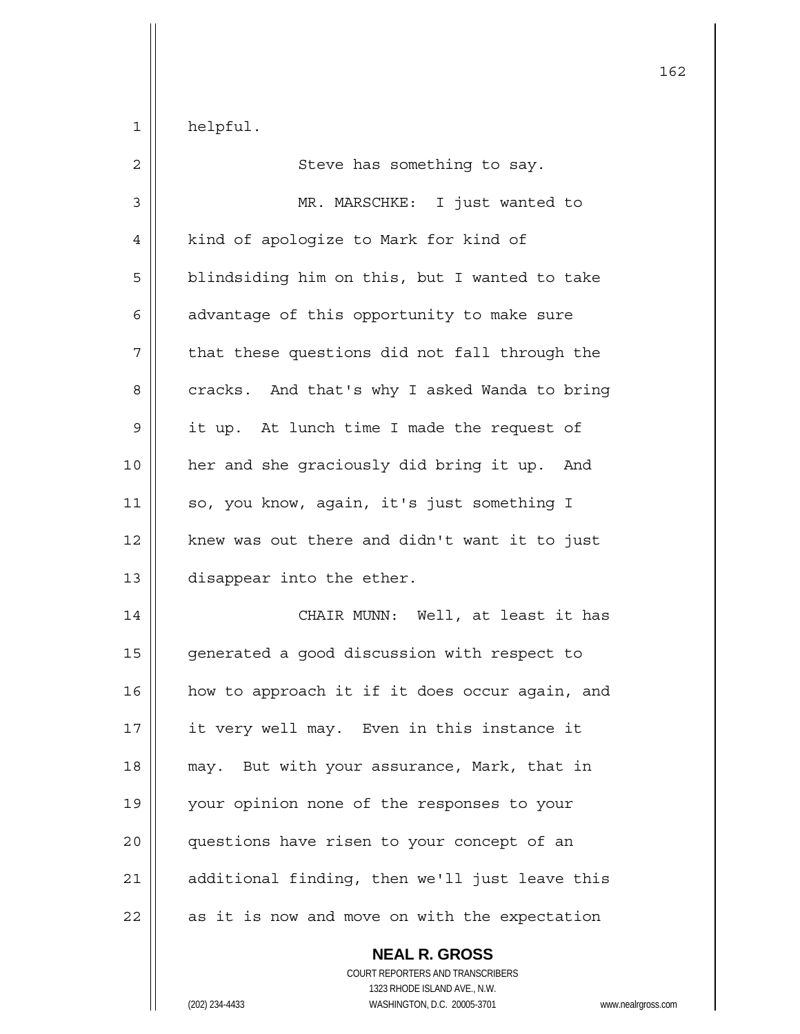$1 \parallel$  helpful.

| $\overline{c}$ | Steve has something to say.                    |
|----------------|------------------------------------------------|
| $\mathfrak{Z}$ | MR. MARSCHKE: I just wanted to                 |
| 4              | kind of apologize to Mark for kind of          |
| 5              | blindsiding him on this, but I wanted to take  |
| 6              | advantage of this opportunity to make sure     |
| 7              | that these questions did not fall through the  |
| 8              | cracks. And that's why I asked Wanda to bring  |
| 9              | it up. At lunch time I made the request of     |
| 10             | her and she graciously did bring it up. And    |
| 11             | so, you know, again, it's just something I     |
| 12             | knew was out there and didn't want it to just  |
| 13             | disappear into the ether.                      |
| 14             | CHAIR MUNN: Well, at least it has              |
| 15             | generated a good discussion with respect to    |
| 16             | how to approach it if it does occur again, and |
| 17             | it very well may. Even in this instance it     |
| 18             | may. But with your assurance, Mark, that in    |
| 19             | your opinion none of the responses to your     |
| 20             | questions have risen to your concept of an     |
| 21             | additional finding, then we'll just leave this |
| 22             | as it is now and move on with the expectation  |

 **NEAL R. GROSS** COURT REPORTERS AND TRANSCRIBERS 1323 RHODE ISLAND AVE., N.W. (202) 234-4433 WASHINGTON, D.C. 20005-3701 www.nealrgross.com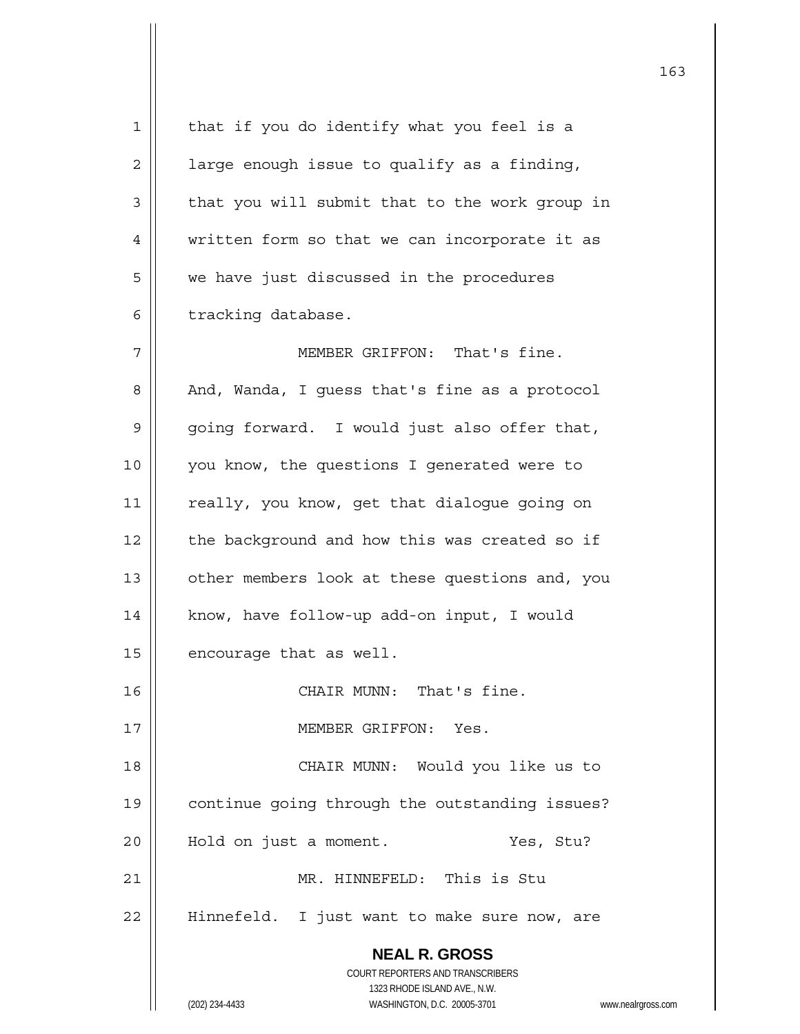| 1            | that if you do identify what you feel is a                          |
|--------------|---------------------------------------------------------------------|
| $\mathbf{2}$ | large enough issue to qualify as a finding,                         |
| 3            | that you will submit that to the work group in                      |
| 4            | written form so that we can incorporate it as                       |
| 5            | we have just discussed in the procedures                            |
| 6            | tracking database.                                                  |
| 7            | MEMBER GRIFFON: That's fine.                                        |
| 8            | And, Wanda, I guess that's fine as a protocol                       |
| 9            | going forward. I would just also offer that,                        |
| 10           | you know, the questions I generated were to                         |
| 11           | really, you know, get that dialogue going on                        |
| 12           | the background and how this was created so if                       |
| 13           | other members look at these questions and, you                      |
| 14           | know, have follow-up add-on input, I would                          |
| 15           | encourage that as well.                                             |
| 16           | CHAIR MUNN:<br>That's fine.                                         |
| 17           | MEMBER GRIFFON: Yes.                                                |
| 18           | CHAIR MUNN: Would you like us to                                    |
| 19           | continue going through the outstanding issues?                      |
| 20           | Yes, Stu?<br>Hold on just a moment.                                 |
| 21           | MR. HINNEFELD: This is Stu                                          |
| 22           | Hinnefeld. I just want to make sure now, are                        |
|              | <b>NEAL R. GROSS</b>                                                |
|              | COURT REPORTERS AND TRANSCRIBERS                                    |
|              | 1323 RHODE ISLAND AVE., N.W.                                        |
|              | (202) 234-4433<br>WASHINGTON, D.C. 20005-3701<br>www.nealrgross.com |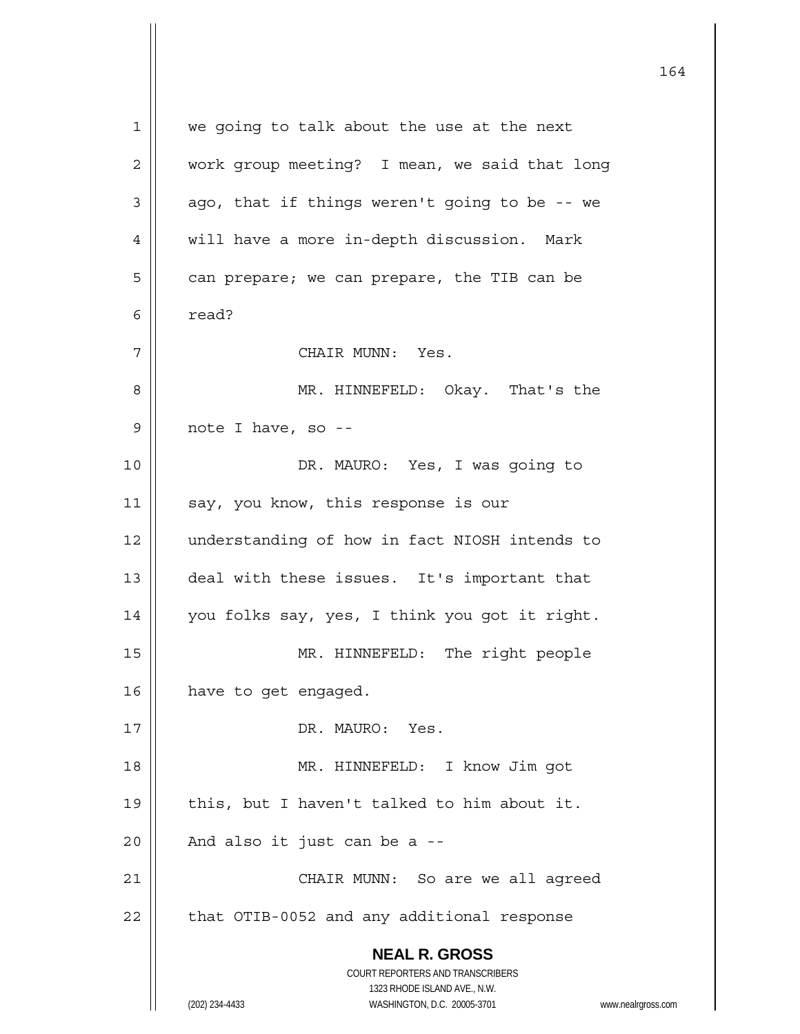**NEAL R. GROSS** COURT REPORTERS AND TRANSCRIBERS 1323 RHODE ISLAND AVE., N.W. (202) 234-4433 WASHINGTON, D.C. 20005-3701 www.nealrgross.com 1 || we going to talk about the use at the next 2 | work group meeting? I mean, we said that long  $3 \parallel$  ago, that if things weren't going to be -- we 4 | will have a more in-depth discussion. Mark  $5 \parallel$  can prepare; we can prepare, the TIB can be  $6 \parallel$  read? 7 CHAIR MUNN: Yes. 8 MR. HINNEFELD: Okay. That's the  $9 \parallel$  note I have, so --10 DR. MAURO: Yes, I was going to 11 | say, you know, this response is our 12 || understanding of how in fact NIOSH intends to 13 || deal with these issues. It's important that 14 you folks say, yes, I think you got it right. 15 || MR. HINNEFELD: The right people 16 | have to get engaged. 17 || DR. MAURO: Yes. 18 MR. HINNEFELD: I know Jim got 19  $\parallel$  this, but I haven't talked to him about it.  $20$  | And also it just can be a --21 CHAIR MUNN: So are we all agreed  $22$   $\parallel$  that OTIB-0052 and any additional response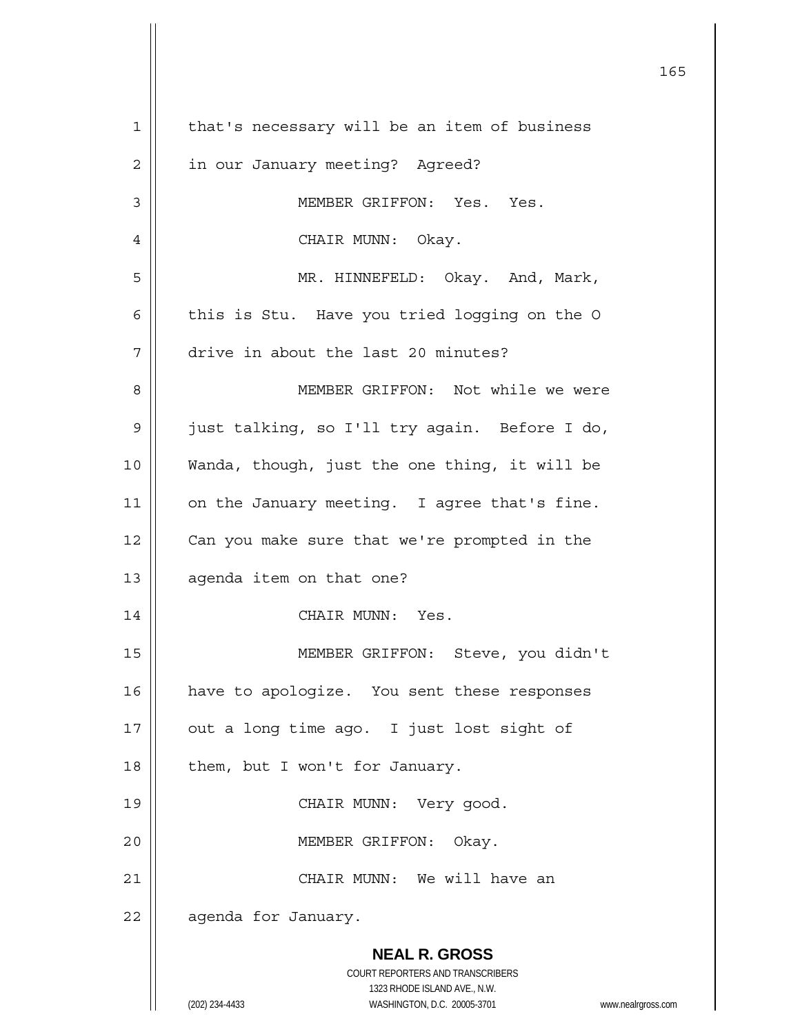|    | 165                                                                 |
|----|---------------------------------------------------------------------|
| 1  | that's necessary will be an item of business                        |
| 2  | in our January meeting? Agreed?                                     |
| 3  | MEMBER GRIFFON: Yes. Yes.                                           |
| 4  | CHAIR MUNN: Okay.                                                   |
| 5  | MR. HINNEFELD: Okay. And, Mark,                                     |
| 6  | this is Stu. Have you tried logging on the O                        |
| 7  | drive in about the last 20 minutes?                                 |
| 8  | MEMBER GRIFFON: Not while we were                                   |
| 9  | just talking, so I'll try again. Before I do,                       |
| 10 | Wanda, though, just the one thing, it will be                       |
| 11 | on the January meeting. I agree that's fine.                        |
| 12 | Can you make sure that we're prompted in the                        |
| 13 | agenda item on that one?                                            |
| 14 | CHAIR MUNN: Yes.                                                    |
| 15 | MEMBER GRIFFON: Steve, you didn't                                   |
| 16 | have to apologize. You sent these responses                         |
| 17 | out a long time ago. I just lost sight of                           |
| 18 | them, but I won't for January.                                      |
| 19 | CHAIR MUNN: Very good.                                              |
| 20 | MEMBER GRIFFON:<br>Okay.                                            |
| 21 | CHAIR MUNN: We will have an                                         |
| 22 | agenda for January.                                                 |
|    | <b>NEAL R. GROSS</b>                                                |
|    | COURT REPORTERS AND TRANSCRIBERS<br>1323 RHODE ISLAND AVE., N.W.    |
|    | (202) 234-4433<br>WASHINGTON, D.C. 20005-3701<br>www.nealrgross.com |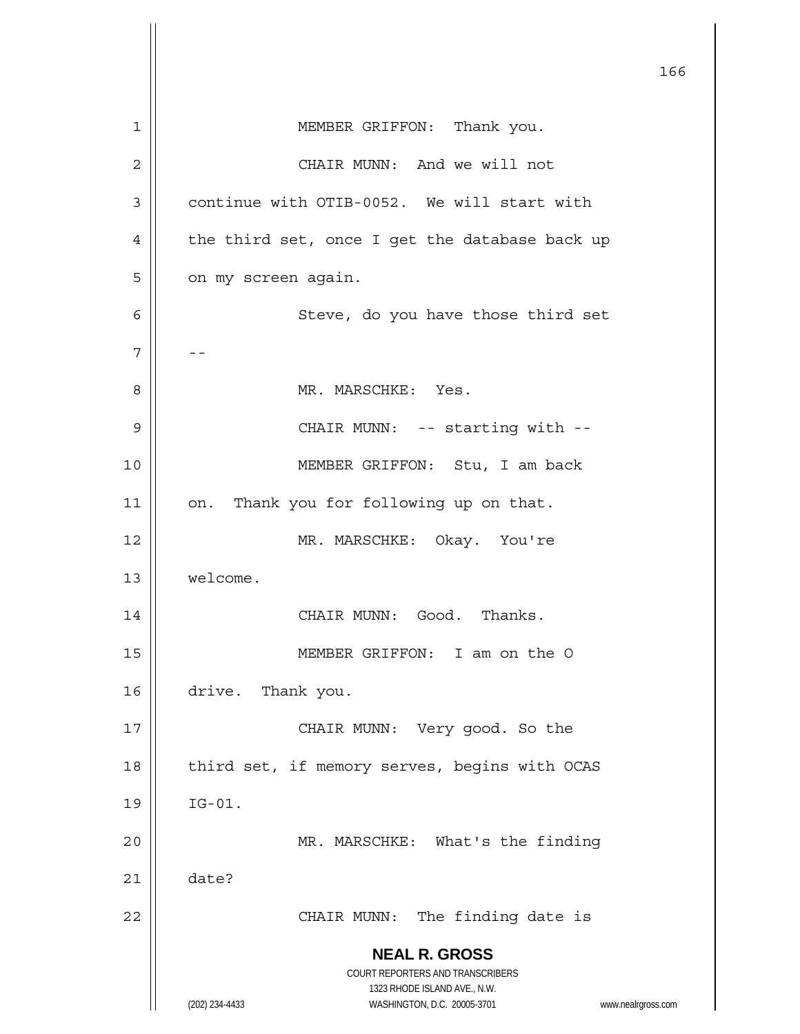|    |                                                                     | 166 |
|----|---------------------------------------------------------------------|-----|
|    |                                                                     |     |
| 1  | MEMBER GRIFFON: Thank you.                                          |     |
| 2  | CHAIR MUNN: And we will not                                         |     |
| 3  | continue with OTIB-0052. We will start with                         |     |
| 4  | the third set, once I get the database back up                      |     |
| 5  | on my screen again.                                                 |     |
| 6  | Steve, do you have those third set                                  |     |
| 7  |                                                                     |     |
| 8  | MR. MARSCHKE: Yes.                                                  |     |
| 9  | CHAIR MUNN: -- starting with --                                     |     |
| 10 | MEMBER GRIFFON: Stu, I am back                                      |     |
| 11 | Thank you for following up on that.<br>on.                          |     |
| 12 | MR. MARSCHKE: Okay. You're                                          |     |
| 13 | welcome.                                                            |     |
| 14 | CHAIR MUNN: Good. Thanks.                                           |     |
| 15 | MEMBER GRIFFON: I am on the O                                       |     |
| 16 | drive.<br>Thank you.                                                |     |
| 17 | CHAIR MUNN: Very good. So the                                       |     |
| 18 | third set, if memory serves, begins with OCAS                       |     |
| 19 | $IG-01.$                                                            |     |
| 20 | MR. MARSCHKE: What's the finding                                    |     |
| 21 | date?                                                               |     |
| 22 | CHAIR MUNN: The finding date is                                     |     |
|    | <b>NEAL R. GROSS</b>                                                |     |
|    | COURT REPORTERS AND TRANSCRIBERS                                    |     |
|    | 1323 RHODE ISLAND AVE., N.W.                                        |     |
|    | (202) 234-4433<br>WASHINGTON, D.C. 20005-3701<br>www.nealrgross.com |     |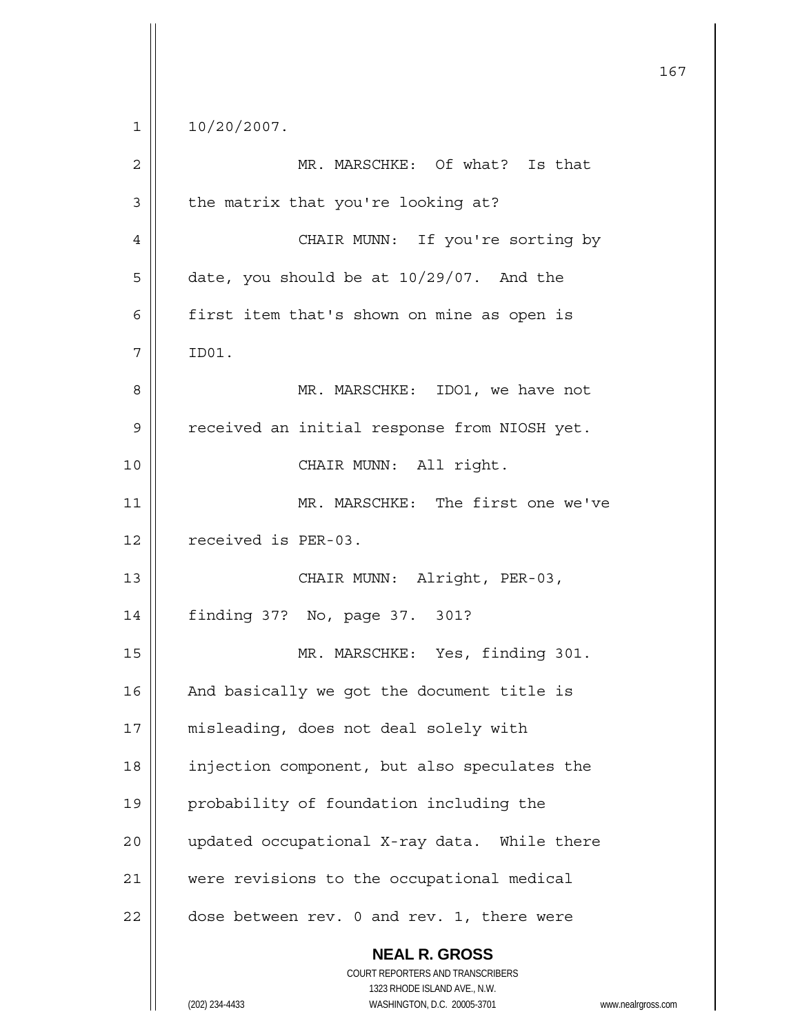$1 \parallel 10/20/2007.$ 

| $\overline{c}$ | MR. MARSCHKE: Of what? Is that                                                                                                                                  |
|----------------|-----------------------------------------------------------------------------------------------------------------------------------------------------------------|
| $\mathfrak{Z}$ | the matrix that you're looking at?                                                                                                                              |
| $\overline{4}$ | CHAIR MUNN: If you're sorting by                                                                                                                                |
| 5              | date, you should be at 10/29/07. And the                                                                                                                        |
| 6              | first item that's shown on mine as open is                                                                                                                      |
| 7              | ID01.                                                                                                                                                           |
| 8              | MR. MARSCHKE: IDO1, we have not                                                                                                                                 |
| $\mathsf 9$    | received an initial response from NIOSH yet.                                                                                                                    |
| 10             | CHAIR MUNN: All right.                                                                                                                                          |
| 11             | MR. MARSCHKE: The first one we've                                                                                                                               |
| 12             | received is PER-03.                                                                                                                                             |
| 13             | CHAIR MUNN: Alright, PER-03,                                                                                                                                    |
| 14             | finding 37? No, page 37. 301?                                                                                                                                   |
| 15             | MR. MARSCHKE: Yes, finding 301.                                                                                                                                 |
| 16             | And basically we got the document title is                                                                                                                      |
| 17             | misleading, does not deal solely with                                                                                                                           |
| 18             | injection component, but also speculates the                                                                                                                    |
| 19             | probability of foundation including the                                                                                                                         |
| 20             | updated occupational X-ray data. While there                                                                                                                    |
| 21             | were revisions to the occupational medical                                                                                                                      |
| 22             | dose between rev. 0 and rev. 1, there were                                                                                                                      |
|                | <b>NEAL R. GROSS</b><br>COURT REPORTERS AND TRANSCRIBERS<br>1323 RHODE ISLAND AVE., N.W.<br>(202) 234-4433<br>WASHINGTON, D.C. 20005-3701<br>www.nealrgross.com |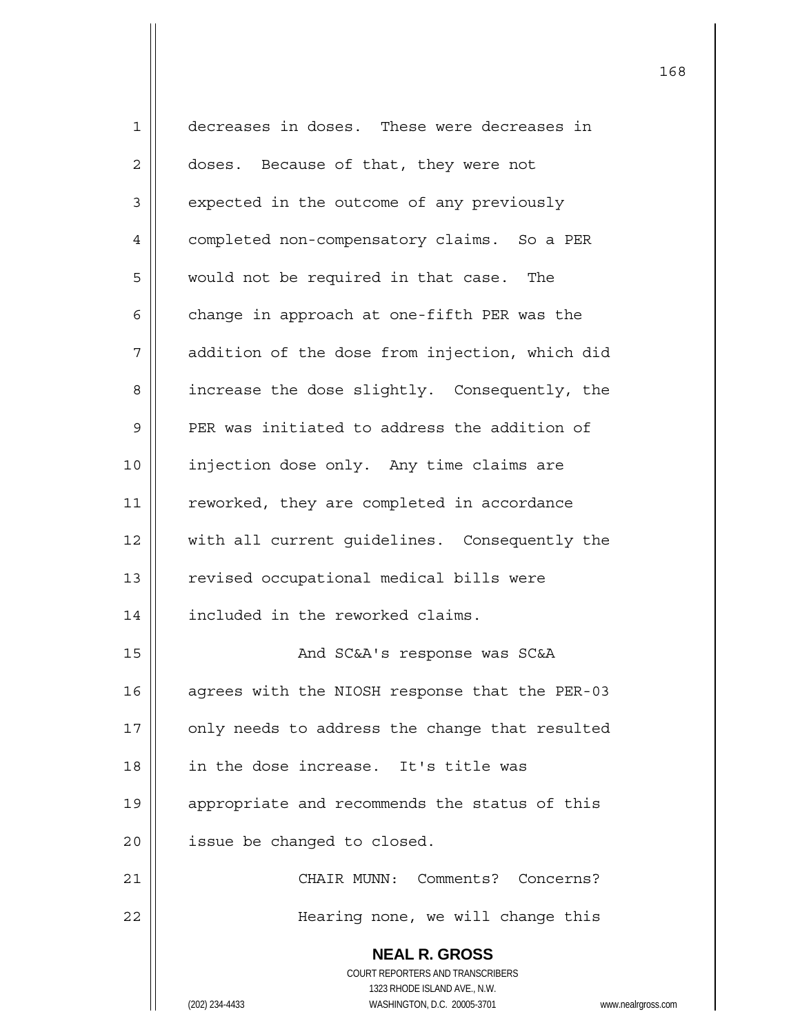**NEAL R. GROSS** COURT REPORTERS AND TRANSCRIBERS 1323 RHODE ISLAND AVE., N.W. (202) 234-4433 WASHINGTON, D.C. 20005-3701 www.nealrgross.com 1 decreases in doses. These were decreases in 2 | doses. Because of that, they were not  $3 \parallel$  expected in the outcome of any previously 4 || completed non-compensatory claims. So a PER 5 | would not be required in that case. The 6  $\parallel$  change in approach at one-fifth PER was the 7 | addition of the dose from injection, which did 8 | increase the dose slightly. Consequently, the  $9$  | PER was initiated to address the addition of 10 | injection dose only. Any time claims are 11 || reworked, they are completed in accordance 12 || with all current quidelines. Consequently the 13 | revised occupational medical bills were 14 | included in the reworked claims. 15 And SC&A's response was SC&A 16 | agrees with the NIOSH response that the PER-03 17 || only needs to address the change that resulted 18 in the dose increase. It's title was 19 || appropriate and recommends the status of this  $20$  | issue be changed to closed. 21 CHAIR MUNN: Comments? Concerns? 22 Hearing none, we will change this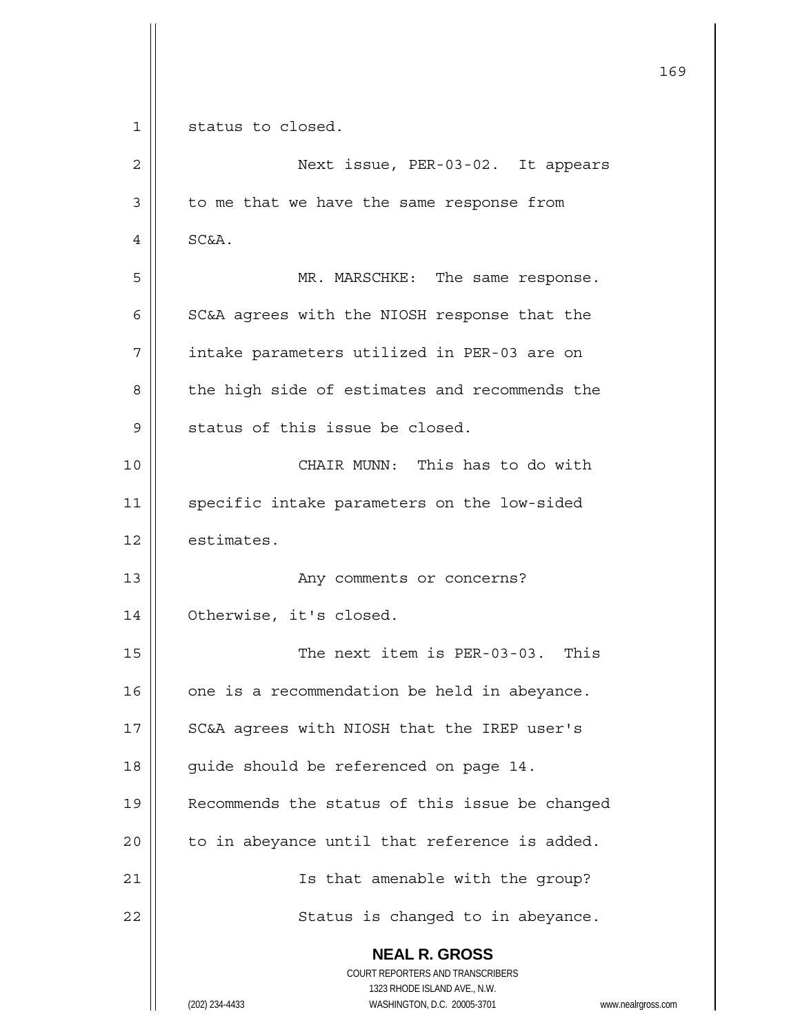**NEAL R. GROSS** COURT REPORTERS AND TRANSCRIBERS 1323 RHODE ISLAND AVE., N.W. (202) 234-4433 WASHINGTON, D.C. 20005-3701 www.nealrgross.com 169 1 | status to closed. 2 Next issue, PER-03-02. It appears  $3 \parallel$  to me that we have the same response from  $4 \parallel$  SC&A. 5 MR. MARSCHKE: The same response.  $6 \parallel$  SC&A agrees with the NIOSH response that the 7 | intake parameters utilized in PER-03 are on 8 | the high side of estimates and recommends the  $9$  || status of this issue be closed. 10 CHAIR MUNN: This has to do with 11 | specific intake parameters on the low-sided  $12$  | estimates. 13 || Any comments or concerns? 14 | Otherwise, it's closed. 15 || The next item is PER-03-03. This  $16$  | one is a recommendation be held in abeyance. 17 || SC&A agrees with NIOSH that the IREP user's 18 | guide should be referenced on page 14. 19 || Recommends the status of this issue be changed  $20$  || to in abeyance until that reference is added. 21 || Is that amenable with the group? 22 || Status is changed to in abeyance.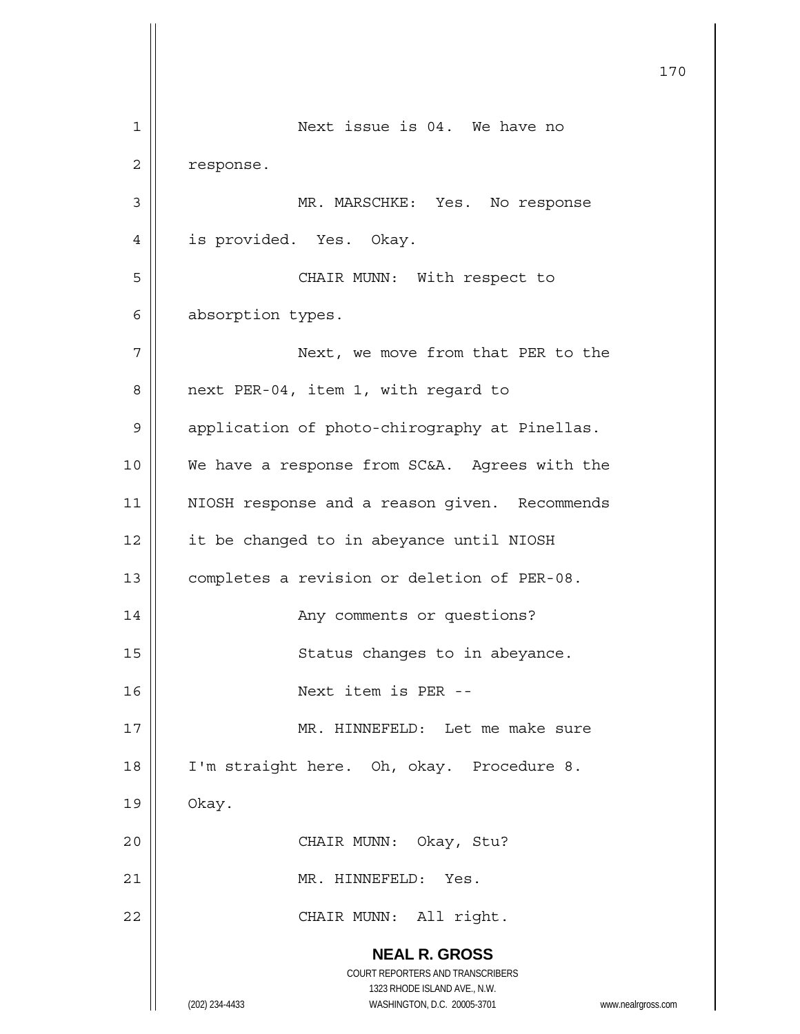**NEAL R. GROSS** COURT REPORTERS AND TRANSCRIBERS 1323 RHODE ISLAND AVE., N.W. (202) 234-4433 WASHINGTON, D.C. 20005-3701 www.nealrgross.com 170 1 || Next issue is 04. We have no 2 | response. 3 MR. MARSCHKE: Yes. No response 4 | is provided. Yes. Okay. 5 || CHAIR MUNN: With respect to 6 | absorption types. 7 | Next, we move from that PER to the 8 || next PER-04, item 1, with regard to 9 | application of photo-chirography at Pinellas. 10 || We have a response from SC&A. Agrees with the 11 || NIOSH response and a reason given. Recommends 12 | it be changed to in abeyance until NIOSH 13 | completes a revision or deletion of PER-08. 14 || Any comments or questions? 15 || Status changes to in abeyance. 16 Next item is PER -- 17 || MR. HINNEFELD: Let me make sure 18 || I'm straight here. Oh, okay. Procedure 8.  $19 \parallel$  Okay. 20 CHAIR MUNN: Okay, Stu? 21 MR. HINNEFELD: Yes. 22 || CHAIR MUNN: All right.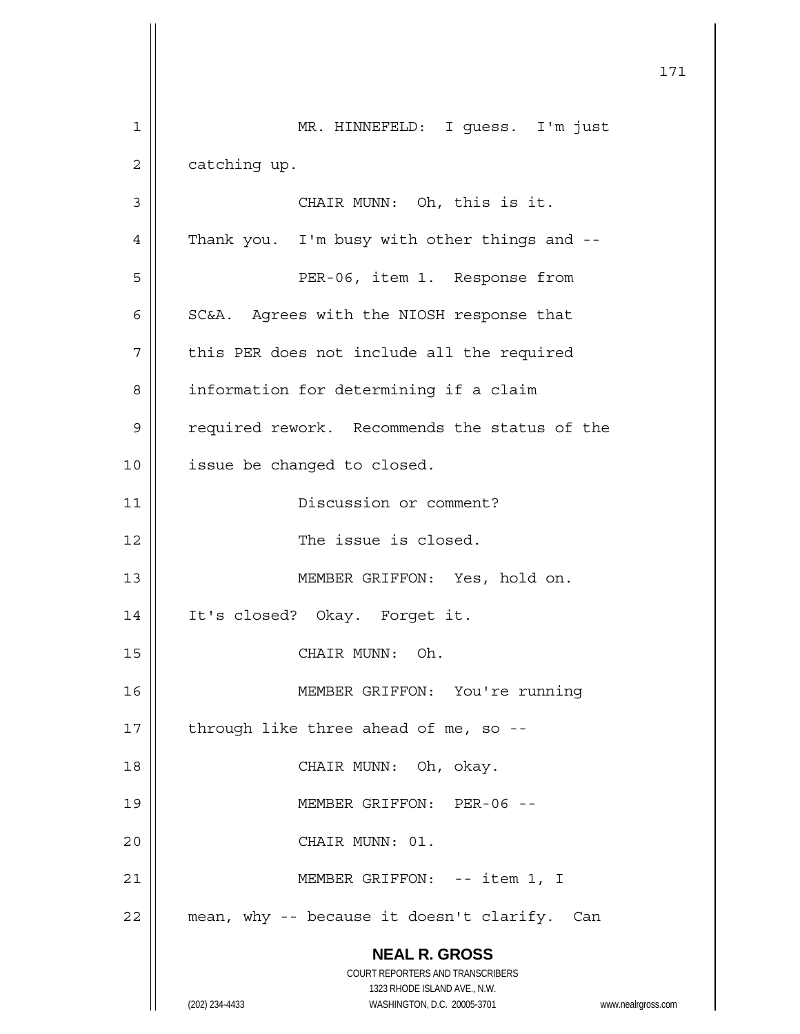|             | 171                                                                 |
|-------------|---------------------------------------------------------------------|
| $\mathbf 1$ | MR. HINNEFELD: I guess. I'm just                                    |
| 2           | catching up.                                                        |
| 3           | CHAIR MUNN: Oh, this is it.                                         |
| 4           | Thank you. I'm busy with other things and --                        |
| 5           | PER-06, item 1. Response from                                       |
| 6           | SC&A. Agrees with the NIOSH response that                           |
| 7           | this PER does not include all the required                          |
| 8           | information for determining if a claim                              |
| 9           | required rework. Recommends the status of the                       |
| 10          | issue be changed to closed.                                         |
| 11          | Discussion or comment?                                              |
| 12          | The issue is closed.                                                |
| 13          | MEMBER GRIFFON: Yes, hold on.                                       |
| 14          | It's closed? Okay. Forget it.                                       |
| 15          | CHAIR MUNN: Oh.                                                     |
| 16          | MEMBER GRIFFON: You're running                                      |
| 17          | through like three ahead of me, so --                               |
| 18          | CHAIR MUNN: Oh, okay.                                               |
| 19          | MEMBER GRIFFON: PER-06 --                                           |
| 20          | CHAIR MUNN: 01.                                                     |
| 21          | MEMBER GRIFFON: -- item 1, I                                        |
| 22          | mean, why -- because it doesn't clarify. Can                        |
|             | <b>NEAL R. GROSS</b>                                                |
|             | COURT REPORTERS AND TRANSCRIBERS<br>1323 RHODE ISLAND AVE., N.W.    |
|             | (202) 234-4433<br>WASHINGTON, D.C. 20005-3701<br>www.nealrgross.com |

 $\mathsf{I}$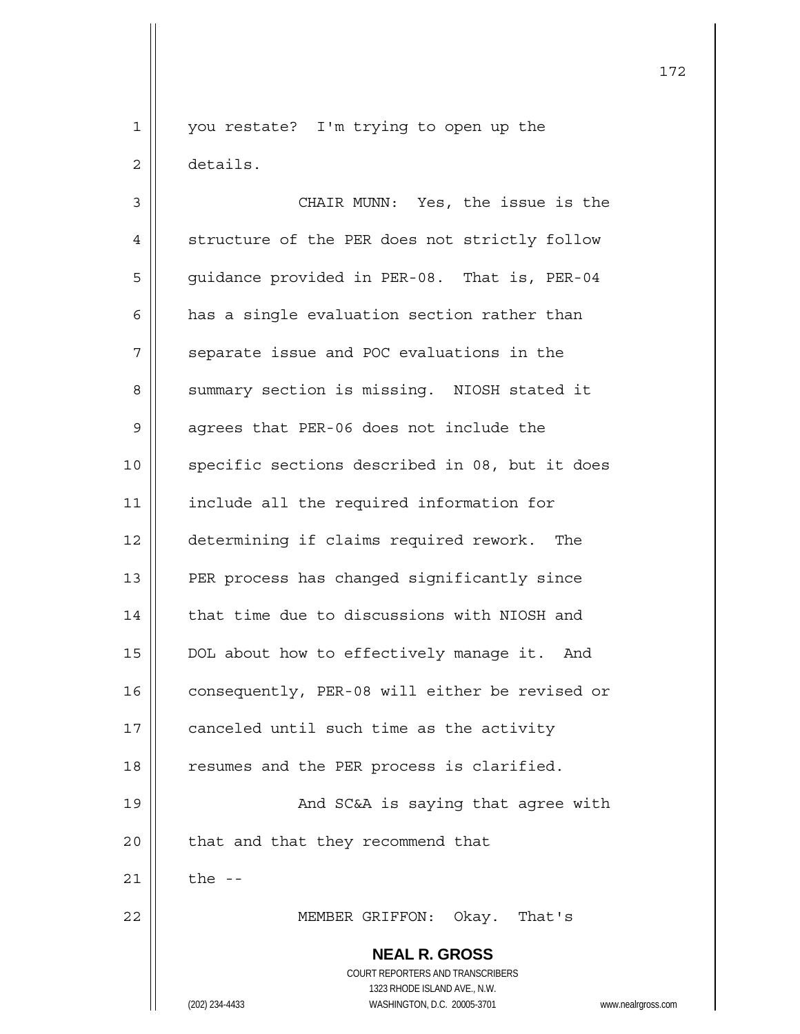1 || you restate? I'm trying to open up the 2 details.

 **NEAL R. GROSS** COURT REPORTERS AND TRANSCRIBERS 1323 RHODE ISLAND AVE., N.W. 3 || CHAIR MUNN: Yes, the issue is the 4 | structure of the PER does not strictly follow 5 | guidance provided in PER-08. That is, PER-04  $6 \parallel$  has a single evaluation section rather than  $7$  | separate issue and POC evaluations in the 8 || summary section is missing. NIOSH stated it 9 || agrees that PER-06 does not include the 10 || specific sections described in 08, but it does 11 | include all the required information for 12 determining if claims required rework. The 13 || PER process has changed significantly since  $14$   $\parallel$  that time due to discussions with NIOSH and 15 | DOL about how to effectively manage it. And 16 | consequently, PER-08 will either be revised or 17 | canceled until such time as the activity 18 || resumes and the PER process is clarified. 19 || And SC&A is saying that agree with 20 | that and that they recommend that  $21$   $\parallel$  the --22 MEMBER GRIFFON: Okay. That's

(202) 234-4433 WASHINGTON, D.C. 20005-3701 www.nealrgross.com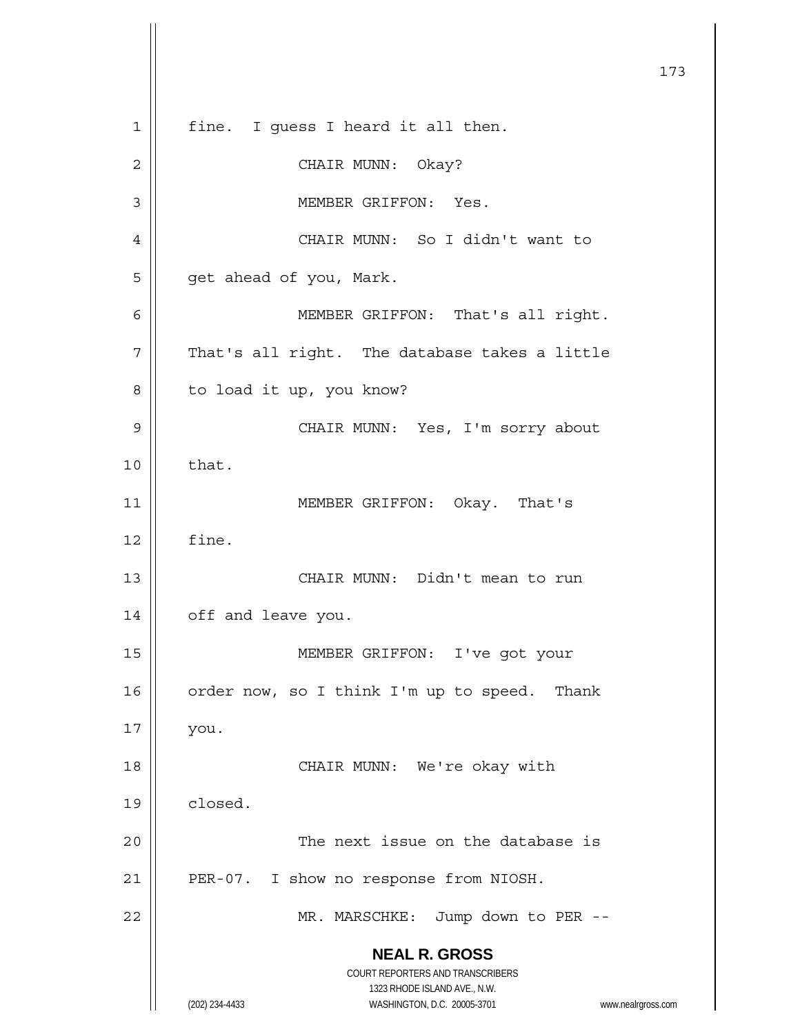**NEAL R. GROSS** COURT REPORTERS AND TRANSCRIBERS 1323 RHODE ISLAND AVE., N.W. (202) 234-4433 WASHINGTON, D.C. 20005-3701 www.nealrgross.com 1 || fine. I quess I heard it all then. 2 CHAIR MUNN: Okay? 3 | MEMBER GRIFFON: Yes. 4 CHAIR MUNN: So I didn't want to 5 | get ahead of you, Mark. 6 MEMBER GRIFFON: That's all right.  $7$  | That's all right. The database takes a little 8 | to load it up, you know? 9 CHAIR MUNN: Yes, I'm sorry about  $10 \parallel$  that. 11 || MEMBER GRIFFON: Okay. That's  $12 \parallel$  fine. 13 || CHAIR MUNN: Didn't mean to run 14 | off and leave you. 15 MEMBER GRIFFON: I've got your 16  $\parallel$  order now, so I think I'm up to speed. Thank  $17 \parallel$  you. 18 || CHAIR MUNN: We're okay with  $19 \parallel$  closed. 20 || The next issue on the database is 21 | PER-07. I show no response from NIOSH. 22 || MR. MARSCHKE: Jump down to PER --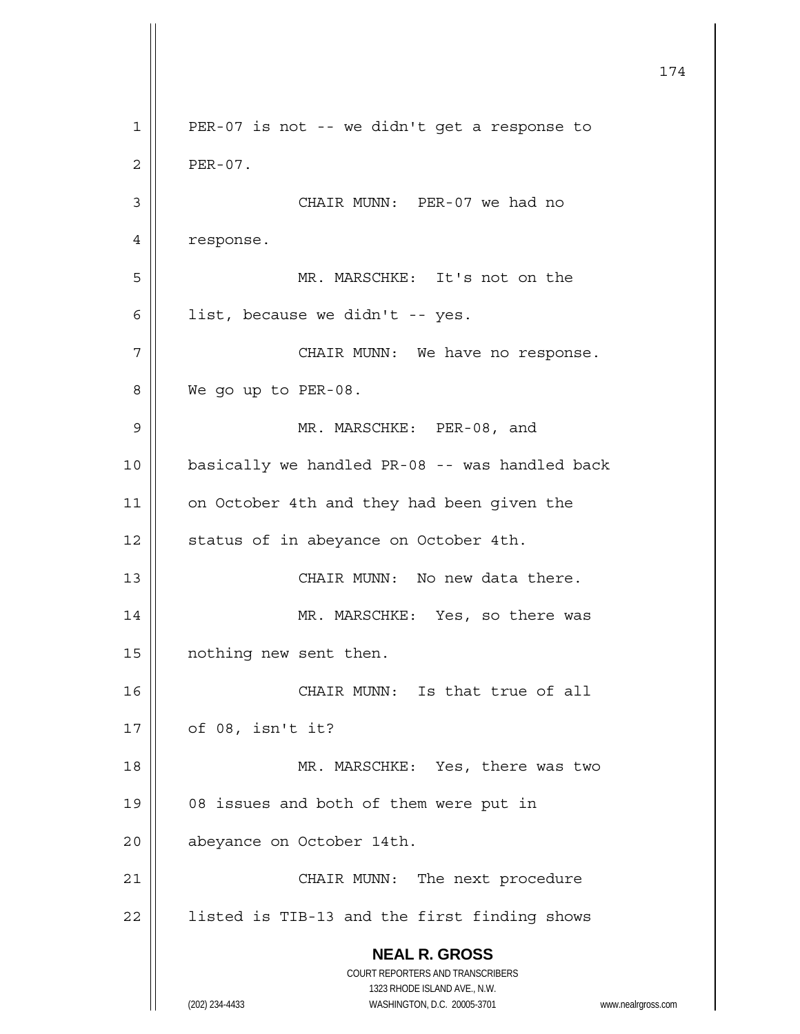**NEAL R. GROSS** COURT REPORTERS AND TRANSCRIBERS 1323 RHODE ISLAND AVE., N.W. (202) 234-4433 WASHINGTON, D.C. 20005-3701 www.nealrgross.com 174 1 || PER-07 is not -- we didn't get a response to  $2 \parallel$  PER-07. 3 | CHAIR MUNN: PER-07 we had no 4 | response. 5 MR. MARSCHKE: It's not on the 6  $\parallel$  list, because we didn't -- yes. 7 | CHAIR MUNN: We have no response. 8 We go up to PER-08. 9 || MR. MARSCHKE: PER-08, and 10 basically we handled PR-08 -- was handled back 11 | on October 4th and they had been given the 12 | status of in abeyance on October 4th. 13 CHAIR MUNN: No new data there. 14 || MR. MARSCHKE: Yes, so there was 15 | nothing new sent then. 16 CHAIR MUNN: Is that true of all  $17 \parallel$  of 08, isn't it? 18 || MR. MARSCHKE: Yes, there was two 19 || 08 issues and both of them were put in 20 | abeyance on October 14th. 21 || CHAIR MUNN: The next procedure  $22$  | listed is TIB-13 and the first finding shows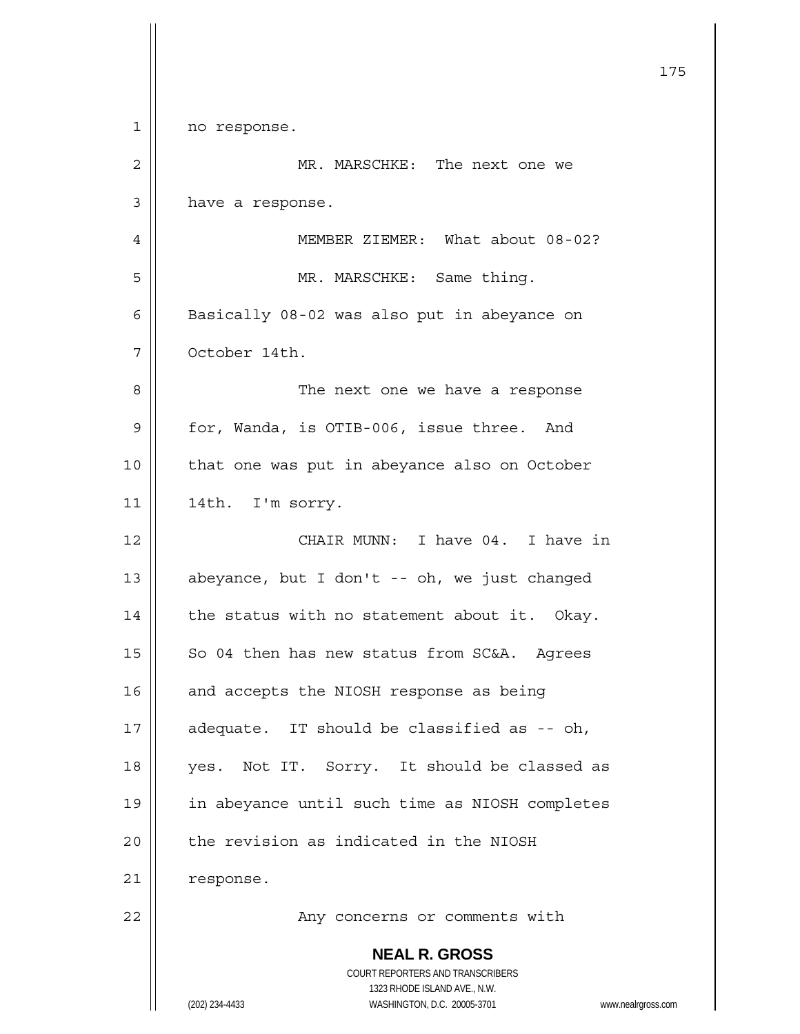|             |                                                                     | 175 |
|-------------|---------------------------------------------------------------------|-----|
| $\mathbf 1$ | no response.                                                        |     |
| 2           | MR. MARSCHKE: The next one we                                       |     |
| 3           | have a response.                                                    |     |
| 4           | MEMBER ZIEMER: What about 08-02?                                    |     |
| 5           | MR. MARSCHKE: Same thing.                                           |     |
| 6           | Basically 08-02 was also put in abeyance on                         |     |
| 7           | October 14th.                                                       |     |
| 8           | The next one we have a response                                     |     |
| 9           | for, Wanda, is OTIB-006, issue three. And                           |     |
| 10          | that one was put in abeyance also on October                        |     |
| 11          | 14th. I'm sorry.                                                    |     |
| 12          | CHAIR MUNN: I have 04. I have in                                    |     |
| 13          | abeyance, but I don't -- oh, we just changed                        |     |
| 14          | the status with no statement about it. Okay.                        |     |
| 15          | So 04 then has new status from SC&A. Agrees                         |     |
| 16          | and accepts the NIOSH response as being                             |     |
| 17          | adequate. IT should be classified as -- oh,                         |     |
| 18          | yes. Not IT. Sorry. It should be classed as                         |     |
| 19          | in abeyance until such time as NIOSH completes                      |     |
| 20          | the revision as indicated in the NIOSH                              |     |
| 21          | response.                                                           |     |
| 22          | Any concerns or comments with                                       |     |
|             | <b>NEAL R. GROSS</b>                                                |     |
|             | COURT REPORTERS AND TRANSCRIBERS<br>1323 RHODE ISLAND AVE., N.W.    |     |
|             | (202) 234-4433<br>WASHINGTON, D.C. 20005-3701<br>www.nealrgross.com |     |

 $\mathsf{l}$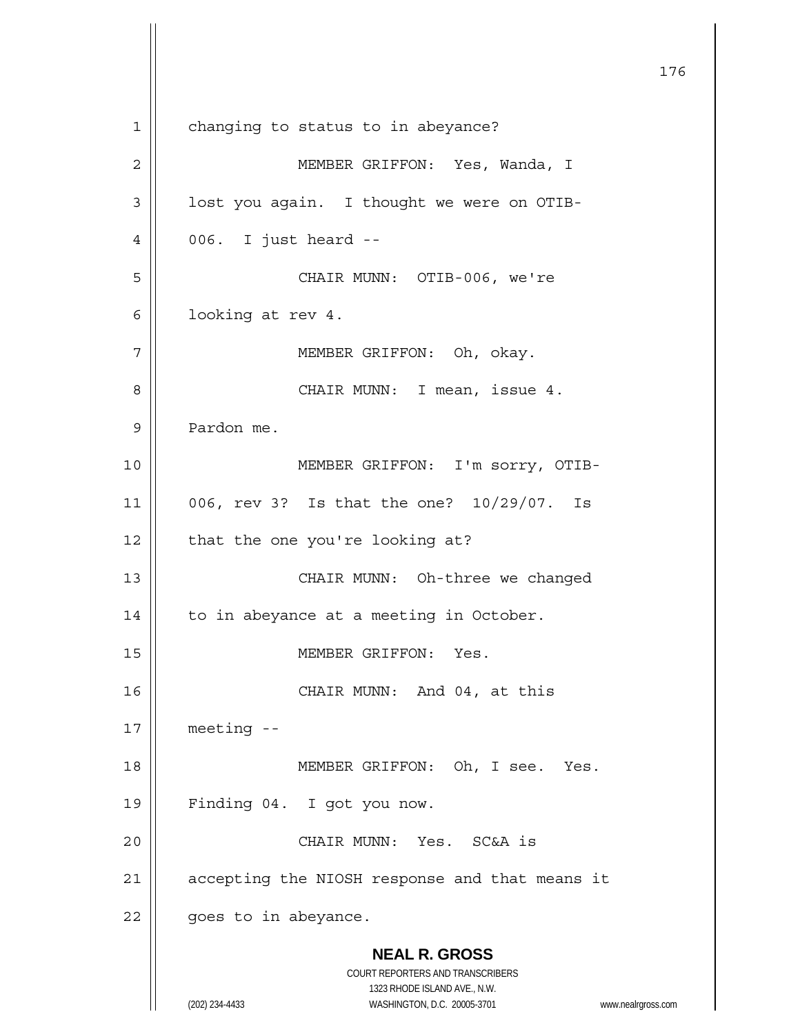**NEAL R. GROSS** COURT REPORTERS AND TRANSCRIBERS 1323 RHODE ISLAND AVE., N.W. (202) 234-4433 WASHINGTON, D.C. 20005-3701 www.nealrgross.com 176 1 | changing to status to in abeyance? 2 MEMBER GRIFFON: Yes, Wanda, I  $3 \parallel$  lost you again. I thought we were on OTIB-4 006. I just heard -- 5 CHAIR MUNN: OTIB-006, we're 6 |  $1$ ooking at rev 4. 7 MEMBER GRIFFON: Oh, okay. 8 CHAIR MUNN: I mean, issue 4. 9 Pardon me. 10 MEMBER GRIFFON: I'm sorry, OTIB-11 006, rev 3? Is that the one? 10/29/07. Is  $12$  | that the one you're looking at? 13 || CHAIR MUNN: Oh-three we changed 14 | to in abeyance at a meeting in October. 15 | MEMBER GRIFFON: Yes. 16 || CHAIR MUNN: And 04, at this 17 meeting -- 18 || MEMBER GRIFFON: Oh, I see. Yes. 19 Finding 04. I got you now. 20 CHAIR MUNN: Yes. SC&A is 21 | accepting the NIOSH response and that means it  $22$  | goes to in abeyance.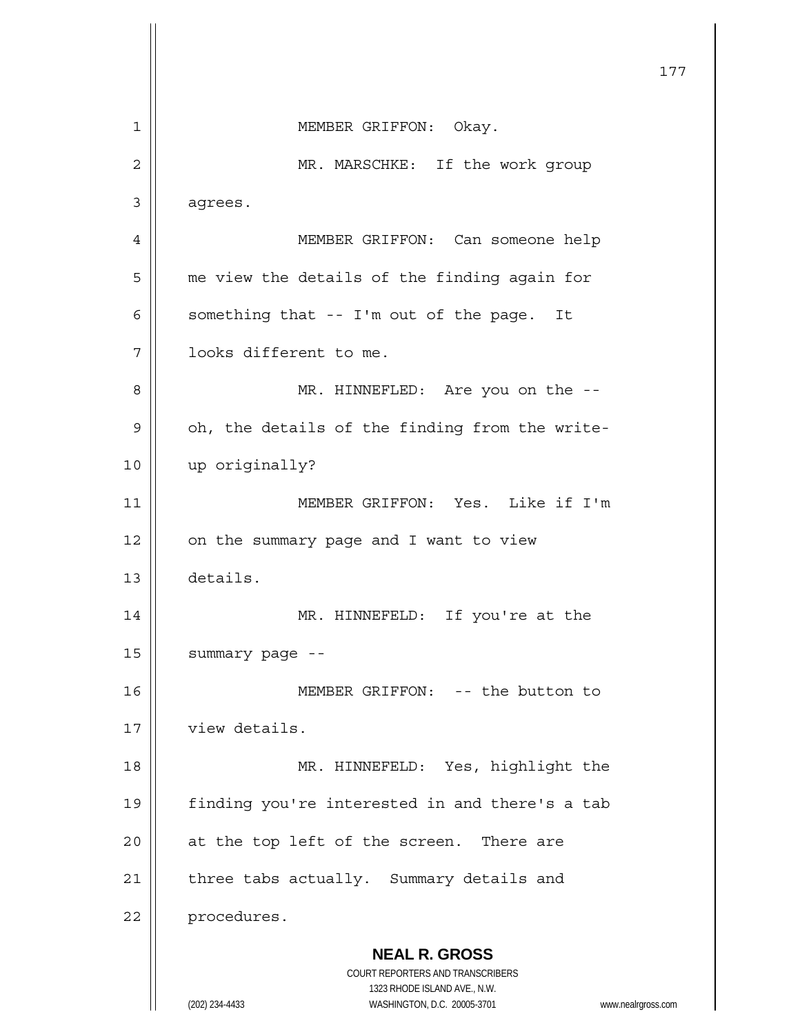**NEAL R. GROSS** COURT REPORTERS AND TRANSCRIBERS 1323 RHODE ISLAND AVE., N.W. (202) 234-4433 WASHINGTON, D.C. 20005-3701 www.nealrgross.com 177 1 || MEMBER GRIFFON: Okay. 2 || MR. MARSCHKE: If the work group 3 agrees. 4 MEMBER GRIFFON: Can someone help 5 | me view the details of the finding again for 6  $\parallel$  something that -- I'm out of the page. It 7 | | looks different to me. 8 MR. HINNEFLED: Are you on the --  $9 \parallel$  oh, the details of the finding from the write-10 up originally? 11 MEMBER GRIFFON: Yes. Like if I'm  $12$  | on the summary page and I want to view 13 details. 14 MR. HINNEFELD: If you're at the 15 | summary page --16 || MEMBER GRIFFON: -- the button to 17 | view details. 18 || MR. HINNEFELD: Yes, highlight the 19 | finding you're interested in and there's a tab  $20$  || at the top left of the screen. There are  $21$  | three tabs actually. Summary details and 22 | procedures.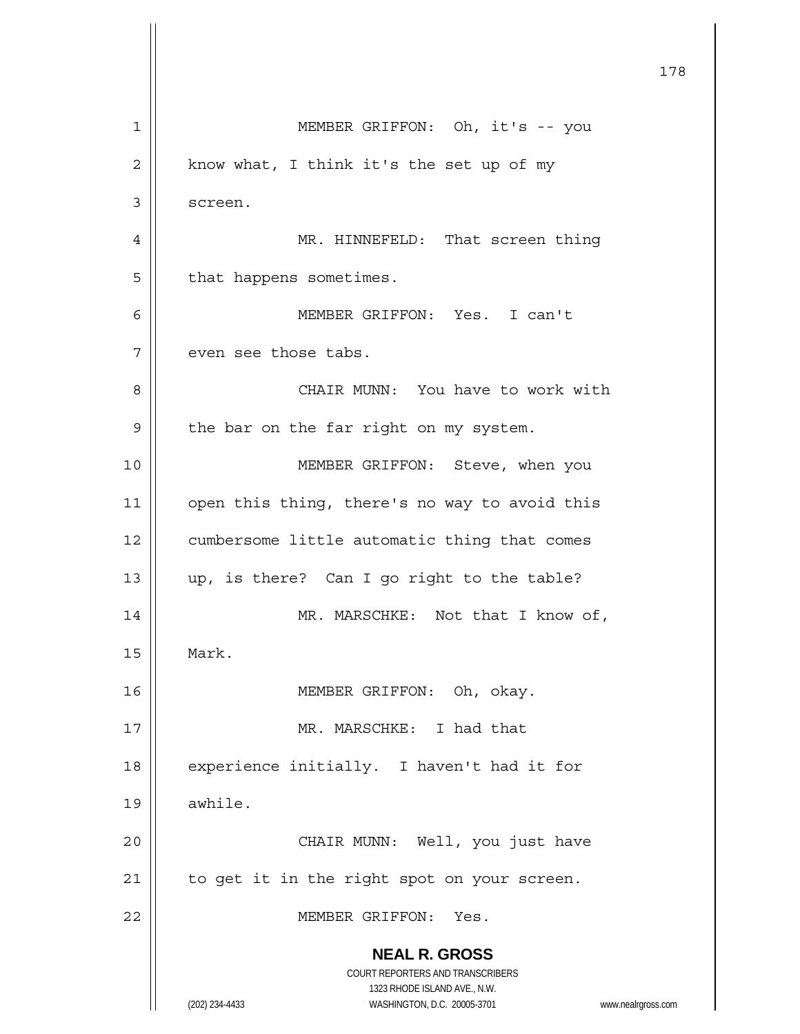|    |                                                                     | 178 |
|----|---------------------------------------------------------------------|-----|
| 1  | MEMBER GRIFFON: Oh, it's -- you                                     |     |
| 2  | know what, I think it's the set up of my                            |     |
| 3  | screen.                                                             |     |
| 4  | MR. HINNEFELD: That screen thing                                    |     |
| 5  | that happens sometimes.                                             |     |
| 6  | MEMBER GRIFFON: Yes. I can't                                        |     |
| 7  | even see those tabs.                                                |     |
| 8  | CHAIR MUNN: You have to work with                                   |     |
| 9  | the bar on the far right on my system.                              |     |
| 10 | MEMBER GRIFFON: Steve, when you                                     |     |
| 11 | open this thing, there's no way to avoid this                       |     |
| 12 | cumbersome little automatic thing that comes                        |     |
| 13 | up, is there? Can I go right to the table?                          |     |
| 14 | MR. MARSCHKE: Not that I know of,                                   |     |
| 15 | Mark.                                                               |     |
| 16 | MEMBER GRIFFON: Oh, okay.                                           |     |
| 17 | MR. MARSCHKE: I had that                                            |     |
| 18 | experience initially. I haven't had it for                          |     |
| 19 | awhile.                                                             |     |
| 20 | CHAIR MUNN: Well, you just have                                     |     |
| 21 | to get it in the right spot on your screen.                         |     |
| 22 | MEMBER GRIFFON: Yes.                                                |     |
|    | <b>NEAL R. GROSS</b><br>COURT REPORTERS AND TRANSCRIBERS            |     |
|    | 1323 RHODE ISLAND AVE., N.W.                                        |     |
|    | (202) 234-4433<br>WASHINGTON, D.C. 20005-3701<br>www.nealrgross.com |     |

 $\mathsf{I}$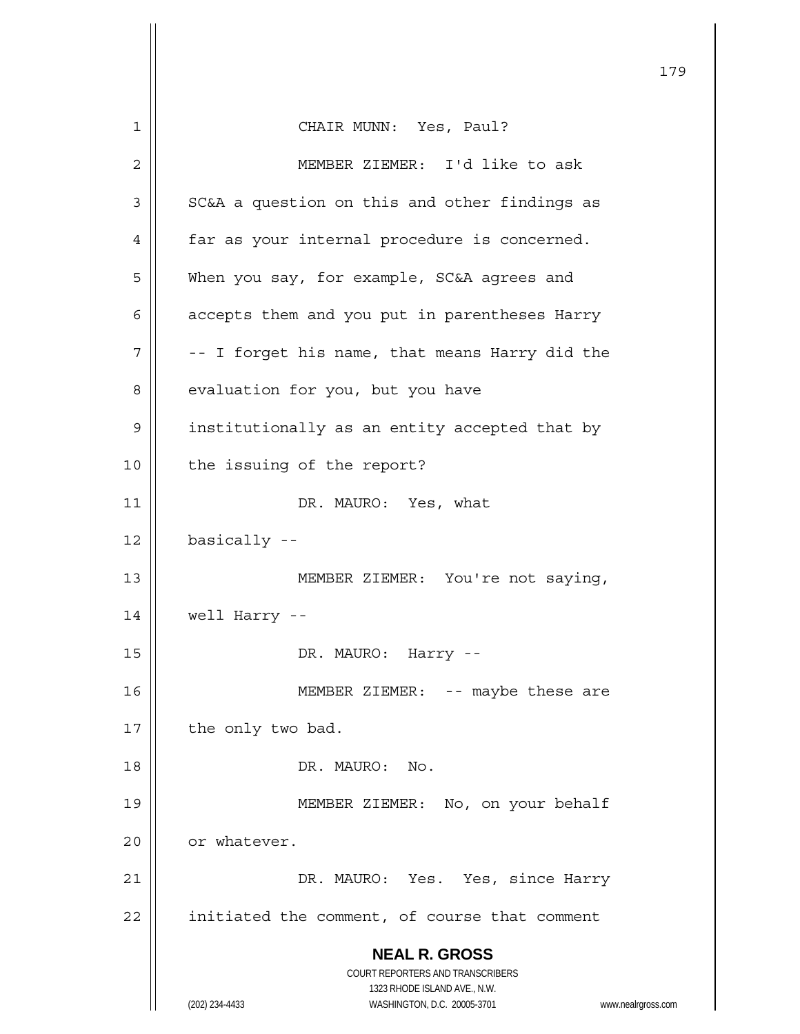|    |                                                                     | 179 |
|----|---------------------------------------------------------------------|-----|
| 1  | CHAIR MUNN: Yes, Paul?                                              |     |
| 2  | MEMBER ZIEMER: I'd like to ask                                      |     |
| 3  | SC&A a question on this and other findings as                       |     |
| 4  | far as your internal procedure is concerned.                        |     |
| 5  | When you say, for example, SC&A agrees and                          |     |
| 6  | accepts them and you put in parentheses Harry                       |     |
| 7  | -- I forget his name, that means Harry did the                      |     |
| 8  | evaluation for you, but you have                                    |     |
| 9  | institutionally as an entity accepted that by                       |     |
| 10 | the issuing of the report?                                          |     |
| 11 | DR. MAURO: Yes, what                                                |     |
| 12 | basically --                                                        |     |
| 13 | MEMBER ZIEMER: You're not saying,                                   |     |
| 14 | well Harry --                                                       |     |
| 15 | DR. MAURO: Harry --                                                 |     |
| 16 | MEMBER ZIEMER: -- maybe these are                                   |     |
| 17 | the only two bad.                                                   |     |
| 18 | DR. MAURO: No.                                                      |     |
| 19 | MEMBER ZIEMER: No, on your behalf                                   |     |
| 20 | or whatever.                                                        |     |
| 21 | DR. MAURO: Yes. Yes, since Harry                                    |     |
| 22 | initiated the comment, of course that comment                       |     |
|    | <b>NEAL R. GROSS</b>                                                |     |
|    | COURT REPORTERS AND TRANSCRIBERS<br>1323 RHODE ISLAND AVE., N.W.    |     |
|    | (202) 234-4433<br>WASHINGTON, D.C. 20005-3701<br>www.nealrgross.com |     |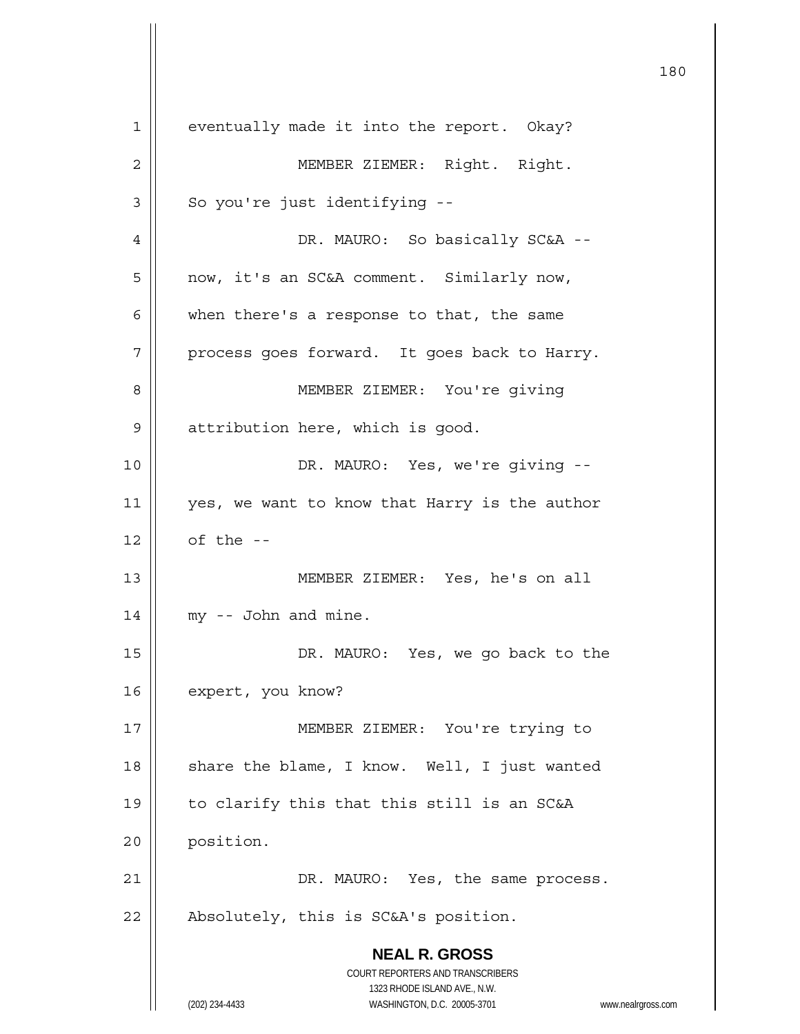**NEAL R. GROSS** COURT REPORTERS AND TRANSCRIBERS 1323 RHODE ISLAND AVE., N.W. (202) 234-4433 WASHINGTON, D.C. 20005-3701 www.nealrgross.com 180 1 | eventually made it into the report. Okay? 2 | MEMBER ZIEMER: Right. Right.  $3 \parallel$  So you're just identifying --4 | DR. MAURO: So basically SC&A --5 now, it's an SC&A comment. Similarly now,  $6$  | when there's a response to that, the same  $7$  | process goes forward. It goes back to Harry. 8 MEMBER ZIEMER: You're giving 9 | attribution here, which is good. 10 DR. MAURO: Yes, we're giving -- 11 || yes, we want to know that Harry is the author  $12 \parallel$  of the --13 MEMBER ZIEMER: Yes, he's on all  $14$  || my -- John and mine. 15 DR. MAURO: Yes, we go back to the 16 | expert, you know? 17 MEMBER ZIEMER: You're trying to 18  $\parallel$  share the blame, I know. Well, I just wanted 19  $\parallel$  to clarify this that this still is an SC&A 20 position. 21 | DR. MAURO: Yes, the same process.  $22$  | Absolutely, this is SC&A's position.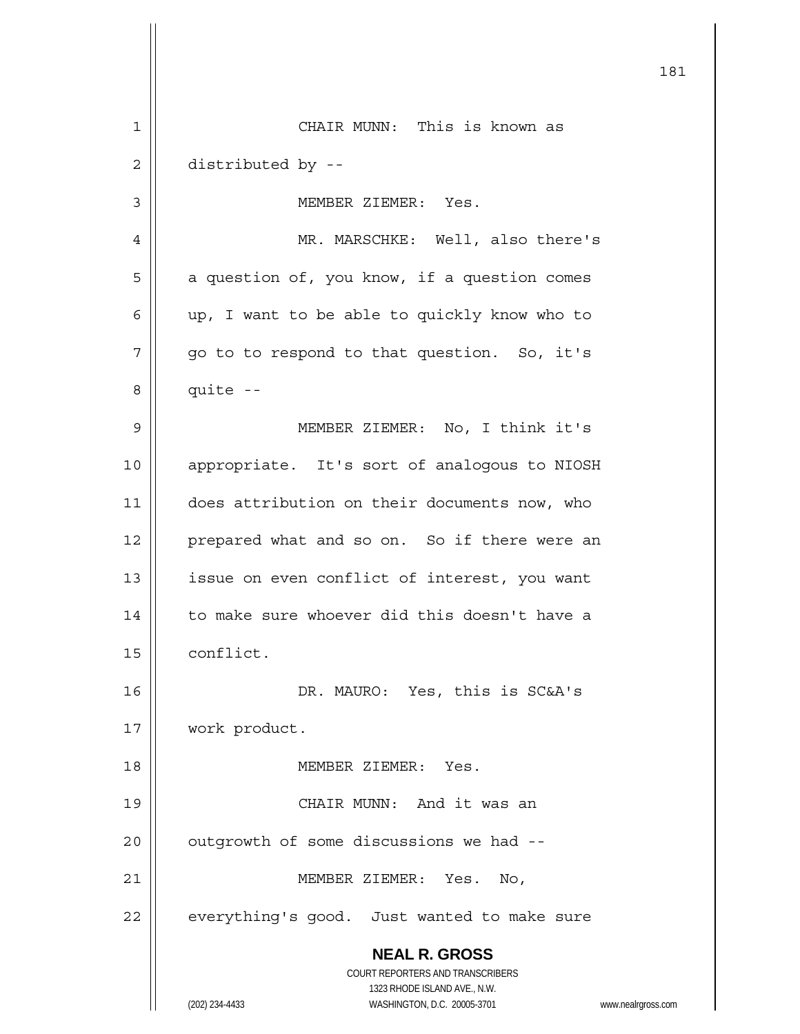|    | 181                                                                                                                                     |
|----|-----------------------------------------------------------------------------------------------------------------------------------------|
| 1  | CHAIR MUNN: This is known as                                                                                                            |
| 2  | distributed by --                                                                                                                       |
| 3  | MEMBER ZIEMER: Yes.                                                                                                                     |
| 4  | MR. MARSCHKE: Well, also there's                                                                                                        |
| 5  | a question of, you know, if a question comes                                                                                            |
| 6  | up, I want to be able to quickly know who to                                                                                            |
| 7  | go to to respond to that question. So, it's                                                                                             |
| 8  | quite --                                                                                                                                |
| 9  | MEMBER ZIEMER: No, I think it's                                                                                                         |
| 10 | appropriate. It's sort of analogous to NIOSH                                                                                            |
| 11 | does attribution on their documents now, who                                                                                            |
| 12 | prepared what and so on. So if there were an                                                                                            |
| 13 | issue on even conflict of interest, you want                                                                                            |
| 14 | to make sure whoever did this doesn't have a                                                                                            |
| 15 | conflict.                                                                                                                               |
| 16 | DR. MAURO: Yes, this is SC&A's                                                                                                          |
| 17 | work product.                                                                                                                           |
| 18 | MEMBER ZIEMER: Yes.                                                                                                                     |
| 19 | CHAIR MUNN: And it was an                                                                                                               |
| 20 | outgrowth of some discussions we had --                                                                                                 |
| 21 | MEMBER ZIEMER: Yes.<br>No,                                                                                                              |
| 22 | everything's good. Just wanted to make sure                                                                                             |
|    | <b>NEAL R. GROSS</b>                                                                                                                    |
|    |                                                                                                                                         |
|    |                                                                                                                                         |
|    | COURT REPORTERS AND TRANSCRIBERS<br>1323 RHODE ISLAND AVE., N.W.<br>(202) 234-4433<br>WASHINGTON, D.C. 20005-3701<br>www.nealrgross.com |

 $\mathsf{I}$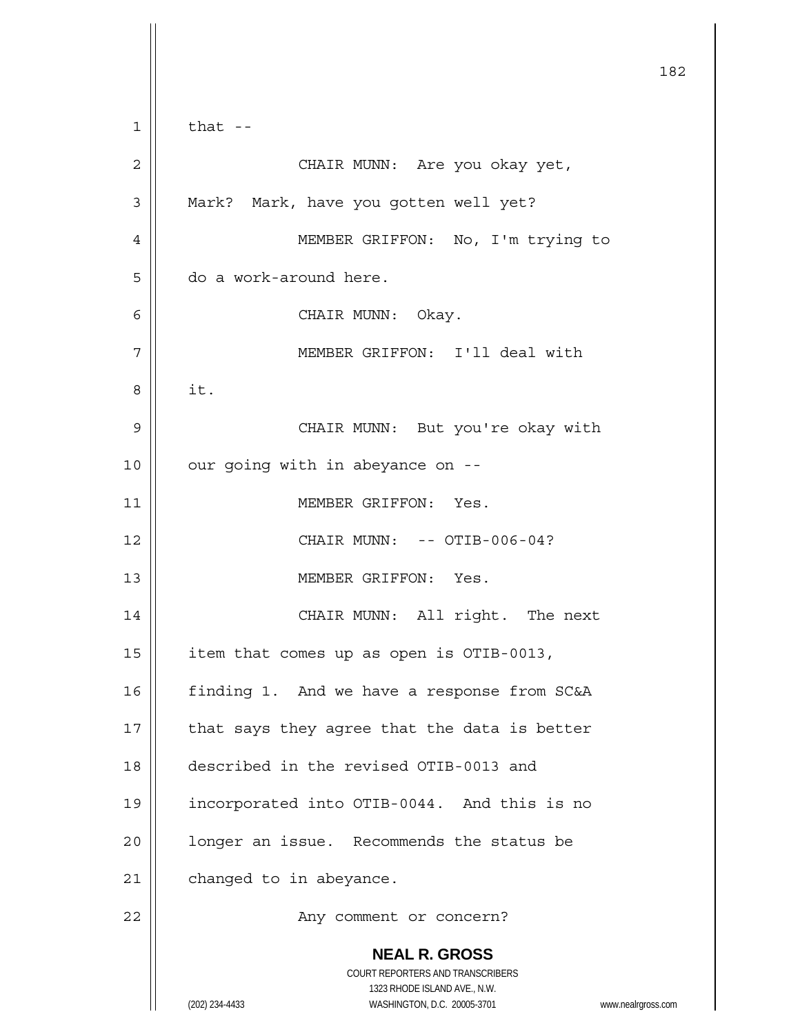**NEAL R. GROSS** COURT REPORTERS AND TRANSCRIBERS 1323 RHODE ISLAND AVE., N.W. (202) 234-4433 WASHINGTON, D.C. 20005-3701 www.nealrgross.com 182  $1 \parallel$  that --2 | CHAIR MUNN: Are you okay yet, 3 | Mark? Mark, have you gotten well yet? 4 || MEMBER GRIFFON: No, I'm trying to 5 | do a work-around here. 6 CHAIR MUNN: Okay. 7 MEMBER GRIFFON: I'll deal with  $8 \parallel$  it. 9 CHAIR MUNN: But you're okay with  $10$  | our going with in abeyance on --11 | MEMBER GRIFFON: Yes. 12 || CHAIR MUNN: -- OTIB-006-04? 13 MEMBER GRIFFON: Yes. 14 || CHAIR MUNN: All right. The next 15  $\parallel$  item that comes up as open is OTIB-0013, 16 | finding 1. And we have a response from SC&A  $17$  | that says they agree that the data is better 18 described in the revised OTIB-0013 and 19 incorporated into OTIB-0044. And this is no 20 | longer an issue. Recommends the status be 21 | changed to in abeyance. 22 | Rany comment or concern?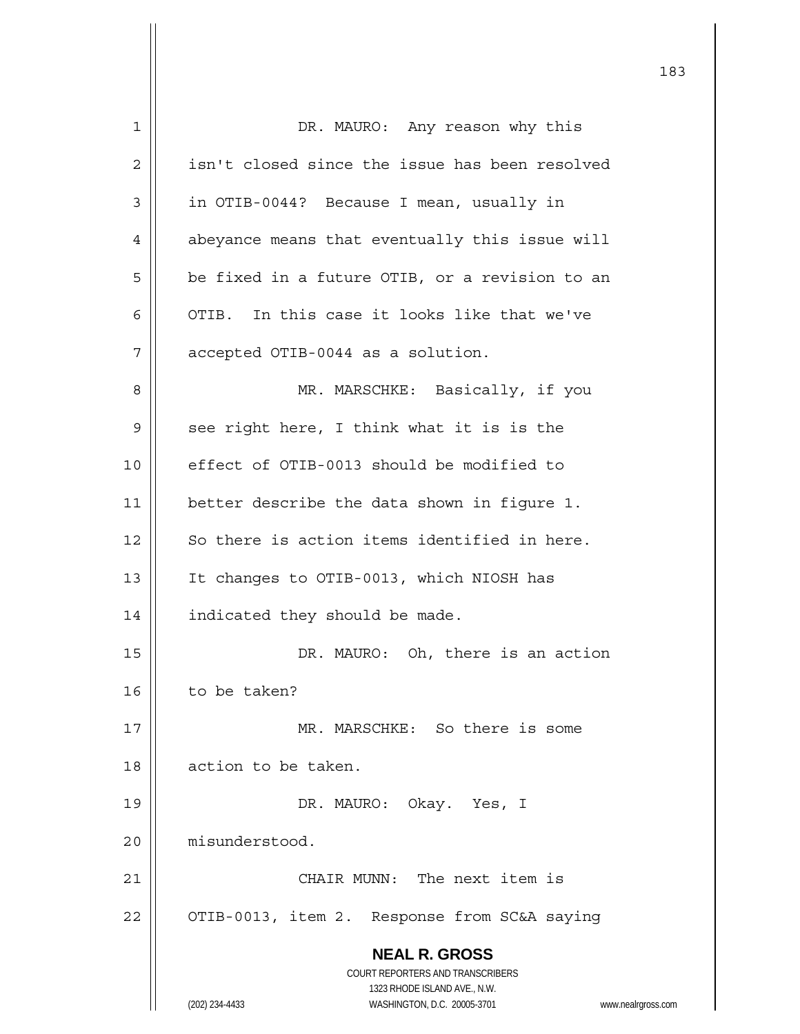| 1  | DR. MAURO: Any reason why this                                      |
|----|---------------------------------------------------------------------|
| 2  | isn't closed since the issue has been resolved                      |
| 3  | in OTIB-0044? Because I mean, usually in                            |
| 4  | abeyance means that eventually this issue will                      |
| 5  | be fixed in a future OTIB, or a revision to an                      |
| 6  | OTIB. In this case it looks like that we've                         |
| 7  | accepted OTIB-0044 as a solution.                                   |
| 8  | MR. MARSCHKE: Basically, if you                                     |
| 9  | see right here, I think what it is is the                           |
| 10 | effect of OTIB-0013 should be modified to                           |
| 11 | better describe the data shown in figure 1.                         |
| 12 | So there is action items identified in here.                        |
| 13 | It changes to OTIB-0013, which NIOSH has                            |
| 14 | indicated they should be made.                                      |
| 15 | DR. MAURO: Oh, there is an action                                   |
| 16 | to be taken?                                                        |
| 17 | MR. MARSCHKE: So there is some                                      |
| 18 | action to be taken.                                                 |
| 19 | DR. MAURO: Okay. Yes, I                                             |
| 20 | misunderstood.                                                      |
| 21 | CHAIR MUNN: The next item is                                        |
| 22 | OTIB-0013, item 2. Response from SC&A saying                        |
|    | <b>NEAL R. GROSS</b>                                                |
|    | COURT REPORTERS AND TRANSCRIBERS                                    |
|    | 1323 RHODE ISLAND AVE., N.W.                                        |
|    | (202) 234-4433<br>WASHINGTON, D.C. 20005-3701<br>www.nealrgross.com |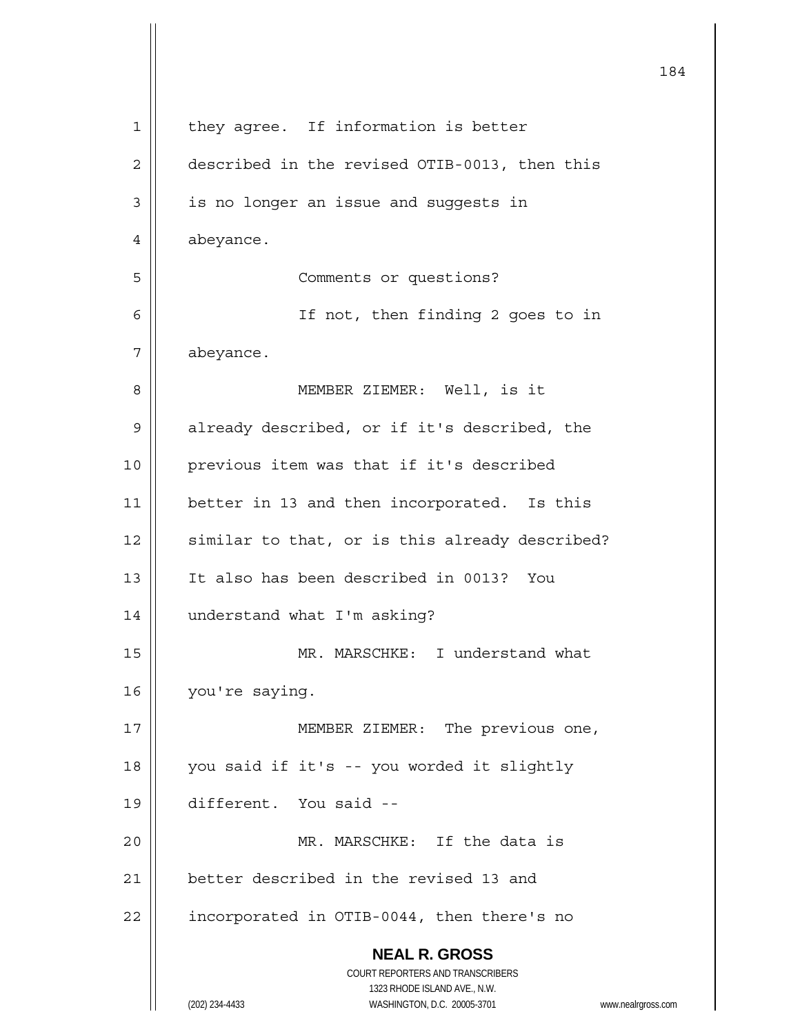|              |                                                                  | 184                |
|--------------|------------------------------------------------------------------|--------------------|
| $\mathbf{1}$ | they agree. If information is better                             |                    |
| 2            | described in the revised OTIB-0013, then this                    |                    |
| 3            | is no longer an issue and suggests in                            |                    |
| 4            | abeyance.                                                        |                    |
| 5            | Comments or questions?                                           |                    |
| 6            | If not, then finding 2 goes to in                                |                    |
| 7            | abeyance.                                                        |                    |
| 8            | MEMBER ZIEMER: Well, is it                                       |                    |
| 9            | already described, or if it's described, the                     |                    |
| 10           | previous item was that if it's described                         |                    |
| 11           | better in 13 and then incorporated. Is this                      |                    |
| 12           | similar to that, or is this already described?                   |                    |
| 13           | It also has been described in 0013? You                          |                    |
| 14           | understand what I'm asking?                                      |                    |
| 15           | MR. MARSCHKE: I understand what                                  |                    |
| 16           | you're saying.                                                   |                    |
| 17           | MEMBER ZIEMER: The previous one,                                 |                    |
| 18           | you said if it's -- you worded it slightly                       |                    |
| 19           | different. You said --                                           |                    |
| 20           | MR. MARSCHKE: If the data is                                     |                    |
| 21           | better described in the revised 13 and                           |                    |
| 22           | incorporated in OTIB-0044, then there's no                       |                    |
|              | <b>NEAL R. GROSS</b>                                             |                    |
|              | COURT REPORTERS AND TRANSCRIBERS<br>1323 RHODE ISLAND AVE., N.W. |                    |
|              | (202) 234-4433<br>WASHINGTON, D.C. 20005-3701                    | www.nealrgross.com |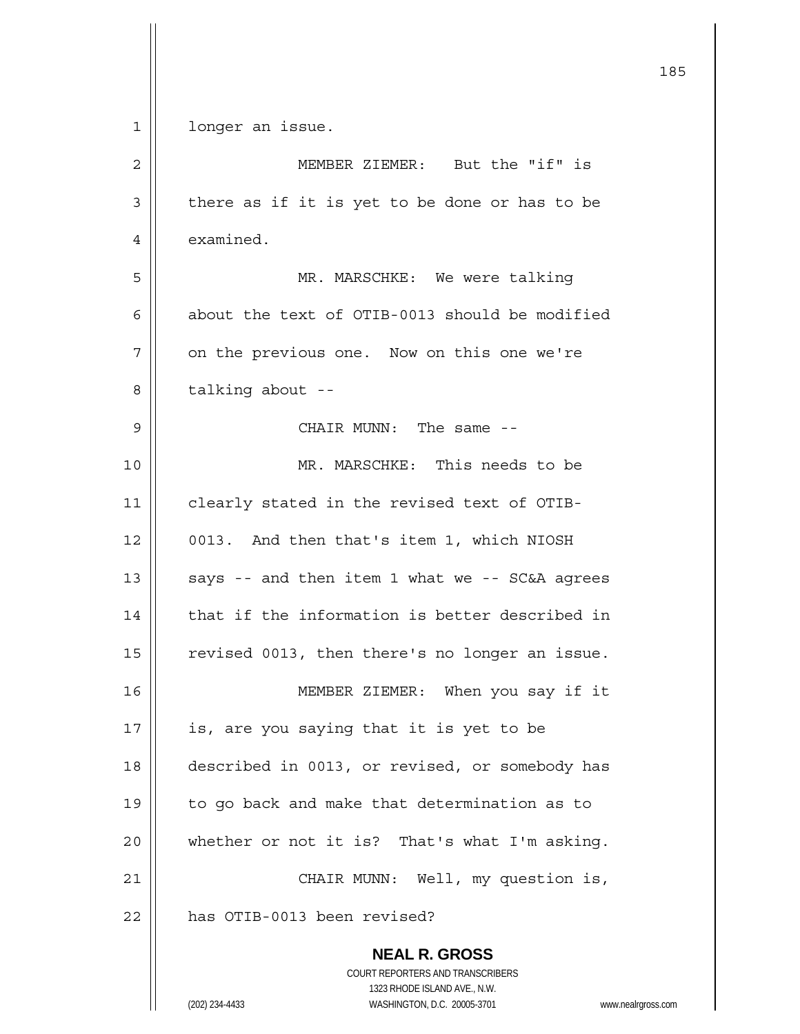**NEAL R. GROSS** COURT REPORTERS AND TRANSCRIBERS 185 1 | longer an issue. 2 | MEMBER ZIEMER: But the "if" is  $3 \parallel$  there as if it is yet to be done or has to be 4 | examined. 5 || MR. MARSCHKE: We were talking 6 about the text of OTIB-0013 should be modified  $7$  | on the previous one. Now on this one we're  $8 \parallel$  talking about --9 CHAIR MUNN: The same -- 10 MR. MARSCHKE: This needs to be 11 | clearly stated in the revised text of OTIB-12 | 0013. And then that's item 1, which NIOSH 13  $\vert$  says -- and then item 1 what we -- SC&A agrees  $14$   $\parallel$  that if the information is better described in 15 | revised 0013, then there's no longer an issue. 16 MEMBER ZIEMER: When you say if it  $17$  | is, are you saying that it is yet to be 18 described in 0013, or revised, or somebody has 19 | to go back and make that determination as to 20  $\parallel$  whether or not it is? That's what I'm asking. 21 | CHAIR MUNN: Well, my question is, 22 | has OTIB-0013 been revised?

1323 RHODE ISLAND AVE., N.W.

(202) 234-4433 WASHINGTON, D.C. 20005-3701 www.nealrgross.com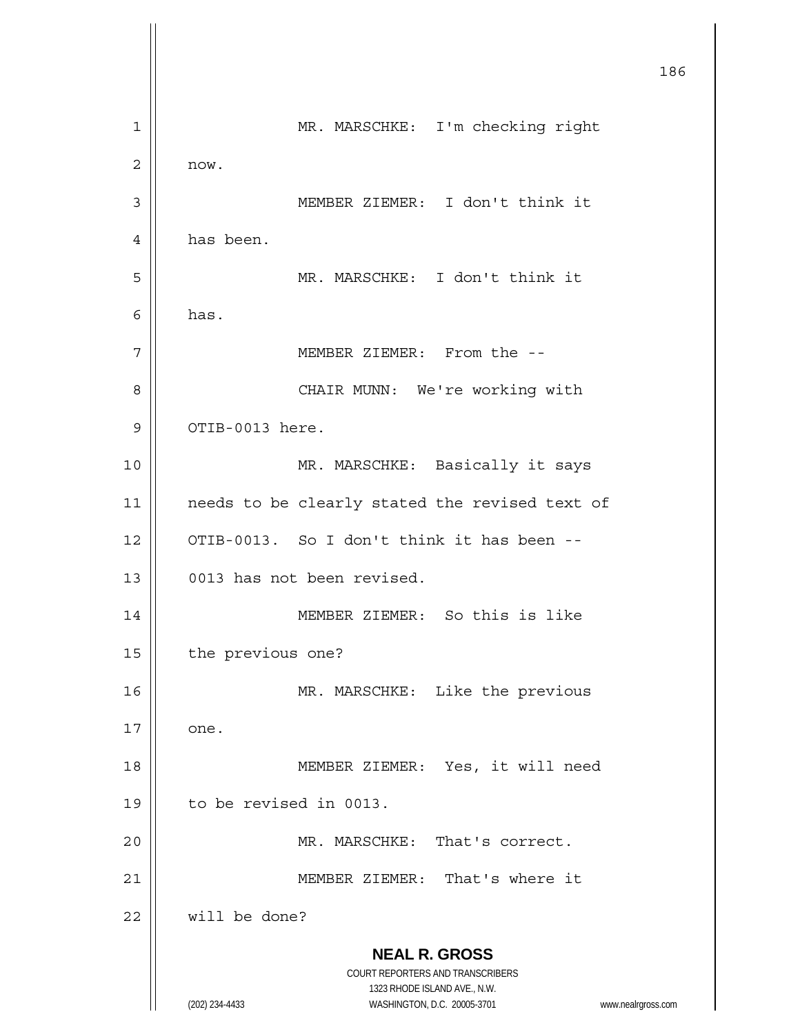**NEAL R. GROSS** COURT REPORTERS AND TRANSCRIBERS 1323 RHODE ISLAND AVE., N.W. (202) 234-4433 WASHINGTON, D.C. 20005-3701 www.nealrgross.com 186 1 | MR. MARSCHKE: I'm checking right 2 now. 3 MEMBER ZIEMER: I don't think it 4 has been. 5 MR. MARSCHKE: I don't think it  $6$  has. 7 MEMBER ZIEMER: From the -- 8 || CHAIR MUNN: We're working with  $9 \parallel$  OTIB-0013 here. 10 MR. MARSCHKE: Basically it says 11 || needs to be clearly stated the revised text of 12  $\parallel$  OTIB-0013. So I don't think it has been --13 0013 has not been revised. 14 MEMBER ZIEMER: So this is like 15 | the previous one? 16 || MR. MARSCHKE: Like the previous  $17 \parallel$  one. 18 MEMBER ZIEMER: Yes, it will need 19 to be revised in 0013. 20 || MR. MARSCHKE: That's correct. 21 MEMBER ZIEMER: That's where it 22 Will be done?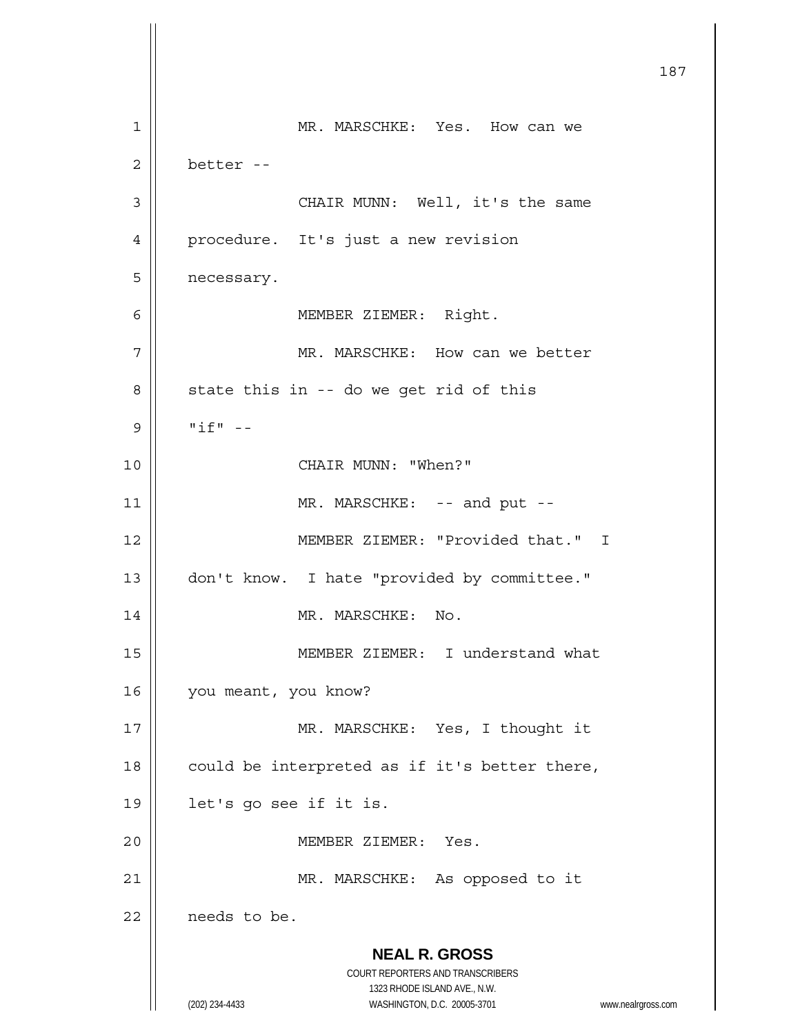**NEAL R. GROSS** COURT REPORTERS AND TRANSCRIBERS 1323 RHODE ISLAND AVE., N.W. (202) 234-4433 WASHINGTON, D.C. 20005-3701 www.nealrgross.com 187 1 MR. MARSCHKE: Yes. How can we  $2 \parallel$  better --3 || CHAIR MUNN: Well, it's the same 4 | procedure. It's just a new revision 5 | necessary. 6 MEMBER ZIEMER: Right. 7 || MR. MARSCHKE: How can we better  $8 \parallel$  state this in -- do we get rid of this  $9$   $\parallel$  "if" --10 CHAIR MUNN: "When?" 11 || MR. MARSCHKE: -- and put --12 MEMBER ZIEMER: "Provided that." I 13 | don't know. I hate "provided by committee." 14 || MR. MARSCHKE: No. 15 MEMBER ZIEMER: I understand what 16 | you meant, you know? 17 || MR. MARSCHKE: Yes, I thought it 18  $\vert$  could be interpreted as if it's better there, 19 let's go see if it is. 20 MEMBER ZIEMER: Yes. 21 || MR. MARSCHKE: As opposed to it 22 | needs to be.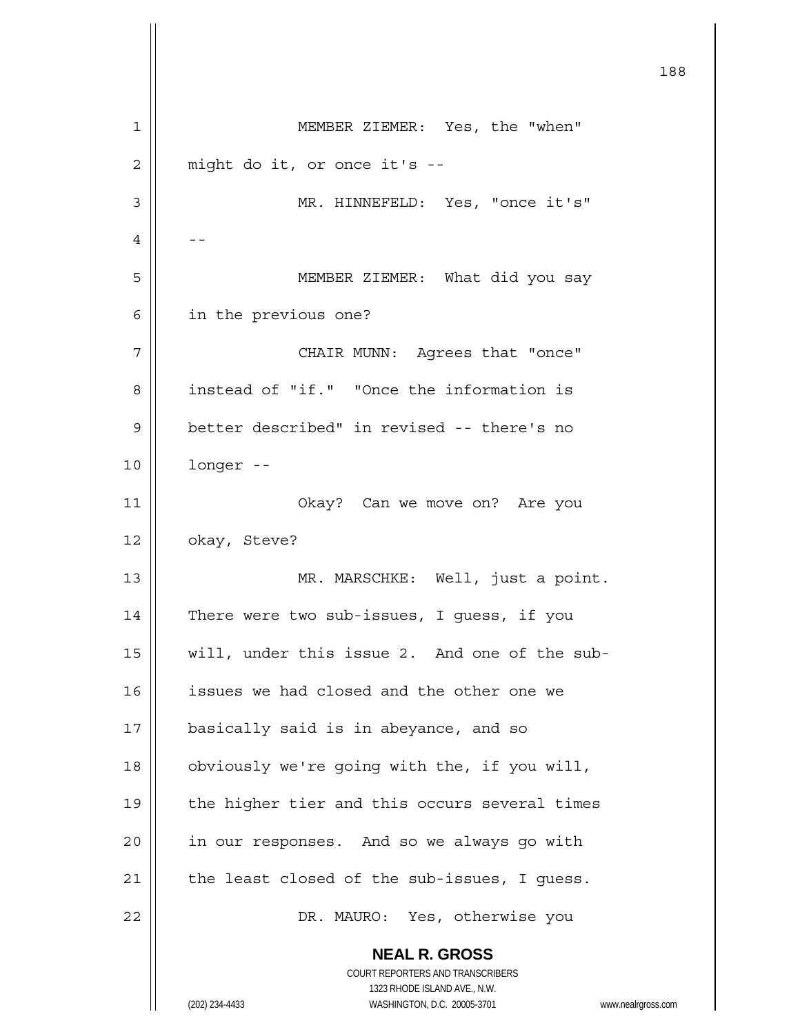**NEAL R. GROSS** COURT REPORTERS AND TRANSCRIBERS 1323 RHODE ISLAND AVE., N.W. (202) 234-4433 WASHINGTON, D.C. 20005-3701 www.nealrgross.com 188 1 MEMBER ZIEMER: Yes, the "when"  $2 \parallel$  might do it, or once it's --3 MR. HINNEFELD: Yes, "once it's"  $4 \mid - -$ 5 || MEMBER ZIEMER: What did you say 6 | in the previous one? 7 CHAIR MUNN: Agrees that "once" 8 | instead of "if." "Once the information is 9 | better described" in revised -- there's no 10 longer -- 11 Okay? Can we move on? Are you 12 | okay, Steve? 13 || MR. MARSCHKE: Well, just a point. 14 | There were two sub-issues, I guess, if you 15 || will, under this issue 2. And one of the sub-16 | issues we had closed and the other one we 17 | basically said is in abeyance, and so 18 | obviously we're going with the, if you will, 19 || the higher tier and this occurs several times 20 | in our responses. And so we always go with  $21$  | the least closed of the sub-issues, I quess. 22 DR. MAURO: Yes, otherwise you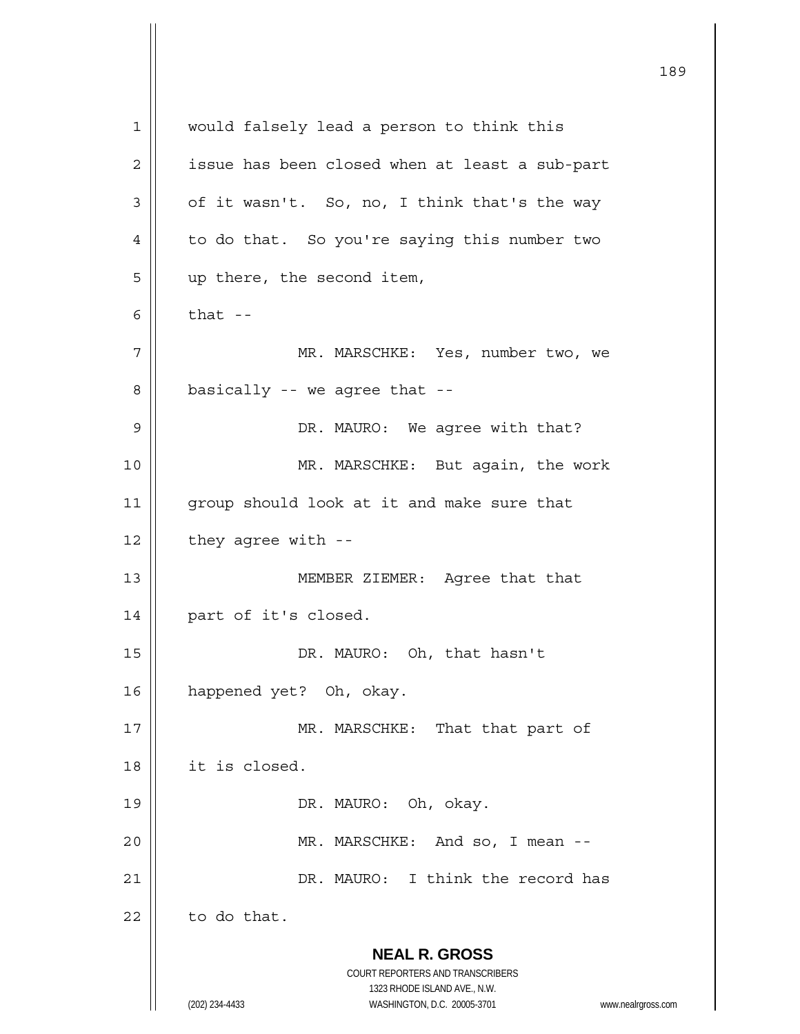**NEAL R. GROSS** COURT REPORTERS AND TRANSCRIBERS 1323 RHODE ISLAND AVE., N.W. (202) 234-4433 WASHINGTON, D.C. 20005-3701 www.nealrgross.com 1 || would falsely lead a person to think this  $2 \parallel$  issue has been closed when at least a sub-part  $3 \parallel$  of it wasn't. So, no, I think that's the way 4 | to do that. So you're saying this number two  $5 \parallel$  up there, the second item,  $6 \parallel$  that  $-$ 7 MR. MARSCHKE: Yes, number two, we  $8 \parallel$  basically -- we agree that --9 DR. MAURO: We agree with that? 10 || MR. MARSCHKE: But again, the work 11 || group should look at it and make sure that  $12$  | they agree with --13 MEMBER ZIEMER: Agree that that 14 | part of it's closed. 15 || DR. MAURO: Oh, that hasn't 16 happened yet? Oh, okay. 17 || MR. MARSCHKE: That that part of 18 it is closed. 19 || DR. MAURO: Oh, okay. 20 MR. MARSCHKE: And so, I mean -- 21 | NR. MAURO: I think the record has  $22$  | to do that.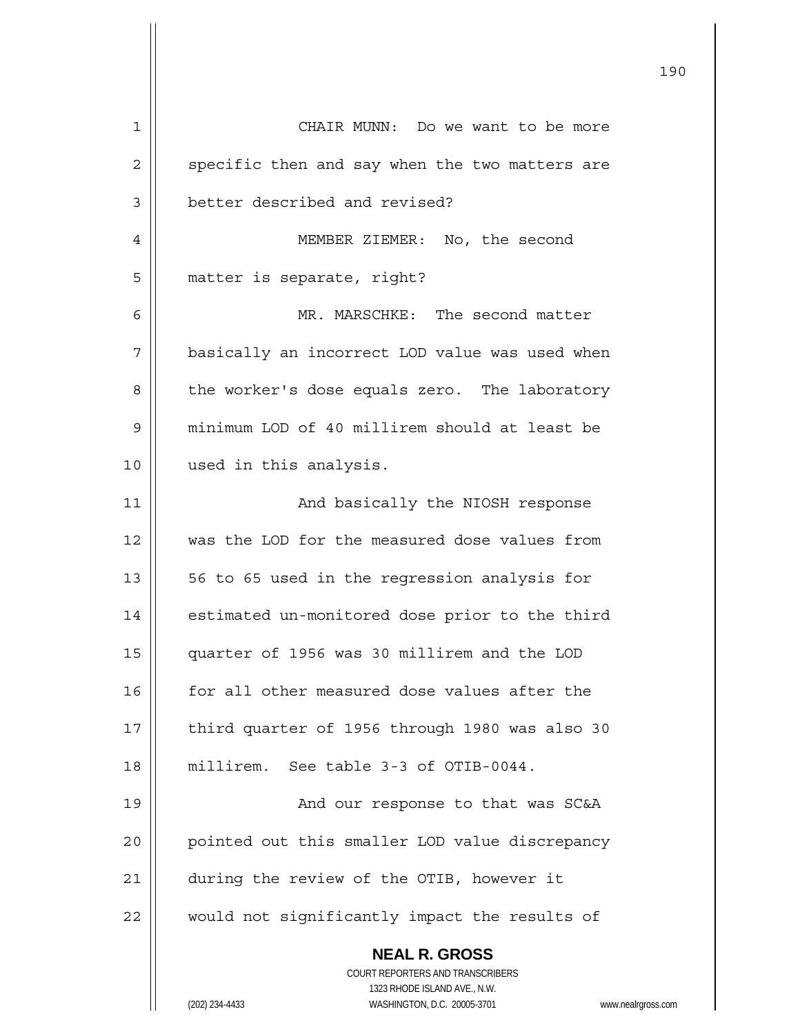| 1  | CHAIR MUNN: Do we want to be more                                   |
|----|---------------------------------------------------------------------|
| 2  | specific then and say when the two matters are                      |
| 3  | better described and revised?                                       |
| 4  | MEMBER ZIEMER: No, the second                                       |
| 5  | matter is separate, right?                                          |
| 6  | MR. MARSCHKE: The second matter                                     |
| 7  | basically an incorrect LOD value was used when                      |
| 8  | the worker's dose equals zero. The laboratory                       |
| 9  | minimum LOD of 40 millirem should at least be                       |
| 10 | used in this analysis.                                              |
| 11 | And basically the NIOSH response                                    |
| 12 | was the LOD for the measured dose values from                       |
| 13 | 56 to 65 used in the regression analysis for                        |
| 14 | estimated un-monitored dose prior to the third                      |
| 15 | quarter of 1956 was 30 millirem and the LOD                         |
| 16 | for all other measured dose values after the                        |
| 17 | third quarter of 1956 through 1980 was also 30                      |
| 18 | millirem. See table 3-3 of OTIB-0044.                               |
| 19 | And our response to that was SC&A                                   |
| 20 | pointed out this smaller LOD value discrepancy                      |
| 21 | during the review of the OTIB, however it                           |
| 22 | would not significantly impact the results of                       |
|    | <b>NEAL R. GROSS</b>                                                |
|    | COURT REPORTERS AND TRANSCRIBERS                                    |
|    | 1323 RHODE ISLAND AVE., N.W.                                        |
|    | (202) 234-4433<br>WASHINGTON, D.C. 20005-3701<br>www.nealrgross.com |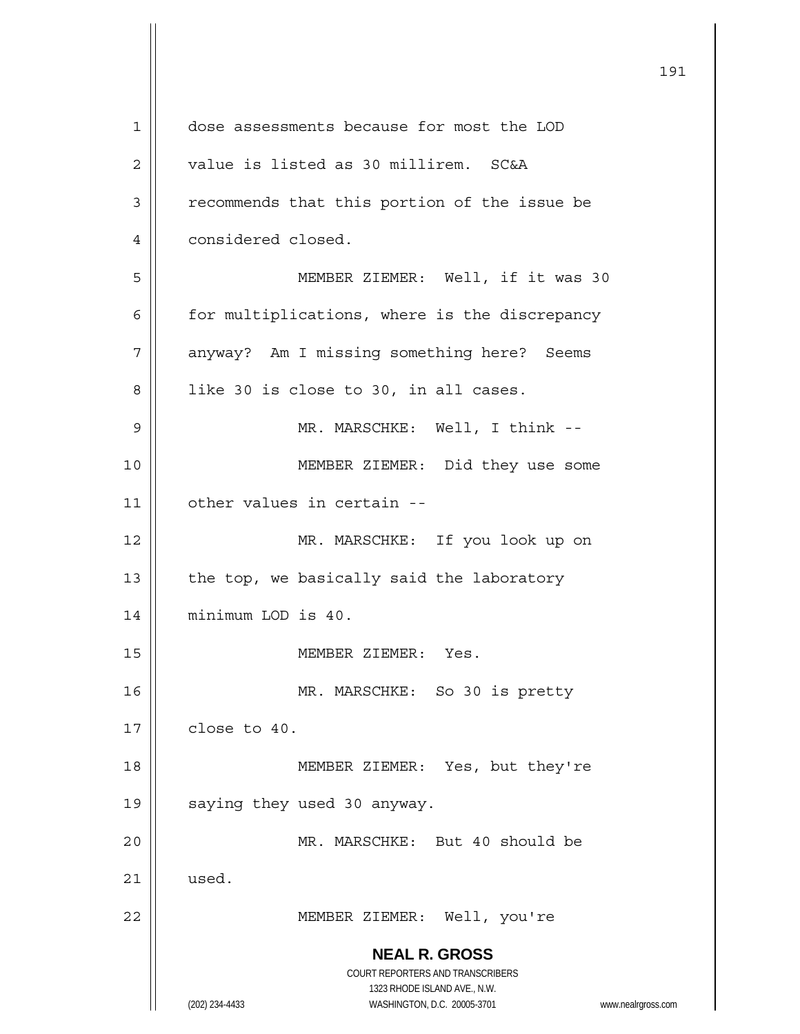**NEAL R. GROSS** COURT REPORTERS AND TRANSCRIBERS 1323 RHODE ISLAND AVE., N.W. (202) 234-4433 WASHINGTON, D.C. 20005-3701 www.nealrgross.com 1 dose assessments because for most the LOD 2 | value is listed as 30 millirem. SC&A 3 | recommends that this portion of the issue be 4 | considered closed. 5 || MEMBER ZIEMER: Well, if it was 30  $6$  | for multiplications, where is the discrepancy 7 | anyway? Am I missing something here? Seems  $8$  | like 30 is close to 30, in all cases. 9 MR. MARSCHKE: Well, I think -- 10 || MEMBER ZIEMER: Did they use some 11 other values in certain -- 12 || MR. MARSCHKE: If you look up on  $13$  | the top, we basically said the laboratory 14 | minimum LOD is 40. 15 | MEMBER ZIEMER: Yes. 16 || MR. MARSCHKE: So 30 is pretty  $17$   $\parallel$  close to 40. 18 MEMBER ZIEMER: Yes, but they're 19 || saying they used 30 anyway. 20 MR. MARSCHKE: But 40 should be  $21 \parallel$  used. 22 MEMBER ZIEMER: Well, you're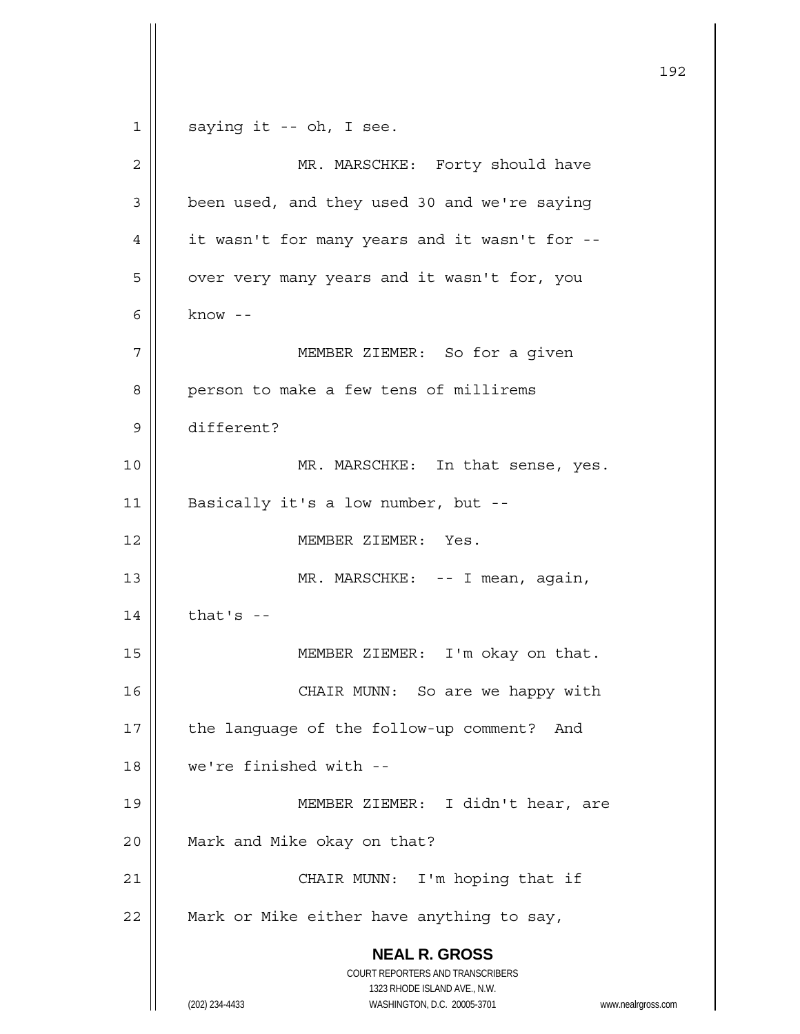```
 NEAL R. GROSS
                        COURT REPORTERS AND TRANSCRIBERS 
                          1323 RHODE ISLAND AVE., N.W. 
      (202) 234-4433 WASHINGTON, D.C. 20005-3701 www.nealrgross.com 
1 \parallel saying it -- oh, I see.
 2 || MR. MARSCHKE: Forty should have
3 | been used, and they used 30 and we're saying
 4 \parallel it wasn't for many years and it wasn't for --
 5 | | over very many years and it wasn't for, you
6 know -7 MEMBER ZIEMER: So for a given 
 8 | person to make a few tens of millirems
 9 different? 
10 || MR. MARSCHKE: In that sense, yes.
11 || Basically it's a low number, but --
12 MEMBER ZIEMER: Yes. 
13 || MR. MARSCHKE: -- I mean, again,
14 | that's -15 ||               MEMBER ZIEMER: I'm okay on that.
16 || CHAIR MUNN: So are we happy with
17 || the language of the follow-up comment? And
18 we're finished with -- 
19 ||                 MEMBER ZIEMER: I didn't hear, are
20 | Mark and Mike okay on that?
21 || CHAIR MUNN: I'm hoping that if
22 \parallel Mark or Mike either have anything to say,
```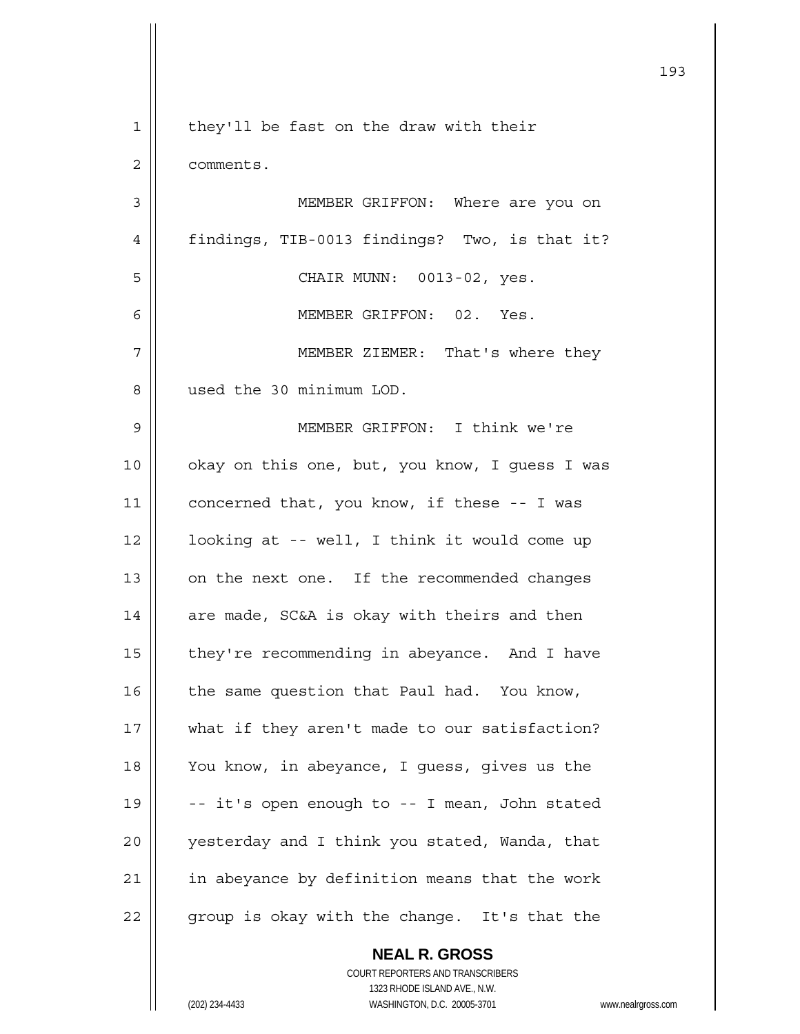|    |                                                | 193 |
|----|------------------------------------------------|-----|
| 1  | they'll be fast on the draw with their         |     |
| 2  | comments.                                      |     |
| 3  | MEMBER GRIFFON: Where are you on               |     |
| 4  | findings, TIB-0013 findings? Two, is that it?  |     |
| 5  | CHAIR MUNN: 0013-02, yes.                      |     |
| 6  | MEMBER GRIFFON: 02. Yes.                       |     |
| 7  | MEMBER ZIEMER: That's where they               |     |
| 8  | used the 30 minimum LOD.                       |     |
| 9  | MEMBER GRIFFON: I think we're                  |     |
| 10 | okay on this one, but, you know, I guess I was |     |
| 11 | concerned that, you know, if these -- I was    |     |
| 12 | looking at -- well, I think it would come up   |     |
| 13 | on the next one. If the recommended changes    |     |
| 14 | are made, SC&A is okay with theirs and then    |     |
| 15 | they're recommending in abeyance. And I have   |     |
| 16 | the same question that Paul had. You know,     |     |
| 17 | what if they aren't made to our satisfaction?  |     |
| 18 | You know, in abeyance, I guess, gives us the   |     |
| 19 | -- it's open enough to -- I mean, John stated  |     |
| 20 | yesterday and I think you stated, Wanda, that  |     |
| 21 | in abeyance by definition means that the work  |     |
| 22 | group is okay with the change. It's that the   |     |
|    | <b>NEAL R. GROSS</b>                           |     |

 COURT REPORTERS AND TRANSCRIBERS 1323 RHODE ISLAND AVE., N.W. (202) 234-4433 WASHINGTON, D.C. 20005-3701 www.nealrgross.com

 $\mathsf{II}$ 

 $\mathsf{I}$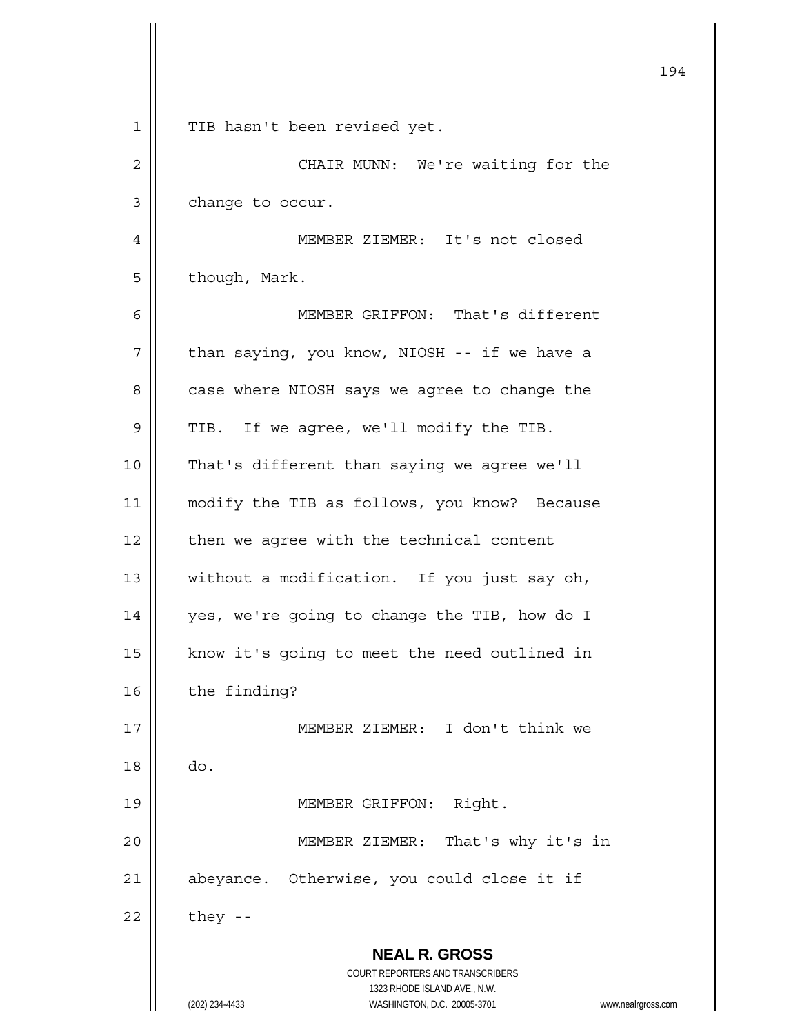|    |                                                                     | 194 |
|----|---------------------------------------------------------------------|-----|
| 1  | TIB hasn't been revised yet.                                        |     |
| 2  | CHAIR MUNN: We're waiting for the                                   |     |
| 3  | change to occur.                                                    |     |
| 4  | MEMBER ZIEMER: It's not closed                                      |     |
| 5  | though, Mark.                                                       |     |
| 6  | MEMBER GRIFFON: That's different                                    |     |
| 7  | than saying, you know, NIOSH -- if we have a                        |     |
| 8  | case where NIOSH says we agree to change the                        |     |
| 9  | TIB. If we agree, we'll modify the TIB.                             |     |
| 10 | That's different than saying we agree we'll                         |     |
| 11 | modify the TIB as follows, you know? Because                        |     |
| 12 | then we agree with the technical content                            |     |
| 13 | without a modification. If you just say oh,                         |     |
| 14 | yes, we're going to change the TIB, how do I                        |     |
| 15 | know it's going to meet the need outlined in                        |     |
| 16 | the finding?                                                        |     |
| 17 | MEMBER ZIEMER: I don't think we                                     |     |
| 18 | do.                                                                 |     |
| 19 | MEMBER GRIFFON:<br>Right.                                           |     |
| 20 | That's why it's in<br>MEMBER ZIEMER:                                |     |
| 21 | abeyance. Otherwise, you could close it if                          |     |
| 22 | they --                                                             |     |
|    | <b>NEAL R. GROSS</b>                                                |     |
|    | COURT REPORTERS AND TRANSCRIBERS<br>1323 RHODE ISLAND AVE., N.W.    |     |
|    | (202) 234-4433<br>WASHINGTON, D.C. 20005-3701<br>www.nealrgross.com |     |

 $\parallel$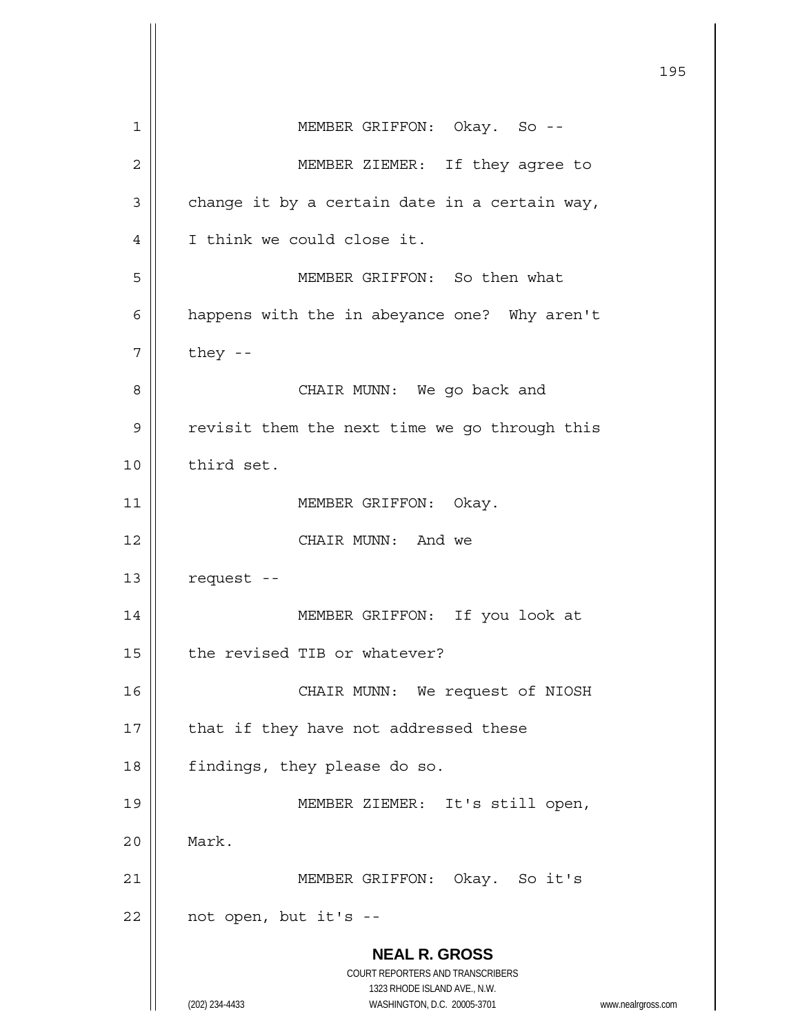**NEAL R. GROSS** COURT REPORTERS AND TRANSCRIBERS 1323 RHODE ISLAND AVE., N.W. (202) 234-4433 WASHINGTON, D.C. 20005-3701 www.nealrgross.com 195 1 || MEMBER GRIFFON: Okay. So --2 || MEMBER ZIEMER: If they agree to  $3 \parallel$  change it by a certain date in a certain way, 4 | I think we could close it. 5 MEMBER GRIFFON: So then what 6 | happens with the in abeyance one? Why aren't  $7 \parallel$  they --8 CHAIR MUNN: We go back and 9 | revisit them the next time we go through this 10 | third set. 11 || MEMBER GRIFFON: Okay. 12 CHAIR MUNN: And we  $13$   $\parallel$  request --14 MEMBER GRIFFON: If you look at 15 | the revised TIB or whatever? 16 || CHAIR MUNN: We request of NIOSH  $17$  | that if they have not addressed these 18 | findings, they please do so. 19 || MEMBER ZIEMER: It's still open, 20 Mark. 21 MEMBER GRIFFON: Okay. So it's  $22$  | not open, but it's --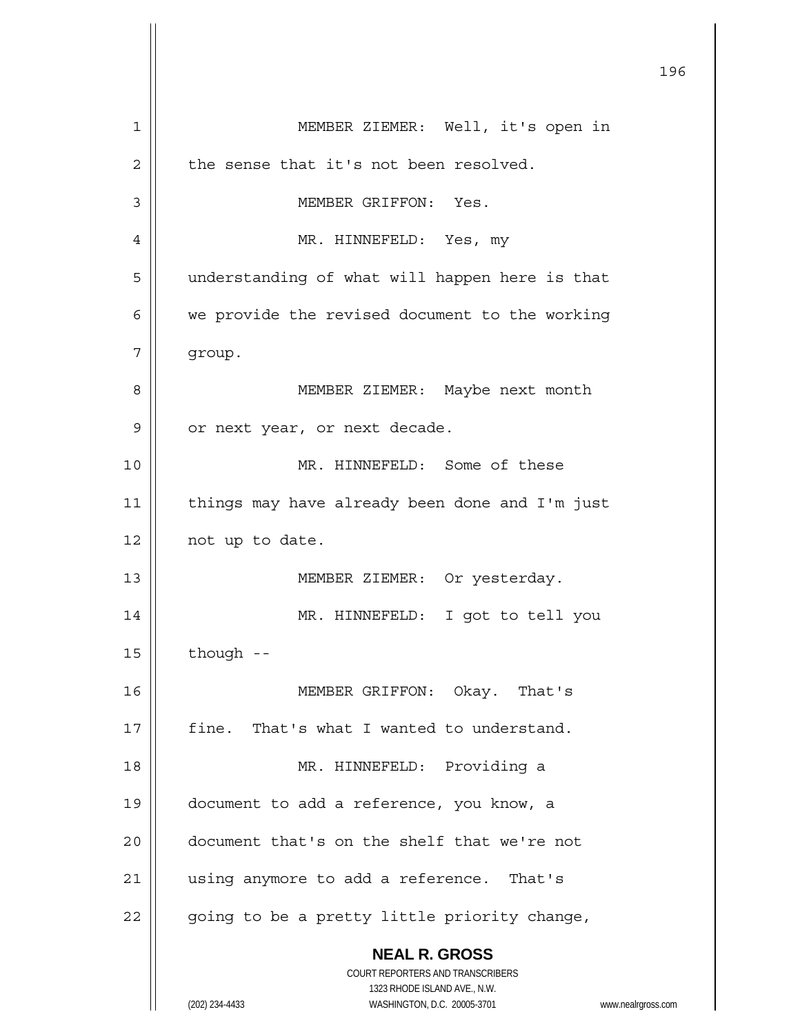|    | 196                                                                 |
|----|---------------------------------------------------------------------|
| 1  | MEMBER ZIEMER: Well, it's open in                                   |
| 2  | the sense that it's not been resolved.                              |
| 3  | MEMBER GRIFFON: Yes.                                                |
| 4  | MR. HINNEFELD: Yes, my                                              |
| 5  | understanding of what will happen here is that                      |
| 6  | we provide the revised document to the working                      |
| 7  | group.                                                              |
| 8  | MEMBER ZIEMER: Maybe next month                                     |
| 9  | or next year, or next decade.                                       |
| 10 | MR. HINNEFELD: Some of these                                        |
| 11 | things may have already been done and I'm just                      |
| 12 | not up to date.                                                     |
| 13 | MEMBER ZIEMER: Or yesterday.                                        |
| 14 | MR. HINNEFELD: I got to tell you                                    |
| 15 | though --                                                           |
| 16 | MEMBER GRIFFON: Okay. That's                                        |
| 17 | fine. That's what I wanted to understand.                           |
| 18 | MR. HINNEFELD: Providing a                                          |
| 19 | document to add a reference, you know, a                            |
| 20 | document that's on the shelf that we're not                         |
| 21 | using anymore to add a reference. That's                            |
| 22 | going to be a pretty little priority change,                        |
|    | <b>NEAL R. GROSS</b>                                                |
|    | COURT REPORTERS AND TRANSCRIBERS<br>1323 RHODE ISLAND AVE., N.W.    |
|    | (202) 234-4433<br>WASHINGTON, D.C. 20005-3701<br>www.nealrgross.com |

 $\mathsf{I}$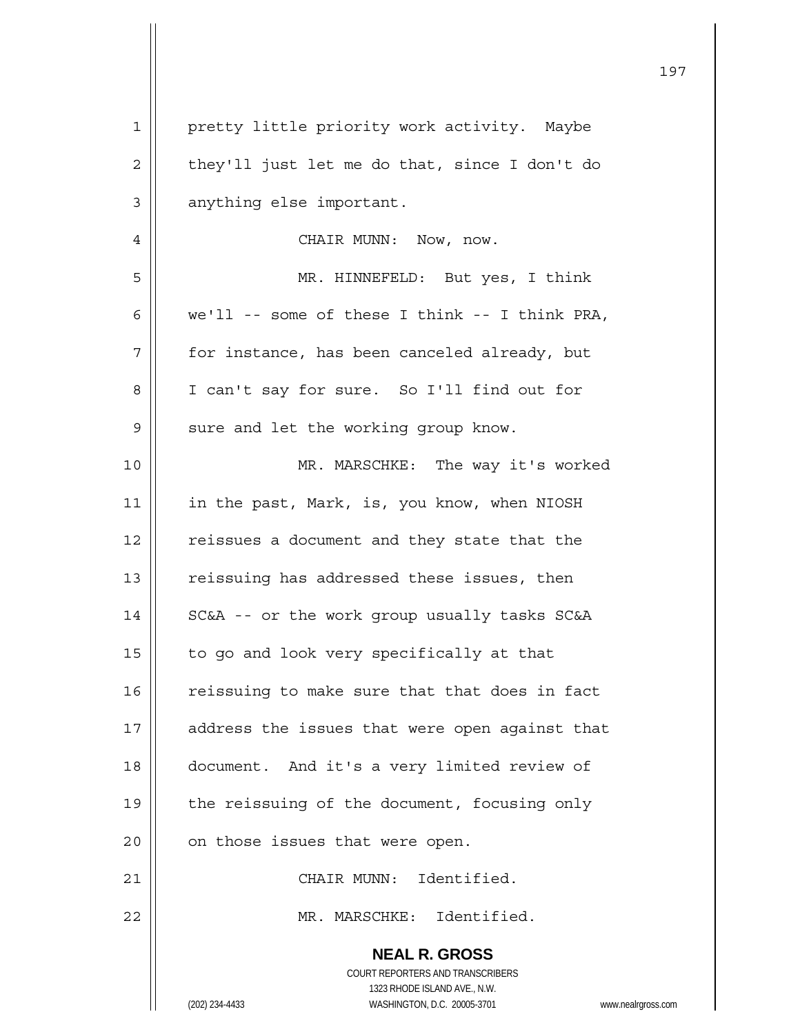| $\mathbf 1$    | pretty little priority work activity. Maybe                             |
|----------------|-------------------------------------------------------------------------|
| $\overline{c}$ | they'll just let me do that, since I don't do                           |
| 3              | anything else important.                                                |
| 4              | CHAIR MUNN: Now, now.                                                   |
| 5              | MR. HINNEFELD: But yes, I think                                         |
| 6              | $we'll -- some of these I think -- I think PRA,$                        |
| 7              | for instance, has been canceled already, but                            |
| 8              | I can't say for sure. So I'll find out for                              |
| $\mathsf 9$    | sure and let the working group know.                                    |
| 10             | MR. MARSCHKE: The way it's worked                                       |
| 11             | in the past, Mark, is, you know, when NIOSH                             |
| 12             | reissues a document and they state that the                             |
| 13             | reissuing has addressed these issues, then                              |
| 14             | SC&A -- or the work group usually tasks SC&A                            |
| 15             | to go and look very specifically at that                                |
| 16             | reissuing to make sure that that does in fact                           |
| 17             | address the issues that were open against that                          |
| 18             | document. And it's a very limited review of                             |
| 19             | the reissuing of the document, focusing only                            |
| 20             | on those issues that were open.                                         |
| 21             | CHAIR MUNN: Identified.                                                 |
| 22             | MR. MARSCHKE: Identified.                                               |
|                | <b>NEAL R. GROSS</b>                                                    |
|                | <b>COURT REPORTERS AND TRANSCRIBERS</b><br>1323 RHODE ISLAND AVE., N.W. |
|                | (202) 234-4433<br>WASHINGTON, D.C. 20005-3701<br>www.nealrgross.com     |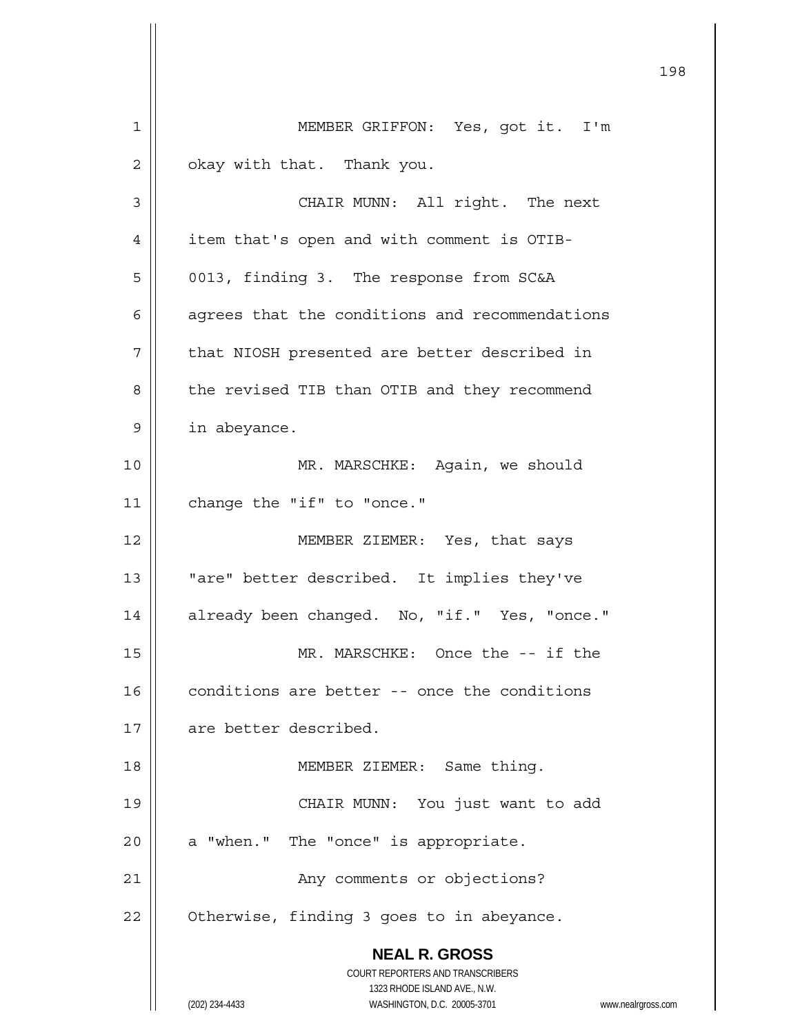**NEAL R. GROSS** COURT REPORTERS AND TRANSCRIBERS 1323 RHODE ISLAND AVE., N.W. (202) 234-4433 WASHINGTON, D.C. 20005-3701 www.nealrgross.com 1 | MEMBER GRIFFON: Yes, got it. I'm  $2 \parallel$  okay with that. Thank you. 3 || CHAIR MUNN: All right. The next 4 | item that's open and with comment is OTIB-5 | 0013, finding 3. The response from SC&A  $6$  | agrees that the conditions and recommendations  $7$  | that NIOSH presented are better described in 8 | the revised TIB than OTIB and they recommend 9 | in abeyance. 10 MR. MARSCHKE: Again, we should 11 | change the "if" to "once." 12 MEMBER ZIEMER: Yes, that says 13 || "are" better described. It implies they've 14 | already been changed. No, "if." Yes, "once." 15 || MR. MARSCHKE: Once the -- if the  $16$   $\parallel$  conditions are better -- once the conditions 17 | are better described. 18 || MEMBER ZIEMER: Same thing. 19 CHAIR MUNN: You just want to add  $20$  | a "when." The "once" is appropriate. 21 | Any comments or objections?  $22 \parallel$  Otherwise, finding 3 goes to in abeyance.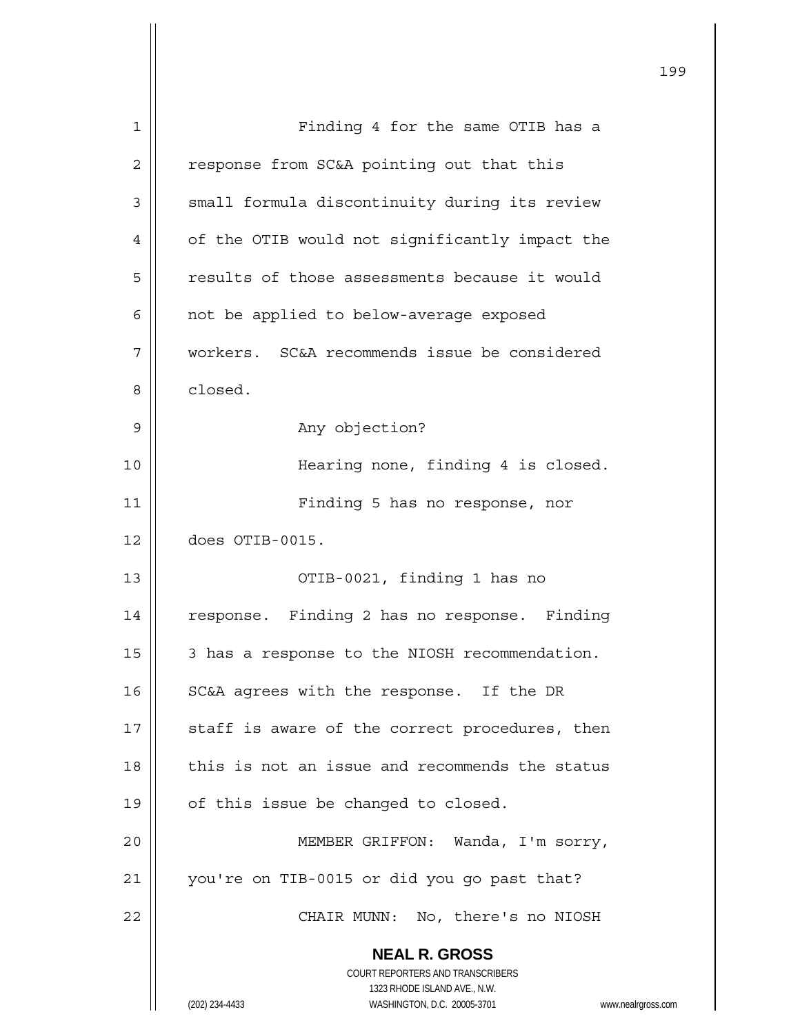| $\mathbf{1}$   | Finding 4 for the same OTIB has a                                                                   |
|----------------|-----------------------------------------------------------------------------------------------------|
| $\overline{2}$ | response from SC&A pointing out that this                                                           |
| 3              | small formula discontinuity during its review                                                       |
| 4              | of the OTIB would not significantly impact the                                                      |
| 5              | results of those assessments because it would                                                       |
| 6              | not be applied to below-average exposed                                                             |
| 7              | workers. SC&A recommends issue be considered                                                        |
| 8              | closed.                                                                                             |
| 9              | Any objection?                                                                                      |
| 10             | Hearing none, finding 4 is closed.                                                                  |
| 11             | Finding 5 has no response, nor                                                                      |
| 12             | does OTIB-0015.                                                                                     |
| 13             | OTIB-0021, finding 1 has no                                                                         |
| 14             | response. Finding 2 has no response. Finding                                                        |
| 15             | 3 has a response to the NIOSH recommendation.                                                       |
| 16             | SC&A agrees with the response. If the DR                                                            |
| 17             | staff is aware of the correct procedures, then                                                      |
| 18             | this is not an issue and recommends the status                                                      |
| 19             | of this issue be changed to closed.                                                                 |
| 20             | MEMBER GRIFFON: Wanda, I'm sorry,                                                                   |
| 21             | you're on TIB-0015 or did you go past that?                                                         |
| 22             | CHAIR MUNN: No, there's no NIOSH                                                                    |
|                | <b>NEAL R. GROSS</b>                                                                                |
|                | COURT REPORTERS AND TRANSCRIBERS                                                                    |
|                | 1323 RHODE ISLAND AVE., N.W.<br>(202) 234-4433<br>WASHINGTON, D.C. 20005-3701<br>www.nealrgross.com |
|                |                                                                                                     |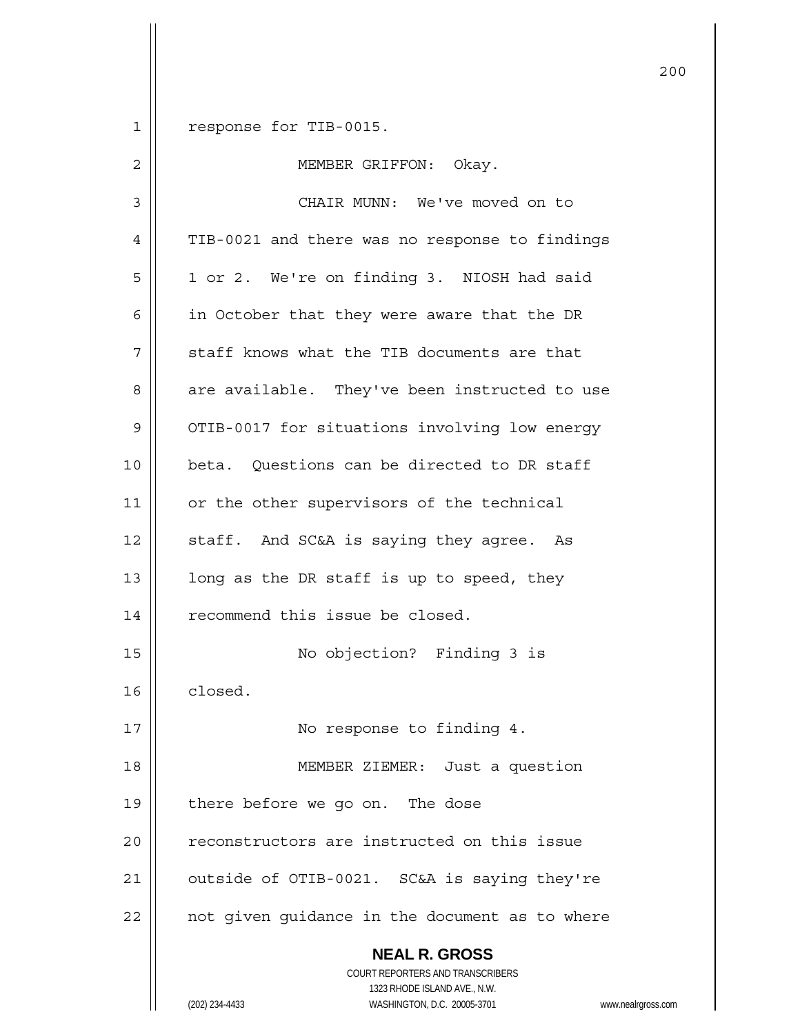1 response for TIB-0015.

| $\overline{2}$ | MEMBER GRIFFON: Okay.                                                                                                                                                  |
|----------------|------------------------------------------------------------------------------------------------------------------------------------------------------------------------|
| 3              | CHAIR MUNN: We've moved on to                                                                                                                                          |
| 4              | TIB-0021 and there was no response to findings                                                                                                                         |
| 5              | 1 or 2. We're on finding 3. NIOSH had said                                                                                                                             |
| 6              | in October that they were aware that the DR                                                                                                                            |
| 7              | staff knows what the TIB documents are that                                                                                                                            |
| 8              | are available. They've been instructed to use                                                                                                                          |
| 9              | OTIB-0017 for situations involving low energy                                                                                                                          |
| 10             | beta. Questions can be directed to DR staff                                                                                                                            |
| 11             | or the other supervisors of the technical                                                                                                                              |
| 12             | staff. And SC&A is saying they agree. As                                                                                                                               |
| 13             | long as the DR staff is up to speed, they                                                                                                                              |
| 14             | recommend this issue be closed.                                                                                                                                        |
| 15             | No objection? Finding 3 is                                                                                                                                             |
| 16             | closed.                                                                                                                                                                |
| 17             | No response to finding 4.                                                                                                                                              |
| 18             | MEMBER ZIEMER: Just a question                                                                                                                                         |
| 19             | there before we go on. The dose                                                                                                                                        |
| 20             | reconstructors are instructed on this issue                                                                                                                            |
| 21             | outside of OTIB-0021. SC&A is saying they're                                                                                                                           |
| 22             | not given guidance in the document as to where                                                                                                                         |
|                | <b>NEAL R. GROSS</b><br><b>COURT REPORTERS AND TRANSCRIBERS</b><br>1323 RHODE ISLAND AVE., N.W.<br>WASHINGTON, D.C. 20005-3701<br>(202) 234-4433<br>www.nealrgross.com |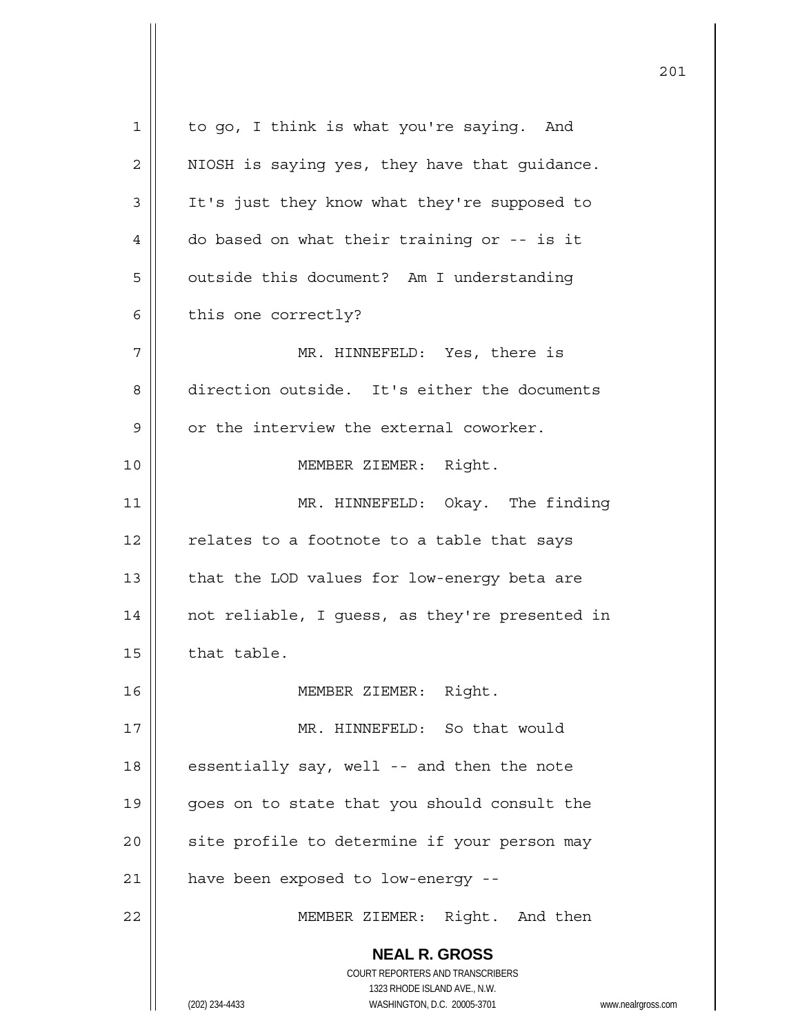| $\mathbf{1}$ | to go, I think is what you're saying. And                           |
|--------------|---------------------------------------------------------------------|
| 2            | NIOSH is saying yes, they have that guidance.                       |
| 3            | It's just they know what they're supposed to                        |
| 4            | do based on what their training or -- is it                         |
| 5            | outside this document? Am I understanding                           |
| 6            | this one correctly?                                                 |
| 7            | MR. HINNEFELD: Yes, there is                                        |
| 8            | direction outside. It's either the documents                        |
| 9            | or the interview the external coworker.                             |
| 10           | MEMBER ZIEMER: Right.                                               |
| 11           | MR. HINNEFELD: Okay. The finding                                    |
| 12           | relates to a footnote to a table that says                          |
| 13           | that the LOD values for low-energy beta are                         |
| 14           | not reliable, I guess, as they're presented in                      |
| 15           | that table.                                                         |
| 16           | MEMBER ZIEMER: Right.                                               |
| 17           | MR. HINNEFELD: So that would                                        |
| 18           | essentially say, well -- and then the note                          |
| 19           | goes on to state that you should consult the                        |
| 20           | site profile to determine if your person may                        |
| 21           |                                                                     |
|              | have been exposed to low-energy --                                  |
| 22           | MEMBER ZIEMER: Right. And then                                      |
|              | <b>NEAL R. GROSS</b>                                                |
|              | COURT REPORTERS AND TRANSCRIBERS<br>1323 RHODE ISLAND AVE., N.W.    |
|              | WASHINGTON, D.C. 20005-3701<br>(202) 234-4433<br>www.nealrgross.com |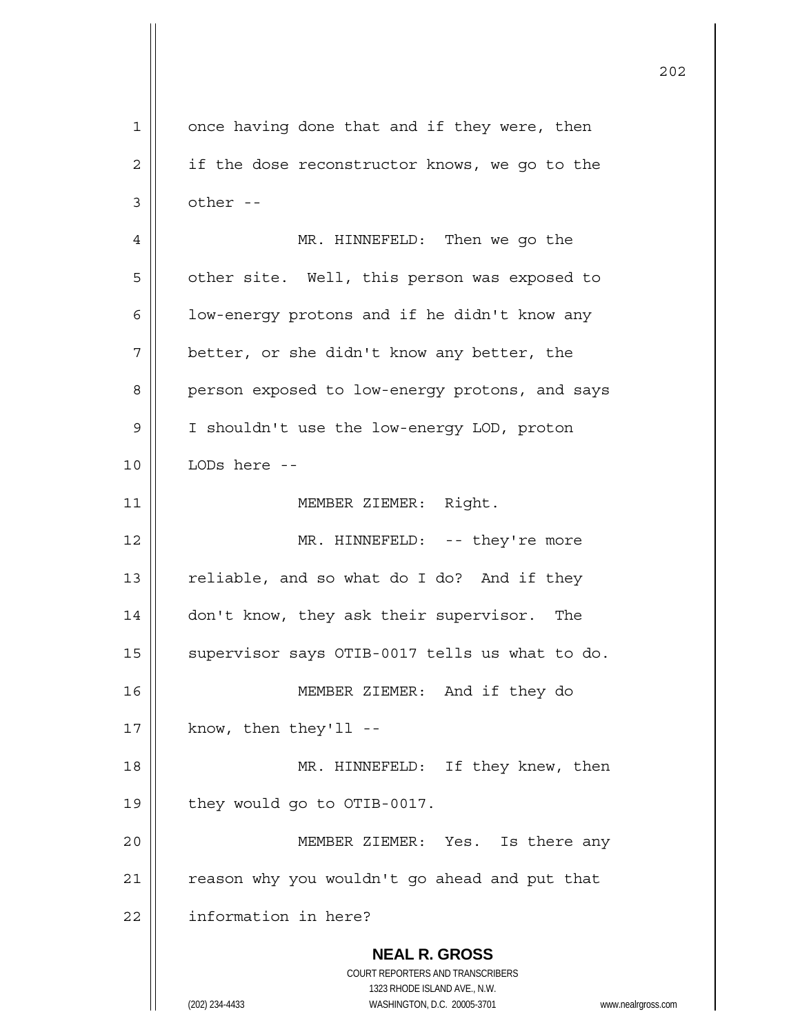**NEAL R. GROSS** COURT REPORTERS AND TRANSCRIBERS 1323 RHODE ISLAND AVE., N.W. (202) 234-4433 WASHINGTON, D.C. 20005-3701 www.nealrgross.com 1 || once having done that and if they were, then 2 | if the dose reconstructor knows, we go to the  $3 \parallel$  other --4 MR. HINNEFELD: Then we go the 5 | other site. Well, this person was exposed to  $6$  | low-energy protons and if he didn't know any  $7$  | better, or she didn't know any better, the 8 | person exposed to low-energy protons, and says 9 | I shouldn't use the low-energy LOD, proton 10 LODs here -- 11 || MEMBER ZIEMER: Right. 12 || MR. HINNEFELD: -- they're more 13  $\parallel$  reliable, and so what do I do? And if they 14 don't know, they ask their supervisor. The 15 | supervisor says OTIB-0017 tells us what to do. 16 MEMBER ZIEMER: And if they do  $17$  || know, then they'll --18 || MR. HINNEFELD: If they knew, then 19 | they would go to OTIB-0017. 20 MEMBER ZIEMER: Yes. Is there any  $21$  | reason why you wouldn't go ahead and put that 22 | information in here?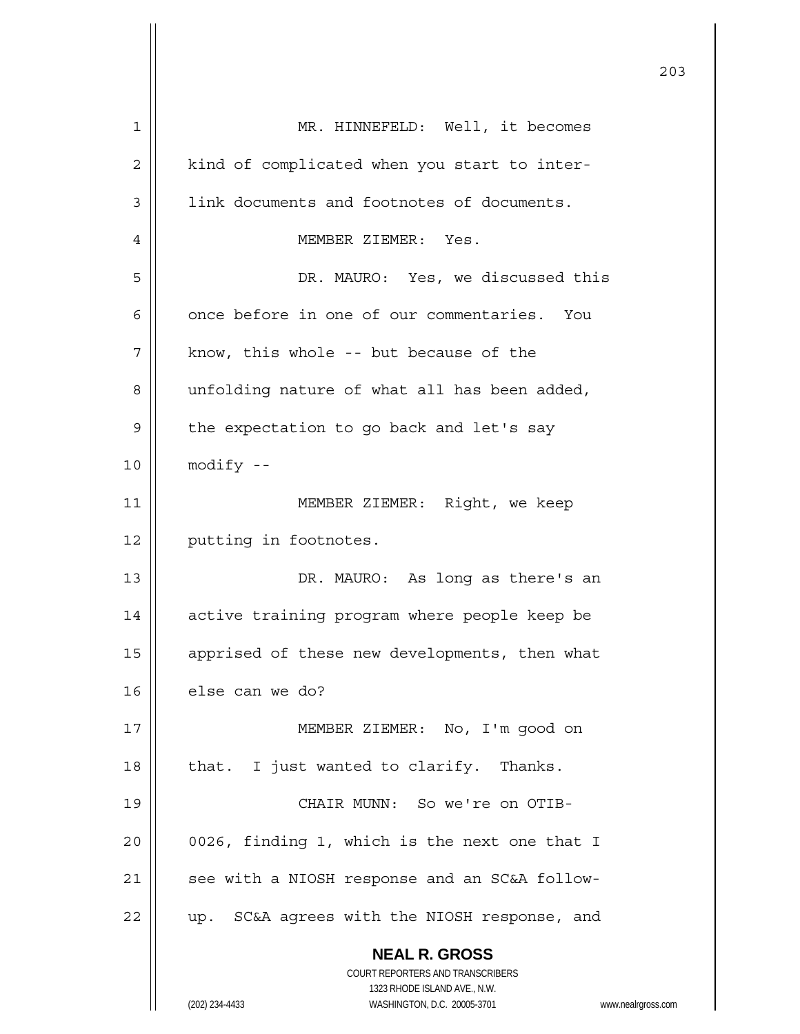| 1  | MR. HINNEFELD: Well, it becomes                                         |
|----|-------------------------------------------------------------------------|
| 2  | kind of complicated when you start to inter-                            |
| 3  | link documents and footnotes of documents.                              |
| 4  | MEMBER ZIEMER: Yes.                                                     |
| 5  | DR. MAURO: Yes, we discussed this                                       |
| 6  | once before in one of our commentaries. You                             |
| 7  | know, this whole -- but because of the                                  |
| 8  | unfolding nature of what all has been added,                            |
| 9  | the expectation to go back and let's say                                |
| 10 | $modify - -$                                                            |
| 11 | MEMBER ZIEMER: Right, we keep                                           |
| 12 | putting in footnotes.                                                   |
| 13 | DR. MAURO: As long as there's an                                        |
| 14 | active training program where people keep be                            |
| 15 | apprised of these new developments, then what                           |
| 16 | else can we do?                                                         |
| 17 | MEMBER ZIEMER: No, I'm good on                                          |
| 18 | that. I just wanted to clarify. Thanks.                                 |
| 19 | CHAIR MUNN: So we're on OTIB-                                           |
| 20 | 0026, finding 1, which is the next one that I                           |
| 21 | see with a NIOSH response and an SC&A follow-                           |
| 22 | up. SC&A agrees with the NIOSH response, and                            |
|    | <b>NEAL R. GROSS</b>                                                    |
|    | <b>COURT REPORTERS AND TRANSCRIBERS</b><br>1323 RHODE ISLAND AVE., N.W. |
|    | (202) 234-4433<br>WASHINGTON, D.C. 20005-3701<br>www.nealrgross.com     |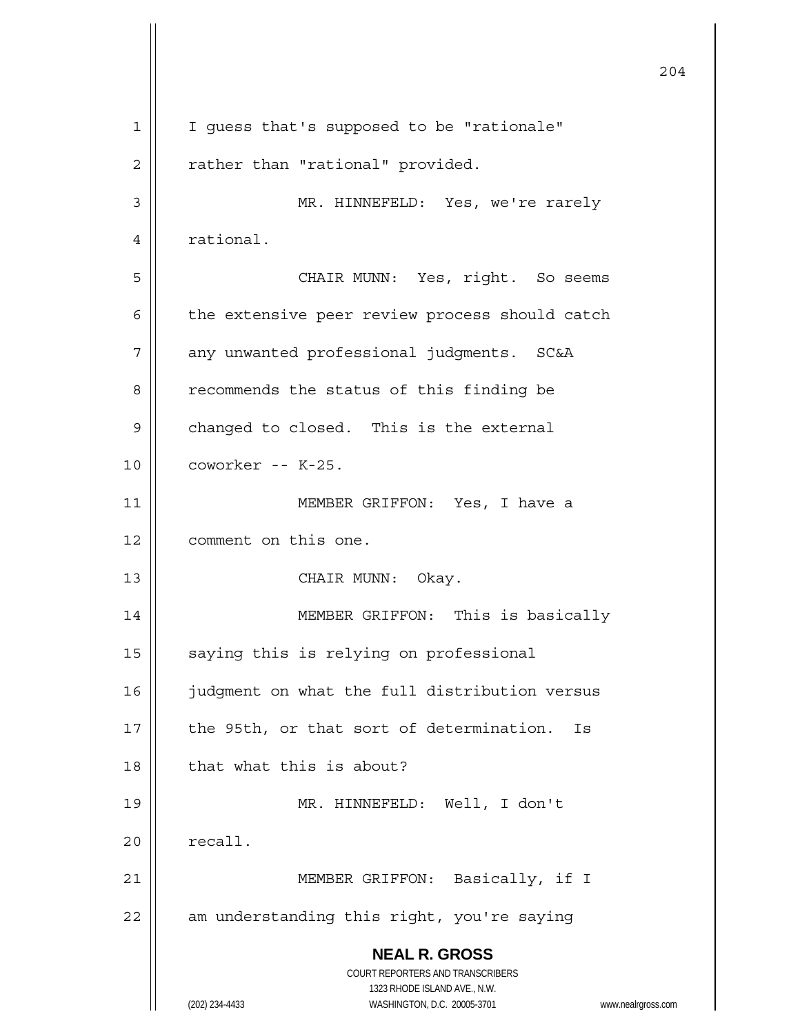**NEAL R. GROSS** COURT REPORTERS AND TRANSCRIBERS 1323 RHODE ISLAND AVE., N.W. (202) 234-4433 WASHINGTON, D.C. 20005-3701 www.nealrgross.com 204 1 | I guess that's supposed to be "rationale" 2 | rather than "rational" provided. 3 MR. HINNEFELD: Yes, we're rarely 4 | rational. 5 CHAIR MUNN: Yes, right. So seems  $6$  | the extensive peer review process should catch 7 | any unwanted professional judgments. SC&A 8 | recommends the status of this finding be  $9 \parallel$  changed to closed. This is the external 10 coworker -- K-25. 11 MEMBER GRIFFON: Yes, I have a 12 | comment on this one. 13 || CHAIR MUNN: Okay. 14 || MEMBER GRIFFON: This is basically  $15$   $\parallel$  saying this is relying on professional 16 | judgment on what the full distribution versus  $17$  || the 95th, or that sort of determination. Is 18 || that what this is about? 19 MR. HINNEFELD: Well, I don't  $20$   $\parallel$  recall. 21 || MEMBER GRIFFON: Basically, if I  $22$  || am understanding this right, you're saying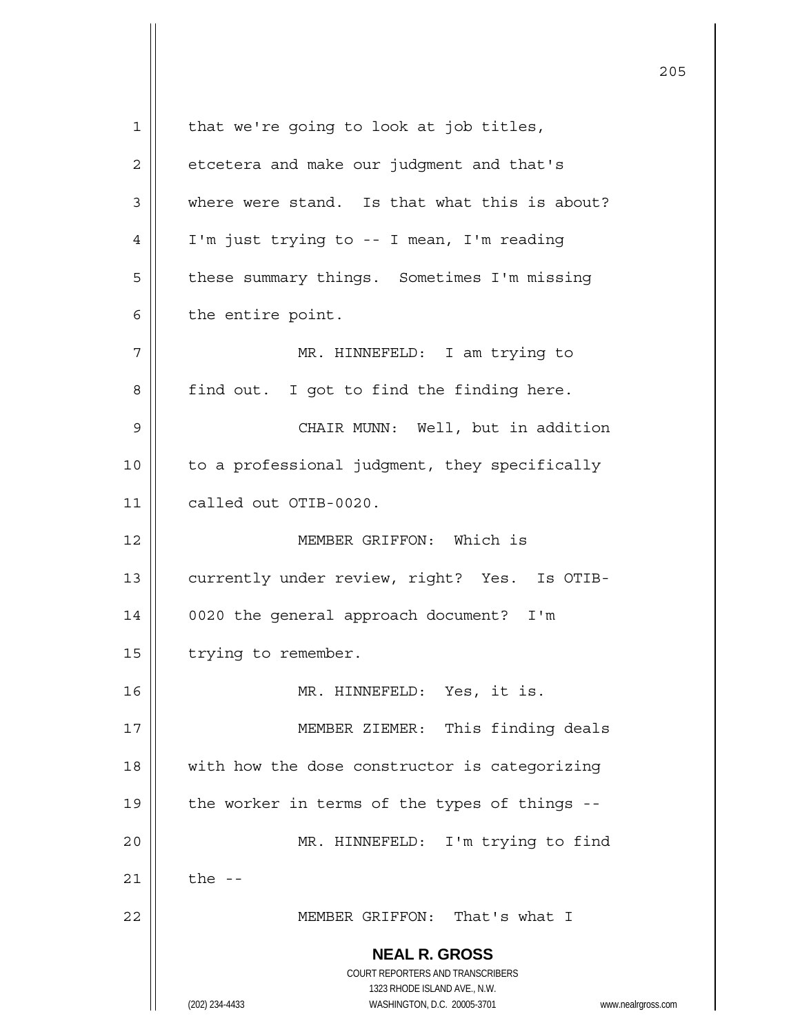**NEAL R. GROSS** COURT REPORTERS AND TRANSCRIBERS 1323 RHODE ISLAND AVE., N.W. (202) 234-4433 WASHINGTON, D.C. 20005-3701 www.nealrgross.com  $1 \parallel$  that we're going to look at job titles,  $2 \parallel$  etcetera and make our judgment and that's  $3 \parallel$  where were stand. Is that what this is about? 4 I'm just trying to -- I mean, I'm reading 5 | these summary things. Sometimes I'm missing  $6 \parallel$  the entire point. 7 || MR. HINNEFELD: I am trying to 8 | find out. I got to find the finding here. 9 CHAIR MUNN: Well, but in addition 10 | to a professional judgment, they specifically 11 called out OTIB-0020. 12 MEMBER GRIFFON: Which is 13 | currently under review, right? Yes. Is OTIB-14 0020 the general approach document? I'm 15 | trying to remember. 16 MR. HINNEFELD: Yes, it is. 17 || MEMBER ZIEMER: This finding deals 18 || with how the dose constructor is categorizing 19  $\parallel$  the worker in terms of the types of things --20 MR. HINNEFELD: I'm trying to find 21  $\parallel$  the --22 MEMBER GRIFFON: That's what I

<u>205</u>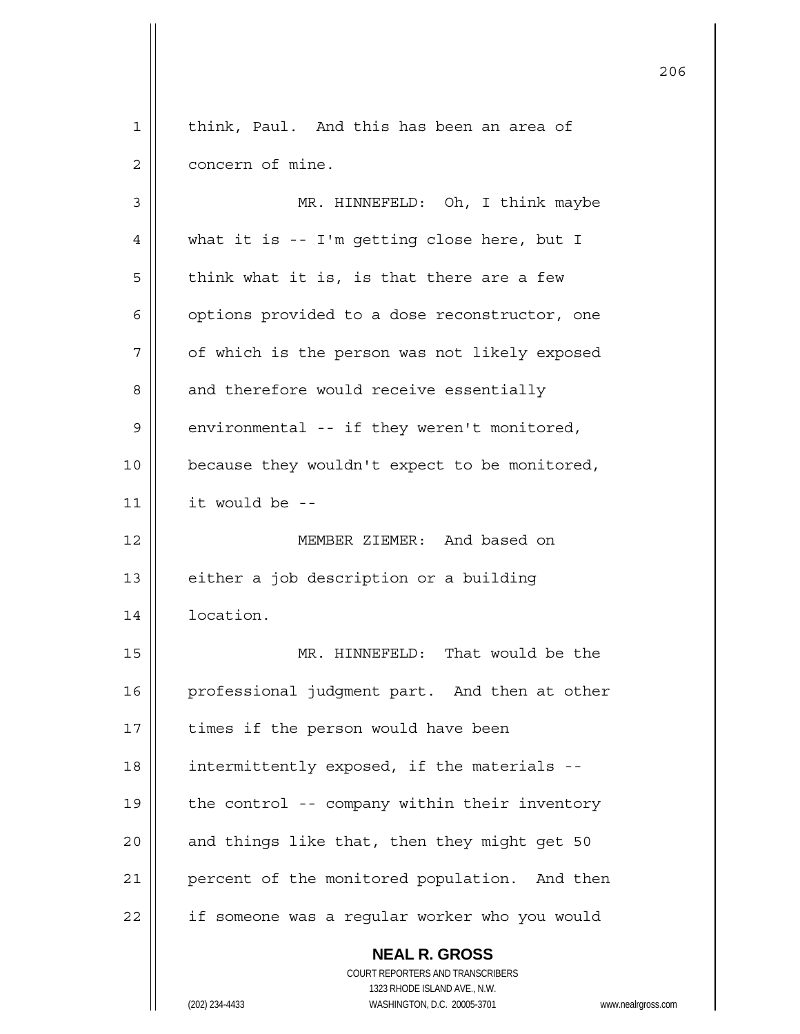| 1  | think, Paul. And this has been an area of                                                           |
|----|-----------------------------------------------------------------------------------------------------|
| 2  | concern of mine.                                                                                    |
| 3  | MR. HINNEFELD: Oh, I think maybe                                                                    |
| 4  | what it is -- I'm getting close here, but I                                                         |
| 5  | think what it is, is that there are a few                                                           |
| 6  | options provided to a dose reconstructor, one                                                       |
| 7  | of which is the person was not likely exposed                                                       |
| 8  | and therefore would receive essentially                                                             |
| 9  | environmental -- if they weren't monitored,                                                         |
| 10 | because they wouldn't expect to be monitored,                                                       |
| 11 | it would be --                                                                                      |
| 12 | MEMBER ZIEMER: And based on                                                                         |
| 13 | either a job description or a building                                                              |
| 14 | location.                                                                                           |
| 15 | MR. HINNEFELD: That would be the                                                                    |
| 16 | professional judgment part. And then at other                                                       |
| 17 | times if the person would have been                                                                 |
| 18 | intermittently exposed, if the materials --                                                         |
| 19 | the control -- company within their inventory                                                       |
| 20 | and things like that, then they might get 50                                                        |
| 21 | percent of the monitored population. And then                                                       |
| 22 | if someone was a regular worker who you would                                                       |
|    | <b>NEAL R. GROSS</b><br><b>COURT REPORTERS AND TRANSCRIBERS</b>                                     |
|    | 1323 RHODE ISLAND AVE., N.W.<br>(202) 234-4433<br>WASHINGTON, D.C. 20005-3701<br>www.nealrgross.com |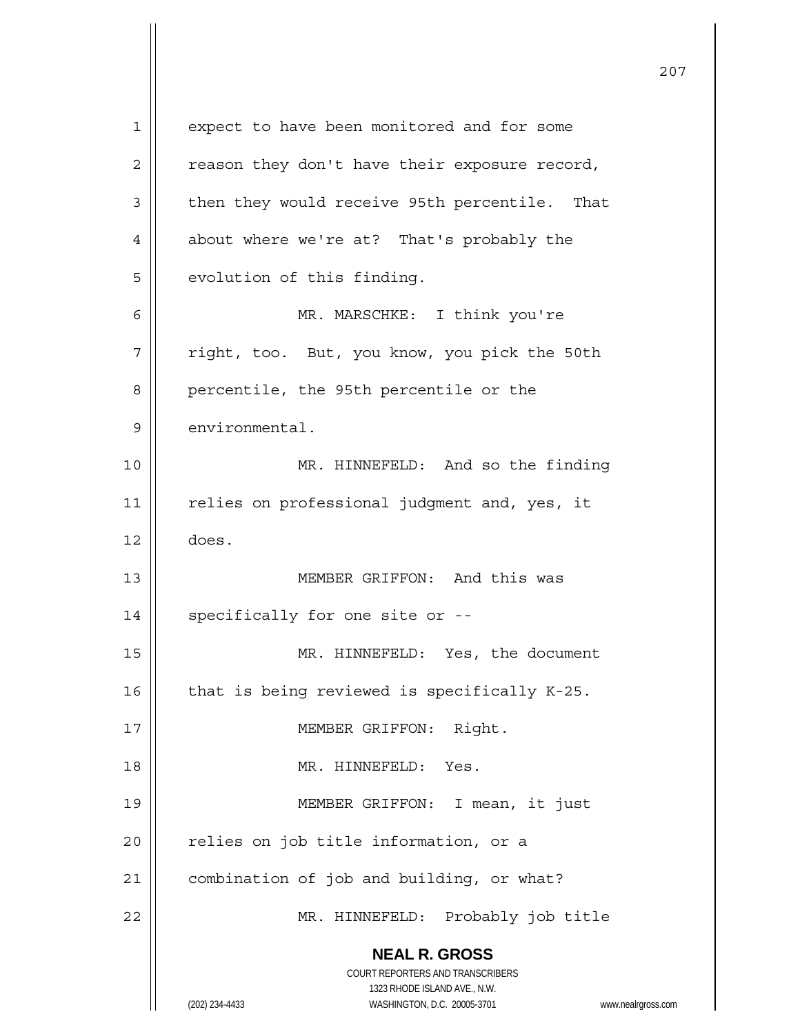**NEAL R. GROSS** COURT REPORTERS AND TRANSCRIBERS 1323 RHODE ISLAND AVE., N.W. (202) 234-4433 WASHINGTON, D.C. 20005-3701 www.nealrgross.com 1 | expect to have been monitored and for some  $2 \parallel$  reason they don't have their exposure record,  $3 \parallel$  then they would receive 95th percentile. That 4 | about where we're at? That's probably the  $5$  | evolution of this finding. 6 MR. MARSCHKE: I think you're 7 | right, too. But, you know, you pick the 50th 8 | percentile, the 95th percentile or the  $9$   $\parallel$  environmental. 10 || MR. HINNEFELD: And so the finding 11 || relies on professional judgment and, yes, it  $12 \parallel$  does. 13 MEMBER GRIFFON: And this was  $14$  | specifically for one site or  $-$ -15 || MR. HINNEFELD: Yes, the document 16  $\parallel$  that is being reviewed is specifically K-25. 17 || MEMBER GRIFFON: Right. 18 MR. HINNEFELD: Yes. 19 MEMBER GRIFFON: I mean, it just  $20$  | relies on job title information, or a 21 | combination of job and building, or what? 22 MR. HINNEFELD: Probably job title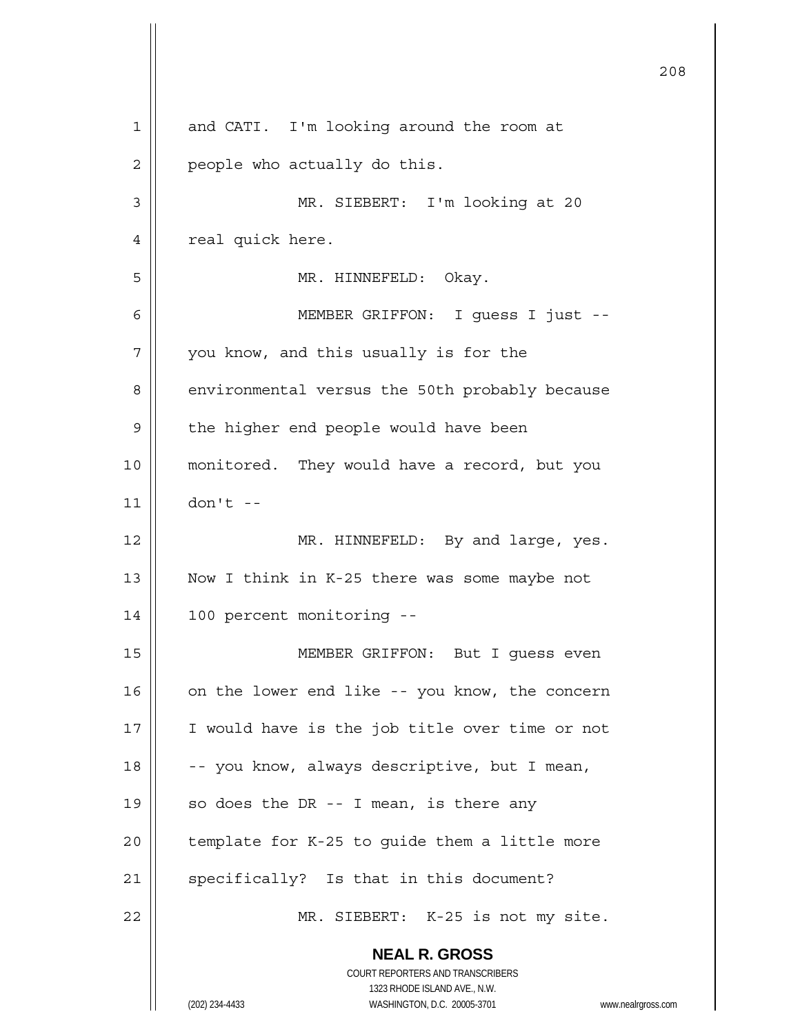|             | 208                                                                 |
|-------------|---------------------------------------------------------------------|
| $\mathbf 1$ | and CATI. I'm looking around the room at                            |
| 2           | people who actually do this.                                        |
| 3           | MR. SIEBERT: I'm looking at 20                                      |
| 4           | real quick here.                                                    |
| 5           | MR. HINNEFELD:<br>Okay.                                             |
| 6           | MEMBER GRIFFON: I guess I just --                                   |
| 7           | you know, and this usually is for the                               |
| 8           | environmental versus the 50th probably because                      |
| 9           | the higher end people would have been                               |
| 10          | monitored. They would have a record, but you                        |
| 11          | $don't --$                                                          |
| 12          | MR. HINNEFELD: By and large, yes.                                   |
| 13          | Now I think in K-25 there was some maybe not                        |
| 14          | 100 percent monitoring --                                           |
| 15          | MEMBER GRIFFON: But I guess even                                    |
| 16          | on the lower end like -- you know, the concern                      |
| 17          | I would have is the job title over time or not                      |
| 18          | -- you know, always descriptive, but I mean,                        |
| 19          | so does the DR $-$ - I mean, is there any                           |
| 20          | template for K-25 to guide them a little more                       |
| 21          | specifically? Is that in this document?                             |
| 22          | MR. SIEBERT: K-25 is not my site.                                   |
|             | <b>NEAL R. GROSS</b>                                                |
|             | COURT REPORTERS AND TRANSCRIBERS<br>1323 RHODE ISLAND AVE., N.W.    |
|             | (202) 234-4433<br>WASHINGTON, D.C. 20005-3701<br>www.nealrgross.com |

 $\mathsf{I}$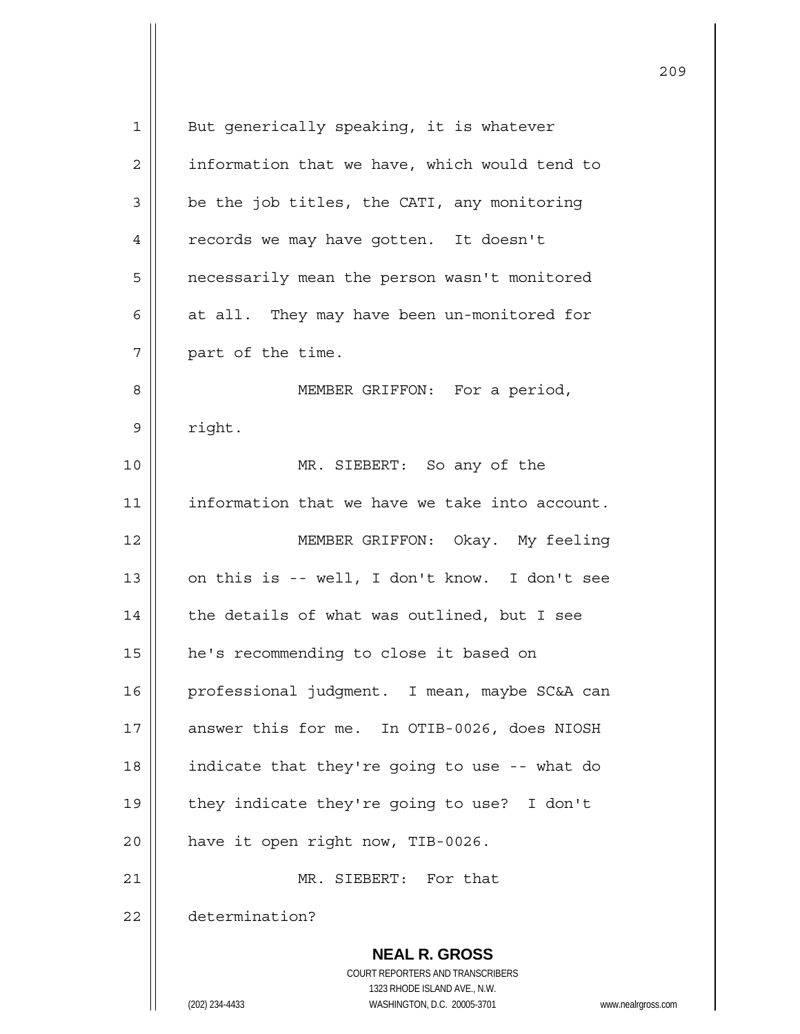| But generically speaking, it is whatever                                                            |
|-----------------------------------------------------------------------------------------------------|
| information that we have, which would tend to                                                       |
| be the job titles, the CATI, any monitoring                                                         |
| records we may have gotten. It doesn't                                                              |
| necessarily mean the person wasn't monitored                                                        |
| at all. They may have been un-monitored for                                                         |
| part of the time.                                                                                   |
| MEMBER GRIFFON: For a period,                                                                       |
| right.                                                                                              |
| MR. SIEBERT: So any of the                                                                          |
| information that we have we take into account.                                                      |
| MEMBER GRIFFON: Okay. My feeling                                                                    |
| on this is -- well, I don't know. I don't see                                                       |
| the details of what was outlined, but I see                                                         |
| he's recommending to close it based on                                                              |
| professional judqment. I mean, maybe SC&A can                                                       |
| answer this for me. In OTIB-0026, does NIOSH                                                        |
| indicate that they're going to use -- what do                                                       |
| they indicate they're going to use? I don't                                                         |
| have it open right now, TIB-0026.                                                                   |
| MR. SIEBERT: For that                                                                               |
| determination?                                                                                      |
| <b>NEAL R. GROSS</b>                                                                                |
| COURT REPORTERS AND TRANSCRIBERS                                                                    |
| 1323 RHODE ISLAND AVE., N.W.<br>(202) 234-4433<br>WASHINGTON, D.C. 20005-3701<br>www.nealrgross.com |
|                                                                                                     |

<u>209</u>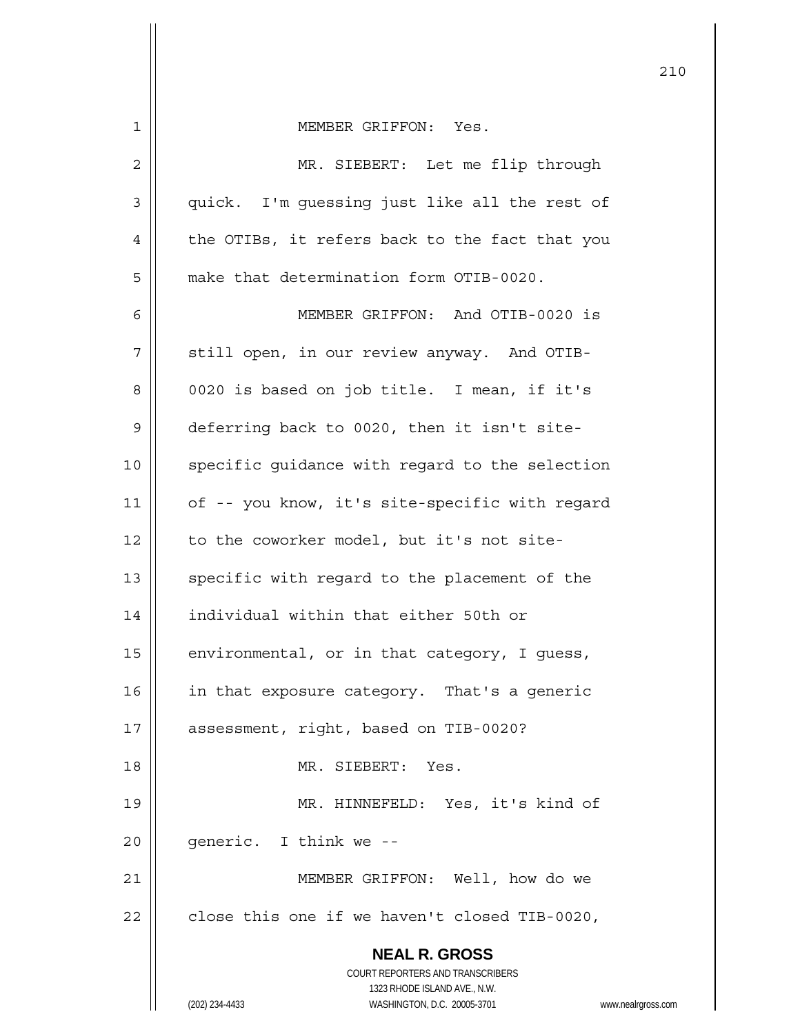| 1  | MEMBER GRIFFON: Yes.                                                                                |
|----|-----------------------------------------------------------------------------------------------------|
| 2  | MR. SIEBERT: Let me flip through                                                                    |
| 3  | quick. I'm guessing just like all the rest of                                                       |
| 4  | the OTIBs, it refers back to the fact that you                                                      |
| 5  | make that determination form OTIB-0020.                                                             |
| 6  | MEMBER GRIFFON: And OTIB-0020 is                                                                    |
| 7  | still open, in our review anyway. And OTIB-                                                         |
| 8  | 0020 is based on job title. I mean, if it's                                                         |
| 9  | deferring back to 0020, then it isn't site-                                                         |
| 10 | specific guidance with regard to the selection                                                      |
| 11 | of -- you know, it's site-specific with regard                                                      |
| 12 | to the coworker model, but it's not site-                                                           |
| 13 | specific with regard to the placement of the                                                        |
| 14 | individual within that either 50th or                                                               |
| 15 | environmental, or in that category, I guess,                                                        |
| 16 | in that exposure category. That's a generic                                                         |
| 17 | assessment, right, based on TIB-0020?                                                               |
| 18 | MR. SIEBERT: Yes.                                                                                   |
| 19 | MR. HINNEFELD: Yes, it's kind of                                                                    |
| 20 | generic. I think we --                                                                              |
| 21 | MEMBER GRIFFON: Well, how do we                                                                     |
| 22 | close this one if we haven't closed TIB-0020,                                                       |
|    | <b>NEAL R. GROSS</b>                                                                                |
|    | COURT REPORTERS AND TRANSCRIBERS                                                                    |
|    | 1323 RHODE ISLAND AVE., N.W.<br>(202) 234-4433<br>WASHINGTON, D.C. 20005-3701<br>www.nealrgross.com |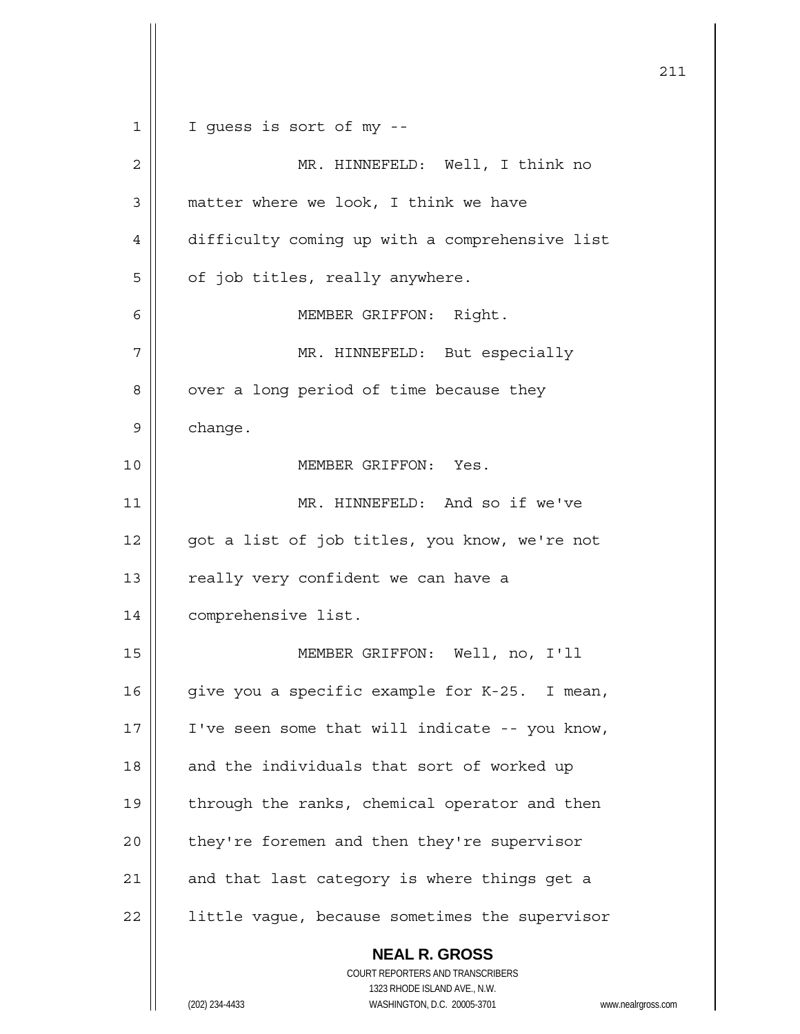|             | 211                                                                 |
|-------------|---------------------------------------------------------------------|
| $\mathbf 1$ | I guess is sort of my --                                            |
| 2           | MR. HINNEFELD: Well, I think no                                     |
| 3           | matter where we look, I think we have                               |
| 4           | difficulty coming up with a comprehensive list                      |
| 5           | of job titles, really anywhere.                                     |
| 6           | MEMBER GRIFFON: Right.                                              |
| 7           | MR. HINNEFELD: But especially                                       |
| 8           | over a long period of time because they                             |
| 9           | change.                                                             |
| 10          | MEMBER GRIFFON: Yes.                                                |
| 11          | MR. HINNEFELD: And so if we've                                      |
| 12          | got a list of job titles, you know, we're not                       |
| 13          | really very confident we can have a                                 |
| 14          | comprehensive list.                                                 |
| 15          | MEMBER GRIFFON: Well, no, I'll                                      |
| 16          | give you a specific example for K-25. I mean,                       |
| 17          | I've seen some that will indicate -- you know,                      |
| 18          | and the individuals that sort of worked up                          |
| 19          | through the ranks, chemical operator and then                       |
| 20          | they're foremen and then they're supervisor                         |
| 21          | and that last category is where things get a                        |
| 22          | little vague, because sometimes the supervisor                      |
|             | <b>NEAL R. GROSS</b>                                                |
|             | COURT REPORTERS AND TRANSCRIBERS<br>1323 RHODE ISLAND AVE., N.W.    |
|             | (202) 234-4433<br>WASHINGTON, D.C. 20005-3701<br>www.nealrgross.com |

 $\mathsf{I}$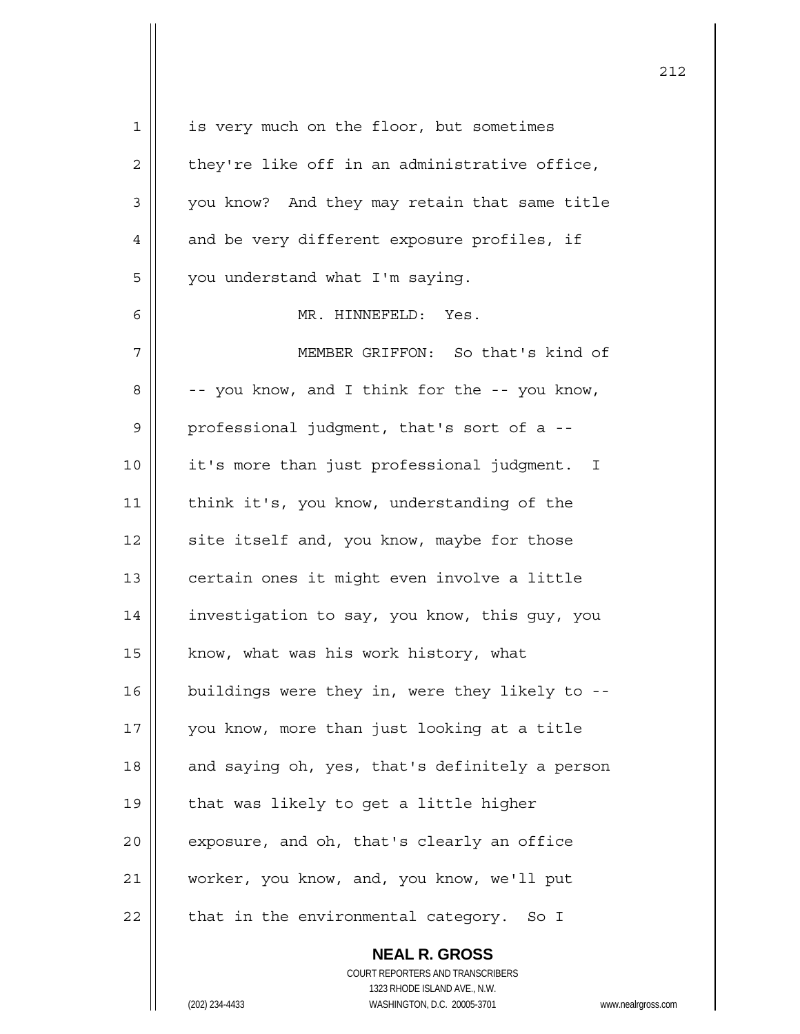| 1              | is very much on the floor, but sometimes       |
|----------------|------------------------------------------------|
| $\overline{c}$ | they're like off in an administrative office,  |
| 3              | you know? And they may retain that same title  |
| 4              | and be very different exposure profiles, if    |
| 5              | you understand what I'm saying.                |
| 6              | MR. HINNEFELD: Yes.                            |
| 7              | MEMBER GRIFFON: So that's kind of              |
| 8              | -- you know, and I think for the -- you know,  |
| $\mathsf 9$    | professional judgment, that's sort of a --     |
| 10             | it's more than just professional judgment. I   |
| 11             | think it's, you know, understanding of the     |
| 12             | site itself and, you know, maybe for those     |
| 13             | certain ones it might even involve a little    |
| 14             | investigation to say, you know, this guy, you  |
| 15             | know, what was his work history, what          |
| 16             | buildings were they in, were they likely to -- |
| 17             | you know, more than just looking at a title    |
| 18             | and saying oh, yes, that's definitely a person |
| 19             | that was likely to get a little higher         |
| 20             | exposure, and oh, that's clearly an office     |
| 21             | worker, you know, and, you know, we'll put     |
| 22             | that in the environmental category.<br>So I    |
|                | <b>NEAL R. GROSS</b>                           |

 COURT REPORTERS AND TRANSCRIBERS 1323 RHODE ISLAND AVE., N.W. (202) 234-4433 WASHINGTON, D.C. 20005-3701 www.nealrgross.com

 $\mathsf{II}$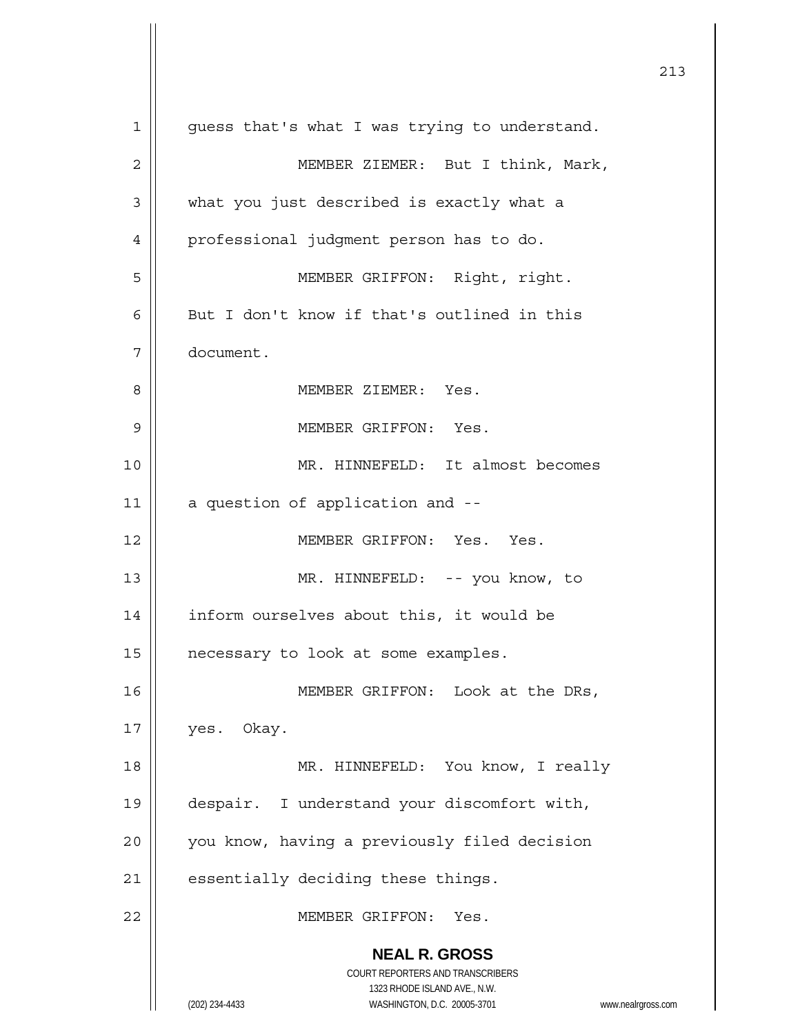|    |                                                                                                                                                                 | 213 |
|----|-----------------------------------------------------------------------------------------------------------------------------------------------------------------|-----|
| 1  | guess that's what I was trying to understand.                                                                                                                   |     |
| 2  | MEMBER ZIEMER: But I think, Mark,                                                                                                                               |     |
| 3  | what you just described is exactly what a                                                                                                                       |     |
| 4  | professional judgment person has to do.                                                                                                                         |     |
| 5  | MEMBER GRIFFON: Right, right.                                                                                                                                   |     |
| 6  | But I don't know if that's outlined in this                                                                                                                     |     |
| 7  | document.                                                                                                                                                       |     |
| 8  | MEMBER ZIEMER: Yes.                                                                                                                                             |     |
| 9  | MEMBER GRIFFON: Yes.                                                                                                                                            |     |
| 10 | MR. HINNEFELD: It almost becomes                                                                                                                                |     |
| 11 | a question of application and --                                                                                                                                |     |
| 12 | MEMBER GRIFFON: Yes. Yes.                                                                                                                                       |     |
| 13 | MR. HINNEFELD: -- you know, to                                                                                                                                  |     |
| 14 | inform ourselves about this, it would be                                                                                                                        |     |
| 15 | necessary to look at some examples.                                                                                                                             |     |
| 16 | MEMBER GRIFFON: Look at the DRs,                                                                                                                                |     |
| 17 | yes. Okay.                                                                                                                                                      |     |
| 18 | MR. HINNEFELD: You know, I really                                                                                                                               |     |
| 19 | despair. I understand your discomfort with,                                                                                                                     |     |
| 20 | you know, having a previously filed decision                                                                                                                    |     |
| 21 | essentially deciding these things.                                                                                                                              |     |
| 22 | MEMBER GRIFFON:<br>Yes.                                                                                                                                         |     |
|    | <b>NEAL R. GROSS</b><br>COURT REPORTERS AND TRANSCRIBERS<br>1323 RHODE ISLAND AVE., N.W.<br>(202) 234-4433<br>WASHINGTON, D.C. 20005-3701<br>www.nealrgross.com |     |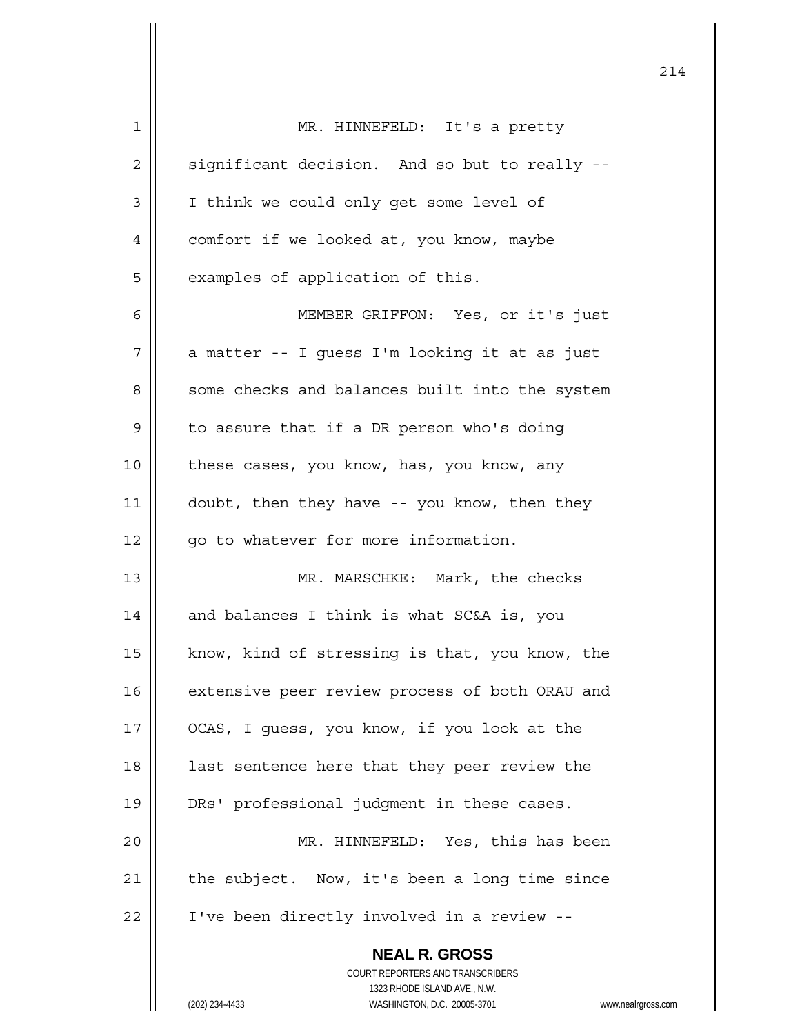| $\mathbf 1$ | MR. HINNEFELD: It's a pretty                                        |
|-------------|---------------------------------------------------------------------|
| 2           | significant decision. And so but to really --                       |
| 3           | I think we could only get some level of                             |
| 4           | comfort if we looked at, you know, maybe                            |
| 5           | examples of application of this.                                    |
| 6           | MEMBER GRIFFON: Yes, or it's just                                   |
| 7           | a matter -- I guess I'm looking it at as just                       |
| 8           | some checks and balances built into the system                      |
| 9           | to assure that if a DR person who's doing                           |
| 10          | these cases, you know, has, you know, any                           |
| 11          | doubt, then they have -- you know, then they                        |
| 12          | go to whatever for more information.                                |
| 13          | MR. MARSCHKE: Mark, the checks                                      |
| 14          | and balances I think is what SC&A is, you                           |
| 15          | know, kind of stressing is that, you know, the                      |
| 16          | extensive peer review process of both ORAU and                      |
| 17          | OCAS, I guess, you know, if you look at the                         |
| 18          | last sentence here that they peer review the                        |
| 19          | DRs' professional judgment in these cases.                          |
| 20          | MR. HINNEFELD: Yes, this has been                                   |
| 21          | the subject. Now, it's been a long time since                       |
| 22          | I've been directly involved in a review --                          |
|             |                                                                     |
|             | <b>NEAL R. GROSS</b><br>COURT REPORTERS AND TRANSCRIBERS            |
|             | 1323 RHODE ISLAND AVE., N.W.                                        |
|             | (202) 234-4433<br>WASHINGTON, D.C. 20005-3701<br>www.nealrgross.com |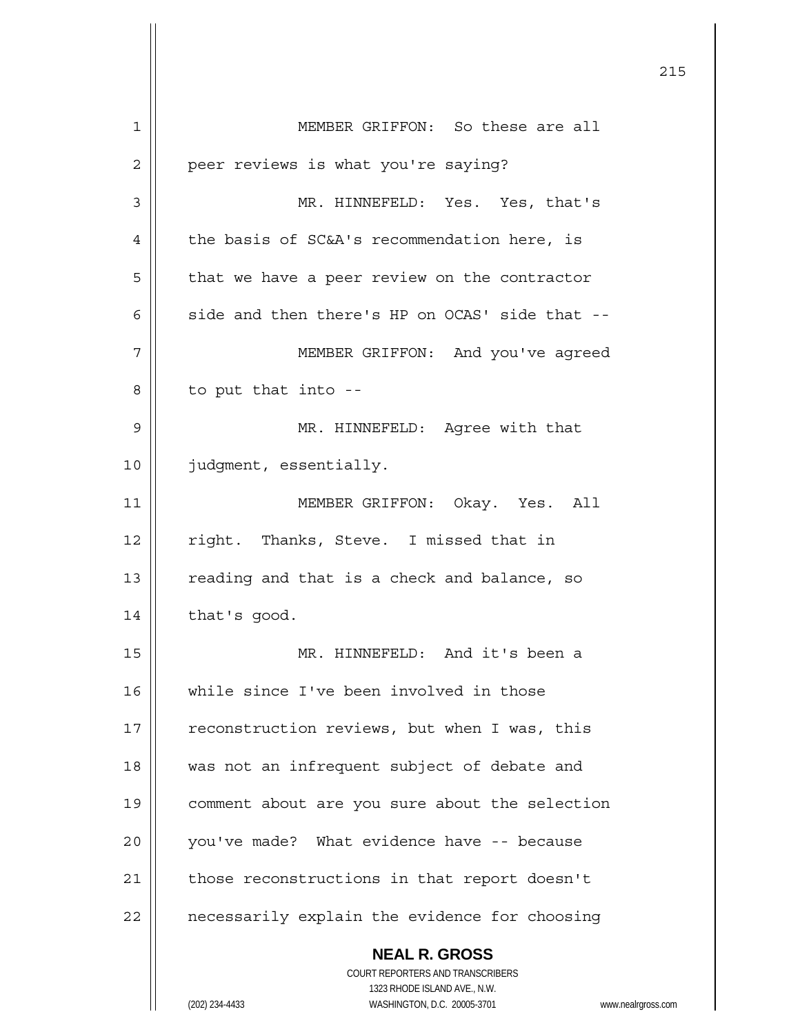**NEAL R. GROSS** COURT REPORTERS AND TRANSCRIBERS 1323 RHODE ISLAND AVE., N.W. 1 MEMBER GRIFFON: So these are all 2 | peer reviews is what you're saying? 3 MR. HINNEFELD: Yes. Yes, that's 4 | the basis of SC&A's recommendation here, is  $5 \parallel$  that we have a peer review on the contractor 6  $\parallel$  side and then there's HP on OCAS' side that --7 MEMBER GRIFFON: And you've agreed  $8 \parallel$  to put that into --9 MR. HINNEFELD: Agree with that 10 | judgment, essentially. 11 MEMBER GRIFFON: Okay. Yes. All 12 || right. Thanks, Steve. I missed that in 13 || reading and that is a check and balance, so  $14$  | that's good. 15 MR. HINNEFELD: And it's been a 16 || while since I've been involved in those 17 | reconstruction reviews, but when I was, this 18 || was not an infrequent subject of debate and 19 comment about are you sure about the selection  $20$  | vou've made? What evidence have  $-$ - because 21 | those reconstructions in that report doesn't  $22$  | necessarily explain the evidence for choosing

<u>215</u>

(202) 234-4433 WASHINGTON, D.C. 20005-3701 www.nealrgross.com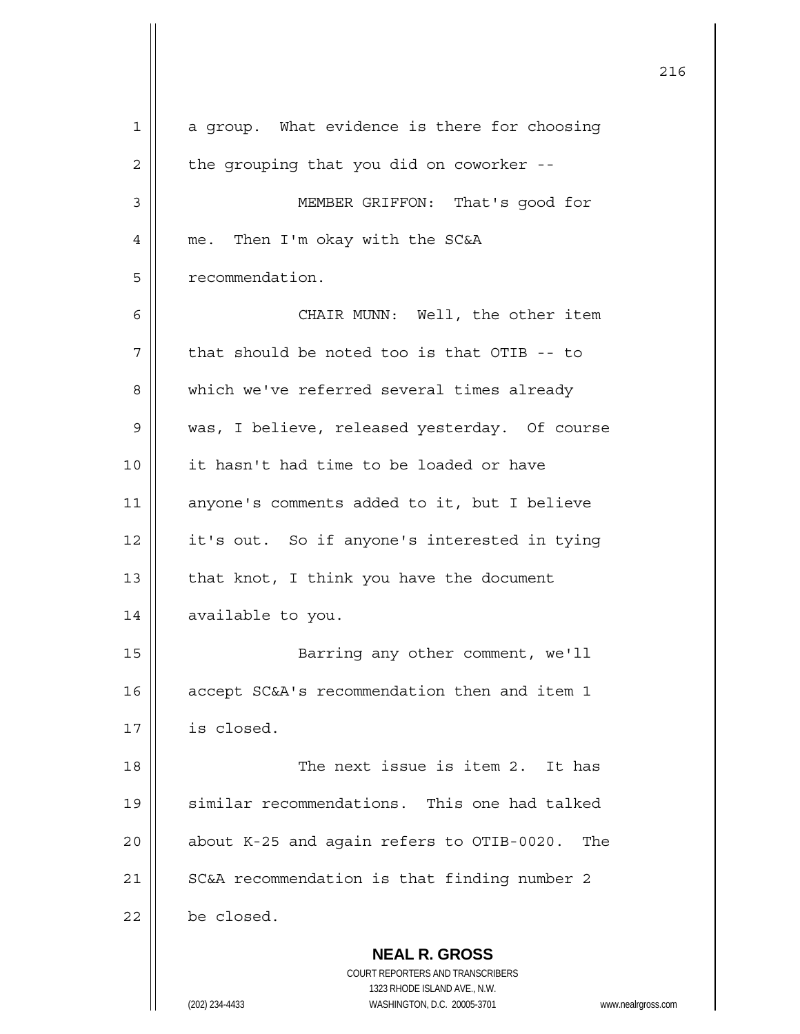| 1  | a group. What evidence is there for choosing                                                       |
|----|----------------------------------------------------------------------------------------------------|
| 2  | the grouping that you did on coworker --                                                           |
| 3  | MEMBER GRIFFON: That's good for                                                                    |
| 4  | me. Then I'm okay with the SC&A                                                                    |
| 5  | recommendation.                                                                                    |
| 6  | CHAIR MUNN: Well, the other item                                                                   |
| 7  | that should be noted too is that OTIB -- to                                                        |
| 8  | which we've referred several times already                                                         |
| 9  | was, I believe, released yesterday. Of course                                                      |
| 10 | it hasn't had time to be loaded or have                                                            |
| 11 | anyone's comments added to it, but I believe                                                       |
| 12 | it's out. So if anyone's interested in tying                                                       |
| 13 | that knot, I think you have the document                                                           |
| 14 | available to you.                                                                                  |
| 15 | Barring any other comment, we'll                                                                   |
| 16 | accept SC&A's recommendation then and item 1                                                       |
| 17 | is closed.                                                                                         |
| 18 | The next issue is item 2. It has                                                                   |
| 19 | similar recommendations. This one had talked                                                       |
| 20 | about K-25 and again refers to OTIB-0020.<br>The                                                   |
| 21 | SC&A recommendation is that finding number 2                                                       |
| 22 | be closed.                                                                                         |
|    | <b>NEAL R. GROSS</b><br>COURT REPORTERS AND TRANSCRIBERS<br>1323 RHODE ISLAND AVE., N.W.<br>WWW.ne |
|    | (202) 234-4433<br>WASHINGTON, D.C. 20005-3701                                                      |

<u>216</u>

(202) 234-4433 WASHINGTON, D.C. 20005-3701 www.nealrgross.com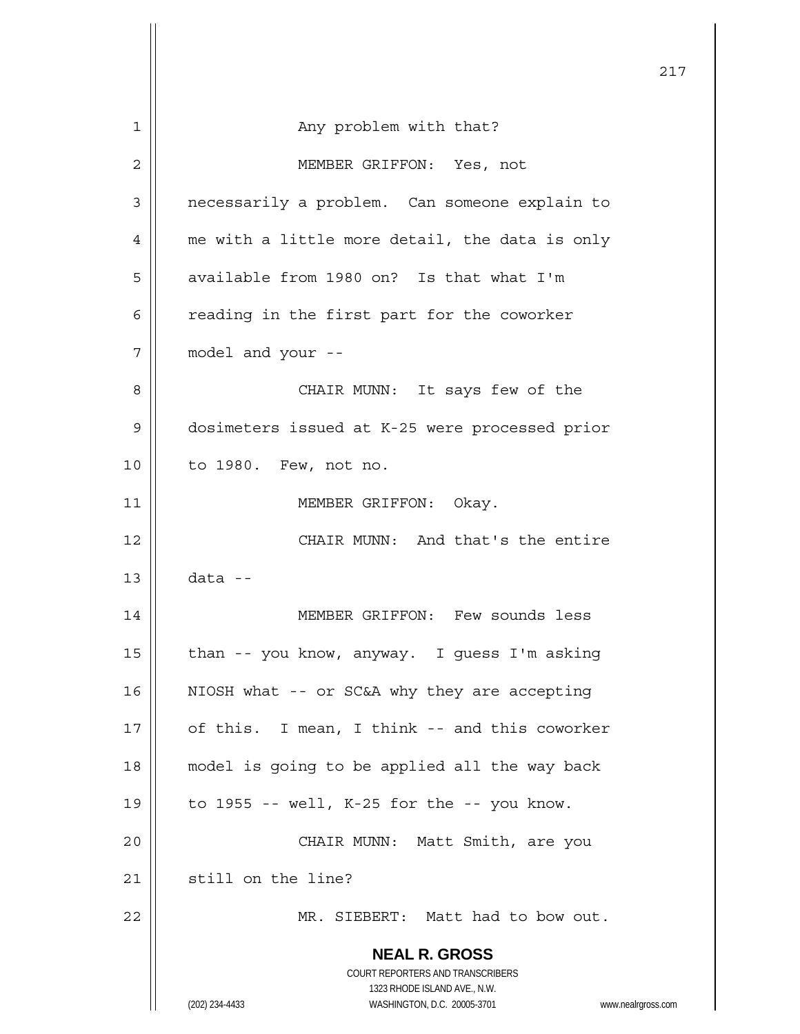|    |                                                                                                                                                                 | 217 |
|----|-----------------------------------------------------------------------------------------------------------------------------------------------------------------|-----|
| 1  | Any problem with that?                                                                                                                                          |     |
| 2  | MEMBER GRIFFON: Yes, not                                                                                                                                        |     |
| 3  | necessarily a problem. Can someone explain to                                                                                                                   |     |
|    |                                                                                                                                                                 |     |
| 4  | me with a little more detail, the data is only                                                                                                                  |     |
| 5  | available from 1980 on? Is that what I'm                                                                                                                        |     |
| 6  | reading in the first part for the coworker                                                                                                                      |     |
| 7  | model and your --                                                                                                                                               |     |
| 8  | CHAIR MUNN: It says few of the                                                                                                                                  |     |
| 9  | dosimeters issued at K-25 were processed prior                                                                                                                  |     |
| 10 | to 1980. Few, not no.                                                                                                                                           |     |
| 11 | MEMBER GRIFFON: Okay.                                                                                                                                           |     |
| 12 | CHAIR MUNN: And that's the entire                                                                                                                               |     |
| 13 | $data -$                                                                                                                                                        |     |
| 14 | MEMBER GRIFFON: Few sounds less                                                                                                                                 |     |
| 15 | than -- you know, anyway. I guess I'm asking                                                                                                                    |     |
| 16 | NIOSH what -- or SC&A why they are accepting                                                                                                                    |     |
| 17 | of this. I mean, I think -- and this coworker                                                                                                                   |     |
|    |                                                                                                                                                                 |     |
| 18 | model is going to be applied all the way back                                                                                                                   |     |
| 19 | to $1955$ -- well, K-25 for the -- you know.                                                                                                                    |     |
| 20 | CHAIR MUNN: Matt Smith, are you                                                                                                                                 |     |
| 21 | still on the line?                                                                                                                                              |     |
| 22 | MR. SIEBERT: Matt had to bow out.                                                                                                                               |     |
|    | <b>NEAL R. GROSS</b><br>COURT REPORTERS AND TRANSCRIBERS<br>1323 RHODE ISLAND AVE., N.W.<br>(202) 234-4433<br>WASHINGTON, D.C. 20005-3701<br>www.nealrgross.com |     |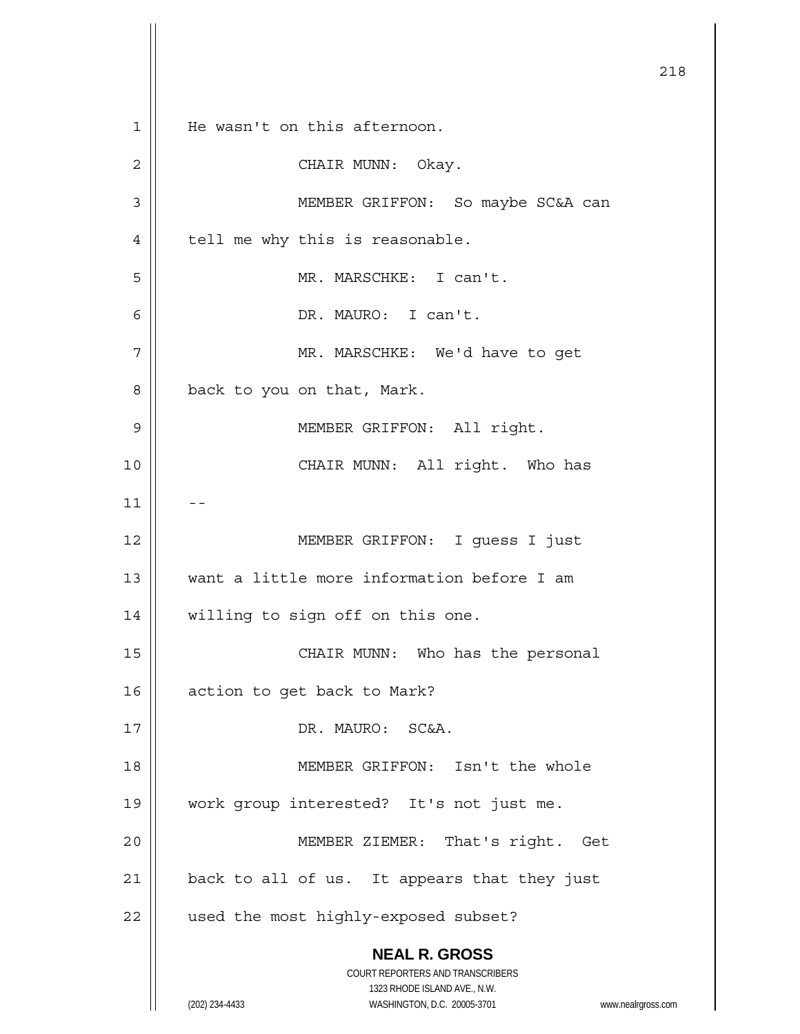**NEAL R. GROSS** COURT REPORTERS AND TRANSCRIBERS 1323 RHODE ISLAND AVE., N.W. (202) 234-4433 WASHINGTON, D.C. 20005-3701 www.nealrgross.com 218 1 || He wasn't on this afternoon. 2 CHAIR MUNN: Okay. 3 || MEMBER GRIFFON: So maybe SC&A can  $4 \parallel$  tell me why this is reasonable. 5 MR. MARSCHKE: I can't. 6 DR. MAURO: I can't. 7 | MR. MARSCHKE: We'd have to get  $8 \parallel$  back to you on that, Mark. 9 MEMBER GRIFFON: All right. 10 CHAIR MUNN: All right. Who has  $11$ 12 || MEMBER GRIFFON: I guess I just 13 want a little more information before I am 14 || willing to sign off on this one. 15 || CHAIR MUNN: Who has the personal 16 | action to get back to Mark? 17 || DR. MAURO: SC&A. 18 MEMBER GRIFFON: Isn't the whole 19 work group interested? It's not just me. 20 || MEMBER ZIEMER: That's right. Get  $21$  | back to all of us. It appears that they just 22 | used the most highly-exposed subset?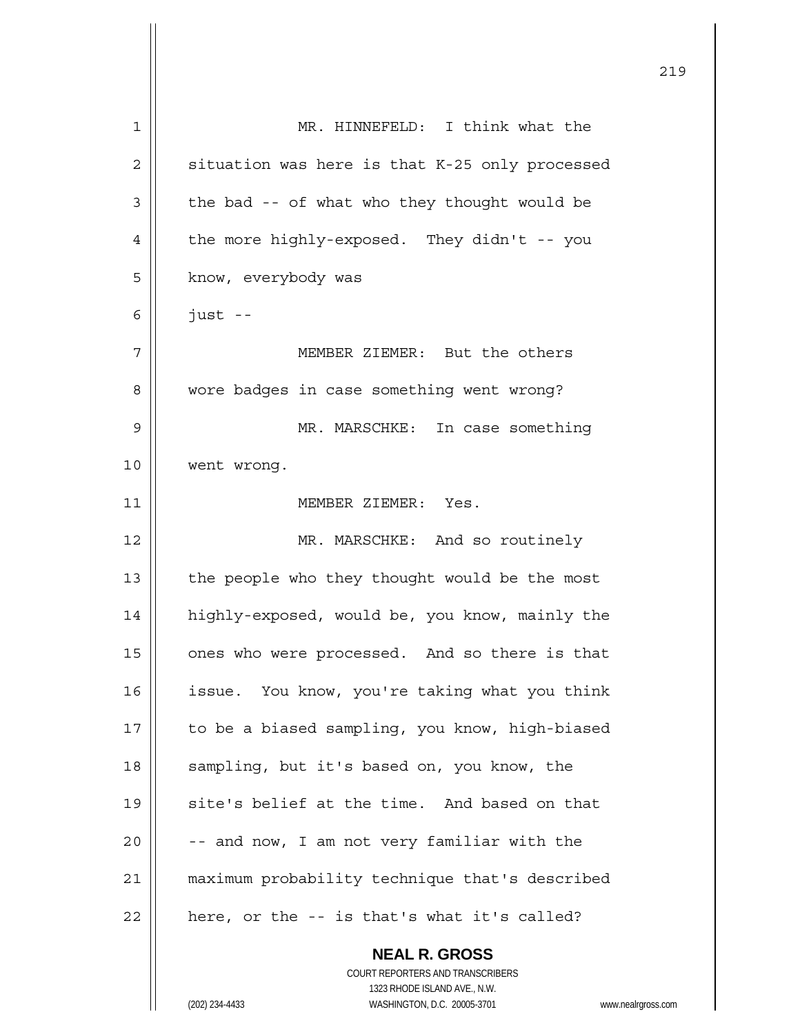| 1  | MR. HINNEFELD: I think what the                |
|----|------------------------------------------------|
| 2  | situation was here is that K-25 only processed |
| 3  | the bad -- of what who they thought would be   |
| 4  | the more highly-exposed. They didn't -- you    |
| 5  | know, everybody was                            |
| 6  | $just$ --                                      |
| 7  | MEMBER ZIEMER: But the others                  |
| 8  | wore badges in case something went wrong?      |
| 9  | MR. MARSCHKE: In case something                |
| 10 | went wrong.                                    |
| 11 | MEMBER ZIEMER: Yes.                            |
| 12 | MR. MARSCHKE: And so routinely                 |
| 13 | the people who they thought would be the most  |
| 14 | highly-exposed, would be, you know, mainly the |
| 15 | ones who were processed. And so there is that  |
| 16 | issue. You know, you're taking what you think  |
| 17 | to be a biased sampling, you know, high-biased |
| 18 | sampling, but it's based on, you know, the     |
| 19 | site's belief at the time. And based on that   |
| 20 | -- and now, I am not very familiar with the    |
| 21 | maximum probability technique that's described |
| 22 | here, or the -- is that's what it's called?    |
|    | <b>NEAL R. GROSS</b>                           |

<u>219</u>

 COURT REPORTERS AND TRANSCRIBERS 1323 RHODE ISLAND AVE., N.W. (202) 234-4433 WASHINGTON, D.C. 20005-3701 www.nealrgross.com

 $\prod$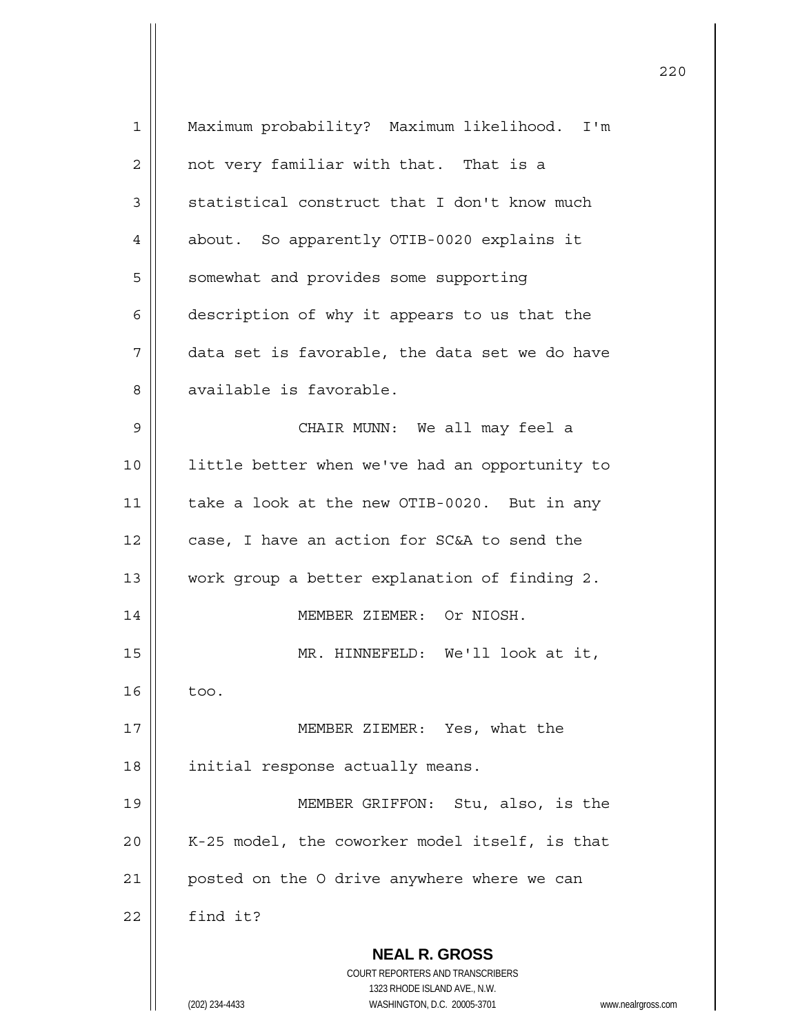| $\mathbf 1$ | Maximum probability? Maximum likelihood. I'm                        |
|-------------|---------------------------------------------------------------------|
| 2           | not very familiar with that. That is a                              |
| 3           | statistical construct that I don't know much                        |
| 4           | about. So apparently OTIB-0020 explains it                          |
| 5           | somewhat and provides some supporting                               |
| 6           | description of why it appears to us that the                        |
| 7           | data set is favorable, the data set we do have                      |
| 8           | available is favorable.                                             |
| 9           | CHAIR MUNN: We all may feel a                                       |
| 10          | little better when we've had an opportunity to                      |
| 11          | take a look at the new OTIB-0020. But in any                        |
| 12          | case, I have an action for SC&A to send the                         |
| 13          | work group a better explanation of finding 2.                       |
| 14          | MEMBER ZIEMER: Or NIOSH.                                            |
| 15          | MR. HINNEFELD: We'll look at it,                                    |
| 16          | too.                                                                |
| 17          | MEMBER ZIEMER: Yes, what the                                        |
| 18          | initial response actually means.                                    |
| 19          | MEMBER GRIFFON: Stu, also, is the                                   |
| 20          | K-25 model, the coworker model itself, is that                      |
| 21          | posted on the O drive anywhere where we can                         |
| 22          | find it?                                                            |
|             | <b>NEAL R. GROSS</b>                                                |
|             | COURT REPORTERS AND TRANSCRIBERS<br>1323 RHODE ISLAND AVE., N.W.    |
|             | (202) 234-4433<br>WASHINGTON, D.C. 20005-3701<br>www.nealrgross.com |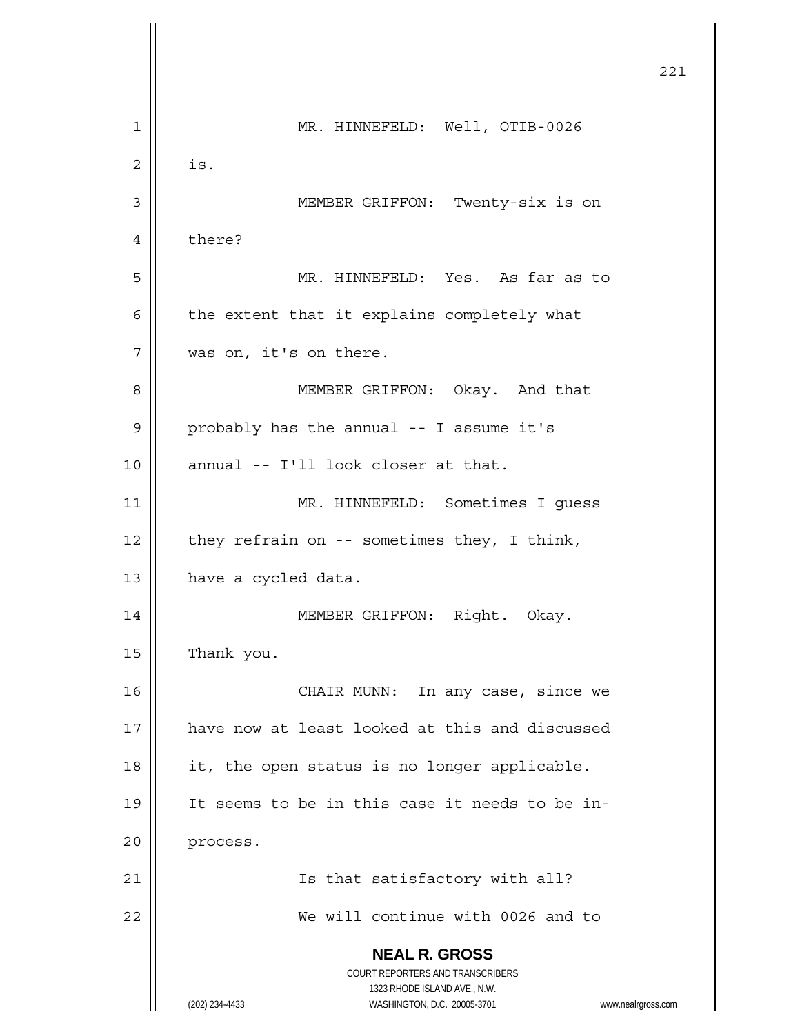**NEAL R. GROSS** COURT REPORTERS AND TRANSCRIBERS 1323 RHODE ISLAND AVE., N.W. (202) 234-4433 WASHINGTON, D.C. 20005-3701 www.nealrgross.com 221 1 || MR. HINNEFELD: Well, OTIB-0026  $2 \parallel$  is. 3 MEMBER GRIFFON: Twenty-six is on 4 | there? 5 MR. HINNEFELD: Yes. As far as to  $6 \parallel$  the extent that it explains completely what 7 || was on, it's on there. 8 | MEMBER GRIFFON: Okay. And that  $9 \parallel$  probably has the annual -- I assume it's  $10$  || annual -- I'll look closer at that. 11 | MR. HINNEFELD: Sometimes I quess 12  $\parallel$  they refrain on -- sometimes they, I think, 13 | have a cycled data. 14 || MEMBER GRIFFON: Right. Okay. 15 | Thank you. 16 CHAIR MUNN: In any case, since we 17 have now at least looked at this and discussed 18 || it, the open status is no longer applicable. 19 || It seems to be in this case it needs to be in-20 | process. 21 || Is that satisfactory with all? 22 We will continue with 0026 and to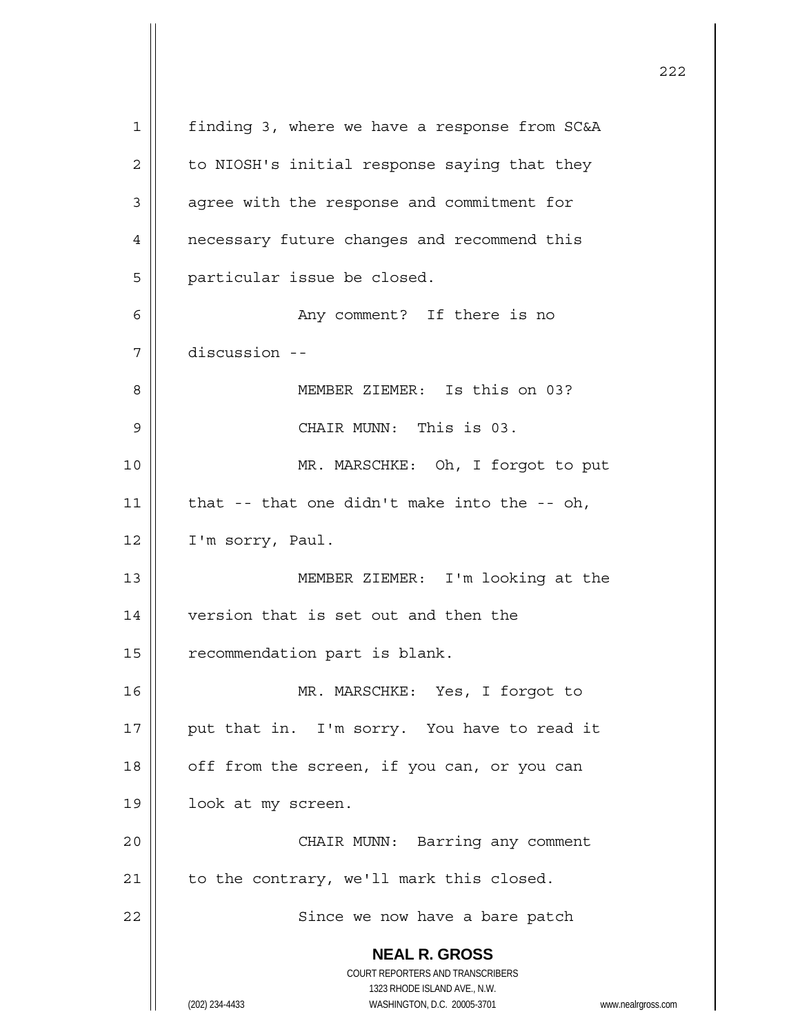**NEAL R. GROSS** COURT REPORTERS AND TRANSCRIBERS 1323 RHODE ISLAND AVE., N.W. (202) 234-4433 WASHINGTON, D.C. 20005-3701 www.nealrgross.com 1 | finding 3, where we have a response from SC&A  $2 \parallel$  to NIOSH's initial response saying that they 3 | agree with the response and commitment for 4 | necessary future changes and recommend this 5 | particular issue be closed. 6 Any comment? If there is no 7 discussion -- 8 MEMBER ZIEMER: Is this on 03? 9 CHAIR MUNN: This is 03. 10 || MR. MARSCHKE: Oh, I forgot to put 11  $\parallel$  that -- that one didn't make into the -- oh, 12 | I'm sorry, Paul. 13 MEMBER ZIEMER: I'm looking at the 14 | version that is set out and then the 15 | recommendation part is blank. 16 MR. MARSCHKE: Yes, I forgot to 17 || put that in. I'm sorry. You have to read it  $18$  | off from the screen, if you can, or you can 19 | look at my screen. 20 || CHAIR MUNN: Barring any comment  $21$  | to the contrary, we'll mark this closed. 22 || Since we now have a bare patch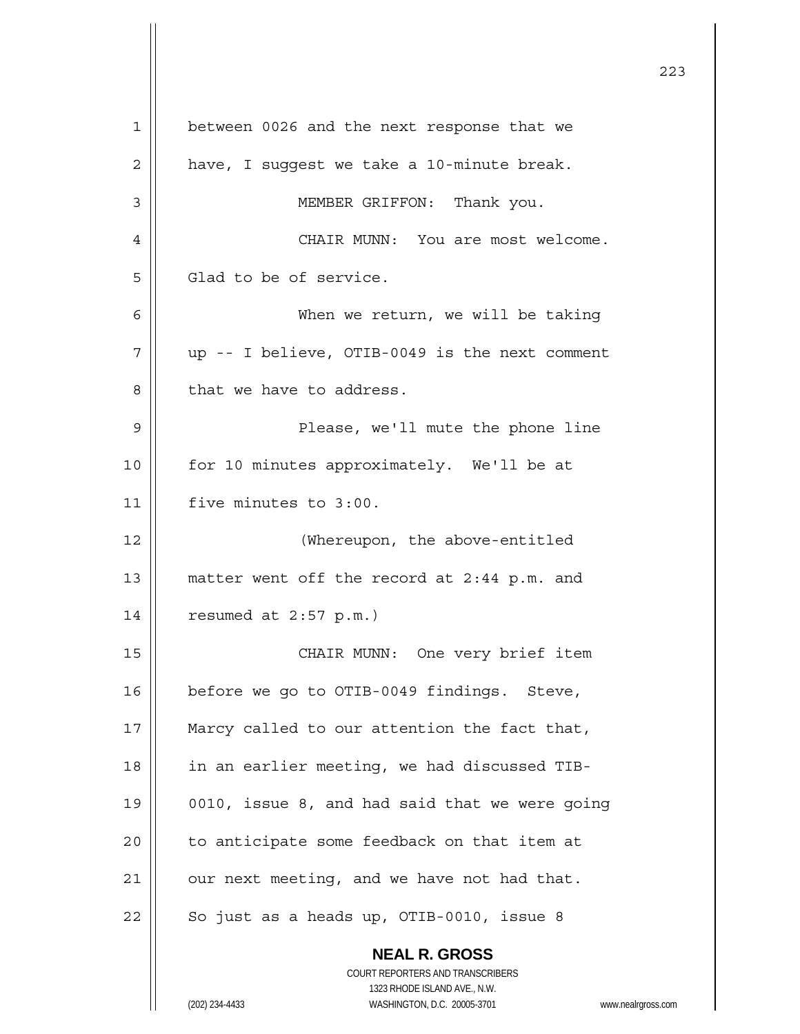**NEAL R. GROSS** COURT REPORTERS AND TRANSCRIBERS 1323 RHODE ISLAND AVE., N.W. 1 between 0026 and the next response that we  $2 \parallel$  have, I suggest we take a 10-minute break. 3 MEMBER GRIFFON: Thank you. 4 CHAIR MUNN: You are most welcome.  $5 \parallel$  Glad to be of service. 6 When we return, we will be taking  $7 \parallel$  up -- I believe, OTIB-0049 is the next comment 8 || that we have to address. 9 Please, we'll mute the phone line 10 || for 10 minutes approximately. We'll be at 11 | five minutes to 3:00. 12 (Whereupon, the above-entitled 13 || matter went off the record at 2:44 p.m. and 14 resumed at 2:57 p.m.) 15 || CHAIR MUNN: One very brief item 16 | before we go to OTIB-0049 findings. Steve, 17 || Marcy called to our attention the fact that, 18 || in an earlier meeting, we had discussed TIB-19 | 0010, issue 8, and had said that we were going  $20$  | to anticipate some feedback on that item at  $21$  | our next meeting, and we have not had that.  $22$  | So just as a heads up, OTIB-0010, issue 8

223

(202) 234-4433 WASHINGTON, D.C. 20005-3701 www.nealrgross.com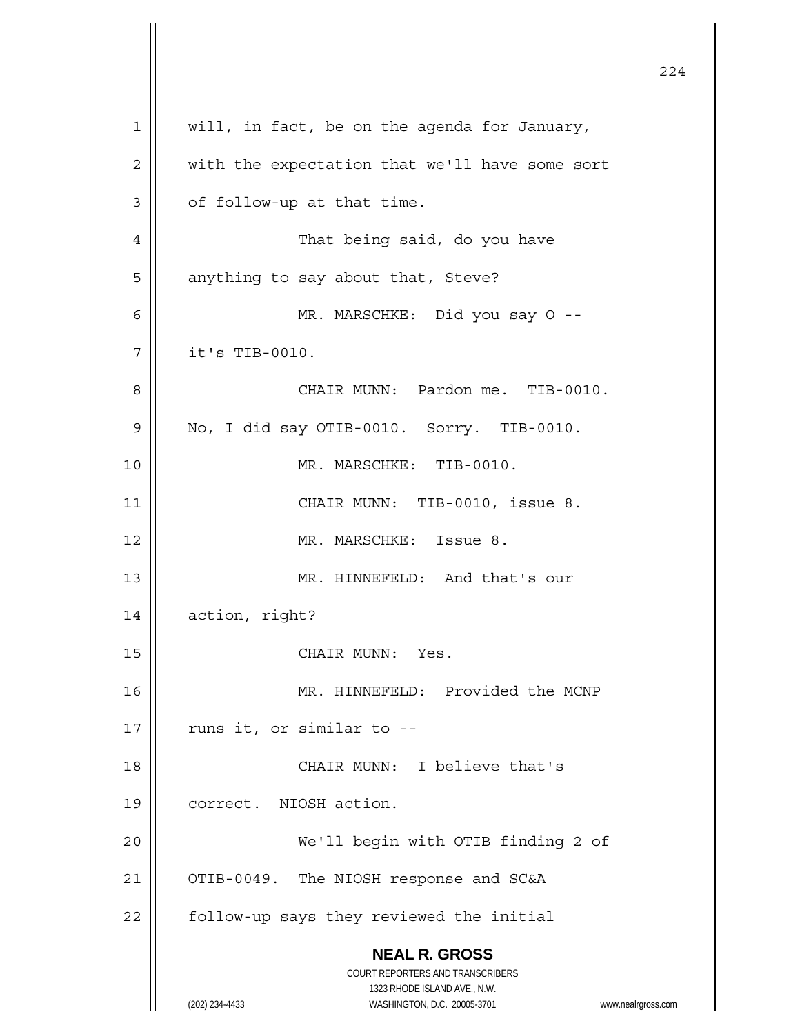**NEAL R. GROSS** COURT REPORTERS AND TRANSCRIBERS 1323 RHODE ISLAND AVE., N.W. (202) 234-4433 WASHINGTON, D.C. 20005-3701 www.nealrgross.com 224 1 || will, in fact, be on the agenda for January,  $2 \parallel$  with the expectation that we'll have some sort  $3 \parallel$  of follow-up at that time. 4 | That being said, do you have 5 | anything to say about that, Steve? 6 MR. MARSCHKE: Did you say O --  $7$  | it's TIB-0010. 8 CHAIR MUNN: Pardon me. TIB-0010.  $9 \parallel$  No, I did say OTIB-0010. Sorry. TIB-0010. 10 MR. MARSCHKE: TIB-0010. 11 || CHAIR MUNN: TIB-0010, issue 8. 12 MR. MARSCHKE: Issue 8. 13 || MR. HINNEFELD: And that's our 14 | action, right? 15 || CHAIR MUNN: Yes. 16 || MR. HINNEFELD: Provided the MCNP  $17$  | runs it, or similar to --18 CHAIR MUNN: I believe that's 19 | correct. NIOSH action. 20 We'll begin with OTIB finding 2 of 21 | OTIB-0049. The NIOSH response and SC&A  $22$  | follow-up says they reviewed the initial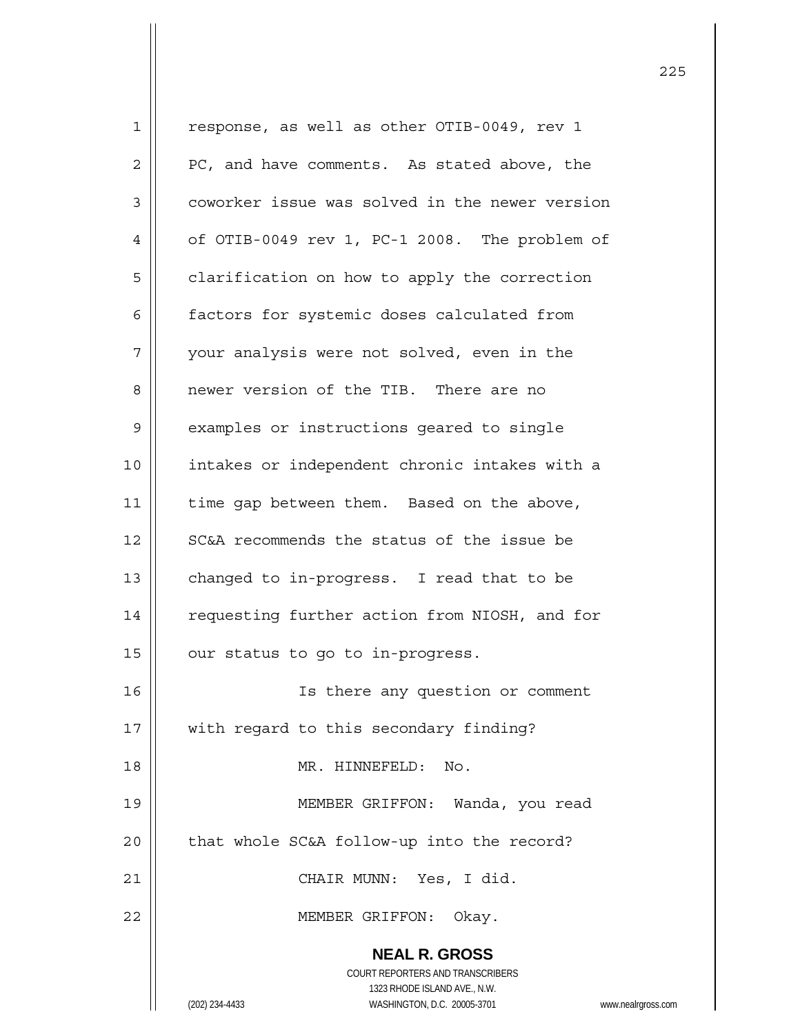**NEAL R. GROSS** COURT REPORTERS AND TRANSCRIBERS 1323 RHODE ISLAND AVE., N.W. 1 || response, as well as other OTIB-0049, rev 1  $2 \parallel$  PC, and have comments. As stated above, the 3 | coworker issue was solved in the newer version  $4 \parallel$  of OTIB-0049 rev 1, PC-1 2008. The problem of 5 | clarification on how to apply the correction 6 | factors for systemic doses calculated from 7 | your analysis were not solved, even in the 8 || newer version of the TIB. There are no 9 | examples or instructions geared to single 10 || intakes or independent chronic intakes with a 11 | time gap between them. Based on the above, 12 || SC&A recommends the status of the issue be 13 | changed to in-progress. I read that to be 14 | requesting further action from NIOSH, and for  $15$  | our status to go to in-progress. 16 || Is there any question or comment 17 || with regard to this secondary finding? 18 MR. HINNEFELD: No. 19 MEMBER GRIFFON: Wanda, you read  $20$  | that whole SC&A follow-up into the record? 21 || CHAIR MUNN: Yes, I did. 22 || MEMBER GRIFFON: Okay.

(202) 234-4433 WASHINGTON, D.C. 20005-3701 www.nealrgross.com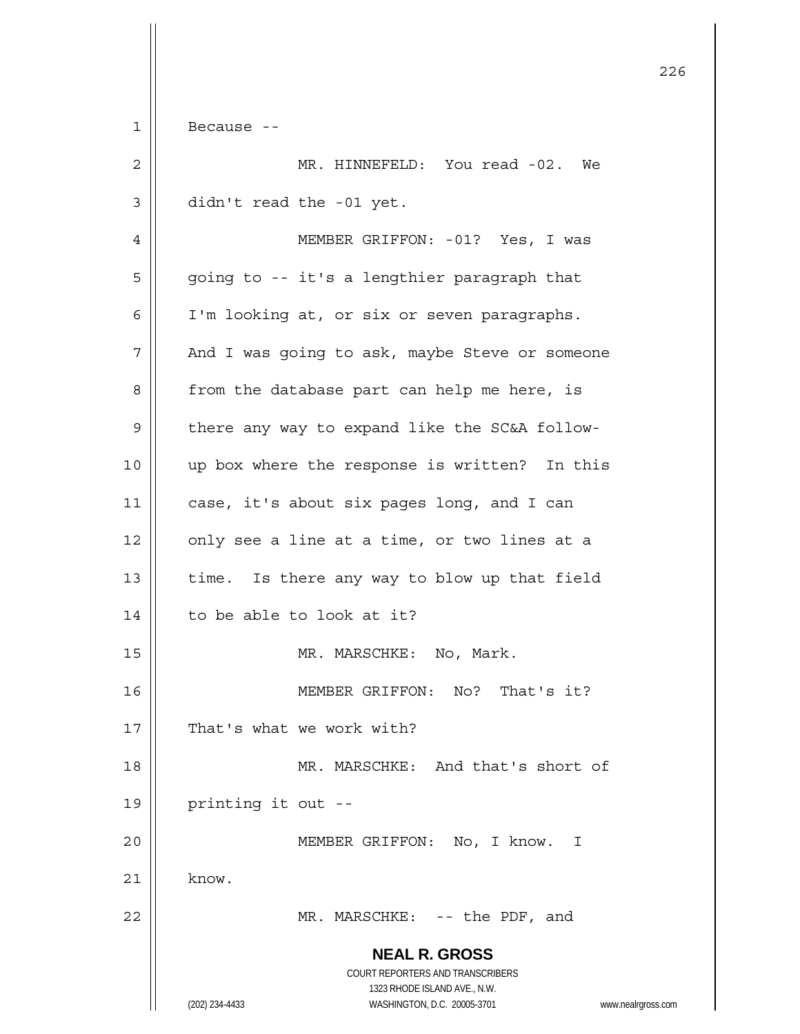$1 \parallel$  Because --

| $\overline{c}$ | MR. HINNEFELD: You read -02. We                                                                                                                                        |
|----------------|------------------------------------------------------------------------------------------------------------------------------------------------------------------------|
| $\mathfrak{Z}$ | didn't read the -01 yet.                                                                                                                                               |
| 4              | MEMBER GRIFFON: - 01? Yes, I was                                                                                                                                       |
| 5              | going to -- it's a lengthier paragraph that                                                                                                                            |
| 6              | I'm looking at, or six or seven paragraphs.                                                                                                                            |
| 7              | And I was going to ask, maybe Steve or someone                                                                                                                         |
| 8              | from the database part can help me here, is                                                                                                                            |
| 9              | there any way to expand like the SC&A follow-                                                                                                                          |
| 10             | up box where the response is written? In this                                                                                                                          |
| 11             | case, it's about six pages long, and I can                                                                                                                             |
| 12             | only see a line at a time, or two lines at a                                                                                                                           |
| 13             | time. Is there any way to blow up that field                                                                                                                           |
| 14             | to be able to look at it?                                                                                                                                              |
| 15             | MR. MARSCHKE: No, Mark.                                                                                                                                                |
| 16             | MEMBER GRIFFON: No? That's it?                                                                                                                                         |
| 17             | That's what we work with?                                                                                                                                              |
| 18             | MR. MARSCHKE: And that's short of                                                                                                                                      |
| 19             | printing it out --                                                                                                                                                     |
| 20             | MEMBER GRIFFON: No, I know. I                                                                                                                                          |
| 21             | know.                                                                                                                                                                  |
| 22             | MR. MARSCHKE: -- the PDF, and                                                                                                                                          |
|                | <b>NEAL R. GROSS</b><br><b>COURT REPORTERS AND TRANSCRIBERS</b><br>1323 RHODE ISLAND AVE., N.W.<br>WASHINGTON, D.C. 20005-3701<br>(202) 234-4433<br>www.nealrgross.com |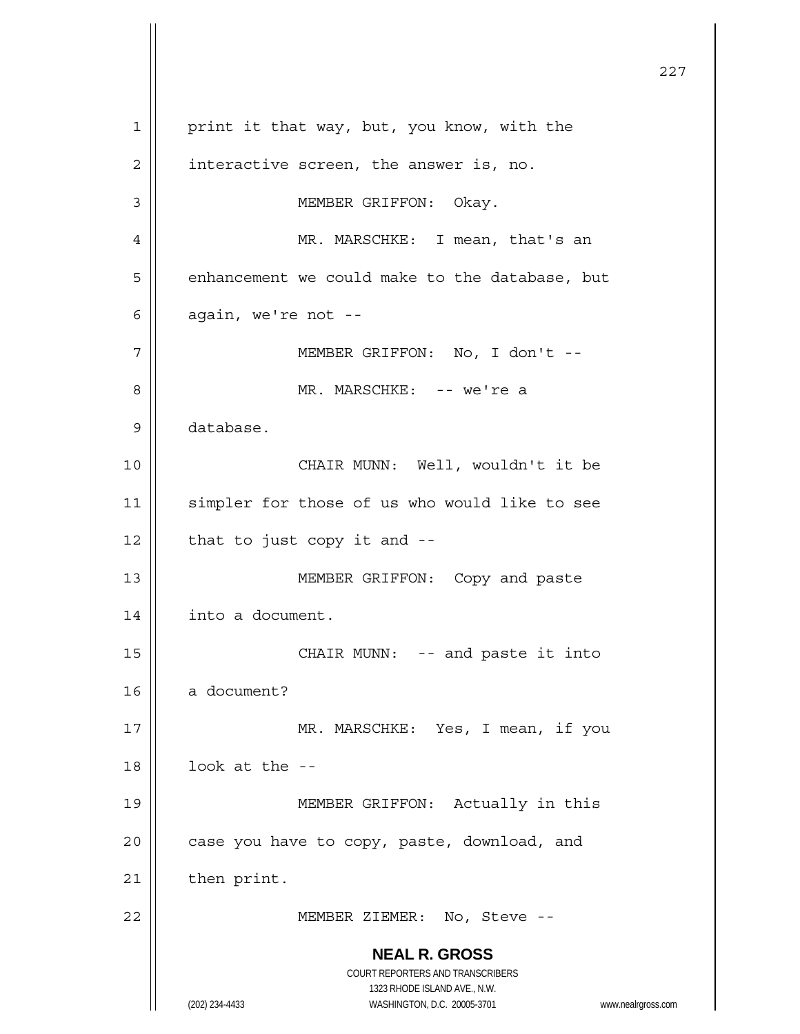**NEAL R. GROSS** COURT REPORTERS AND TRANSCRIBERS 1323 RHODE ISLAND AVE., N.W. (202) 234-4433 WASHINGTON, D.C. 20005-3701 www.nealrgross.com <u>227</u> 1 | print it that way, but, you know, with the  $2 \parallel$  interactive screen, the answer is, no. 3 || MEMBER GRIFFON: Okay. 4 | MR. MARSCHKE: I mean, that's an  $5 \parallel$  enhancement we could make to the database, but  $6 \parallel$  again, we're not --7 | MEMBER GRIFFON: No, I don't --8 MR. MARSCHKE: -- we're a 9 database. 10 || CHAIR MUNN: Well, wouldn't it be 11 || simpler for those of us who would like to see  $12$  | that to just copy it and  $-$ 13 || MEMBER GRIFFON: Copy and paste 14 | into a document. 15 || CHAIR MUNN: -- and paste it into  $16$  a document? 17 MR. MARSCHKE: Yes, I mean, if you  $18$  ||  $100k$  at the --19 MEMBER GRIFFON: Actually in this  $20$  || case you have to copy, paste, download, and  $21$  | then print. 22 MEMBER ZIEMER: No, Steve --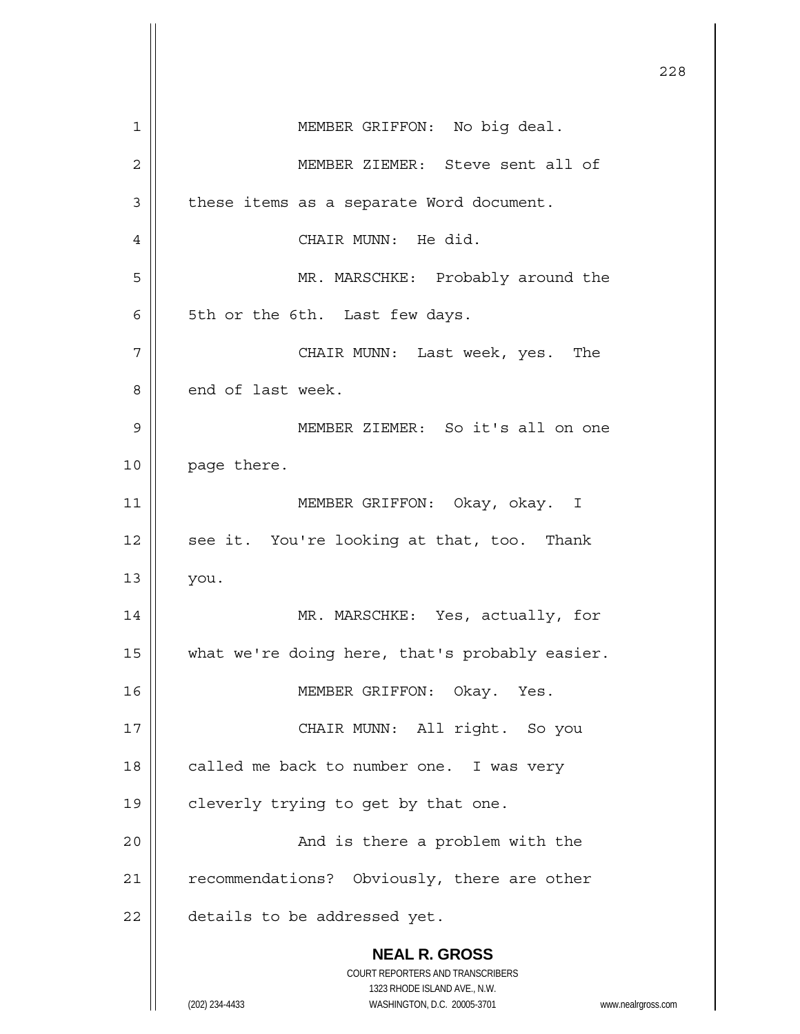**NEAL R. GROSS** COURT REPORTERS AND TRANSCRIBERS 1323 RHODE ISLAND AVE., N.W. (202) 234-4433 WASHINGTON, D.C. 20005-3701 www.nealrgross.com <u>228</u> 1 | MEMBER GRIFFON: No big deal. 2 || MEMBER ZIEMER: Steve sent all of  $3$  | these items as a separate Word document. 4 | CHAIR MUNN: He did. 5 || MR. MARSCHKE: Probably around the  $6 \parallel$  5th or the 6th. Last few days. 7 CHAIR MUNN: Last week, yes. The 8 end of last week. 9 MEMBER ZIEMER: So it's all on one 10 | page there. 11 || MEMBER GRIFFON: Okay, okay. I  $12$  || see it. You're looking at that, too. Thank  $13 \parallel$  you. 14 MR. MARSCHKE: Yes, actually, for 15 || what we're doing here, that's probably easier. 16 || MEMBER GRIFFON: Okay. Yes. 17 || CHAIR MUNN: All right. So you 18 | called me back to number one. I was very 19 || cleverly trying to get by that one. 20 And is there a problem with the 21 | recommendations? Obviously, there are other 22 | details to be addressed yet.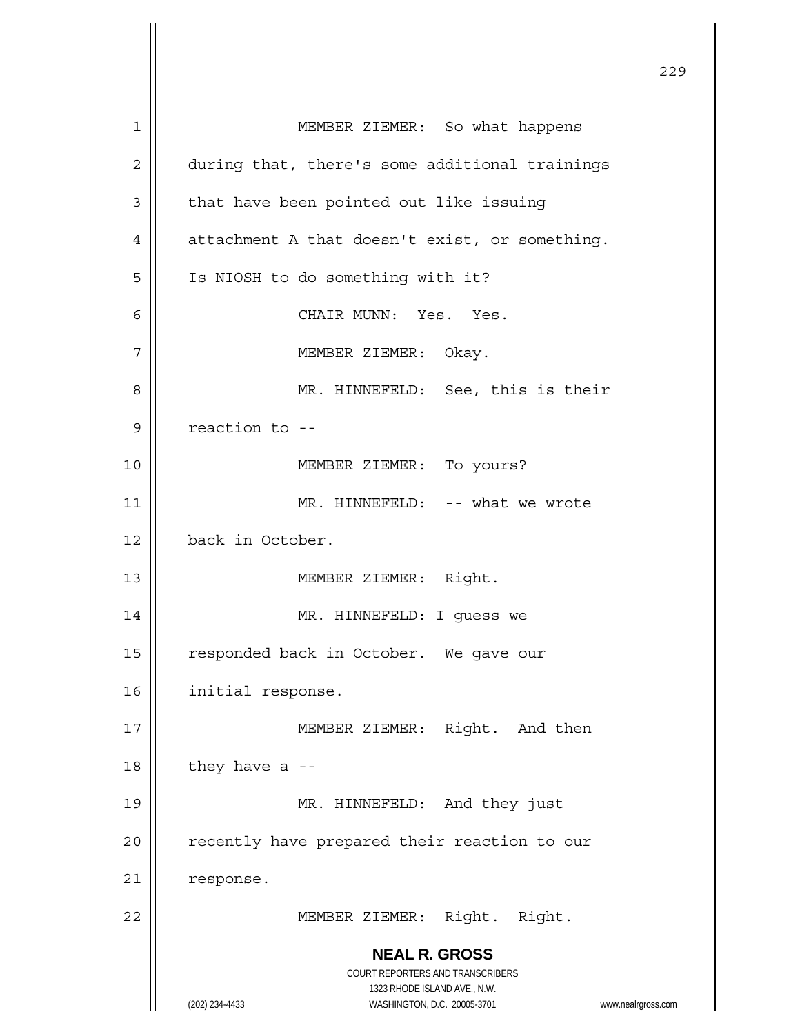| 1  | MEMBER ZIEMER: So what happens                    |
|----|---------------------------------------------------|
| 2  | during that, there's some additional trainings    |
| 3  | that have been pointed out like issuing           |
| 4  | attachment A that doesn't exist, or something.    |
| 5  | Is NIOSH to do something with it?                 |
| 6  | CHAIR MUNN: Yes. Yes.                             |
| 7  | MEMBER ZIEMER: Okay.                              |
| 8  | MR. HINNEFELD: See, this is their                 |
| 9  | reaction to --                                    |
| 10 | MEMBER ZIEMER: To yours?                          |
| 11 | MR. HINNEFELD: -- what we wrote                   |
| 12 | back in October.                                  |
| 13 | MEMBER ZIEMER: Right.                             |
| 14 | MR. HINNEFELD: I guess we                         |
| 15 | responded back in October. We gave our            |
| 16 | initial response.                                 |
| 17 | MEMBER ZIEMER: Right. And then                    |
| 18 | they have a $-$                                   |
| 19 | MR. HINNEFELD: And they just                      |
| 20 | recently have prepared their reaction to our      |
| 21 | response.                                         |
| 22 | MEMBER ZIEMER: Right. Right.                      |
|    | <b>NEAL R. GROSS</b>                              |
|    | COURT REPORTERS AND TRANSCRIBERS                  |
|    | 1323 RHODE ISLAND AVE., N.W.<br>(202) 234-4433    |
|    | WASHINGTON, D.C. 20005-3701<br>www.nealrgross.com |

<u>229</u>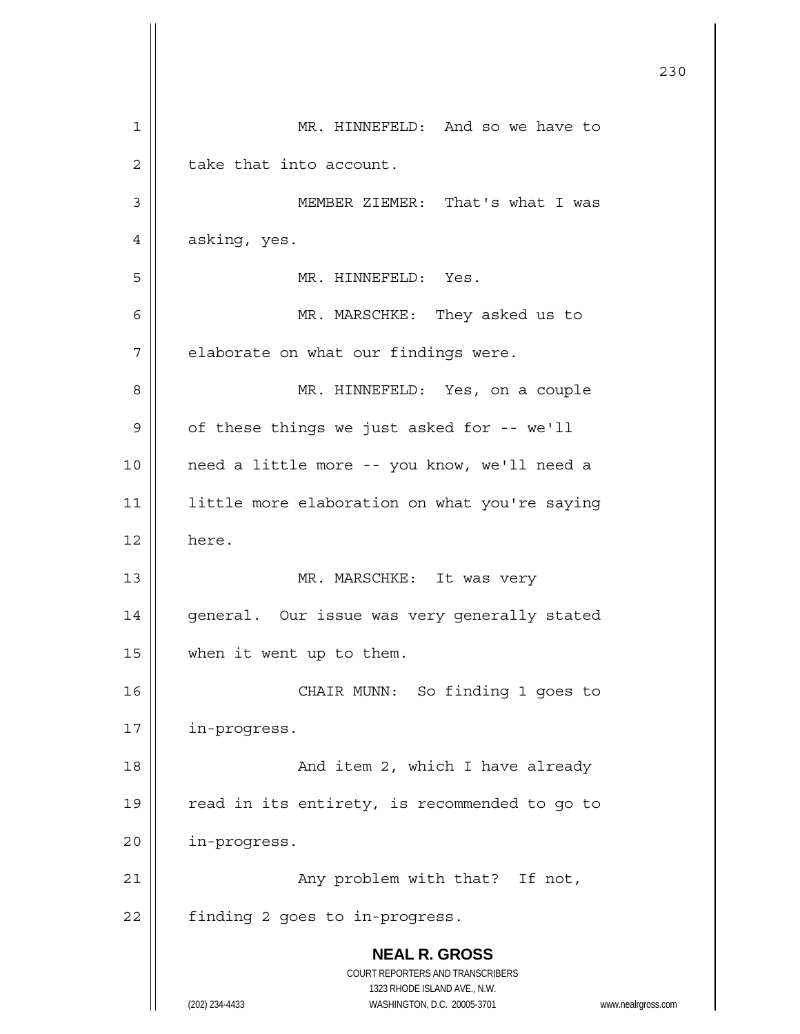|    |                                                                     | 230 |
|----|---------------------------------------------------------------------|-----|
| 1  | MR. HINNEFELD: And so we have to                                    |     |
| 2  | take that into account.                                             |     |
| 3  | MEMBER ZIEMER: That's what I was                                    |     |
| 4  | asking, yes.                                                        |     |
| 5  | MR. HINNEFELD: Yes.                                                 |     |
| 6  | MR. MARSCHKE: They asked us to                                      |     |
| 7  | elaborate on what our findings were.                                |     |
| 8  | MR. HINNEFELD: Yes, on a couple                                     |     |
| 9  | of these things we just asked for -- we'll                          |     |
| 10 | need a little more -- you know, we'll need a                        |     |
| 11 | little more elaboration on what you're saying                       |     |
| 12 | here.                                                               |     |
| 13 | MR. MARSCHKE: It was very                                           |     |
| 14 | general. Our issue was very generally stated                        |     |
| 15 | when it went up to them.                                            |     |
| 16 | CHAIR MUNN: So finding 1 goes to                                    |     |
| 17 | in-progress.                                                        |     |
| 18 | And item 2, which I have already                                    |     |
| 19 | read in its entirety, is recommended to go to                       |     |
| 20 | in-progress.                                                        |     |
| 21 | Any problem with that? If not,                                      |     |
| 22 | finding 2 goes to in-progress.                                      |     |
|    | <b>NEAL R. GROSS</b><br>COURT REPORTERS AND TRANSCRIBERS            |     |
|    | 1323 RHODE ISLAND AVE., N.W.                                        |     |
|    | (202) 234-4433<br>WASHINGTON, D.C. 20005-3701<br>www.nealrgross.com |     |

 $\mathbf{I}$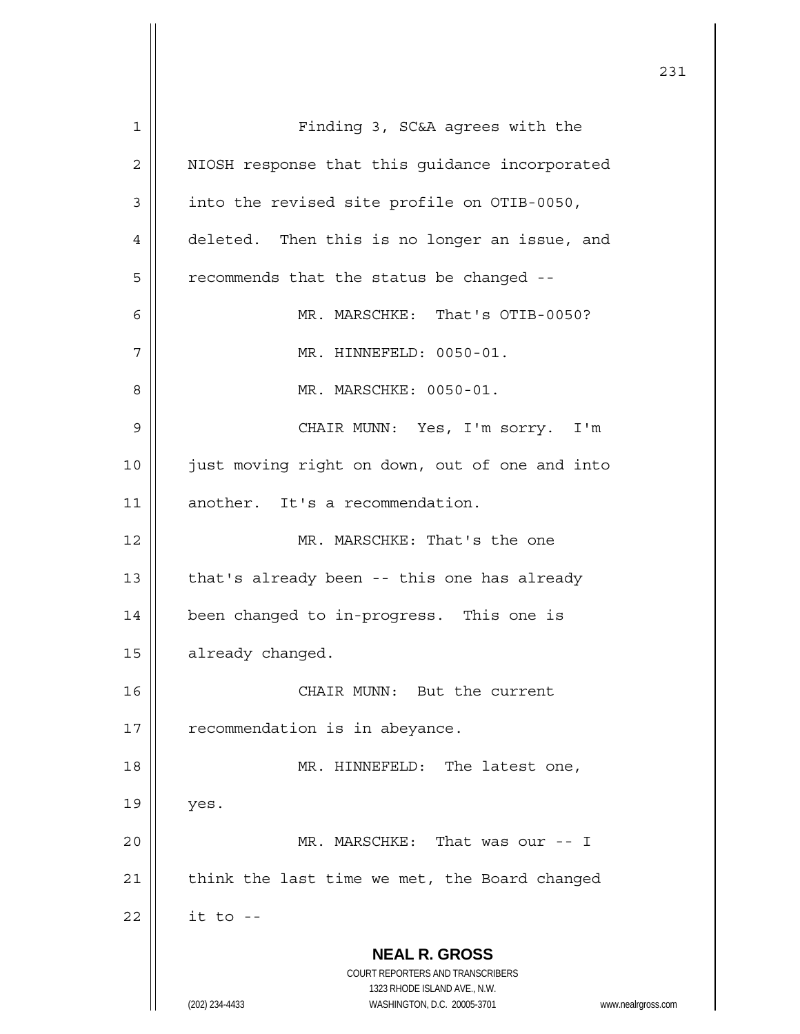**NEAL R. GROSS** COURT REPORTERS AND TRANSCRIBERS 1323 RHODE ISLAND AVE., N.W. (202) 234-4433 WASHINGTON, D.C. 20005-3701 www.nealrgross.com 1 | Finding 3, SC&A agrees with the 2 | NIOSH response that this guidance incorporated  $3$  | into the revised site profile on OTIB-0050, 4 deleted. Then this is no longer an issue, and  $5$  | recommends that the status be changed --6 MR. MARSCHKE: That's OTIB-0050? 7 || MR. HINNEFELD: 0050-01. 8 MR. MARSCHKE: 0050-01. 9 CHAIR MUNN: Yes, I'm sorry. I'm 10 || just moving right on down, out of one and into 11 | another. It's a recommendation. 12 MR. MARSCHKE: That's the one 13  $\parallel$  that's already been -- this one has already 14 been changed to in-progress. This one is 15 | already changed. 16 || CHAIR MUNN: But the current 17 | recommendation is in abeyance. 18 || MR. HINNEFELD: The latest one,  $19 \parallel$  yes. 20 MR. MARSCHKE: That was our -- I  $21$  | think the last time we met, the Board changed  $22$  || it to --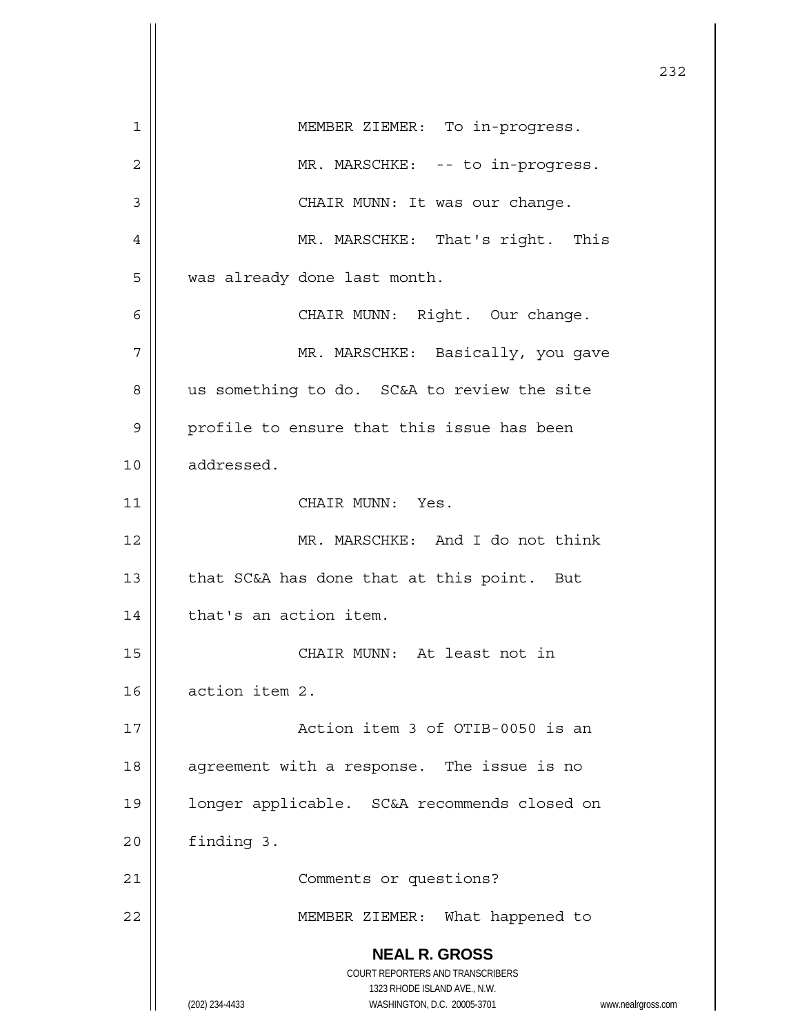|    |                                                                     | 232 |
|----|---------------------------------------------------------------------|-----|
| 1  | MEMBER ZIEMER: To in-progress.                                      |     |
| 2  | MR. MARSCHKE: -- to in-progress.                                    |     |
| 3  | CHAIR MUNN: It was our change.                                      |     |
| 4  | MR. MARSCHKE: That's right. This                                    |     |
| 5  | was already done last month.                                        |     |
| 6  | CHAIR MUNN: Right. Our change.                                      |     |
| 7  | MR. MARSCHKE: Basically, you gave                                   |     |
| 8  | us something to do. SC&A to review the site                         |     |
| 9  | profile to ensure that this issue has been                          |     |
| 10 | addressed.                                                          |     |
| 11 | CHAIR MUNN: Yes.                                                    |     |
| 12 | MR. MARSCHKE: And I do not think                                    |     |
| 13 | that SC&A has done that at this point. But                          |     |
| 14 | that's an action item.                                              |     |
| 15 | CHAIR MUNN: At least not in                                         |     |
| 16 | action item 2.                                                      |     |
| 17 | Action item 3 of OTIB-0050 is an                                    |     |
| 18 | agreement with a response. The issue is no                          |     |
| 19 | longer applicable. SC&A recommends closed on                        |     |
| 20 | finding 3.                                                          |     |
| 21 | Comments or questions?                                              |     |
| 22 | MEMBER ZIEMER: What happened to                                     |     |
|    | <b>NEAL R. GROSS</b>                                                |     |
|    | COURT REPORTERS AND TRANSCRIBERS<br>1323 RHODE ISLAND AVE., N.W.    |     |
|    | (202) 234-4433<br>WASHINGTON, D.C. 20005-3701<br>www.nealrgross.com |     |

 $\mathbf{\mathcal{L}}$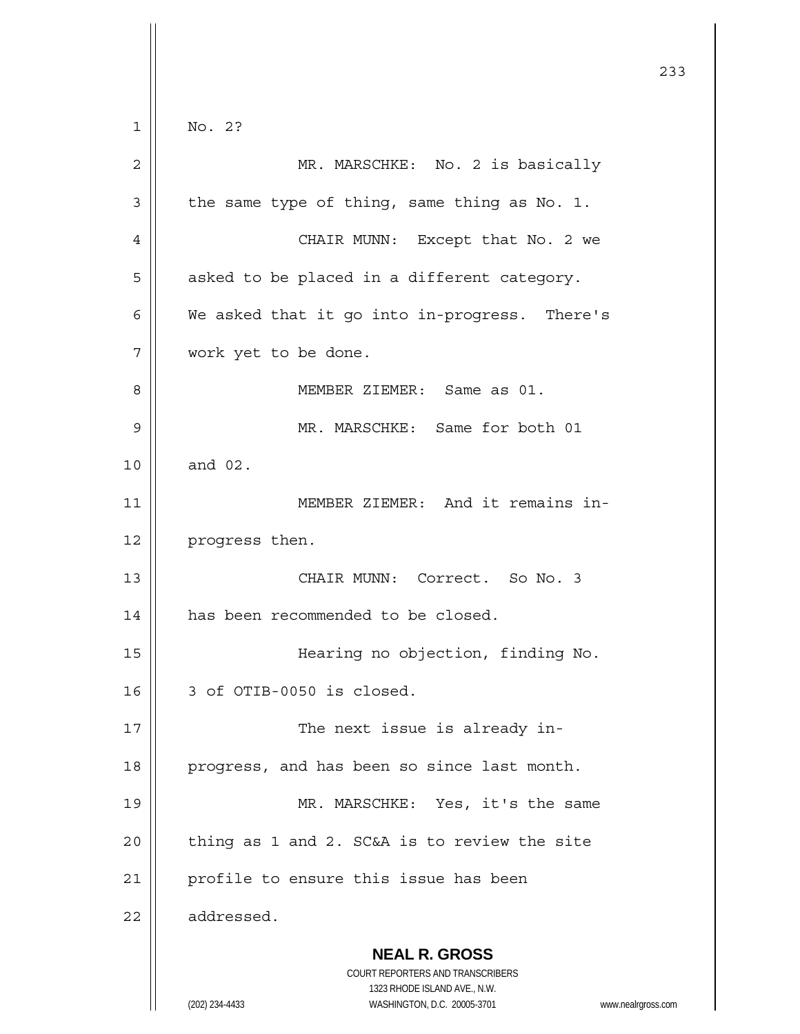**NEAL R. GROSS** COURT REPORTERS AND TRANSCRIBERS 1323 RHODE ISLAND AVE., N.W. (202) 234-4433 WASHINGTON, D.C. 20005-3701 www.nealrgross.com 233  $1 \parallel$  No. 2? 2 MR. MARSCHKE: No. 2 is basically  $3 \parallel$  the same type of thing, same thing as No. 1. 4 CHAIR MUNN: Except that No. 2 we  $5 \parallel$  asked to be placed in a different category.  $6 \parallel$  We asked that it go into in-progress. There's 7 work yet to be done. 8 MEMBER ZIEMER: Same as 01. 9 MR. MARSCHKE: Same for both 01 10 || and 02. 11 || MEMBER ZIEMER: And it remains in-12 | progress then. 13 CHAIR MUNN: Correct. So No. 3 14 | has been recommended to be closed. 15 Hearing no objection, finding No.  $16$  | 3 of OTIB-0050 is closed. 17 || The next issue is already in-18 | progress, and has been so since last month. 19 || MR. MARSCHKE: Yes, it's the same  $20$  | thing as 1 and 2. SC&A is to review the site 21 | profile to ensure this issue has been  $22$  | addressed.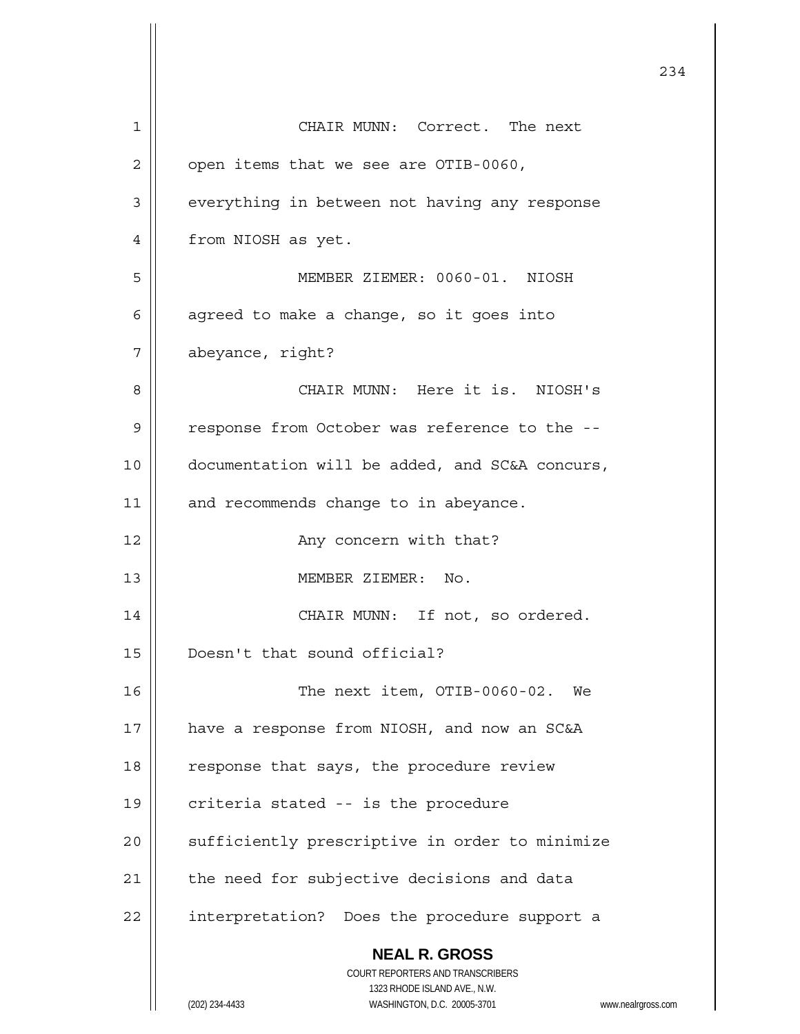|    | 234                                                                 |
|----|---------------------------------------------------------------------|
| 1  | CHAIR MUNN: Correct. The next                                       |
| 2  | open items that we see are OTIB-0060,                               |
| 3  | everything in between not having any response                       |
| 4  | from NIOSH as yet.                                                  |
| 5  | MEMBER ZIEMER: 0060-01. NIOSH                                       |
| 6  | agreed to make a change, so it goes into                            |
| 7  | abeyance, right?                                                    |
| 8  | CHAIR MUNN: Here it is. NIOSH's                                     |
| 9  | response from October was reference to the --                       |
| 10 | documentation will be added, and SC&A concurs,                      |
| 11 | and recommends change to in abeyance.                               |
| 12 | Any concern with that?                                              |
| 13 | MEMBER ZIEMER: No.                                                  |
| 14 | CHAIR MUNN: If not, so ordered.                                     |
| 15 | Doesn't that sound official?                                        |
| 16 | The next item, OTIB-0060-02. We                                     |
| 17 | have a response from NIOSH, and now an SC&A                         |
| 18 | response that says, the procedure review                            |
| 19 | criteria stated -- is the procedure                                 |
| 20 | sufficiently prescriptive in order to minimize                      |
| 21 | the need for subjective decisions and data                          |
| 22 | interpretation? Does the procedure support a                        |
|    | <b>NEAL R. GROSS</b><br>COURT REPORTERS AND TRANSCRIBERS            |
|    | 1323 RHODE ISLAND AVE., N.W.                                        |
|    | (202) 234-4433<br>WASHINGTON, D.C. 20005-3701<br>www.nealrgross.com |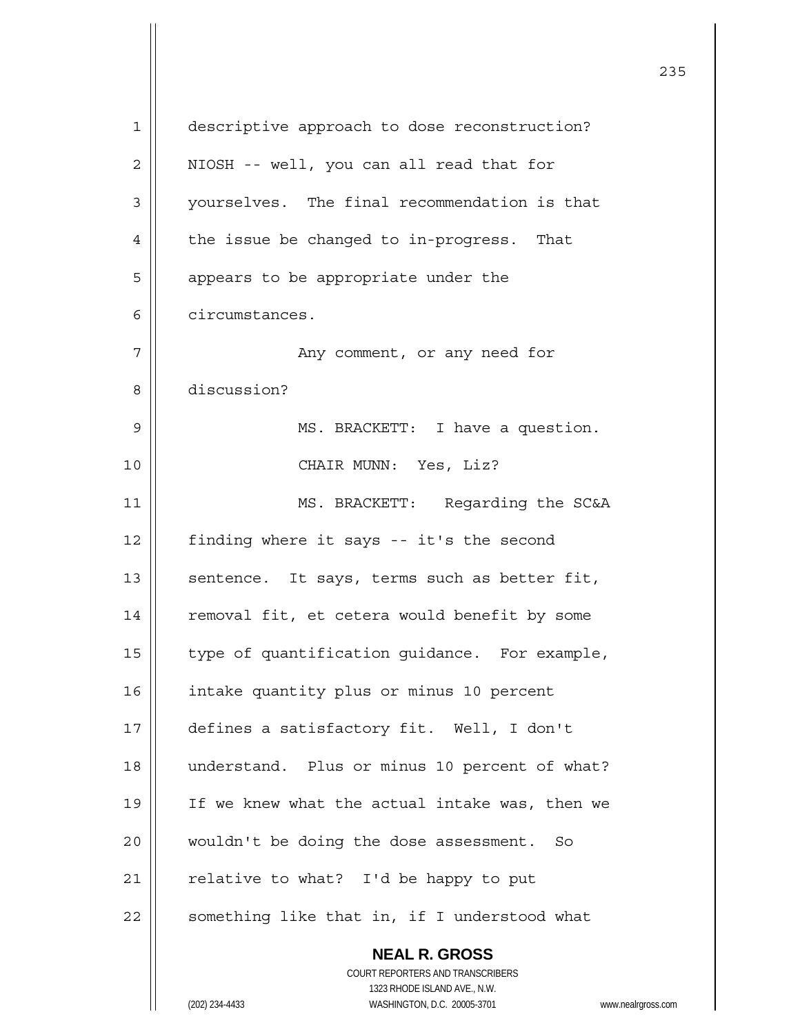| $\mathbf 1$ | descriptive approach to dose reconstruction?                        |
|-------------|---------------------------------------------------------------------|
| 2           | NIOSH -- well, you can all read that for                            |
| 3           | yourselves. The final recommendation is that                        |
| 4           | the issue be changed to in-progress. That                           |
| 5           | appears to be appropriate under the                                 |
| 6           | circumstances.                                                      |
| 7           | Any comment, or any need for                                        |
| 8           | discussion?                                                         |
| 9           | MS. BRACKETT: I have a question.                                    |
| 10          | CHAIR MUNN: Yes, Liz?                                               |
| 11          | MS. BRACKETT: Regarding the SC&A                                    |
| 12          | finding where it says -- it's the second                            |
| 13          | sentence. It says, terms such as better fit,                        |
| 14          | removal fit, et cetera would benefit by some                        |
| 15          | type of quantification guidance. For example,                       |
| 16          | intake quantity plus or minus 10 percent                            |
| 17          | defines a satisfactory fit. Well, I don't                           |
| 18          | understand. Plus or minus 10 percent of what?                       |
| 19          | If we knew what the actual intake was, then we                      |
| 20          | wouldn't be doing the dose assessment. So                           |
| 21          | relative to what? I'd be happy to put                               |
| 22          | something like that in, if I understood what                        |
|             | <b>NEAL R. GROSS</b>                                                |
|             | COURT REPORTERS AND TRANSCRIBERS                                    |
|             | 1323 RHODE ISLAND AVE., N.W.                                        |
|             | (202) 234-4433<br>WASHINGTON, D.C. 20005-3701<br>www.nealrgross.com |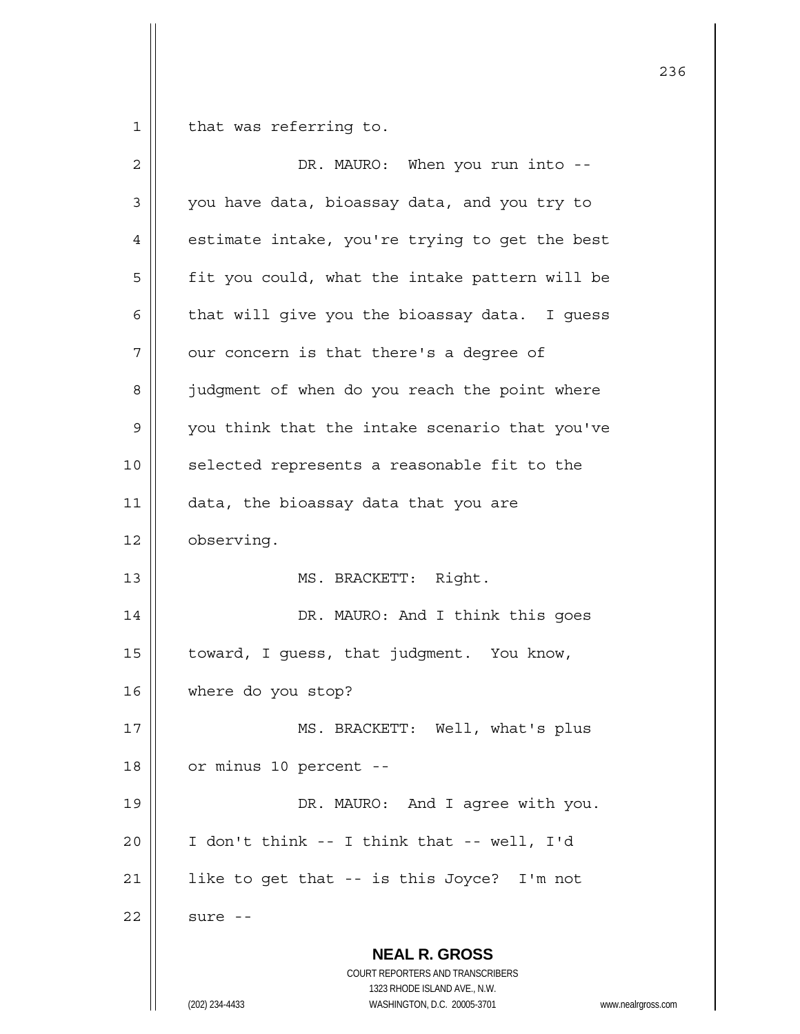$1$  that was referring to.

| 2  | DR. MAURO: When you run into --                                                                                                                                 |
|----|-----------------------------------------------------------------------------------------------------------------------------------------------------------------|
| 3  | you have data, bioassay data, and you try to                                                                                                                    |
| 4  | estimate intake, you're trying to get the best                                                                                                                  |
| 5  | fit you could, what the intake pattern will be                                                                                                                  |
| 6  | that will give you the bioassay data. I guess                                                                                                                   |
| 7  | our concern is that there's a degree of                                                                                                                         |
| 8  | judgment of when do you reach the point where                                                                                                                   |
| 9  | you think that the intake scenario that you've                                                                                                                  |
| 10 | selected represents a reasonable fit to the                                                                                                                     |
| 11 | data, the bioassay data that you are                                                                                                                            |
| 12 | observing.                                                                                                                                                      |
| 13 | MS. BRACKETT: Right.                                                                                                                                            |
| 14 | DR. MAURO: And I think this goes                                                                                                                                |
| 15 | toward, I guess, that judgment. You know,                                                                                                                       |
| 16 | where do you stop?                                                                                                                                              |
| 17 | MS. BRACKETT: Well, what's plus                                                                                                                                 |
| 18 | or minus 10 percent --                                                                                                                                          |
| 19 | DR. MAURO: And I agree with you.                                                                                                                                |
| 20 | I don't think -- I think that -- well, I'd                                                                                                                      |
| 21 | like to get that -- is this Joyce? I'm not                                                                                                                      |
| 22 | sure --                                                                                                                                                         |
|    | <b>NEAL R. GROSS</b><br>COURT REPORTERS AND TRANSCRIBERS<br>1323 RHODE ISLAND AVE., N.W.<br>(202) 234-4433<br>WASHINGTON, D.C. 20005-3701<br>www.nealrgross.com |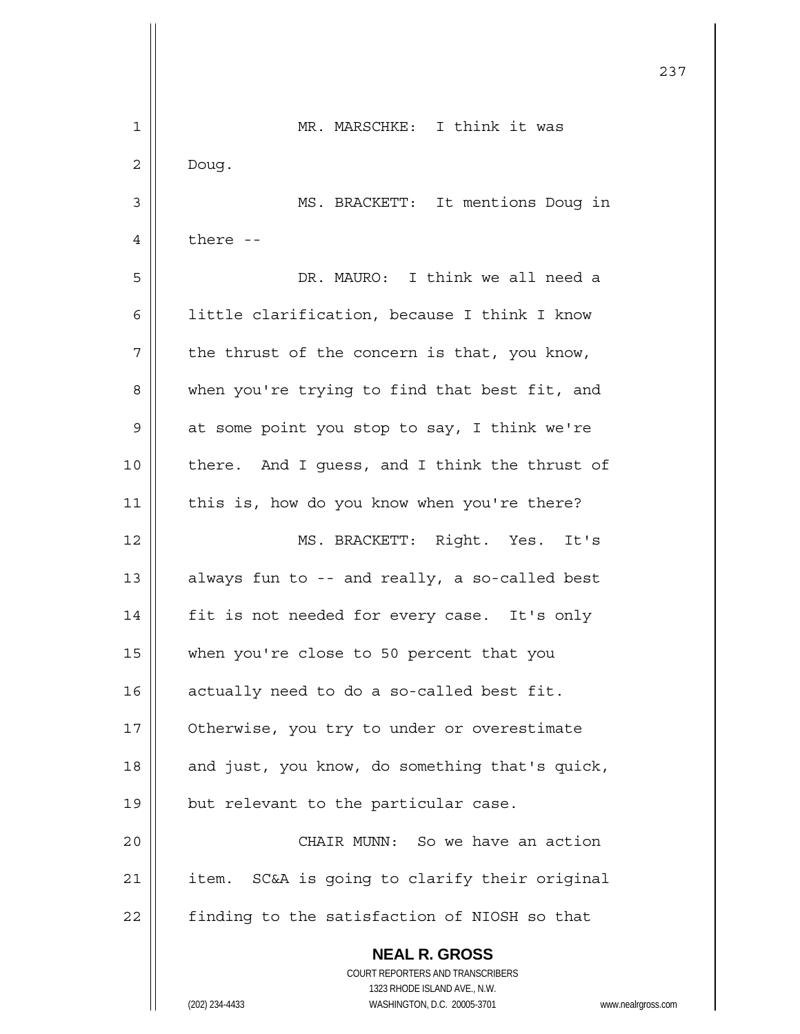|    | 237                                                                 |
|----|---------------------------------------------------------------------|
| 1  | MR. MARSCHKE: I think it was                                        |
| 2  | Doug.                                                               |
| 3  | MS. BRACKETT: It mentions Doug in                                   |
| 4  | there --                                                            |
| 5  | DR. MAURO: I think we all need a                                    |
| 6  | little clarification, because I think I know                        |
| 7  | the thrust of the concern is that, you know,                        |
| 8  | when you're trying to find that best fit, and                       |
| 9  | at some point you stop to say, I think we're                        |
| 10 | there. And I guess, and I think the thrust of                       |
| 11 | this is, how do you know when you're there?                         |
| 12 | MS. BRACKETT: Right. Yes. It's                                      |
| 13 | always fun to -- and really, a so-called best                       |
| 14 | fit is not needed for every case. It's only                         |
| 15 | when you're close to 50 percent that you                            |
| 16 | actually need to do a so-called best fit.                           |
| 17 | Otherwise, you try to under or overestimate                         |
| 18 | and just, you know, do something that's quick,                      |
| 19 | but relevant to the particular case.                                |
| 20 | CHAIR MUNN: So we have an action                                    |
| 21 | SC&A is going to clarify their original<br>item.                    |
| 22 | finding to the satisfaction of NIOSH so that                        |
|    | <b>NEAL R. GROSS</b><br>COURT REPORTERS AND TRANSCRIBERS            |
|    | 1323 RHODE ISLAND AVE., N.W.                                        |
|    | (202) 234-4433<br>WASHINGTON, D.C. 20005-3701<br>www.nealrgross.com |

 $\mathsf{I}$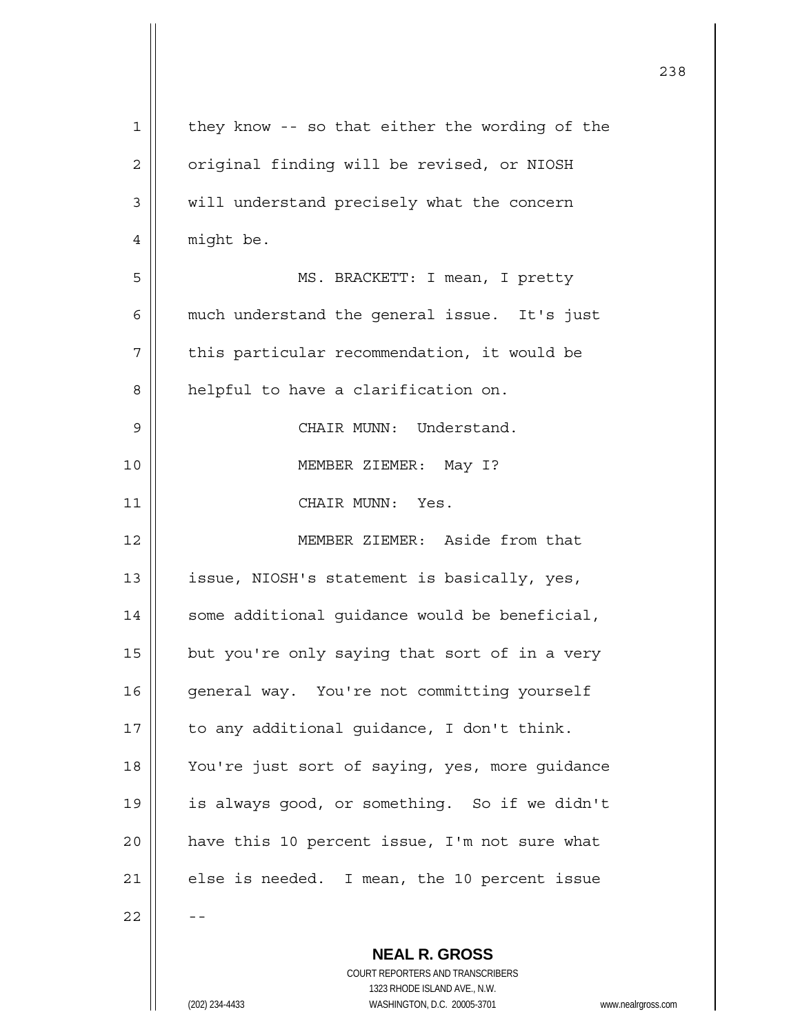| $\mathbf 1$ | they know -- so that either the wording of the           |
|-------------|----------------------------------------------------------|
| 2           | original finding will be revised, or NIOSH               |
| 3           | will understand precisely what the concern               |
| 4           | might be.                                                |
| 5           | MS. BRACKETT: I mean, I pretty                           |
| 6           | much understand the general issue. It's just             |
| 7           | this particular recommendation, it would be              |
| 8           | helpful to have a clarification on.                      |
| 9           | CHAIR MUNN: Understand.                                  |
| 10          | MEMBER ZIEMER: May I?                                    |
| 11          | CHAIR MUNN: Yes.                                         |
| 12          | MEMBER ZIEMER: Aside from that                           |
| 13          | issue, NIOSH's statement is basically, yes,              |
| 14          | some additional guidance would be beneficial,            |
| 15          | but you're only saying that sort of in a very            |
| 16          | general way. You're not committing yourself              |
| 17          | to any additional guidance, I don't think.               |
| 18          | You're just sort of saying, yes, more guidance           |
| 19          | is always good, or something. So if we didn't            |
| 20          | have this 10 percent issue, I'm not sure what            |
| 21          | else is needed. I mean, the 10 percent issue             |
| 22          |                                                          |
|             | <b>NEAL R. GROSS</b><br>COURT REPORTERS AND TRANSCRIBERS |

1323 RHODE ISLAND AVE., N.W.

 $\overline{\phantom{a}}$  $\prod_{i=1}^{n}$ 

 $\mathsf{I}$ 

(202) 234-4433 WASHINGTON, D.C. 20005-3701 www.nealrgross.com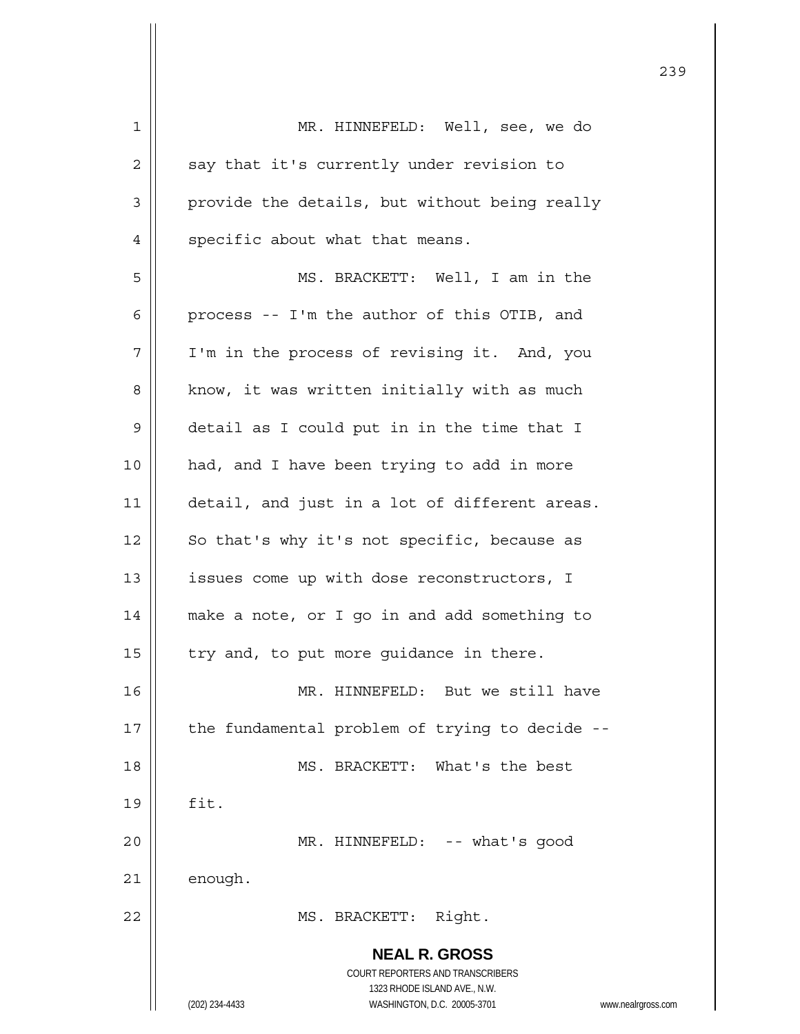| 1  | MR. HINNEFELD: Well, see, we do                                     |
|----|---------------------------------------------------------------------|
| 2  | say that it's currently under revision to                           |
| 3  | provide the details, but without being really                       |
| 4  | specific about what that means.                                     |
| 5  | MS. BRACKETT: Well, I am in the                                     |
| 6  | process -- I'm the author of this OTIB, and                         |
| 7  | I'm in the process of revising it. And, you                         |
| 8  | know, it was written initially with as much                         |
| 9  | detail as I could put in in the time that I                         |
| 10 | had, and I have been trying to add in more                          |
| 11 | detail, and just in a lot of different areas.                       |
| 12 | So that's why it's not specific, because as                         |
| 13 | issues come up with dose reconstructors, I                          |
| 14 | make a note, or I go in and add something to                        |
| 15 | try and, to put more guidance in there.                             |
| 16 | MR. HINNEFELD: But we still have                                    |
| 17 | the fundamental problem of trying to decide --                      |
| 18 | MS. BRACKETT: What's the best                                       |
| 19 | fit.                                                                |
| 20 | MR. HINNEFELD: -- what's good                                       |
| 21 | enough.                                                             |
| 22 | Right.<br>MS. BRACKETT:                                             |
|    |                                                                     |
|    | <b>NEAL R. GROSS</b>                                                |
|    | COURT REPORTERS AND TRANSCRIBERS<br>1323 RHODE ISLAND AVE., N.W.    |
|    | (202) 234-4433<br>WASHINGTON, D.C. 20005-3701<br>www.nealrgross.com |

<u>239</u>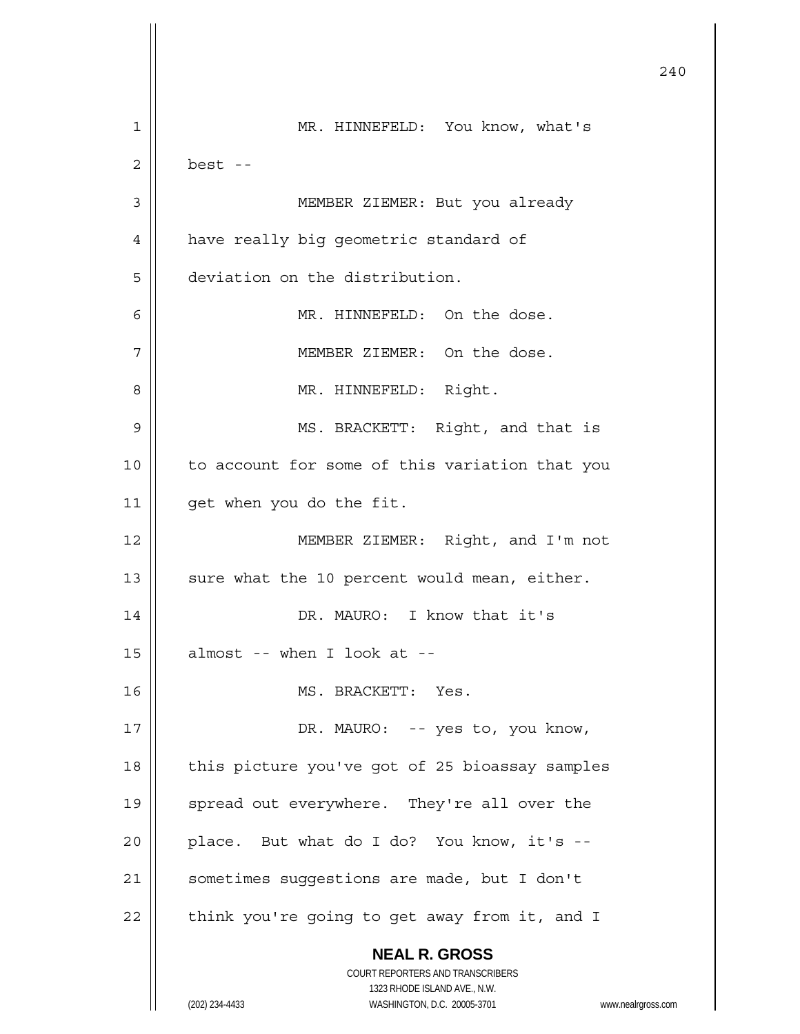**NEAL R. GROSS** COURT REPORTERS AND TRANSCRIBERS 1323 RHODE ISLAND AVE., N.W. (202) 234-4433 WASHINGTON, D.C. 20005-3701 www.nealrgross.com 240 1 | MR. HINNEFELD: You know, what's  $2 \parallel$  best --3 MEMBER ZIEMER: But you already 4 | have really big geometric standard of 5 deviation on the distribution. 6 || MR. HINNEFELD: On the dose. 7 MEMBER ZIEMER: On the dose. 8 || MR. HINNEFELD: Right. 9 || MS. BRACKETT: Right, and that is 10 || to account for some of this variation that you 11 | qet when you do the fit. 12 || MEMBER ZIEMER: Right, and I'm not 13  $\parallel$  sure what the 10 percent would mean, either. 14 || DR. MAURO: I know that it's  $15$  || almost -- when I look at --16 MS. BRACKETT: Yes. 17 || DR. MAURO: -- yes to, you know, 18 || this picture you've got of 25 bioassay samples 19 || spread out everywhere. They're all over the  $20$  || place. But what do I do? You know, it's --21 | sometimes suggestions are made, but I don't  $22$  | think you're going to get away from it, and I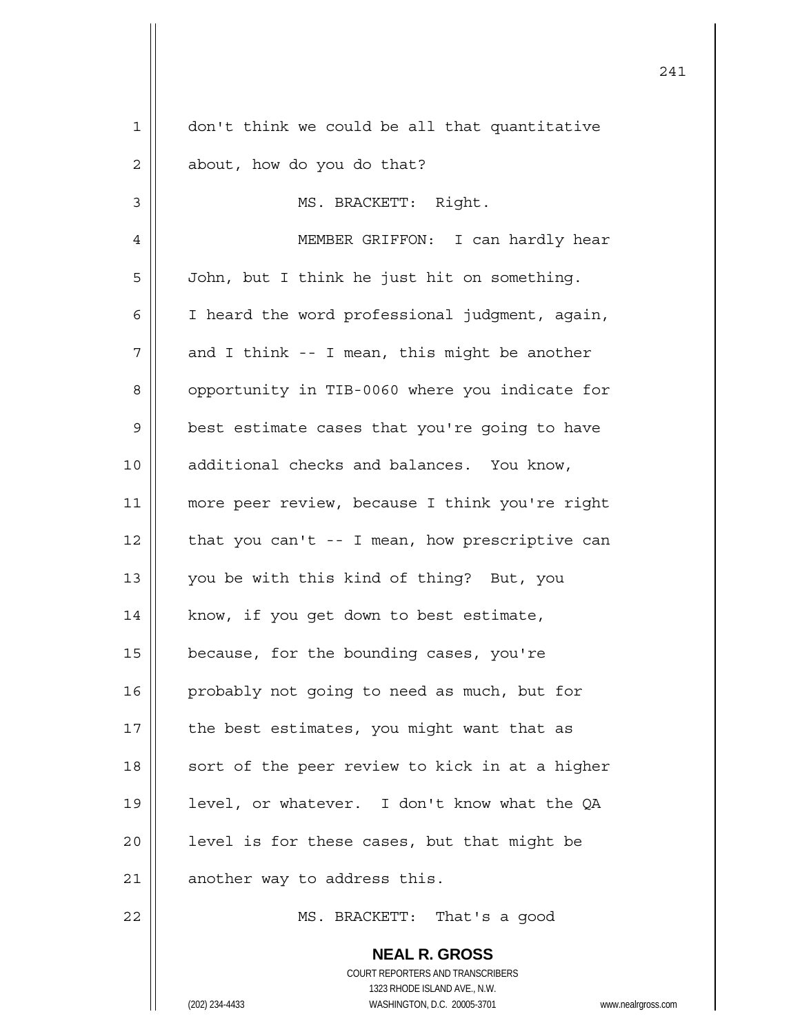| $\mathbf 1$    | don't think we could be all that quantitative            |
|----------------|----------------------------------------------------------|
| $\overline{2}$ | about, how do you do that?                               |
| 3              | MS. BRACKETT: Right.                                     |
| 4              | MEMBER GRIFFON: I can hardly hear                        |
| 5              | John, but I think he just hit on something.              |
| 6              | I heard the word professional judgment, again,           |
| 7              | and I think -- I mean, this might be another             |
| 8              | opportunity in TIB-0060 where you indicate for           |
| 9              | best estimate cases that you're going to have            |
| 10             | additional checks and balances. You know,                |
| 11             | more peer review, because I think you're right           |
| 12             | that you can't -- I mean, how prescriptive can           |
| 13             | you be with this kind of thing? But, you                 |
| 14             | know, if you get down to best estimate,                  |
| 15             | because, for the bounding cases, you're                  |
| 16             | probably not going to need as much, but for              |
| 17             | the best estimates, you might want that as               |
| 18             | sort of the peer review to kick in at a higher           |
| 19             | level, or whatever. I don't know what the QA             |
| 20             | level is for these cases, but that might be              |
| 21             | another way to address this.                             |
| 22             | MS. BRACKETT: That's a good                              |
|                | <b>NEAL R. GROSS</b><br>COURT REPORTERS AND TRANSCRIBERS |

241

1323 RHODE ISLAND AVE., N.W.

 $\mathsf{I}$  $\prod_{i=1}^{n}$ 

(202) 234-4433 WASHINGTON, D.C. 20005-3701 www.nealrgross.com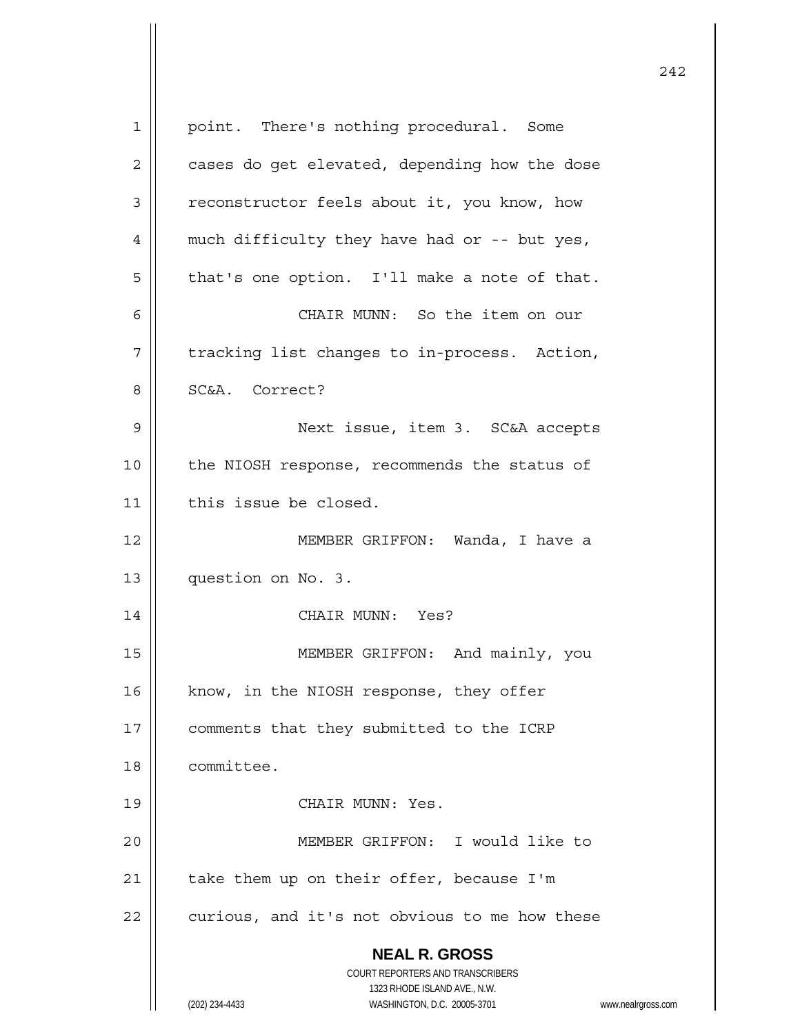| $\mathbf 1$    | point. There's nothing procedural. Some                             |
|----------------|---------------------------------------------------------------------|
| $\overline{2}$ | cases do get elevated, depending how the dose                       |
| 3              | reconstructor feels about it, you know, how                         |
| 4              | much difficulty they have had or -- but yes,                        |
| 5              | that's one option. I'll make a note of that.                        |
| 6              | CHAIR MUNN: So the item on our                                      |
| 7              | tracking list changes to in-process. Action,                        |
| 8              | SC&A. Correct?                                                      |
| 9              | Next issue, item 3. SC&A accepts                                    |
| 10             | the NIOSH response, recommends the status of                        |
| 11             | this issue be closed.                                               |
| 12             | MEMBER GRIFFON: Wanda, I have a                                     |
| 13             | question on No. 3.                                                  |
| 14             | CHAIR MUNN: Yes?                                                    |
| 15             | MEMBER GRIFFON: And mainly, you                                     |
| 16             | know, in the NIOSH response, they offer                             |
| 17             | comments that they submitted to the ICRP                            |
| 18             | committee.                                                          |
| 19             | CHAIR MUNN: Yes.                                                    |
| 20             | MEMBER GRIFFON: I would like to                                     |
| 21             | take them up on their offer, because I'm                            |
| 22             | curious, and it's not obvious to me how these                       |
|                | <b>NEAL R. GROSS</b>                                                |
|                | COURT REPORTERS AND TRANSCRIBERS                                    |
|                | 1323 RHODE ISLAND AVE., N.W.                                        |
|                | WASHINGTON, D.C. 20005-3701<br>(202) 234-4433<br>www.nealrgross.com |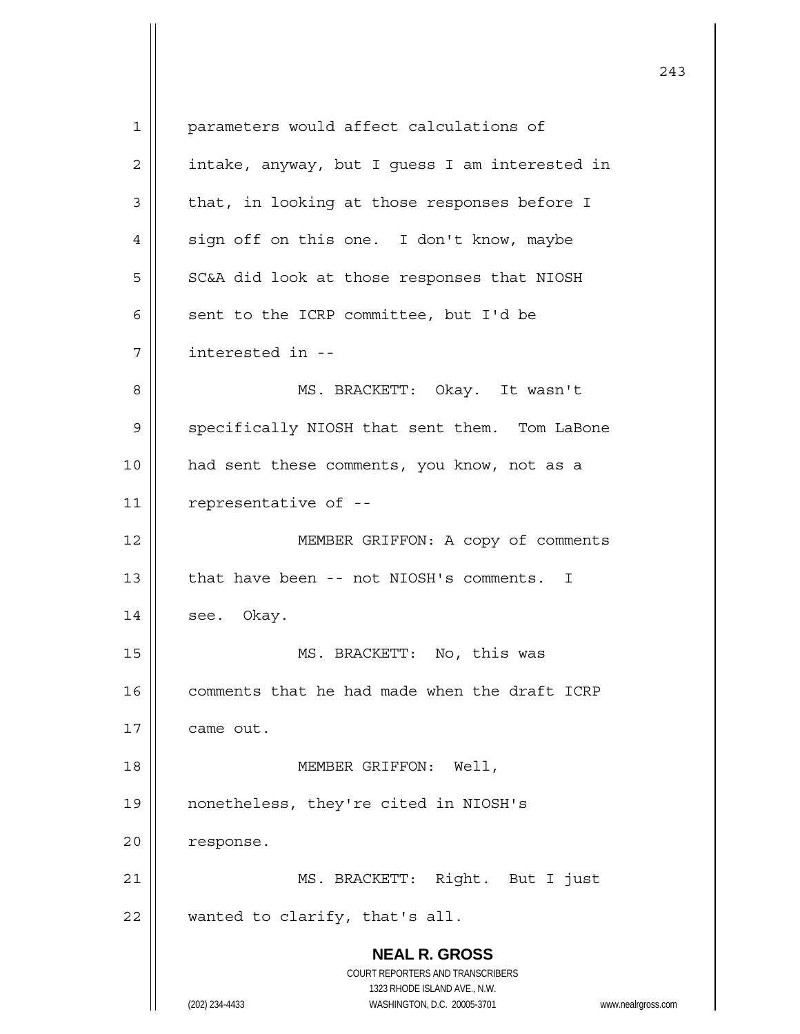**NEAL R. GROSS** COURT REPORTERS AND TRANSCRIBERS 1323 RHODE ISLAND AVE., N.W. (202) 234-4433 WASHINGTON, D.C. 20005-3701 www.nealrgross.com 1 | parameters would affect calculations of  $2 \parallel$  intake, anyway, but I guess I am interested in  $3 \parallel$  that, in looking at those responses before I  $4 \parallel$  sign off on this one. I don't know, maybe  $5 \parallel$  SC&A did look at those responses that NIOSH 6  $\parallel$  sent to the ICRP committee, but I'd be 7 interested in -- 8 || MS. BRACKETT: Okay. It wasn't 9 | specifically NIOSH that sent them. Tom LaBone 10 had sent these comments, you know, not as a 11 | representative of --12 | MEMBER GRIFFON: A copy of comments 13 | that have been -- not NIOSH's comments. I  $14$  | see. Okay. 15 || MS. BRACKETT: No, this was 16 | comments that he had made when the draft ICRP 17 | came out. 18 MEMBER GRIFFON: Well, 19 nonetheless, they're cited in NIOSH's 20 | response. 21 || MS. BRACKETT: Right. But I just  $22$  || wanted to clarify, that's all.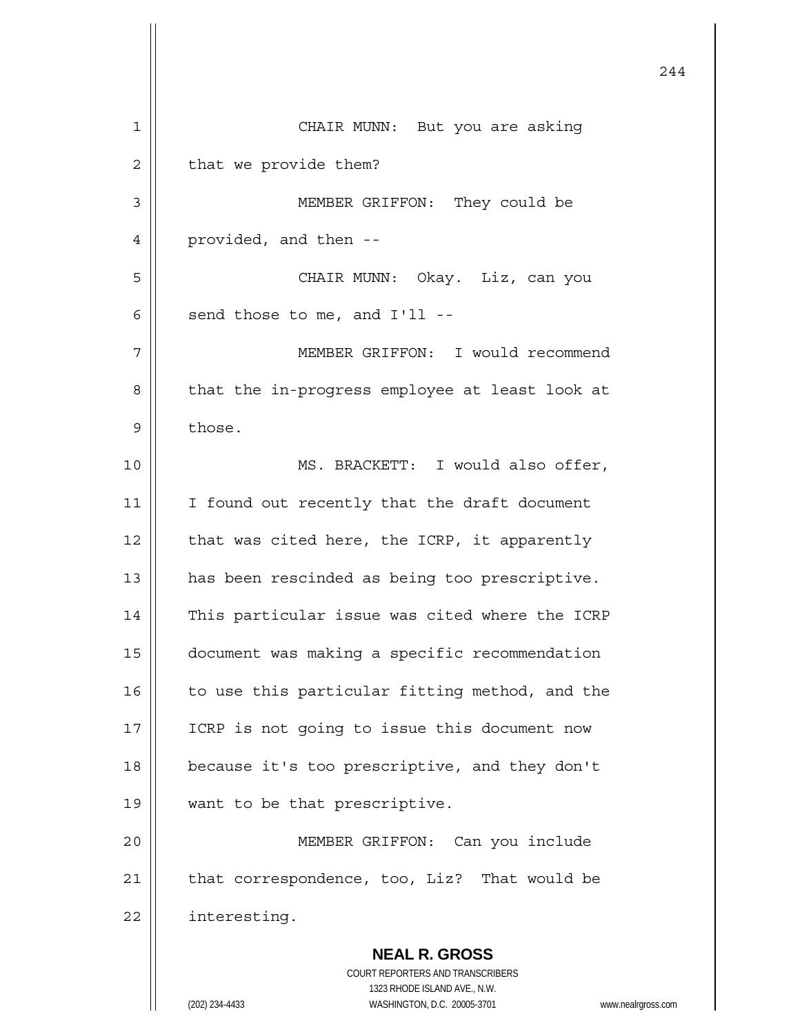|    |                                                                                                     | 244 |
|----|-----------------------------------------------------------------------------------------------------|-----|
| 1  | CHAIR MUNN: But you are asking                                                                      |     |
| 2  | that we provide them?                                                                               |     |
| 3  | MEMBER GRIFFON: They could be                                                                       |     |
| 4  | provided, and then --                                                                               |     |
| 5  | CHAIR MUNN: Okay. Liz, can you                                                                      |     |
| 6  | send those to me, and I'll --                                                                       |     |
| 7  | MEMBER GRIFFON: I would recommend                                                                   |     |
| 8  | that the in-progress employee at least look at                                                      |     |
| 9  | those.                                                                                              |     |
| 10 | MS. BRACKETT: I would also offer,                                                                   |     |
| 11 | I found out recently that the draft document                                                        |     |
| 12 | that was cited here, the ICRP, it apparently                                                        |     |
| 13 | has been rescinded as being too prescriptive.                                                       |     |
| 14 | This particular issue was cited where the ICRP                                                      |     |
| 15 | document was making a specific recommendation                                                       |     |
| 16 | to use this particular fitting method, and the                                                      |     |
| 17 | ICRP is not going to issue this document now                                                        |     |
| 18 | because it's too prescriptive, and they don't                                                       |     |
| 19 | want to be that prescriptive.                                                                       |     |
| 20 | MEMBER GRIFFON:<br>Can you include                                                                  |     |
| 21 | that correspondence, too, Liz? That would be                                                        |     |
| 22 | interesting.                                                                                        |     |
|    | <b>NEAL R. GROSS</b><br>COURT REPORTERS AND TRANSCRIBERS                                            |     |
|    | 1323 RHODE ISLAND AVE., N.W.<br>(202) 234-4433<br>WASHINGTON, D.C. 20005-3701<br>www.nealrgross.com |     |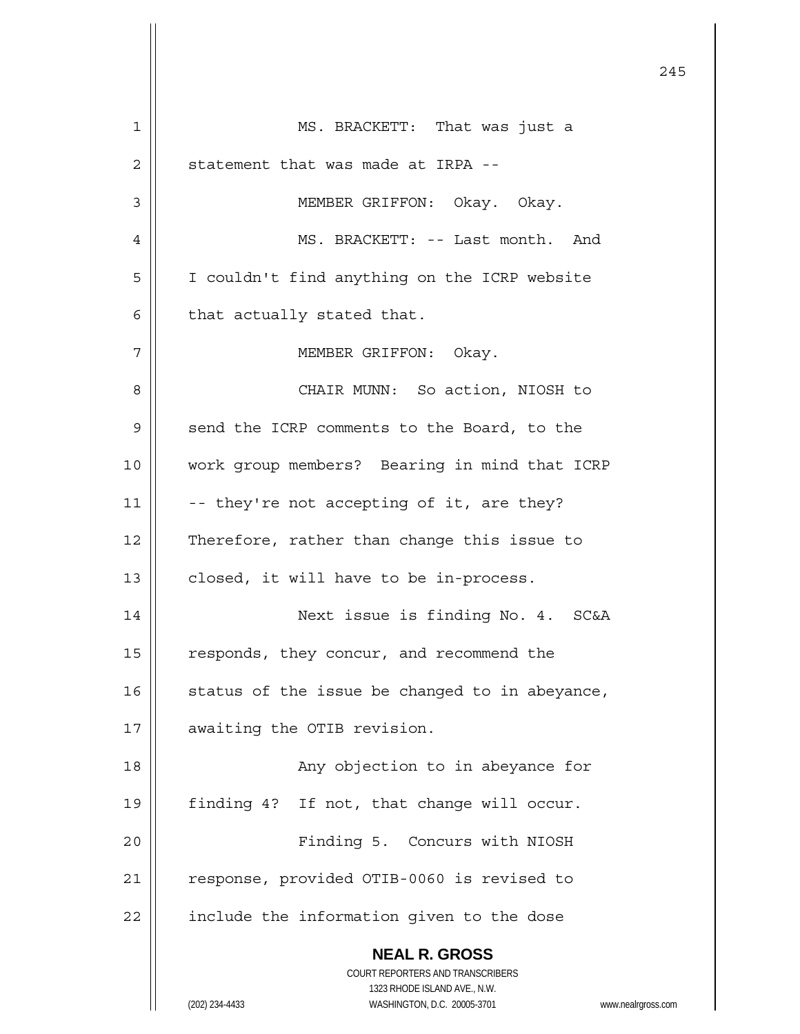**NEAL R. GROSS** COURT REPORTERS AND TRANSCRIBERS 1323 RHODE ISLAND AVE., N.W. (202) 234-4433 WASHINGTON, D.C. 20005-3701 www.nealrgross.com 1 MS. BRACKETT: That was just a  $2$  || statement that was made at IRPA --3 | MEMBER GRIFFON: Okay. Okay. 4 MS. BRACKETT: -- Last month. And 5 | I couldn't find anything on the ICRP website  $6 \parallel$  that actually stated that. 7 || MEMBER GRIFFON: Okay. 8 CHAIR MUNN: So action, NIOSH to 9 || send the ICRP comments to the Board, to the 10 work group members? Bearing in mind that ICRP 11  $\parallel$  -- they're not accepting of it, are they? 12 | Therefore, rather than change this issue to  $13$  | closed, it will have to be in-process. 14 Next issue is finding No. 4. SC&A 15 | responds, they concur, and recommend the 16  $\parallel$  status of the issue be changed to in abeyance, 17 | awaiting the OTIB revision. 18 || Any objection to in abeyance for 19 || finding 4? If not, that change will occur. 20 || Finding 5. Concurs with NIOSH 21 | response, provided OTIB-0060 is revised to  $22$  | include the information given to the dose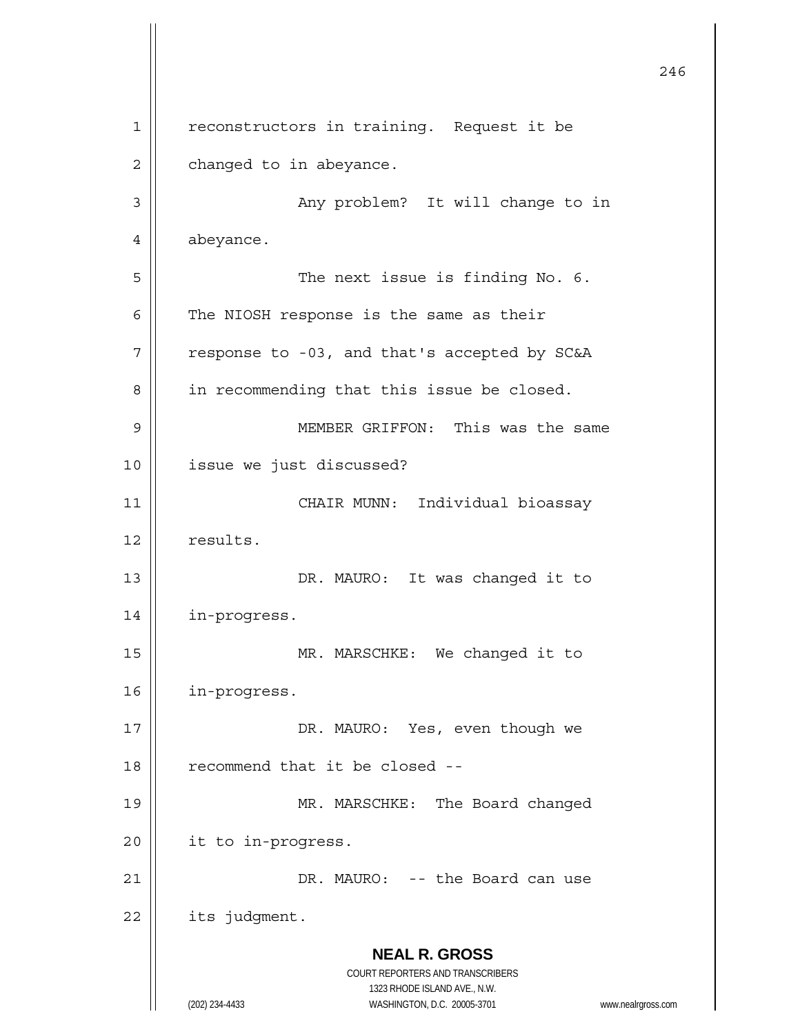**NEAL R. GROSS** COURT REPORTERS AND TRANSCRIBERS 1323 RHODE ISLAND AVE., N.W. (202) 234-4433 WASHINGTON, D.C. 20005-3701 www.nealrgross.com 246 1 || reconstructors in training. Request it be  $2 \parallel$  changed to in abeyance. 3 Any problem? It will change to in 4 | abeyance. 5 || The next issue is finding No. 6.  $6$  | The NIOSH response is the same as their  $7 ||$  response to -03, and that's accepted by SC&A 8 | in recommending that this issue be closed. 9 MEMBER GRIFFON: This was the same 10 issue we just discussed? 11 CHAIR MUNN: Individual bioassay 12 | results. 13 || DR. MAURO: It was changed it to 14 in-progress. 15 || MR. MARSCHKE: We changed it to 16 in-progress. 17 || DR. MAURO: Yes, even though we  $18$   $\parallel$  recommend that it be closed --19 || MR. MARSCHKE: The Board changed 20 | it to in-progress. 21 | DR. MAURO: -- the Board can use  $22$  | its judgment.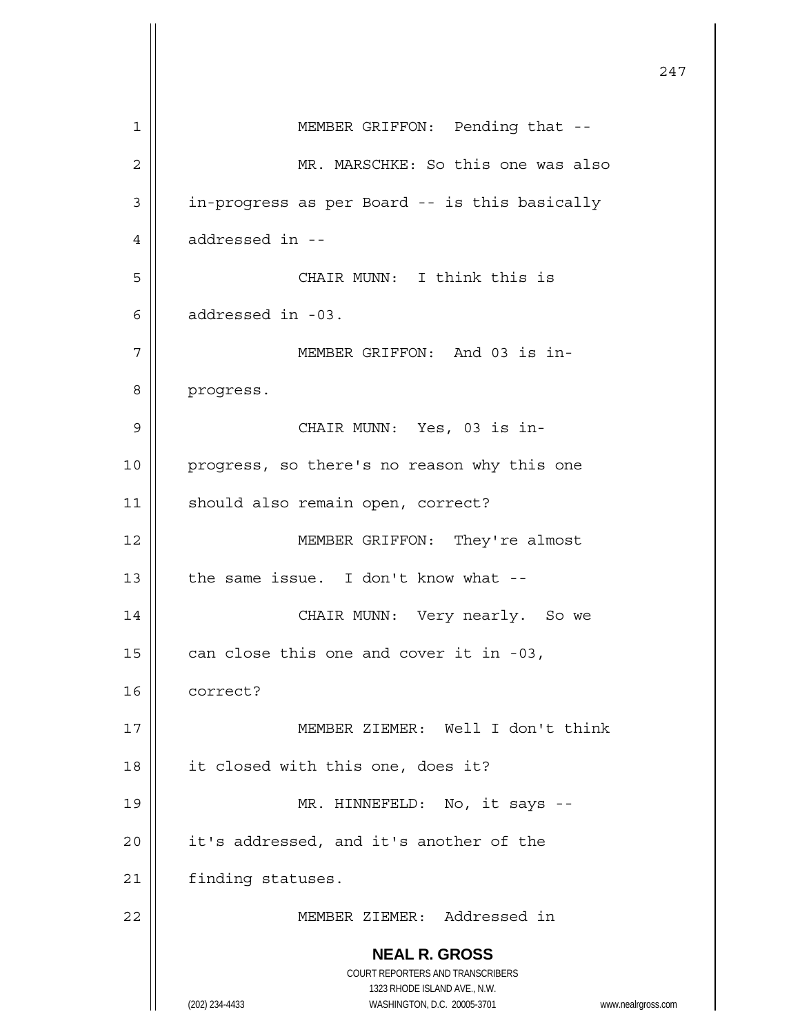**NEAL R. GROSS** COURT REPORTERS AND TRANSCRIBERS 1323 RHODE ISLAND AVE., N.W. (202) 234-4433 WASHINGTON, D.C. 20005-3701 www.nealrgross.com 247 1 | MEMBER GRIFFON: Pending that --2 | MR. MARSCHKE: So this one was also 3 | in-progress as per Board -- is this basically  $4 \parallel$  addressed in --5 CHAIR MUNN: I think this is  $6 \parallel$  addressed in -03. 7 MEMBER GRIFFON: And 03 is in-8 progress. 9 || CHAIR MUNN: Yes, 03 is in-10 || progress, so there's no reason why this one 11 | should also remain open, correct? 12 MEMBER GRIFFON: They're almost 13  $\parallel$  the same issue. I don't know what --14 CHAIR MUNN: Very nearly. So we 15  $\vert$  can close this one and cover it in -03, 16 correct? 17 MEMBER ZIEMER: Well I don't think 18 | it closed with this one, does it? 19 || MR. HINNEFELD: No, it says -- $20$  | it's addressed, and it's another of the 21 | finding statuses. 22 MEMBER ZIEMER: Addressed in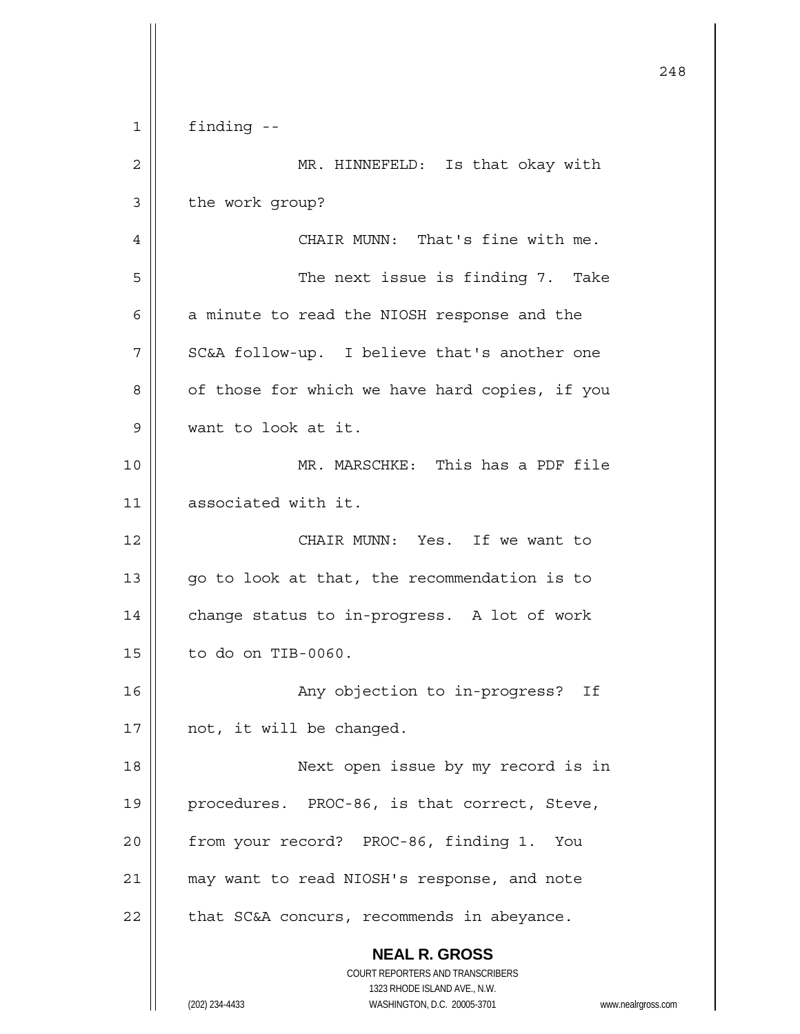|    |                                                                     | 248 |
|----|---------------------------------------------------------------------|-----|
| 1  | finding --                                                          |     |
| 2  | MR. HINNEFELD: Is that okay with                                    |     |
| 3  | the work group?                                                     |     |
| 4  | CHAIR MUNN: That's fine with me.                                    |     |
| 5  | The next issue is finding 7. Take                                   |     |
| 6  | a minute to read the NIOSH response and the                         |     |
| 7  | SC&A follow-up. I believe that's another one                        |     |
| 8  | of those for which we have hard copies, if you                      |     |
| 9  | want to look at it.                                                 |     |
| 10 | MR. MARSCHKE: This has a PDF file                                   |     |
| 11 | associated with it.                                                 |     |
| 12 | CHAIR MUNN: Yes. If we want to                                      |     |
| 13 | go to look at that, the recommendation is to                        |     |
| 14 | change status to in-progress. A lot of work                         |     |
| 15 | to do on TIB-0060.                                                  |     |
| 16 | Any objection to in-progress? If                                    |     |
| 17 | not, it will be changed.                                            |     |
| 18 | Next open issue by my record is in                                  |     |
| 19 | procedures. PROC-86, is that correct, Steve,                        |     |
| 20 | from your record? PROC-86, finding 1. You                           |     |
| 21 | may want to read NIOSH's response, and note                         |     |
| 22 | that SC&A concurs, recommends in abeyance.                          |     |
|    | <b>NEAL R. GROSS</b><br>COURT REPORTERS AND TRANSCRIBERS            |     |
|    | 1323 RHODE ISLAND AVE., N.W.                                        |     |
|    | (202) 234-4433<br>WASHINGTON, D.C. 20005-3701<br>www.nealrgross.com |     |

 $\mathsf{l}$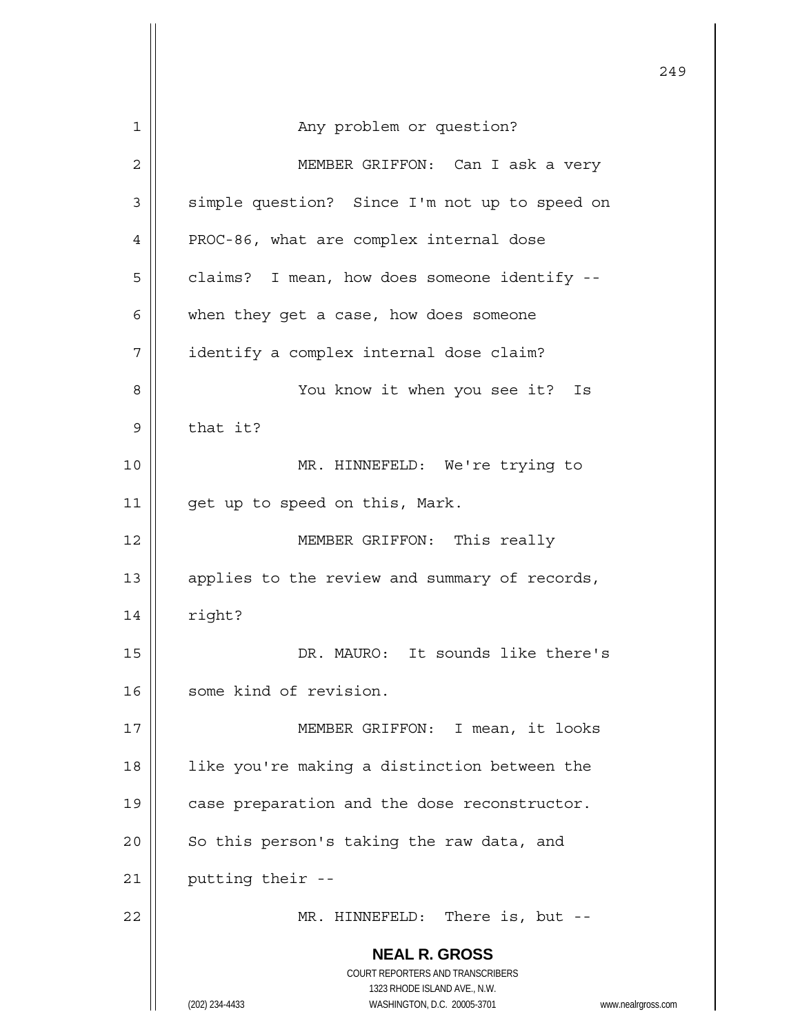|    | 249                                                                 |
|----|---------------------------------------------------------------------|
| 1  | Any problem or question?                                            |
| 2  | MEMBER GRIFFON: Can I ask a very                                    |
| 3  | simple question? Since I'm not up to speed on                       |
| 4  | PROC-86, what are complex internal dose                             |
| 5  | claims? I mean, how does someone identify --                        |
| 6  | when they get a case, how does someone                              |
| 7  | identify a complex internal dose claim?                             |
| 8  | You know it when you see it?<br>Is                                  |
| 9  | that it?                                                            |
| 10 | MR. HINNEFELD: We're trying to                                      |
| 11 | get up to speed on this, Mark.                                      |
| 12 | MEMBER GRIFFON: This really                                         |
| 13 | applies to the review and summary of records,                       |
| 14 | right?                                                              |
| 15 | DR. MAURO: It sounds like there's                                   |
| 16 | some kind of revision.                                              |
| 17 | MEMBER GRIFFON: I mean, it looks                                    |
| 18 | like you're making a distinction between the                        |
| 19 | case preparation and the dose reconstructor.                        |
| 20 | So this person's taking the raw data, and                           |
| 21 | putting their --                                                    |
| 22 | MR. HINNEFELD: There is, but --                                     |
|    | <b>NEAL R. GROSS</b>                                                |
|    | COURT REPORTERS AND TRANSCRIBERS<br>1323 RHODE ISLAND AVE., N.W.    |
|    | (202) 234-4433<br>WASHINGTON, D.C. 20005-3701<br>www.nealrgross.com |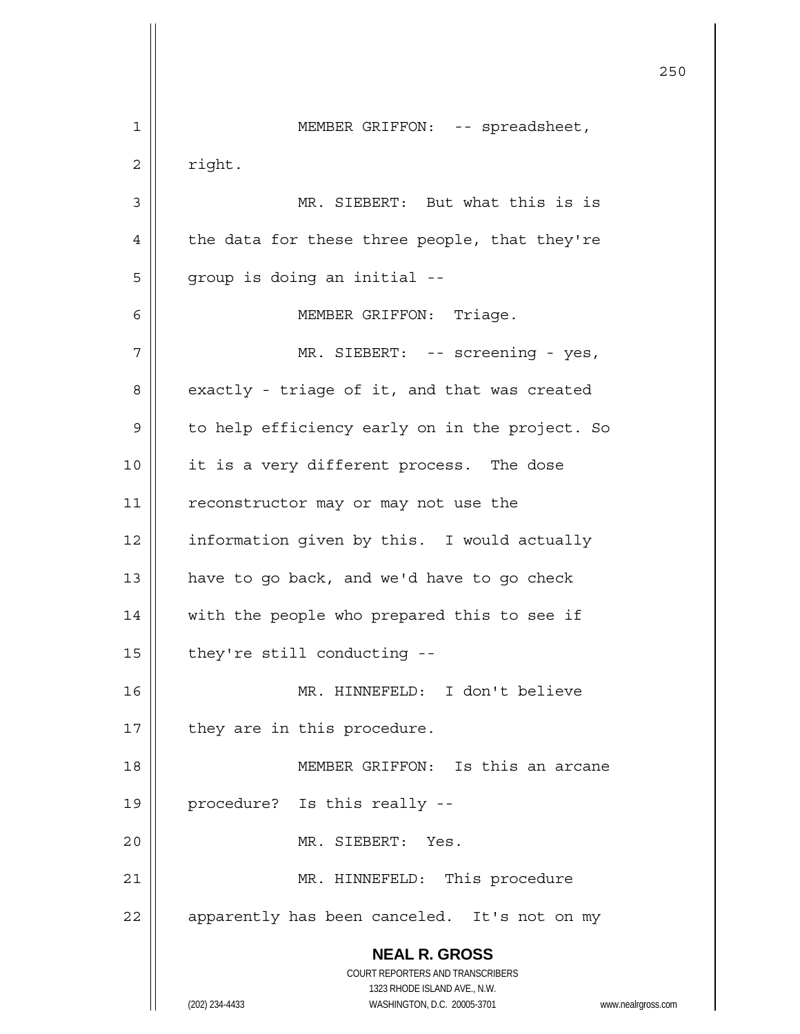**NEAL R. GROSS** COURT REPORTERS AND TRANSCRIBERS 1323 RHODE ISLAND AVE., N.W. (202) 234-4433 WASHINGTON, D.C. 20005-3701 www.nealrgross.com <u>250</u> 1 || MEMBER GRIFFON: -- spreadsheet,  $2 \parallel$  right. 3 MR. SIEBERT: But what this is is  $4 \parallel$  the data for these three people, that they're  $5 \parallel$  group is doing an initial --6 | MEMBER GRIFFON: Triage. 7 MR. SIEBERT: -- screening - yes,  $8 \parallel$  exactly - triage of it, and that was created 9 | to help efficiency early on in the project. So 10 || it is a very different process. The dose 11 | reconstructor may or may not use the 12 | information given by this. I would actually 13  $\parallel$  have to go back, and we'd have to go check 14 || with the people who prepared this to see if  $15$  | they're still conducting --16 MR. HINNEFELD: I don't believe 17 || they are in this procedure. 18 MEMBER GRIFFON: Is this an arcane 19 || procedure? Is this really --20 MR. SIEBERT: Yes. 21 || MR. HINNEFELD: This procedure 22 | apparently has been canceled. It's not on my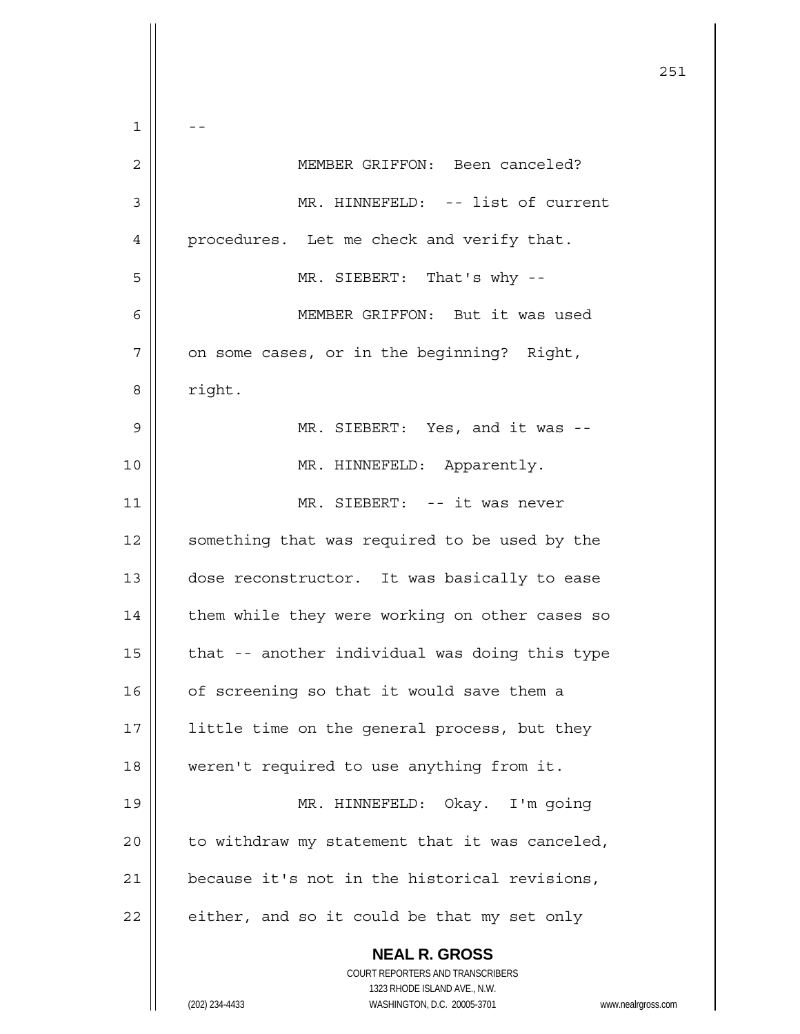|    | 251                                                                 |
|----|---------------------------------------------------------------------|
| 1  |                                                                     |
| 2  | MEMBER GRIFFON: Been canceled?                                      |
| 3  | MR. HINNEFELD: -- list of current                                   |
| 4  | procedures. Let me check and verify that.                           |
| 5  | MR. SIEBERT: That's why --                                          |
| 6  | MEMBER GRIFFON: But it was used                                     |
| 7  | on some cases, or in the beginning? Right,                          |
| 8  | right.                                                              |
| 9  | MR. SIEBERT: Yes, and it was --                                     |
| 10 | MR. HINNEFELD: Apparently.                                          |
| 11 | MR. SIEBERT: -- it was never                                        |
| 12 | something that was required to be used by the                       |
| 13 | dose reconstructor. It was basically to ease                        |
| 14 | them while they were working on other cases so                      |
| 15 | that -- another individual was doing this type                      |
| 16 | of screening so that it would save them a                           |
| 17 | little time on the general process, but they                        |
| 18 | weren't required to use anything from it.                           |
| 19 | MR. HINNEFELD: Okay. I'm going                                      |
| 20 | to withdraw my statement that it was canceled,                      |
| 21 | because it's not in the historical revisions,                       |
| 22 | either, and so it could be that my set only                         |
|    | <b>NEAL R. GROSS</b><br>COURT REPORTERS AND TRANSCRIBERS            |
|    | 1323 RHODE ISLAND AVE., N.W.                                        |
|    | (202) 234-4433<br>WASHINGTON, D.C. 20005-3701<br>www.nealrgross.com |

 $\mathsf{I}$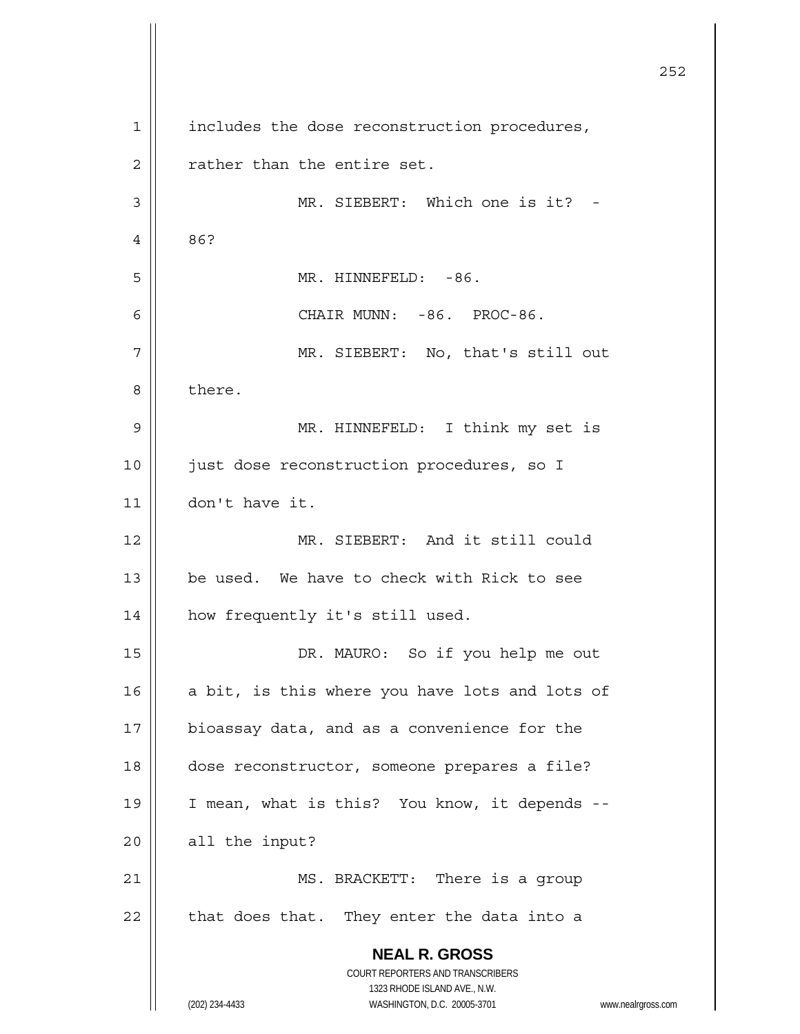**NEAL R. GROSS** COURT REPORTERS AND TRANSCRIBERS 1323 RHODE ISLAND AVE., N.W. (202) 234-4433 WASHINGTON, D.C. 20005-3701 www.nealrgross.com <u>252</u> 1 | includes the dose reconstruction procedures,  $2 \parallel$  rather than the entire set. 3 || MR. SIEBERT: Which one is it? -4 86? 5 MR. HINNEFELD: -86. 6 CHAIR MUNN: -86. PROC-86. 7 MR. SIEBERT: No, that's still out 8 b there. 9 MR. HINNEFELD: I think my set is 10 || just dose reconstruction procedures, so I 11 don't have it. 12 MR. SIEBERT: And it still could 13  $\parallel$  be used. We have to check with Rick to see 14 | how frequently it's still used. 15 || DR. MAURO: So if you help me out 16  $\parallel$  a bit, is this where you have lots and lots of 17 | bioassay data, and as a convenience for the 18 dose reconstructor, someone prepares a file? 19 || I mean, what is this? You know, it depends --20 | all the input? 21 || MS. BRACKETT: There is a group  $22$  | that does that. They enter the data into a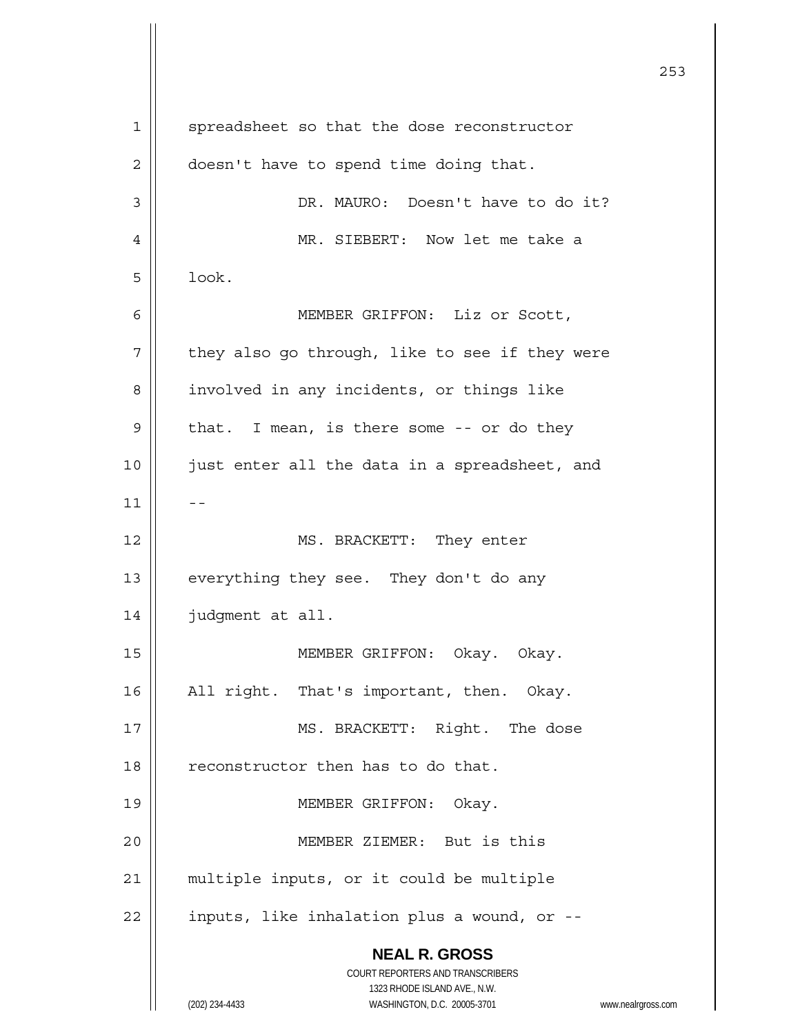**NEAL R. GROSS** COURT REPORTERS AND TRANSCRIBERS 1323 RHODE ISLAND AVE., N.W. (202) 234-4433 WASHINGTON, D.C. 20005-3701 www.nealrgross.com <u>253</u> 1 | spreadsheet so that the dose reconstructor 2 | doesn't have to spend time doing that. 3 DR. MAURO: Doesn't have to do it? 4 MR. SIEBERT: Now let me take a  $5 \parallel$  look. 6 MEMBER GRIFFON: Liz or Scott,  $7$  | they also go through, like to see if they were 8 | involved in any incidents, or things like  $9 \parallel$  that. I mean, is there some -- or do they 10 || just enter all the data in a spreadsheet, and  $11$   $-$ 12 || MS. BRACKETT: They enter 13  $\parallel$  everything they see. They don't do any 14 judgment at all. 15 || MEMBER GRIFFON: Okay. Okay. 16 || All right. That's important, then. Okay. 17 || MS. BRACKETT: Right. The dose 18 | reconstructor then has to do that. 19 || MEMBER GRIFFON: Okay. 20 MEMBER ZIEMER: But is this 21 || multiple inputs, or it could be multiple  $22$  | inputs, like inhalation plus a wound, or  $-$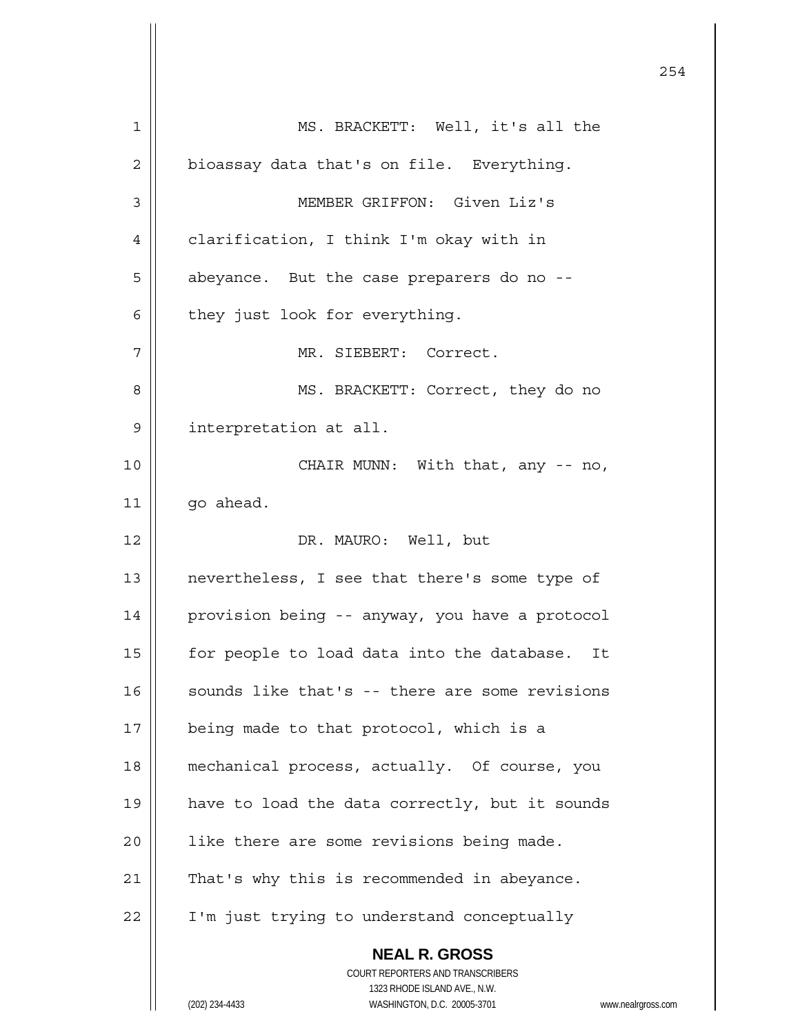**NEAL R. GROSS** COURT REPORTERS AND TRANSCRIBERS 1323 RHODE ISLAND AVE., N.W. (202) 234-4433 WASHINGTON, D.C. 20005-3701 www.nealrgross.com 1 MS. BRACKETT: Well, it's all the  $2 \parallel$  bioassay data that's on file. Everything. 3 MEMBER GRIFFON: Given Liz's 4 | clarification, I think I'm okay with in 5 | abeyance. But the case preparers do no -- $6 \parallel$  they just look for everything. 7 MR. SIEBERT: Correct. 8 || MS. BRACKETT: Correct, they do no 9 interpretation at all. 10 || CHAIR MUNN: With that, any -- no, 11 | qo ahead. 12 || DR. MAURO: Well, but 13 || nevertheless, I see that there's some type of 14 provision being -- anyway, you have a protocol 15 | for people to load data into the database. It  $16$  sounds like that's -- there are some revisions 17 | being made to that protocol, which is a 18 mechanical process, actually. Of course, you 19 || have to load the data correctly, but it sounds 20 | like there are some revisions being made.  $21$  | That's why this is recommended in abeyance. 22 | I'm just trying to understand conceptually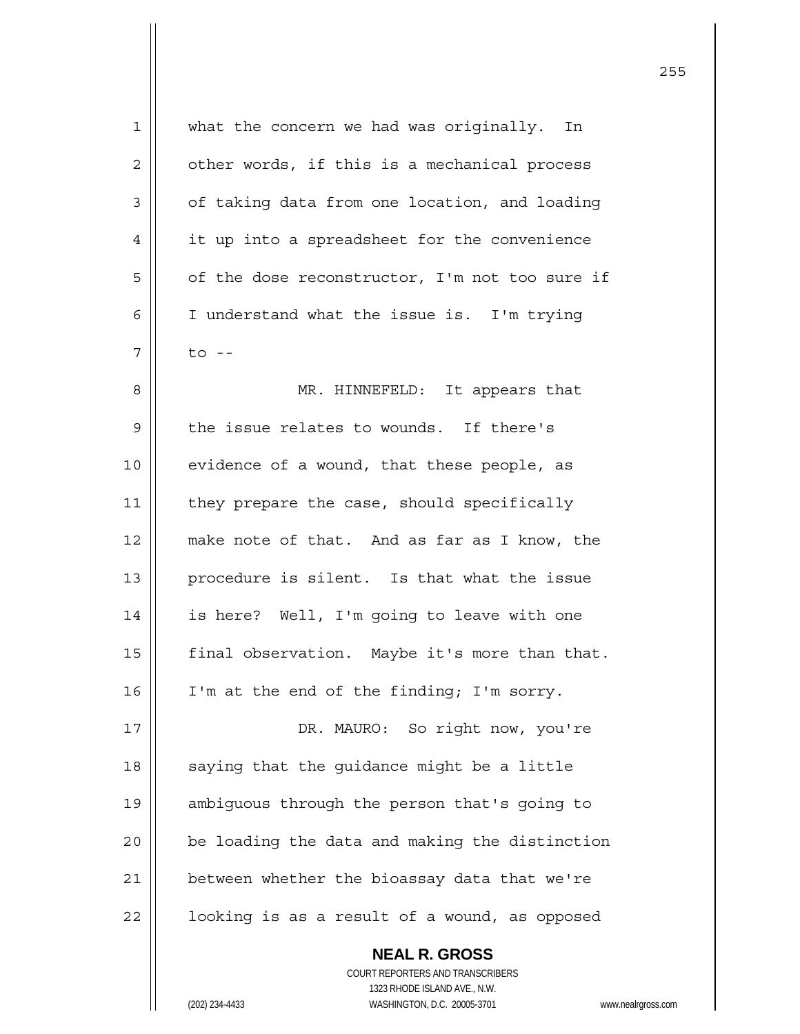| 1              | what the concern we had was originally. In     |
|----------------|------------------------------------------------|
| $\overline{2}$ | other words, if this is a mechanical process   |
| 3              | of taking data from one location, and loading  |
| 4              | it up into a spreadsheet for the convenience   |
| 5              | of the dose reconstructor, I'm not too sure if |
| 6              | I understand what the issue is. I'm trying     |
| 7              | $\overline{t}$ o --                            |
| 8              | MR. HINNEFELD: It appears that                 |
| $\mathsf 9$    | the issue relates to wounds. If there's        |
| 10             | evidence of a wound, that these people, as     |
| 11             | they prepare the case, should specifically     |
| 12             | make note of that. And as far as I know, the   |
| 13             | procedure is silent. Is that what the issue    |
| 14             | is here? Well, I'm going to leave with one     |
| 15             | final observation. Maybe it's more than that.  |
| 16             | I'm at the end of the finding; I'm sorry.      |
| 17             | So right now, you're<br>DR. MAURO:             |
| 18             | saying that the quidance might be a little     |
| 19             | ambiguous through the person that's going to   |
| 20             | be loading the data and making the distinction |
| 21             | between whether the bioassay data that we're   |
| 22             | looking is as a result of a wound, as opposed  |
|                |                                                |

 **NEAL R. GROSS** COURT REPORTERS AND TRANSCRIBERS 1323 RHODE ISLAND AVE., N.W. (202) 234-4433 WASHINGTON, D.C. 20005-3701 www.nealrgross.com

 $\mathbf{I}$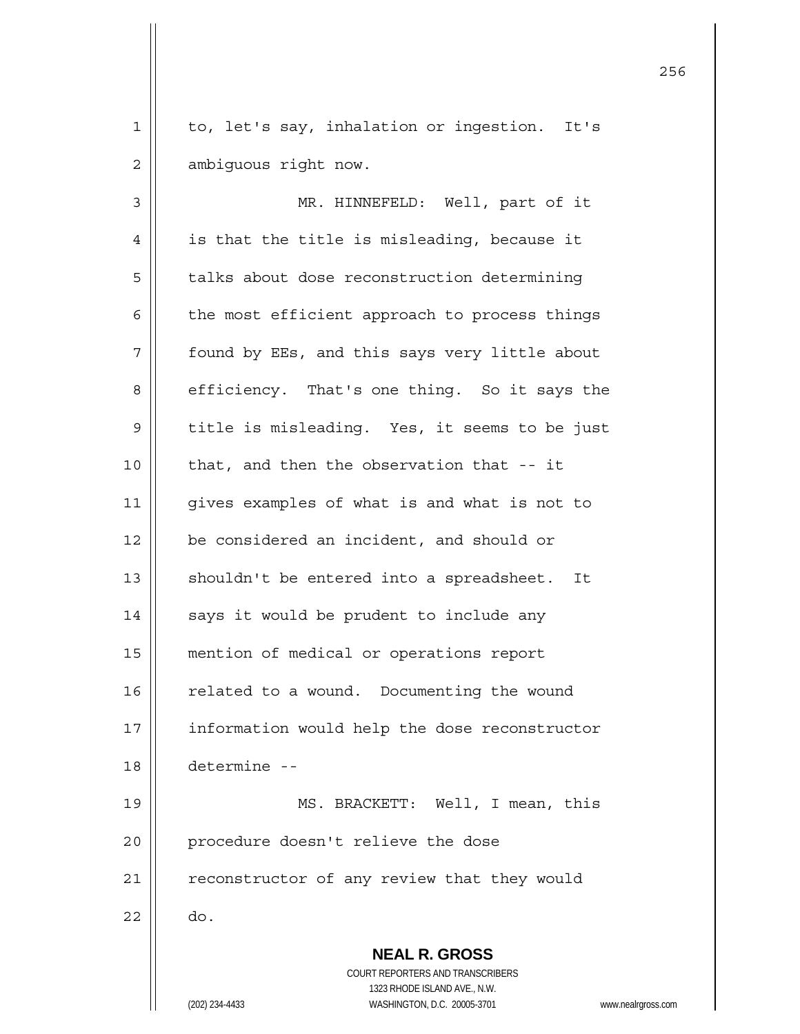1 || to, let's say, inhalation or ingestion. It's 2 | ambiguous right now.

 **NEAL R. GROSS** COURT REPORTERS AND TRANSCRIBERS 1323 RHODE ISLAND AVE., N.W. 3 || MR. HINNEFELD: Well, part of it  $4 \parallel$  is that the title is misleading, because it 5 | talks about dose reconstruction determining  $6 \parallel$  the most efficient approach to process things 7 | found by EEs, and this says very little about 8 | efficiency. That's one thing. So it says the 9 | title is misleading. Yes, it seems to be just  $10$  || that, and then the observation that  $-$  it 11 || qives examples of what is and what is not to 12 | be considered an incident, and should or 13 || shouldn't be entered into a spreadsheet. It 14 | says it would be prudent to include any 15 mention of medical or operations report 16 | related to a wound. Documenting the wound 17 | information would help the dose reconstructor 18 determine -- 19 MS. BRACKETT: Well, I mean, this 20 || procedure doesn't relieve the dose 21 | reconstructor of any review that they would  $22 \parallel$  do.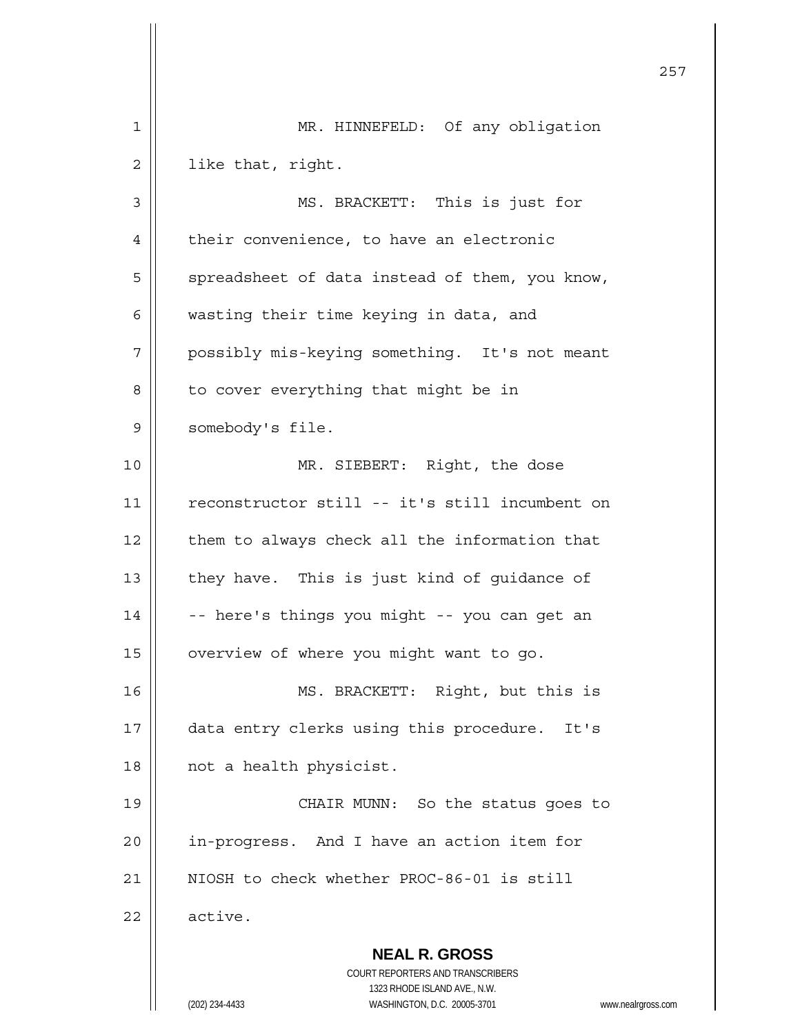|    |                                                                                                                                                                 | 257 |
|----|-----------------------------------------------------------------------------------------------------------------------------------------------------------------|-----|
| 1  | MR. HINNEFELD: Of any obligation                                                                                                                                |     |
| 2  | like that, right.                                                                                                                                               |     |
| 3  | MS. BRACKETT: This is just for                                                                                                                                  |     |
| 4  | their convenience, to have an electronic                                                                                                                        |     |
| 5  | spreadsheet of data instead of them, you know,                                                                                                                  |     |
| 6  | wasting their time keying in data, and                                                                                                                          |     |
| 7  | possibly mis-keying something. It's not meant                                                                                                                   |     |
| 8  | to cover everything that might be in                                                                                                                            |     |
| 9  | somebody's file.                                                                                                                                                |     |
| 10 | MR. SIEBERT: Right, the dose                                                                                                                                    |     |
| 11 | reconstructor still -- it's still incumbent on                                                                                                                  |     |
| 12 | them to always check all the information that                                                                                                                   |     |
| 13 | they have. This is just kind of guidance of                                                                                                                     |     |
| 14 | -- here's things you might -- you can get an                                                                                                                    |     |
| 15 | overview of where you might want to go.                                                                                                                         |     |
| 16 | MS. BRACKETT: Right, but this is                                                                                                                                |     |
| 17 | data entry clerks using this procedure. It's                                                                                                                    |     |
| 18 | not a health physicist.                                                                                                                                         |     |
| 19 | CHAIR MUNN: So the status goes to                                                                                                                               |     |
| 20 | in-progress. And I have an action item for                                                                                                                      |     |
| 21 | NIOSH to check whether PROC-86-01 is still                                                                                                                      |     |
| 22 | active.                                                                                                                                                         |     |
|    | <b>NEAL R. GROSS</b><br>COURT REPORTERS AND TRANSCRIBERS<br>1323 RHODE ISLAND AVE., N.W.<br>(202) 234-4433<br>WASHINGTON, D.C. 20005-3701<br>www.nealrgross.com |     |

 $\overline{\phantom{a}}$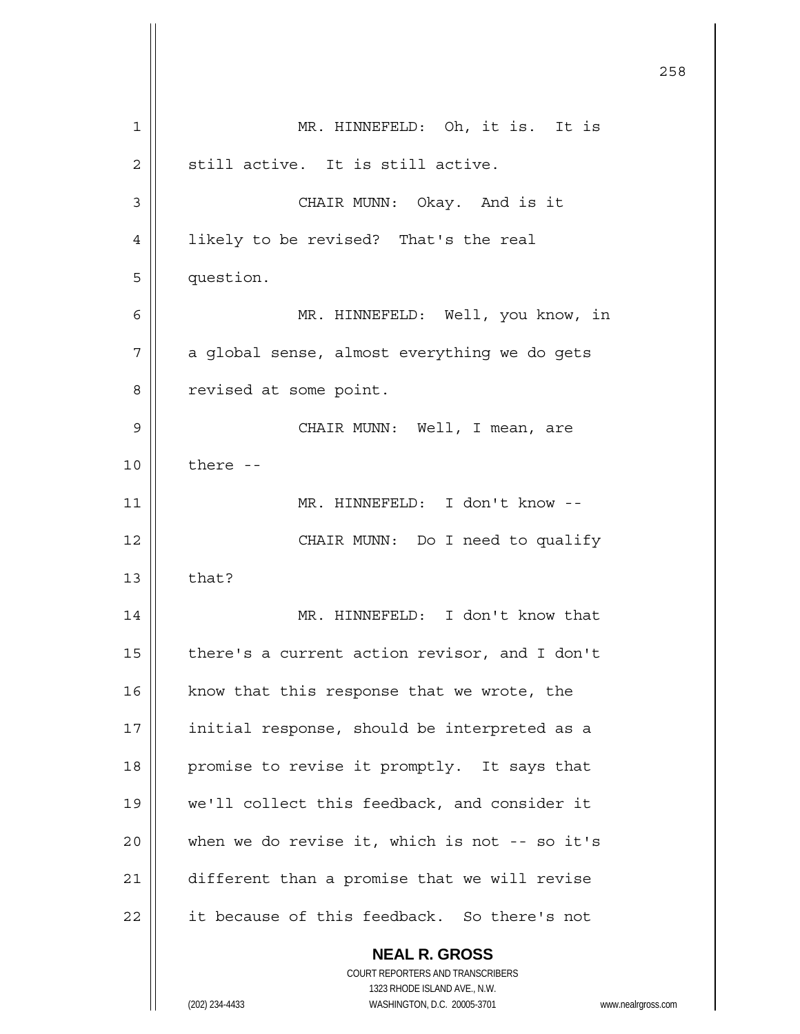**NEAL R. GROSS** COURT REPORTERS AND TRANSCRIBERS 1323 RHODE ISLAND AVE., N.W. (202) 234-4433 WASHINGTON, D.C. 20005-3701 www.nealrgross.com <u>258</u> 1 MR. HINNEFELD: Oh, it is. It is  $2 \parallel$  still active. It is still active. 3 CHAIR MUNN: Okay. And is it 4 | likely to be revised? That's the real 5 question. 6 MR. HINNEFELD: Well, you know, in  $7 \parallel$  a global sense, almost everything we do gets 8 | revised at some point. 9 CHAIR MUNN: Well, I mean, are  $10$   $\parallel$  there --11 || MR. HINNEFELD: I don't know --12 || CHAIR MUNN: Do I need to qualify  $13 \parallel$  that? 14 || MR. HINNEFELD: I don't know that 15  $\parallel$  there's a current action revisor, and I don't 16  $\parallel$  know that this response that we wrote, the 17 || initial response, should be interpreted as a 18 || promise to revise it promptly. It says that 19 we'll collect this feedback, and consider it  $20$  | when we do revise it, which is not -- so it's 21 | different than a promise that we will revise  $22$  | it because of this feedback. So there's not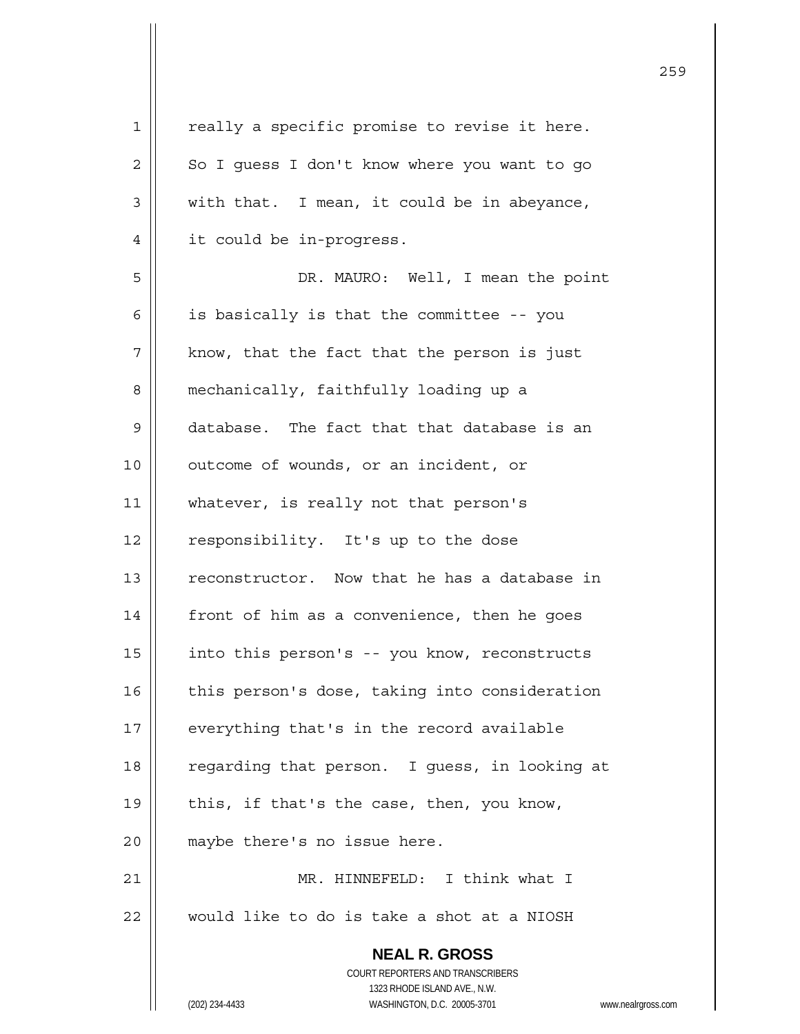| $\mathbf 1$ | really a specific promise to revise it here.                        |
|-------------|---------------------------------------------------------------------|
| 2           | So I guess I don't know where you want to go                        |
| 3           | with that. I mean, it could be in abeyance,                         |
| 4           | it could be in-progress.                                            |
| 5           | DR. MAURO: Well, I mean the point                                   |
| 6           | is basically is that the committee -- you                           |
| 7           | know, that the fact that the person is just                         |
| 8           | mechanically, faithfully loading up a                               |
| $\mathsf 9$ | database. The fact that that database is an                         |
| 10          | outcome of wounds, or an incident, or                               |
| 11          | whatever, is really not that person's                               |
| 12          | responsibility. It's up to the dose                                 |
| 13          | reconstructor. Now that he has a database in                        |
| 14          | front of him as a convenience, then he goes                         |
| 15          | into this person's -- you know, reconstructs                        |
| 16          | this person's dose, taking into consideration                       |
| 17          | everything that's in the record available                           |
| 18          | regarding that person. I guess, in looking at                       |
| 19          | this, if that's the case, then, you know,                           |
| 20          | maybe there's no issue here.                                        |
| 21          | MR. HINNEFELD: I think what I                                       |
| 22          | would like to do is take a shot at a NIOSH                          |
|             | <b>NEAL R. GROSS</b>                                                |
|             | COURT REPORTERS AND TRANSCRIBERS                                    |
|             | 1323 RHODE ISLAND AVE., N.W.                                        |
|             | (202) 234-4433<br>WASHINGTON, D.C. 20005-3701<br>www.nealrgross.com |

<u>259</u>

 $\mathsf{I}$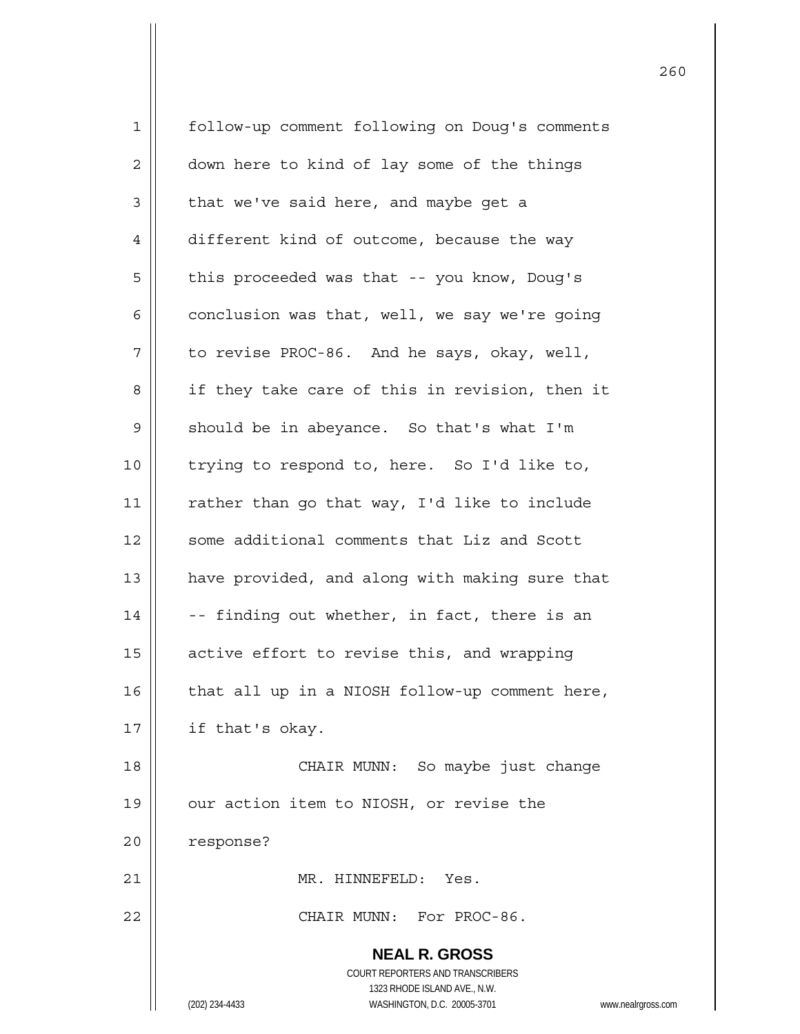| 1              | follow-up comment following on Doug's comments                      |
|----------------|---------------------------------------------------------------------|
| $\overline{c}$ | down here to kind of lay some of the things                         |
| 3              | that we've said here, and maybe get a                               |
| $\overline{4}$ | different kind of outcome, because the way                          |
| 5              | this proceeded was that -- you know, Doug's                         |
| 6              | conclusion was that, well, we say we're going                       |
| 7              | to revise PROC-86. And he says, okay, well,                         |
| 8              | if they take care of this in revision, then it                      |
| $\mathsf 9$    | should be in abeyance. So that's what I'm                           |
| 10             | trying to respond to, here. So I'd like to,                         |
| 11             | rather than go that way, I'd like to include                        |
| 12             | some additional comments that Liz and Scott                         |
| 13             | have provided, and along with making sure that                      |
| 14             | -- finding out whether, in fact, there is an                        |
| 15             | active effort to revise this, and wrapping                          |
| 16             | that all up in a NIOSH follow-up comment here,                      |
| 17             | if that's okay.                                                     |
| 18             | CHAIR MUNN: So maybe just change                                    |
| 19             | our action item to NIOSH, or revise the                             |
| 20             | response?                                                           |
| 21             | MR. HINNEFELD:<br>Yes.                                              |
| 22             | CHAIR MUNN: For PROC-86.                                            |
|                | <b>NEAL R. GROSS</b>                                                |
|                | <b>COURT REPORTERS AND TRANSCRIBERS</b>                             |
|                | 1323 RHODE ISLAND AVE., N.W.                                        |
|                | (202) 234-4433<br>WASHINGTON, D.C. 20005-3701<br>www.nealrgross.com |

последница в област 1960 година в 1960 године в 1960 године в 1960 године в 1960 године в 1960 године в 1960 го<br>В 1960 године в 1960 године в 1960 године в 1960 године в 1960 године в 1960 године в 1960 године в 1960 годи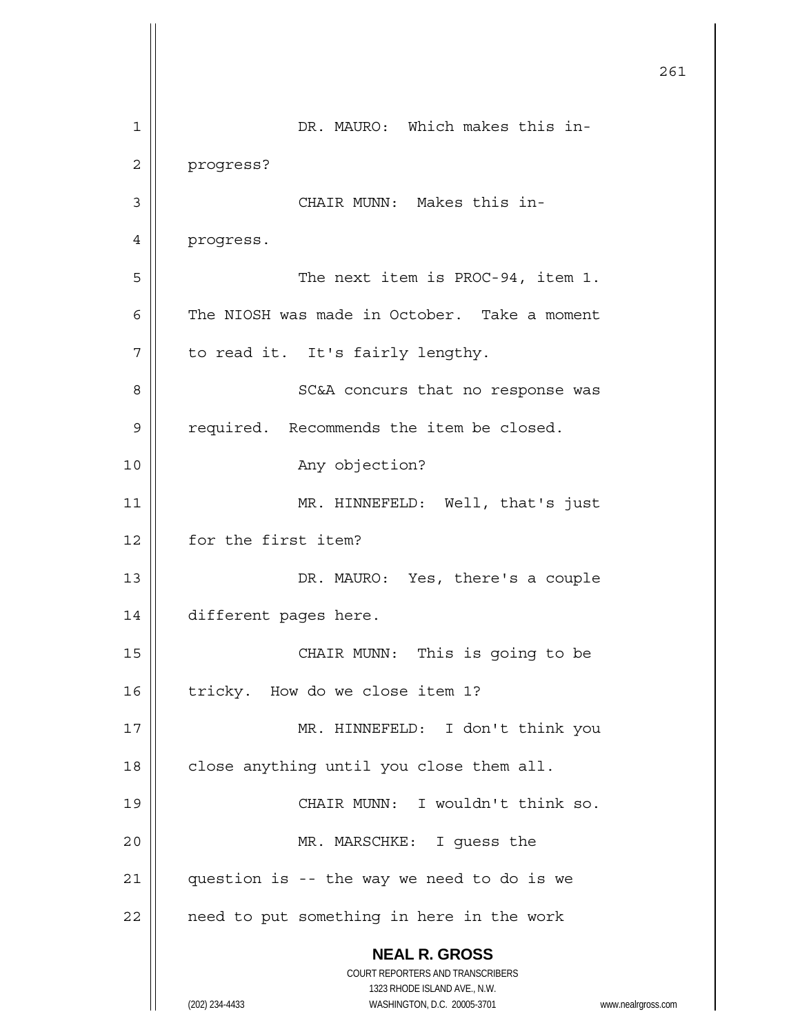|    |                                                                     | 261 |
|----|---------------------------------------------------------------------|-----|
| 1  | DR. MAURO: Which makes this in-                                     |     |
| 2  | progress?                                                           |     |
| 3  | CHAIR MUNN: Makes this in-                                          |     |
| 4  | progress.                                                           |     |
| 5  | The next item is PROC-94, item 1.                                   |     |
| 6  | The NIOSH was made in October. Take a moment                        |     |
| 7  | to read it. It's fairly lengthy.                                    |     |
| 8  | SC&A concurs that no response was                                   |     |
| 9  | required. Recommends the item be closed.                            |     |
| 10 | Any objection?                                                      |     |
| 11 | MR. HINNEFELD: Well, that's just                                    |     |
| 12 | for the first item?                                                 |     |
| 13 | DR. MAURO: Yes, there's a couple                                    |     |
| 14 | different pages here.                                               |     |
| 15 | CHAIR MUNN: This is going to be                                     |     |
| 16 | tricky. How do we close item 1?                                     |     |
| 17 | MR. HINNEFELD: I don't think you                                    |     |
| 18 | close anything until you close them all.                            |     |
| 19 | CHAIR MUNN: I wouldn't think so.                                    |     |
| 20 | MR. MARSCHKE: I guess the                                           |     |
| 21 | question is -- the way we need to do is we                          |     |
| 22 | need to put something in here in the work                           |     |
|    | <b>NEAL R. GROSS</b><br>COURT REPORTERS AND TRANSCRIBERS            |     |
|    | 1323 RHODE ISLAND AVE., N.W.                                        |     |
|    | (202) 234-4433<br>WASHINGTON, D.C. 20005-3701<br>www.nealrgross.com |     |

 $\mathsf{I}$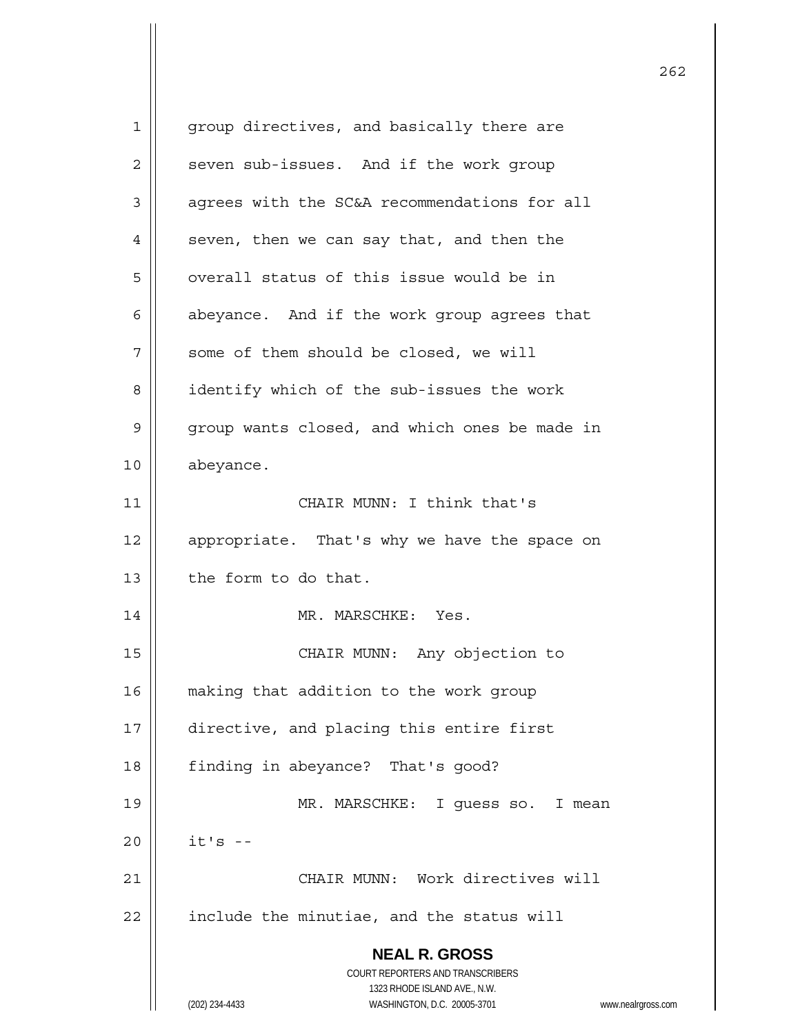| 1            | group directives, and basically there are                                                           |
|--------------|-----------------------------------------------------------------------------------------------------|
| $\mathbf{2}$ | seven sub-issues. And if the work group                                                             |
| 3            | agrees with the SC&A recommendations for all                                                        |
| 4            | seven, then we can say that, and then the                                                           |
| 5            | overall status of this issue would be in                                                            |
| 6            | abeyance. And if the work group agrees that                                                         |
| 7            | some of them should be closed, we will                                                              |
| 8            | identify which of the sub-issues the work                                                           |
| 9            | group wants closed, and which ones be made in                                                       |
| 10           | abeyance.                                                                                           |
| 11           | CHAIR MUNN: I think that's                                                                          |
| 12           | appropriate. That's why we have the space on                                                        |
| 13           | the form to do that.                                                                                |
| 14           | MR. MARSCHKE: Yes.                                                                                  |
| 15           | CHAIR MUNN: Any objection to                                                                        |
| 16           | making that addition to the work group                                                              |
| 17           | directive, and placing this entire first                                                            |
| 18           | finding in abeyance? That's good?                                                                   |
| 19           | MR. MARSCHKE: I guess so. I mean                                                                    |
| 20           | $it's -$                                                                                            |
| 21           | CHAIR MUNN: Work directives will                                                                    |
| 22           | include the minutiae, and the status will                                                           |
|              | <b>NEAL R. GROSS</b>                                                                                |
|              | COURT REPORTERS AND TRANSCRIBERS                                                                    |
|              | 1323 RHODE ISLAND AVE., N.W.<br>WASHINGTON, D.C. 20005-3701<br>(202) 234-4433<br>www.nealrgross.com |
|              |                                                                                                     |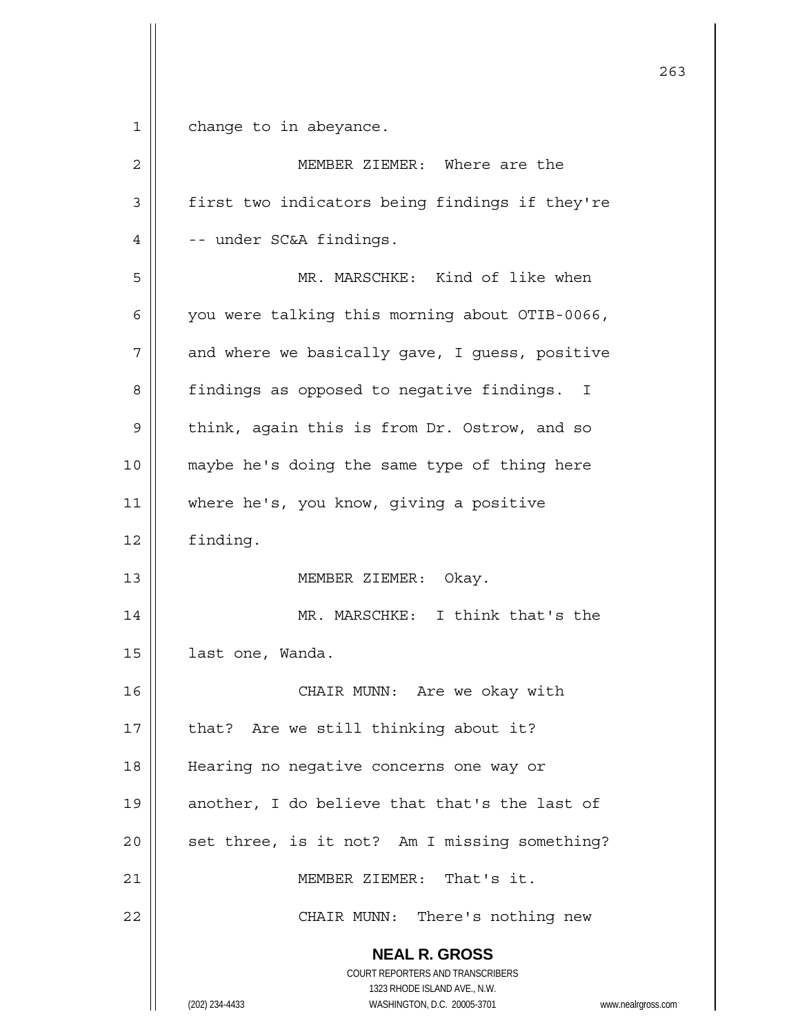$1 \parallel$  change to in abeyance.

| $\overline{2}$ | MEMBER ZIEMER: Where are the                                                                                                                                    |
|----------------|-----------------------------------------------------------------------------------------------------------------------------------------------------------------|
| 3              | first two indicators being findings if they're                                                                                                                  |
| 4              | -- under SC&A findings.                                                                                                                                         |
| 5              | MR. MARSCHKE: Kind of like when                                                                                                                                 |
| 6              | you were talking this morning about OTIB-0066,                                                                                                                  |
| 7              | and where we basically gave, I guess, positive                                                                                                                  |
| 8              | findings as opposed to negative findings. I                                                                                                                     |
| 9              | think, again this is from Dr. Ostrow, and so                                                                                                                    |
| 10             | maybe he's doing the same type of thing here                                                                                                                    |
| 11             | where he's, you know, giving a positive                                                                                                                         |
| 12             | finding.                                                                                                                                                        |
| 13             | MEMBER ZIEMER: Okay.                                                                                                                                            |
| 14             | MR. MARSCHKE: I think that's the                                                                                                                                |
| 15             | last one, Wanda.                                                                                                                                                |
| 16             | CHAIR MUNN: Are we okay with                                                                                                                                    |
| 17             | that? Are we still thinking about it?                                                                                                                           |
| 18             | Hearing no negative concerns one way or                                                                                                                         |
| 19             | another, I do believe that that's the last of                                                                                                                   |
| 20             | set three, is it not? Am I missing something?                                                                                                                   |
| 21             | MEMBER ZIEMER: That's it.                                                                                                                                       |
| 22             | CHAIR MUNN: There's nothing new                                                                                                                                 |
|                | <b>NEAL R. GROSS</b><br>COURT REPORTERS AND TRANSCRIBERS<br>1323 RHODE ISLAND AVE., N.W.<br>(202) 234-4433<br>WASHINGTON, D.C. 20005-3701<br>www.nealrgross.com |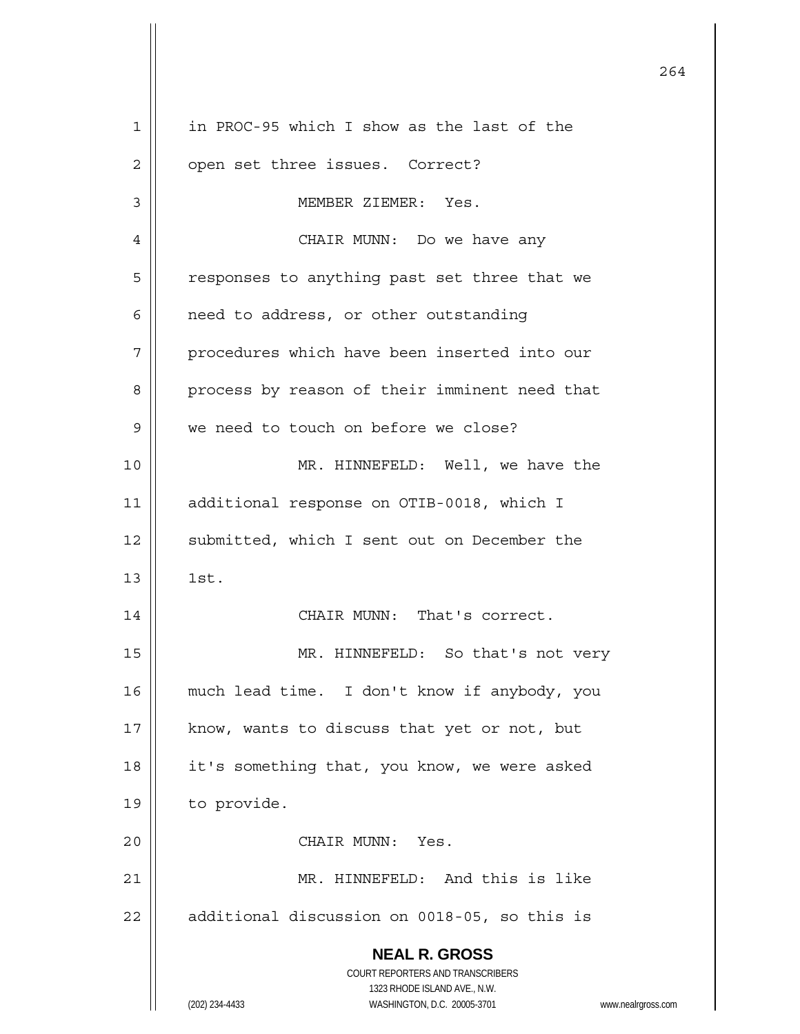| $\mathbf 1$ | in PROC-95 which I show as the last of the                                                          |
|-------------|-----------------------------------------------------------------------------------------------------|
| 2           | open set three issues. Correct?                                                                     |
| 3           | MEMBER ZIEMER: Yes.                                                                                 |
| 4           | CHAIR MUNN: Do we have any                                                                          |
| 5           | responses to anything past set three that we                                                        |
| 6           | need to address, or other outstanding                                                               |
| 7           | procedures which have been inserted into our                                                        |
| 8           | process by reason of their imminent need that                                                       |
| 9           | we need to touch on before we close?                                                                |
| 10          | MR. HINNEFELD: Well, we have the                                                                    |
| 11          | additional response on OTIB-0018, which I                                                           |
| 12          | submitted, which I sent out on December the                                                         |
| 13          | 1st.                                                                                                |
| 14          | CHAIR MUNN: That's correct.                                                                         |
| 15          | MR. HINNEFELD: So that's not very                                                                   |
| 16          | much lead time. I don't know if anybody, you                                                        |
| 17          | know, wants to discuss that yet or not, but                                                         |
| 18          | it's something that, you know, we were asked                                                        |
| 19          | to provide.                                                                                         |
| 20          | CHAIR MUNN: Yes.                                                                                    |
| 21          | MR. HINNEFELD: And this is like                                                                     |
| 22          | additional discussion on 0018-05, so this is                                                        |
|             | <b>NEAL R. GROSS</b>                                                                                |
|             | COURT REPORTERS AND TRANSCRIBERS                                                                    |
|             | 1323 RHODE ISLAND AVE., N.W.<br>(202) 234-4433<br>WASHINGTON, D.C. 20005-3701<br>www.nealrgross.com |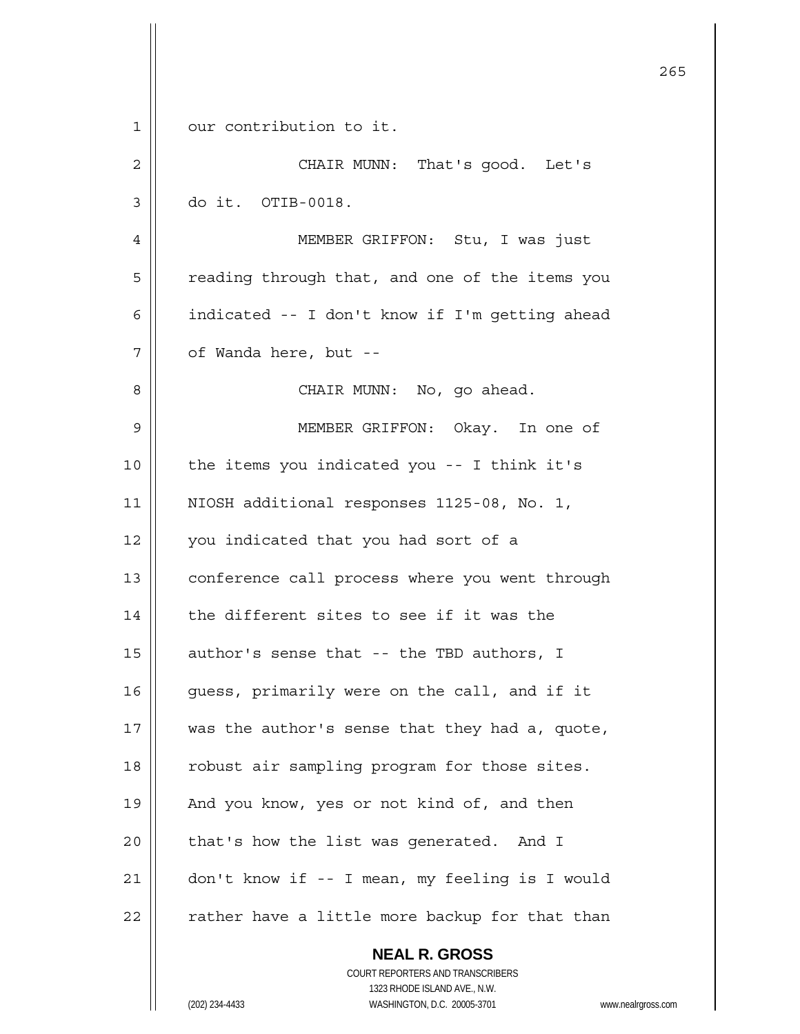|    |                                                                                          | 265 |
|----|------------------------------------------------------------------------------------------|-----|
|    |                                                                                          |     |
| 1  | our contribution to it.                                                                  |     |
| 2  | CHAIR MUNN: That's good. Let's                                                           |     |
| 3  | do it. OTIB-0018.                                                                        |     |
| 4  | MEMBER GRIFFON: Stu, I was just                                                          |     |
| 5  | reading through that, and one of the items you                                           |     |
| 6  | indicated -- I don't know if I'm getting ahead                                           |     |
| 7  | of Wanda here, but --                                                                    |     |
| 8  | CHAIR MUNN: No, go ahead.                                                                |     |
| 9  | MEMBER GRIFFON: Okay. In one of                                                          |     |
| 10 | the items you indicated you -- I think it's                                              |     |
| 11 | NIOSH additional responses 1125-08, No. 1,                                               |     |
| 12 | you indicated that you had sort of a                                                     |     |
| 13 | conference call process where you went through                                           |     |
| 14 | the different sites to see if it was the                                                 |     |
| 15 | author's sense that -- the TBD authors, I                                                |     |
| 16 | guess, primarily were on the call, and if it                                             |     |
| 17 | was the author's sense that they had a, quote,                                           |     |
| 18 | robust air sampling program for those sites.                                             |     |
| 19 | And you know, yes or not kind of, and then                                               |     |
| 20 | that's how the list was generated. And I                                                 |     |
| 21 | don't know if -- I mean, my feeling is I would                                           |     |
| 22 | rather have a little more backup for that than                                           |     |
|    | <b>NEAL R. GROSS</b><br>COURT REPORTERS AND TRANSCRIBERS<br>1323 RHODE ISLAND AVE., N.W. |     |
|    | WASHINGTON, D.C. 20005-3701<br>(202) 234-4433<br>www.nealrgross.com                      |     |

Ħ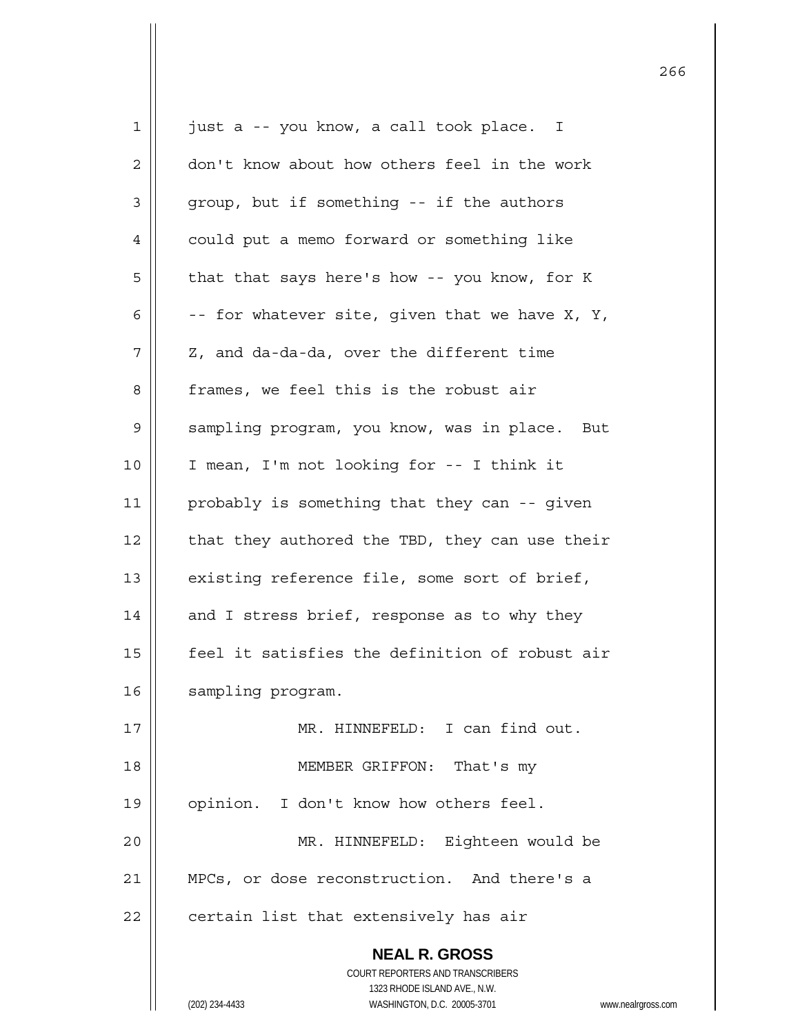| $\mathbf 1$  | just a -- you know, a call took place. I                                                            |
|--------------|-----------------------------------------------------------------------------------------------------|
| $\mathbf{2}$ | don't know about how others feel in the work                                                        |
| 3            | group, but if something -- if the authors                                                           |
| 4            | could put a memo forward or something like                                                          |
| 5            | that that says here's how -- you know, for K                                                        |
| 6            | -- for whatever site, given that we have X, Y,                                                      |
| 7            | Z, and da-da-da, over the different time                                                            |
| 8            | frames, we feel this is the robust air                                                              |
| 9            | sampling program, you know, was in place. But                                                       |
| 10           | I mean, I'm not looking for -- I think it                                                           |
| 11           | probably is something that they can -- given                                                        |
| 12           | that they authored the TBD, they can use their                                                      |
| 13           | existing reference file, some sort of brief,                                                        |
| 14           | and I stress brief, response as to why they                                                         |
| 15           | feel it satisfies the definition of robust air                                                      |
| 16           | sampling program.                                                                                   |
| 17           | MR. HINNEFELD: I can find out.                                                                      |
| 18           | MEMBER GRIFFON: That's my                                                                           |
| 19           | opinion. I don't know how others feel.                                                              |
| 20           | MR. HINNEFELD: Eighteen would be                                                                    |
| 21           | MPCs, or dose reconstruction. And there's a                                                         |
| 22           | certain list that extensively has air                                                               |
|              | <b>NEAL R. GROSS</b>                                                                                |
|              | COURT REPORTERS AND TRANSCRIBERS                                                                    |
|              | 1323 RHODE ISLAND AVE., N.W.<br>(202) 234-4433<br>WASHINGTON, D.C. 20005-3701<br>www.nealrgross.com |
|              |                                                                                                     |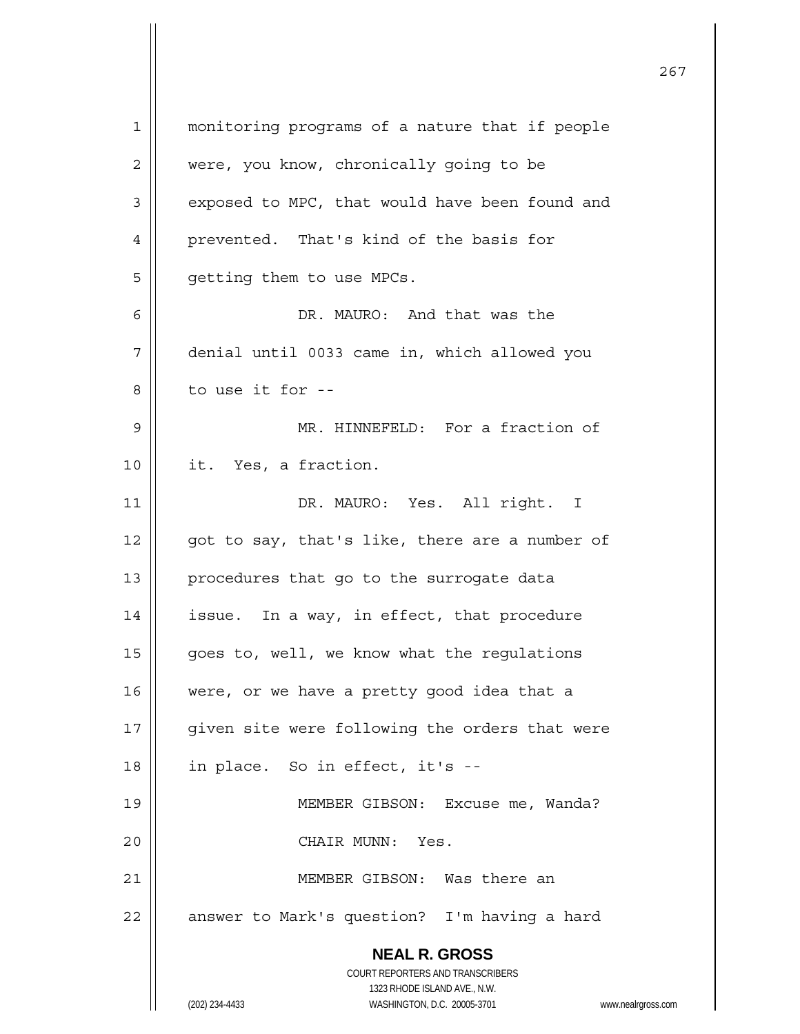| $\mathbf 1$ | monitoring programs of a nature that if people                      |
|-------------|---------------------------------------------------------------------|
| 2           | were, you know, chronically going to be                             |
| 3           | exposed to MPC, that would have been found and                      |
| 4           | prevented. That's kind of the basis for                             |
| 5           | getting them to use MPCs.                                           |
| 6           | DR. MAURO: And that was the                                         |
| 7           | denial until 0033 came in, which allowed you                        |
| 8           | to use it for --                                                    |
| 9           | MR. HINNEFELD: For a fraction of                                    |
| 10          | it. Yes, a fraction.                                                |
|             |                                                                     |
| 11          | DR. MAURO: Yes. All right. I                                        |
| 12          | got to say, that's like, there are a number of                      |
| 13          | procedures that go to the surrogate data                            |
| 14          | issue. In a way, in effect, that procedure                          |
| 15          | goes to, well, we know what the regulations                         |
| 16          | were, or we have a pretty good idea that a                          |
| 17          | given site were following the orders that were                      |
| 18          | in place. So in effect, it's --                                     |
| 19          | MEMBER GIBSON: Excuse me, Wanda?                                    |
| 20          | CHAIR MUNN: Yes.                                                    |
| 21          | MEMBER GIBSON: Was there an                                         |
| 22          | answer to Mark's question? I'm having a hard                        |
|             | <b>NEAL R. GROSS</b>                                                |
|             | COURT REPORTERS AND TRANSCRIBERS                                    |
|             | 1323 RHODE ISLAND AVE., N.W.                                        |
|             | (202) 234-4433<br>WASHINGTON, D.C. 20005-3701<br>www.nealrgross.com |

 $\mathsf{I}$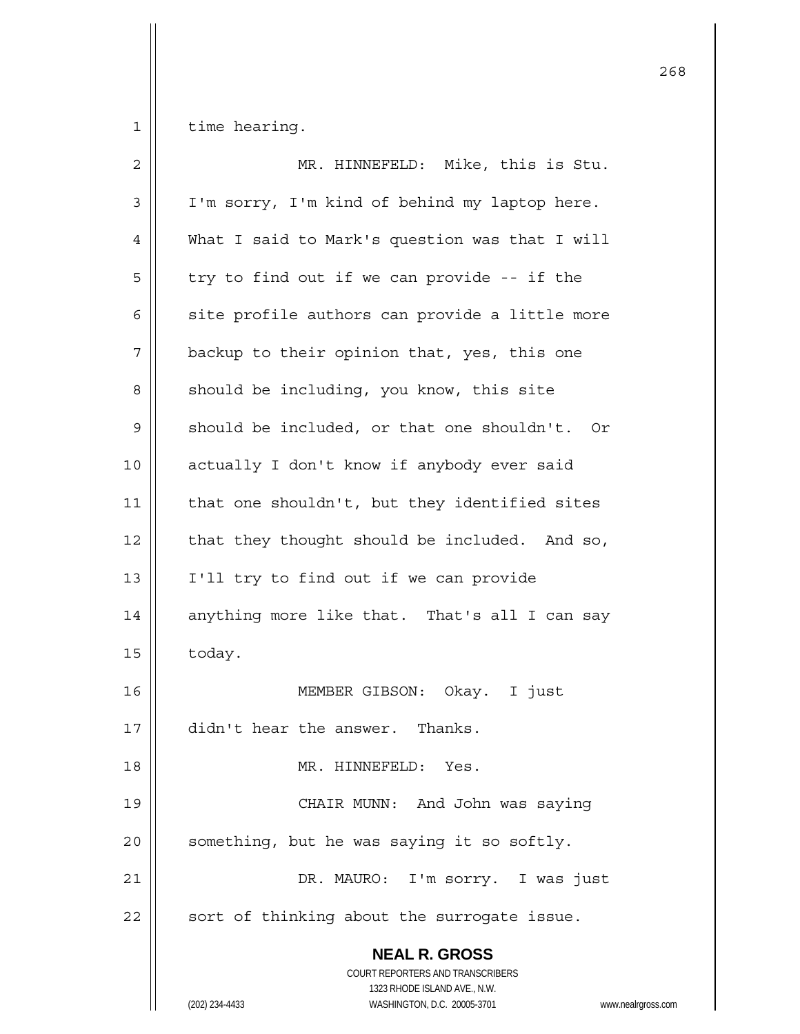$1$  time hearing.

| $\overline{2}$ | MR. HINNEFELD: Mike, this is Stu.                                                                                                                                      |
|----------------|------------------------------------------------------------------------------------------------------------------------------------------------------------------------|
| 3              | I'm sorry, I'm kind of behind my laptop here.                                                                                                                          |
| 4              | What I said to Mark's question was that I will                                                                                                                         |
| 5              | try to find out if we can provide -- if the                                                                                                                            |
| 6              | site profile authors can provide a little more                                                                                                                         |
| 7              | backup to their opinion that, yes, this one                                                                                                                            |
| 8              | should be including, you know, this site                                                                                                                               |
| 9              | should be included, or that one shouldn't. Or                                                                                                                          |
| 10             | actually I don't know if anybody ever said                                                                                                                             |
| 11             | that one shouldn't, but they identified sites                                                                                                                          |
| 12             | that they thought should be included. And so,                                                                                                                          |
| 13             | I'll try to find out if we can provide                                                                                                                                 |
| 14             | anything more like that. That's all I can say                                                                                                                          |
| 15             | today.                                                                                                                                                                 |
| 16             | MEMBER GIBSON: Okay. I just                                                                                                                                            |
| 17             | didn't hear the answer. Thanks.                                                                                                                                        |
| 18             | MR. HINNEFELD: Yes.                                                                                                                                                    |
| 19             | CHAIR MUNN: And John was saying                                                                                                                                        |
| 20             | something, but he was saying it so softly.                                                                                                                             |
| 21             | DR. MAURO: I'm sorry. I was just                                                                                                                                       |
| 22             | sort of thinking about the surrogate issue.                                                                                                                            |
|                | <b>NEAL R. GROSS</b><br><b>COURT REPORTERS AND TRANSCRIBERS</b><br>1323 RHODE ISLAND AVE., N.W.<br>(202) 234-4433<br>WASHINGTON, D.C. 20005-3701<br>www.nealrgross.com |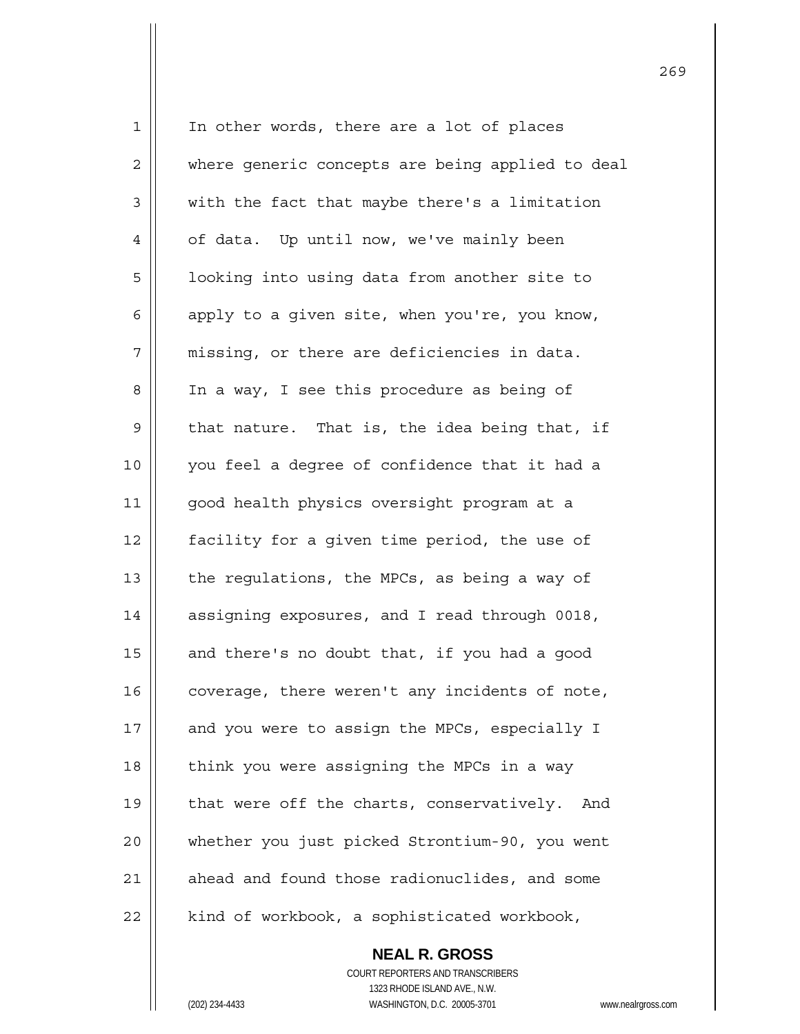1 || In other words, there are a lot of places 2 | where generic concepts are being applied to deal  $3 \parallel$  with the fact that maybe there's a limitation 4 | of data. Up until now, we've mainly been 5 | looking into using data from another site to 6  $\parallel$  apply to a given site, when you're, you know,  $7$  || missing, or there are deficiencies in data. 8 | In a way, I see this procedure as being of  $9 \parallel$  that nature. That is, the idea being that, if 10 || you feel a degree of confidence that it had a 11 || good health physics oversight program at a 12 | facility for a given time period, the use of 13  $\parallel$  the regulations, the MPCs, as being a way of 14 | assigning exposures, and I read through 0018, 15  $\parallel$  and there's no doubt that, if you had a good  $16$  | coverage, there weren't any incidents of note, 17 || and you were to assign the MPCs, especially I  $18$  | think you were assigning the MPCs in a way 19 || that were off the charts, conservatively. And 20 whether you just picked Strontium-90, you went  $21$   $\parallel$  ahead and found those radionuclides, and some  $22$  | kind of workbook, a sophisticated workbook,

> **NEAL R. GROSS** COURT REPORTERS AND TRANSCRIBERS 1323 RHODE ISLAND AVE., N.W. (202) 234-4433 WASHINGTON, D.C. 20005-3701 www.nealrgross.com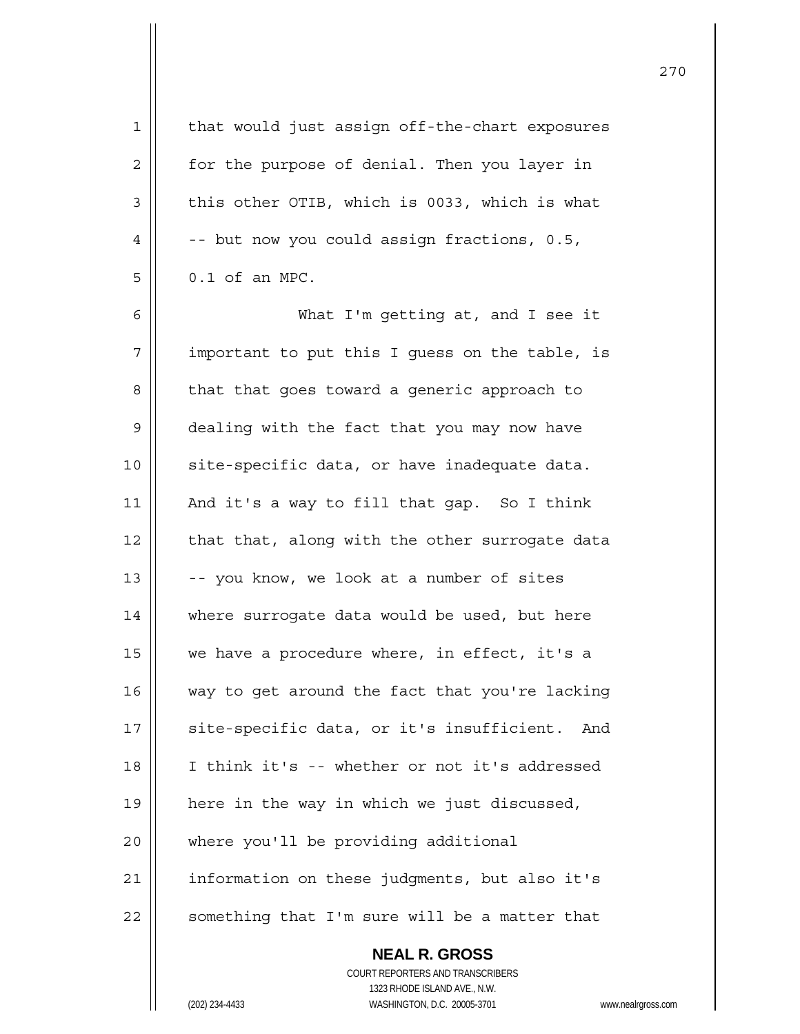| $\mathbf 1$    | that would just assign off-the-chart exposures           |
|----------------|----------------------------------------------------------|
| $\overline{2}$ | for the purpose of denial. Then you layer in             |
| 3              | this other OTIB, which is 0033, which is what            |
| $\overline{4}$ | -- but now you could assign fractions, 0.5,              |
| 5              | 0.1 of an MPC.                                           |
| 6              | What I'm getting at, and I see it                        |
| 7              | important to put this I guess on the table, is           |
| 8              | that that goes toward a generic approach to              |
| 9              | dealing with the fact that you may now have              |
| 10             | site-specific data, or have inadequate data.             |
| 11             | And it's a way to fill that gap. So I think              |
| 12             | that that, along with the other surrogate data           |
| 13             | -- you know, we look at a number of sites                |
| 14             | where surrogate data would be used, but here             |
| 15             | we have a procedure where, in effect, it's a             |
| 16             | way to get around the fact that you're lacking           |
| 17             | site-specific data, or it's insufficient.<br>And         |
| 18             | I think it's -- whether or not it's addressed            |
| 19             | here in the way in which we just discussed,              |
| 20             | where you'll be providing additional                     |
| 21             | information on these judgments, but also it's            |
| 22             | something that I'm sure will be a matter that            |
|                | <b>NEAL R. GROSS</b><br>COURT REPORTERS AND TRANSCRIBERS |
|                | 1323 RHODE ISLAND AVE., N.W.                             |
|                | (202) 234-4433<br>WASHINGTON, D.C. 20005-3701<br>www.n   |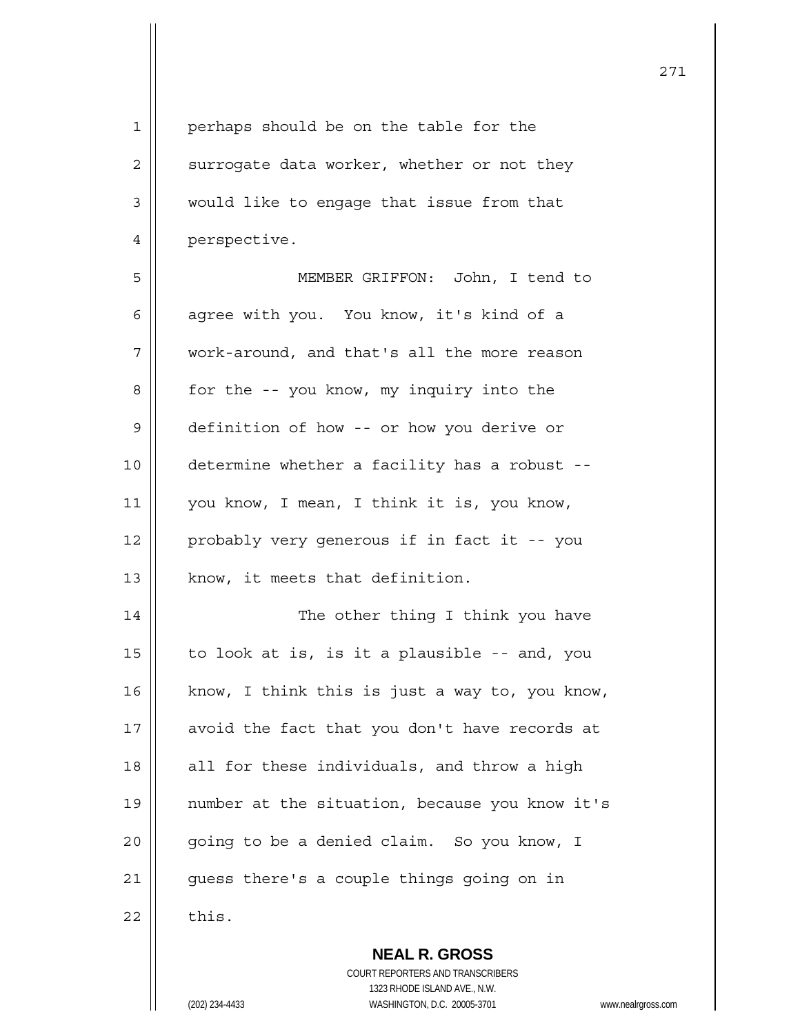| 1              | perhaps should be on the table for the         |
|----------------|------------------------------------------------|
| $\overline{c}$ | surrogate data worker, whether or not they     |
| 3              | would like to engage that issue from that      |
| 4              | perspective.                                   |
| 5              | MEMBER GRIFFON: John, I tend to                |
| 6              | agree with you. You know, it's kind of a       |
| 7              | work-around, and that's all the more reason    |
| 8              | for the -- you know, my inquiry into the       |
| $\mathsf 9$    | definition of how -- or how you derive or      |
| 10             | determine whether a facility has a robust --   |
| 11             | you know, I mean, I think it is, you know,     |
| 12             | probably very generous if in fact it -- you    |
| 13             | know, it meets that definition.                |
| 14             | The other thing I think you have               |
| 15             | to look at is, is it a plausible -- and, you   |
| 16             | know, I think this is just a way to, you know, |
| 17             | avoid the fact that you don't have records at  |
| 18             | all for these individuals, and throw a high    |
| 19             | number at the situation, because you know it's |
| 20             | going to be a denied claim. So you know, I     |
| 21             | guess there's a couple things going on in      |
| 22             | this.                                          |
|                | <b>NEAL R. GROSS</b>                           |

 COURT REPORTERS AND TRANSCRIBERS 1323 RHODE ISLAND AVE., N.W. (202) 234-4433 WASHINGTON, D.C. 20005-3701 www.nealrgross.com

 $\mathsf{II}$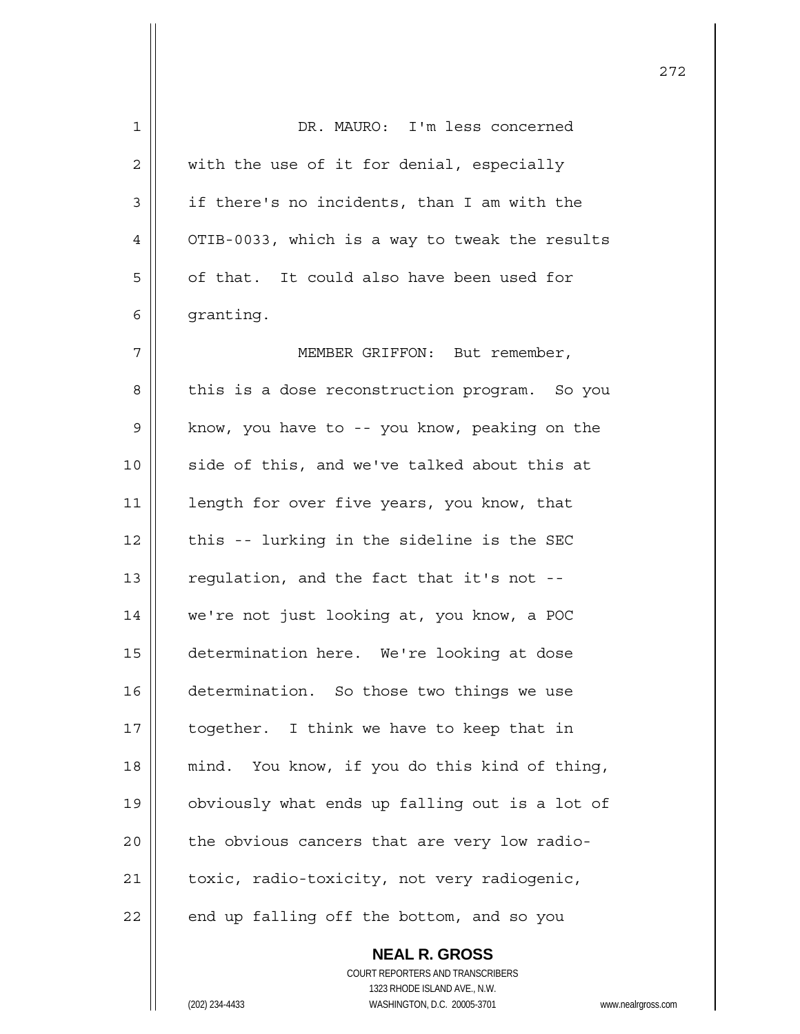| $\mathbf 1$ | DR. MAURO: I'm less concerned                            |
|-------------|----------------------------------------------------------|
| 2           | with the use of it for denial, especially                |
| 3           | if there's no incidents, than I am with the              |
| 4           | OTIB-0033, which is a way to tweak the results           |
| 5           | of that. It could also have been used for                |
| 6           | granting.                                                |
| 7           | MEMBER GRIFFON: But remember,                            |
| 8           | this is a dose reconstruction program. So you            |
| 9           | know, you have to -- you know, peaking on the            |
| 10          | side of this, and we've talked about this at             |
| 11          | length for over five years, you know, that               |
| 12          | this -- lurking in the sideline is the SEC               |
| 13          | regulation, and the fact that it's not --                |
| 14          | we're not just looking at, you know, a POC               |
| 15          | determination here. We're looking at dose                |
| 16          | determination. So those two things we use                |
| 17          | together. I think we have to keep that in                |
| 18          | mind. You know, if you do this kind of thing,            |
| 19          | obviously what ends up falling out is a lot of           |
| 20          | the obvious cancers that are very low radio-             |
| 21          | toxic, radio-toxicity, not very radiogenic,              |
| 22          | end up falling off the bottom, and so you                |
|             | <b>NEAL R. GROSS</b><br>COURT REPORTERS AND TRANSCRIBERS |

1323 RHODE ISLAND AVE., N.W.

 $\prod$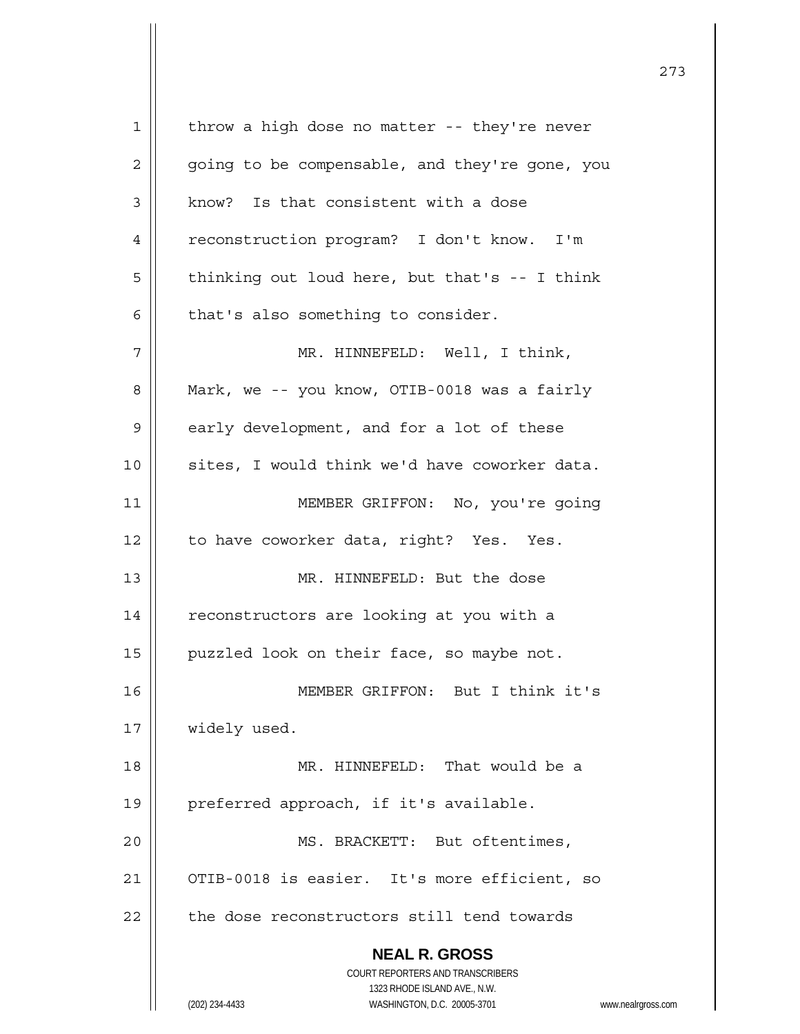**NEAL R. GROSS** COURT REPORTERS AND TRANSCRIBERS 1323 RHODE ISLAND AVE., N.W. (202) 234-4433 WASHINGTON, D.C. 20005-3701 www.nealrgross.com  $1 \parallel$  throw a high dose no matter -- they're never  $2 \parallel$  going to be compensable, and they're gone, you 3 | know? Is that consistent with a dose 4 | reconstruction program? I don't know. I'm  $5 \parallel$  thinking out loud here, but that's -- I think  $6 \parallel$  that's also something to consider. 7 MR. HINNEFELD: Well, I think, 8 | Mark, we -- you know, OTIB-0018 was a fairly  $9 \parallel$  early development, and for a lot of these 10 || sites, I would think we'd have coworker data. 11 || MEMBER GRIFFON: No, you're going 12 | to have coworker data, right? Yes. Yes. 13 MR. HINNEFELD: But the dose 14 | reconstructors are looking at you with a 15 | puzzled look on their face, so maybe not. 16 MEMBER GRIFFON: But I think it's 17 | widely used. 18 MR. HINNEFELD: That would be a 19 || preferred approach, if it's available. 20 || MS. BRACKETT: But oftentimes, 21 || OTIB-0018 is easier. It's more efficient, so 22 | the dose reconstructors still tend towards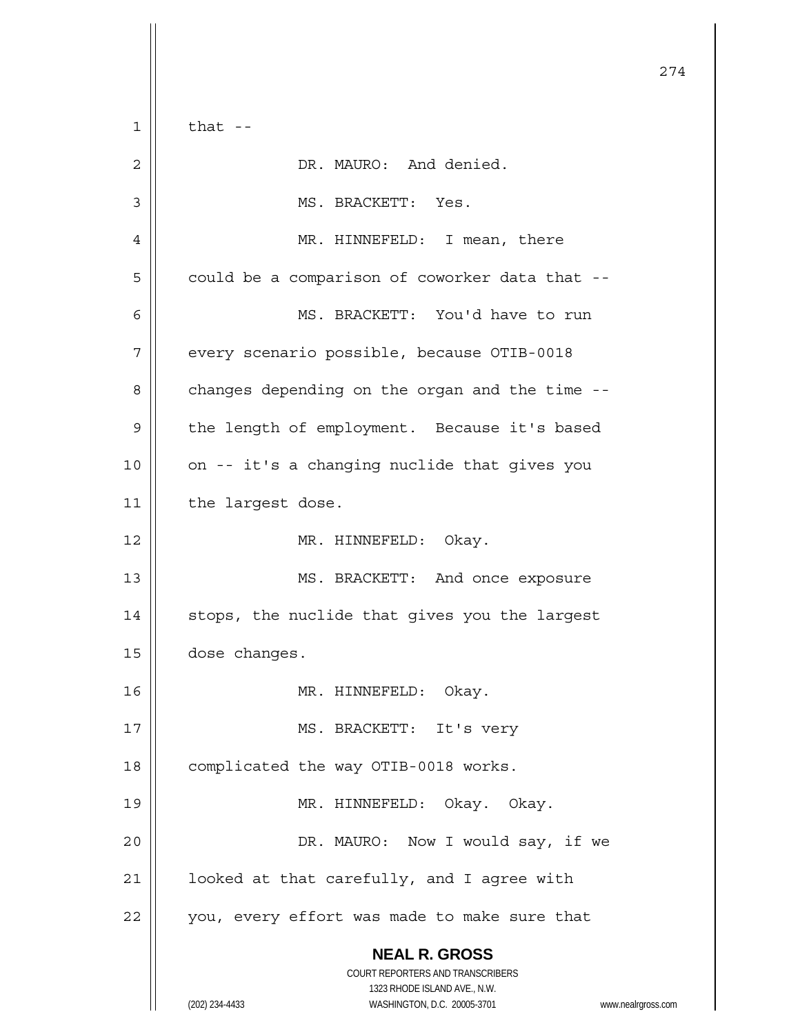**NEAL R. GROSS** COURT REPORTERS AND TRANSCRIBERS 1323 RHODE ISLAND AVE., N.W. (202) 234-4433 WASHINGTON, D.C. 20005-3701 www.nealrgross.com 274  $1 \parallel$  that --2 | DR. MAURO: And denied. 3 | MS. BRACKETT: Yes. 4 MR. HINNEFELD: I mean, there  $5 \parallel$  could be a comparison of coworker data that --6 MS. BRACKETT: You'd have to run 7 | every scenario possible, because OTIB-0018 8 | changes depending on the organ and the time --9 | the length of employment. Because it's based  $10$  | on -- it's a changing nuclide that gives you 11 | the largest dose. 12 || MR. HINNEFELD: Okay. 13 || MS. BRACKETT: And once exposure 14 || stops, the nuclide that gives you the largest 15 **dose** changes. 16 MR. HINNEFELD: Okay. 17 || MS. BRACKETT: It's very 18 | complicated the way OTIB-0018 works. 19 MR. HINNEFELD: Okay. Okay. 20 DR. MAURO: Now I would say, if we  $21$  |  $\vert$  looked at that carefully, and I agree with  $22$  || you, every effort was made to make sure that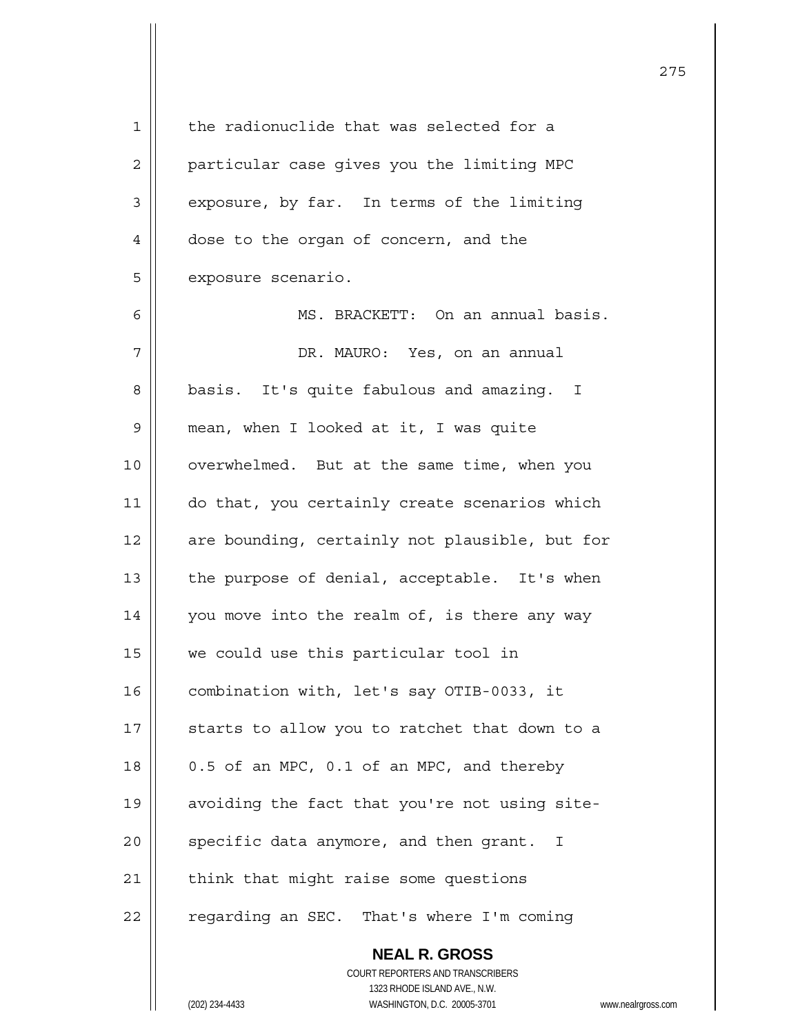**NEAL R. GROSS** 1 || the radionuclide that was selected for a 2 | particular case gives you the limiting MPC  $3 \parallel$  exposure, by far. In terms of the limiting 4 dose to the organ of concern, and the 5 | exposure scenario. 6 MS. BRACKETT: On an annual basis. 7 DR. MAURO: Yes, on an annual 8 | basis. It's quite fabulous and amazing. I 9 mean, when I looked at it, I was quite 10 || overwhelmed. But at the same time, when you 11 || do that, you certainly create scenarios which  $12$  | are bounding, certainly not plausible, but for 13 || the purpose of denial, acceptable. It's when 14 || you move into the realm of, is there any way 15 we could use this particular tool in 16 | combination with, let's say OTIB-0033, it 17  $\parallel$  starts to allow you to ratchet that down to a  $18 \parallel$  0.5 of an MPC, 0.1 of an MPC, and thereby 19 | avoiding the fact that you're not using site- $20$  | specific data anymore, and then grant. I  $21$  | think that might raise some questions 22 | regarding an SEC. That's where I'm coming

275

 COURT REPORTERS AND TRANSCRIBERS 1323 RHODE ISLAND AVE., N.W.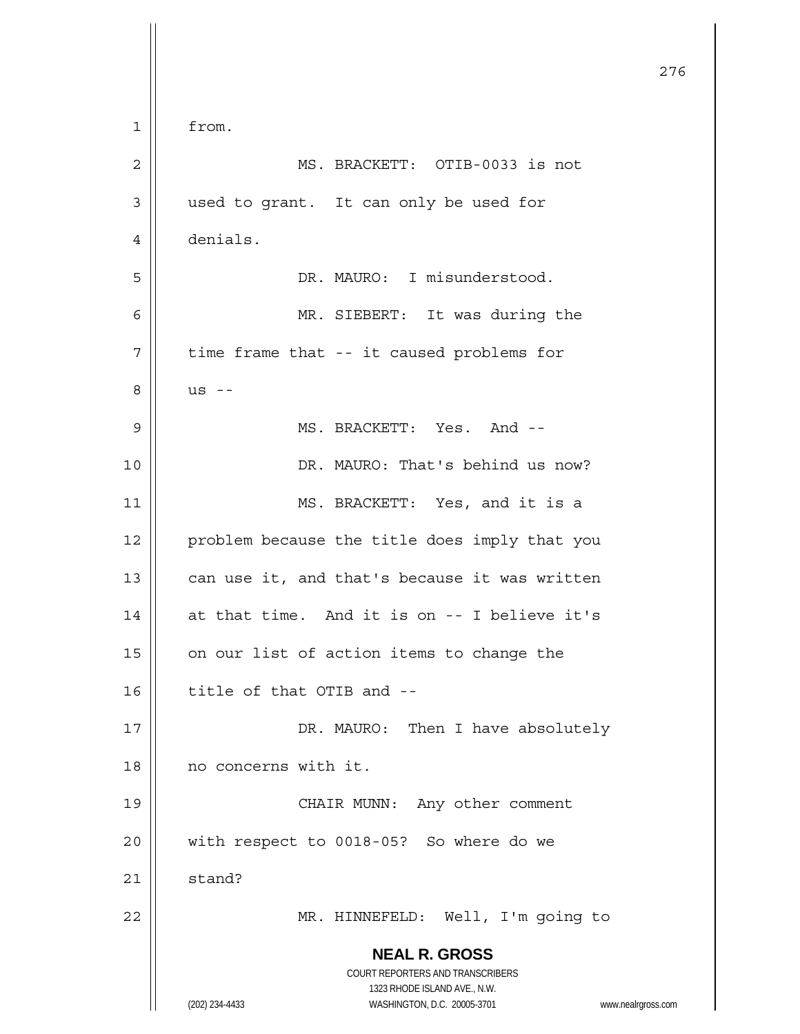|    |                                                                         | 276 |
|----|-------------------------------------------------------------------------|-----|
| 1  | from.                                                                   |     |
| 2  | MS. BRACKETT: OTIB-0033 is not                                          |     |
| 3  | used to grant. It can only be used for                                  |     |
| 4  | denials.                                                                |     |
| 5  | DR. MAURO: I misunderstood.                                             |     |
| 6  | MR. SIEBERT: It was during the                                          |     |
| 7  | time frame that -- it caused problems for                               |     |
| 8  | $US$ --                                                                 |     |
| 9  | MS. BRACKETT: Yes. And --                                               |     |
| 10 | DR. MAURO: That's behind us now?                                        |     |
| 11 | MS. BRACKETT: Yes, and it is a                                          |     |
| 12 | problem because the title does imply that you                           |     |
| 13 | can use it, and that's because it was written                           |     |
| 14 | at that time. And it is on -- I believe it's                            |     |
| 15 | on our list of action items to change the                               |     |
| 16 | title of that OTIB and --                                               |     |
| 17 | DR. MAURO: Then I have absolutely                                       |     |
| 18 | no concerns with it.                                                    |     |
| 19 | CHAIR MUNN: Any other comment                                           |     |
| 20 | with respect to 0018-05? So where do we                                 |     |
| 21 | stand?                                                                  |     |
| 22 | MR. HINNEFELD: Well, I'm going to                                       |     |
|    | <b>NEAL R. GROSS</b>                                                    |     |
|    | <b>COURT REPORTERS AND TRANSCRIBERS</b><br>1323 RHODE ISLAND AVE., N.W. |     |
|    | WASHINGTON, D.C. 20005-3701<br>(202) 234-4433<br>www.nealrgross.com     |     |

Ħ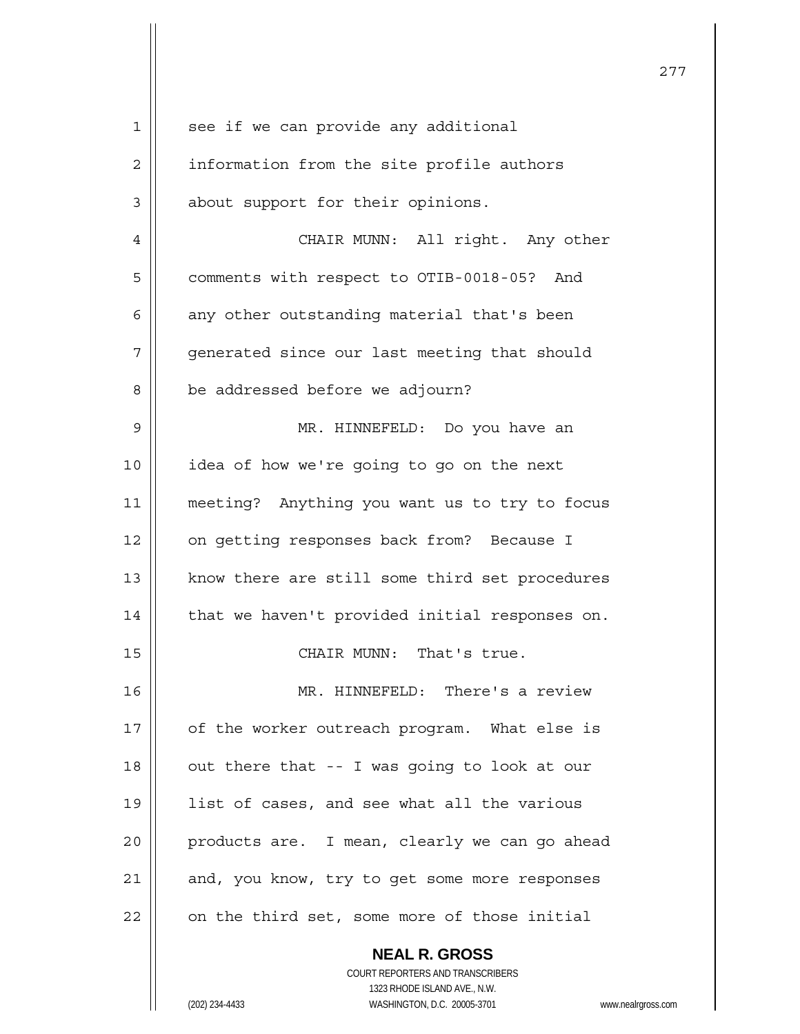| 1  | see if we can provide any additional           |
|----|------------------------------------------------|
| 2  | information from the site profile authors      |
| 3  | about support for their opinions.              |
| 4  | CHAIR MUNN: All right. Any other               |
| 5  | comments with respect to OTIB-0018-05? And     |
| 6  | any other outstanding material that's been     |
| 7  | generated since our last meeting that should   |
| 8  | be addressed before we adjourn?                |
| 9  | MR. HINNEFELD: Do you have an                  |
| 10 | idea of how we're going to go on the next      |
| 11 | meeting? Anything you want us to try to focus  |
| 12 | on getting responses back from? Because I      |
| 13 | know there are still some third set procedures |
| 14 | that we haven't provided initial responses on. |
| 15 | CHAIR MUNN: That's true.                       |
| 16 | MR. HINNEFELD: There's a review                |
| 17 | of the worker outreach program. What else is   |
| 18 | out there that -- I was going to look at our   |
| 19 | list of cases, and see what all the various    |
| 20 | products are. I mean, clearly we can go ahead  |
| 21 | and, you know, try to get some more responses  |
| 22 | on the third set, some more of those initial   |
|    | <b>NEAL R. GROSS</b>                           |

 COURT REPORTERS AND TRANSCRIBERS 1323 RHODE ISLAND AVE., N.W.

 $\prod$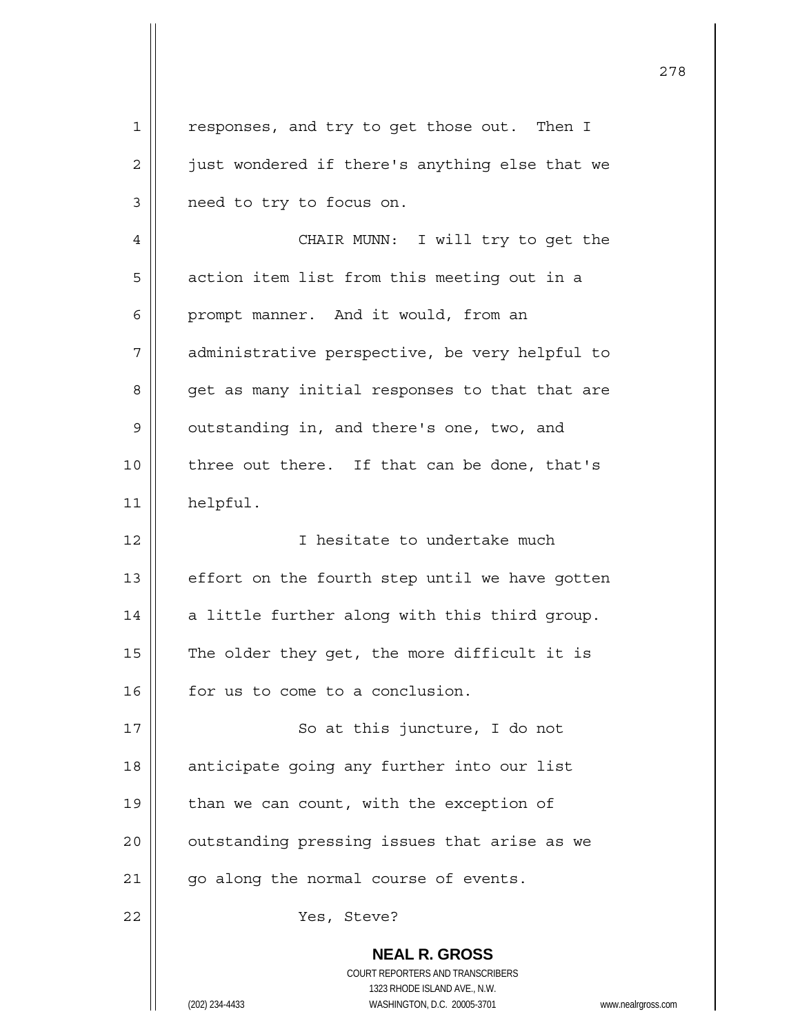**NEAL R. GROSS** COURT REPORTERS AND TRANSCRIBERS 1323 RHODE ISLAND AVE., N.W. 1 || responses, and try to get those out. Then I 2 | just wondered if there's anything else that we 3 | need to try to focus on. 4 CHAIR MUNN: I will try to get the 5 | action item list from this meeting out in a 6 | prompt manner. And it would, from an 7 | administrative perspective, be very helpful to 8 | get as many initial responses to that that are 9 | outstanding in, and there's one, two, and  $10$  | three out there. If that can be done, that's 11 helpful. 12 || I hesitate to undertake much  $13$  | effort on the fourth step until we have gotten 14  $\parallel$  a little further along with this third group. 15  $\parallel$  The older they get, the more difficult it is 16 | for us to come to a conclusion. 17 || So at this juncture, I do not 18 || anticipate going any further into our list 19  $\parallel$  than we can count, with the exception of 20 || outstanding pressing issues that arise as we  $21$  | qo along the normal course of events. 22 || Yes, Steve?

278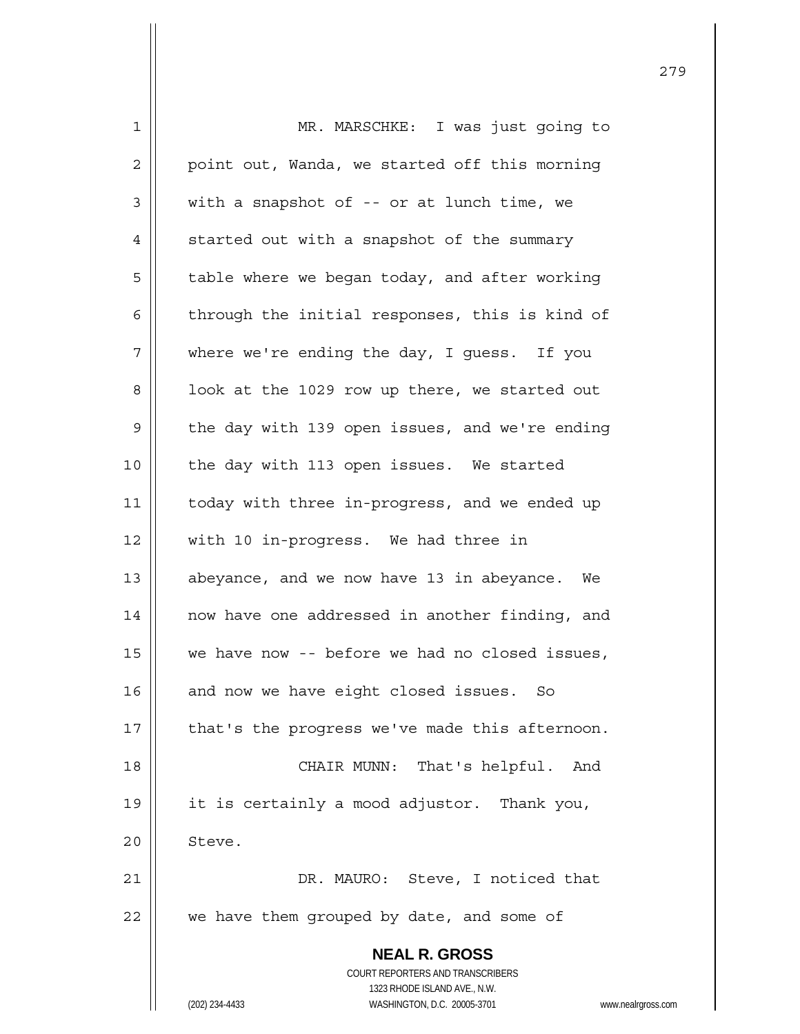| $\mathbf 1$ | MR. MARSCHKE: I was just going to                                   |
|-------------|---------------------------------------------------------------------|
| 2           | point out, Wanda, we started off this morning                       |
| 3           | with a snapshot of -- or at lunch time, we                          |
| 4           | started out with a snapshot of the summary                          |
| 5           | table where we began today, and after working                       |
| 6           | through the initial responses, this is kind of                      |
| 7           | where we're ending the day, I guess. If you                         |
| 8           | look at the 1029 row up there, we started out                       |
| 9           | the day with 139 open issues, and we're ending                      |
| 10          | the day with 113 open issues. We started                            |
| 11          | today with three in-progress, and we ended up                       |
| 12          | with 10 in-progress. We had three in                                |
| 13          | abeyance, and we now have 13 in abeyance. We                        |
| 14          | now have one addressed in another finding, and                      |
| 15          | we have now -- before we had no closed issues,                      |
| 16          | and now we have eight closed issues. So                             |
| 17          | that's the progress we've made this afternoon.                      |
| 18          | CHAIR MUNN: That's helpful. And                                     |
| 19          | it is certainly a mood adjustor. Thank you,                         |
| 20          | Steve.                                                              |
| 21          | DR. MAURO: Steve, I noticed that                                    |
| 22          | we have them grouped by date, and some of                           |
|             | <b>NEAL R. GROSS</b>                                                |
|             | COURT REPORTERS AND TRANSCRIBERS                                    |
|             | 1323 RHODE ISLAND AVE., N.W.                                        |
|             | (202) 234-4433<br>WASHINGTON, D.C. 20005-3701<br>www.nealrgross.com |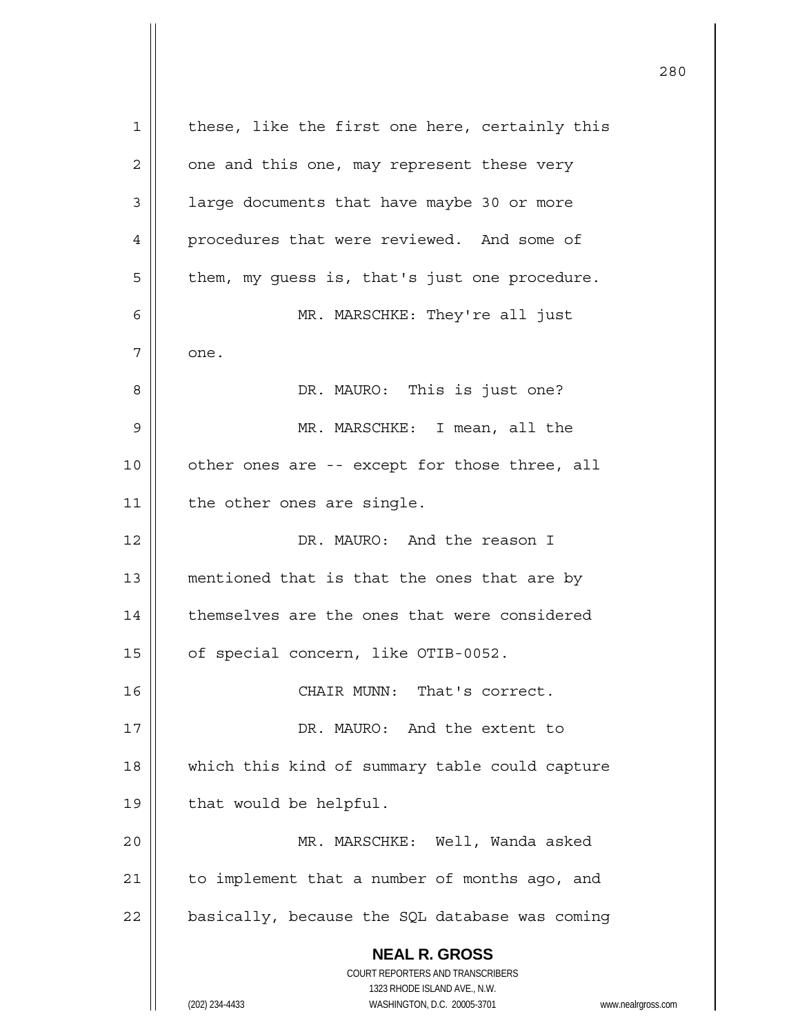**NEAL R. GROSS** COURT REPORTERS AND TRANSCRIBERS 1323 RHODE ISLAND AVE., N.W. (202) 234-4433 WASHINGTON, D.C. 20005-3701 www.nealrgross.com 1 || these, like the first one here, certainly this  $2 \parallel$  one and this one, may represent these very 3 | large documents that have maybe 30 or more 4 | procedures that were reviewed. And some of  $5 \parallel$  them, my guess is, that's just one procedure. 6 MR. MARSCHKE: They're all just 7 one. 8 DR. MAURO: This is just one? 9 MR. MARSCHKE: I mean, all the 10 || other ones are -- except for those three, all 11 | the other ones are single. 12 DR. MAURO: And the reason I 13 || mentioned that is that the ones that are by 14 | themselves are the ones that were considered 15 | of special concern, like OTIB-0052. 16 || CHAIR MUNN: That's correct. 17 DR. MAURO: And the extent to 18 || which this kind of summary table could capture  $19 \parallel$  that would be helpful. 20 MR. MARSCHKE: Well, Wanda asked  $21$  | to implement that a number of months ago, and  $22$  | basically, because the SQL database was coming

<u>280</u>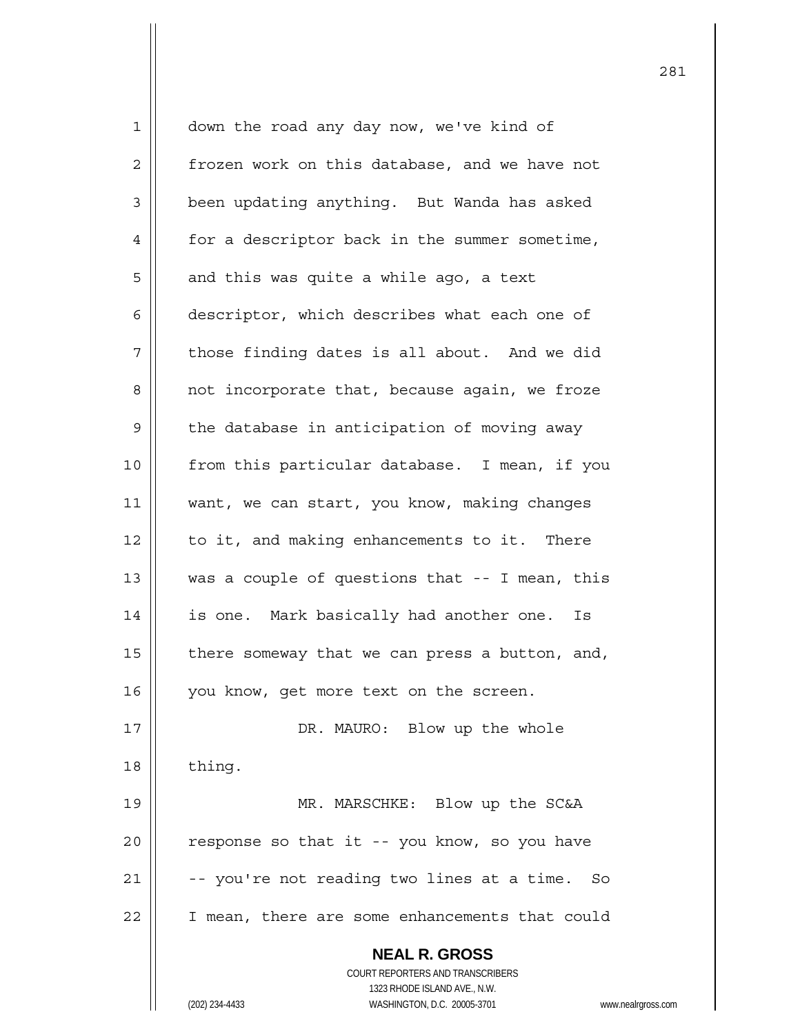| $\mathbf{1}$ | down the road any day now, we've kind of                            |
|--------------|---------------------------------------------------------------------|
| 2            | frozen work on this database, and we have not                       |
| 3            | been updating anything. But Wanda has asked                         |
| 4            | for a descriptor back in the summer sometime,                       |
| 5            | and this was quite a while ago, a text                              |
| 6            | descriptor, which describes what each one of                        |
| 7            | those finding dates is all about. And we did                        |
| 8            | not incorporate that, because again, we froze                       |
| 9            | the database in anticipation of moving away                         |
| 10           | from this particular database. I mean, if you                       |
| 11           | want, we can start, you know, making changes                        |
| 12           | to it, and making enhancements to it. There                         |
| 13           | was a couple of questions that -- I mean, this                      |
| 14           | is one. Mark basically had another one.<br>Is                       |
| 15           | there someway that we can press a button, and,                      |
| 16           | you know, get more text on the screen.                              |
| 17           | DR. MAURO: Blow up the whole                                        |
| 18           | thing.                                                              |
| 19           | MR. MARSCHKE: Blow up the SC&A                                      |
| 20           | response so that it -- you know, so you have                        |
| 21           | -- you're not reading two lines at a time. So                       |
| 22           | I mean, there are some enhancements that could                      |
|              | <b>NEAL R. GROSS</b>                                                |
|              | COURT REPORTERS AND TRANSCRIBERS                                    |
|              | 1323 RHODE ISLAND AVE., N.W.                                        |
|              | (202) 234-4433<br>WASHINGTON, D.C. 20005-3701<br>www.nealrgross.com |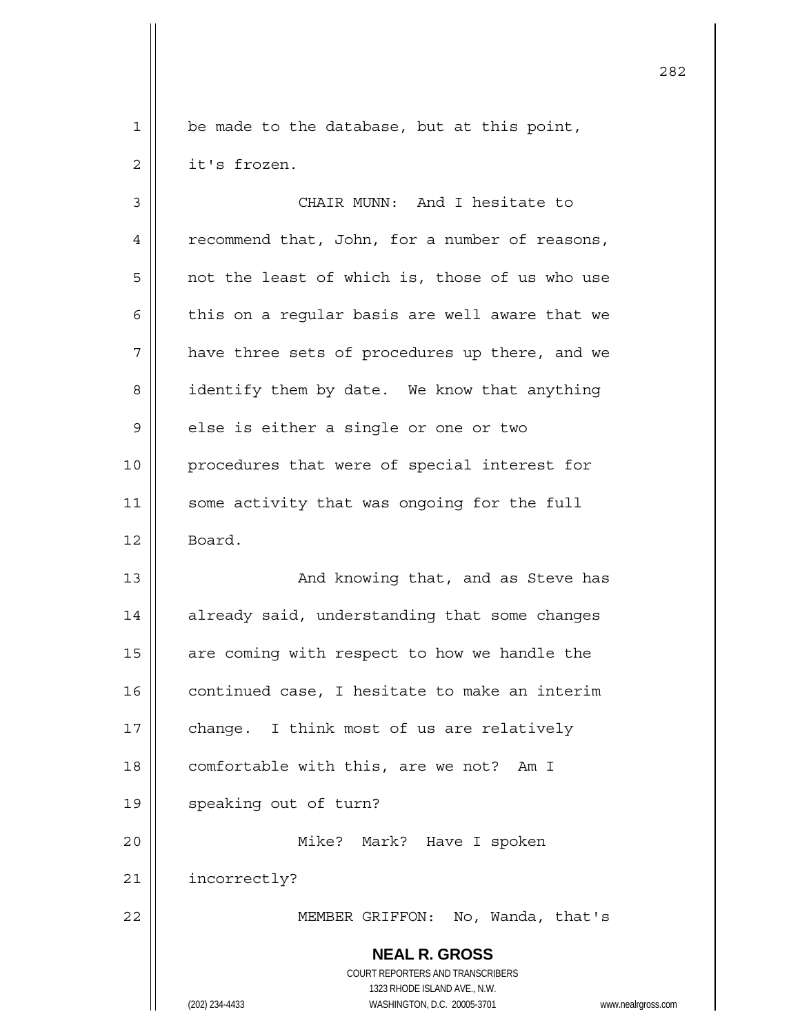1 | be made to the database, but at this point,  $2 \parallel$  it's frozen.

 **NEAL R. GROSS** COURT REPORTERS AND TRANSCRIBERS 1323 RHODE ISLAND AVE., N.W. 3 CHAIR MUNN: And I hesitate to 4 | recommend that, John, for a number of reasons,  $5 \parallel$  not the least of which is, those of us who use 6  $\parallel$  this on a regular basis are well aware that we  $7$  | have three sets of procedures up there, and we 8 | identify them by date. We know that anything 9 | else is either a single or one or two 10 || procedures that were of special interest for 11 || some activity that was ongoing for the full 12 | Board. 13 || And knowing that, and as Steve has 14 | already said, understanding that some changes 15  $\parallel$  are coming with respect to how we handle the  $16$   $\parallel$  continued case, I hesitate to make an interim 17 || change. I think most of us are relatively 18 | comfortable with this, are we not? Am I 19 || speaking out of turn? 20 Mike? Mark? Have I spoken 21 | incorrectly? 22 || MEMBER GRIFFON: No, Wanda, that's